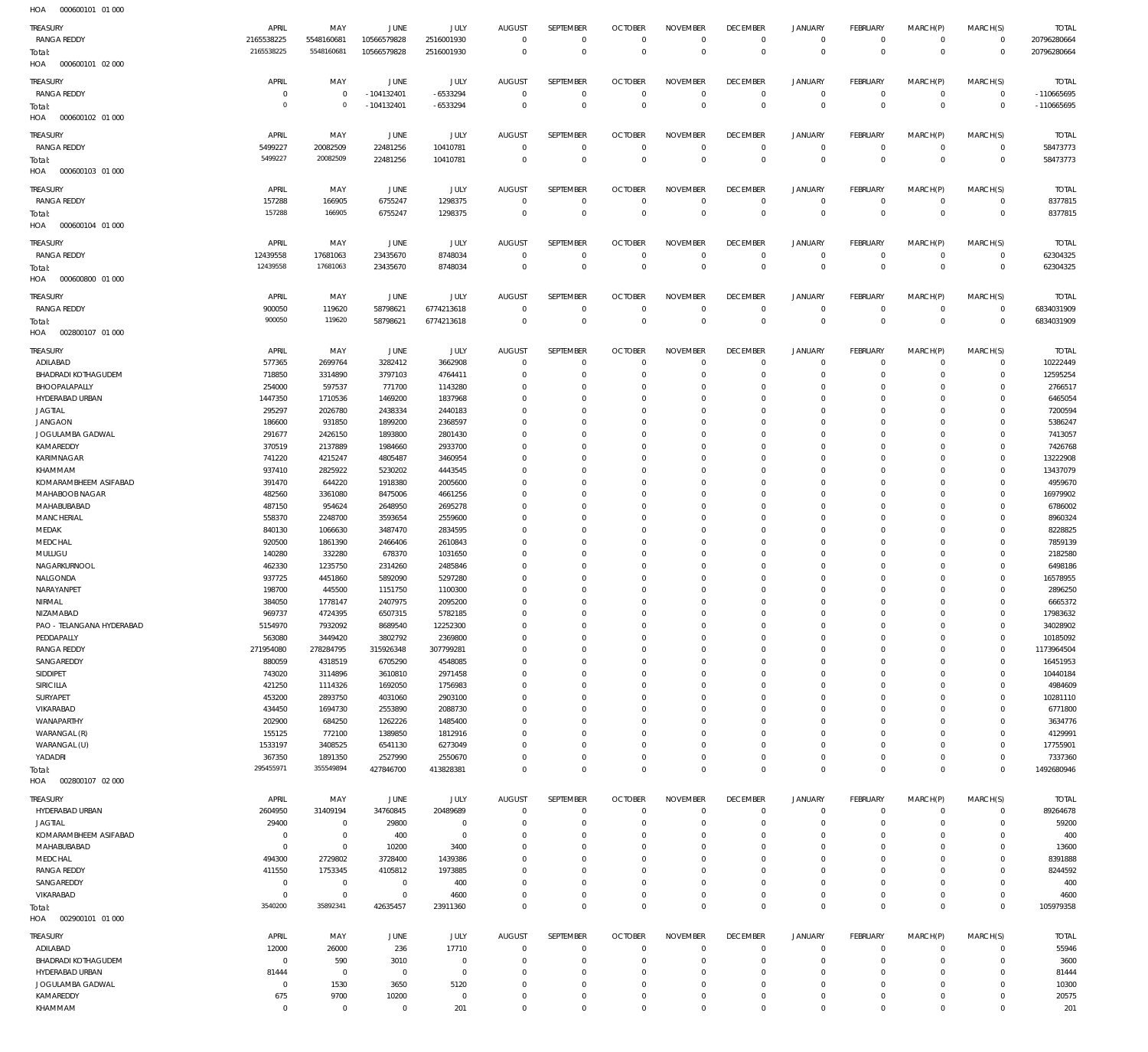| 1107<br><b><i><u>ODDDDDIDI</u></i></b> UIDDD |                |                |                |             |                |                |                |                 |                 |                |                 |             |                |              |
|----------------------------------------------|----------------|----------------|----------------|-------------|----------------|----------------|----------------|-----------------|-----------------|----------------|-----------------|-------------|----------------|--------------|
| <b>TREASURY</b>                              | APRIL          | MAY            | <b>JUNE</b>    | JULY        | <b>AUGUST</b>  | SEPTEMBER      | <b>OCTOBER</b> | <b>NOVEMBER</b> | <b>DECEMBER</b> | JANUARY        | <b>FEBRUARY</b> | MARCH(P)    | MARCH(S)       | <b>TOTAL</b> |
| <b>RANGA REDDY</b>                           | 2165538225     | 5548160681     | 10566579828    | 2516001930  | $\overline{0}$ | $\mathbf 0$    | $\overline{0}$ | $\mathbf 0$     | $\overline{0}$  | $\mathbf 0$    | $\overline{0}$  | $\mathbf 0$ | $\overline{0}$ | 20796280664  |
| Total:                                       | 2165538225     | 5548160681     | 10566579828    | 2516001930  | $\overline{0}$ | $\mathbf 0$    | $\overline{0}$ | $\overline{0}$  | $\overline{0}$  | $\overline{0}$ | $\overline{0}$  | $\mathbf 0$ | $\overline{0}$ | 20796280664  |
| 000600101 02 000<br>HOA                      |                |                |                |             |                |                |                |                 |                 |                |                 |             |                |              |
|                                              |                |                |                |             |                |                |                |                 |                 |                |                 |             |                |              |
| <b>TREASURY</b>                              | APRIL          | MAY            | JUNE           | JULY        | <b>AUGUST</b>  | SEPTEMBER      | <b>OCTOBER</b> | <b>NOVEMBER</b> | <b>DECEMBER</b> | <b>JANUARY</b> | <b>FEBRUARY</b> | MARCH(P)    | MARCH(S)       | <b>TOTAL</b> |
| <b>RANGA REDDY</b>                           | $^{\circ}$     | $\mathbf 0$    | $-104132401$   | $-6533294$  | $\mathbf 0$    | $\mathbf 0$    | $\overline{0}$ | $\mathbf 0$     | $\overline{0}$  | 0              | $\overline{0}$  | $\mathbf 0$ | $\overline{0}$ | -110665695   |
| Total:                                       | $\overline{0}$ | $\mathbf 0$    | $-104132401$   | $-6533294$  | $\overline{0}$ | $\overline{0}$ | $\overline{0}$ | $\overline{0}$  | $\overline{0}$  | $\overline{0}$ | $\overline{0}$  | $\mathbf 0$ | $\overline{0}$ | -110665695   |
| HOA<br>000600102 01 000                      |                |                |                |             |                |                |                |                 |                 |                |                 |             |                |              |
|                                              |                |                |                |             |                |                |                |                 |                 |                |                 |             |                |              |
| TREASURY                                     | APRIL          | MAY            | JUNE           | JULY        | <b>AUGUST</b>  | SEPTEMBER      | <b>OCTOBER</b> | <b>NOVEMBER</b> | <b>DECEMBER</b> | <b>JANUARY</b> | <b>FEBRUARY</b> | MARCH(P)    | MARCH(S)       | <b>TOTAL</b> |
| <b>RANGA REDDY</b>                           | 5499227        | 20082509       | 22481256       | 10410781    | $\mathbf 0$    | $^{\circ}$     | $\overline{0}$ | $\mathbf 0$     | $\overline{0}$  | $\mathbf 0$    | $\overline{0}$  | $\mathbf 0$ | $\overline{0}$ | 58473773     |
| Total:                                       | 5499227        | 20082509       | 22481256       | 10410781    | $\Omega$       | $\mathbf 0$    | $\overline{0}$ | $\mathbf 0$     | $\overline{0}$  | $\overline{0}$ | $\overline{0}$  | $\mathbf 0$ | $\overline{0}$ | 58473773     |
| 000600103 01 000<br>HOA                      |                |                |                |             |                |                |                |                 |                 |                |                 |             |                |              |
|                                              |                |                |                |             |                |                |                |                 |                 |                |                 |             |                |              |
| TREASURY                                     | APRIL          | MAY            | JUNE           | JULY        | <b>AUGUST</b>  | SEPTEMBER      | <b>OCTOBER</b> | <b>NOVEMBER</b> | <b>DECEMBER</b> | <b>JANUARY</b> | FEBRUARY        | MARCH(P)    | MARCH(S)       | <b>TOTAL</b> |
| <b>RANGA REDDY</b>                           | 157288         | 166905         | 6755247        | 1298375     | $\overline{0}$ | $^{\circ}$     | $\overline{0}$ | $\mathbf 0$     | $\overline{0}$  | $\mathbf 0$    | $\overline{0}$  | $\mathbf 0$ | $\overline{0}$ | 8377815      |
| Total:                                       | 157288         | 166905         | 6755247        | 1298375     | $\mathbf 0$    | $\overline{0}$ | $\overline{0}$ | $\mathbf 0$     | $\overline{0}$  | $\overline{0}$ | $\overline{0}$  | $\mathbf 0$ | $\overline{0}$ | 8377815      |
| 000600104 01 000<br>HOA                      |                |                |                |             |                |                |                |                 |                 |                |                 |             |                |              |
|                                              |                |                |                |             |                |                |                |                 |                 |                |                 |             |                |              |
| TREASURY                                     | APRIL          | MAY            | JUNE           | JULY        | <b>AUGUST</b>  | SEPTEMBER      | <b>OCTOBER</b> | <b>NOVEMBER</b> | <b>DECEMBER</b> | <b>JANUARY</b> | <b>FEBRUARY</b> | MARCH(P)    | MARCH(S)       | <b>TOTAL</b> |
| <b>RANGA REDDY</b>                           | 12439558       | 17681063       | 23435670       | 8748034     | $\mathbf 0$    | $\mathbf 0$    | $\overline{0}$ | $^{\circ}$      | $\overline{0}$  | $\mathbf 0$    | $\overline{0}$  | $^{\circ}$  | $\overline{0}$ | 62304325     |
| Total:                                       | 12439558       | 17681063       | 23435670       | 8748034     | $\mathbf 0$    | $\overline{0}$ | $\overline{0}$ | $\overline{0}$  | $\overline{0}$  | $\overline{0}$ | $\overline{0}$  | $\mathbf 0$ | $\overline{0}$ | 62304325     |
| HOA<br>000600800 01 000                      |                |                |                |             |                |                |                |                 |                 |                |                 |             |                |              |
|                                              |                |                |                |             |                |                |                |                 |                 |                |                 |             |                |              |
| <b>TREASURY</b>                              | APRIL          | MAY            | <b>JUNE</b>    | JULY        | <b>AUGUST</b>  | SEPTEMBER      | <b>OCTOBER</b> | <b>NOVEMBER</b> | <b>DECEMBER</b> | <b>JANUARY</b> | <b>FEBRUARY</b> | MARCH(P)    | MARCH(S)       | <b>TOTAL</b> |
| <b>RANGA REDDY</b>                           | 900050         | 119620         | 58798621       | 6774213618  | $\mathbf 0$    | $\mathbf 0$    | $\overline{0}$ | $\mathbf 0$     | $\overline{0}$  | $\mathbf 0$    | $\overline{0}$  | $\mathbf 0$ | $\overline{0}$ | 6834031909   |
| Total:                                       | 900050         | 119620         | 58798621       | 6774213618  | $\overline{0}$ | $\mathbf 0$    | $\overline{0}$ | $\mathbf 0$     | $\overline{0}$  | $\overline{0}$ | $\overline{0}$  | $\mathbf 0$ | $\overline{0}$ | 6834031909   |
| HOA<br>002800107 01 000                      |                |                |                |             |                |                |                |                 |                 |                |                 |             |                |              |
|                                              |                |                |                |             |                |                |                |                 |                 |                |                 |             |                |              |
| <b>TREASURY</b>                              | APRIL          | MAY            | JUNE           | JULY        | <b>AUGUST</b>  | SEPTEMBER      | <b>OCTOBER</b> | <b>NOVEMBER</b> | <b>DECEMBER</b> | <b>JANUARY</b> | <b>FEBRUARY</b> | MARCH(P)    | MARCH(S)       | <b>TOTAL</b> |
| ADILABAD                                     | 577365         | 2699764        | 3282412        | 3662908     | $\mathbf 0$    | $\mathbf 0$    | $\mathbf 0$    | $\Omega$        | $\mathbf 0$     | $\mathbf 0$    | $^{\circ}$      | $\mathbf 0$ | $\overline{0}$ | 10222449     |
| <b>BHADRADI KOTHAGUDEM</b>                   | 718850         | 3314890        | 3797103        | 4764411     | $\mathbf 0$    | $\mathbf 0$    | $\overline{0}$ | $\mathbf 0$     | $\mathbf 0$     | $\mathbf 0$    | $\overline{0}$  | $\mathbf 0$ | $\overline{0}$ | 12595254     |
| BHOOPALAPALLY                                | 254000         | 597537         | 771700         | 1143280     | $\mathbf 0$    | $\mathbf 0$    | $^{\circ}$     | $\mathbf 0$     | $\mathbf 0$     | $\mathbf 0$    | $^{\circ}$      | $\Omega$    | $\mathbf 0$    | 2766517      |
| HYDERABAD URBAN                              | 1447350        | 1710536        | 1469200        | 1837968     | $\Omega$       | $\mathbf 0$    | 0              | $\mathbf 0$     | $\mathbf 0$     | $\mathbf 0$    | $\mathbf 0$     | $\Omega$    | $\mathbf 0$    | 6465054      |
| <b>JAGTIAL</b>                               | 295297         | 2026780        | 2438334        | 2440183     | $\mathbf 0$    | $\mathbf 0$    | $\mathbf 0$    | $\mathbf 0$     | $\mathbf 0$     | $\mathbf 0$    | $\mathbf 0$     | $\Omega$    | $\mathbf 0$    | 7200594      |
|                                              |                |                |                |             |                |                |                |                 |                 |                |                 |             |                |              |
| <b>JANGAON</b>                               | 186600         | 931850         | 1899200        | 2368597     | $\Omega$       | $\mathbf 0$    | 0              | $\mathbf 0$     | $\mathbf 0$     | $\mathbf 0$    | $^{\circ}$      | $\Omega$    | $\mathbf 0$    | 5386247      |
| JOGULAMBA GADWAL                             | 291677         | 2426150        | 1893800        | 2801430     | $\mathbf 0$    | $\mathbf 0$    | $\mathbf 0$    | $\mathbf 0$     | $\mathbf 0$     | $\mathbf 0$    | $\mathbf 0$     | $\Omega$    | $\mathbf 0$    | 7413057      |
| KAMAREDDY                                    | 370519         | 2137889        | 1984660        | 2933700     | $\mathbf 0$    | $\mathbf 0$    | $\mathbf 0$    | $\mathbf 0$     | $\mathbf 0$     | $\mathbf 0$    | $\mathbf 0$     | $\Omega$    | $^{\circ}$     | 7426768      |
| KARIMNAGAR                                   | 741220         | 4215247        | 4805487        | 3460954     | $\mathbf 0$    | $\mathbf 0$    | $\mathbf 0$    | $\Omega$        | $\mathbf 0$     | $\mathbf 0$    | $^{\circ}$      | $\Omega$    | $\mathbf 0$    | 13222908     |
| KHAMMAM                                      | 937410         | 2825922        | 5230202        | 4443545     | $\Omega$       | $\mathbf 0$    | $^{\circ}$     | $\mathbf 0$     | $^{\circ}$      | $\mathbf 0$    | $^{\circ}$      | $\Omega$    | $\mathbf 0$    | 13437079     |
| KOMARAMBHEEM ASIFABAD                        | 391470         | 644220         | 1918380        | 2005600     | $\mathbf 0$    | $\mathbf 0$    | 0              | $\mathbf 0$     | $\mathbf 0$     | $\mathbf 0$    | 0               | 0           | $\mathbf 0$    | 4959670      |
|                                              |                |                |                |             | $\Omega$       | $\mathbf 0$    |                |                 |                 | $\mathbf 0$    |                 | $\Omega$    | $\mathbf 0$    |              |
| MAHABOOB NAGAR                               | 482560         | 3361080        | 8475006        | 4661256     |                |                | $^{\circ}$     | $\mathbf 0$     | $^{\circ}$      |                | $^{\circ}$      |             |                | 16979902     |
| MAHABUBABAD                                  | 487150         | 954624         | 2648950        | 2695278     | $\mathbf 0$    | $\mathbf 0$    | $\mathbf 0$    | $\mathbf 0$     | $\mathbf 0$     | $\mathbf 0$    | $^{\circ}$      | $\Omega$    | $\mathbf 0$    | 6786002      |
| MANCHERIAL                                   | 558370         | 2248700        | 3593654        | 2559600     | $\Omega$       | $\mathbf 0$    | $\Omega$       | $\mathbf 0$     | $\mathbf 0$     | $\mathbf 0$    | $\Omega$        | $\Omega$    | $\Omega$       | 8960324      |
| MEDAK                                        | 840130         | 1066630        | 3487470        | 2834595     | $\mathbf 0$    | $\mathbf 0$    | $^{\circ}$     | $\mathbf 0$     | $\mathbf 0$     | $\mathbf 0$    | $^{\circ}$      | $\Omega$    | $\mathbf 0$    | 8228825      |
| MEDCHAL                                      | 920500         | 1861390        | 2466406        | 2610843     | $\Omega$       | $\mathbf 0$    | 0              | $\mathbf 0$     | $\mathbf 0$     | $\mathbf 0$    | $^{\circ}$      | $\Omega$    | $\mathbf 0$    | 7859139      |
| MULUGU                                       | 140280         | 332280         | 678370         | 1031650     | $\mathbf 0$    | $\mathbf 0$    | $^{\circ}$     | $\mathbf 0$     | $\mathbf 0$     | $\mathbf 0$    | $^{\circ}$      | $\Omega$    | $^{\circ}$     | 2182580      |
| NAGARKURNOOL                                 | 462330         | 1235750        | 2314260        | 2485846     | $\Omega$       | $\mathbf 0$    | $\mathbf 0$    | $\mathbf 0$     | $^{\circ}$      | $\mathbf 0$    | $^{\circ}$      | 0           | $\mathbf 0$    | 6498186      |
| NALGONDA                                     | 937725         | 4451860        | 5892090        | 5297280     | $\Omega$       | $\mathbf 0$    | 0              | $\mathbf 0$     | $\mathbf 0$     | $\mathbf 0$    | $^{\circ}$      | $\Omega$    | $\mathbf 0$    | 16578955     |
|                                              |                |                |                |             |                |                |                |                 |                 |                |                 |             |                |              |
| NARAYANPET                                   | 198700         | 445500         | 1151750        | 1100300     | $\Omega$       | $\mathbf 0$    | $^{\circ}$     | $\mathbf 0$     | $\mathbf 0$     | $\mathbf 0$    | $\Omega$        | $\Omega$    | $\mathbf 0$    | 2896250      |
| NIRMAL                                       | 384050         | 1778147        | 2407975        | 2095200     | $\Omega$       | $\Omega$       | $\Omega$       | $\Omega$        | $\Omega$        | $\Omega$       | $\Omega$        | $\Omega$    | $\mathbf 0$    | 6665372      |
| NIZAMABAD                                    | 969737         | 4724395        | 6507315        | 5782185     | $\mathbf 0$    | $\mathbf 0$    | $\mathbf 0$    | $\mathbf 0$     | $\mathbf 0$     | 0              | $\mathbf 0$     | $\mathbf 0$ | $\mathbf 0$    | 17983632     |
| PAO - TELANGANA HYDERABAD                    | 5154970        | 7932092        | 8689540        | 12252300    | $\mathbf 0$    | $\mathbf 0$    | $\mathbf 0$    | $\mathbf 0$     | $\mathbf 0$     | $\mathbf 0$    | $\mathbf 0$     | $\mathbf 0$ | $\mathbf 0$    | 34028902     |
| PEDDAPALLY                                   | 563080         | 3449420        | 3802792        | 2369800     | $\Omega$       | $\mathbf 0$    | $\mathbf 0$    | $\mathbf 0$     | $\mathbf 0$     | $\mathbf 0$    | $\mathbf 0$     | $\Omega$    | $\mathbf 0$    | 10185092     |
| <b>RANGA REDDY</b>                           | 271954080      | 278284795      | 315926348      | 307799281   | $\mathbf 0$    | $\mathbf 0$    | $\mathbf 0$    | $\mathbf 0$     | $\mathbf 0$     | $\mathbf 0$    | $\mathbf 0$     | $\Omega$    | $\mathbf 0$    | 1173964504   |
| SANGAREDDY                                   | 880059         | 4318519        | 6705290        | 4548085     | $\Omega$       | $\mathbf 0$    | $\mathbf 0$    | $\mathbf 0$     | $\mathbf 0$     | $\mathbf 0$    | $\Omega$        | $\Omega$    | $\mathbf 0$    | 16451953     |
| SIDDIPET                                     | 743020         | 3114896        | 3610810        | 2971458     | $\mathbf 0$    | $\mathbf 0$    | $\mathbf 0$    | $\Omega$        | $\mathbf 0$     | $\mathbf 0$    | $\mathbf 0$     | $\Omega$    | $\mathbf 0$    | 10440184     |
|                                              |                |                |                |             |                | $\mathbf 0$    |                |                 | $\mathbf 0$     |                |                 | $\Omega$    |                |              |
| SIRICILLA                                    | 421250         | 1114326        | 1692050        | 1756983     | $\mathbf 0$    |                | $\mathbf 0$    | $\mathbf 0$     |                 | $\mathbf 0$    | $^{\circ}$      |             | $\mathbf 0$    | 4984609      |
| SURYAPET                                     | 453200         | 2893750        | 4031060        | 2903100     | $\mathbf 0$    | $\mathbf 0$    | 0              | $\Omega$        | $\mathbf 0$     | $\mathbf 0$    | $\Omega$        | $\Omega$    | $\mathbf 0$    | 10281110     |
| VIKARABAD                                    | 434450         | 1694730        | 2553890        | 2088730     | $\Omega$       | $\mathbf 0$    | $\mathbf 0$    | $\mathbf 0$     | $\mathbf 0$     | $\mathbf 0$    | $\mathbf 0$     | $\Omega$    | $\mathbf 0$    | 6771800      |
| WANAPARTHY                                   | 202900         | 684250         | 1262226        | 1485400     | $\mathbf 0$    | $\mathbf 0$    | 0              | 0               | $\mathbf 0$     | $\mathbf 0$    | 0               | 0           | $\mathbf 0$    | 3634776      |
| WARANGAL (R)                                 | 155125         | 772100         | 1389850        | 1812916     | $\Omega$       | $\mathbf 0$    | $\mathbf 0$    | $\mathbf 0$     | $\mathbf 0$     | $\mathbf 0$    | $\Omega$        | $\Omega$    | $\mathbf 0$    | 4129991      |
| WARANGAL (U)                                 | 1533197        | 3408525        | 6541130        | 6273049     | $\mathbf 0$    | $\mathbf 0$    | 0              | $\mathbf 0$     | $\mathbf 0$     | $\mathbf 0$    | $^{\circ}$      | $\Omega$    | $\mathbf 0$    | 17755901     |
| YADADRI                                      | 367350         | 1891350        | 2527990        | 2550670     | $\mathbf 0$    | $\mathbf 0$    | $\mathbf 0$    | $\mathbf 0$     | $\mathbf 0$     | $\mathbf 0$    | $\mathbf 0$     | $\mathbf 0$ | $\mathbf 0$    | 7337360      |
| Total:                                       | 295455971      | 355549894      | 427846700      | 413828381   | $\mathbf 0$    | $\mathbf 0$    | $\overline{0}$ | $\mathbf 0$     | $\overline{0}$  | $\mathbf 0$    | $\overline{0}$  | $\mathbf 0$ | $\overline{0}$ | 1492680946   |
|                                              |                |                |                |             |                |                |                |                 |                 |                |                 |             |                |              |
| HOA<br>002800107 02 000                      |                |                |                |             |                |                |                |                 |                 |                |                 |             |                |              |
| <b>TREASURY</b>                              | APRIL          | MAY            | <b>JUNE</b>    | JULY        | <b>AUGUST</b>  | SEPTEMBER      | <b>OCTOBER</b> | <b>NOVEMBER</b> | <b>DECEMBER</b> | <b>JANUARY</b> | <b>FEBRUARY</b> | MARCH(P)    | MARCH(S)       | <b>TOTAL</b> |
| HYDERABAD URBAN                              | 2604950        | 31409194       | 34760845       | 20489689    | $\mathbf 0$    | $\mathbf 0$    | $\overline{0}$ | $\mathbf 0$     | $\mathbf 0$     | 0              | $\overline{0}$  | 0           | $\overline{0}$ | 89264678     |
| <b>JAGTIAL</b>                               | 29400          | $\mathbf 0$    | 29800          | $\mathbf 0$ | $\mathbf 0$    | $\mathbf 0$    | $\overline{0}$ | $\mathbf 0$     | $\mathbf 0$     | $\mathbf 0$    | $\overline{0}$  | $\mathbf 0$ | $\overline{0}$ | 59200        |
|                                              |                |                |                |             |                |                |                |                 |                 |                |                 |             |                |              |
| KOMARAMBHEEM ASIFABAD                        | $\mathbf 0$    | $\mathbf 0$    | 400            | $\mathbf 0$ | $\mathbf 0$    | $\mathbf 0$    | $\mathbf 0$    | $\mathbf 0$     | $\mathbf 0$     | $\mathbf 0$    | $^{\circ}$      | 0           | $\mathbf 0$    | 400          |
| MAHABUBABAD                                  | $\overline{0}$ | $\mathbf 0$    | 10200          | 3400        | $\Omega$       | $\mathbf 0$    | $\circ$        | $\Omega$        | $\mathbf 0$     | $\mathbf 0$    | 0               | 0           | $\mathbf 0$    | 13600        |
| MEDCHAL                                      | 494300         | 2729802        | 3728400        | 1439386     | $\mathbf 0$    | $\mathbf 0$    | $\mathbf 0$    | $\mathbf 0$     | $\mathbf 0$     | $\mathbf 0$    | $\mathbf 0$     | $\Omega$    | $\mathbf 0$    | 8391888      |
| <b>RANGA REDDY</b>                           | 411550         | 1753345        | 4105812        | 1973885     | $\mathbf 0$    | 0              | 0              | 0               | $\mathbf 0$     | $\mathbf 0$    | 0               | 0           | $\mathbf 0$    | 8244592      |
| SANGAREDDY                                   | $\overline{0}$ | $\mathbf 0$    | $\overline{0}$ | 400         | $\mathbf 0$    | $\mathbf 0$    | $^{\circ}$     | $\mathbf 0$     | $\mathbf 0$     | $\mathbf 0$    | $^{\circ}$      | $\Omega$    | $\mathbf 0$    | 400          |
|                                              |                |                | $\overline{0}$ | 4600        | $\mathbf 0$    | $\mathbf 0$    | $\mathbf 0$    | $\mathbf 0$     | $\mathbf 0$     | $\mathbf 0$    | $\mathbf 0$     | $\mathbf 0$ | $\mathbf 0$    | 4600         |
|                                              | $\overline{0}$ | $\mathbf 0$    |                |             | $\Omega$       | $\mathbf 0$    | $\overline{0}$ | $\mathbf 0$     | $\overline{0}$  | $\mathbf 0$    | $\overline{0}$  | $\Omega$    |                | 105979358    |
| VIKARABAD                                    |                |                |                |             |                |                |                |                 |                 |                |                 |             |                |              |
| Total:                                       | 3540200        | 35892341       | 42635457       | 23911360    |                |                |                |                 |                 |                |                 |             | $\overline{0}$ |              |
| 002900101 01 000<br>HOA                      |                |                |                |             |                |                |                |                 |                 |                |                 |             |                |              |
|                                              |                |                |                |             |                |                |                |                 |                 |                |                 |             |                |              |
| <b>TREASURY</b>                              | APRIL          | MAY            | JUNE           | JULY        | <b>AUGUST</b>  | SEPTEMBER      | <b>OCTOBER</b> | <b>NOVEMBER</b> | <b>DECEMBER</b> | <b>JANUARY</b> | <b>FEBRUARY</b> | MARCH(P)    | MARCH(S)       | <b>TOTAL</b> |
| ADILABAD                                     | 12000          | 26000          | 236            | 17710       | $\mathbf 0$    | $\mathbf 0$    | $\overline{0}$ | $\mathbf 0$     | $\overline{0}$  | $\mathbf 0$    | $^{\circ}$      | $\mathbf 0$ | $\overline{0}$ | 55946        |
| <b>BHADRADI KOTHAGUDEM</b>                   | $\mathbf 0$    | 590            | 3010           | $\mathbf 0$ | $\mathbf 0$    | $\mathbf 0$    | $^{\circ}$     | $\Omega$        | $\mathbf 0$     | $\mathbf 0$    | $^{\circ}$      | $\mathbf 0$ | $\mathbf 0$    | 3600         |
| HYDERABAD URBAN                              | 81444          | $\overline{0}$ | $\overline{0}$ | $\mathbf 0$ | $^{\circ}$     | $\mathbf 0$    | $^{\circ}$     | $\mathbf 0$     | $\mathbf 0$     | $\mathbf 0$    | $^{\circ}$      | $\Omega$    | $\mathbf 0$    | 81444        |
| JOGULAMBA GADWAL                             | $\overline{0}$ | 1530           | 3650           | 5120        | $\mathbf 0$    | $\mathbf 0$    | $^{\circ}$     | $\mathbf 0$     | $^{\circ}$      | $\mathbf 0$    | $^{\circ}$      | $\Omega$    | $^{\circ}$     | 10300        |
| KAMAREDDY                                    | 675            | 9700           | 10200          | $\mathbf 0$ | $\mathbf 0$    | $\mathbf 0$    | $\mathbf 0$    | $\mathbf 0$     | $\mathbf 0$     | $\mathbf 0$    | $\mathbf 0$     | $\mathbf 0$ | $\mathbf 0$    | 20575        |
| KHAMMAM                                      | $\overline{0}$ | $\mathbf 0$    | $\overline{0}$ | 201         | $\mathbf 0$    | $\mathbf 0$    | $\mathbf 0$    | $\mathbf 0$     | $\overline{0}$  | $\mathbf 0$    | $\mathbf 0$     | $\mathbf 0$ | $\mathbf 0$    | 201          |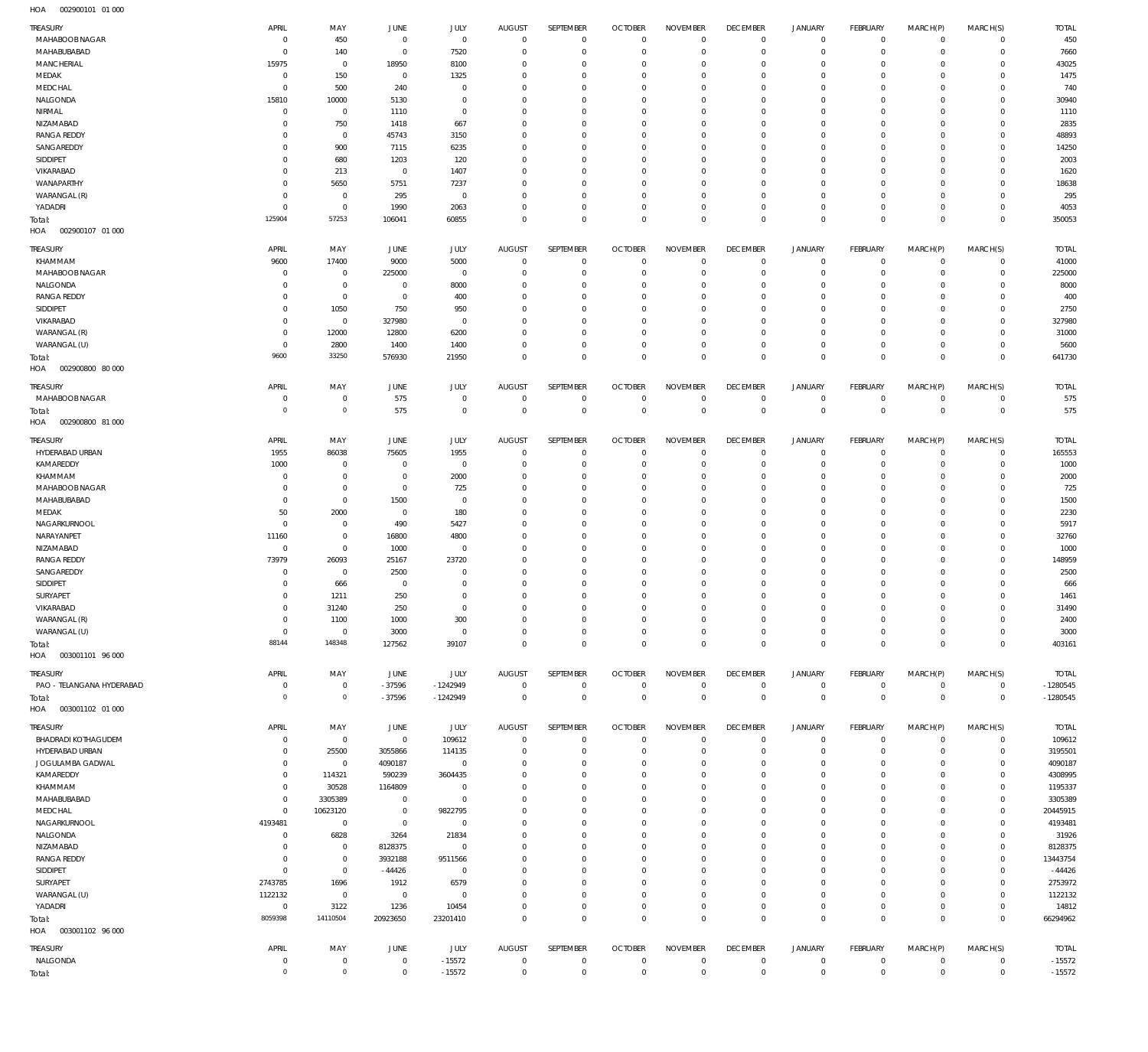| TREASURY                             | APRIL                         | MAY                                | JUNE                       | <b>JULY</b>                | <b>AUGUST</b>              | SEPTEMBER                  | <b>OCTOBER</b>                   | <b>NOVEMBER</b>                    | <b>DECEMBER</b>            | <b>JANUARY</b>                     | <b>FEBRUARY</b>                  | MARCH(P)                | MARCH(S)                         | <b>TOTAL</b>           |
|--------------------------------------|-------------------------------|------------------------------------|----------------------------|----------------------------|----------------------------|----------------------------|----------------------------------|------------------------------------|----------------------------|------------------------------------|----------------------------------|-------------------------|----------------------------------|------------------------|
| MAHABOOB NAGAR                       | $\overline{0}$                | 450                                | $\overline{0}$             | $\mathbf 0$                | $\mathbf 0$                | $\mathbb O$                | $\overline{0}$                   | $\mathbf 0$                        | $\bf 0$                    | $\overline{0}$                     | $\overline{0}$                   | $\mathbf 0$             | $\circ$                          | 450                    |
| MAHABUBABAD                          | $^{\circ}$                    | 140                                | $\mathbf 0$                | 7520                       | $^{\circ}$                 | $\mathbf 0$                | $\overline{0}$                   | $\mathbf 0$                        | $\mathbf 0$                | $\mathsf{O}\xspace$                | $\overline{0}$                   | $\mathbf 0$             | $\overline{0}$                   | 7660                   |
| MANCHERIAL                           | 15975                         | $\mathbf 0$                        | 18950                      | 8100                       | 0                          | $\mathbb O$                | $^{\circ}$                       | $\mathbf{0}$                       | 0                          | $\mathbf 0$                        | $\overline{0}$                   | $\mathbf 0$             | $\mathbf{0}$                     | 43025                  |
| MEDAK                                | $\mathbf 0$                   | 150                                | $\mathbf 0$                | 1325                       | $\Omega$                   | $\mathbf 0$                | $^{\circ}$                       | $\mathbf 0$                        | $\mathbf 0$                | $\mathbf 0$                        | $\mathbf 0$                      | $\Omega$                | $\mathbf{0}$                     | 1475                   |
| MEDCHAL<br>NALGONDA                  | $^{\circ}$<br>15810           | 500<br>10000                       | 240<br>5130                | $\mathbf 0$<br>$\mathbb O$ | $^{\circ}$<br>$^{\circ}$   | $\mathbb O$<br>$\mathbf 0$ | $^{\circ}$<br>$^{\circ}$         | $\mathbf{0}$<br>$\mathbf 0$        | $\mathbf 0$<br>$\mathbf 0$ | $\mathbf 0$<br>$\mathbf 0$         | $\mathbf 0$<br>$\mathbf 0$       | $\mathbf 0$<br>$\Omega$ | $\mathbf{0}$<br>$\mathbf 0$      | 740<br>30940           |
| NIRMAL                               | $\mathbf 0$                   | $\mathbf 0$                        | 1110                       | $\mathbf 0$                | $^{\circ}$                 | $\mathbf 0$                | $^{\circ}$                       | $\mathbf{0}$                       | $\mathbf 0$                | $\mathbf 0$                        | $\mathbf 0$                      | $\mathbf 0$             | $\mathbf{0}$                     | 1110                   |
| NIZAMABAD                            | 0                             | 750                                | 1418                       | 667                        | $\Omega$                   | $\mathbf 0$                | $^{\circ}$                       | $\mathbf 0$                        | $\mathbf 0$                | $\mathbf 0$                        | $\mathbf 0$                      | $\Omega$                | $\mathbf 0$                      | 2835                   |
| <b>RANGA REDDY</b>                   | $\Omega$                      | $\mathbf 0$                        | 45743                      | 3150                       | $^{\circ}$                 | $\mathbf 0$                | $^{\circ}$                       | $\mathbf 0$                        | $\mathbf 0$                | $\mathbf 0$                        | $\mathbf 0$                      | $\Omega$                | $\mathbf{0}$                     | 48893                  |
| SANGAREDDY                           | $\Omega$                      | 900                                | 7115                       | 6235                       | $^{\circ}$                 | $\mathbf 0$                | $^{\circ}$                       | $\mathbf 0$                        | $\mathbf 0$                | $\mathbf 0$                        | $\mathbf 0$                      | $\circ$                 | $\mathbf 0$                      | 14250                  |
| SIDDIPET                             | $\Omega$                      | 680                                | 1203                       | 120                        | $^{\circ}$                 | $\mathbf 0$                | $^{\circ}$                       | $\mathbf 0$                        | $\mathbf 0$                | $\mathbf 0$                        | $\mathbf 0$                      | $\Omega$                | $\mathbf{0}$                     | 2003                   |
| VIKARABAD                            | $\Omega$                      | 213                                | $\overline{0}$             | 1407                       | $^{\circ}$                 | $\mathbf 0$                | $^{\circ}$                       | $\mathbf{0}$                       | $\mathbf 0$                | $\mathbf 0$                        | $\mathbf 0$                      | $\circ$                 | $\mathbf{0}$                     | 1620                   |
| WANAPARTHY<br>WARANGAL (R)           | $\Omega$<br>$\Omega$          | 5650<br>$\mathbf 0$                | 5751<br>295                | 7237<br>$\mathbf 0$        | $^{\circ}$<br>$^{\circ}$   | $\mathbf 0$<br>$\mathbf 0$ | $^{\circ}$<br>$^{\circ}$         | $\mathbf{0}$<br>$\mathbf 0$        | 0<br>$\mathbf 0$           | $\mathbf 0$<br>$\mathbf 0$         | $\mathbf 0$<br>$\mathbf 0$       | $\Omega$<br>$\circ$     | $\mathbf{0}$<br>$\mathbf{0}$     | 18638<br>295           |
| YADADRI                              | $\Omega$                      | $\mathbf 0$                        | 1990                       | 2063                       | $^{\circ}$                 | $\mathbb O$                | $^{\circ}$                       | $\mathbf 0$                        | $\mathbf 0$                | $\mathbf 0$                        | $\mathbf 0$                      | $\circ$                 | $\circ$                          | 4053                   |
| Total:                               | 125904                        | 57253                              | 106041                     | 60855                      | $\mathbf 0$                | $\mathbf 0$                | $\overline{0}$                   | $\mathbf 0$                        | $\mathbf 0$                | $\mathbf 0$                        | $\overline{0}$                   | $\mathbf 0$             | $\overline{0}$                   | 350053                 |
| HOA<br>002900107 01 000              |                               |                                    |                            |                            |                            |                            |                                  |                                    |                            |                                    |                                  |                         |                                  |                        |
| TREASURY                             | APRIL                         | MAY                                | JUNE                       | JULY                       | <b>AUGUST</b>              | SEPTEMBER                  | <b>OCTOBER</b>                   | <b>NOVEMBER</b>                    | <b>DECEMBER</b>            | JANUARY                            | FEBRUARY                         | MARCH(P)                | MARCH(S)                         | <b>TOTAL</b>           |
| KHAMMAM                              | 9600                          | 17400                              | 9000                       | 5000                       | $^{\circ}$                 | $^{\circ}$                 | $\overline{0}$                   | $\overline{0}$                     | 0                          | $\mathbf 0$                        | $\overline{0}$                   | $\mathbf 0$             | $\mathbf{0}$                     | 41000                  |
| MAHABOOB NAGAR                       | $\overline{0}$                | $\mathbf 0$                        | 225000                     | $^{\circ}$                 | 0                          | $\mathbf 0$                | $^{\circ}$                       | $\Omega$                           | $\mathbf 0$                | $\mathbf 0$                        | $\mathbf 0$                      | $\Omega$                | $\mathbf{0}$                     | 225000                 |
| NALGONDA                             | $\circ$                       | $\mathbf 0$                        | $^{\circ}$                 | 8000                       | 0                          | $\mathbf 0$                | $^{\circ}$                       | $\overline{0}$                     | $\mathbf 0$                | $\mathbf 0$                        | $\mathbf 0$                      | $\Omega$                | $\mathbf 0$                      | 8000                   |
| <b>RANGA REDDY</b>                   | $\Omega$                      | $\mathbf 0$                        | $\overline{0}$             | 400                        | $\Omega$                   | $\mathbf 0$                | $^{\circ}$                       | $\mathbf 0$                        | $\mathbf 0$                | $\mathbf 0$                        | $\mathbf 0$                      | $\Omega$                | $\mathbf 0$                      | 400                    |
| SIDDIPET                             | $\Omega$                      | 1050                               | 750                        | 950                        | $^{\circ}$                 | $\mathbf 0$                | $^{\circ}$                       | $\Omega$                           | $\mathbf 0$                | $\mathbf 0$                        | $^{\circ}$                       | $\Omega$                | $\mathbf 0$                      | 2750                   |
| VIKARABAD                            | 0                             | $\mathbf 0$                        | 327980                     | $^{\circ}$                 | $\Omega$                   | $\mathbf 0$                | $^{\circ}$                       | $\mathbf 0$                        | $\mathbf 0$                | $\mathbf 0$                        | $\Omega$                         | $\Omega$                | $\mathbf 0$                      | 327980                 |
| WARANGAL (R)<br>WARANGAL (U)         | $\Omega$<br>$^{\circ}$        | 12000<br>2800                      | 12800<br>1400              | 6200<br>1400               | $\Omega$<br>$\Omega$       | $\mathbf 0$<br>$\mathbf 0$ | $^{\circ}$<br>$^{\circ}$         | $\Omega$<br>$\mathbf 0$            | $\mathbf 0$<br>$\mathbf 0$ | $\mathbf 0$<br>$\mathbf 0$         | $\mathbf 0$<br>$\mathbf 0$       | $\Omega$<br>$\mathbf 0$ | $\mathbf 0$<br>$\mathbf{0}$      | 31000<br>5600          |
| Total:                               | 9600                          | 33250                              | 576930                     | 21950                      | $\mathbf 0$                | $\mathbf 0$                | $\Omega$                         | $\Omega$                           | $\mathbf 0$                | $\mathbf 0$                        | $\mathbf 0$                      | $\Omega$                | $\mathbf 0$                      | 641730                 |
| HOA<br>002900800 80 000              |                               |                                    |                            |                            |                            |                            |                                  |                                    |                            |                                    |                                  |                         |                                  |                        |
| TREASURY                             | <b>APRIL</b>                  | MAY                                | JUNE                       | <b>JULY</b>                | <b>AUGUST</b>              | SEPTEMBER                  | <b>OCTOBER</b>                   | <b>NOVEMBER</b>                    | <b>DECEMBER</b>            | <b>JANUARY</b>                     | <b>FEBRUARY</b>                  | MARCH(P)                | MARCH(S)                         | <b>TOTAL</b>           |
| MAHABOOB NAGAR                       | $\mathbf 0$<br>$\overline{0}$ | $\mathbf 0$<br>$\mathbf 0$         | 575<br>575                 | $\mathbb O$<br>$\mathbf 0$ | 0<br>$\mathbf 0$           | $\mathbf 0$<br>$\mathsf 0$ | $\mathbf 0$<br>$\overline{0}$    | $\overline{0}$<br>$\mathbb O$      | 0<br>$\mathbf 0$           | $\mathbf 0$<br>$\mathsf{O}\xspace$ | $\overline{0}$<br>$\overline{0}$ | 0<br>$\mathbf 0$        | $\overline{0}$<br>$\overline{0}$ | 575<br>575             |
| Total:<br>HOA<br>002900800 81 000    |                               |                                    |                            |                            |                            |                            |                                  |                                    |                            |                                    |                                  |                         |                                  |                        |
| TREASURY                             | APRIL                         | MAY                                | JUNE                       | JULY                       | <b>AUGUST</b>              | SEPTEMBER                  | <b>OCTOBER</b>                   | <b>NOVEMBER</b>                    | <b>DECEMBER</b>            | JANUARY                            | FEBRUARY                         | MARCH(P)                | MARCH(S)                         | <b>TOTAL</b>           |
| HYDERABAD URBAN                      | 1955                          | 86038                              | 75605                      | 1955                       | $^{\circ}$                 | $\mathbf 0$                | $\overline{0}$                   | $\Omega$                           | $\mathbf 0$                | $\mathbf 0$                        | $\overline{0}$                   | $\mathbf 0$             | $\mathbf{0}$                     | 165553                 |
| KAMAREDDY                            | 1000                          | $\mathbf 0$                        | $\mathbf 0$                | $\mathbf 0$                | 0                          | $\mathbf 0$                | $^{\circ}$                       | $\overline{0}$                     | $\mathbf 0$                | $\mathbf 0$                        | $\mathbf 0$                      | $\mathbf 0$             | $\mathbf 0$                      | 1000                   |
| KHAMMAM                              | $^{\circ}$                    | $\mathbf 0$                        | $^{\circ}$                 | 2000                       | 0                          | $\mathbf 0$                | $^{\circ}$                       | $\Omega$                           | $\mathbf 0$                | $\mathbf 0$                        | $\mathbf 0$                      | $\Omega$                | $\mathbf 0$                      | 2000                   |
| MAHABOOB NAGAR<br>MAHABUBABAD        | $\circ$<br>$\circ$            | $\mathbf 0$<br>$\mathbf 0$         | $\overline{0}$<br>1500     | 725<br>$^{\circ}$          | 0<br>$\Omega$              | $\mathbf 0$<br>$\mathbf 0$ | $^{\circ}$<br>$^{\circ}$         | $\mathbf{0}$<br>$\Omega$           | $\mathbf 0$<br>$\mathbf 0$ | $\mathbf 0$<br>$\mathbf 0$         | $^{\circ}$<br>$\mathbf 0$        | $\Omega$<br>$\Omega$    | $\mathbf 0$<br>$\mathbf 0$       | 725<br>1500            |
| MEDAK                                | 50                            | 2000                               | $\overline{0}$             | 180                        | $\mathbf 0$                | $\mathbf 0$                | $^{\circ}$                       | $\mathbf 0$                        | $\mathbf 0$                | $\mathbf 0$                        | $\mathbf 0$                      | $\Omega$                | $\mathbf 0$                      | 2230                   |
| NAGARKURNOOL                         | $^{\circ}$                    | $\mathbf 0$                        | 490                        | 5427                       | $\Omega$                   | $\mathbf 0$                | $^{\circ}$                       | $\Omega$                           | $\mathbf 0$                | $\mathbf 0$                        | $\mathbf 0$                      | $\Omega$                | $\mathbf 0$                      | 5917                   |
| NARAYANPET                           | 11160                         | $\mathbf 0$                        | 16800                      | 4800                       | $\Omega$                   | $\mathbf 0$                | $^{\circ}$                       | $\mathbf 0$                        | $\mathbf 0$                | $\mathbf 0$                        | $\mathbf 0$                      | $\Omega$                | $\mathbf 0$                      | 32760                  |
| NIZAMABAD                            | $\mathbf 0$                   | $\mathbf 0$                        | 1000                       | $^{\circ}$                 | 0                          | $\mathbf 0$                | $^{\circ}$                       | $\mathbf 0$                        | $\mathbf 0$                | $\mathbf 0$                        | $\mathbf 0$                      | $\Omega$                | $\mathbf 0$                      | 1000                   |
| <b>RANGA REDDY</b>                   | 73979                         | 26093                              | 25167                      | 23720                      | $\Omega$                   | $\mathbf 0$                | $^{\circ}$                       | $\Omega$                           | $\mathbf 0$                | $\mathbf 0$                        | $\Omega$                         | $\Omega$                | $\mathbf 0$                      | 148959                 |
| SANGAREDDY                           | $\circ$                       | $\mathbf 0$                        | 2500                       | $^{\circ}$                 | $^{\circ}$                 | $\mathbf 0$                | $^{\circ}$                       | $\Omega$                           | $\mathbf 0$                | $\mathbf 0$<br>$\Omega$            | $\mathbf 0$                      | $\Omega$                | $\mathbf 0$                      | 2500                   |
| SIDDIPET<br>SURYAPET                 | $\Omega$<br>$\mathbf{0}$      | 666<br>1211                        | $\overline{0}$<br>250      | $\mathbf 0$<br>$\mathbf 0$ | $\Omega$<br>$\Omega$       | $\mathbf 0$<br>$\mathbf 0$ | $^{\circ}$<br>$\Omega$           | $\mathbf 0$<br>$\Omega$            | $\mathbf 0$<br>$\Omega$    | $\Omega$                           | $\Omega$<br>$\Omega$             | $\Omega$<br>$\Omega$    | $\mathbf 0$<br>$\mathbf{0}$      | 666<br>1461            |
| VIKARABAD                            | $\mathbf{0}$                  | 31240                              | 250                        | $\mathbf{0}$               | $\Omega$                   | $\Omega$                   | $\Omega$                         | $\Omega$                           | $\mathsf{O}\xspace$        | $\mathsf{O}\xspace$                | $\Omega$                         | $\mathsf{O}\xspace$     | $\mathbb O$                      | 31490                  |
| WARANGAL (R)                         | $\mathbf 0$                   | 1100                               | 1000                       | 300                        | $\mathbf 0$                | $\mathbf 0$                | $\mathbf 0$                      | $\mathbf{0}$                       | $\mathbf 0$                | $\mathbf 0$                        | $\mathbf 0$                      | $\mathbf 0$             | $\mathbf{0}$                     | 2400                   |
| WARANGAL (U)                         | $^{\circ}$                    | $\mathbf 0$                        | 3000                       | $\mathbf 0$                | $\mathbf 0$                | $\mathbb O$                | $\mathbf 0$                      | $\mathbb O$                        | $\mathsf{O}\xspace$        | $\mathsf{O}\xspace$                | $\overline{0}$                   | $\mathbf 0$             | $\circ$                          | 3000                   |
| Total:<br>HOA   003001101   96   000 | 88144                         | 148348                             | 127562                     | 39107                      | $\mathbf 0$                | $\mathbf 0$                | $\mathbf 0$                      | $\mathbf 0$                        | $\mathbf 0$                | $\mathbf 0$                        | $\overline{0}$                   | $\mathbf 0$             | $\mathbf 0$                      | 403161                 |
| TREASURY                             | APRIL                         | MAY                                | JUNE                       | JULY                       | <b>AUGUST</b>              | SEPTEMBER                  | <b>OCTOBER</b>                   | <b>NOVEMBER</b>                    | <b>DECEMBER</b>            | <b>JANUARY</b>                     | FEBRUARY                         | MARCH(P)                | MARCH(S)                         | <b>TOTAL</b>           |
| PAO - TELANGANA HYDERABAD            | $\mathbf 0$                   | $\mathbf 0$                        | $-37596$                   | $-1242949$                 | $\mathbf 0$                | $\mathbb O$                | $\overline{0}$                   | $\mathbf 0$                        | $\mathbf 0$                | $\mathbf 0$                        | $\overline{0}$                   | $\circ$                 | $\overline{0}$                   | $-1280545$             |
| Total:<br>HOA<br>003001102 01 000    | $\circ$                       | $\circ$                            | $-37596$                   | $-1242949$                 | $\mathbf 0$                | $\mathsf 0$                | $\overline{0}$                   | $\mathbf 0$                        | $\mathbf 0$                | $\mathsf{O}\xspace$                | $\overline{0}$                   | $\mathbf 0$             | $\overline{0}$                   | $-1280545$             |
|                                      |                               |                                    |                            |                            |                            |                            |                                  |                                    |                            |                                    |                                  |                         |                                  |                        |
| TREASURY<br>BHADRADI KOTHAGUDEM      | APRIL<br>$\circ$              | MAY<br>$\mathbf 0$                 | JUNE<br>$\mathbf 0$        | JULY<br>109612             | AUGUST<br>$\mathbf 0$      | SEPTEMBER<br>$\mathbf 0$   | <b>OCTOBER</b><br>$\overline{0}$ | <b>NOVEMBER</b><br>$\overline{0}$  | <b>DECEMBER</b><br>$\bf 0$ | JANUARY<br>$\mathbf 0$             | FEBRUARY<br>$\overline{0}$       | MARCH(P)<br>$\mathbf 0$ | MARCH(S)<br>$\circ$              | <b>TOTAL</b><br>109612 |
| HYDERABAD URBAN                      | 0                             | 25500                              | 3055866                    | 114135                     | 0                          | $\mathbb O$                | $^{\circ}$                       | $\overline{0}$                     | 0                          | $\mathbf 0$                        | $\mathbf 0$                      | $\mathbf 0$             | $\circ$                          | 3195501                |
| JOGULAMBA GADWAL                     | $\circ$                       | $\mathbf 0$                        | 4090187                    | $\mathbf 0$                | 0                          | $\mathbf 0$                | $^{\circ}$                       | $^{\circ}$                         | $\mathbf 0$                | $\mathsf{O}\xspace$                | $\mathbf 0$                      | $\mathbf 0$             | $\mathbf 0$                      | 4090187                |
| KAMAREDDY                            | $\overline{0}$                | 114321                             | 590239                     | 3604435                    | $\Omega$                   | $\mathbf 0$                | $^{\circ}$                       | $\mathbf{0}$                       | $\mathbf 0$                | $\mathbf 0$                        | $\mathbf 0$                      | $\Omega$                | $\mathbf 0$                      | 4308995                |
| KHAMMAM                              | $\Omega$                      | 30528                              | 1164809                    | $\mathbf 0$                | $\Omega$                   | $\mathbf 0$                | $^{\circ}$                       | $\Omega$                           | $\mathbf 0$                | $\mathbf 0$                        | $\mathbf 0$                      | $\Omega$                | $\mathbf 0$                      | 1195337                |
| MAHABUBABAD                          | $\overline{0}$                | 3305389                            | $\mathbf 0$                | $\mathbf 0$                | $\Omega$                   | $\mathbf 0$                | $\mathbf 0$                      | $\mathbf{0}$                       | $\mathbf 0$                | $\mathbf 0$                        | $\mathbf 0$                      | $\mathbf 0$             | $\mathbf 0$                      | 3305389                |
| MEDCHAL                              | $\mathbf 0$                   | 10623120                           | $\mathbf 0$                | 9822795                    | $\Omega$                   | $\mathbf 0$                | $^{\circ}$                       | $\mathbf{0}$                       | $\mathbf 0$                | $\mathbf 0$                        | $\mathbf 0$                      | $\Omega$                | $\mathbf 0$                      | 20445915               |
| NAGARKURNOOL                         | 4193481                       | $\mathbf 0$                        | $\mathbf 0$                | $\mathbf 0$                | $\Omega$                   | $\mathbf 0$                | $\mathbf 0$                      | $\mathbf 0$                        | $\mathbf 0$                | $\mathbf 0$<br>$\mathbf 0$         | $\mathbf 0$                      | $\mathbf 0$<br>$\Omega$ | $\mathbf 0$                      | 4193481                |
| NALGONDA<br>NIZAMABAD                | $^{\circ}$<br>$\circ$         | 6828<br>$\mathbf 0$                | 3264<br>8128375            | 21834<br>$\mathbf 0$       | $\Omega$<br>$\Omega$       | $\mathbf 0$<br>$\mathbf 0$ | $^{\circ}$<br>$\mathbf 0$        | $^{\circ}$<br>$\mathbf 0$          | $\mathbf 0$<br>$\mathbf 0$ | $\mathbf 0$                        | $\mathbf 0$<br>$\mathbf 0$       | $\mathbf 0$             | $\mathbf 0$<br>$\mathbf{0}$      | 31926<br>8128375       |
| <b>RANGA REDDY</b>                   | $\circ$                       | $\mathbf 0$                        | 3932188                    | 9511566                    | 0                          | $\mathbf 0$                | $^{\circ}$                       | $\mathbf{0}$                       | $\mathbf 0$                | $\mathbf 0$                        | $\mathbf 0$                      | $\Omega$                | $\mathbf 0$                      | 13443754               |
| SIDDIPET                             | $^{\circ}$                    | $\mathbf 0$                        | $-44426$                   | $\mathbf 0$                | $\Omega$                   | $\mathbf 0$                | $^{\circ}$                       | $\mathbf 0$                        | $\mathbf 0$                | $\mathbf 0$                        | $\mathbf 0$                      | $\Omega$                | $\mathbf 0$                      | $-44426$               |
| SURYAPET                             | 2743785                       | 1696                               | 1912                       | 6579                       | 0                          | $\mathbf 0$                | $^{\circ}$                       | $\Omega$                           | $\mathbf 0$                | $\mathbf 0$                        | $\mathbf 0$                      | $\Omega$                | $\mathbf 0$                      | 2753972                |
| WARANGAL (U)                         | 1122132                       | $\mathbf 0$                        | $\mathbf 0$                | $\mathbf 0$                | $\Omega$                   | $\mathbf 0$                | $\mathbf 0$                      | $\mathbf 0$                        | $\mathbf 0$                | $\mathbf 0$                        | $\mathbf 0$                      | $\mathbf 0$             | $\mathbf 0$                      | 1122132                |
| YADADRI                              | $\mathbf 0$                   | 3122                               | 1236                       | 10454                      | $\mathbf 0$                | $\mathbf 0$                | $\mathbf 0$                      | $\mathbf 0$                        | $\mathsf{O}\xspace$        | $\mathsf{O}\xspace$                | $\overline{0}$                   | $\mathbf 0$             | $\circ$                          | 14812                  |
| Total:<br>HOA<br>003001102 96 000    | 8059398                       | 14110504                           | 20923650                   | 23201410                   | $\mathbf 0$                | $\mathbf 0$                | $\mathbf 0$                      | $\mathbf 0$                        | $\mathbf 0$                | $\mathbf 0$                        | $\overline{0}$                   | $\mathbf 0$             | $\mathbf 0$                      | 66294962               |
| TREASURY                             | APRIL                         | MAY                                | JUNE                       | JULY                       | <b>AUGUST</b>              | SEPTEMBER                  | <b>OCTOBER</b>                   | <b>NOVEMBER</b>                    | <b>DECEMBER</b>            | JANUARY                            | FEBRUARY                         | MARCH(P)                | MARCH(S)                         | <b>TOTAL</b>           |
| NALGONDA                             | $\mathbf 0$<br>$\mathbf 0$    | $\mathbf 0$<br>$\mathsf{O}\xspace$ | $\mathbf 0$<br>$\mathbf 0$ | $-15572$<br>$-15572$       | $\mathbf 0$<br>$\mathbb O$ | $\mathbb O$<br>$\mathsf 0$ | $\overline{0}$<br>$\overline{0}$ | $\mathbf 0$<br>$\mathsf{O}\xspace$ | $\mathbf 0$<br>$\,0\,$     | $\mathbf 0$<br>$\mathsf{O}\xspace$ | $\overline{0}$<br>$\mathbf 0$    | $\circ$<br>$\bf 0$      | $\overline{0}$<br>$\,0\,$        | $-15572$<br>$-15572$   |
| Total:                               |                               |                                    |                            |                            |                            |                            |                                  |                                    |                            |                                    |                                  |                         |                                  |                        |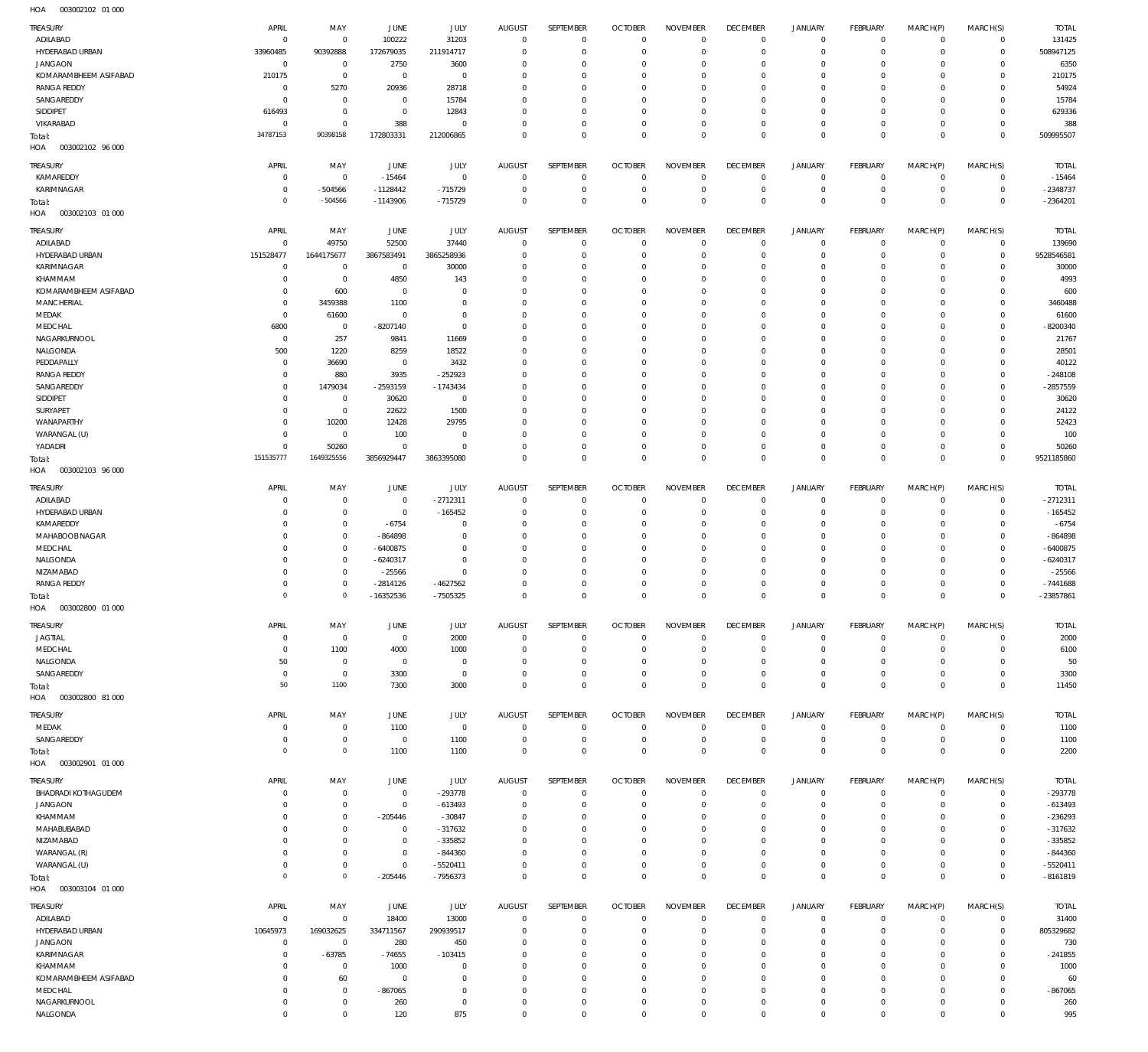| 1107<br><b>UUJUULIUL UI UUL</b>   |                            |                             |                             |                               |                                 |                                  |                               |                                  |                                   |                                |                         |                            |                            |                           |
|-----------------------------------|----------------------------|-----------------------------|-----------------------------|-------------------------------|---------------------------------|----------------------------------|-------------------------------|----------------------------------|-----------------------------------|--------------------------------|-------------------------|----------------------------|----------------------------|---------------------------|
| <b>TREASURY</b><br>ADILABAD       | APRIL                      | MAY<br>$^{\circ}$           | JUNE                        | JULY<br>31203                 | <b>AUGUST</b><br>$\overline{0}$ | SEPTEMBER                        | <b>OCTOBER</b><br>$\mathbf 0$ | <b>NOVEMBER</b><br>$\mathbf 0$   | <b>DECEMBER</b>                   | <b>JANUARY</b>                 | FEBRUARY<br>$\mathbf 0$ | MARCH(P)<br>$\mathbf 0$    | MARCH(S)<br>$\mathbf{0}$   | <b>TOTAL</b><br>131425    |
| HYDERABAD URBAN                   | $\overline{0}$<br>33960485 | 90392888                    | 100222<br>172679035         | 211914717                     | $\Omega$                        | $\overline{0}$<br>$\overline{0}$ | 0                             | $^{\circ}$                       | $\overline{0}$<br>0               | $\mathbf{0}$<br>$\mathbf 0$    | 0                       | $\mathbf 0$                | $\mathbf 0$                | 508947125                 |
| <b>JANGAON</b>                    | $\overline{0}$             | $\overline{0}$              | 2750                        | 3600                          | $\Omega$                        | $\mathbf 0$                      | $\Omega$                      | $\overline{0}$                   | $\circ$                           | $\mathbf 0$                    | 0                       | $\mathbf 0$                | $\mathbf 0$                | 6350                      |
| KOMARAMBHEEM ASIFABAD             | 210175                     | $\overline{0}$              | $^{\circ}$                  | $\overline{0}$                | $\Omega$                        | $\mathbf 0$                      | $\Omega$                      | $\overline{0}$                   | $\circ$                           | $^{\circ}$                     | 0                       | 0                          | $^{\circ}$                 | 210175                    |
| <b>RANGA REDDY</b>                | $^{\circ}$                 | 5270                        | 20936                       | 28718                         | $\Omega$                        | $\mathbf 0$                      | $\Omega$                      | $\overline{0}$                   | 0                                 | $\mathbf{0}$                   | 0                       | $\mathbf 0$                | $\mathbf 0$                | 54924                     |
| SANGAREDDY                        | $\overline{0}$             | $\overline{0}$              | $^{\circ}$                  | 15784                         | $\Omega$                        | $\mathbf 0$                      | $\Omega$                      | $\overline{0}$                   | $\circ$                           | $\mathbf{0}$                   | 0                       | $\mathbf 0$                | $\mathbf 0$                | 15784                     |
| SIDDIPET                          | 616493                     | $\overline{0}$              | $\overline{0}$              | 12843                         | $\Omega$                        | $\mathbf 0$                      | 0                             | $\overline{0}$                   | $\circ$                           | $\mathbf 0$                    | 0                       | $\mathbf 0$                | $\mathbf 0$                | 629336                    |
| VIKARABAD                         | $^{\circ}$                 | $\overline{0}$              | 388                         | $\Omega$                      | $\Omega$                        | $\overline{0}$                   | $\mathbf 0$                   | $\mathbf 0$                      | $^{\circ}$                        | $\mathbf 0$                    | $\mathbf 0$             | $\mathbf 0$                | $\mathbf 0$                | 388                       |
| Total:<br>HOA<br>003002102 96 000 | 34787153                   | 90398158                    | 172803331                   | 212006865                     | $\Omega$                        | $\mathbf 0$                      | $\Omega$                      | $\mathbf 0$                      | $^{\circ}$                        | $\mathbb O$                    | $\mathbf 0$             | $\mathbf 0$                | $\mathbf 0$                | 509995507                 |
|                                   |                            |                             |                             |                               |                                 |                                  |                               |                                  |                                   |                                |                         |                            |                            |                           |
| TREASURY<br>KAMAREDDY             | APRIL<br>$^{\circ}$        | MAY<br>$^{\circ}$           | JUNE                        | <b>JULY</b><br>$\overline{0}$ | <b>AUGUST</b><br>$\Omega$       | SEPTEMBER                        | <b>OCTOBER</b><br>$^{\circ}$  | <b>NOVEMBER</b><br>$\mathbf 0$   | <b>DECEMBER</b><br>$^{\circ}$     | JANUARY                        | FEBRUARY<br>$\mathbf 0$ | MARCH(P)<br>$\mathbf 0$    | MARCH(S)<br>$^{\circ}$     | <b>TOTAL</b>              |
| KARIMNAGAR                        | - 0                        | -504566                     | $-15464$<br>$-1128442$      | $-715729$                     | $\Omega$                        | $\overline{0}$<br>$\mathbf 0$    | 0                             | $^{\circ}$                       | 0                                 | $\mathbf 0$<br>$\mathbf 0$     | $^{\circ}$              | 0                          | 0                          | $-15464$<br>-2348737      |
| Total:                            | $\Omega$                   | $-504566$                   | $-1143906$                  | $-715729$                     | $\Omega$                        | $\mathbf 0$                      | $^{\circ}$                    | $\mathbf 0$                      | $^{\circ}$                        | $\mathbf 0$                    | $\mathbf 0$             | $\mathbf 0$                | $\mathbf 0$                | $-2364201$                |
| HOA<br>003002103 01 000           |                            |                             |                             |                               |                                 |                                  |                               |                                  |                                   |                                |                         |                            |                            |                           |
| TREASURY                          | APRIL                      | MAY                         | JUNE                        | <b>JULY</b>                   | AUGUST                          | SEPTEMBER                        | <b>OCTOBER</b>                | <b>NOVEMBER</b>                  | <b>DECEMBER</b>                   | JANUARY                        | FEBRUARY                | MARCH(P)                   | MARCH(S)                   | <b>TOTAL</b>              |
| ADILABAD                          | $^{\circ}$                 | 49750                       | 52500                       | 37440                         | $\Omega$                        | $\overline{0}$                   | $\overline{0}$                | $^{\circ}$                       | $^{\circ}$                        | $\mathbf 0$                    | $\mathbf 0$             | $^{\circ}$                 | $^{\circ}$                 | 139690                    |
| HYDERABAD URBAN                   | 151528477                  | 1644175677                  | 3867583491                  | 3865258936                    | $\Omega$                        | $\mathbf 0$                      | $\overline{0}$                | $\mathbf{0}$                     | $^{\circ}$                        | $\mathbf 0$                    | $^{\circ}$              | $\mathbf 0$                | $\mathbf 0$                | 9528546581                |
| KARIMNAGAR                        | $^{\circ}$                 | $\circ$                     | $\circ$                     | 30000                         | $\Omega$                        | $\mathbf 0$                      | 0                             | $\overline{0}$                   | $\circ$                           | $\mathbf 0$                    | 0                       | $\mathbf 0$                | $\mathbf 0$                | 30000                     |
| KHAMMAM                           | $^{\circ}$                 | $\overline{0}$              | 4850                        | 143                           | $\Omega$                        | $\mathbf 0$                      | $\Omega$                      | $\overline{0}$                   | $\circ$                           | $\mathbf 0$                    | 0                       | $\mathbf 0$                | $\mathbf 0$                | 4993                      |
| KOMARAMBHEEM ASIFABAD             | 0                          | 600                         | $^{\circ}$                  | $\Omega$                      | $\Omega$                        | $\mathbf 0$                      | $\Omega$                      | $\overline{0}$                   | $\circ$                           | $\mathbf 0$                    | 0                       | $\mathbf 0$                | $\mathbf 0$                | 600                       |
| MANCHERIAL                        | $\mathbf 0$                | 3459388                     | 1100<br>$\Omega$            | $\Omega$<br>$\Omega$          | $\Omega$<br>$\Omega$            | $\mathbf 0$<br>$\mathbf 0$       | 0<br>$\Omega$                 | $\overline{0}$                   | 0                                 | $^{\circ}$                     | 0                       | $\mathbf 0$<br>$\mathbf 0$ | $^{\circ}$<br>$\mathbf 0$  | 3460488<br>61600          |
| MEDAK<br>MEDCHAL                  | $\overline{0}$<br>6800     | 61600<br>$^{\circ}$         | $-8207140$                  | $\overline{0}$                | $\Omega$                        | $\mathbf 0$                      | 0                             | $\overline{0}$<br>$\overline{0}$ | 0<br>$\circ$                      | $\mathbf 0$<br>$\mathbf 0$     | 0<br>0                  | $\mathbf 0$                | $\mathbf 0$                | 8200340                   |
| NAGARKURNOOL                      | $\overline{0}$             | 257                         | 9841                        | 11669                         | $\Omega$                        | $\mathbf 0$                      | $\Omega$                      | $\overline{0}$                   | $\circ$                           | $^{\circ}$                     | 0                       | $\mathbf 0$                | $\mathbf 0$                | 21767                     |
| NALGONDA                          | 500                        | 1220                        | 8259                        | 18522                         | $\Omega$                        | $\mathbf 0$                      | 0                             | $\overline{0}$                   | $\circ$                           | $\mathbf 0$                    | 0                       | $\mathbf 0$                | $\mathbf 0$                | 28501                     |
| PEDDAPALLY                        | - 0                        | 36690                       | $^{\circ}$                  | 3432                          | $\Omega$                        | $\mathbf 0$                      | $\Omega$                      | $\overline{0}$                   | 0                                 | $^{\circ}$                     | 0                       | $\mathbf 0$                | $^{\circ}$                 | 40122                     |
| <b>RANGA REDDY</b>                | $^{\circ}$                 | 880                         | 3935                        | $-252923$                     | $\Omega$                        | $\mathbf 0$                      | 0                             | $\overline{0}$                   | $\circ$                           | $\mathbf 0$                    | 0                       | $\mathbf 0$                | $\mathbf 0$                | $-248108$                 |
| SANGAREDDY                        | $^{\circ}$                 | 1479034                     | -2593159                    | $-1743434$                    | $\Omega$                        | $\mathbf 0$                      | $\Omega$                      | $\overline{0}$                   | 0                                 | $^{\circ}$                     | 0                       | $\mathbf 0$                | $\mathbf 0$                | -2857559                  |
| SIDDIPET                          | $^{\circ}$                 | $\overline{0}$              | 30620                       | $^{\circ}$                    | $\Omega$                        | $\overline{0}$                   | - 0                           | $\overline{0}$                   | $\circ$                           | $\mathbf 0$                    | 0                       | $\mathbf 0$                | $\mathbf 0$                | 30620                     |
| SURYAPET                          | $^{\circ}$                 | $\overline{0}$              | 22622                       | 1500                          | $\Omega$                        | $\mathbf 0$                      | $\Omega$                      | $\overline{0}$                   | 0                                 | $^{\circ}$                     | 0                       | $\mathbf 0$                | $\mathbf 0$                | 24122                     |
| WANAPARTHY                        | $^{\circ}$                 | 10200                       | 12428                       | 29795                         | $\Omega$                        | $\mathbf 0$                      | $\Omega$                      | $\overline{0}$                   | $\circ$                           | $\mathbf 0$                    | 0                       | $\mathbf 0$                | $\mathbf 0$                | 52423                     |
| WARANGAL (U)<br>YADADRI           | $^{\circ}$<br>$\mathbf 0$  | $\overline{0}$<br>50260     | 100<br>$\Omega$             | $\circ$<br>$\Omega$           | $\Omega$<br>$\Omega$            | $\mathbf 0$<br>$\overline{0}$    | 0<br>0                        | $\overline{0}$<br>$\mathbb O$    | $\circ$<br>$^{\circ}$             | $^{\circ}$<br>$\mathbf 0$      | 0<br>0                  | $\mathbf 0$<br>$\mathbf 0$ | $\mathbf 0$<br>$\mathbf 0$ | 100<br>50260              |
| Total:                            | 151535777                  | 1649325556                  | 3856929447                  | 3863395080                    | $\Omega$                        | $\mathbf 0$                      | $\overline{0}$                | $\mathbb O$                      | $\mathbb O$                       | $\mathbb O$                    | $\mathbf 0$             | $\mathbf 0$                | $\mathbf 0$                | 9521185860                |
| HOA<br>003002103 96 000           |                            |                             |                             |                               |                                 |                                  |                               |                                  |                                   |                                |                         |                            |                            |                           |
| TREASURY                          | APRIL                      | MAY                         | JUNE                        | JULY                          | <b>AUGUST</b>                   | SEPTEMBER                        | <b>OCTOBER</b>                | <b>NOVEMBER</b>                  | <b>DECEMBER</b>                   | <b>JANUARY</b>                 | FEBRUARY                | MARCH(P)                   | MARCH(S)                   | <b>TOTAL</b>              |
| ADILABAD                          | 0                          | $^{\circ}$                  | $^{\circ}$                  | $-2712311$                    | $\Omega$                        | $\mathbf 0$                      | $\overline{0}$                | $^{\circ}$                       | $\overline{0}$                    | $\mathbf 0$                    | $^{\circ}$              | $^{\circ}$                 | $\mathbf 0$                | $-2712311$                |
| HYDERABAD URBAN                   | 0                          | $\mathbb O$                 | $\overline{0}$              | $-165452$                     | $\Omega$                        | $\mathbf 0$                      | $\overline{0}$                | $\overline{0}$                   | 0                                 | $\mathbf 0$                    | $\mathbf 0$             | $\mathbf 0$                | $\mathbf 0$                | $-165452$                 |
| KAMAREDDY                         | $\Omega$                   | $\mathbb O$                 | $-6754$                     | $\Omega$                      |                                 | $\mathbf 0$                      | -C                            | $\overline{0}$                   | 0                                 | $\mathbf 0$                    | 0                       | 0                          | $^{\circ}$                 | $-6754$                   |
| MAHABOOB NAGAR                    | 0                          | $\mathbf{0}$                | $-864898$                   | $\Omega$                      |                                 | $\mathbf 0$                      | $\Omega$                      | $^{\circ}$                       | 0                                 | $^{\circ}$                     | 0                       | 0                          | $^{\circ}$                 | $-864898$                 |
| MEDCHAL                           | 0                          | $\mathbb O$                 | $-6400875$                  | $\Omega$                      |                                 | $\mathbf 0$                      | -C                            | $\overline{0}$                   | 0                                 | $\mathbf{0}$                   | 0                       | 0                          | $^{\circ}$                 | $-6400875$                |
| NALGONDA                          | 0                          | $\mathbf 0$                 | $-6240317$                  | $\Omega$                      | $\Omega$                        | $\mathbf 0$                      | $\Omega$                      | $\overline{0}$                   | 0                                 | $^{\circ}$                     | 0                       | $\mathbf 0$                | $^{\circ}$                 | $-6240317$                |
| NIZAMABAD                         | 0                          | $\,0\,$<br>$\mathbf{0}$     | $-25566$                    | $\Omega$                      |                                 | $\mathbf 0$<br>$\Omega$          | C                             | $\overline{0}$                   | 0                                 | $^{\circ}$                     | 0                       | 0                          | 0                          | $-25566$                  |
| <b>RANGA REDDY</b><br>Total:      | $\Omega$<br>$\Omega$       | $\circ$                     | $-2814126$<br>$-16352536$   | $-4627562$<br>$-7505325$      | $\Omega$                        | $\mathbf 0$                      | $\Omega$<br>$\Omega$          | $\overline{0}$<br>$\mathbf 0$    | 0<br>$\mathbf 0$                  | $\mathbf 0$<br>$\mathbb O$     | 0<br>$\mathbf 0$        | $\mathbf 0$<br>$\mathbf 0$ | $^{\circ}$<br>$\mathbf 0$  | $-7441688$<br>$-23857861$ |
| HOA<br>003002800 01 000           |                            |                             |                             |                               |                                 |                                  |                               |                                  |                                   |                                |                         |                            |                            |                           |
|                                   | APRIL                      |                             |                             |                               | <b>AUGUST</b>                   | SEPTEMBER                        | <b>OCTOBER</b>                |                                  |                                   |                                |                         |                            |                            | <b>TOTAL</b>              |
| <b>TREASURY</b><br><b>JAGTIAL</b> | $\overline{0}$             | MAY<br>$\overline{0}$       | JUNE<br>$\overline{0}$      | <b>JULY</b><br>2000           | $\Omega$                        | $\overline{0}$                   | $\mathbf 0$                   | <b>NOVEMBER</b><br>$\mathbf 0$   | <b>DECEMBER</b><br>$\overline{0}$ | <b>JANUARY</b><br>$\mathbf{0}$ | FEBRUARY<br>$\mathbf 0$ | MARCH(P)<br>$\mathbf 0$    | MARCH(S)<br>$\mathbf 0$    | 2000                      |
| MEDCHAL                           | $^{\circ}$                 | 1100                        | 4000                        | 1000                          | $^{\circ}$                      | $\overline{0}$                   | - 0                           | $^{\circ}$                       | 0                                 | $\mathbf 0$                    | 0                       | $\mathbf 0$                | $\mathbf 0$                | 6100                      |
| NALGONDA                          | 50                         | $\overline{0}$              | $\overline{0}$              | $^{\circ}$                    | $\Omega$                        | $\mathbf 0$                      | 0                             | $\overline{0}$                   | $^{\circ}$                        | $\mathbf{0}$                   | 0                       | $\mathbf 0$                | $\mathbf 0$                | 50                        |
| SANGAREDDY                        | $\overline{0}$             | $\overline{0}$              | 3300                        | $\overline{0}$                | $\Omega$                        | $\overline{0}$                   | $^{\circ}$                    | $\mathbf 0$                      | $^{\circ}$                        | $\mathbf 0$                    | 0                       | $\mathbf 0$                | $\mathbf 0$                | 3300                      |
| Total:                            | 50                         | 1100                        | 7300                        | 3000                          | $\Omega$                        | $\mathbf 0$                      | $\overline{0}$                | $\mathbf 0$                      | $\mathbf 0$                       | $\mathbb O$                    | $\mathbf 0$             | $\mathbf 0$                | $\mathbf 0$                | 11450                     |
| 003002800 81 000<br>HOA           |                            |                             |                             |                               |                                 |                                  |                               |                                  |                                   |                                |                         |                            |                            |                           |
| TREASURY                          | APRIL                      | MAY                         | JUNE                        | <b>JULY</b>                   | <b>AUGUST</b>                   | SEPTEMBER                        | <b>OCTOBER</b>                | <b>NOVEMBER</b>                  | <b>DECEMBER</b>                   | JANUARY                        | FEBRUARY                | MARCH(P)                   | MARCH(S)                   | <b>TOTAL</b>              |
| MEDAK                             | $^{\circ}$                 | $\overline{0}$              | 1100                        | $\overline{0}$                | $\mathbf{0}$                    | $\overline{0}$                   | $\overline{0}$                | $\mathbf 0$                      | $^{\circ}$                        | $\mathbf 0$                    | $\mathbf 0$             | $\mathbf 0$                | 0                          | 1100                      |
| SANGAREDDY                        | $\mathbf 0$                | $\overline{0}$              | $\overline{0}$              | 1100                          | $\Omega$                        | $\mathbf 0$                      | $\overline{0}$                | $\mathbf 0$                      | $^{\circ}$                        | $\mathbf 0$                    | $\mathbf 0$             | 0                          | 0                          | 1100                      |
| Total:<br>HOA<br>003002901 01 000 | $\overline{0}$             | $\overline{0}$              | 1100                        | 1100                          | $\mathbf{0}$                    | $\mathbf 0$                      | $^{\circ}$                    | $\mathbf 0$                      | $\overline{0}$                    | $\mathbf 0$                    | $\mathbf 0$             | $\mathbf 0$                | $\mathbf 0$                | 2200                      |
|                                   |                            |                             |                             |                               |                                 |                                  |                               |                                  |                                   |                                |                         |                            |                            |                           |
| TREASURY                          | APRIL                      | MAY                         | JUNE                        | <b>JULY</b>                   | AUGUST                          | SEPTEMBER                        | <b>OCTOBER</b>                | <b>NOVEMBER</b>                  | <b>DECEMBER</b>                   | JANUARY                        | FEBRUARY                | MARCH(P)                   | MARCH(S)                   | <b>TOTAL</b>              |
| <b>BHADRADI KOTHAGUDEM</b>        | - 0                        | $\,0\,$                     | $\mathbf 0$                 | $-293778$                     | $\mathbf{0}$                    | $\overline{0}$                   | $\overline{0}$                | $\mathbf 0$                      | $^{\circ}$                        | $\mathbf 0$                    | $\mathbf 0$             | $\mathbf 0$                | $\mathbf 0$                | -293778                   |
| <b>JANGAON</b><br>KHAMMAM         | $^{\circ}$<br>0            | $\mathbf 0$<br>$\mathbf 0$  | $\overline{0}$<br>$-205446$ | $-613493$<br>$-30847$         | $\Omega$<br>$\Omega$            | $\mathbf 0$<br>$\mathbf 0$       | $^{\circ}$<br>0               | $\mathbf 0$<br>$^{\circ}$        | $^{\circ}$<br>$\circ$             | $\mathbf 0$<br>$\mathbf 0$     | $\mathbf 0$<br>0        | $\mathbf 0$<br>$\mathbf 0$ | $\mathbf 0$<br>0           | $-613493$<br>$-236293$    |
| MAHABUBABAD                       | $\overline{0}$             | $\mathbf 0$                 | $\overline{0}$              | $-317632$                     | $\Omega$                        | $\overline{0}$                   | 0                             | $\mathbf 0$                      | $\overline{0}$                    | $\mathbf 0$                    | 0                       | $\mathbf 0$                | $\mathbf 0$                | $-317632$                 |
| NIZAMABAD                         | 0                          | $\,0\,$                     | $\overline{0}$              | $-335852$                     | $\Omega$                        | $\mathbf 0$                      | 0                             | $\overline{0}$                   | $\circ$                           | $^{\circ}$                     | 0                       | $\mathbf 0$                | 0                          | $-335852$                 |
| WARANGAL (R)                      | $\overline{0}$             | $\mathbf 0$                 | $\overline{0}$              | $-844360$                     | $\Omega$                        | $\mathbf 0$                      | - 0                           | $\mathbf 0$                      | $^{\circ}$                        | $\mathbf 0$                    | 0                       | $\mathbf 0$                | $^{\circ}$                 | $-844360$                 |
| WARANGAL (U)                      | $\overline{0}$             | $\,0\,$                     | $\overline{0}$              | $-5520411$                    | $\Omega$                        | $\overline{0}$                   | $^{\circ}$                    | $\mathbf 0$                      | $\overline{0}$                    | $\mathbf 0$                    | $\mathbf 0$             | $\mathbf 0$                | $\mathbf 0$                | $-5520411$                |
| Total:                            | $\mathbf{0}$               | $\circ$                     | $-205446$                   | -7956373                      | $\Omega$                        | $\mathbb O$                      | $\mathbf 0$                   | $\mathbb O$                      | $\mathbf 0$                       | $\mathbb O$                    | $\mathbf 0$             | $\mathbf 0$                | $\mathbf 0$                | $-8161819$                |
| HOA<br>003003104 01 000           |                            |                             |                             |                               |                                 |                                  |                               |                                  |                                   |                                |                         |                            |                            |                           |
| TREASURY                          | APRIL                      | MAY                         | JUNE                        | <b>JULY</b>                   | <b>AUGUST</b>                   | SEPTEMBER                        | <b>OCTOBER</b>                | <b>NOVEMBER</b>                  | <b>DECEMBER</b>                   | JANUARY                        | FEBRUARY                | MARCH(P)                   | MARCH(S)                   | <b>TOTAL</b>              |
| ADILABAD                          | $\overline{0}$             | $\overline{0}$              | 18400                       | 13000                         | $\mathbf{0}$                    | $\overline{0}$                   | $\overline{0}$                | $\mathbf 0$                      | $^{\circ}$                        | $\mathbf 0$                    | $\mathbf 0$             | $\mathbf 0$                | 0                          | 31400                     |
| HYDERABAD URBAN<br><b>JANGAON</b> | 10645973<br>$^{\circ}$     | 169032625<br>$\overline{0}$ | 334711567<br>280            | 290939517<br>450              | $\Omega$<br>$\Omega$            | $\mathbf 0$<br>$\mathbf 0$       | C<br>0                        | $^{\circ}$<br>$^{\circ}$         | 0<br>0                            | $\mathbf 0$<br>$\mathbf 0$     | 0<br>0                  | $^{\circ}$<br>$\mathbf 0$  | $\mathbf 0$<br>$\mathbf 0$ | 805329682<br>730          |
| KARIMNAGAR                        | $^{\circ}$                 | $-63785$                    | $-74655$                    | $-103415$                     | $\Omega$                        | $\mathbf 0$                      | 0                             | $\overline{0}$                   | 0                                 | $\mathbf 0$                    | 0                       | $\mathbf 0$                | $^{\circ}$                 | $-241855$                 |
| KHAMMAM                           |                            |                             |                             | $\Omega$                      |                                 | $\mathbf 0$                      |                               | $\overline{0}$                   | 0                                 | $\mathbf 0$                    | 0                       | $\mathbf 0$                | 0                          | 1000                      |
|                                   | 0                          | $^{\circ}$                  | 1000                        |                               |                                 |                                  | 0                             |                                  |                                   |                                |                         |                            |                            |                           |
| KOMARAMBHEEM ASIFABAD             | 0                          | 60                          | $\circ$                     | $^{\circ}$                    | $\Omega$                        | $\mathbf 0$                      | 0                             | $\overline{0}$                   | 0                                 | $\mathbf{0}$                   | 0                       | $\mathbf 0$                | $^{\circ}$                 | 60                        |
| MEDCHAL                           | $\mathbf 0$                | $\mathbf 0$                 | $-867065$                   | $\Omega$                      | $\Omega$                        | $\mathbf 0$                      | 0                             | $\mathbf 0$                      | $\circ$                           | $\mathbf 0$                    | $\mathbf 0$             | $\mathbf 0$                | $\mathbf 0$                | $-867065$                 |
| NAGARKURNOOL<br>NALGONDA          | $\mathbf 0$<br>$\mathbf 0$ | $\,0\,$<br>$\mathbb O$      | 260<br>120                  | $^{\circ}$<br>875             | $^{\circ}$<br>$\Omega$          | $\mathbf 0$<br>$\mathbf 0$       | 0<br>$\mathbf 0$              | $\overline{0}$<br>$\mathbb O$    | $\circ$<br>$\overline{0}$         | $\mathbf 0$<br>$\mathbb O$     | 0<br>$\mathbf 0$        | $\mathbf 0$<br>$\mathbf 0$ | 0<br>$\mathbf 0$           | 260<br>995                |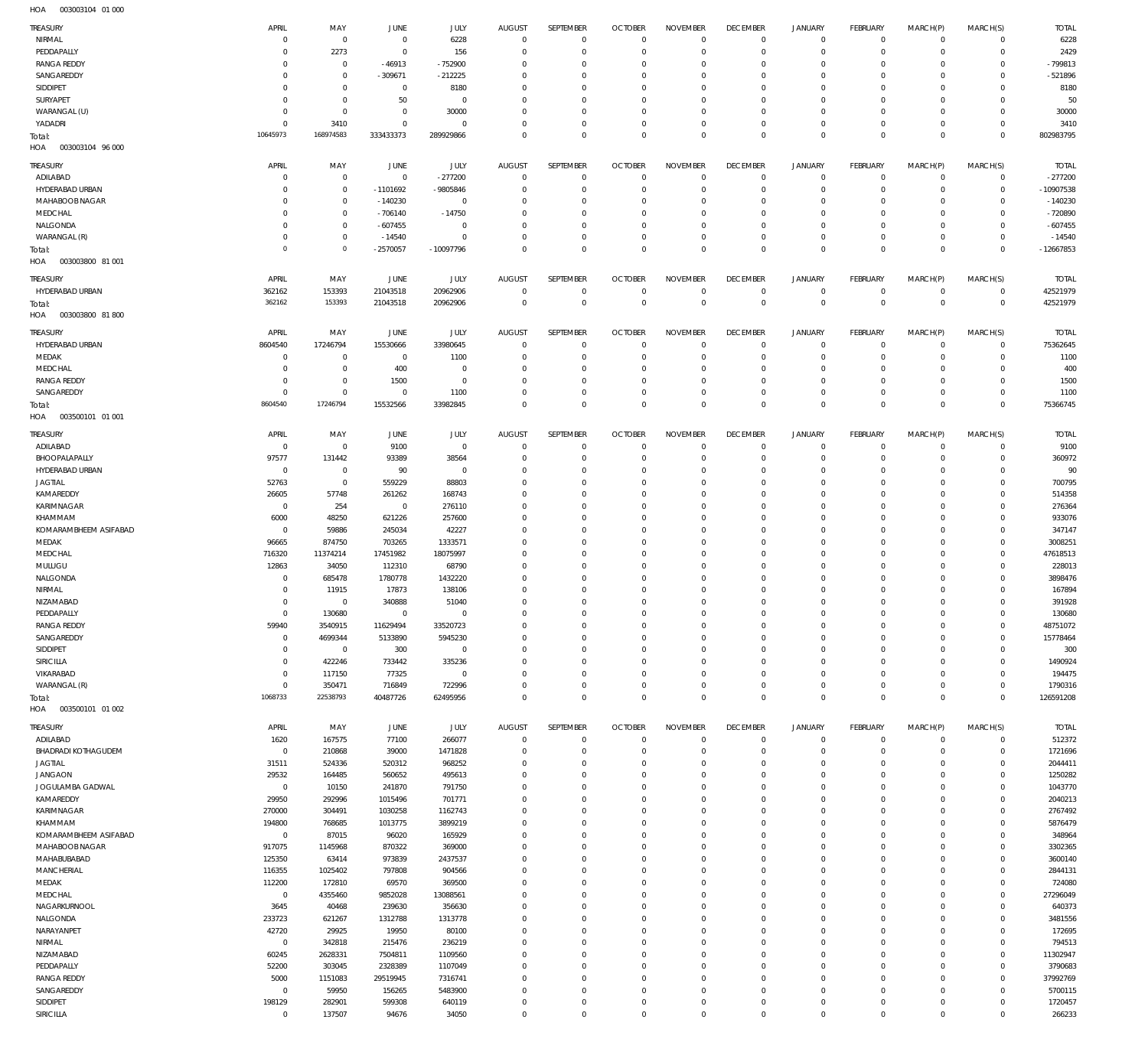| <b>TREASURY</b>            | APRIL          | MAY                 | JUNE           | JULY         | <b>AUGUST</b> | SEPTEMBER        | <b>OCTOBER</b> | <b>NOVEMBER</b> | <b>DECEMBER</b> | <b>JANUARY</b> | <b>FEBRUARY</b> | MARCH(P)    | MARCH(S)       | <b>TOTAL</b> |
|----------------------------|----------------|---------------------|----------------|--------------|---------------|------------------|----------------|-----------------|-----------------|----------------|-----------------|-------------|----------------|--------------|
| NIRMAL                     | C              | $\mathbf 0$         | $\overline{0}$ | 6228         | $\mathbf 0$   | $\mathbf 0$      | $\overline{0}$ | $\mathbf 0$     | $\mathbf 0$     | $\mathbf 0$    | $\overline{0}$  | $\circ$     | $\mathbf{0}$   | 6228         |
| PEDDAPALLY                 | $\Omega$       | 2273                | $^{\circ}$     | 156          | $^{\circ}$    | $\mathbf 0$      | $^{\circ}$     | $\mathbf{0}$    | $\mathbf 0$     | $\mathbf 0$    | $\overline{0}$  | $\circ$     | $\mathbf{0}$   | 2429         |
| <b>RANGA REDDY</b>         | C              | $\mathbf{0}$        | $-46913$       | $-752900$    | 0             | $\mathbf 0$      | $^{\circ}$     | $^{\circ}$      | $\mathbf 0$     | $\mathbf 0$    | $\circ$         | $\Omega$    | $\mathbf 0$    | $-799813$    |
| SANGAREDDY                 | $\Omega$       | $\mathbf{0}$        | $-309671$      | $-212225$    | $\Omega$      | $\mathbf 0$      | $^{\circ}$     | $\mathbf{0}$    | $\mathbf 0$     | $\mathbf 0$    | $\mathbf 0$     | $\Omega$    | $\mathbf 0$    | $-521896$    |
| SIDDIPET                   | $\Omega$       | $\mathbf{0}$        | $\overline{0}$ | 8180         | 0             | $\mathbf 0$      | $^{\circ}$     | $\mathbf{0}$    | $\mathbf 0$     | $\mathbf 0$    | $\mathbf 0$     | $\Omega$    | $\mathbf 0$    | 8180         |
| <b>SURYAPET</b>            | $\Omega$       | $\mathbf 0$         | 50             | $\mathbf 0$  | 0             | $\mathbf 0$      | $^{\circ}$     | $\mathbf{0}$    | $\mathbf 0$     | $\mathbf 0$    | $\mathbf 0$     | $\Omega$    | $\mathbf 0$    | 50           |
| WARANGAL (U)               | 0              | $\mathbf 0$         | $\overline{0}$ | 30000        | $^{\circ}$    | $\mathbf 0$      | $^{\circ}$     | $\mathbf{0}$    | $\mathbf 0$     | 0              | $\mathbf 0$     | $\Omega$    | $\mathbf 0$    | 30000        |
| YADADRI                    | $\mathbf 0$    | 3410                | 0              | $\mathbf 0$  | $\Omega$      | $\mathbf 0$      | $^{\circ}$     | $\mathbf{0}$    | $\mathbf 0$     | $\mathbf 0$    | $\mathbf 0$     | $\circ$     | $\mathbf{0}$   | 3410         |
|                            | 10645973       | 168974583           | 333433373      | 289929866    | $\Omega$      | $\mathbf 0$      | $\Omega$       | $\mathbf 0$     | $\mathbf 0$     | $\mathbf 0$    | $\overline{0}$  | $\Omega$    | $\overline{0}$ | 802983795    |
| Total:                     |                |                     |                |              |               |                  |                |                 |                 |                |                 |             |                |              |
| HOA<br>003003104 96 000    |                |                     |                |              |               |                  |                |                 |                 |                |                 |             |                |              |
| TREASURY                   | APRIL          | MAY                 | <b>JUNE</b>    | <b>JULY</b>  | <b>AUGUST</b> | SEPTEMBER        | <b>OCTOBER</b> | <b>NOVEMBER</b> | <b>DECEMBER</b> | <b>JANUARY</b> | <b>FEBRUARY</b> | MARCH(P)    | MARCH(S)       | <b>TOTAL</b> |
| ADILABAD                   | C              | $^{\circ}$          | $\overline{0}$ | $-277200$    | $^{\circ}$    | $^{\circ}$       | $^{\circ}$     | $^{\circ}$      | $\mathbf 0$     | $\mathbf 0$    | $^{\circ}$      | 0           | $^{\circ}$     | $-277200$    |
| HYDERABAD URBAN            | C              | $^{\circ}$          | $-1101692$     |              |               | $^{\circ}$       | $^{\circ}$     | $^{\circ}$      | $\mathbf 0$     | $\mathbf 0$    | $\mathbf 0$     | $\circ$     | $\mathbf{0}$   | $-10907538$  |
|                            |                |                     |                | -9805846     | 0             |                  |                |                 |                 |                |                 |             |                |              |
| MAHABOOB NAGAR             | -C             | $\mathbf{0}$        | $-140230$      | $^{\circ}$   | 0             | $^{\circ}$       | 0              | $^{\circ}$      | 0               | $\mathbf 0$    | $\mathbf 0$     | 0           | $\mathbf 0$    | $-140230$    |
| MEDCHAL                    | C              | $\mathbf{0}$        | $-706140$      | $-14750$     | 0             | $^{\circ}$       | $^{\circ}$     | $^{\circ}$      | $\mathbf 0$     | $\mathbf 0$    | $\mathbf 0$     | $\Omega$    | $\circ$        | $-720890$    |
| NALGONDA                   | 0              | $\mathbf 0$         | $-607455$      | $^{\circ}$   | 0             | $^{\circ}$       | $^{\circ}$     | $\mathbf{0}$    | $\mathbf 0$     | $\mathbf 0$    | $\mathbf 0$     | $\Omega$    | $\mathbf 0$    | $-607455$    |
| WARANGAL (R)               | C              | $\mathbf 0$         | $-14540$       | $^{\circ}$   | $\Omega$      | $^{\circ}$       | $^{\circ}$     | $^{\circ}$      | $\mathbf 0$     | $\mathbf 0$    | $\mathbf 0$     | $\Omega$    | $\mathbf 0$    | $-14540$     |
| Total:                     | $\overline{0}$ | $\mathsf{O}\xspace$ | $-2570057$     | $-10097796$  | $\Omega$      | $\mathbf 0$      | $^{\circ}$     | $\mathbf 0$     | $\mathbf 0$     | $\mathbf 0$    | $\overline{0}$  | $\Omega$    | $\mathbf 0$    | $-12667853$  |
| 003003800 81 001<br>HOA    |                |                     |                |              |               |                  |                |                 |                 |                |                 |             |                |              |
|                            |                |                     |                |              |               |                  |                |                 |                 |                |                 |             |                |              |
| <b>TREASURY</b>            | APRIL          | MAY                 | JUNE           | JULY         | <b>AUGUST</b> | SEPTEMBER        | <b>OCTOBER</b> | <b>NOVEMBER</b> | <b>DECEMBER</b> | <b>JANUARY</b> | <b>FEBRUARY</b> | MARCH(P)    | MARCH(S)       | <b>TOTAL</b> |
| HYDERABAD URBAN            | 362162         | 153393              | 21043518       | 20962906     | $^{\circ}$    | $\mathbf 0$      | $^{\circ}$     | $\overline{0}$  | 0               | $\mathbf 0$    | $\mathbf 0$     | $\circ$     | $\overline{0}$ | 42521979     |
| Total:                     | 362162         | 153393              | 21043518       | 20962906     | $^{\circ}$    | $\mathbf 0$      | $\overline{0}$ | $\mathbf 0$     | $\overline{0}$  | $\mathbf 0$    | $\overline{0}$  | $\mathbf 0$ | $\overline{0}$ | 42521979     |
| HOA<br>003003800 81800     |                |                     |                |              |               |                  |                |                 |                 |                |                 |             |                |              |
|                            |                |                     |                |              |               |                  |                |                 |                 |                |                 |             |                |              |
| TREASURY                   | APRIL          | MAY                 | <b>JUNE</b>    | <b>JULY</b>  | <b>AUGUST</b> | SEPTEMBER        | <b>OCTOBER</b> | <b>NOVEMBER</b> | <b>DECEMBER</b> | <b>JANUARY</b> | <b>FEBRUARY</b> | MARCH(P)    | MARCH(S)       | <b>TOTAL</b> |
| HYDERABAD URBAN            | 8604540        | 17246794            | 15530666       | 33980645     | $^{\circ}$    | $^{\circ}$       | $^{\circ}$     | $^{\circ}$      | $\mathbf 0$     | $\mathbf 0$    | $^{\circ}$      | $\mathbf 0$ | $\mathbf{0}$   | 75362645     |
| MEDAK                      | 0              | $^{\circ}$          | $\overline{0}$ | 1100         | 0             | $^{\circ}$       | $^{\circ}$     | $^{\circ}$      | $\mathbf 0$     | $\mathbf 0$    | $^{\circ}$      | $\Omega$    | $\mathbf 0$    | 1100         |
| MEDCHAL                    | 0              | $^{\circ}$          | 400            | $^{\circ}$   | 0             | $^{\circ}$       | $^{\circ}$     | $^{\circ}$      | $\mathbf 0$     | $\mathbf 0$    | $\mathbf 0$     | 0           | $\mathbf 0$    | 400          |
|                            |                | $\mathbf 0$         |                |              |               |                  |                |                 |                 | $\mathbf 0$    |                 | $\Omega$    | $\mathbf 0$    |              |
| <b>RANGA REDDY</b>         | C              |                     | 1500           | $^{\circ}$   | $\Omega$      | $^{\circ}$       | $^{\circ}$     | $^{\circ}$      | $\mathbf 0$     |                | $\mathbf 0$     |             |                | 1500         |
| SANGAREDDY                 | $^{\circ}$     | $\mathbf 0$         | $\overline{0}$ | 1100         | $^{\circ}$    | $\mathbf 0$      | $^{\circ}$     | $\mathbf{0}$    | $\mathbf 0$     | $\mathbf 0$    | $^{\circ}$      | $\mathbf 0$ | $\mathbf 0$    | 1100         |
| Total:                     | 8604540        | 17246794            | 15532566       | 33982845     | $^{\circ}$    | $\mathbf 0$      | $^{\circ}$     | $\mathbf{0}$    | $\mathbf 0$     | $\mathbf 0$    | $\mathbf 0$     | $\mathbf 0$ | $\mathbf 0$    | 75366745     |
| HOA<br>003500101 01 001    |                |                     |                |              |               |                  |                |                 |                 |                |                 |             |                |              |
|                            |                |                     |                |              |               |                  |                |                 |                 |                |                 |             |                |              |
| TREASURY                   | APRIL          | MAY                 | JUNE           | <b>JULY</b>  | <b>AUGUST</b> | SEPTEMBER        | <b>OCTOBER</b> | <b>NOVEMBER</b> | <b>DECEMBER</b> | <b>JANUARY</b> | <b>FEBRUARY</b> | MARCH(P)    | MARCH(S)       | <b>TOTAL</b> |
| ADILABAD                   | $\overline{0}$ | $\mathbf 0$         | 9100           | $\mathbf 0$  | $^{\circ}$    | $^{\circ}$       | $^{\circ}$     | $^{\circ}$      | $\mathbf 0$     | $\mathbf 0$    | $^{\circ}$      | $\mathbf 0$ | $^{\circ}$     | 9100         |
| BHOOPALAPALLY              | 97577          | 131442              | 93389          | 38564        | $^{\circ}$    | $\mathbf 0$      | $^{\circ}$     | $^{\circ}$      | $\mathbf 0$     | $\mathbf 0$    | $\mathbf 0$     | $\mathbf 0$ | $\mathbf{0}$   | 360972       |
| HYDERABAD URBAN            | $\overline{0}$ | $\mathbf{0}$        | 90             | $\mathbf 0$  | 0             | $\mathbf 0$      | $^{\circ}$     | $^{\circ}$      | $\mathbf 0$     | $\mathbf 0$    | $^{\circ}$      | $\Omega$    | $\mathbf 0$    | 90           |
| <b>JAGTIAL</b>             | 52763          | $\mathbf 0$         | 559229         | 88803        | 0             | $\mathbf 0$      | $^{\circ}$     | $\mathbf{0}$    | $\mathbf 0$     | $\mathbf 0$    | $^{\circ}$      | $\Omega$    | $\mathbf 0$    | 700795       |
| KAMAREDDY                  | 26605          | 57748               | 261262         | 168743       | 0             | $\mathbf 0$      | $^{\circ}$     | $\mathbf{0}$    | $\mathbf 0$     | $\mathbf 0$    | $^{\circ}$      | $\Omega$    | $\mathbf 0$    | 514358       |
| KARIMNAGAR                 | $^{\circ}$     | 254                 | $\overline{0}$ | 276110       | $\Omega$      | $\mathbf 0$      | $^{\circ}$     | $\mathbf{0}$    | $\mathbf 0$     | $\mathbf 0$    | $^{\circ}$      | $\Omega$    | $\mathbf 0$    | 276364       |
|                            |                |                     |                |              |               |                  |                |                 |                 |                |                 |             |                |              |
| KHAMMAM                    | 6000           | 48250               | 621226         | 257600       | $^{\circ}$    | $\mathbf 0$      | $^{\circ}$     | $\mathbf{0}$    | $\mathbf 0$     | $\mathbf 0$    | $\mathbf 0$     | $\Omega$    | $\mathbf 0$    | 933076       |
| KOMARAMBHEEM ASIFABAD      | $\overline{0}$ | 59886               | 245034         | 42227        | $\Omega$      | $\mathbf 0$      | $^{\circ}$     | $\mathbf{0}$    | $\mathbf 0$     | $\mathbf 0$    | $^{\circ}$      | $\Omega$    | $\mathbf 0$    | 347147       |
| MEDAK                      | 96665          | 874750              | 703265         | 1333571      | $^{\circ}$    | $\mathbf 0$      | $^{\circ}$     | $\mathbf{0}$    | $\mathbf 0$     | $\mathbf 0$    | $^{\circ}$      | $\Omega$    | $\mathbf 0$    | 3008251      |
| MEDCHAL                    | 716320         | 11374214            | 17451982       | 18075997     | $\Omega$      | $\mathbf 0$      | $^{\circ}$     | $\mathbf{0}$    | $\mathbf 0$     | $\mathbf 0$    | $^{\circ}$      | $\Omega$    | $\mathbf 0$    | 47618513     |
| MULUGU                     | 12863          | 34050               | 112310         | 68790        | $^{\circ}$    | $\mathbf 0$      | $^{\circ}$     | $\mathbf{0}$    | $\mathbf 0$     | $\mathbf 0$    | $^{\circ}$      | $\Omega$    | $\mathbf 0$    | 228013       |
| NALGONDA                   | C              | 685478              | 1780778        | 1432220      | $\Omega$      | $^{\circ}$       | $^{\circ}$     | $\mathbf{0}$    | $\mathbf 0$     | $\mathbf 0$    | $\mathbf 0$     | $\Omega$    | $\mathbf 0$    | 3898476      |
| NIRMAL                     | C              | 11915               | 17873          | 138106       | $^{\circ}$    | $\mathbf 0$      | $^{\circ}$     | $\mathbf{0}$    | $\mathbf 0$     | 0              | $^{\circ}$      | $\Omega$    | $\mathbf 0$    | 167894       |
|                            | $\mathbf 0$    | $\mathbf 0$         | 340888         |              | $\Omega$      | $\mathbf 0$      | $^{\circ}$     | $\mathbf 0$     | $\mathbf 0$     | $\mathbf 0$    | $\Omega$        | $\Omega$    | $\mathbf 0$    | 391928       |
| NIZAMABAD                  |                |                     |                | 51040        |               |                  |                |                 |                 |                |                 |             |                |              |
| PEDDAPALLY                 | $\circ$        | 130680              | $\circ$        | 0            | 0             | 0                | -C             | $\Omega$        | C               |                | $\Omega$        |             | 0              | 130680       |
| <b>RANGA REDDY</b>         | 59940          | 3540915             | 11629494       | 33520723     | $^{\circ}$    | $\mathbf{0}$     | $^{\circ}$     | $\mathbf{0}$    | $\mathbf 0$     | $\mathbf 0$    | $\mathbf 0$     | $\mathbf 0$ | $\mathbf{0}$   | 48751072     |
| SANGAREDDY                 | $^{\circ}$     | 4699344             | 5133890        | 5945230      | $^{\circ}$    | $\mathbf 0$      | $^{\circ}$     | $\mathbf 0$     | $\mathbf 0$     | $\mathbf 0$    | $\mathbf 0$     | $\mathbf 0$ | $\mathbf{0}$   | 15778464     |
| SIDDIPET                   | $^{\circ}$     | $\mathbf 0$         | 300            | $\mathbf{0}$ | $^{\circ}$    | $\mathbf 0$      | $^{\circ}$     | $\mathbf 0$     | $\mathbf 0$     | $\mathbf 0$    | $\mathbf 0$     | $\mathbf 0$ | $\mathbf 0$    | 300          |
| SIRICILLA                  | $\overline{0}$ | 422246              | 733442         | 335236       | $^{\circ}$    | $\mathbf 0$      | $^{\circ}$     | $\mathbf{0}$    | $\mathbf 0$     | $\mathbf 0$    | $^{\circ}$      | $\Omega$    | $\mathbf 0$    | 1490924      |
| VIKARABAD                  | $^{\circ}$     | 117150              | 77325          | $\mathbf{0}$ | $\mathbf 0$   | $\mathbf 0$      | $^{\circ}$     | $\mathbf 0$     | $\mathbf 0$     | $\mathbf 0$    | $\mathbf 0$     | $\mathbf 0$ | $\mathbf{0}$   | 194475       |
| WARANGAL (R)               | $^{\circ}$     | 350471              | 716849         | 722996       | $\mathbf 0$   | $\mathbf 0$      | $^{\circ}$     | $\mathbf 0$     | $\mathbf 0$     | $\mathbf 0$    | $\mathbf 0$     | $\mathbf 0$ | $\mathbf{0}$   | 1790316      |
|                            | 1068733        | 22538793            | 40487726       | 62495956     | $\mathbf 0$   | $\mathbf 0$      | $\overline{0}$ | $\mathbf 0$     | $\mathbf 0$     | $\mathbf 0$    | $\overline{0}$  | $\mathbf 0$ | $\overline{0}$ | 126591208    |
| Total:                     |                |                     |                |              |               |                  |                |                 |                 |                |                 |             |                |              |
| HOA   003500101   01   002 |                |                     |                |              |               |                  |                |                 |                 |                |                 |             |                |              |
| TREASURY                   | APRIL          | MAY                 | JUNE           | JULY         | AUGUST        | <b>SEPTEMBER</b> | <b>OCTOBER</b> | <b>NOVEMBER</b> | <b>DECEMBER</b> | <b>JANUARY</b> | FEBRUARY        | MARCH(P)    | MARCH(S)       | <b>TOTAL</b> |
| ADILABAD                   | 1620           | 167575              | 77100          | 266077       | $\mathbf 0$   | $\mathbf 0$      | $\overline{0}$ | $\mathbf 0$     | $\mathbf 0$     | $\mathbf 0$    | $\mathbf 0$     | $\mathbf 0$ | $\mathbf{0}$   | 512372       |
| <b>BHADRADI KOTHAGUDEM</b> | $\overline{0}$ | 210868              | 39000          | 1471828      | $\mathbf 0$   | $\mathbf 0$      | $^{\circ}$     | $^{\circ}$      | $\mathbf 0$     | $\mathbf 0$    | $\mathbf 0$     | $\circ$     | $\mathbf 0$    | 1721696      |
|                            |                |                     |                |              |               |                  |                |                 |                 |                |                 |             |                |              |
| <b>JAGTIAL</b>             | 31511          | 524336              | 520312         | 968252       | 0             | $\mathbf 0$      | $^{\circ}$     | $\mathbf{0}$    | $\mathbf 0$     | $\mathbf 0$    | $\mathbf 0$     | $\Omega$    | $\circ$        | 2044411      |
| <b>JANGAON</b>             | 29532          | 164485              | 560652         | 495613       | $\mathbf 0$   | $\mathbf 0$      | $^{\circ}$     | $^{\circ}$      | $\mathbf 0$     | $\mathbf 0$    | $\mathbf 0$     | $\Omega$    | $\circ$        | 1250282      |
| JOGULAMBA GADWAL           | $\mathbf 0$    | 10150               | 241870         | 791750       | $\mathbf 0$   | $\mathbf 0$      | $^{\circ}$     | $^{\circ}$      | $\mathbf 0$     | $\mathbf 0$    | $\mathbf 0$     | $\Omega$    | $\circ$        | 1043770      |
| KAMAREDDY                  | 29950          | 292996              | 1015496        | 701771       | $\mathbf 0$   | $\mathbf 0$      | $^{\circ}$     | $\mathbf{0}$    | $\mathbf 0$     | $\mathbf 0$    | $\mathbf 0$     | $\Omega$    | $\circ$        | 2040213      |
| KARIMNAGAR                 | 270000         | 304491              | 1030258        | 1162743      | $\mathbf 0$   | $\mathbf 0$      | $^{\circ}$     | $\mathbf{0}$    | $\mathbf 0$     | $\mathbf 0$    | $\mathbf 0$     | $\Omega$    | $\Omega$       | 2767492      |
| KHAMMAM                    | 194800         | 768685              | 1013775        | 3899219      | $\mathbf 0$   | $\mathbf 0$      | $^{\circ}$     | $\mathbf{0}$    | $\mathbf 0$     | $\mathbf 0$    | $\mathbf 0$     | $\Omega$    | $\mathbf 0$    | 5876479      |
| KOMARAMBHEEM ASIFABAD      | $\mathbf 0$    | 87015               | 96020          | 165929       | 0             | $\mathbf 0$      | $^{\circ}$     | $^{\circ}$      | $\mathbf 0$     | 0              | $\mathbf 0$     | $\Omega$    | $\circ$        | 348964       |
| MAHABOOB NAGAR             | 917075         | 1145968             | 870322         | 369000       | $\mathbf 0$   | $\mathbf 0$      | $^{\circ}$     | $\mathbf{0}$    | $\mathbf 0$     | $\mathbf 0$    | $\mathbf 0$     | $\Omega$    | $\mathbf 0$    | 3302365      |
|                            |                |                     |                |              |               |                  |                |                 |                 |                |                 |             |                |              |
| MAHABUBABAD                | 125350         | 63414               | 973839         | 2437537      | 0             | $\mathbf 0$      | $^{\circ}$     | $\mathbf{0}$    | $\mathbf 0$     | 0              | $\mathbf 0$     | $\Omega$    | $\mathbf 0$    | 3600140      |
| MANCHERIAL                 | 116355         | 1025402             | 797808         | 904566       | $\mathbf 0$   | $\mathbf 0$      | $^{\circ}$     | $\mathbf{0}$    | $\mathbf 0$     | $\mathbf 0$    | $\mathbf 0$     | $\Omega$    | $\mathbf 0$    | 2844131      |
| MEDAK                      | 112200         | 172810              | 69570          | 369500       | $\mathbf 0$   | $\mathbf 0$      | $^{\circ}$     | $\mathbf{0}$    | $\mathbf 0$     | $\mathbf 0$    | $\mathbf 0$     | $\Omega$    | $\mathbf 0$    | 724080       |
| MEDCHAL                    | $\mathbf 0$    | 4355460             | 9852028        | 13088561     | $\mathbf 0$   | $\mathbf 0$      | $^{\circ}$     | $\mathbf{0}$    | $\mathbf 0$     | $\mathbf 0$    | $\mathbf 0$     | $\Omega$    | $\mathbf 0$    | 27296049     |
| NAGARKURNOOL               | 3645           | 40468               | 239630         | 356630       | $\mathbf 0$   | $\mathbf 0$      | $^{\circ}$     | $\mathbf{0}$    | $\mathbf 0$     | $\mathbf 0$    | $\mathbf 0$     | $\Omega$    | $\mathbf 0$    | 640373       |
| NALGONDA                   | 233723         | 621267              | 1312788        | 1313778      | $\mathbf 0$   | $\mathbf 0$      | $^{\circ}$     | $\mathbf{0}$    | $\mathbf 0$     | $\mathbf 0$    | $\mathbf 0$     | $\Omega$    | $\mathbf 0$    | 3481556      |
| NARAYANPET                 | 42720          | 29925               | 19950          | 80100        | $^{\circ}$    | $\mathbf 0$      | $^{\circ}$     | $\mathbf{0}$    | $\mathbf 0$     | $\mathbf 0$    | $\mathbf 0$     | $\Omega$    | $\mathbf 0$    | 172695       |
|                            | $\mathbf 0$    |                     |                |              | $^{\circ}$    | $\mathbf 0$      | $^{\circ}$     | $\mathbf{0}$    | $\mathbf 0$     | $\mathbf 0$    | $\mathbf 0$     | $\Omega$    | $\mathbf 0$    | 794513       |
| NIRMAL                     |                | 342818              | 215476         | 236219       |               |                  |                |                 |                 |                |                 |             |                |              |
| NIZAMABAD                  | 60245          | 2628331             | 7504811        | 1109560      | $\mathbf 0$   | $^{\circ}$       | $^{\circ}$     | $\mathbf{0}$    | $\mathbf 0$     | $\mathbf 0$    | $\mathbf 0$     | $\Omega$    | $\mathbf 0$    | 11302947     |
| PEDDAPALLY                 | 52200          | 303045              | 2328389        | 1107049      | $^{\circ}$    | $\mathbf 0$      | $^{\circ}$     | $\mathbf{0}$    | $\mathbf 0$     | $\mathbf 0$    | $\mathbf 0$     | $\Omega$    | $\mathbf 0$    | 3790683      |
| <b>RANGA REDDY</b>         | 5000           | 1151083             | 29519945       | 7316741      | $\mathbf 0$   | $^{\circ}$       | $^{\circ}$     | $\mathbf{0}$    | $\mathbf 0$     | $\mathbf 0$    | $\Omega$        | $\Omega$    | $\mathbf 0$    | 37992769     |
| SANGAREDDY                 | $^{\circ}$     | 59950               | 156265         | 5483900      | $^{\circ}$    | $\mathbf 0$      | $^{\circ}$     | $\mathbf 0$     | $\mathbf 0$     | $\mathbf 0$    | $\mathbf 0$     | $\mathbf 0$ | $\mathbf 0$    | 5700115      |
| SIDDIPET                   | 198129         | 282901              | 599308         | 640119       | $\mathbf 0$   | $\mathbf 0$      | $^{\circ}$     | $\mathbf{0}$    | $\mathbf 0$     | $\mathbf 0$    | $\mathbf 0$     | 0           | $\mathbf 0$    | 1720457      |
| SIRICILLA                  | $^{\circ}$     | 137507              | 94676          | 34050        | $\mathbf 0$   | $\mathbf 0$      | $\mathbf 0$    | $\mathbf 0$     | $\mathbf 0$     | $\mathbf 0$    | $\mathbf 0$     | $\mathbf 0$ | $\mathbf 0$    | 266233       |
|                            |                |                     |                |              |               |                  |                |                 |                 |                |                 |             |                |              |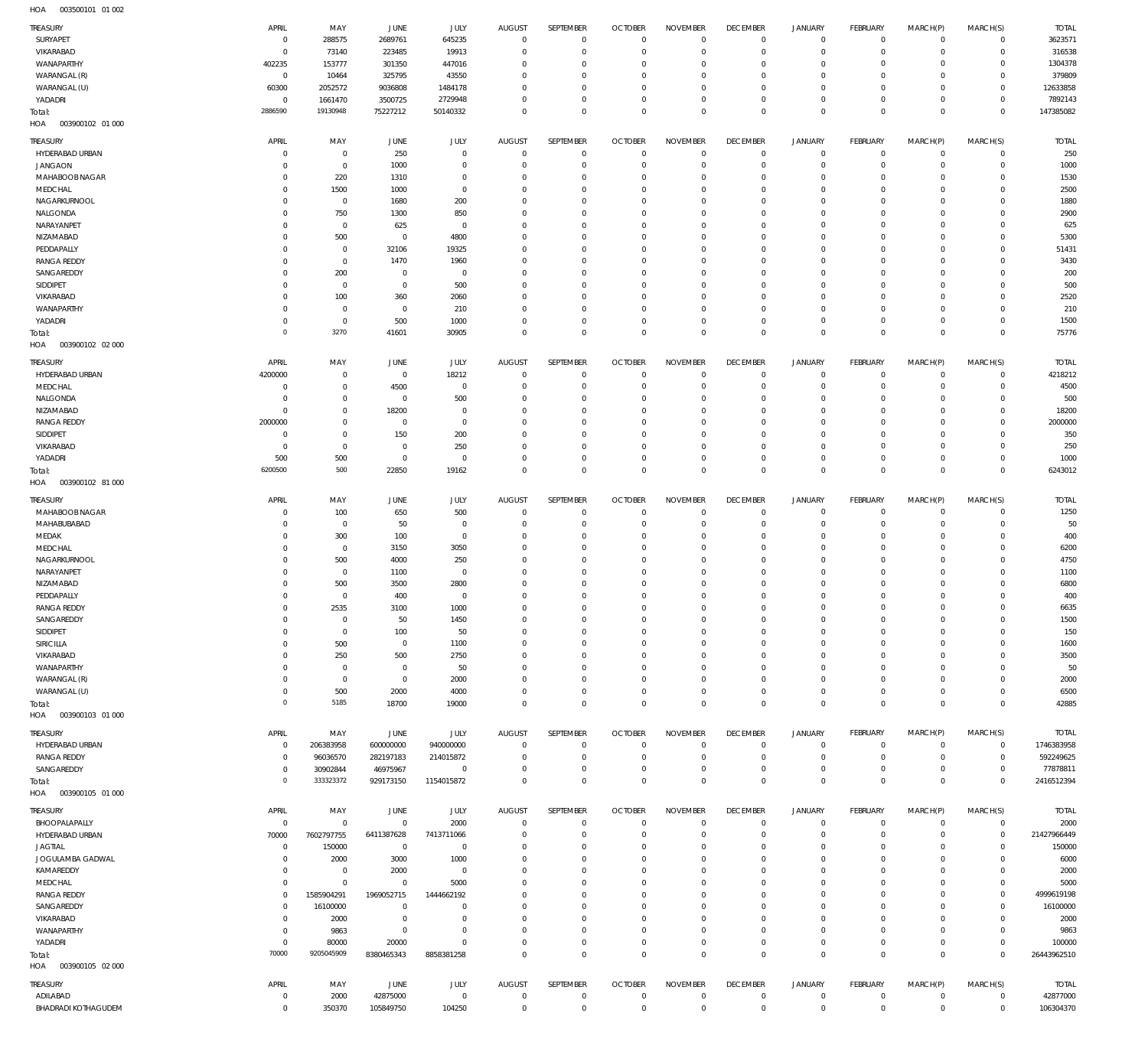003500101 01 002 HOA

| TREASURY<br>SURYAPET              | APRIL<br>$\overline{0}$    | MAY<br>288575                    | <b>JUNE</b><br>2689761      | JULY<br>645235            | <b>AUGUST</b><br>$\mathbf 0$    | SEPTEMBER<br>$\mathbf 0$         | <b>OCTOBER</b><br>$^{\circ}$ | <b>NOVEMBER</b><br>$^{\circ}$ | <b>DECEMBER</b><br>$\overline{0}$ | <b>JANUARY</b><br>$\mathbf 0$ | FEBRUARY<br>$^{\circ}$    | MARCH(P)<br>$\mathbf 0$    | MARCH(S)<br>$\mathbf 0$    | <b>TOTAL</b><br>3623571 |
|-----------------------------------|----------------------------|----------------------------------|-----------------------------|---------------------------|---------------------------------|----------------------------------|------------------------------|-------------------------------|-----------------------------------|-------------------------------|---------------------------|----------------------------|----------------------------|-------------------------|
| VIKARABAD                         | $\mathbf 0$                | 73140                            | 223485                      | 19913                     | $\mathbf 0$                     | $\overline{0}$                   | $\circ$                      | $\Omega$                      | $\Omega$                          | $\mathbf 0$                   | $\overline{0}$            | $\mathbf 0$                | $\mathbf 0$                | 316538                  |
| WANAPARTHY                        | 402235                     | 153777                           | 301350                      | 447016                    | $\mathbf 0$                     | $^{\circ}$                       | $\Omega$                     | $\Omega$                      | $\Omega$                          | $\mathbf 0$                   | 0                         | $\mathbf 0$                | $\mathbf 0$                | 1304378                 |
| WARANGAL (R)                      | $\overline{0}$             | 10464                            | 325795                      | 43550                     | $\mathbf 0$                     | $^{\circ}$                       | $\Omega$                     | $\Omega$                      | $\Omega$                          | $\mathbf 0$                   | 0                         | 0                          | 0                          | 379809                  |
| WARANGAL (U)                      | 60300                      | 2052572                          | 9036808                     | 1484178                   | $\mathbf 0$                     | $\overline{0}$                   | $\Omega$                     | $^{\circ}$                    | $\Omega$                          | $\mathbf 0$                   | $\Omega$                  | $\circ$                    | $\mathbf 0$                | 12633858                |
| YADADRI<br>Total:                 | $\overline{0}$<br>2886590  | 1661470<br>19130948              | 3500725<br>75227212         | 2729948<br>50140332       | 0<br>$\mathbf 0$                | $^{\circ}$<br>$\mathbb O$        | $\circ$<br>$^{\circ}$        | $^{\circ}$<br>$\mathbb O$     | $\Omega$<br>$\Omega$              | $\mathbf 0$<br>$\mathbb O$    | - 0<br>$\Omega$           | $\mathbf 0$<br>$\mathbf 0$ | 0<br>$\mathbf 0$           | 7892143<br>147385082    |
| 003900102 01 000<br>HOA           |                            |                                  |                             |                           |                                 |                                  |                              |                               |                                   |                               |                           |                            |                            |                         |
| TREASURY                          | APRIL                      | MAY                              | JUNE                        | JULY                      | <b>AUGUST</b>                   | SEPTEMBER                        | <b>OCTOBER</b>               | <b>NOVEMBER</b>               | <b>DECEMBER</b>                   | JANUARY                       | FEBRUARY                  | MARCH(P)                   | MARCH(S)                   | <b>TOTAL</b>            |
| HYDERABAD URBAN                   | 0                          | $\overline{0}$                   | 250                         | $\mathbf 0$               | $\mathbf 0$                     | $\mathbf 0$                      | $^{\circ}$                   | $^{\circ}$                    | $\overline{0}$                    | $\mathbf 0$                   | $\mathbf 0$               | $\circ$                    | $\mathbf 0$                | 250                     |
| <b>JANGAON</b>                    | $\mathbf 0$                | $\overline{0}$                   | 1000                        | $\overline{0}$            | $\mathbf 0$                     | $\overline{0}$                   | $^{\circ}$                   | $\Omega$                      | $^{\circ}$                        | $\mathbf 0$                   | $^{\circ}$                | $\mathbf 0$                | $\mathbf 0$                | 1000                    |
| MAHABOOB NAGAR                    | $\mathbf 0$                | 220                              | 1310                        | $^{\circ}$                | $\mathbf 0$                     | $\overline{0}$                   | $^{\circ}$                   | $^{\circ}$                    | $\Omega$                          | $\mathbf 0$                   | $\circ$                   | $\mathbf 0$                | $\circ$                    | 1530                    |
| MEDCHAL                           | 0                          | 1500                             | 1000                        | $\mathbf 0$               | $\mathbf 0$                     | $\overline{0}$                   | $\Omega$                     | $^{\circ}$                    | $\Omega$                          | $\mathbf 0$                   | 0                         | 0                          | 0                          | 2500                    |
| NAGARKURNOOL<br>NALGONDA          | $\mathbf 0$<br>0           | $\mathbf 0$<br>750               | 1680<br>1300                | 200<br>850                | $\mathbf 0$<br>$\mathbf 0$      | $\overline{0}$<br>$^{\circ}$     | $^{\circ}$<br>$\Omega$       | $^{\circ}$<br>$^{\circ}$      | $\Omega$<br>$\Omega$              | $\mathbf 0$<br>$\mathbf 0$    | $\circ$<br>0              | $\mathbf 0$<br>0           | $\mathbf 0$<br>0           | 1880<br>2900            |
| NARAYANPET                        | $\Omega$                   | $\overline{0}$                   | 625                         | $\overline{0}$            | $\mathbf 0$                     | $\mathbf 0$                      | $^{\circ}$                   | $\Omega$                      | $\Omega$                          | $\mathbf 0$                   | $\Omega$                  | 0                          | 0                          | 625                     |
| NIZAMABAD                         | 0                          | 500                              | $\mathbf{0}$                | 4800                      | 0                               | $\overline{0}$                   | $\Omega$                     | $^{\circ}$                    | $\Omega$                          | $\mathbf 0$                   | 0                         | 0                          | 0                          | 5300                    |
| PEDDAPALLY                        | $\Omega$                   | $\mathbf 0$                      | 32106                       | 19325                     | $\Omega$                        | $\overline{0}$                   | $\Omega$                     | $\Omega$                      | $\Omega$                          | $\mathbf 0$                   | $\Omega$                  | $\mathbf 0$                | $\mathbf 0$                | 51431                   |
| <b>RANGA REDDY</b>                | 0                          | $\overline{0}$                   | 1470                        | 1960                      | $\mathbf 0$                     | $\overline{0}$                   | $\circ$                      | $^{\circ}$                    | $\Omega$                          | $\mathbf 0$                   | 0                         | 0                          | 0                          | 3430                    |
| SANGAREDDY<br>SIDDIPET            | $\mathbf 0$<br>$\mathbf 0$ | 200<br>$\mathbf 0$               | $\mathbf 0$<br>$\mathbf{0}$ | $\overline{0}$<br>500     | $\mathbf 0$<br>$\mathbf 0$      | $\overline{0}$<br>$\overline{0}$ | $\Omega$<br>$\Omega$         | $^{\circ}$<br>$^{\circ}$      | $\Omega$<br>$\Omega$              | $\mathbf 0$<br>$\mathbf 0$    | $\Omega$<br>0             | 0<br>0                     | 0<br>$\circ$               | 200<br>500              |
| VIKARABAD                         | $\mathbf 0$                | 100                              | 360                         | 2060                      | $\mathbf 0$                     | $\overline{0}$                   | $\Omega$                     | $^{\circ}$                    | $\Omega$                          | $\mathbf 0$                   | 0                         | $\mathbf 0$                | 0                          | 2520                    |
| WANAPARTHY                        | $\mathbf 0$                | $\mathbf 0$                      | $\mathbf{0}$                | 210                       | $\mathbf 0$                     | $\overline{0}$                   | $\Omega$                     | $^{\circ}$                    | $\Omega$                          | $\mathbf 0$                   | 0                         | $\circ$                    | $\mathbf 0$                | 210                     |
| YADADRI                           | $\mathbf 0$                | $\overline{0}$                   | 500                         | 1000                      | $\mathbf 0$                     | $\overline{0}$                   | $\circ$                      | $^{\circ}$                    | $\Omega$                          | $\mathbf 0$                   | $\circ$                   | $\circ$                    | $\mathbf 0$                | 1500                    |
| Total:                            | $\Omega$                   | 3270                             | 41601                       | 30905                     | $\mathbf 0$                     | $\mathbb O$                      | $\Omega$                     | $\mathbb O$                   | $\mathbf{0}$                      | $\mathbb O$                   | $\Omega$                  | $\mathbb O$                | $\mathbf 0$                | 75776                   |
| HOA<br>003900102 02 000           |                            |                                  |                             |                           |                                 |                                  |                              |                               |                                   |                               |                           |                            |                            |                         |
| TREASURY                          | APRIL                      | MAY                              | <b>JUNE</b>                 | JULY                      | <b>AUGUST</b>                   | SEPTEMBER                        | <b>OCTOBER</b>               | <b>NOVEMBER</b>               | <b>DECEMBER</b>                   | <b>JANUARY</b>                | FEBRUARY                  | MARCH(P)                   | MARCH(S)                   | <b>TOTAL</b>            |
| HYDERABAD URBAN                   | 4200000                    | $\overline{0}$                   | $\mathbf 0$                 | 18212                     | $^{\circ}$                      | $^{\circ}$                       | $\circ$                      | $\circ$                       | $^{\circ}$                        | 0                             | $\overline{0}$            | $\mathbf 0$                | $\mathbf 0$                | 4218212                 |
| MEDCHAL<br>NALGONDA               | $\mathbf 0$<br>0           | $\overline{0}$<br>$\mathbf 0$    | 4500<br>$^{\circ}$          | $\mathbf 0$<br>500        | $\mathbf 0$<br>$\mathbf 0$      | $\mathbf 0$<br>$^{\circ}$        | $\circ$<br>0                 | $\Omega$<br>$^{\circ}$        | $\Omega$<br>$\Omega$              | $\mathbf 0$<br>$\mathbf 0$    | $^{\circ}$<br>0           | $\mathbf 0$<br>$\mathbf 0$ | $\mathbf 0$<br>0           | 4500<br>500             |
| NIZAMABAD                         | 0                          | $\mathbf 0$                      | 18200                       | $^{\circ}$                | $\mathbf 0$                     | $\overline{0}$                   | $\Omega$                     | $\Omega$                      | $\Omega$                          | $\mathbf 0$                   | $\Omega$                  | 0                          | 0                          | 18200                   |
| <b>RANGA REDDY</b>                | 2000000                    | $\mathbf{0}$                     | $^{\circ}$                  | $\mathbf 0$               | $\mathbf 0$                     | $^{\circ}$                       | $\Omega$                     | $^{\circ}$                    | $\Omega$                          | $\mathbf 0$                   | 0                         | 0                          | 0                          | 2000000                 |
| SIDDIPET                          | $\mathbf 0$                | $\mathbf{0}$                     | 150                         | 200                       | $\mathbf 0$                     | $^{\circ}$                       | $\Omega$                     | $\Omega$                      | $\Omega$                          | $\mathbf 0$                   | $\Omega$                  | 0                          | 0                          | 350                     |
| VIKARABAD                         | $\mathbf 0$                | $\overline{0}$                   | $^{\circ}$                  | 250                       | $\mathbf 0$                     | $^{\circ}$                       | $\circ$                      | $^{\circ}$                    | $\Omega$                          | $\mathbf 0$                   | 0                         | $\mathbf 0$                | $\circ$                    | 250                     |
| YADADRI                           | 500<br>6200500             | 500<br>500                       | $\mathbf{0}$                | $\mathbf 0$               | $\mathbf 0$                     | $\overline{0}$                   | $\circ$                      | $\Omega$                      | $\Omega$<br>$\Omega$              | $\mathbf 0$                   | $\overline{0}$            | $\mathbf 0$                | $^{\circ}$                 | 1000                    |
| Total:<br>003900102 81 000<br>HOA |                            |                                  | 22850                       | 19162                     | $\mathbf 0$                     | $\mathbb O$                      | $\Omega$                     | $\mathbb O$                   |                                   | $\mathbb O$                   | $\Omega$                  | $\mathbb O$                | $\mathbf 0$                | 6243012                 |
|                                   |                            |                                  |                             |                           |                                 |                                  |                              |                               |                                   |                               |                           |                            |                            |                         |
| TREASURY<br>MAHABOOB NAGAR        | APRIL<br>0                 | MAY<br>100                       | JUNE<br>650                 | JULY<br>500               | <b>AUGUST</b><br>$\overline{0}$ | SEPTEMBER<br>$^{\circ}$          | <b>OCTOBER</b><br>$\circ$    | <b>NOVEMBER</b><br>$^{\circ}$ | <b>DECEMBER</b><br>$^{\circ}$     | <b>JANUARY</b><br>$\mathbf 0$ | FEBRUARY<br>$^{\circ}$    | MARCH(P)<br>$\mathbf 0$    | MARCH(S)<br>$\mathbf 0$    | <b>TOTAL</b><br>1250    |
| MAHABUBABAD                       | 0                          | $\mathbf 0$                      | 50                          | $\overline{0}$            | $\mathbf 0$                     | $\overline{0}$                   | $\Omega$                     | $\Omega$                      | $^{\circ}$                        | $\mathbf 0$                   | $\overline{0}$            | $\mathbf 0$                | $\mathbf 0$                | 50                      |
| MEDAK                             | 0                          | 300                              | 100                         | $\mathbf 0$               | $\mathbf 0$                     | $\overline{0}$                   | $\circ$                      | $^{\circ}$                    | $\Omega$                          | $\mathbf 0$                   | $\circ$                   | $\mathbf 0$                | $\mathbf 0$                | 400                     |
| MEDCHAL                           | 0                          | $\mathbf 0$                      | 3150                        | 3050                      | $\mathbf 0$                     | $\overline{0}$                   | $\Omega$                     | $^{\circ}$                    | $\Omega$                          | $\mathbf 0$                   | $\Omega$                  | 0                          | $\circ$                    | 6200                    |
| NAGARKURNOOL                      | $\mathbf 0$                | 500                              | 4000                        | 250                       | $\mathbf 0$                     | $^{\circ}$                       | $\circ$                      | $^{\circ}$                    | $\Omega$                          | $\mathbf 0$                   | $\circ$                   | $\mathbf 0$                | $\circ$                    | 4750                    |
| NARAYANPET                        | 0                          | $\mathbf 0$                      | 1100                        | $\overline{0}$            | $\mathbf 0$                     | $\overline{0}$                   | $\Omega$                     | $^{\circ}$                    | $\Omega$<br>$\Omega$              | $\mathbf 0$                   | $\Omega$                  | 0                          | 0                          | 1100                    |
| NIZAMABAD<br>PEDDAPALLY           | $\Omega$<br>$\Omega$       | 500<br>$\overline{0}$            | 3500<br>400                 | 2800<br>$\mathbf 0$       | $\mathbf 0$<br>$\mathbf 0$      | $\mathbf 0$<br>$\mathbf 0$       | $^{\circ}$<br>$\mathbf 0$    | $^{\circ}$<br>$\mathbf 0$     | $\Omega$                          | $\mathbf 0$<br>$\mathbf 0$    | 0<br>$\Omega$             | $\circ$<br>$\mathbf 0$     | $\mathbf 0$<br>$\mathbf 0$ | 6800<br>400             |
| <b>RANGA REDDY</b>                | $\mathbf 0$                | 2535                             | 3100                        | 1000                      | $\overline{0}$                  | $\mathbf 0$                      | $\mathbf 0$                  | $\mathbf 0$                   | $\mathbf{0}$                      | $\mathbf 0$                   | $\mathbf 0$               | $\mathbf 0$                | $\circ$                    | 6635                    |
| SANGAREDDY                        | 0                          | $\overline{0}$                   | 50                          | 1450                      | $\mathbf 0$                     | $^{\circ}$                       | $\circ$                      | $^{\circ}$                    | $\circ$                           | $\mathbf 0$                   | $^{\circ}$                | 0                          | $\mathbf 0$                | 1500                    |
| SIDDIPET                          | $\mathbf 0$                | $\overline{0}$                   | 100                         | 50                        | $\mathbf 0$                     | $\mathbf 0$                      | $\overline{0}$               | $\mathbf{0}$                  | $\Omega$                          | $\mathbf 0$                   | $\mathbf 0$               | $\mathbf 0$                | $\mathbf 0$                | 150                     |
| <b>SIRICILLA</b><br>VIKARABAD     | $\mathbf 0$<br>$\Omega$    | 500                              | $^{\circ}$<br>500           | 1100<br>2750              | $\mathbf 0$<br>$\mathbf 0$      | $^{\circ}$<br>$\overline{0}$     | $\circ$<br>$^{\circ}$        | $^{\circ}$<br>$^{\circ}$      | $\circ$<br>$\Omega$               | $\mathbf 0$                   | 0                         | 0<br>0                     | 0                          | 1600<br>3500            |
| WANAPARTHY                        | 0                          | 250<br>$\overline{0}$            | $\mathbf 0$                 | 50                        | $\mathbf 0$                     | $^{\circ}$                       | $\circ$                      | $^{\circ}$                    | $\circ$                           | $\mathbf 0$<br>$\mathbf 0$    | $\circ$<br>0              | 0                          | 0<br>$\circ$               | 50                      |
| WARANGAL (R)                      | $\mathbf 0$                | $\overline{0}$                   | $\overline{0}$              | 2000                      | $\mathbf 0$                     | $^{\circ}$                       | $^{\circ}$                   | $^{\circ}$                    | $\Omega$                          | $\mathbf 0$                   | 0                         | 0                          | 0                          | 2000                    |
| WARANGAL (U)                      | $\mathbf 0$                | 500                              | 2000                        | 4000                      | $\mathbf 0$                     | $\mathbf 0$                      | $^{\circ}$                   | $\mathbf 0$                   | $^{\circ}$                        | $\mathbf 0$                   | $\circ$                   | $\circ$                    | $\circ$                    | 6500                    |
| Total:                            | $\mathbf 0$                | 5185                             | 18700                       | 19000                     | $\mathbf 0$                     | $\mathbf 0$                      | $\mathbf 0$                  | $\mathbf 0$                   | $\Omega$                          | $\mathbf 0$                   | $^{\circ}$                | $\mathbf 0$                | $\mathbf 0$                | 42885                   |
| 003900103 01 000<br>HOA           |                            |                                  |                             |                           |                                 |                                  |                              |                               |                                   |                               |                           |                            |                            |                         |
| TREASURY                          | APRIL                      | MAY                              | JUNE                        | JULY                      | AUGUST                          | SEPTEMBER                        | <b>OCTOBER</b>               | <b>NOVEMBER</b>               | <b>DECEMBER</b>                   | JANUARY                       | FEBRUARY                  | MARCH(P)                   | MARCH(S)                   | <b>TOTAL</b>            |
| HYDERABAD URBAN                   | $\overline{0}$             | 206383958                        | 600000000                   | 940000000                 | $\mathbf 0$                     | $\mathbf 0$                      | $^{\circ}$                   | $^{\circ}$                    | $^{\circ}$                        | $\mathbf 0$                   | $^{\circ}$                | $\circ$                    | 0                          | 1746383958              |
| <b>RANGA REDDY</b><br>SANGAREDDY  | $\mathbf 0$<br>$\mathbf 0$ | 96036570<br>30902844             | 282197183<br>46975967       | 214015872<br>$\mathbf 0$  | $\mathbf 0$<br>$\mathbf 0$      | $\overline{0}$<br>$\overline{0}$ | $\circ$<br>$\circ$           | $^{\circ}$<br>$^{\circ}$      | $\circ$<br>$^{\circ}$             | $\mathbf 0$<br>$\mathbf 0$    | - 0<br>$^{\circ}$         | $\mathbf 0$<br>$\circ$     | 0<br>$\mathbf 0$           | 592249625<br>77878811   |
| Total:                            | $\bf 0$                    | 333323372                        | 929173150                   | 1154015872                | $\mathbf 0$                     | $\mathbb O$                      | $^{\circ}$                   | $\mathbf{0}$                  | $\mathbf{0}$                      | $\mathbb O$                   | $^{\circ}$                | $\mathbf 0$                | $\mathbf 0$                | 2416512394              |
| 003900105 01 000<br>HOA           |                            |                                  |                             |                           |                                 |                                  |                              |                               |                                   |                               |                           |                            |                            |                         |
| TREASURY                          | APRIL                      | MAY                              | JUNE                        | JULY                      | AUGUST                          | SEPTEMBER                        | <b>OCTOBER</b>               | <b>NOVEMBER</b>               | <b>DECEMBER</b>                   | JANUARY                       | FEBRUARY                  | MARCH(P)                   | MARCH(S)                   | <b>TOTAL</b>            |
| BHOOPALAPALLY                     | $\overline{0}$             | $\overline{0}$                   | $\mathbf{0}$                | 2000                      | $\mathbf 0$                     | $\mathbf 0$                      | $^{\circ}$                   | $^{\circ}$                    | $\overline{0}$                    | $\mathbf 0$                   | $\mathbf 0$               | $\mathbf 0$                | $\circ$                    | 2000                    |
| HYDERABAD URBAN                   | 70000                      | 7602797755                       | 6411387628                  | 7413711066                | $\mathbf 0$                     | $\overline{0}$                   | $\circ$                      | $^{\circ}$                    | $^{\circ}$                        | $\mathbf 0$                   | $\overline{0}$            | $\mathbf 0$                | $\circ$                    | 21427966449             |
| <b>JAGTIAL</b>                    | $\mathbf 0$                | 150000                           | $\mathbf{0}$                | $\mathbf 0$               | $\mathbf 0$                     | $\overline{0}$                   | $\circ$                      | $^{\circ}$                    | $\Omega$                          | $\mathbf 0$                   | $\circ$                   | $\mathbf 0$                | $\mathbf 0$                | 150000                  |
| JOGULAMBA GADWAL                  | $\mathbf 0$                | 2000                             | 3000                        | 1000                      | $\mathbf 0$                     | $^{\circ}$                       | $\circ$                      | $^{\circ}$                    | $\circ$                           | $\mathbf 0$                   | 0                         | 0                          | $\circ$                    | 6000                    |
| KAMAREDDY<br>MEDCHAL              | $\mathbf 0$<br>$\mathbf 0$ | $\overline{0}$<br>$\overline{0}$ | 2000<br>$\mathbf{0}$        | $\mathbf 0$<br>5000       | $\mathbf 0$<br>$\mathbf 0$      | $^{\circ}$<br>$^{\circ}$         | $^{\circ}$<br>$\circ$        | $^{\circ}$<br>$^{\circ}$      | $\Omega$<br>$\circ$               | $\mathbf 0$<br>$\mathbf 0$    | 0<br>0                    | 0<br>0                     | $\mathbf 0$<br>$\mathbf 0$ | 2000<br>5000            |
| RANGA REDDY                       | $\mathbf 0$                | 1585904291                       | 1969052715                  | 1444662192                | 0                               | $\overline{0}$                   | $^{\circ}$                   | $^{\circ}$                    | $\Omega$                          | $\mathbf 0$                   | 0                         | 0                          | $\mathbf 0$                | 4999619198              |
| SANGAREDDY                        | $\mathbf 0$                | 16100000                         | $\mathbf 0$                 | $\overline{0}$            | 0                               | $^{\circ}$                       | $\circ$                      | $^{\circ}$                    | $\circ$                           | $\mathbf 0$                   | 0                         | 0                          | $\mathbf 0$                | 16100000                |
| VIKARABAD                         | $\mathbf 0$                | 2000                             | $\mathbf 0$                 | $^{\circ}$                | 0                               | $^{\circ}$                       | $\circ$                      | $^{\circ}$                    | $\circ$                           | $\mathbf 0$                   | 0                         | 0                          | 0                          | 2000                    |
| WANAPARTHY                        | $\mathbf 0$                | 9863                             | $\mathbf 0$                 | $\overline{0}$            | $\mathbf 0$                     | $^{\circ}$                       | $^{\circ}$                   | $^{\circ}$                    | $^{\circ}$                        | $\mathbf 0$                   | 0                         | 0                          | $\circ$                    | 9863                    |
| YADADRI<br>Total:                 | $\mathbf 0$<br>70000       | 80000<br>9205045909              | 20000<br>8380465343         | $\mathbf 0$<br>8858381258 | $\mathbf 0$<br>$\mathbf 0$      | $\mathbf 0$<br>$\mathbf 0$       | $^{\circ}$<br>$\overline{0}$ | $\mathbf 0$<br>$\mathbf 0$    | $^{\circ}$<br>$\mathbf{0}$        | $\mathbf 0$<br>$\mathbf 0$    | $\circ$<br>$\overline{0}$ | $\circ$<br>$\mathbb O$     | $\mathbf 0$<br>$\mathbf 0$ | 100000<br>26443962510   |
| 003900105 02 000<br>HOA           |                            |                                  |                             |                           |                                 |                                  |                              |                               |                                   |                               |                           |                            |                            |                         |
| TREASURY                          | APRIL                      | MAY                              | JUNE                        | JULY                      | AUGUST                          | SEPTEMBER                        | <b>OCTOBER</b>               | <b>NOVEMBER</b>               | <b>DECEMBER</b>                   | <b>JANUARY</b>                | FEBRUARY                  | MARCH(P)                   | MARCH(S)                   | <b>TOTAL</b>            |
| ADILABAD                          | 0                          | 2000                             | 42875000                    | $\,0\,$                   | $\overline{0}$                  | $\overline{0}$                   | $\circ$                      | $^{\circ}$                    | $\circ$                           | 0                             | $\mathbf 0$               | $\mathbf 0$                | $\mathbf 0$                | 42877000                |
| <b>BHADRADI KOTHAGUDEM</b>        | $\mathbf 0$                | 350370                           | 105849750                   | 104250                    | $\mathbf 0$                     | $\mathbb O$                      | $^{\circ}$                   | $\overline{0}$                | $\mathbf{0}$                      | $\mathbb O$                   | $\mathbf 0$               | $\mathbf 0$                | $\mathbf 0$                | 106304370               |
|                                   |                            |                                  |                             |                           |                                 |                                  |                              |                               |                                   |                               |                           |                            |                            |                         |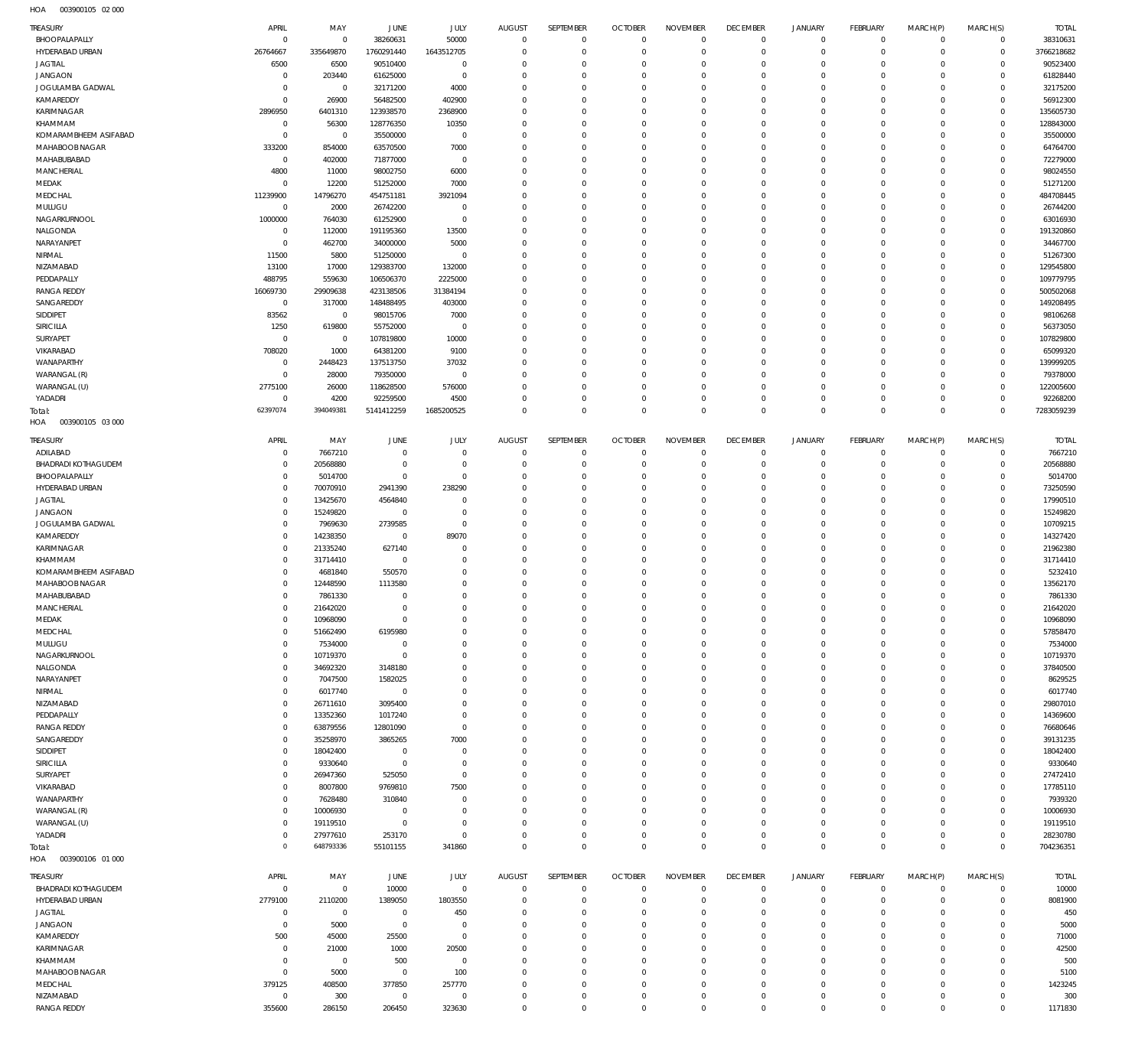003900105 02 000 HOA

| TREASURY                         | APRIL                      | MAY                  | <b>JUNE</b>           | JULY                   | <b>AUGUST</b>               | SEPTEMBER                  | <b>OCTOBER</b>             | <b>NOVEMBER</b>            | <b>DECEMBER</b>            | <b>JANUARY</b>                     | FEBRUARY                   | MARCH(P)             | MARCH(S)                     | <b>TOTAL</b>          |
|----------------------------------|----------------------------|----------------------|-----------------------|------------------------|-----------------------------|----------------------------|----------------------------|----------------------------|----------------------------|------------------------------------|----------------------------|----------------------|------------------------------|-----------------------|
| BHOOPALAPALLY                    | $\mathbf 0$                | $\mathbf 0$          | 38260631              | 50000                  | $\mathbf 0$                 | $\mathbf 0$                | $\overline{0}$             | $\Omega$                   | $\mathbf 0$                | $\overline{0}$                     | $\mathbf{0}$               | $\mathbf 0$          | $\mathbf{0}$                 | 38310631              |
| HYDERABAD URBAN                  | 26764667                   | 335649870            | 1760291440            | 1643512705             | $\Omega$                    | $\mathbf 0$                | $\mathbf 0$                | $\Omega$                   | $\mathbf 0$                | $\mathbf 0$                        | $\mathbf{0}$               | $\mathbf 0$          | $\overline{0}$               | 3766218682            |
| <b>JAGTIAL</b>                   | 6500                       | 6500                 | 90510400              | $^{\circ}$             | $\Omega$                    | $\mathbf 0$                | $\mathbf 0$                | $\Omega$                   | $\mathbf 0$                | $\mathbf 0$                        | $\mathbf 0$                | $\Omega$             | $\mathbf 0$                  | 90523400              |
| <b>JANGAON</b>                   | $\mathbf 0$                | 203440               | 61625000              | $\mathbf 0$            | $\Omega$                    | $\mathbf 0$                | $\mathbf 0$                | $\Omega$                   | $\mathbf 0$                | $\mathbf 0$                        | $\Omega$                   | $\Omega$             | $\mathbf{0}$                 | 61828440              |
| JOGULAMBA GADWAL                 | $\mathbf 0$                | $\overline{0}$       | 32171200              | 4000                   | $\Omega$                    | $\mathbf 0$                | $\mathbf 0$                | $\Omega$                   | $\mathbf 0$                | $\mathbf 0$                        | $\Omega$                   | $\Omega$             | $\mathbf 0$                  | 32175200              |
| KAMAREDDY                        | $\mathbf 0$                | 26900                | 56482500              | 402900                 | $\Omega$                    | $\mathbf 0$                | $\Omega$                   | $\Omega$                   | $\mathbf 0$                | $\mathbf 0$                        | $\Omega$                   | $\Omega$             | $\Omega$                     | 56912300              |
| KARIMNAGAR                       | 2896950                    | 6401310              | 123938570             | 2368900                | $\Omega$                    | $\mathbf 0$                | $\mathbf 0$                | $\Omega$                   | $\mathbf 0$                | $\mathbf 0$<br>$\Omega$            | $\mathbf 0$                | $\Omega$             | $\mathbf 0$                  | 135605730             |
| KHAMMAM<br>KOMARAMBHEEM ASIFABAD | $\mathbf 0$<br>$\mathbf 0$ | 56300<br>$\mathbf 0$ | 128776350<br>35500000 | 10350<br>$\mathbf 0$   | $\Omega$<br>$\Omega$        | $\mathbf 0$<br>$\mathbf 0$ | $\Omega$<br>$\mathbf 0$    | $\Omega$<br>$\Omega$       | $\Omega$<br>$\mathbf 0$    | $\mathbf 0$                        | $\Omega$<br>$\mathbf 0$    | $\Omega$<br>$\Omega$ | $\mathbf 0$<br>$\mathbf 0$   | 128843000<br>35500000 |
| MAHABOOB NAGAR                   | 333200                     | 854000               | 63570500              | 7000                   | $\Omega$                    | $\mathbf 0$                | $\mathbf 0$                | $\Omega$                   | $\mathbf 0$                | $\mathbf 0$                        | $\Omega$                   | $\Omega$             | $\Omega$                     | 64764700              |
| MAHABUBABAD                      | $\mathbf 0$                | 402000               | 71877000              | $^{\circ}$             | $\Omega$                    | $\Omega$                   | $\Omega$                   | $\Omega$                   | $\mathbf 0$                | $\mathbf 0$                        | $\mathbf 0$                | $\Omega$             | $\mathbf 0$                  | 72279000              |
| MANCHERIAL                       | 4800                       | 11000                | 98002750              | 6000                   | $\Omega$                    | $\mathbf 0$                | $\mathbf 0$                | $\Omega$                   | $\mathbf 0$                | $\mathbf 0$                        | $\Omega$                   | $\Omega$             | $\mathbf 0$                  | 98024550              |
| MEDAK                            | $\mathbf 0$                | 12200                | 51252000              | 7000                   | $\Omega$                    | $\Omega$                   | $\Omega$                   | $\Omega$                   | $\mathbf 0$                | $\mathbf 0$                        | $\Omega$                   | $\Omega$             | $\mathbf 0$                  | 51271200              |
| MEDCHAL                          | 11239900                   | 14796270             | 454751181             | 3921094                | $\Omega$                    | $\mathbf 0$                | $\mathbf 0$                | $\Omega$                   | $\mathbf 0$                | $\mathbf 0$                        | $\Omega$                   | $\Omega$             | $\mathbf 0$                  | 484708445             |
| MULUGU                           | $\mathbf 0$                | 2000                 | 26742200              | $^{\circ}$             | $\Omega$                    | $\Omega$                   | $\Omega$                   | $\Omega$                   | $\mathbf 0$                | $\mathbf 0$                        | $\Omega$                   | $\Omega$             | $\mathbf 0$                  | 26744200              |
| NAGARKURNOOL                     | 1000000                    | 764030               | 61252900              | $\mathbf 0$            | $\Omega$                    | $\mathbf 0$                | $\mathbf 0$                | $\Omega$                   | $\mathbf 0$                | $\mathbf 0$                        | $\Omega$                   | $\Omega$             | $\mathbf{0}$                 | 63016930              |
| NALGONDA                         | $\mathbb O$                | 112000               | 191195360             | 13500                  | $\Omega$                    | $\mathbf 0$                | $\mathbf 0$                | $\Omega$                   | $\mathbf 0$                | $\mathbf 0$                        | $\Omega$                   | $\Omega$             | $\mathbf 0$                  | 191320860             |
| NARAYANPET                       | $^{\circ}$                 | 462700               | 34000000              | 5000                   | $\Omega$                    | $\mathbf 0$                | $\mathbf 0$                | $\Omega$                   | $\mathbf 0$                | $\mathbf 0$                        | $\Omega$                   | $\Omega$             | $\mathbf{0}$                 | 34467700              |
| NIRMAL                           | 11500                      | 5800                 | 51250000              | $^{\circ}$             | $\Omega$                    | $\mathbf 0$                | $\mathbf 0$                | $\Omega$                   | $\mathbf 0$                | $\mathbf 0$                        | $\mathbf 0$                | $\Omega$             | $\mathbf 0$                  | 51267300              |
| NIZAMABAD                        | 13100                      | 17000                | 129383700             | 132000                 | $\Omega$                    | $\Omega$                   | $\Omega$                   | $\Omega$                   | $\Omega$                   | $\Omega$                           | $\Omega$                   | $\Omega$             | $\mathbf 0$                  | 129545800             |
| PEDDAPALLY                       | 488795                     | 559630               | 106506370             | 2225000                | $\Omega$                    | $\mathbf 0$                | $\mathbf 0$                | $\Omega$                   | $\mathbf 0$                | $\mathbf 0$                        | $\mathbf 0$                | $\Omega$             | $\mathbf 0$                  | 109779795             |
| <b>RANGA REDDY</b>               | 16069730                   | 29909638             | 423138506             | 31384194               | $\Omega$                    | $\mathbf 0$                | $\mathbf 0$                | $\Omega$                   | $\mathbf 0$                | $\mathbf 0$                        | $\Omega$                   | $\Omega$             | $\mathbf 0$                  | 500502068             |
| SANGAREDDY                       | $^{\circ}$                 | 317000               | 148488495             | 403000                 | $\Omega$                    | $\Omega$                   | $\Omega$                   | $\Omega$                   | $\Omega$                   | $\mathbf 0$                        | $\mathbf 0$                | $\Omega$             | $\mathbf 0$                  | 149208495             |
| SIDDIPET                         | 83562                      | $\mathbf 0$          | 98015706              | 7000                   | $\Omega$                    | $\mathbf 0$                | $\mathbf 0$                | $\Omega$                   | $\mathbf 0$                | $\mathbf 0$                        | $\Omega$                   | $\Omega$             | $\Omega$                     | 98106268              |
| SIRICILLA                        | 1250                       | 619800               | 55752000              | $\mathbf 0$            | $\Omega$                    | $\Omega$                   | $\Omega$                   | $\Omega$                   | $\mathbf 0$                | $\mathbf 0$                        | $\Omega$                   | $\Omega$             | $\mathbf 0$                  | 56373050              |
| SURYAPET                         | $^{\circ}$                 | 0                    | 107819800             | 10000                  | $\Omega$                    | $\mathbf 0$                | $\mathbf 0$                | $\Omega$                   | $\mathbf 0$                | $\mathbf 0$                        | $\Omega$                   | $\Omega$             | $\mathbf 0$                  | 107829800             |
| VIKARABAD                        | 708020                     | 1000                 | 64381200              | 9100                   | $\Omega$                    | $\Omega$                   | $\Omega$                   | $\Omega$                   | $\Omega$                   | $\mathbf 0$                        | $\Omega$                   | $\Omega$             | $\mathbf 0$                  | 65099320              |
| WANAPARTHY                       | $\mathbf 0$                | 2448423              | 137513750             | 37032                  | $\Omega$                    | $\mathbf 0$                | $\mathbf 0$                | $\Omega$                   | $\mathbf 0$                | $\mathbf 0$                        | $\Omega$                   | $\Omega$             | $\mathbf{0}$                 | 139999205             |
| WARANGAL (R)                     | $\mathbf 0$                | 28000                | 79350000              | $\mathbf 0$            | $\Omega$                    | $\mathbf 0$                | $\mathbf 0$                | $\Omega$                   | $\mathbf 0$                | $\mathbf 0$                        | $\Omega$                   | $\Omega$             | $\mathbf 0$                  | 79378000              |
| WARANGAL (U)                     | 2775100                    | 26000                | 118628500             | 576000                 | $\Omega$                    | $\mathbf 0$                | $\mathbf 0$                | $\Omega$                   | $\mathbf 0$                | $\mathbf 0$                        | $\mathbf 0$                | $\Omega$             | $\mathbf{0}$                 | 122005600             |
| YADADRI                          | $\mathbf 0$                | 4200                 | 92259500              | 4500                   | $^{\circ}$                  | $\mathbf 0$                | $\mathbf 0$                | $\Omega$                   | $\mathbf 0$                | $\mathbf 0$                        | $\mathbf 0$                | $\Omega$             | $\mathbf 0$                  | 92268200              |
| Total:                           | 62397074                   | 394049381            | 5141412259            | 1685200525             | $\Omega$                    | $\Omega$                   | $\Omega$                   | $\Omega$                   | $\mathbf 0$                | $\mathbf 0$                        | $\Omega$                   | $\Omega$             | $\mathbf 0$                  | 7283059239            |
| HOA<br>003900105 03 000          |                            |                      |                       |                        |                             |                            |                            |                            |                            |                                    |                            |                      |                              |                       |
| TREASURY                         | APRIL                      | MAY                  | <b>JUNE</b>           | <b>JULY</b>            | <b>AUGUST</b>               | SEPTEMBER                  | <b>OCTOBER</b>             | <b>NOVEMBER</b>            | <b>DECEMBER</b>            | <b>JANUARY</b>                     | FEBRUARY                   | MARCH(P)             | MARCH(S)                     | <b>TOTAL</b>          |
| ADILABAD                         | 0                          | 7667210              | $\circ$               | $\mathbf 0$            | $^{\circ}$                  | $\bf 0$                    | $\mathbf 0$                | $\mathbf 0$                | $\mathbf 0$                | $\mathbf 0$                        | $\circ$                    | $\circ$              | $\overline{0}$               | 7667210               |
| <b>BHADRADI KOTHAGUDEM</b>       | $^{\circ}$                 | 20568880             | $^{\circ}$            | $\mathbf 0$            | $^{\circ}$                  | $\bf 0$                    | $\mathbf 0$                | $\mathbf 0$                | $\mathbf 0$                | $\mathbf 0$                        | $\mathbf{0}$               | $\circ$              | $\circ$                      | 20568880              |
| BHOOPALAPALLY                    | $^{\circ}$                 | 5014700              | $\circ$               | $\mathbf 0$            | $\Omega$                    | $\mathbf 0$                | $\mathbf 0$                | $\mathbf 0$                | $\mathbf 0$                | $\mathbf 0$                        | $\mathbf{0}$               | $\circ$              | $\mathbf{0}$                 | 5014700               |
| HYDERABAD URBAN                  | $\mathbf 0$                | 70070910             | 2941390               | 238290                 | $^{\circ}$                  | $\mathbf 0$                | $\mathbf 0$                | $\mathbf 0$                | $\mathbf 0$                | $\mathbf 0$                        | $\mathbf 0$                | $\Omega$             | $\mathbf{0}$                 | 73250590              |
| <b>JAGTIAL</b>                   | $^{\circ}$                 | 13425670             | 4564840               | $\mathbf 0$            | $\Omega$                    | $\mathbf 0$                | $\mathbf 0$                | $\mathbf 0$                | $\mathbf 0$                | $\mathbf 0$                        | $\mathbf 0$                | $\Omega$             | $\mathbf{0}$                 | 17990510              |
| <b>JANGAON</b>                   | $\mathbf 0$                | 15249820             | 0                     | $\mathbf 0$            | $^{\circ}$                  | $\mathbf 0$                | $\mathbf 0$                | $\mathbf 0$                | $\mathbf 0$                | $\mathbf 0$                        | $\mathbf 0$                | $\Omega$             | $\mathbf{0}$                 | 15249820              |
| JOGULAMBA GADWAL                 | $^{\circ}$                 | 7969630              | 2739585               | $\mathbf 0$            | $\Omega$                    | $\mathbf 0$                | $\mathbf 0$                | $\mathbf 0$                | $\mathbf 0$                | $\mathbf 0$                        | $\mathbf 0$                | $\Omega$             | $\mathbf{0}$                 | 10709215              |
| KAMAREDDY                        | $\mathbb O$                | 14238350             | 0                     | 89070                  | $^{\circ}$                  | $\mathbf 0$                | $\mathbf 0$                | $\mathbf 0$                | $\mathbf 0$                | $\mathbf 0$                        | $\mathbf 0$                | $\Omega$             | $\mathbf{0}$                 | 14327420              |
| KARIMNAGAR                       | $^{\circ}$                 | 21335240             | 627140                | $^{\circ}$             | $\Omega$                    | $\mathbf 0$                | $\mathbf 0$                | $\mathbf 0$                | $\mathbf 0$                | $\mathbf 0$                        | $\mathbf 0$                | $\Omega$             | $\mathbf{0}$                 | 21962380              |
| KHAMMAM                          | $\mathbf 0$                | 31714410             | $\circ$               | $^{\circ}$             | $\Omega$                    | $\mathbf 0$                | $\mathbf 0$                | $\mathbf 0$                | $\mathbf 0$                | $\mathbf 0$                        | $\mathbf 0$                | $\mathbf 0$          | $\mathbf{0}$                 | 31714410              |
| KOMARAMBHEEM ASIFABAD            | $^{\circ}$                 | 4681840              | 550570                | $^{\circ}$<br>$\Omega$ | $^{\circ}$<br>$\Omega$      | $\mathbf 0$<br>$\mathbf 0$ | $\mathbf 0$                | $\mathbf 0$                | $\mathbf 0$                | $\mathbf 0$<br>$\mathbf 0$         | $\mathbf 0$<br>$\mathbf 0$ | $\Omega$<br>$\Omega$ | $\mathbf{0}$<br>$\mathbf{0}$ | 5232410               |
| MAHABOOB NAGAR<br>MAHABUBABAD    | $^{\circ}$<br>$^{\circ}$   | 12448590<br>7861330  | 1113580<br>$^{\circ}$ | $\mathbf 0$            | $^{\circ}$                  | $\mathbf 0$                | $\mathbf 0$<br>$\mathbf 0$ | $\mathbf 0$<br>$\mathbf 0$ | $\mathbf 0$<br>$\mathbf 0$ | $\Omega$                           | $\Omega$                   | $\Omega$             | $\mathbf{0}$                 | 13562170<br>7861330   |
| MANCHERIAL                       | $\Omega$                   | 21642020             | $\Omega$              | $\Omega$               | $\Omega$                    | $\Omega$                   | $\Omega$                   | $\Omega$                   | $\Omega$                   | $\Omega$                           | $\Omega$                   | $\Omega$             | $\Omega$                     | 21642020              |
| MEDAK                            | $\mathbb O$                | 10968090             | $\overline{0}$        | $\mathbf 0$            | $\mathbf 0$                 | $\mathbb O$                | $\mathbf 0$                | $\mathbf 0$                | $\mathbf 0$                | $\mathbf 0$                        | $\circ$                    | $\mathbf 0$          | $\circ$                      | 10968090              |
| MEDCHAL                          | $\mathbf 0$                | 51662490             | 6195980               | $\mathbf 0$            | $^{\circ}$                  | $\mathbb O$                | $\mathbf 0$                | $\mathbf 0$                | $\mathbf 0$                | $\mathbf 0$                        | $\circ$                    | $\mathbf 0$          | $\circ$                      | 57858470              |
| MULUGU                           | $\mathbf 0$                | 7534000              | $\circ$               | $^{\circ}$             | $^{\circ}$                  | $\mathbf 0$                | $\mathbf 0$                | $\mathbf 0$                | $\mathbf 0$                | $\mathbf 0$                        | $\mathbf{0}$               | $\mathbf 0$          | $\mathbf{0}$                 | 7534000               |
| NAGARKURNOOL                     | $\mathbb O$                | 10719370             | 0                     | $^{\circ}$             | $^{\circ}$                  | $\mathbf 0$                | $\mathbf 0$                | $\mathbf 0$                | $\mathbf 0$                | $\mathbf 0$                        | $\mathbf 0$                | $\Omega$             | $\mathbf{0}$                 | 10719370              |
| NALGONDA                         | $\mathbb O$                | 34692320             | 3148180               | $^{\circ}$             | $\Omega$                    | $\mathbf 0$                | $\mathbf 0$                | $\mathbf 0$                | $\mathbf 0$                | $\mathbf 0$                        | $\mathbf 0$                | $\Omega$             | $\mathbf{0}$                 | 37840500              |
| NARAYANPET                       | $\mathbb O$                | 7047500              | 1582025               | $^{\circ}$             | $^{\circ}$                  | $\mathbf 0$                | $\mathbf 0$                | $\mathbf 0$                | $\mathbf 0$                | $\mathbf 0$                        | $\mathbf 0$                | $\mathbf 0$          | $\mathbf{0}$                 | 8629525               |
| NIRMAL                           | $\mathbf 0$                | 6017740              | $\overline{0}$        | $\mathbf 0$            | $\Omega$                    | $\mathbf 0$                | $\mathbf 0$                | $\mathbf 0$                | $\mathbf 0$                | $\mathbf 0$                        | $\mathbf 0$                | $\Omega$             | $\mathbf{0}$                 | 6017740               |
| NIZAMABAD                        | $\mathbb O$                | 26711610             | 3095400               | $\mathbf 0$            | $^{\circ}$                  | $\mathbf 0$                | $\mathbf 0$                | $\mathbf 0$                | $\mathbf 0$                | $\mathbf 0$                        | $\mathbf{0}$               | $\mathbf 0$          | $\circ$                      | 29807010              |
| PEDDAPALLY                       | $\mathbf 0$                | 13352360             | 1017240               | $\mathbf 0$            | $^{\circ}$                  | $\mathbf 0$                | $\mathbf 0$                | $\mathbf 0$                | $\mathbf 0$                | $\mathbf 0$                        | $\mathbf 0$                | $\Omega$             | $\mathbf 0$                  | 14369600              |
| <b>RANGA REDDY</b>               | $\mathbb O$                | 63879556             | 12801090              | $\mathbf 0$            | $\Omega$                    | $\mathbf 0$                | $\mathbf 0$                | $\mathbf 0$                | $\mathbf 0$                | $\mathbf 0$                        | $\mathbf{0}$               | $\mathbf 0$          | $\mathbf{0}$                 | 76680646              |
| SANGAREDDY                       | $\mathbf 0$                | 35258970             | 3865265               | 7000                   | $^{\circ}$                  | $\mathbf 0$                | $\mathbf 0$                | $\mathbf 0$                | $\mathbf 0$                | $\mathbf 0$                        | $\mathbf 0$                | $\Omega$             | $\mathbf{0}$                 | 39131235              |
| SIDDIPET                         | $\mathbb O$                | 18042400             | $\circ$               | $\overline{0}$         | $^{\circ}$                  | $\mathbf 0$                | $\mathbf 0$                | $\mathbf 0$                | $\mathbf 0$                | $\mathbf 0$                        | $\mathbf 0$                | $\Omega$             | $\mathbf{0}$                 | 18042400              |
| SIRICILLA                        | $\mathbf 0$                | 9330640              | $\circ$               | $\mathbb O$            | $^{\circ}$                  | $\mathbf 0$                | $\mathbf 0$                | $\mathbf 0$                | $\mathbf 0$                | $\mathbf 0$                        | $\mathbf 0$                | $\mathbf 0$          | $\mathbf{0}$                 | 9330640               |
| SURYAPET                         | $\mathbb O$                | 26947360             | 525050                | $\mathbf 0$            | $^{\circ}$                  | $\mathbf 0$                | $\mathbf 0$                | $\mathbf 0$                | $\mathbf 0$                | $\mathbf 0$                        | $\mathbf 0$                | $\Omega$             | $\mathbf{0}$                 | 27472410              |
| VIKARABAD                        | $\mathbf 0$                | 8007800              | 9769810               | 7500                   | $^{\circ}$                  | $\mathbf 0$                | $\mathbf 0$                | $\mathbf 0$                | $\mathbf 0$                | $\mathbf 0$                        | $\mathbf 0$                | $\mathbf 0$          | $\mathbf{0}$                 | 17785110              |
| WANAPARTHY                       | $\mathbb O$                | 7628480              | 310840                | $\mathbf 0$            | $^{\circ}$                  | $\mathbf 0$                | $\mathbf 0$                | $\mathbf 0$                | $\mathbf 0$                | $\mathbf 0$                        | $\mathbf 0$                | $\Omega$             | $\mathbf{0}$                 | 7939320               |
| WARANGAL (R)                     | $\mathbf 0$                | 10006930             | 0                     | $\mathbf 0$            | $^{\circ}$                  | $\mathbf 0$                | $\mathbf 0$                | $\mathbf 0$                | $\mathbf 0$                | $\mathbf 0$                        | $\mathbf 0$                | $\mathbf 0$          | $\mathbf{0}$                 | 10006930              |
| WARANGAL (U)                     | $\mathbb O$                | 19119510             | $\circ$               | $\mathbf 0$            | $^{\circ}$                  | $\mathbf 0$                | $\mathbf 0$                | $\mathbf 0$                | $\mathbf 0$                | $\mathbf 0$                        | $\mathbf{0}$               | $\mathbf 0$          | $\circ$                      | 19119510              |
| YADADRI                          | $\mathbf 0$                | 27977610             | 253170                | $\mathbb O$            | $^{\circ}$                  | $\mathbf 0$                | $\mathbf 0$                | $\mathbf 0$                | $\mathbf 0$                | $\mathbf 0$                        | $\circ$                    | $\mathbf 0$          | $\mathbf{0}$                 | 28230780              |
| Total:                           | $\overline{0}$             | 648793336            | 55101155              | 341860                 | $\Omega$                    | $\mathbf 0$                | $\mathbf 0$                | $\mathbf 0$                | $\mathbf 0$                | $\bf 0$                            | $\overline{0}$             | $\mathbf 0$          | $\overline{0}$               | 704236351             |
| HOA<br>003900106 01 000          |                            |                      |                       |                        |                             |                            |                            |                            |                            |                                    |                            |                      |                              |                       |
| TREASURY                         | APRIL                      | MAY                  | JUNE                  | JULY                   | <b>AUGUST</b>               | SEPTEMBER                  | <b>OCTOBER</b>             | <b>NOVEMBER</b>            | <b>DECEMBER</b>            | JANUARY                            | FEBRUARY                   | MARCH(P)             | MARCH(S)                     | <b>TOTAL</b>          |
| BHADRADI KOTHAGUDEM              | $\mathbf 0$                | $\mathbf 0$          | 10000                 | $\mathbf 0$            | $^{\circ}$                  | 0                          | $\mathbf 0$                | $\mathbf 0$                | $\mathbf 0$                | $\mathbf 0$                        | $\mathbf 0$                | $\mathbf 0$          | $\circ$                      | 10000                 |
| HYDERABAD URBAN                  | 2779100                    | 2110200              | 1389050               | 1803550                | $^{\circ}$                  | $\mathbf 0$                | $\mathbf 0$                | $\Omega$                   | $\mathbf 0$                | $\mathbf 0$                        | $\circ$                    | $\mathbf 0$          | $\circ$                      | 8081900               |
| JAGTIAL                          | $\mathbf 0$                | $\mathbf 0$          | $\mathbf 0$           | 450                    | $^{\circ}$                  | $\mathbf 0$                | $\mathbf 0$                | $\mathbf 0$                | $\mathbf 0$                | $\mathbf 0$                        | $\mathbf 0$                | $\Omega$             | $\mathbf 0$                  | 450                   |
| <b>JANGAON</b>                   | $\mathbb O$                | 5000                 | $\overline{0}$        | $^{\circ}$             | $\Omega$                    | $\mathbf 0$                | $\mathbf 0$                | $\Omega$                   | $\mathbf 0$                | $\mathbf 0$                        | $\mathbf 0$                | $\Omega$             | $\mathbf 0$                  | 5000                  |
| KAMAREDDY                        | 500                        | 45000                | 25500                 | $\mathbf 0$            | $\Omega$                    | $\mathbf 0$                | $\mathbf 0$                | $\mathbf 0$                | $\mathbf 0$                | $\mathbf 0$                        | $\mathbf 0$                | $\Omega$             | $\mathbf 0$                  | 71000                 |
| KARIMNAGAR                       | $^{\circ}$                 | 21000                | 1000                  | 20500                  | $\Omega$                    | $\mathbf 0$                | $\mathbf 0$                | $\Omega$                   | $\mathbf 0$                | $\mathbf 0$                        | $\circ$                    | $\Omega$             | $\mathbf 0$                  | 42500                 |
| KHAMMAM                          | $\mathbf 0$                | $\mathbb O$          | 500                   | $\mathbf 0$            | $\mathbf{0}$                | $\mathbf 0$                | $\mathbf 0$                | $\mathbf 0$                | $\mathbf 0$                | $\mathbf 0$                        | $\mathbf 0$                | $\Omega$             | $\mathbf{0}$                 | 500                   |
| MAHABOOB NAGAR                   | $\mathbb O$                | 5000                 | $\mathbf 0$           | 100                    | $\mathbf{0}$                | $\mathbf 0$                | $\mathbf 0$                | $\Omega$                   | $\mathbf 0$                | $\mathbf 0$                        | $\circ$                    | $\Omega$             | $\mathbf 0$                  | 5100                  |
| MEDCHAL                          | 379125                     | 408500               | 377850                | 257770                 | $\Omega$                    | $\mathbf 0$                | $\mathbf 0$                | $\mathbf 0$                | $\mathbf 0$                | $\mathbf 0$                        | $\mathbf 0$                | $\Omega$             | $\mathbf{0}$                 | 1423245               |
| NIZAMABAD<br><b>RANGA REDDY</b>  | $\mathbb O$<br>355600      | 300                  | $\mathbf 0$<br>206450 | $\mathbf 0$<br>323630  | $\mathbf{0}$<br>$\mathbf 0$ | $\bf 0$<br>$\mathbf 0$     | 0<br>$\mathsf{O}\xspace$   | $\mathbf 0$                | 0<br>$\mathsf 0$           | $\mathbf 0$<br>$\mathsf{O}\xspace$ | $\mathbf 0$<br>$\mathbf 0$ | $\circ$<br>0         | $\mathbf 0$<br>$\mathbb O$   | 300<br>1171830        |
|                                  |                            | 286150               |                       |                        |                             |                            |                            | $\mathbf 0$                |                            |                                    |                            |                      |                              |                       |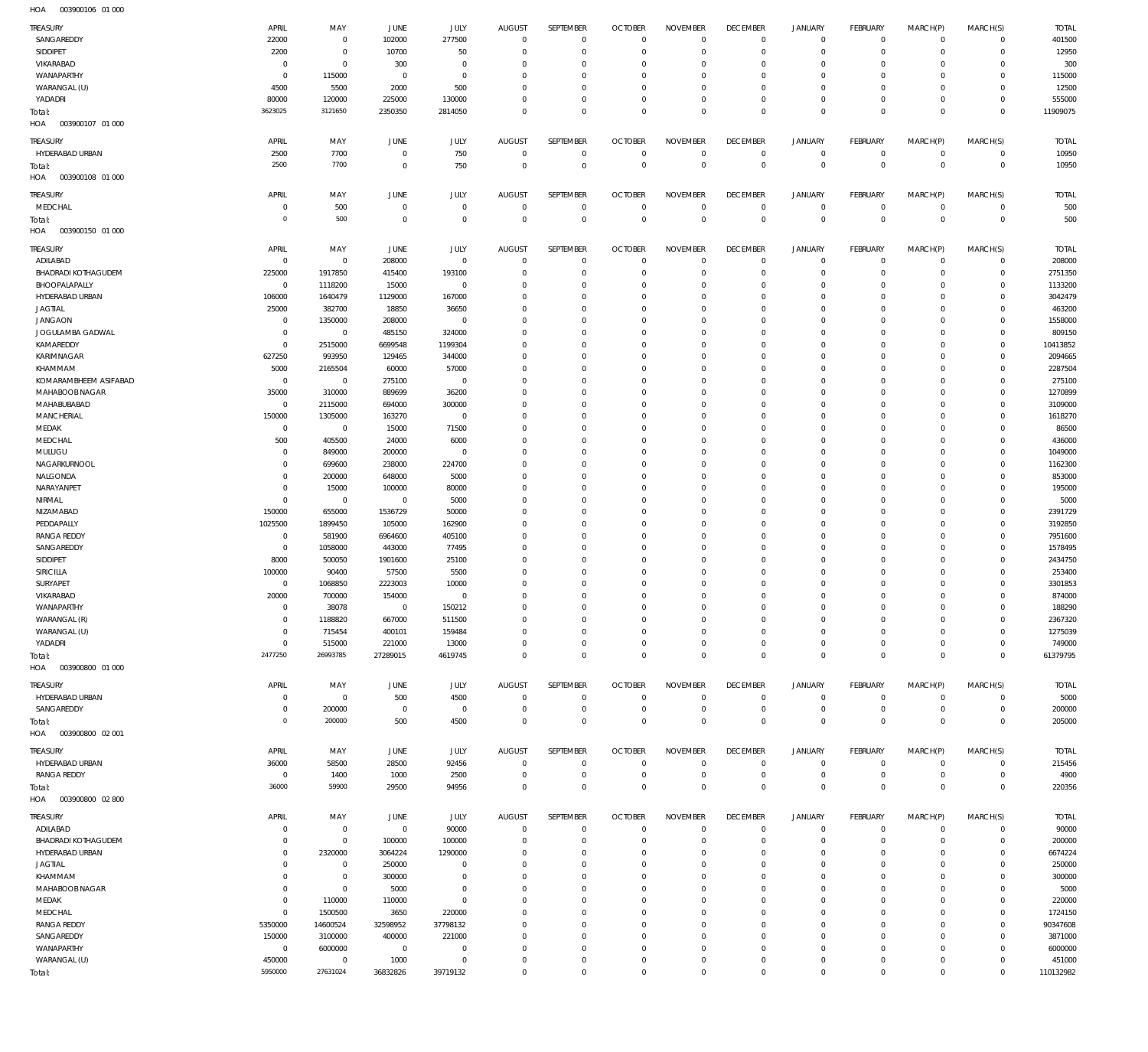| <b>TREASURY</b>                               | APRIL                  | MAY                    | JUNE                  | JULY                   | <b>AUGUST</b>    | SEPTEMBER                   | <b>OCTOBER</b>             | <b>NOVEMBER</b>                | <b>DECEMBER</b>            | <b>JANUARY</b>                             | <b>FEBRUARY</b>              | MARCH(P)                   | MARCH(S)                    | <b>TOTAL</b>       |
|-----------------------------------------------|------------------------|------------------------|-----------------------|------------------------|------------------|-----------------------------|----------------------------|--------------------------------|----------------------------|--------------------------------------------|------------------------------|----------------------------|-----------------------------|--------------------|
| SANGAREDDY                                    | 22000                  | $\,0\,$                | 102000                | 277500                 | $^{\circ}$       | $\mathbf 0$                 | $\mathbf 0$                | $^{\circ}$                     | $^{\circ}$                 | 0                                          | $\overline{0}$               | $\mathbf 0$                | $\mathbf{0}$                | 401500             |
| SIDDIPET                                      | 2200                   | $\,0\,$                | 10700                 | 50                     | 0                | $\mathbf 0$                 | $^{\circ}$                 | $^{\circ}$                     | $^{\circ}$                 | $\mathsf{O}\xspace$                        | $\mathbf 0$                  | $\mathbf 0$                | $\mathbf 0$                 | 12950              |
| VIKARABAD                                     | 0                      | $\mathbb O$            | 300                   | $^{\circ}$             | 0                | $\mathbf{0}$                | $^{\circ}$                 | $^{\circ}$                     | 0                          | 0                                          | $^{\circ}$                   | $\Omega$                   | $\mathbf 0$                 | 300                |
| WANAPARTHY                                    | $^{\circ}$             | 115000                 | $\mathbf 0$           | $\mathbf 0$            | 0                | $\mathbf{0}$                | 0                          | $^{\circ}$                     | 0                          | 0                                          | $\mathbf 0$                  | 0                          | $\mathbf 0$                 | 115000             |
| WARANGAL (U)                                  | 4500                   | 5500                   | 2000<br>225000        | 500<br>130000          | $\Omega$         | $\mathbf 0$<br>$\mathbf 0$  | 0<br>$^{\circ}$            | $^{\circ}$<br>$^{\circ}$       | $^{\circ}$<br>$^{\circ}$   | $\mathbf 0$<br>$\mathbf 0$                 | $\mathbf 0$<br>$\mathbf 0$   | $\Omega$<br>$\mathbf 0$    | $\mathbf 0$<br>$\mathbf 0$  | 12500<br>555000    |
| YADADRI<br>Total:                             | 80000<br>3623025       | 120000<br>3121650      | 2350350               | 2814050                | 0<br>$\Omega$    | $\mathsf 0$                 | $\mathbf 0$                | $\mathbf 0$                    | $\mathbf 0$                | $\mathbf 0$                                | $\overline{0}$               | $\mathbf 0$                | $\overline{0}$              | 11909075           |
| 003900107 01 000<br>HOA                       |                        |                        |                       |                        |                  |                             |                            |                                |                            |                                            |                              |                            |                             |                    |
| TREASURY                                      | APRIL                  | MAY                    | JUNE                  | JULY                   | <b>AUGUST</b>    | SEPTEMBER                   | <b>OCTOBER</b>             | <b>NOVEMBER</b>                | <b>DECEMBER</b>            | <b>JANUARY</b>                             | <b>FEBRUARY</b>              | MARCH(P)                   | MARCH(S)                    | <b>TOTAL</b>       |
| HYDERABAD URBAN                               | 2500                   | 7700                   | $\mathbb O$           | 750                    | $^{\circ}$       | $\mathbf{0}$                | $^{\circ}$                 | $\mathbf 0$                    | $\mathbf 0$                | $\mathbf 0$                                | $\overline{0}$               | $\mathbf 0$                | $\overline{0}$              | 10950              |
| Total:                                        | 2500                   | 7700                   | $^{\circ}$            | 750                    | $\overline{0}$   | $\mathbf 0$                 | $\overline{0}$             | $\mathbf 0$                    | $\overline{0}$             | $\mathbf 0$                                | $\overline{0}$               | $\mathbf 0$                | $\overline{0}$              | 10950              |
| HOA<br>003900108 01 000                       |                        |                        |                       |                        |                  |                             |                            |                                |                            |                                            |                              |                            |                             |                    |
| TREASURY                                      | APRIL                  | MAY                    | JUNE                  | JULY                   | <b>AUGUST</b>    | SEPTEMBER                   | <b>OCTOBER</b>             | <b>NOVEMBER</b>                | <b>DECEMBER</b>            | <b>JANUARY</b>                             | FEBRUARY                     | MARCH(P)                   | MARCH(S)                    | <b>TOTAL</b>       |
| MEDCHAL                                       | C                      | 500                    | $^{\circ}$            | $\mathbf 0$            | $\overline{0}$   | $\mathbf 0$                 | $^{\circ}$                 | $^{\circ}$                     | $\overline{0}$             | 0                                          | $\mathbf 0$                  | $\mathbf 0$                | $\mathbf{0}$                | 500                |
| Total:                                        | $\circ$                | 500                    | $^{\circ}$            | $\mathbf 0$            | $\overline{0}$   | $\mathsf 0$                 | $\overline{0}$             | $\mathbf 0$                    | $\overline{0}$             | $\mathbb O$                                | $\overline{0}$               | $\mathbf 0$                | $\overline{0}$              | 500                |
| 003900150 01 000<br>HOA                       |                        |                        |                       |                        |                  |                             |                            |                                |                            |                                            |                              |                            |                             |                    |
| TREASURY                                      | APRIL                  | MAY                    | JUNE                  | JULY                   | <b>AUGUST</b>    | SEPTEMBER                   | <b>OCTOBER</b>             | <b>NOVEMBER</b><br>$\mathbf 0$ | <b>DECEMBER</b>            | <b>JANUARY</b><br>$\mathbf 0$              | FEBRUARY<br>$\overline{0}$   | MARCH(P)<br>$\mathbf 0$    | MARCH(S)<br>$\mathbf{0}$    | <b>TOTAL</b>       |
| ADILABAD<br>BHADRADI KOTHAGUDEM               | $\mathbf 0$<br>225000  | $\mathbb O$<br>1917850 | 208000<br>415400      | $\mathbf 0$<br>193100  | $^{\circ}$<br>0  | $\mathbf{0}$<br>$\mathbf 0$ | $^{\circ}$<br>$^{\circ}$   | $^{\circ}$                     | $^{\circ}$<br>$^{\circ}$   | $\mathbf 0$                                | $^{\circ}$                   | $\mathbf 0$                | $\mathbf{0}$                | 208000<br>2751350  |
| BHOOPALAPALLY                                 | $\overline{0}$         | 1118200                | 15000                 | $\mathbf 0$            | 0                | $\mathbf{0}$                | $^{\circ}$                 | $^{\circ}$                     | $^{\circ}$                 | $\mathbf 0$                                | $\mathbf 0$                  | $\Omega$                   | $\mathbf 0$                 | 1133200            |
| HYDERABAD URBAN                               | 106000                 | 1640479                | 1129000               | 167000                 | 0                | $\mathbf 0$                 | $^{\circ}$                 | $\mathbf 0$                    | $^{\circ}$                 | $\mathbf 0$                                | $^{\circ}$                   | $\Omega$                   | $\mathbf 0$                 | 3042479            |
| <b>JAGTIAL</b>                                | 25000                  | 382700                 | 18850                 | 36650                  | 0                | $\mathbf{0}$                | 0                          | $^{\circ}$                     | 0                          | 0                                          | $\mathbf 0$                  | $\Omega$                   | $\mathbf 0$                 | 463200             |
| <b>JANGAON</b>                                | $^{\circ}$             | 1350000                | 208000                | $\mathbf{0}$           | 0                | $\mathbf 0$                 | $^{\circ}$                 | $\mathbf 0$                    | $^{\circ}$                 | $\mathbf 0$                                | $\mathbf 0$                  | $\Omega$                   | $\mathbf 0$                 | 1558000            |
| JOGULAMBA GADWAL                              | $^{\circ}$             | $\overline{0}$         | 485150                | 324000                 | 0                | $\mathbf{0}$                | 0                          | $^{\circ}$                     | 0                          | $\mathbf 0$                                | $\mathbf 0$                  | 0                          | $\mathbf 0$                 | 809150             |
| KAMAREDDY                                     | $^{\circ}$             | 2515000                | 6699548               | 1199304                | $\Omega$         | $\mathbf 0$                 | $^{\circ}$                 | $\mathbf 0$                    | $^{\circ}$                 | $\mathbf 0$                                | $\mathbf 0$                  | $\Omega$                   | $\mathbf 0$                 | 10413852           |
| KARIMNAGAR<br>KHAMMAM                         | 627250<br>5000         | 993950<br>2165504      | 129465<br>60000       | 344000<br>57000        | 0<br>0           | $\mathbf{0}$<br>$\mathbf 0$ | 0<br>$^{\circ}$            | $^{\circ}$<br>$^{\circ}$       | 0<br>$^{\circ}$            | 0<br>$\mathbf 0$                           | $\mathbf 0$<br>$\mathbf 0$   | $\Omega$<br>$\Omega$       | $\mathbf 0$<br>$\mathbf 0$  | 2094665<br>2287504 |
| KOMARAMBHEEM ASIFABAD                         | $^{\circ}$             | $\mathbf 0$            | 275100                | $\mathbf{0}$           | 0                | $\mathbf{0}$                | $^{\circ}$                 | $^{\circ}$                     | $^{\circ}$                 | $\mathbf 0$                                | $\mathbf 0$                  | $\Omega$                   | $\mathbf 0$                 | 275100             |
| MAHABOOB NAGAR                                | 35000                  | 310000                 | 889699                | 36200                  | 0                | $\mathbf 0$                 | 0                          | $^{\circ}$                     | $^{\circ}$                 | $\mathbf 0$                                | $\mathbf 0$                  | $\mathbf 0$                | $\mathbf 0$                 | 1270899            |
| MAHABUBABAD                                   | $\overline{0}$         | 2115000                | 694000                | 300000                 | 0                | $\mathbf{0}$                | 0                          | $^{\circ}$                     | $^{\circ}$                 | $\mathbf 0$                                | $\mathbf 0$                  | $\Omega$                   | $\mathbf 0$                 | 3109000            |
| MANCHERIAL                                    | 150000                 | 1305000                | 163270                | $\mathbf 0$            | 0                | $\mathbf 0$                 | 0                          | $\mathbf 0$                    | $^{\circ}$                 | $\mathbf 0$                                | $\mathbf 0$                  | $\mathbf 0$                | $\mathbf 0$                 | 1618270            |
| MEDAK                                         | $\mathbf 0$            | $\mathbf 0$            | 15000                 | 71500                  | 0                | $\mathbf{0}$                | $^{\circ}$                 | $\mathbf 0$                    | $^{\circ}$                 | $\mathbf 0$                                | $\mathbf 0$                  | $\Omega$                   | $\mathbf 0$                 | 86500              |
| MEDCHAL                                       | 500                    | 405500                 | 24000                 | 6000                   | 0                | $\mathbf 0$                 | $^{\circ}$                 | $\mathbf 0$                    | $\mathbf 0$                | $\mathbf 0$                                | $\mathbf 0$                  | $\mathbf 0$                | $\mathbf 0$                 | 436000             |
| MULUGU<br>NAGARKURNOOL                        | $\mathbf 0$<br>0       | 849000<br>699600       | 200000<br>238000      | $\mathbf{0}$<br>224700 | 0<br>$\Omega$    | $\mathbf{0}$<br>$\mathbf 0$ | 0<br>$^{\circ}$            | $\mathbf 0$<br>$\mathbf 0$     | 0<br>$\mathbf 0$           | 0<br>$\mathbf 0$                           | $\mathbf 0$<br>$\mathbf 0$   | $\Omega$<br>$\Omega$       | $\mathbf 0$<br>$\mathbf 0$  | 1049000<br>1162300 |
| NALGONDA                                      | 0                      | 200000                 | 648000                | 5000                   | 0                | $\mathbf{0}$                | 0                          | $\mathbf 0$                    | 0                          | $\mathbf 0$                                | $\mathbf 0$                  | $\Omega$                   | $\mathbf 0$                 | 853000             |
| NARAYANPET                                    | $\mathbf 0$            | 15000                  | 100000                | 80000                  | $\Omega$         | $\mathbf 0$                 | $^{\circ}$                 | $\mathbf 0$                    | $\mathbf 0$                | $\mathbf 0$                                | $\Omega$                     | $\Omega$                   | $\mathbf 0$                 | 195000             |
| NIRMAL                                        | $\mathbf 0$            | $\,0\,$                | $\mathbf 0$           | 5000                   | 0                | $\mathbf{0}$                | 0                          | $\mathbf 0$                    | 0                          | 0                                          | $\mathbf 0$                  | $\Omega$                   | $^{\circ}$                  | 5000               |
| NIZAMABAD                                     | 150000                 | 655000                 | 1536729               | 50000                  | $\Omega$         | $\mathbf 0$                 | $^{\circ}$                 | $\mathbf 0$                    | $\mathbf 0$                | $\mathbf 0$                                | $\mathbf 0$                  | $\Omega$                   | $\mathbf 0$                 | 2391729            |
| PEDDAPALLY                                    | 1025500                | 1899450                | 105000                | 162900                 | 0                | $\mathbf{0}$                | $^{\circ}$                 | $\mathbf 0$                    | $^{\circ}$                 | $\mathbf 0$                                | $\mathbf 0$                  | $\Omega$                   | $\mathbf 0$                 | 3192850            |
| <b>RANGA REDDY</b>                            | $^{\circ}$             | 581900                 | 6964600               | 405100                 | 0                | $\mathbf 0$                 | 0                          | $\mathbf 0$                    | $\mathbf 0$                | $\mathbf 0$                                | $\mathbf 0$                  | $\mathbf 0$                | $\mathbf 0$                 | 7951600            |
| SANGAREDDY<br>SIDDIPET                        | $\mathbf 0$<br>8000    | 1058000<br>500050      | 443000<br>1901600     | 77495<br>25100         | 0<br>0           | $\mathbf{0}$<br>$\mathbf 0$ | 0<br>0                     | $\mathbf 0$<br>$\mathbf 0$     | $\mathbf 0$<br>$\mathbf 0$ | $\mathbf 0$<br>$\mathbf 0$                 | $\mathbf 0$<br>$\mathbf 0$   | $\Omega$<br>$\mathbf 0$    | $\mathbf 0$<br>$^{\circ}$   | 1578495<br>2434750 |
| SIRICILLA                                     | 100000                 | 90400                  | 57500                 | 5500                   | 0                | $\mathbf{0}$                | $^{\circ}$                 | $^{\circ}$                     | $^{\circ}$                 | $\mathbf 0$                                | $\mathbf 0$                  | $\Omega$                   | $\mathbf 0$                 | 253400             |
| SURYAPET                                      | $^{\circ}$             | 1068850                | 2223003               | 10000                  | $\Omega$         | $\mathbf 0$                 | $^{\circ}$                 | $\mathbf 0$                    | $^{\circ}$                 | $\mathbf 0$                                | $\mathbf 0$                  | $\mathbf 0$                | $\mathbf 0$                 | 3301853            |
| <b>VIKARABAD</b>                              | 20000                  | 700000                 | 154000                | $\mathbf 0$            | $\mathbf 0$      | $\mathbf 0$                 | $\mathbf 0$                | $\mathbf 0$                    | $\mathbf 0$                | $\mathbf 0$                                | $\Omega$                     | $\mathbf 0$                | $\mathbf 0$                 | 874000             |
| WANAPARTHY                                    | $\mathbf 0$            | 38078                  | $\mathbf 0$           | 150212                 | $\mathbf{0}$     | $\mathbf{0}$                | $\mathbf 0$                | $\mathbf 0$                    | $\mathbf 0$                | $\mathbf 0$                                | $\mathbf 0$                  | $\mathbf 0$                | $\mathbf 0$                 | 188290             |
| WARANGAL (R)                                  | $\mathbf 0$            | 1188820                | 667000                | 511500                 | $^{\circ}$       | $\mathbf{0}$                | $^{\circ}$                 | $^{\circ}$                     | $^{\circ}$                 | 0                                          | $\mathbf 0$                  | $\mathbf 0$                | $\mathbf 0$                 | 2367320            |
| WARANGAL (U)                                  | $\mathbf 0$            | 715454                 | 400101                | 159484                 | $\mathbf 0$      | $\mathbf 0$                 | $\mathbf 0$                | $\mathbf 0$                    | $\mathbf 0$                | $\mathbf 0$<br>$\mathbf 0$                 | $\mathbf 0$<br>$\mathbf 0$   | $\mathbf 0$                | $\mathbf 0$<br>$\mathbf 0$  | 1275039            |
| YADADRI<br>Total:                             | $\mathbf 0$<br>2477250 | 515000<br>26993785     | 221000<br>27289015    | 13000<br>4619745       | 0<br>$\Omega$    | $\mathbf 0$<br>$\mathsf 0$  | $\mathbf 0$<br>$\mathbf 0$ | $\mathbf 0$<br>$\mathbf 0$     | $\mathbf 0$<br>$\mathbf 0$ | $\mathbf 0$                                | $\mathbf{0}$                 | $\mathbf 0$<br>$\mathbf 0$ | $\overline{0}$              | 749000<br>61379795 |
| HOA<br>003900800 01 000                       |                        |                        |                       |                        |                  |                             |                            |                                |                            |                                            |                              |                            |                             |                    |
| TREASURY                                      | APRIL                  | MAY                    | JUNE                  | JULY                   | <b>AUGUST</b>    | SEPTEMBER                   | <b>OCTOBER</b>             | <b>NOVEMBER</b>                | <b>DECEMBER</b>            | JANUARY                                    | FEBRUARY                     | MARCH(P)                   | MARCH(S)                    | <b>TOTAL</b>       |
| HYDERABAD URBAN                               | $^{\circ}$             | $\mathbf 0$            | 500                   | 4500                   | $^{\circ}$       | 0                           | $\mathbf 0$                | $\mathbf 0$                    | $\mathbf 0$                | $\mathsf{O}\xspace$                        | $\overline{0}$               | $\mathbf 0$                | $\overline{0}$              | 5000               |
| SANGAREDDY                                    | 0                      | 200000                 | $\,0\,$               | $\mathbf 0$            | $\overline{0}$   | $\mathbf 0$                 | $^{\circ}$                 | $\mathbf 0$                    | $\mathbf 0$                | $\mathsf{O}\xspace$                        | $\overline{0}$               | $\mathbf 0$                | $\circ$                     | 200000             |
| Total:                                        | $\Omega$               | 200000                 | 500                   | 4500                   | $^{\circ}$       | $\mathsf 0$                 | $\mathbf 0$                | $\mathbf 0$                    | $\mathbf 0$                | $\mathbf 0$                                | $\overline{0}$               | $\mathbf 0$                | $\overline{0}$              | 205000             |
| HOA<br>003900800 02 001                       |                        |                        |                       |                        |                  |                             |                            |                                |                            |                                            |                              |                            |                             |                    |
| TREASURY                                      | APRIL                  | MAY                    | JUNE                  | <b>JULY</b>            | <b>AUGUST</b>    | SEPTEMBER                   | <b>OCTOBER</b>             | <b>NOVEMBER</b>                | <b>DECEMBER</b>            | JANUARY                                    | FEBRUARY                     | MARCH(P)                   | MARCH(S)                    | <b>TOTAL</b>       |
| HYDERABAD URBAN                               | 36000                  | 58500                  | 28500                 | 92456                  | $^{\circ}$       | $\mathbf{0}$                | $\overline{0}$             | $\mathbf 0$                    | $\mathbf 0$                | $\mathsf{O}\xspace$                        | $\overline{0}$               | $\mathbf 0$                | $\circ$                     | 215456             |
| <b>RANGA REDDY</b>                            | $^{\circ}$             | 1400                   | 1000                  | 2500                   | $^{\circ}$       | $\mathbf 0$                 | $^{\circ}$                 | $\mathbf 0$                    | $\mathbf 0$                | $\mathbf 0$                                | $\overline{0}$               | $\mathbf 0$                | $\overline{0}$              | 4900               |
| Total:                                        | 36000                  | 59900                  | 29500                 | 94956                  | $\mathbf{0}$     | $\mathsf 0$                 | $\mathbf 0$                | $\mathbf 0$                    | $\mathbf 0$                | $\mathbf 0$                                | $\overline{0}$               | $\mathbf 0$                | $\overline{0}$              | 220356             |
| HOA<br>003900800 02 800                       |                        |                        |                       |                        |                  |                             |                            |                                |                            |                                            |                              |                            |                             |                    |
| <b>TREASURY</b>                               | APRIL                  | MAY                    | JUNE                  | <b>JULY</b>            | <b>AUGUST</b>    | SEPTEMBER                   | <b>OCTOBER</b>             | <b>NOVEMBER</b>                | <b>DECEMBER</b>            | JANUARY                                    | FEBRUARY                     | MARCH(P)                   | MARCH(S)                    | <b>TOTAL</b>       |
| ADILABAD                                      | $^{\circ}$             | $\,0\,$                | $\mathbb O$           | 90000                  | $\mathbf{0}$     | $\mathbf 0$                 | $\mathbf 0$                | $\mathbf 0$                    | $\mathbf 0$                | $\mathsf{O}\xspace$                        | $\overline{0}$               | $\mathbf 0$                | $\mathbf{0}$                | 90000              |
| <b>BHADRADI KOTHAGUDEM</b><br>HYDERABAD URBAN | 0<br>0                 | $\mathbb O$<br>2320000 | 100000<br>3064224     | 100000<br>1290000      | 0<br>0           | $\mathbf 0$<br>$\mathbf 0$  | $^{\circ}$<br>$^{\circ}$   | $^{\circ}$<br>$^{\circ}$       | $^{\circ}$<br>$^{\circ}$   | $\mathsf{O}\xspace$<br>$\mathsf{O}\xspace$ | $\overline{0}$<br>$^{\circ}$ | $\mathbf 0$<br>$\mathbf 0$ | $\mathbf{0}$<br>$\mathbf 0$ | 200000<br>6674224  |
| <b>JAGTIAL</b>                                | 0                      | $\mathbb O$            | 250000                | $\mathbf 0$            | 0                | $\mathbf 0$                 | $^{\circ}$                 | $\mathbf 0$                    | $^{\circ}$                 | $\mathbf 0$                                | $^{\circ}$                   | $\mathbf 0$                | $\mathbf 0$                 | 250000             |
| KHAMMAM                                       | 0                      | $\,0\,$                | 300000                | $\mathbf 0$            | 0                | $\mathbf 0$                 | $^{\circ}$                 | $\mathbf 0$                    | $\mathbf 0$                | $\mathbf 0$                                | $\mathbf 0$                  | $\mathbf 0$                | $\mathbf 0$                 | 300000             |
| MAHABOOB NAGAR                                | $^{\circ}$             | $\mathbb O$            | 5000                  | $\mathbf 0$            | $\Omega$         | $\mathbf 0$                 | $^{\circ}$                 | $\mathbf 0$                    | $^{\circ}$                 | $\mathbf 0$                                | $\mathbf 0$                  | $\Omega$                   | $\mathbf 0$                 | 5000               |
| MEDAK                                         | $^{\circ}$             | 110000                 | 110000                | $\mathbf 0$            | 0                | $\mathbf 0$                 | $^{\circ}$                 | $\mathbf 0$                    | $^{\circ}$                 | 0                                          | $\mathbf 0$                  | $\mathbf 0$                | $\mathbf 0$                 | 220000             |
| MEDCHAL                                       | $\mathbf 0$            | 1500500                | 3650                  | 220000                 | $\Omega$         | $\mathbf 0$                 | $^{\circ}$                 | $\mathbf 0$                    | $^{\circ}$                 | $\mathbf 0$                                | $\mathbf 0$                  | $\Omega$                   | $\mathbf 0$                 | 1724150            |
| <b>RANGA REDDY</b>                            | 5350000                | 14600524               | 32598952              | 37798132               | 0                | $\mathbf 0$                 | $^{\circ}$                 | $\mathbf 0$                    | $^{\circ}$                 | $\mathbf 0$                                | $\mathbf 0$                  | $\mathbf 0$                | $\mathbf 0$                 | 90347608           |
| SANGAREDDY<br>WANAPARTHY                      | 150000<br>$\mathbf 0$  | 3100000<br>6000000     | 400000<br>$\mathbb O$ | 221000<br>$\mathbf{0}$ | 0<br>$\mathbf 0$ | $\mathbf 0$<br>$\mathbf 0$  | $\mathbf 0$<br>$\mathbf 0$ | $\mathbf 0$<br>$\mathbf 0$     | $\mathbf 0$<br>$\mathbf 0$ | $\mathbf 0$<br>$\mathbf 0$                 | $\mathbf 0$<br>$\mathbf 0$   | 0<br>$\mathbf 0$           | $\mathbf 0$<br>$\mathbf{0}$ | 3871000<br>6000000 |
| WARANGAL (U)                                  | 450000                 | $\mathbb O$            | 1000                  | $\mathbf 0$            | 0                | $\mathbf 0$                 | $\mathbf 0$                | $\mathbf 0$                    | $\mathbf 0$                | $\mathsf{O}\xspace$                        | $\mathbf 0$                  | $\mathbf 0$                | $\mathbf 0$                 | 451000             |
| Total:                                        | 5950000                | 27631024               | 36832826              | 39719132               | $\mathbf 0$      | $\mathsf 0$                 | $\mathbf 0$                | $\mathsf 0$                    | $\mathbf 0$                | $\mathbf 0$                                | $\mathbf 0$                  | $\mathbf 0$                | $\mathbb O$                 | 110132982          |
|                                               |                        |                        |                       |                        |                  |                             |                            |                                |                            |                                            |                              |                            |                             |                    |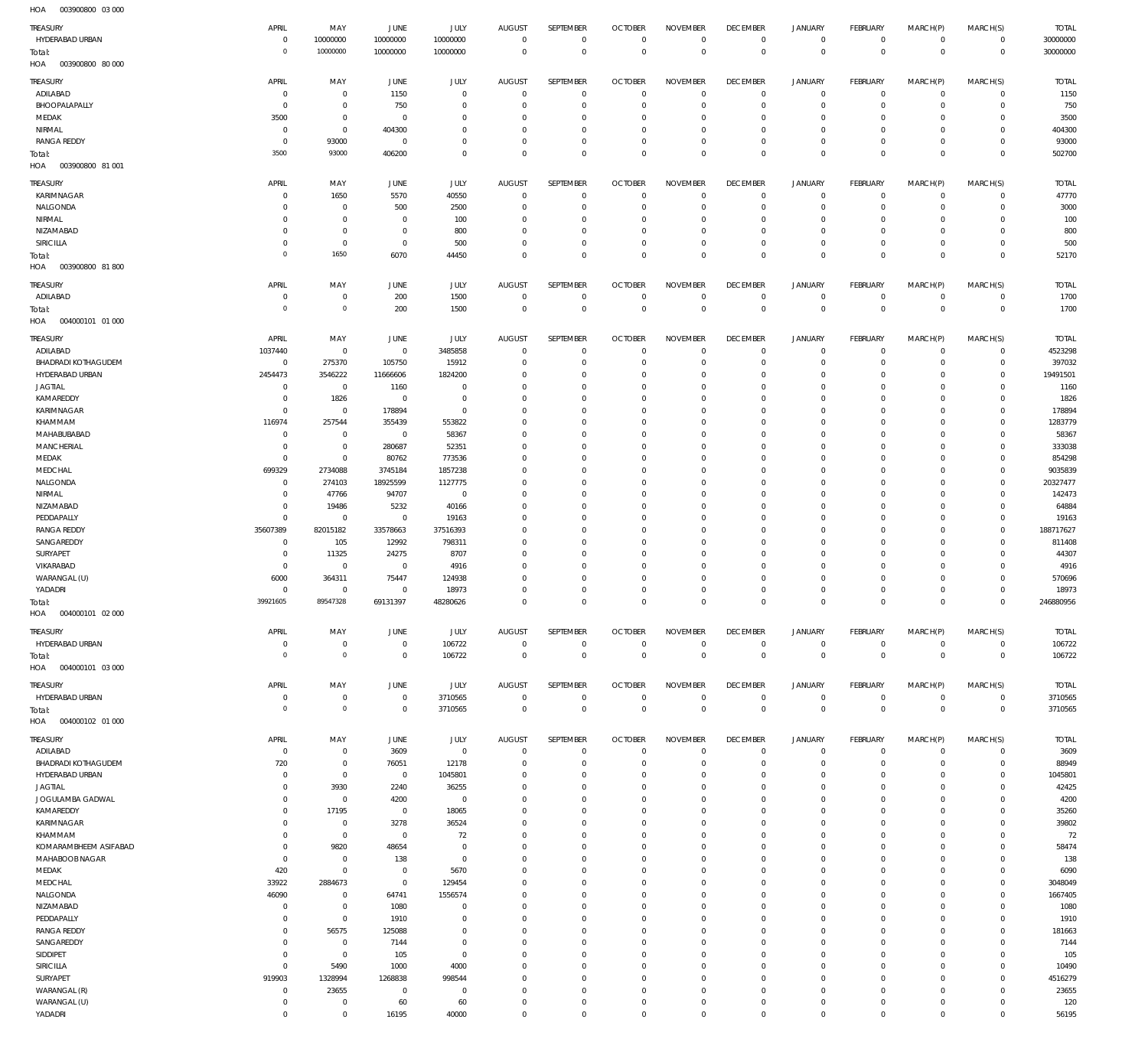003900800 03 000 HOA

| TREASURY                                   | APRIL                      | MAY                              | JUNE                       | JULY                          | <b>AUGUST</b>                    | SEPTEMBER                  | <b>OCTOBER</b>                   | <b>NOVEMBER</b>                  | <b>DECEMBER</b>                   | <b>JANUARY</b>                | <b>FEBRUARY</b>               | MARCH(P)                   | MARCH(S)                      | <b>TOTAL</b>            |
|--------------------------------------------|----------------------------|----------------------------------|----------------------------|-------------------------------|----------------------------------|----------------------------|----------------------------------|----------------------------------|-----------------------------------|-------------------------------|-------------------------------|----------------------------|-------------------------------|-------------------------|
| HYDERABAD URBAN                            | $\mathbf 0$<br>$\bf 0$     | 10000000<br>10000000             | 10000000<br>10000000       | 10000000<br>10000000          | $\mathbf 0$<br>$^{\circ}$        | $^{\circ}$<br>$\mathbf{0}$ | $^{\circ}$<br>$\Omega$           | $\mathbf 0$<br>$\mathbf 0$       | $\overline{0}$<br>$\mathbf{0}$    | $\mathbf 0$<br>$\mathbf 0$    | $\mathbf 0$<br>$\mathbf 0$    | $^{\circ}$<br>$\mathbf 0$  | $\mathbf 0$<br>$\mathbf{0}$   | 30000000<br>30000000    |
| Total:<br>HOA<br>003900800 80 000          |                            |                                  |                            |                               |                                  |                            |                                  |                                  |                                   |                               |                               |                            |                               |                         |
| TREASURY                                   | APRIL                      | MAY                              | <b>JUNE</b>                | JULY                          | <b>AUGUST</b>                    | SEPTEMBER                  | <b>OCTOBER</b>                   | <b>NOVEMBER</b>                  | <b>DECEMBER</b>                   | <b>JANUARY</b>                | <b>FEBRUARY</b>               | MARCH(P)                   | MARCH(S)                      | <b>TOTAL</b>            |
| ADILABAD<br>BHOOPALAPALLY                  | $\mathbf 0$                | $\overline{0}$                   | 1150                       | $\overline{0}$                | $^{\circ}$                       | $^{\circ}$<br>$\mathbf{0}$ | $\Omega$<br>$\Omega$             | $\mathbf 0$                      | $^{\circ}$                        | $\mathbf 0$                   | $^{\circ}$                    | $^{\circ}$                 | $\mathbf 0$<br>$\mathbf 0$    | 1150                    |
| MEDAK                                      | $\mathbf 0$<br>3500        | $\overline{0}$<br>$\overline{0}$ | 750<br>$^{\circ}$          | $^{\circ}$<br>$\mathbf 0$     | $^{\circ}$<br>0                  | $^{\circ}$                 | $\Omega$                         | $\mathbf 0$<br>$\mathbf 0$       | $^{\circ}$<br>$\overline{0}$      | $\mathbf 0$<br>$\mathbf 0$    | $^{\circ}$<br>$^{\circ}$      | $\mathbf 0$<br>$^{\circ}$  | $\mathbf 0$                   | 750<br>3500             |
| NIRMAL                                     | $\mathbf 0$                | $\overline{0}$                   | 404300                     | $\Omega$                      | $\Omega$                         | $^{\circ}$                 | $\Omega$                         | $\overline{0}$                   | $^{\circ}$                        | $\mathbf 0$                   | $^{\circ}$                    | $^{\circ}$                 | $^{\circ}$                    | 404300                  |
| <b>RANGA REDDY</b>                         | $^{\circ}$<br>3500         | 93000<br>93000                   | $^{\circ}$                 | $^{\circ}$<br>$\mathbf 0$     | $^{\circ}$<br>$\Omega$           | $^{\circ}$<br>$\Omega$     | $\Omega$<br>$\Omega$             | $\overline{0}$<br>$\mathbf 0$    | $^{\circ}$<br>$^{\circ}$          | $\mathbf 0$<br>$\mathbf 0$    | $^{\circ}$<br>$^{\circ}$      | $\mathbf 0$<br>$\mathbf 0$ | $\mathbf 0$<br>$\mathbf 0$    | 93000<br>502700         |
| Total:<br>003900800 81 001<br>HOA          |                            |                                  | 406200                     |                               |                                  |                            |                                  |                                  |                                   |                               |                               |                            |                               |                         |
| TREASURY                                   | APRIL                      | MAY                              | JUNE                       | JULY                          | <b>AUGUST</b>                    | SEPTEMBER                  | <b>OCTOBER</b>                   | <b>NOVEMBER</b>                  | <b>DECEMBER</b>                   | <b>JANUARY</b>                | FEBRUARY                      | MARCH(P)                   | MARCH(S)                      | <b>TOTAL</b>            |
| KARIMNAGAR                                 | 0                          | 1650                             | 5570                       | 40550                         | $^{\circ}$                       | $^{\circ}$                 | $\Omega$                         | $^{\circ}$                       | $^{\circ}$                        | $^{\circ}$                    | $^{\circ}$                    | $^{\circ}$                 | $\mathbf 0$                   | 47770                   |
| NALGONDA<br>NIRMAL                         | 0                          | $\overline{0}$<br>$\mathbf{0}$   | 500<br>$\mathbf 0$         | 2500                          | $^{\circ}$                       | $^{\circ}$<br>$^{\circ}$   | $\Omega$<br>$\Omega$             | $^{\circ}$<br>$\Omega$           | $\overline{0}$                    | $^{\circ}$<br>$^{\circ}$      | $^{\circ}$<br>$^{\circ}$      | $^{\circ}$<br>$^{\circ}$   | $\mathbf 0$<br>$\mathbf 0$    | 3000                    |
| NIZAMABAD                                  | 0<br>$\mathbf 0$           | $\overline{0}$                   | $\mathbf 0$                | 100<br>800                    | 0<br>$^{\circ}$                  | $^{\circ}$                 | $\Omega$                         | $\mathbf 0$                      | 0<br>$^{\circ}$                   | $\mathbf 0$                   | $^{\circ}$                    | $^{\circ}$                 | $\mathbf 0$                   | 100<br>800              |
| <b>SIRICILLA</b>                           | 0                          | $\overline{0}$                   | $\mathbf 0$                | 500                           | $\mathbf 0$                      | $^{\circ}$                 | $\Omega$                         | $\mathbf 0$                      | $^{\circ}$                        | $\mathbf 0$                   | $^{\circ}$                    | $^{\circ}$                 | $\mathbf 0$                   | 500                     |
| Total:<br>003900800 81800<br>HOA           | $\bf 0$                    | 1650                             | 6070                       | 44450                         | $\Omega$                         | $\Omega$                   | $\Omega$                         | $\mathbf 0$                      | $^{\circ}$                        | $\mathbb O$                   | $\mathbf 0$                   | $\mathbf 0$                | $\mathbf 0$                   | 52170                   |
| <b>TREASURY</b>                            | APRIL                      | MAY                              | <b>JUNE</b>                | JULY                          | <b>AUGUST</b>                    | SEPTEMBER                  | <b>OCTOBER</b>                   | <b>NOVEMBER</b>                  | <b>DECEMBER</b>                   | <b>JANUARY</b>                | FEBRUARY                      | MARCH(P)                   | MARCH(S)                      | <b>TOTAL</b>            |
| ADILABAD                                   | $\mathbf 0$                | $\overline{0}$                   | 200                        | 1500                          | $^{\circ}$                       | $^{\circ}$                 | $\Omega$                         | $\overline{0}$                   | $^{\circ}$                        | $\mathbf 0$                   | $^{\circ}$                    | $^{\circ}$                 | $\overline{0}$                | 1700                    |
| Total:<br>004000101 01 000                 | $\mathbf 0$                | $\mathbb O$                      | 200                        | 1500                          | $\overline{0}$                   | $\mathbf 0$                | $\overline{0}$                   | $\mathbb O$                      | $\mathbf 0$                       | $\mathbb O$                   | $\overline{0}$                | $\mathbf 0$                | $\overline{0}$                | 1700                    |
| HOA                                        |                            |                                  |                            |                               |                                  |                            |                                  |                                  |                                   |                               |                               |                            |                               |                         |
| TREASURY<br>ADILABAD                       | APRIL<br>1037440           | MAY<br>$\overline{0}$            | <b>JUNE</b><br>$\mathbf 0$ | <b>JULY</b><br>3485858        | <b>AUGUST</b><br>$^{\circ}$      | SEPTEMBER<br>$\circ$       | <b>OCTOBER</b><br>$\Omega$       | <b>NOVEMBER</b><br>$^{\circ}$    | <b>DECEMBER</b><br>$^{\circ}$     | <b>JANUARY</b><br>$\mathbf 0$ | <b>FEBRUARY</b><br>$^{\circ}$ | MARCH(P)<br>0              | MARCH(S)<br>$\mathbf 0$       | <b>TOTAL</b><br>4523298 |
| <b>BHADRADI KOTHAGUDEM</b>                 | $\mathbf 0$                | 275370                           | 105750                     | 15912                         | $\mathbf 0$                      | $^{\circ}$                 | $\Omega$                         | $\Omega$                         | $\overline{0}$                    | $\mathbf 0$                   | $^{\circ}$                    | $^{\circ}$                 | $\mathbf 0$                   | 397032                  |
| HYDERABAD URBAN                            | 2454473                    | 3546222                          | 11666606                   | 1824200                       | 0                                | $\circ$<br>$\Omega$        | - 0                              | $\mathbf 0$<br>$\Omega$          | 0                                 | $\mathbf 0$                   | 0                             | $^{\circ}$<br>$\Omega$     | $\mathbf 0$                   | 19491501                |
| <b>JAGTIAL</b><br>KAMAREDDY                | $\mathbf 0$<br>$\mathbf 0$ | $\overline{0}$<br>1826           | 1160<br>$\mathbf 0$        | $^{\circ}$<br>$\overline{0}$  | $\Omega$<br>$\mathbf 0$          | $^{\circ}$                 | $\Omega$<br>$\Omega$             | $\mathbf 0$                      | 0<br>$\circ$                      | $\mathbf 0$<br>$\mathbf 0$    | $^{\circ}$<br>0               | $^{\circ}$                 | $\mathbf 0$<br>$\mathbf 0$    | 1160<br>1826            |
| KARIMNAGAR                                 | $\mathbf 0$                | $\overline{0}$                   | 178894                     | $\mathbf 0$                   | $\Omega$                         | $\Omega$                   |                                  | $\Omega$                         | $\Omega$                          | $\mathbf 0$                   | $^{\circ}$                    | $\Omega$                   | $\Omega$                      | 178894                  |
| KHAMMAM<br>MAHABUBABAD                     | 116974<br>$\mathbf 0$      | 257544<br>$\mathbf 0$            | 355439<br>$^{\circ}$       | 553822<br>58367               | $\mathbf 0$<br>$\Omega$          | $^{\circ}$<br>$\Omega$     | $\Omega$                         | $\overline{0}$<br>$\Omega$       | $\circ$<br>$\Omega$               | $\mathbf 0$<br>$\mathbf 0$    | 0<br>$^{\circ}$               | $^{\circ}$<br>$\Omega$     | $\mathbf 0$<br>$\Omega$       | 1283779                 |
| MANCHERIAL                                 | $\mathbf 0$                | $\overline{0}$                   | 280687                     | 52351                         | $\mathbf 0$                      | $^{\circ}$                 | $\Omega$                         | $\mathbf 0$                      | $\circ$                           | $\mathbf 0$                   | 0                             | $^{\circ}$                 | $\mathbf 0$                   | 58367<br>333038         |
| MEDAK                                      | $\mathbf 0$                | $\overline{0}$                   | 80762                      | 773536                        | $\Omega$                         | $\Omega$                   |                                  | $\Omega$                         | C                                 | $^{\circ}$                    | $^{\circ}$                    | $\Omega$                   | $\mathbf 0$                   | 854298                  |
| MEDCHAL<br>NALGONDA                        | 699329<br>$\mathbf 0$      | 2734088<br>274103                | 3745184<br>18925599        | 1857238<br>1127775            | $^{\circ}$<br>$\Omega$           | $^{\circ}$<br>$\Omega$     | $\Omega$                         | $\overline{0}$<br>$\Omega$       | $\circ$<br>$\Omega$               | $^{\circ}$<br>$^{\circ}$      | $^{\circ}$<br>$^{\circ}$      | $^{\circ}$<br>$\Omega$     | $\mathbf 0$<br>$\Omega$       | 9035839<br>20327477     |
| NIRMAL                                     | $\mathbf 0$                | 47766                            | 94707                      | $\overline{0}$                | $^{\circ}$                       | $\Omega$                   | $\Omega$                         | $\overline{0}$                   | $\circ$                           | $^{\circ}$                    | 0                             | $^{\circ}$                 | $\mathbf 0$                   | 142473                  |
| NIZAMABAD                                  | $\mathbf 0$                | 19486                            | 5232                       | 40166                         | $\Omega$                         | $\Omega$                   |                                  | $\Omega$                         | $\Omega$                          | $^{\circ}$                    | $^{\circ}$                    | $\Omega$                   | $\mathbf 0$                   | 64884                   |
| PEDDAPALLY<br><b>RANGA REDDY</b>           | $\mathbf 0$<br>35607389    | $\overline{0}$<br>82015182       | $\mathbf 0$<br>33578663    | 19163<br>37516393             | $^{\circ}$<br>$\Omega$           | $\Omega$<br>$\Omega$       | $\Omega$<br>$\Omega$             | $\mathbf 0$<br>$\Omega$          | 0<br>0                            | $^{\circ}$<br>$^{\circ}$      | $^{\circ}$<br>$^{\circ}$      | $\Omega$<br>0              | $\mathbf 0$<br>$\mathbf 0$    | 19163<br>188717627      |
| SANGAREDDY                                 | $\mathbf 0$                | 105                              | 12992                      | 798311                        | $^{\circ}$                       | $\Omega$                   |                                  | $\Omega$                         | 0                                 | $^{\circ}$                    | 0                             | $\Omega$                   | $\mathbf 0$                   | 811408                  |
| SURYAPET                                   | $\mathbf 0$                | 11325                            | 24275                      | 8707                          | $^{\circ}$                       | $\Omega$                   | $\Omega$                         | $^{\circ}$                       | $\Omega$                          | $^{\circ}$                    | $^{\circ}$                    | 0                          | $\mathbf 0$                   | 44307                   |
| VIKARABAD<br>WARANGAL (U)                  | $\mathbf 0$<br>6000        | $\overline{0}$<br>364311         | $\mathbf{0}$<br>75447      | 4916<br>124938                | $\mathbf 0$<br>$\Omega$          | $\Omega$<br>$^{\circ}$     | $\Omega$                         | $\Omega$<br>$\mathbf 0$          | 0<br>0                            | $\mathbf 0$<br>$\mathbf 0$    | 0<br>0                        | $\Omega$<br>$^{\circ}$     | $\mathbf 0$<br>$\mathbf 0$    | 4916<br>570696          |
| YADADRI                                    | $\mathbf 0$                | $^{\circ}$                       | $\mathbf 0$                | 18973                         | $\Omega$                         | $\Omega$                   |                                  | $\Omega$                         | $\Omega$                          | $\mathbf 0$                   | 0                             | $\Omega$                   | $\mathbf 0$                   | 18973                   |
| Total:                                     | 39921605                   | 89547328                         | 69131397                   | 48280626                      | $\Omega$                         | $\mathbf 0$                | $\Omega$                         | $\overline{0}$                   | $\Omega$                          | $\mathbf 0$                   | $\mathbf 0$                   | $\mathbf 0$                | $\mathbf 0$                   | 246880956               |
| HOA<br>004000101 02 000<br><b>TREASURY</b> | APRIL                      | MAY                              | <b>JUNE</b>                | <b>JULY</b>                   | <b>AUGUST</b>                    | SEPTEMBER                  | <b>OCTOBER</b>                   | <b>NOVEMBER</b>                  | <b>DECEMBER</b>                   | <b>JANUARY</b>                | <b>FEBRUARY</b>               | MARCH(P)                   | MARCH(S)                      | <b>TOTAL</b>            |
| HYDERABAD URBAN                            | $\mathbf 0$                | $\overline{0}$                   | $\mathbf 0$                | 106722                        | $\overline{0}$                   | $^{\circ}$                 | $\Omega$                         | $\overline{0}$                   | $^{\circ}$                        | $\mathbf 0$                   | $^{\circ}$                    | $\mathbf 0$                | $\overline{0}$                | 106722                  |
| Total:                                     | $\mathbf 0$                | $\mathbb O$                      | $\mathbf 0$                | 106722                        | $\mathbf 0$                      | $\mathbf 0$                | $\overline{0}$                   | $\mathbf 0$                      | $\mathbf 0$                       | $\mathbb O$                   | $\mathbf 0$                   | $\mathbf 0$                | $\overline{0}$                | 106722                  |
| 004000101 03 000<br>HOA                    |                            |                                  |                            |                               |                                  |                            |                                  |                                  |                                   |                               |                               |                            |                               |                         |
| TREASURY<br>HYDERABAD URBAN                | APRIL<br>$\mathbf 0$       | MAY<br>$\overline{0}$            | JUNE<br>$\mathbf 0$        | JULY<br>3710565               | <b>AUGUST</b><br>$\overline{0}$  | SEPTEMBER<br>$^{\circ}$    | <b>OCTOBER</b><br>$\overline{0}$ | <b>NOVEMBER</b><br>$\mathbf 0$   | <b>DECEMBER</b><br>$\overline{0}$ | <b>JANUARY</b><br>$\mathbf 0$ | FEBRUARY<br>$^{\circ}$        | MARCH(P)<br>$\mathbf 0$    | MARCH(S)<br>$\mathbf 0$       | <b>TOTAL</b><br>3710565 |
| Total:                                     | $\bf 0$                    | $\mathbb O$                      | $\mathbf{0}$               | 3710565                       | $\mathbf 0$                      | $\overline{0}$             | $\overline{0}$                   | $\mathbf 0$                      | $\mathbf{0}$                      | $\mathbb O$                   | $\overline{0}$                | $\mathbf 0$                | $\mathbf{0}$                  | 3710565                 |
| 004000102 01 000<br>HOA                    |                            |                                  |                            |                               |                                  |                            |                                  |                                  |                                   |                               |                               |                            |                               |                         |
| <b>TREASURY</b>                            | APRIL                      | MAY                              | JUNE                       | JULY                          | <b>AUGUST</b>                    | SEPTEMBER                  | <b>OCTOBER</b>                   | <b>NOVEMBER</b>                  | <b>DECEMBER</b>                   | JANUARY                       | <b>FEBRUARY</b>               | MARCH(P)                   | MARCH(S)                      | <b>TOTAL</b>            |
| ADILABAD<br><b>BHADRADI KOTHAGUDEM</b>     | $\mathbf 0$<br>720         | $\overline{0}$<br>$\overline{0}$ | 3609<br>76051              | $\mathbf 0$<br>12178          | $\overline{0}$<br>$\overline{0}$ | $^{\circ}$<br>$^{\circ}$   | $\overline{0}$<br>$\Omega$       | $\overline{0}$<br>$^{\circ}$     | $^{\circ}$<br>$\overline{0}$      | $\mathbf 0$<br>$\mathbf 0$    | $^{\circ}$<br>$^{\circ}$      | $\mathbf 0$<br>$\mathbf 0$ | $\overline{0}$<br>$\mathbf 0$ | 3609<br>88949           |
| HYDERABAD URBAN                            | $^{\circ}$                 | $\overline{0}$                   | $\overline{0}$             | 1045801                       | $^{\circ}$                       | $^{\circ}$                 | $\Omega$                         | $\overline{0}$                   | $^{\circ}$                        | $\mathbf 0$                   | $^{\circ}$                    | $\mathbf 0$                | $\mathbf 0$                   | 1045801                 |
| <b>JAGTIAL</b>                             | $\mathbf 0$                | 3930                             | 2240                       | 36255                         | $\mathbf 0$                      | $^{\circ}$                 | $\Omega$                         | $\overline{0}$                   | $^{\circ}$                        | $\mathbf 0$                   | $^{\circ}$                    | $\mathbf 0$                | $^{\circ}$                    | 42425                   |
| JOGULAMBA GADWAL<br>KAMAREDDY              | $\mathbf 0$<br>$\mathbf 0$ | $\overline{0}$<br>17195          | 4200<br>$\overline{0}$     | $\overline{0}$<br>18065       | $^{\circ}$<br>$\mathbf 0$        | $^{\circ}$<br>$^{\circ}$   | $\Omega$<br>$\Omega$             | $\overline{0}$<br>$\overline{0}$ | $^{\circ}$<br>$^{\circ}$          | $\mathbf 0$<br>$\mathbf 0$    | $^{\circ}$<br>$^{\circ}$      | $\mathbf 0$<br>$\mathbf 0$ | $\mathbf 0$<br>$\mathbf 0$    | 4200<br>35260           |
| KARIMNAGAR                                 | $\mathbf 0$                | $\overline{0}$                   | 3278                       | 36524                         | $^{\circ}$                       | $^{\circ}$                 | $\Omega$                         | $\overline{0}$                   | $^{\circ}$                        | $\mathbf 0$                   | $^{\circ}$                    | $\mathbf 0$                | $\mathbf 0$                   | 39802                   |
| KHAMMAM                                    | $\mathbf 0$                | $\overline{0}$                   | $\mathbf 0$                | 72                            | $\mathbf 0$                      | $^{\circ}$                 | $\Omega$                         | $\overline{0}$                   | $^{\circ}$                        | $\circ$                       | $^{\circ}$                    | $\mathbf 0$                | $\mathbf 0$                   | 72                      |
| KOMARAMBHEEM ASIFABAD<br>MAHABOOB NAGAR    | $\mathbf 0$<br>$^{\circ}$  | 9820<br>$\overline{0}$           | 48654<br>138               | $\overline{0}$<br>$\mathbf 0$ | $^{\circ}$<br>$\mathbf 0$        | $^{\circ}$<br>$^{\circ}$   | $\Omega$<br>$\Omega$             | $\overline{0}$<br>$\overline{0}$ | $^{\circ}$<br>$^{\circ}$          | $\mathbf 0$<br>$\mathbf 0$    | $^{\circ}$<br>$^{\circ}$      | $\mathbf 0$<br>$\mathbf 0$ | $\mathbf 0$<br>$^{\circ}$     | 58474<br>138            |
| MEDAK                                      | 420                        | $\overline{0}$                   | $^{\circ}$                 | 5670                          | $^{\circ}$                       | $^{\circ}$                 | $\Omega$                         | $\overline{0}$                   | $^{\circ}$                        | $\mathbf 0$                   | $^{\circ}$                    | $\mathbf 0$                | $\mathbf 0$                   | 6090                    |
| MEDCHAL<br>NALGONDA                        | 33922<br>46090             | 2884673<br>$\overline{0}$        | $\mathbf{0}$<br>64741      | 129454<br>1556574             | $\mathbf 0$<br>$^{\circ}$        | $^{\circ}$<br>$^{\circ}$   | $\Omega$<br>$\Omega$             | $\overline{0}$<br>$\overline{0}$ | $^{\circ}$<br>$^{\circ}$          | $\circ$<br>$\mathbf 0$        | $^{\circ}$<br>$^{\circ}$      | $\mathbf 0$<br>$\mathbf 0$ | $\mathbf 0$<br>$\mathbf 0$    | 3048049<br>1667405      |
| NIZAMABAD                                  | $^{\circ}$                 | $\overline{0}$                   | 1080                       | $^{\circ}$                    | $\mathbf 0$                      | $^{\circ}$                 | $\Omega$                         | $\overline{0}$                   | $^{\circ}$                        | $\mathbf 0$                   | $^{\circ}$                    | $\mathbf 0$                | $\mathbf 0$                   | 1080                    |
| PEDDAPALLY                                 | $\mathbf 0$                | $\overline{0}$                   | 1910                       | $^{\circ}$                    | $^{\circ}$                       | $^{\circ}$                 | $\Omega$                         | $\overline{0}$                   | $^{\circ}$                        | $\mathbf 0$                   | $^{\circ}$                    | $\mathbf 0$                | $^{\circ}$                    | 1910                    |
| RANGA REDDY<br>SANGAREDDY                  | $\mathbf 0$<br>$\mathbf 0$ | 56575<br>$\overline{0}$          | 125088<br>7144             | $^{\circ}$<br>$\overline{0}$  | $^{\circ}$<br>$\mathbf 0$        | $^{\circ}$<br>$^{\circ}$   | $\Omega$<br>$\Omega$             | $\overline{0}$<br>$\overline{0}$ | $^{\circ}$<br>$^{\circ}$          | $\mathbf 0$<br>$\circ$        | $^{\circ}$<br>$^{\circ}$      | $\mathbf 0$<br>$\mathbf 0$ | $\mathbf 0$<br>$\mathbf 0$    | 181663<br>7144          |
| SIDDIPET                                   | $\mathbf 0$                | $\overline{0}$                   | 105                        | $\mathbf 0$                   | $\mathbf 0$                      | $^{\circ}$                 | $\Omega$                         | $\overline{0}$                   | $^{\circ}$                        | $\mathbf 0$                   | $^{\circ}$                    | $\mathbf 0$                | $\mathbf 0$                   | 105                     |
| SIRICILLA                                  | $\mathbf 0$                | 5490                             | 1000                       | 4000                          | $\mathbf 0$                      | $^{\circ}$                 | $\Omega$                         | $\overline{0}$                   | $^{\circ}$                        | $\circ$                       | $^{\circ}$                    | $\mathbf 0$                | $\mathbf 0$                   | 10490                   |
| SURYAPET<br>WARANGAL (R)                   | 919903<br>$\mathbf 0$      | 1328994<br>23655                 | 1268838<br>$^{\circ}$      | 998544<br>$\overline{0}$      | $\mathbf 0$<br>$\mathbf 0$       | $^{\circ}$<br>$^{\circ}$   | $\Omega$<br>$\Omega$             | $\overline{0}$<br>$\overline{0}$ | $^{\circ}$<br>$^{\circ}$          | $\mathbf 0$<br>$\circ$        | $^{\circ}$<br>$^{\circ}$      | $\mathbf 0$<br>$\mathbf 0$ | $\mathbf 0$<br>$\mathbf 0$    | 4516279<br>23655        |
| WARANGAL (U)                               | $\mathbf 0$                | $\overline{0}$                   | 60                         | 60                            | $\mathbf 0$                      | $^{\circ}$                 | $\Omega$                         | $\overline{0}$                   | $^{\circ}$                        | $\circ$                       | $^{\circ}$                    | $\mathbf 0$                | $\mathbf 0$                   | 120                     |
| YADADRI                                    | $\mathbf 0$                | $\overline{0}$                   | 16195                      | 40000                         | $\mathbf 0$                      | $\mathbb O$                | $^{\circ}$                       | $\mathbf 0$                      | $\overline{0}$                    | $\mathbf 0$                   | $\mathbf 0$                   | $\mathbf 0$                | $\mathbf 0$                   | 56195                   |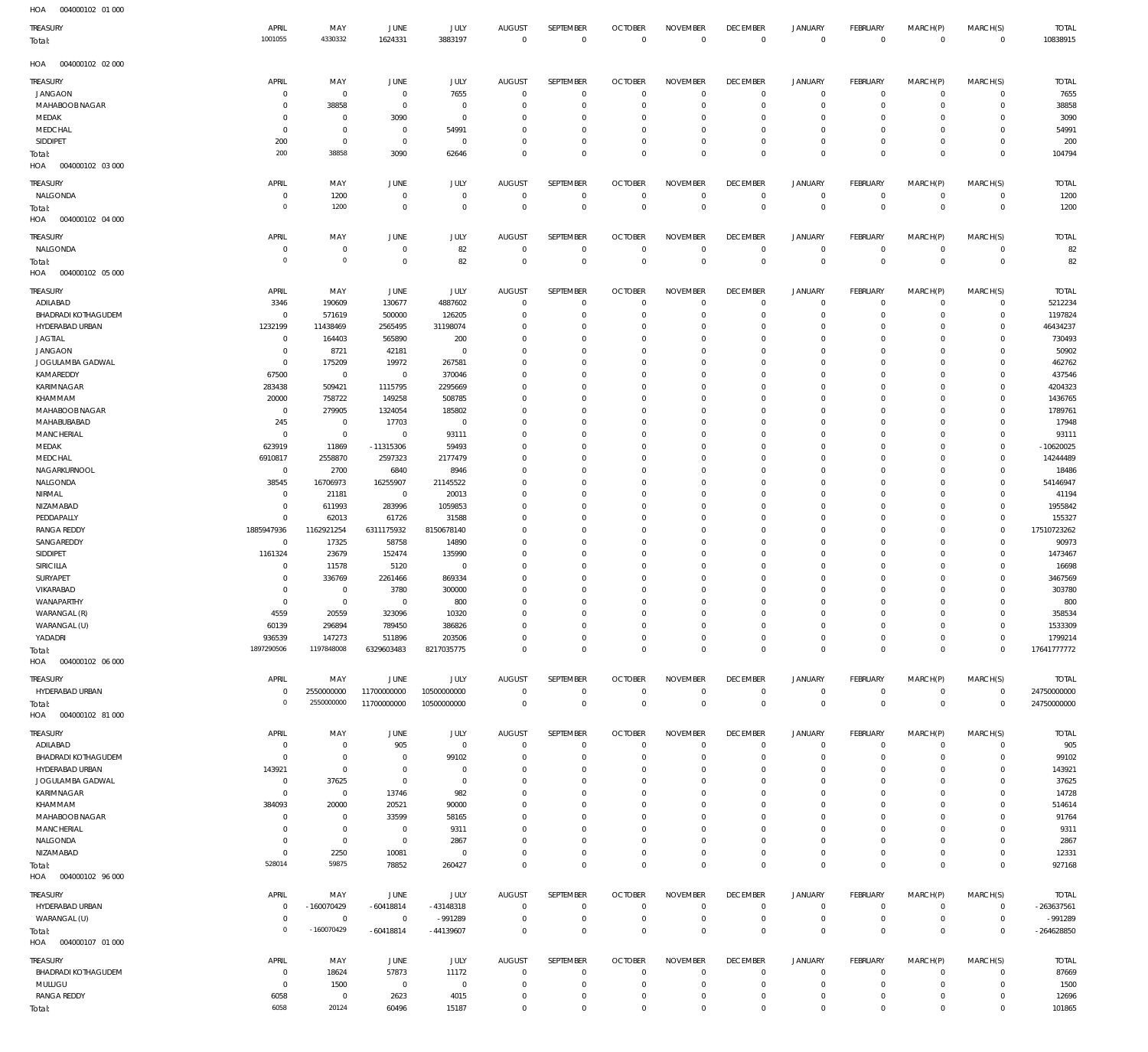| HOA<br>004000102 01 000           |                      |                              |                         |                |                         |                            |                         |                      |                                  |                            |                            |                      |                             |                      |
|-----------------------------------|----------------------|------------------------------|-------------------------|----------------|-------------------------|----------------------------|-------------------------|----------------------|----------------------------------|----------------------------|----------------------------|----------------------|-----------------------------|----------------------|
| TREASURY                          | APRIL                | MAY                          | JUNE                    | JULY           | <b>AUGUST</b>           | SEPTEMBER                  | <b>OCTOBER</b>          | <b>NOVEMBER</b>      | <b>DECEMBER</b>                  | <b>JANUARY</b>             | FEBRUARY                   | MARCH(P)             | MARCH(S)                    | <b>TOTAL</b>         |
| Total:                            | 1001055              | 4330332                      | 1624331                 | 3883197        | $\mathbf{0}$            | $\mathbf 0$                | $\mathbf 0$             | $\mathbf{0}$         | $\overline{0}$                   | $\mathbf 0$                | $\overline{0}$             | $\mathbf 0$          | $\overline{0}$              | 10838915             |
|                                   |                      |                              |                         |                |                         |                            |                         |                      |                                  |                            |                            |                      |                             |                      |
| 004000102 02 000<br>HOA           |                      |                              |                         |                |                         |                            |                         |                      |                                  |                            |                            |                      |                             |                      |
| TREASURY                          | APRIL                | MAY                          | JUNE                    | JULY           | <b>AUGUST</b>           | SEPTEMBER                  | <b>OCTOBER</b>          | <b>NOVEMBER</b>      | <b>DECEMBER</b>                  | <b>JANUARY</b>             | FEBRUARY                   | MARCH(P)             | MARCH(S)                    | <b>TOTAL</b>         |
| <b>JANGAON</b>                    | 0                    | 0                            | $\overline{0}$          | 7655           | $\overline{0}$          | 0                          | $\overline{0}$          | $\mathbf 0$          | $\overline{0}$                   | $\mathbf 0$                | $\circ$                    | 0                    | $\overline{0}$              | 7655                 |
| MAHABOOB NAGAR                    | 0                    | 38858                        | $\overline{0}$          | 0              | $\mathbf 0$             | $\mathbf 0$                | $\overline{0}$          | $\mathbf 0$          | $\overline{0}$                   | $\mathbf 0$                | $\overline{0}$             | $\mathbf 0$          | $\circ$                     | 38858                |
| MEDAK                             | 0                    | $\bf 0$                      | 3090                    | $\bf 0$        | $\mathbf 0$             | $\mathbf 0$                | $\mathbf 0$             | $\mathbf 0$          | $\overline{0}$                   | 0                          | $\circ$                    | $\mathbf 0$          | $\mathbf{0}$                | 3090                 |
| MEDCHAL                           | 0                    | $\bf 0$                      | $\overline{0}$          | 54991          | $\mathbf 0$             | $\mathbf 0$                | $\mathbf 0$             | $\mathbf 0$          | $\overline{0}$                   | $\mathbf 0$                | $\mathbf{0}$               | $\mathbf 0$          | $\mathbf{0}$                | 54991                |
| SIDDIPET                          | 200<br>200           | $\mathsf{O}\xspace$<br>38858 | $\overline{0}$          | 0              | $\mathbf 0$             | $\mathbf 0$                | $\overline{0}$          | $\mathbf 0$          | $\overline{0}$<br>$\overline{0}$ | $\mathbf 0$<br>$\mathbf 0$ | $\circ$<br>$\overline{0}$  | $\mathbf 0$          | $\circ$                     | 200                  |
| Total:<br>004000102 03 000<br>HOA |                      |                              | 3090                    | 62646          | $\mathbf 0$             | $\mathbf 0$                | $\overline{0}$          | $\mathbf 0$          |                                  |                            |                            | $\mathbf 0$          | $\overline{0}$              | 104794               |
|                                   |                      |                              |                         |                |                         |                            |                         |                      |                                  |                            |                            |                      |                             |                      |
| TREASURY                          | APRIL                | MAY                          | <b>JUNE</b>             | JULY           | <b>AUGUST</b>           | SEPTEMBER                  | <b>OCTOBER</b>          | <b>NOVEMBER</b>      | <b>DECEMBER</b>                  | <b>JANUARY</b>             | FEBRUARY                   | MARCH(P)             | MARCH(S)                    | <b>TOTAL</b>         |
| NALGONDA                          | $\mathbf 0$          | 1200                         | $\mathbf 0$             | $\mathbf 0$    | $\mathbf 0$             | $\mathbf 0$                | $\Omega$                | $\mathbf 0$          | $\overline{0}$                   | $\mathbf 0$                | $\overline{0}$             | $\mathbf 0$          | $\overline{0}$              | 1200                 |
| Total:                            | $\circ$              | 1200                         | $\mathbf 0$             | $\mathbf 0$    | $\mathbf 0$             | $\mathbf 0$                | $\overline{0}$          | $\mathbf 0$          | $\overline{0}$                   | $\mathbf 0$                | $\overline{0}$             | $\mathbf 0$          | $\overline{0}$              | 1200                 |
| 004000102 04 000<br>HOA           |                      |                              |                         |                |                         |                            |                         |                      |                                  |                            |                            |                      |                             |                      |
| TREASURY                          | APRIL                | MAY                          | <b>JUNE</b>             | JULY           | <b>AUGUST</b>           | SEPTEMBER                  | <b>OCTOBER</b>          | <b>NOVEMBER</b>      | <b>DECEMBER</b>                  | <b>JANUARY</b>             | FEBRUARY                   | MARCH(P)             | MARCH(S)                    | <b>TOTAL</b>         |
| NALGONDA                          | 0                    | $\mathbf 0$                  | $\overline{0}$          | 82             | $\mathbf 0$             | 0                          | $\overline{0}$          | $\mathbf 0$          | $\overline{0}$                   | $\mathbf 0$                | $\circ$                    | 0                    | $\overline{0}$              | 82                   |
| Total:                            | $\overline{0}$       | $\mathbf 0$                  | $\overline{0}$          | 82             | $\overline{0}$          | $\mathbf 0$                | $\overline{0}$          | $\overline{0}$       | $\overline{0}$                   | $\mathbf 0$                | $\overline{0}$             | $\mathbf 0$          | $\overline{0}$              | 82                   |
| HOA<br>004000102 05 000           |                      |                              |                         |                |                         |                            |                         |                      |                                  |                            |                            |                      |                             |                      |
| TREASURY                          | APRIL                | MAY                          | JUNE                    | JULY           | <b>AUGUST</b>           | SEPTEMBER                  | <b>OCTOBER</b>          | <b>NOVEMBER</b>      | <b>DECEMBER</b>                  | <b>JANUARY</b>             | FEBRUARY                   | MARCH(P)             | MARCH(S)                    | <b>TOTAL</b>         |
| ADILABAD                          | 3346                 | 190609                       | 130677                  | 4887602        | $\mathbf 0$             | $\mathbf 0$                | $\overline{0}$          | $\Omega$             | $\mathbf 0$                      | $\mathbf 0$                | $\mathbf{0}$               | $\mathbf 0$          | $\circ$                     | 5212234              |
| <b>BHADRADI KOTHAGUDEM</b>        | $\mathbf 0$          | 571619                       | 500000                  | 126205         | $\Omega$                | $\mathbf 0$                | $\overline{0}$          | $\Omega$             | $\mathbf 0$                      | $\mathbf 0$                | $\mathbf{0}$               | $\Omega$             | $\mathbf{0}$                | 1197824              |
| HYDERABAD URBAN                   | 1232199              | 11438469                     | 2565495                 | 31198074       | $\Omega$                | $\mathbf 0$                | $\mathbf 0$             | $\Omega$             | $\mathbf 0$                      | $\mathbf 0$                | $^{\circ}$                 | $\Omega$             | $\mathbf 0$                 | 46434237             |
| <b>JAGTIAL</b>                    | $\mathbf 0$          | 164403                       | 565890                  | 200            | $\Omega$                | $\mathbf 0$                | $\Omega$                | $\Omega$             | $\mathbf 0$                      | $\mathbf 0$                | $\mathbf 0$                | $\Omega$             | $\mathbf 0$                 | 730493               |
| <b>JANGAON</b>                    | $\mathbf 0$          | 8721                         | 42181                   | $\mathbf 0$    | $\Omega$                | $\mathbf 0$                | $\mathbf 0$             | $\Omega$             | $\mathbf 0$                      | $\mathbf 0$                | $\mathbf 0$                | $\Omega$             | $\mathbf 0$                 | 50902                |
| JOGULAMBA GADWAL                  | $\mathbf 0$          | 175209                       | 19972                   | 267581         | $\Omega$                | $\mathbf 0$                | $\mathbf 0$             | $\Omega$             | $\mathbf 0$                      | $\mathbf 0$                | $\mathbf 0$                | $\Omega$             | $\mathbf 0$                 | 462762               |
| KAMAREDDY                         | 67500                | $\mathbf{0}$                 | $\overline{0}$          | 370046         | $\Omega$                | $\mathbf 0$                | $\mathbf 0$             | $\Omega$             | $\mathbf 0$                      | $\mathbf 0$                | $\mathbf 0$                | $\Omega$             | $\mathbf 0$                 | 437546               |
| KARIMNAGAR                        | 283438               | 509421                       | 1115795                 | 2295669        | $\Omega$                | $\mathbf 0$                | $\mathbf 0$             | $\Omega$             | $\mathbf 0$                      | $\mathbf 0$                | $\mathbf 0$                | $\Omega$             | $\mathbf 0$                 | 4204323              |
| KHAMMAM                           | 20000                | 758722                       | 149258                  | 508785         | $\Omega$                | $\mathbf 0$                | $\mathbf 0$             | $\Omega$             | $\mathbf 0$                      | $\mathbf 0$                | $\mathbf 0$                | $\Omega$             | $\mathbf 0$                 | 1436765              |
| MAHABOOB NAGAR                    | $^{\circ}$           | 279905                       | 1324054                 | 185802         | $\Omega$                | $\mathbf 0$                | $\mathbf 0$             | $\Omega$             | $\mathbf 0$                      | $\mathbf 0$                | $^{\circ}$                 | $\Omega$             | $\mathbf 0$                 | 1789761              |
| MAHABUBABAD                       | 245                  | 0<br>$\mathbf{0}$            | 17703<br>$\overline{0}$ | $\mathbf 0$    | $\mathbf 0$<br>$\Omega$ | $\mathbf 0$<br>$\mathbf 0$ | $\mathbf 0$<br>$\Omega$ | $\Omega$<br>$\Omega$ | $\mathbf 0$<br>$\mathbf 0$       | $\mathbf 0$<br>$\mathbf 0$ | $\mathbf 0$                | $\Omega$<br>$\Omega$ | $\mathbf 0$<br>$\mathbf{0}$ | 17948                |
| MANCHERIAL<br>MEDAK               | $^{\circ}$<br>623919 | 11869                        | -11315306               | 93111<br>59493 | $\Omega$                | $\mathbf 0$                | $\mathbf 0$             | $\Omega$             | $\mathbf 0$                      | $\mathbf 0$                | $\mathbf 0$<br>$\mathbf 0$ | $\Omega$             | $\mathbf 0$                 | 93111<br>$-10620025$ |
| MEDCHAL                           | 6910817              | 2558870                      | 2597323                 | 2177479        | $\Omega$                | $\mathbf 0$                | $\Omega$                | $\Omega$             | $\mathbf 0$                      | $\mathbf 0$                | $\mathbf 0$                | $\Omega$             | $\mathbf 0$                 | 14244489             |
| NAGARKURNOOL                      | $\,0\,$              | 2700                         | 6840                    | 8946           | $\Omega$                | $\mathbf 0$                | $\mathbf 0$             | $\Omega$             | $\mathbf 0$                      | $\mathbf 0$                | $\mathbf 0$                | $\Omega$             | $\mathbf 0$                 | 18486                |
| NALGONDA                          | 38545                | 16706973                     | 16255907                | 21145522       | $\Omega$                | $\mathbf 0$                | $\Omega$                | $\Omega$             | $\mathbf 0$                      | $\mathbf 0$                | $\mathbf 0$                | $\Omega$             | $\mathbf 0$                 | 54146947             |
| NIRMAL                            | $\mathbf 0$          | 21181                        | $\overline{0}$          | 20013          | $\Omega$                | $\mathbf 0$                | $\mathbf 0$             | $\Omega$             | $\mathbf 0$                      | $\mathbf 0$                | $\mathbf 0$                | $\Omega$             | $\mathbf 0$                 | 41194                |
| NIZAMABAD                         | 0                    | 611993                       | 283996                  | 1059853        | $\Omega$                | $\mathbf 0$                | $\mathbf 0$             | $\mathbf 0$          | $\mathbf 0$                      | $\mathbf 0$                | $\mathbf 0$                | $\Omega$             | $\mathbf{0}$                | 1955842              |
| PEDDAPALLY                        | $\mathbf 0$          | 62013                        | 61726                   | 31588          | $\Omega$                | $\mathbf 0$                | $\mathbf 0$             | $\Omega$             | $\mathbf 0$                      | $\mathbf 0$                | $\mathbf 0$                | $\Omega$             | $\mathbf 0$                 | 155327               |
| <b>RANGA REDDY</b>                | 1885947936           | 1162921254                   | 6311175932              | 8150678140     | $\Omega$                | $\mathbf 0$                | $\mathbf 0$             | $\mathbf 0$          | $\mathbf 0$                      | $\mathbf 0$                | $^{\circ}$                 | $\Omega$             | $\mathbf{0}$                | 17510723262          |
| SANGAREDDY                        | $\mathbf 0$          | 17325                        | 58758                   | 14890          | $\mathbf 0$             | $\mathbf 0$                | $\mathbf 0$             | $\Omega$             | $\mathbf 0$                      | $\mathbf 0$                | $\mathbf 0$                | $\Omega$             | $\mathbf 0$                 | 90973                |
| SIDDIPET                          | 1161324              | 23679                        | 152474                  | 135990         | $\Omega$                | $\mathbf 0$                | $\mathbf 0$             | $\mathbf 0$          | $\mathbf 0$                      | $\mathbf 0$                | $\mathbf 0$                | $\Omega$             | $\mathbf 0$                 | 1473467              |
| SIRICILLA                         | $\mathbf 0$          | 11578                        | 5120                    | $\mathbf 0$    | $\mathbf 0$             | $\mathbf 0$                | $\mathbf 0$             | $\Omega$             | $\mathbf 0$                      | $\mathbf 0$                | $\mathbf 0$                | $\Omega$             | $\mathbf 0$                 | 16698                |
| SURYAPET                          | $\mathbf 0$          | 336769                       | 2261466                 | 869334         | $\Omega$                | $\Omega$                   | $\mathbf 0$             | $\Omega$             | $\mathbf 0$                      | $\mathbf 0$                | $\Omega$                   | $\Omega$             | $\mathbf 0$                 | 3467569              |
| VIKARABAD                         | $\mathbf 0$          | $\mathbf 0$                  | 3780                    | 300000         | $\Omega$                | $\Omega$                   | $\Omega$                | $\Omega$             | $\Omega$                         | $\mathbf 0$                | $\Omega$                   | $\Omega$             | $\mathbf{0}$                | 303780               |
| WANAPARTHY                        | $\Omega$             | $\mathbf 0$                  | $\bf 0$                 | 800            | 0                       | $\Omega$                   | $\Omega$                | $\Omega$             | $\Omega$                         | $\Omega$                   | $\Omega$                   | $\Omega$             | $\circ$                     | 800                  |
| WARANGAL (R)                      | 4559                 | 20559                        | 323096                  | 10320          | $\mathbf 0$             | $\mathbf 0$                | $\overline{0}$          | $\Omega$             | $\mathbf 0$                      | $\mathbf 0$                | $\mathbf{0}$               | $\mathbf 0$          | $\mathbf 0$                 | 358534               |
| WARANGAL (U)                      | 60139                | 296894                       | 789450                  | 386826         | $\Omega$                | $\mathbf 0$                | $\mathbf 0$             | $\mathbf 0$          | $\mathbf 0$                      | $\mathbf 0$                | $\mathbf{0}$               | $\mathbf 0$          | $\mathbf 0$                 | 1533309              |
| YADADRI                           | 936539               | 147273                       | 511896                  | 203506         | $\mathbf 0$             | $\mathbf 0$                | 0                       | $\mathbf 0$          | $\mathbf 0$                      | $\mathbf 0$                | $\circ$                    | $\mathbf 0$          | $\mathbf{0}$                | 1799214              |
| Total:                            | 1897290506           | 1197848008                   | 6329603483              | 8217035775     | $\Omega$                | $\mathbf 0$                | $\overline{0}$          | $\mathbf 0$          | $\overline{0}$                   | $\mathbf 0$                | $\overline{0}$             | $\mathbf 0$          | $\overline{0}$              | 17641777772          |
| HOA<br>004000102 06 000           |                      |                              |                         |                |                         |                            |                         |                      |                                  |                            |                            |                      |                             |                      |
| TREASURY                          | APRIL                | MAY                          | JUNE                    | JULY           | <b>AUGUST</b>           | SEPTEMBER                  | <b>OCTOBER</b>          | <b>NOVEMBER</b>      | <b>DECEMBER</b>                  | <b>JANUARY</b>             | FEBRUARY                   | MARCH(P)             | MARCH(S)                    | <b>TOTAL</b>         |
| HYDERABAD URBAN                   | 0                    | 2550000000                   | 11700000000             | 10500000000    | $\overline{0}$          | $\mathbf 0$                | $\overline{0}$          | $\overline{0}$       | $\overline{0}$                   | $\circ$                    | $\overline{0}$             | $\circ$              | $\overline{0}$              | 24750000000          |
| Total:                            | $\mathbf 0$          | 2550000000                   | 11700000000             | 10500000000    | $\overline{0}$          | $\bf 0$                    | $\overline{0}$          | $\overline{0}$       | $\overline{0}$                   | $\mathbf 0$                | $\overline{0}$             | $\mathbf 0$          | $\overline{0}$              | 24750000000          |
| HOA<br>004000102 81 000           |                      |                              |                         |                |                         |                            |                         |                      |                                  |                            |                            |                      |                             |                      |
| TREASURY                          | APRIL                | MAY                          | <b>JUNE</b>             | JULY           | <b>AUGUST</b>           | <b>SEPTEMBER</b>           | <b>OCTOBER</b>          | <b>NOVEMBER</b>      | <b>DECEMBER</b>                  | <b>JANUARY</b>             | FEBRUARY                   | MARCH(P)             | MARCH(S)                    | <b>TOTAL</b>         |
| ADILABAD                          | $\overline{0}$       | $\bf 0$                      | 905                     | $\bf 0$        | $\mathbf 0$             | $\mathbf 0$                | $\overline{0}$          | $\mathbf 0$          | $\overline{0}$                   | $\mathbf 0$                | $\overline{0}$             | $\mathbf 0$          | $\overline{0}$              | 905                  |
| BHADRADI KOTHAGUDEM               | $\mathbf 0$          | $\bf 0$                      | $\mathbf 0$             | 99102          | $\mathbf 0$             | $\mathbf 0$                | $\overline{0}$          | $\Omega$             | $\mathbf 0$                      | $\mathbf 0$                | $\circ$                    | $\mathbf 0$          | $\mathbf{0}$                | 99102                |
| HYDERABAD URBAN                   | 143921               | $\mathbf 0$                  | $\mathbf 0$             | $\mathbf 0$    | $\mathbf 0$             | $\mathbf 0$                | $\mathbf 0$             | $\mathbf 0$          | $\mathbf 0$                      | $\mathbf 0$                | $^{\circ}$                 | $\mathbf 0$          | $\mathbf{0}$                | 143921               |
| JOGULAMBA GADWAL                  | $\mathbf 0$          | 37625                        | $\mathbf 0$             | $\mathbf 0$    | $\mathbf 0$             | $\mathbf 0$                | $\mathbf 0$             | $\Omega$             | $\mathbf 0$                      | $\mathbf 0$                | $\mathbf 0$                | $\Omega$             | $\mathbf 0$                 | 37625                |
| KARIMNAGAR                        | $\mathbf 0$          | $\bf 0$                      | 13746                   | 982            | $\Omega$                | $\mathbf 0$                | $\mathbf 0$             | $\mathbf 0$          | $\mathbf 0$                      | $\mathbf 0$                | $\mathbf 0$                | $\Omega$             | $\mathbf{0}$                | 14728                |
| KHAMMAM                           | 384093               | 20000                        | 20521                   | 90000          | $\Omega$                | $\mathbf 0$                | $\mathbf 0$             | $\Omega$             | $\mathbf 0$                      | $\mathbf 0$                | $\mathbf 0$                | $\Omega$             | $\mathbf 0$                 | 514614               |
| MAHABOOB NAGAR                    | $\mathbf 0$          | $\bf 0$                      | 33599                   | 58165          | $\Omega$                | $\Omega$                   | $\mathbf 0$             | $\Omega$             | $\mathbf 0$                      | $\mathbf 0$                | $\mathbf 0$                | $\Omega$             | $\mathbf 0$                 | 91764                |
| MANCHERIAL                        | $\mathbf 0$          | $\mathsf{O}\xspace$          | $\overline{0}$          | 9311           | $\mathbf 0$             | $\mathbf 0$                | $\mathbf 0$             | $\Omega$             | $\mathbf 0$                      | $\mathbf 0$                | $\mathbf 0$                | $\Omega$             | $\mathbf 0$                 | 9311                 |
| NALGONDA                          | $\mathbf 0$          | $\bf 0$                      | $\overline{0}$          | 2867           | $\Omega$                | $\mathbf 0$                | $\mathbf 0$             | $\mathbf 0$          | $\mathbf 0$                      | $\mathbf 0$                | $\mathbf 0$                | $\Omega$             | $\mathbf 0$                 | 2867                 |
| NIZAMABAD                         | $\mathbf 0$          | 2250                         | 10081                   | $\bf 0$        | $\mathbf 0$             | $\mathbf 0$                | $\mathbf 0$             | $\mathbf 0$          | $\overline{0}$                   | $\mathbf 0$                | $\circ$                    | $\mathbf 0$          | $\circ$                     | 12331                |
| Total:                            | 528014               | 59875                        | 78852                   | 260427         | $\mathbf 0$             | $\mathbf 0$                | $\overline{0}$          | $\mathbf 0$          | $\overline{0}$                   | $\mathbf 0$                | $\overline{0}$             | $\mathbf 0$          | $\overline{0}$              | 927168               |
| HOA<br>004000102 96 000           |                      |                              |                         |                |                         |                            |                         |                      |                                  |                            |                            |                      |                             |                      |
| TREASURY                          | APRIL                | MAY                          | JUNE                    | JULY           | <b>AUGUST</b>           | SEPTEMBER                  | <b>OCTOBER</b>          | <b>NOVEMBER</b>      | <b>DECEMBER</b>                  | <b>JANUARY</b>             | FEBRUARY                   | MARCH(P)             | MARCH(S)                    | <b>TOTAL</b>         |
| HYDERABAD URBAN                   | 0                    | $-160070429$                 | $-60418814$             | -43148318      | $\overline{0}$          | $\bf 0$                    | $\overline{0}$          | $\mathbf 0$          | $\overline{0}$                   | $\circ$                    | $\overline{0}$             | $\mathbf 0$          | $\overline{0}$              | -263637561           |
| WARANGAL (U)                      | $\mathbf 0$          | $\mathbf 0$                  | $\overline{0}$          | -991289        | $\overline{0}$          | $\bf 0$                    | $\overline{0}$          | $\mathbf 0$          | $\overline{0}$                   | $\mathbf 0$                | $\overline{0}$             | $\mathbf 0$          | $\overline{0}$              | $-991289$            |
| Total:                            | $\mathbf 0$          | $-160070429$                 | $-60418814$             | -44139607      | $\mathbf 0$             | $\bf 0$                    | $\overline{0}$          | $\mathbf 0$          | $\overline{0}$                   | $\mathbf 0$                | $\overline{0}$             | $\mathbf 0$          | $\overline{0}$              | $-264628850$         |
| HOA<br>004000107 01 000           |                      |                              |                         |                |                         |                            |                         |                      |                                  |                            |                            |                      |                             |                      |
| TREASURY                          | APRIL                | MAY                          | JUNE                    | <b>JULY</b>    | <b>AUGUST</b>           | SEPTEMBER                  | <b>OCTOBER</b>          | <b>NOVEMBER</b>      | <b>DECEMBER</b>                  | <b>JANUARY</b>             | FEBRUARY                   | MARCH(P)             | MARCH(S)                    | <b>TOTAL</b>         |
| BHADRADI KOTHAGUDEM               | $\mathbf 0$          | 18624                        | 57873                   | 11172          | $\mathbf 0$             | $\mathbf 0$                | $\overline{0}$          | $\Omega$             | $\overline{0}$                   | $\mathbf 0$                | $\mathbf{0}$               | $\mathbf 0$          | $\circ$                     | 87669                |
| MULUGU                            | $\mathbf 0$          | 1500                         | $\overline{0}$          | $\bf 0$        | $\mathbf 0$             | $\bf 0$                    | $\overline{0}$          | $\mathbf 0$          | $\overline{0}$                   | $\mathbf 0$                | $\overline{0}$             | $\mathbf 0$          | $\circ$                     | 1500                 |
| <b>RANGA REDDY</b>                | 6058                 | $\bf 0$                      | 2623                    | 4015           | 0                       | $\bf 0$                    | $\mathbf 0$             | $\mathbf 0$          | $\overline{0}$                   | $\mathbf 0$                | $\circ$                    | $\mathbf 0$          | $\circ$                     | 12696                |
| Total:                            | 6058                 | 20124                        | 60496                   | 15187          | $\mathbf 0$             | $\mathbf 0$                | $\mathbf 0$             | $\mathbf 0$          | $\mathbf 0$                      | $\mathbf 0$                | $\mathbf 0$                | $\mathbf 0$          | $\mathbf 0$                 | 101865               |
|                                   |                      |                              |                         |                |                         |                            |                         |                      |                                  |                            |                            |                      |                             |                      |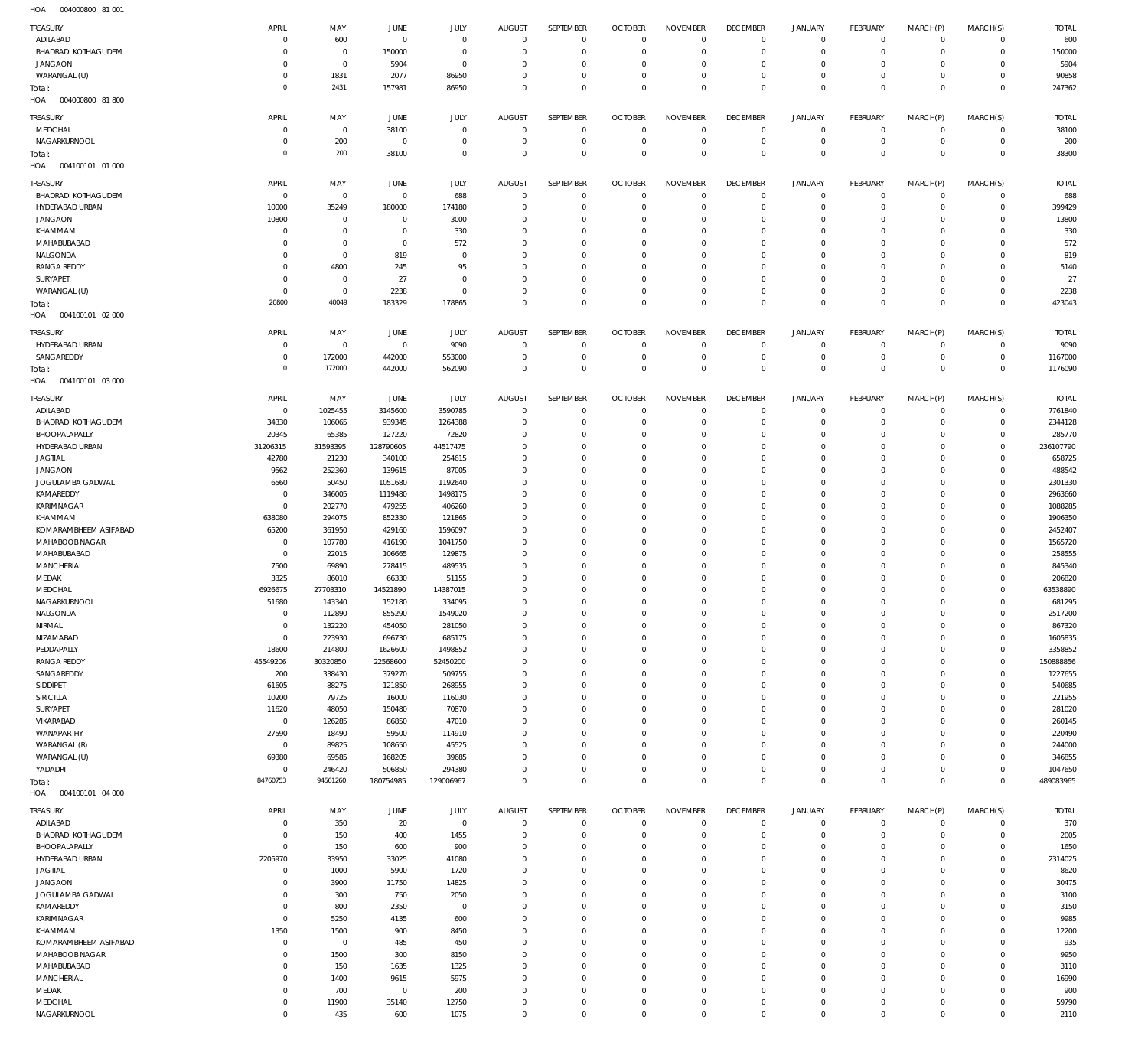004000800 81 001 HOA

| TREASURY                   |                |                |             |                |                         |              |                |                 |                 |                     |                 |             |                |              |
|----------------------------|----------------|----------------|-------------|----------------|-------------------------|--------------|----------------|-----------------|-----------------|---------------------|-----------------|-------------|----------------|--------------|
|                            | APRIL          | MAY            | JUNE        | JULY           | <b>AUGUST</b>           | SEPTEMBER    | <b>OCTOBER</b> | <b>NOVEMBER</b> | <b>DECEMBER</b> | <b>JANUARY</b>      | <b>FEBRUARY</b> | MARCH(P)    | MARCH(S)       | <b>TOTAL</b> |
| ADILABAD                   | $\Omega$       | 600            | $^{\circ}$  | $\mathbf 0$    | $^{\circ}$              | $\mathbf{0}$ | $\overline{0}$ | $\mathbf 0$     | $\mathbf 0$     | $\mathbf 0$         | $\mathbf 0$     | $\mathbf 0$ | $\mathbf{0}$   | 600          |
| <b>BHADRADI KOTHAGUDEM</b> | $\Omega$       | $\overline{0}$ | 150000      | $\mathbf 0$    | $\mathbf 0$             | $\mathbf 0$  | 0              | $\mathbf 0$     | $^{\circ}$      | $\mathbf 0$         | $\mathbf 0$     | $\mathbf 0$ | $\mathbf{0}$   | 150000       |
| <b>JANGAON</b>             | $\Omega$       | $\mathbf 0$    | 5904        | $\mathbf 0$    | $\Omega$                | $^{\circ}$   | 0              | $\mathbf 0$     | $^{\circ}$      | $\mathbf 0$         | $\mathbf 0$     | $\Omega$    | $\mathbf 0$    | 5904         |
| WARANGAL (U)               | $\Omega$       | 1831           | 2077        | 86950          | $\Omega$                | $\mathbf 0$  | $\overline{0}$ | $\mathbf 0$     | $\mathbf 0$     | $\mathbf 0$         | $\mathbf 0$     | $\mathbf 0$ | $\mathbf{0}$   | 90858        |
| Total:                     | $\Omega$       | 2431           | 157981      | 86950          | $\Omega$                | $\mathbf 0$  | $\Omega$       | $\mathbf 0$     | $\mathbf 0$     | $\mathbf 0$         | $\mathbf 0$     | $\mathbf 0$ | $\overline{0}$ | 247362       |
| HOA<br>004000800 81800     |                |                |             |                |                         |              |                |                 |                 |                     |                 |             |                |              |
|                            |                |                |             |                |                         |              |                |                 |                 |                     |                 |             |                |              |
| TREASURY                   | APRIL          | MAY            | JUNE        | <b>JULY</b>    | <b>AUGUST</b>           | SEPTEMBER    | <b>OCTOBER</b> | <b>NOVEMBER</b> | <b>DECEMBER</b> | <b>JANUARY</b>      | <b>FEBRUARY</b> | MARCH(P)    | MARCH(S)       | <b>TOTAL</b> |
| MEDCHAL                    | $\Omega$       | $\overline{0}$ | 38100       | $^{\circ}$     | $^{\circ}$              | $\mathbf{0}$ | $\overline{0}$ | $^{\circ}$      | $\mathbf 0$     | $^{\circ}$          | $^{\circ}$      | $\mathbf 0$ | $^{\circ}$     | 38100        |
| NAGARKURNOOL               | $\Omega$       | 200            | $^{\circ}$  | $\overline{0}$ | $\mathbf 0$             | $\mathbf 0$  | 0              | $\mathbf 0$     | $^{\circ}$      | $\mathbf 0$         | $\mathbf 0$     | $\mathbf 0$ | $\mathbf 0$    | 200          |
| Total:                     | $\Omega$       | 200            | 38100       | $\mathbf 0$    | $\Omega$                | $\mathbf 0$  | $^{\circ}$     | $\mathbf 0$     | $^{\circ}$      | $\mathbf 0$         | $\overline{0}$  | $\mathbf 0$ | $\overline{0}$ | 38300        |
| HOA<br>004100101 01 000    |                |                |             |                |                         |              |                |                 |                 |                     |                 |             |                |              |
|                            |                |                |             |                |                         |              |                |                 |                 |                     |                 |             |                |              |
| <b>TREASURY</b>            | APRIL          | MAY            | <b>JUNE</b> | <b>JULY</b>    | <b>AUGUST</b>           | SEPTEMBER    | <b>OCTOBER</b> | <b>NOVEMBER</b> | <b>DECEMBER</b> | <b>JANUARY</b>      | <b>FEBRUARY</b> | MARCH(P)    | MARCH(S)       | <b>TOTAL</b> |
| <b>BHADRADI KOTHAGUDEM</b> | $\circ$        | $\overline{0}$ | $^{\circ}$  | 688            | $\overline{0}$          | $\mathbf{0}$ | 0              | $^{\circ}$      | $^{\circ}$      | $\mathbf 0$         | $\mathbf 0$     | $\mathbf 0$ | $\mathbf{0}$   | 688          |
| HYDERABAD URBAN            | 10000          | 35249          | 180000      | 174180         | $\mathbf 0$             | $\mathbf 0$  | 0              | $^{\circ}$      | $^{\circ}$      | $\mathbf 0$         | $\mathbf 0$     | $\mathbf 0$ | $\mathbf{0}$   | 399429       |
| <b>JANGAON</b>             | 10800          | $\overline{0}$ | $^{\circ}$  | 3000           | $\Omega$                | $\mathbf{0}$ | 0              | $^{\circ}$      | $^{\circ}$      | $\mathbf 0$         | $\mathbf 0$     | $\mathbf 0$ | $\mathbf 0$    | 13800        |
| KHAMMAM                    | $\Omega$       | $\overline{0}$ | $^{\circ}$  | 330            | $\Omega$                | $\mathbf{0}$ | $\Omega$       | $\mathbf 0$     | $^{\circ}$      | $\mathbf 0$         | $\mathbf 0$     | $\Omega$    | $\mathbf 0$    | 330          |
| MAHABUBABAD                | $\Omega$       | $\overline{0}$ | $^{\circ}$  | 572            | $\Omega$                | $\mathbf{0}$ | - 0            | $\mathbf 0$     | $^{\circ}$      | $\mathbf 0$         | $\mathbf 0$     | $\Omega$    | $\mathbf 0$    | 572          |
| NALGONDA                   | $\Omega$       | $\mathbf 0$    | 819         | $^{\circ}$     | $\Omega$                | $^{\circ}$   | $\Omega$       | $^{\circ}$      | $^{\circ}$      | $\mathbf 0$         | $\mathbf 0$     | $\Omega$    | $\mathbf 0$    | 819          |
| <b>RANGA REDDY</b>         | $\Omega$       | 4800           | 245         | 95             | $\Omega$                | $\mathbf{0}$ | 0              | $\mathbf 0$     | $^{\circ}$      | $\mathbf 0$         | $\mathbf 0$     | $\Omega$    | $\mathbf 0$    | 5140         |
| SURYAPET                   | $\Omega$       | $\overline{0}$ | 27          | $^{\circ}$     | $\Omega$                | $^{\circ}$   | 0              | $^{\circ}$      | $^{\circ}$      | $\mathbf 0$         | $\mathbf 0$     | $\Omega$    | $\mathbf 0$    | 27           |
| WARANGAL (U)               | $\Omega$       | $\mathbf 0$    | 2238        | $\mathbf 0$    | $\Omega$                | $\mathbf{0}$ | 0              | $\mathbf 0$     | $^{\circ}$      | $\mathbf 0$         | $\mathbf 0$     | $\mathbf 0$ | $\mathbf 0$    | 2238         |
|                            | 20800          | 40049          | 183329      | 178865         | $\Omega$                | $\mathbb O$  | $\overline{0}$ | $\mathbf 0$     | $\mathbf 0$     | $\mathbf 0$         | $\mathbf 0$     | $\mathbf 0$ | $\overline{0}$ | 423043       |
| Total:<br>004100101 02 000 |                |                |             |                |                         |              |                |                 |                 |                     |                 |             |                |              |
| HOA                        |                |                |             |                |                         |              |                |                 |                 |                     |                 |             |                |              |
| TREASURY                   | APRIL          | MAY            | JUNE        | <b>JULY</b>    | <b>AUGUST</b>           | SEPTEMBER    | <b>OCTOBER</b> | <b>NOVEMBER</b> | <b>DECEMBER</b> | <b>JANUARY</b>      | <b>FEBRUARY</b> | MARCH(P)    | MARCH(S)       | <b>TOTAL</b> |
| HYDERABAD URBAN            | $\Omega$       | $\overline{0}$ | $^{\circ}$  | 9090           | $^{\circ}$              | $\mathbf{0}$ | $\overline{0}$ | $^{\circ}$      | $^{\circ}$      | $^{\circ}$          | $^{\circ}$      | $\mathbf 0$ | $\mathbf 0$    | 9090         |
| SANGAREDDY                 | $\Omega$       | 172000         | 442000      | 553000         | $\mathbf 0$             | $\mathbf{0}$ | $\overline{0}$ | $^{\circ}$      | $^{\circ}$      | $\mathbf 0$         | $\mathbf 0$     | $\mathbf 0$ | $\mathbf 0$    | 1167000      |
|                            | $\Omega$       | 172000         |             |                | $\Omega$                | $\mathbb O$  |                | $\mathbf 0$     | $\mathbf 0$     | $\mathbf 0$         | $\overline{0}$  | $\mathbf 0$ | $\mathbf 0$    |              |
| Total:                     |                |                | 442000      | 562090         |                         |              | $^{\circ}$     |                 |                 |                     |                 |             |                | 1176090      |
| HOA<br>004100101 03 000    |                |                |             |                |                         |              |                |                 |                 |                     |                 |             |                |              |
| <b>TREASURY</b>            | APRIL          | MAY            | JUNE        | <b>JULY</b>    | <b>AUGUST</b>           | SEPTEMBER    | <b>OCTOBER</b> | <b>NOVEMBER</b> | <b>DECEMBER</b> | <b>JANUARY</b>      | <b>FEBRUARY</b> | MARCH(P)    | MARCH(S)       | <b>TOTAL</b> |
| ADILABAD                   | $\overline{0}$ | 1025455        | 3145600     | 3590785        | $\overline{0}$          | $\mathbf{0}$ | 0              | $^{\circ}$      | $^{\circ}$      | $\mathbf 0$         | $^{\circ}$      | $\mathbf 0$ | $\mathbf{0}$   | 7761840      |
| <b>BHADRADI KOTHAGUDEM</b> | 34330          | 106065         | 939345      | 1264388        | $\mathbf 0$             | $\mathbf{0}$ | 0              | $^{\circ}$      | $^{\circ}$      | $\mathbf 0$         | $^{\circ}$      | $\mathbf 0$ | $\mathbf{0}$   | 2344128      |
| BHOOPALAPALLY              | 20345          | 65385          | 127220      | 72820          | $\Omega$                | $\mathbf{0}$ | 0              | $\mathbf 0$     | $^{\circ}$      | $\mathbf 0$         | $\mathbf 0$     | $\mathbf 0$ | $\mathbf 0$    | 285770       |
| HYDERABAD URBAN            |                | 31593395       | 128790605   | 44517475       | $\Omega$                | $^{\circ}$   | $\Omega$       | $^{\circ}$      | $^{\circ}$      | $\mathbf 0$         | $\mathbf 0$     | $\Omega$    | $\mathbf 0$    | 236107790    |
|                            | 31206315       |                |             |                |                         |              |                |                 |                 |                     |                 |             |                |              |
| <b>JAGTIAL</b>             | 42780          | 21230          | 340100      | 254615         | $\Omega$                | $\mathbf{0}$ | 0              | $\mathbf 0$     | $^{\circ}$      | $\mathbf 0$         | $\mathbf 0$     | $\Omega$    | $\mathbf 0$    | 658725       |
| <b>JANGAON</b>             | 9562           | 252360         | 139615      | 87005          | $\Omega$                | $^{\circ}$   | $\Omega$       | $^{\circ}$      | $^{\circ}$      | $\mathbf 0$         | $\mathbf 0$     | $\Omega$    | $\mathbf 0$    | 488542       |
| JOGULAMBA GADWAL           | 6560           | 50450          | 1051680     | 1192640        | $\Omega$                | $\mathbf{0}$ | 0              | $\mathbf 0$     | $^{\circ}$      | $\mathbf 0$         | $\mathbf 0$     | $\Omega$    | $\mathbf 0$    | 2301330      |
| KAMAREDDY                  | $^{\circ}$     | 346005         | 1119480     | 1498175        | $\Omega$                | $^{\circ}$   | 0              | $^{\circ}$      | $^{\circ}$      | $\mathbf 0$         | $\mathbf 0$     | $\Omega$    | $\circ$        | 2963660      |
| KARIMNAGAR                 | $^{\circ}$     | 202770         | 479255      | 406260         | $\Omega$                | $\mathbf{0}$ | 0              | $\mathbf 0$     | $^{\circ}$      | $\mathbf 0$         | $\mathbf 0$     | $\Omega$    | $\mathbf 0$    | 1088285      |
| KHAMMAM                    | 638080         | 294075         | 852330      | 121865         | 0                       | $\mathbf{0}$ | 0              | $\mathbf 0$     | $^{\circ}$      | $\mathbf 0$         | $\mathbf 0$     | $\Omega$    | $\mathbf 0$    | 1906350      |
| KOMARAMBHEEM ASIFABAD      | 65200          | 361950         | 429160      | 1596097        | $\Omega$                | $^{\circ}$   | 0              | $\mathbf 0$     | $^{\circ}$      | $\mathbf 0$         | $\mathbf 0$     | $\Omega$    | $\mathbf 0$    | 2452407      |
| MAHABOOB NAGAR             | $^{\circ}$     | 107780         | 416190      | 1041750        | $\Omega$                | $\mathbf{0}$ | 0              | $\mathbf 0$     | $^{\circ}$      | $\mathbf 0$         | $\mathbf 0$     | $\Omega$    | $\mathbf 0$    | 1565720      |
| MAHABUBABAD                | $^{\circ}$     | 22015          | 106665      | 129875         | $\Omega$                | $\mathbf 0$  | 0              | $\mathbf 0$     | $^{\circ}$      | $\mathbf 0$         | $\mathbf 0$     | $\Omega$    | $\mathbf 0$    | 258555       |
|                            |                |                |             |                |                         |              |                |                 |                 |                     |                 |             |                |              |
|                            |                |                |             |                |                         |              |                |                 |                 |                     |                 |             |                |              |
| <b>MANCHERIAL</b>          | 7500           | 69890          | 278415      | 489535         | 0                       | $\mathbf{0}$ | - 0            | $\mathbf 0$     | $^{\circ}$      | $\mathbf 0$         | $\mathbf 0$     | $\Omega$    | $\mathbf 0$    | 845340       |
| MEDAK                      | 3325           | 86010          | 66330       | 51155          | $\Omega$                | $^{\circ}$   | - 0            | $^{\circ}$      | $^{\circ}$      | $\mathbf 0$         | $\mathbf 0$     | $\Omega$    | $\mathbf 0$    | 206820       |
| MEDCHAL                    | 6926675        | 27703310       | 14521890    | 14387015       | $\Omega$                | $\mathbf{0}$ | 0              | $\mathbf 0$     | $^{\circ}$      | $\mathbf 0$         | $\mathbf 0$     | $\Omega$    | $\mathbf 0$    | 63538890     |
| NAGARKURNOOL               | 51680          | 143340         | 152180      | 334095         | $\Omega$                | $\mathbf 0$  | $^{\circ}$     | $\mathbf 0$     | $^{\circ}$      | $\mathbf 0$         | $\mathbf 0$     | $\Omega$    | $\mathbf 0$    | 681295       |
| NALGONDA                   |                | 112890         | 855290      | 1549020        | C                       | $\Omega$     |                | $\Omega$        | C.              | $\Omega$            |                 |             | $\Omega$       | 2517200      |
| NIRMAL                     | $^{\circ}$     | 132220         | 454050      | 281050         | $\mathbf 0$             | $\mathbf{0}$ | $\overline{0}$ | $\mathbf 0$     | $^{\circ}$      | $\mathbf 0$         | $\mathbf 0$     | $\mathbf 0$ | $\mathbf 0$    | 867320       |
| NIZAMABAD                  | $\mathbf{0}$   | 223930         | 696730      | 685175         | $\mathbf 0$             | $\mathbf 0$  | $\overline{0}$ | $\mathbf 0$     | $^{\circ}$      | $\mathbf 0$         | $\mathbf 0$     | $\mathbf 0$ | $\mathbf 0$    | 1605835      |
| PEDDAPALLY                 | 18600          | 214800         | 1626600     | 1498852        | $\mathbf 0$             | $\mathbf{0}$ | $\overline{0}$ | $\mathbf 0$     | $^{\circ}$      | $\mathbf 0$         | $\mathbf 0$     | $\mathbf 0$ | $\mathbf 0$    | 3358852      |
| <b>RANGA REDDY</b>         | 45549206       | 30320850       | 22568600    | 52450200       | $\Omega$                | $\mathbf{0}$ | 0              | $\mathbf 0$     | $^{\circ}$      | $\mathbf 0$         | $\mathbf 0$     | $\Omega$    | $\mathbf 0$    | 150888856    |
| SANGAREDDY                 | 200            |                |             |                | $\Omega$                | $\mathbf{0}$ | $\overline{0}$ | $\mathbf 0$     | $^{\circ}$      | $\mathbf 0$         | $\mathbf 0$     | $\mathbf 0$ | $\mathbf 0$    |              |
|                            |                | 338430         | 379270      | 509755         |                         |              |                |                 |                 |                     |                 | $\Omega$    |                | 1227655      |
| SIDDIPET                   | 61605          | 88275          | 121850      | 268955         | $\mathbf 0$<br>$\Omega$ | $\mathbf{0}$ | 0              | $\mathbf 0$     | $^{\circ}$      | $\mathbf 0$         | $\mathbf 0$     | $\Omega$    | $\mathbf 0$    | 540685       |
| <b>SIRICILLA</b>           | 10200          | 79725          | 16000       | 116030         |                         | $\mathbf{0}$ | $\overline{0}$ | $\mathbf 0$     | $^{\circ}$      | $\mathbf 0$         | $\mathbf 0$     |             | $\mathbf 0$    | 221955       |
| SURYAPET                   | 11620          | 48050          | 150480      | 70870          | 0                       | $\mathbf{0}$ | 0              | $\mathbf 0$     | $^{\circ}$      | $\mathbf 0$         | $\mathbf 0$     | $\Omega$    | $\mathbf 0$    | 281020       |
| VIKARABAD                  | $\overline{0}$ | 126285         | 86850       | 47010          | $\Omega$                | $\mathbf 0$  | 0              | $\mathbf 0$     | $\mathbf 0$     | $\mathbf 0$         | $\mathbf 0$     | $\Omega$    | $\mathbf 0$    | 260145       |
| WANAPARTHY                 | 27590          | 18490          | 59500       | 114910         | 0                       | $\mathbf{0}$ | 0              | $\mathbf 0$     | $\mathbf 0$     | $\mathbf 0$         | $\mathbf 0$     | $\Omega$    | $\mathbf 0$    | 220490       |
| WARANGAL (R)               | $\overline{0}$ | 89825          | 108650      | 45525          | $\Omega$                | $\mathbf{0}$ | 0              | $\mathbf 0$     | $\mathbf 0$     | $\mathbf 0$         | $\mathbf 0$     | $\Omega$    | $\mathbf 0$    | 244000       |
| WARANGAL (U)               | 69380          | 69585          | 168205      | 39685          | $\Omega$                | $\mathbf{0}$ | 0              | $\mathbf 0$     | $\mathbf 0$     | $\mathbf 0$         | $\mathbf 0$     | $\Omega$    | $\mathbf 0$    | 346855       |
| YADADRI                    | $\Omega$       | 246420         | 506850      | 294380         | $\Omega$                | $\mathbf 0$  | $\overline{0}$ | $\mathbf 0$     | $\mathbf 0$     | $\mathbf 0$         | $\mathbf 0$     | $\mathbf 0$ | $\mathbf 0$    | 1047650      |
| Total:                     | 84760753       | 94561260       | 180754985   | 129006967      | $\Omega$                | $\mathbf 0$  | $\Omega$       | $\mathbf 0$     | $\mathbf 0$     | $\mathsf{O}\xspace$ | $\mathbf 0$     | $\mathbf 0$ | $\overline{0}$ | 489083965    |
| 004100101 04 000<br>HOA    |                |                |             |                |                         |              |                |                 |                 |                     |                 |             |                |              |
|                            |                |                |             |                |                         |              |                |                 |                 |                     |                 |             |                |              |
| TREASURY                   | APRIL          | MAY            | JUNE        | JULY           | <b>AUGUST</b>           | SEPTEMBER    | <b>OCTOBER</b> | <b>NOVEMBER</b> | <b>DECEMBER</b> | <b>JANUARY</b>      | <b>FEBRUARY</b> | MARCH(P)    | MARCH(S)       | <b>TOTAL</b> |
| ADILABAD                   | $\Omega$       | 350            | 20          | $\mathbf 0$    | $^{\circ}$              | $^{\circ}$   | 0              | $^{\circ}$      | $\mathbf 0$     | $^{\circ}$          | $\mathbf 0$     | $\mathbf 0$ | $\mathbf 0$    | 370          |
| <b>BHADRADI KOTHAGUDEM</b> | $\Omega$       | 150            | 400         | 1455           | $\mathbf 0$             | $\mathbf 0$  | $\overline{0}$ | $\mathbf 0$     | $\mathbf 0$     | $\mathbf 0$         | $\mathbf 0$     | $\mathbf 0$ | $\mathbf 0$    | 2005         |
| BHOOPALAPALLY              | $\Omega$       | 150            | 600         | 900            | $\Omega$                | $^{\circ}$   | 0              | $\mathbf 0$     | $^{\circ}$      | $\mathbf 0$         | $\mathbf 0$     | $\Omega$    | $\mathbf 0$    | 1650         |
| HYDERABAD URBAN            | 2205970        | 33950          | 33025       | 41080          | $\Omega$                | $\mathbf 0$  | $\mathbf 0$    | $\mathbf 0$     | $\mathbf 0$     | $\mathbf 0$         | $\mathbf 0$     | $\Omega$    | $\mathbf 0$    | 2314025      |
| <b>JAGTIAL</b>             | $\circ$        | 1000           | 5900        | 1720           | 0                       | $^{\circ}$   | 0              | $\mathbf 0$     | $\mathbf 0$     | $\mathbf 0$         | $\mathbf 0$     | $\Omega$    | $\mathbf 0$    | 8620         |
| <b>JANGAON</b>             |                | 3900           | 11750       | 14825          | $\Omega$                | $\mathbf 0$  | $\Omega$       | $\mathbf 0$     | $^{\circ}$      | $\mathbf 0$         | $\mathbf 0$     | $\Omega$    | $\mathbf 0$    | 30475        |
| JOGULAMBA GADWAL           | $\Omega$       | 300            | 750         | 2050           | 0                       | $\mathbf{0}$ | 0              | $\mathbf 0$     | $\mathbf 0$     | $\mathbf 0$         | $\mathbf 0$     | $\Omega$    | $\mathbf 0$    | 3100         |
| KAMAREDDY                  | $\Omega$       | 800            | 2350        | $^{\circ}$     | $\Omega$                | $\mathbf 0$  | 0              | $\mathbf 0$     | $^{\circ}$      | $^{\circ}$          | $\mathbf 0$     | $\Omega$    | $\mathbf 0$    | 3150         |
|                            | $\Omega$       |                |             |                | 0                       |              | $\overline{0}$ | $\mathbf 0$     | $\mathbf 0$     | $\mathbf 0$         | $\mathbf 0$     | $\Omega$    | $\mathbf 0$    |              |
| KARIMNAGAR                 |                | 5250           | 4135        | 600            |                         | $\mathbf{0}$ |                |                 |                 |                     |                 |             |                | 9985         |
| KHAMMAM                    | 1350           | 1500           | 900         | 8450           | $\Omega$                | $\mathbf 0$  | 0              | $\mathbf 0$     | $^{\circ}$      | $^{\circ}$          | $\mathbf 0$     | $\Omega$    | $\mathbf 0$    | 12200        |
| KOMARAMBHEEM ASIFABAD      | $^{\circ}$     | $\overline{0}$ | 485         | 450            | 0                       | $\mathbf{0}$ | 0              | $\mathbf 0$     | $\mathbf 0$     | $\mathbf 0$         | $\mathbf 0$     | $\Omega$    | $\mathbf 0$    | 935          |
| MAHABOOB NAGAR             | $\Omega$       | 1500           | 300         | 8150           | $\Omega$                | $\mathbf 0$  | 0              | $\mathbf 0$     | $\mathbf 0$     | $\mathbf 0$         | $\mathbf 0$     | $\Omega$    | $\mathbf 0$    | 9950         |
| MAHABUBABAD                | $\Omega$       | 150            | 1635        | 1325           | $\Omega$                | $\mathbf{0}$ | 0              | $\mathbf 0$     | $\mathbf 0$     | $\mathbf 0$         | $\mathbf 0$     | $\Omega$    | $\mathbf 0$    | 3110         |
| <b>MANCHERIAL</b>          | $\Omega$       | 1400           | 9615        | 5975           | $\Omega$                | $\mathbf 0$  | $\mathbf 0$    | $^{\circ}$      | $^{\circ}$      | $\mathbf 0$         | $\mathbf 0$     | $\Omega$    | $\mathbf 0$    | 16990        |
| MEDAK                      | $\Omega$       | 700            | $^{\circ}$  | 200            | $\Omega$                | $^{\circ}$   | 0              | $\mathbf 0$     | $^{\circ}$      | $\mathbf 0$         | $\mathbf 0$     | $\Omega$    | $\mathbf 0$    | 900          |
| MEDCHAL<br>NAGARKURNOOL    | $^{\circ}$     | 11900          | 35140       | 12750          | 0                       | $\mathbf{0}$ | $\overline{0}$ | $\mathbf 0$     | $\mathbf 0$     | $\mathbf 0$         | $\mathbf 0$     | $\mathbf 0$ | $\mathbf 0$    | 59790        |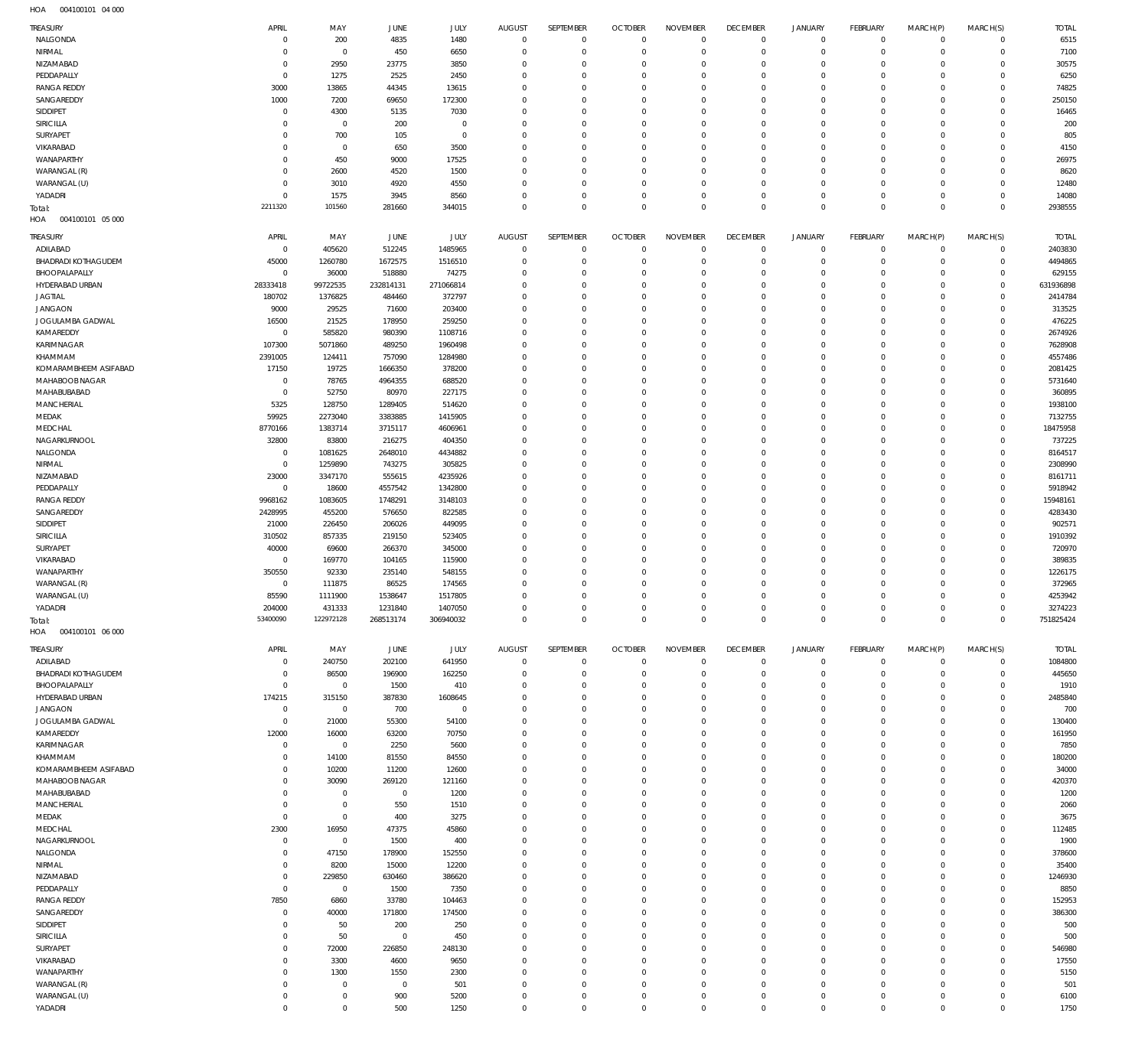004100101 04 000 HOA

| <b>TREASURY</b>                         | APRIL                         | MAY                   | JUNE              | JULY                | <b>AUGUST</b>                    | SEPTEMBER                  | <b>OCTOBER</b>                   | <b>NOVEMBER</b>      | <b>DECEMBER</b>          | JANUARY              | <b>FEBRUARY</b>           | MARCH(P)             | MARCH(S)                   | <b>TOTAL</b>       |
|-----------------------------------------|-------------------------------|-----------------------|-------------------|---------------------|----------------------------------|----------------------------|----------------------------------|----------------------|--------------------------|----------------------|---------------------------|----------------------|----------------------------|--------------------|
| NALGONDA                                | $\overline{0}$                | 200                   | 4835              | 1480                | $\mathbf 0$                      | $\mathbf 0$                | $\mathbf 0$                      | $\mathbf 0$          | $\mathbf 0$              | $^{\circ}$           | $\mathbf 0$               | $\mathbf 0$          | $\mathbf 0$                | 6515               |
| NIRMAL                                  | $\mathbf 0$                   | $\mathbf{0}$          | 450               | 6650                | $\overline{0}$                   | $\mathbf 0$                | $\overline{0}$                   | $\Omega$             | $\mathbf{0}$             | $\mathbf{0}$         | $\mathbf{0}$              | $\mathbf 0$          | $\mathbf 0$                | 7100               |
| NIZAMABAD                               | $\overline{0}$                | 2950                  | 23775             | 3850                | $^{\circ}$                       | $^{\circ}$                 | $\overline{0}$                   | $\Omega$             | $^{\circ}$               | $^{\circ}$           | $^{\circ}$                | $\mathbf 0$          | $\mathbf 0$                | 30575              |
| PEDDAPALLY                              | $\mathbf{0}$                  | 1275                  | 2525              | 2450                | $\Omega$                         | $^{\circ}$                 | $\overline{0}$                   | $\Omega$             | $\mathbf{0}$             | $\Omega$             | $^{\circ}$                | $\Omega$             | $\mathbf 0$                | 6250               |
| <b>RANGA REDDY</b>                      | 3000                          | 13865                 | 44345             | 13615               | $\Omega$                         | $^{\circ}$                 | $\overline{0}$                   | $\Omega$             | $\Omega$                 | $^{\circ}$           | $^{\circ}$                | $\Omega$             | $\mathbf 0$                | 74825              |
| SANGAREDDY                              | 1000                          | 7200                  | 69650             | 172300              | $\Omega$                         | $^{\circ}$                 | $\overline{0}$                   | $\Omega$             | $^{\circ}$               | $\Omega$             | $^{\circ}$                | $\Omega$             | $\mathbf 0$                | 250150             |
| SIDDIPET                                | $\mathbf{0}$                  | 4300                  | 5135              | 7030                | $\Omega$                         | $^{\circ}$                 | $\overline{0}$                   | $\Omega$             | $\Omega$                 | $\Omega$             | $^{\circ}$                | $\Omega$             | $\mathbf 0$                | 16465              |
| SIRICILLA                               | $\overline{0}$                | $\mathbf{0}$          | 200               | $\mathbf{0}$        | $\Omega$                         | $^{\circ}$                 | $\overline{0}$                   | $\Omega$             | $\Omega$                 | $\Omega$             | $^{\circ}$                | $\Omega$             | $\mathbf 0$                | 200                |
| SURYAPET<br>VIKARABAD                   | $\mathbf 0$<br>$\mathbf 0$    | 700<br>$\overline{0}$ | 105<br>650        | $\mathbf 0$<br>3500 | $\overline{0}$<br>$\Omega$       | $\mathbf 0$<br>$\mathbf 0$ | $\overline{0}$<br>$\overline{0}$ | $\Omega$<br>$\Omega$ | $^{\circ}$<br>$^{\circ}$ | $\Omega$<br>$\Omega$ | $^{\circ}$<br>$^{\circ}$  | $\Omega$<br>$\Omega$ | $\mathbf 0$<br>$\mathbf 0$ | 805<br>4150        |
| WANAPARTHY                              | $\mathbf 0$                   | 450                   | 9000              | 17525               | $\overline{0}$                   | $\mathbf 0$                | $\overline{0}$                   | $\Omega$             | $^{\circ}$               | $\Omega$             | $^{\circ}$                | $\Omega$             | $\mathbf 0$                | 26975              |
| WARANGAL (R)                            | $\overline{0}$                | 2600                  | 4520              | 1500                | $\Omega$                         | $\Omega$                   | $\overline{0}$                   | $\Omega$             | $\Omega$                 | $\Omega$             | $\Omega$                  | $\Omega$             | $\mathbf 0$                | 8620               |
| WARANGAL (U)                            | $\overline{0}$                | 3010                  | 4920              | 4550                | $\Omega$                         | $\mathbf 0$                | $^{\circ}$                       | $\Omega$             | $^{\circ}$               | $\circ$              | $^{\circ}$                | $\Omega$             | $\mathbf 0$                | 12480              |
| YADADRI                                 | $\mathbf 0$                   | 1575                  | 3945              | 8560                | $\Omega$                         | $\mathbf 0$                | $\overline{0}$                   | $\Omega$             | $\mathbf{0}$             | $\Omega$             | $^{\circ}$                | $\Omega$             | $\mathbf 0$                | 14080              |
| Total:                                  | 2211320                       | 101560                | 281660            | 344015              | $\,0\,$                          | $\mathbf 0$                | $\overline{0}$                   | $\mathbf{0}$         | $\mathbf{0}$             | $\mathbf 0$          | $\mathbf 0$               | $\Omega$             | $\mathbf 0$                | 2938555            |
| HOA<br>004100101 05 000                 |                               |                       |                   |                     |                                  |                            |                                  |                      |                          |                      |                           |                      |                            |                    |
| <b>TREASURY</b>                         | APRIL                         | MAY                   | JUNE              | JULY                | AUGUST                           | SEPTEMBER                  | <b>OCTOBER</b>                   | <b>NOVEMBER</b>      | <b>DECEMBER</b>          | JANUARY              | <b>FEBRUARY</b>           | MARCH(P)             | MARCH(S)                   | <b>TOTAL</b>       |
| ADILABAD                                | $\overline{0}$                | 405620                | 512245            | 1485965             | $\overline{0}$                   | $\mathbf 0$                | $\overline{0}$                   | $^{\circ}$           | $^{\circ}$               | $^{\circ}$           | $\mathbf{0}$              | $^{\circ}$           | $\mathbf 0$                | 2403830            |
| <b>BHADRADI KOTHAGUDEM</b>              | 45000                         | 1260780               | 1672575           | 1516510             | $^{\circ}$                       | $\overline{0}$             | $\overline{0}$                   | $^{\circ}$           | $^{\circ}$               | $^{\circ}$           | $\mathbf{0}$              | $\mathbf 0$          | $\mathbf 0$                | 4494865            |
| BHOOPALAPALLY                           | $\mathbf{0}$                  | 36000                 | 518880            | 74275               | $^{\circ}$                       | $\mathbf 0$                | $\overline{0}$                   | $\Omega$             | $^{\circ}$               | $\circ$              | $^{\circ}$                | $\epsilon$           | $\mathbf 0$                | 629155             |
| HYDERABAD URBAN                         | 28333418                      | 99722535              | 232814131         | 271066814           | $\Omega$                         | $\mathbf 0$                | $\overline{0}$                   | $\Omega$             | $\Omega$                 | $\Omega$             | $\Omega$                  | $\Omega$             | $\mathbf 0$                | 631936898          |
| <b>JAGTIAL</b>                          | 180702                        | 1376825               | 484460            | 372797              | $\overline{0}$                   | $\mathbf 0$                | $\overline{0}$                   | $\Omega$             | $^{\circ}$               | $\circ$              | $^{\circ}$                | $\Omega$             | $\mathbf 0$                | 2414784            |
| <b>JANGAON</b>                          | 9000                          | 29525                 | 71600             | 203400              | $\Omega$                         | $\Omega$                   | $\overline{0}$                   | $\Omega$             | $\Omega$                 | $\Omega$             | $\Omega$                  | $\Omega$             | $\mathbf 0$                | 313525             |
| JOGULAMBA GADWAL                        | 16500                         | 21525                 | 178950            | 259250              | $\overline{0}$                   | $\mathbf 0$                | $\overline{0}$                   | $\Omega$             | $^{\circ}$               | $\Omega$             | $^{\circ}$                | $\Omega$             | $\mathbf 0$                | 476225             |
| KAMAREDDY                               | $\overline{0}$                | 585820                | 980390            | 1108716             | $\Omega$                         | $\Omega$                   | $\overline{0}$                   | $\Omega$             | $\Omega$                 |                      | $\Omega$                  | $\epsilon$           | $\mathbf 0$                | 2674926            |
| KARIMNAGAR                              | 107300                        | 5071860               | 489250            | 1960498             | $\Omega$                         | $\mathbf 0$                | $\overline{0}$                   | $\Omega$             | $\Omega$                 | $\Omega$             | $\mathbf{0}$              | $\Omega$             | $\mathbf 0$                | 7628908            |
| KHAMMAM                                 | 2391005                       | 124411                | 757090            | 1284980             | $\Omega$                         | 0                          | $\overline{0}$                   | $\Omega$             | $\Omega$                 | $\Omega$             | $\Omega$                  | $\epsilon$           | $\mathbf 0$                | 4557486            |
| KOMARAMBHEEM ASIFABAD                   | 17150                         | 19725                 | 1666350           | 378200              | $\Omega$                         | $\mathbf 0$                | $\overline{0}$                   | $\Omega$             | $\Omega$                 | $\Omega$             | $\Omega$                  | $\Omega$             | $\mathbf 0$                | 2081425            |
| MAHABOOB NAGAR                          | $\overline{0}$                | 78765                 | 4964355           | 688520              | $\Omega$                         | 0                          | $\overline{0}$                   | $\Omega$             | $\Omega$                 | $\Omega$             | $\Omega$                  | $\Omega$             | $\mathbf 0$                | 5731640            |
| MAHABUBABAD                             | $\overline{0}$                | 52750                 | 80970             | 227175              | $\Omega$                         | $\mathbf 0$                | $\overline{0}$                   | $\Omega$             | $\Omega$                 | $\Omega$             | $\Omega$                  | ſ                    | $\mathbf 0$                | 360895             |
| MANCHERIAL                              | 5325                          | 128750                | 1289405           | 514620              | $\Omega$                         | 0                          | $^{\circ}$                       | $\Omega$             | $\Omega$                 | $\Omega$             | $\Omega$                  | $\Omega$             | $\mathbf 0$                | 1938100            |
| MEDAK                                   | 59925                         | 2273040               | 3383885           | 1415905             | $\Omega$                         | $\mathbf 0$                | $\overline{0}$                   | $\Omega$             | $\Omega$                 | $\Omega$             | $\mathbf 0$               | $\epsilon$           | $\mathbf 0$                | 7132755            |
| MEDCHAL                                 | 8770166                       | 1383714               | 3715117           | 4606961             | $\Omega$                         | $\Omega$                   | $\overline{0}$                   | $\Omega$             | $\Omega$                 | $\Omega$             | $\Omega$                  | $\Omega$             | $\mathbf 0$                | 18475958           |
| NAGARKURNOOL                            | 32800                         | 83800                 | 216275            | 404350              | $\overline{0}$<br>$\Omega$       | $\mathbf 0$                | $\overline{0}$                   | $\Omega$             | $^{\circ}$               | $\Omega$             | $^{\circ}$                | $\epsilon$           | $\mathbf 0$                | 737225             |
| NALGONDA                                | $\mathbf 0$<br>$\overline{0}$ | 1081625<br>1259890    | 2648010<br>743275 | 4434882<br>305825   | $^{\circ}$                       | $\Omega$<br>$\mathbf 0$    | $\overline{0}$<br>$\overline{0}$ | $\Omega$<br>$\Omega$ | $\Omega$<br>$^{\circ}$   | $\Omega$<br>$\Omega$ | $\Omega$<br>$^{\circ}$    | $\Omega$<br>$\Omega$ | $\mathbf 0$<br>$\mathbf 0$ | 8164517<br>2308990 |
| NIRMAL<br>NIZAMABAD                     | 23000                         | 3347170               | 555615            | 4235926             | $\Omega$                         | $\Omega$                   | $\overline{0}$                   | $\Omega$             | $\Omega$                 |                      | $\Omega$                  | $\epsilon$           | $\mathbf 0$                | 8161711            |
| PEDDAPALLY                              | $\overline{0}$                | 18600                 | 4557542           | 1342800             | $\Omega$                         | $\mathbf 0$                | $\overline{0}$                   | $\Omega$             | $^{\circ}$               | $\Omega$             | $\mathbf 0$               | $\Omega$             | $\mathbf 0$                | 5918942            |
| <b>RANGA REDDY</b>                      | 9968162                       | 1083605               | 1748291           | 3148103             | $\Omega$                         | 0                          | $\overline{0}$                   | $\Omega$             | $\Omega$                 | $\Omega$             | $\Omega$                  | $\epsilon$           | $\mathbf 0$                | 15948161           |
| SANGAREDDY                              | 2428995                       | 455200                | 576650            | 822585              | $\Omega$                         | $\mathbf 0$                | $\overline{0}$                   | $\Omega$             | $\Omega$                 | $\Omega$             | $\Omega$                  | $\Omega$             | $\mathbf 0$                | 4283430            |
| SIDDIPET                                | 21000                         | 226450                | 206026            | 449095              | $\Omega$                         | $\mathbf 0$                | $\overline{0}$                   | $\Omega$             | $\Omega$                 | $\Omega$             | $\Omega$                  | $\epsilon$           | $\mathbf 0$                | 902571             |
| SIRICILLA                               | 310502                        | 857335                | 219150            | 523405              | $\Omega$                         | $\mathbf 0$                | $\overline{0}$                   | $\Omega$             | $\Omega$                 | $\Omega$             | $\Omega$                  | ſ                    | $\mathbf 0$                | 1910392            |
| SURYAPET                                | 40000                         | 69600                 | 266370            | 345000              | $\Omega$                         | 0                          | $^{\circ}$                       | $\Omega$             | $\Omega$                 | $\Omega$             | $\Omega$                  | $\Omega$             | $\mathbf 0$                | 720970             |
| VIKARABAD                               | $\overline{0}$                | 169770                | 104165            | 115900              | $\Omega$                         | $\mathbf 0$                | $\overline{0}$                   | $\Omega$             | $\Omega$                 | $\Omega$             | $\Omega$                  | $\epsilon$           | $\mathbf 0$                | 389835             |
| WANAPARTHY                              | 350550                        | 92330                 | 235140            | 548155              | $\Omega$                         | $\mathbf 0$                | $\overline{0}$                   | $\Omega$             | $\Omega$                 | $\Omega$             | $\Omega$                  | $\Omega$             | $\mathbf 0$                | 1226175            |
| WARANGAL (R)                            | $\mathbf{0}$                  | 111875                | 86525             | 174565              | $\Omega$                         | $\mathbf 0$                | $^{\circ}$                       | $\Omega$             | $^{\circ}$               | $\Omega$             | $^{\circ}$                | $\epsilon$           | $\mathbf 0$                | 372965             |
| WARANGAL (U)                            | 85590                         | 1111900               | 1538647           | 1517805             | $\Omega$                         | $\Omega$                   | $\overline{0}$                   | $\Omega$             | $\Omega$                 | $\Omega$             | $\Omega$                  | $\Omega$             | $\mathbf 0$                | 4253942            |
| YADADRI                                 | 204000                        | 431333                | 1231840           | 1407050             | $\overline{0}$                   | $\Omega$                   | $\Omega$                         | $\Omega$             | $\Omega$                 | $\Omega$             | $\Omega$                  | $\Omega$             | $\circ$                    | 3274223            |
| Total:                                  | 53400090                      | 122972128             | 268513174         | 306940032           | $\mathbf 0$                      | $\mathbf 0$                | $\mathbf 0$                      | $\mathbb O$          | $\mathbb O$              | $\mathbf 0$          | $\mathbb O$               | $\mathbf 0$          | $\mathbf 0$                | 751825424          |
| HOA<br>004100101 06 000                 |                               |                       |                   |                     |                                  |                            |                                  |                      |                          |                      |                           |                      |                            |                    |
| <b>TREASURY</b>                         | APRIL                         | MAY                   | JUNE              | JULY                | AUGUST                           | SEPTEMBER                  | <b>OCTOBER</b>                   | <b>NOVEMBER</b>      | <b>DECEMBER</b>          | JANUARY              | <b>FEBRUARY</b>           | MARCH(P)             | MARCH(S)                   | <b>TOTAL</b>       |
| ADILABAD                                | $\overline{0}$                | 240750                | 202100            | 641950              | $\mathbf 0$                      | $\mathbf 0$                | $\mathbf 0$                      | $^{\circ}$           | $\mathbf 0$              | $\overline{0}$       | $\overline{0}$            | $\mathbf 0$          | $\mathbf 0$                | 1084800            |
| <b>BHADRADI KOTHAGUDEM</b>              | $\overline{0}$                | 86500                 | 196900            | 162250              | $\overline{0}$                   | $\mathbf 0$                | $\overline{0}$                   | $^{\circ}$           | $\mathbf 0$              | $^{\circ}$           | $\mathbf 0$               | $^{\circ}$           | $\mathbf 0$                | 445650             |
| BHOOPALAPALLY                           | $\overline{0}$                | $\overline{0}$        | 1500              | 410                 | $^{\circ}$                       | $\mathbf 0$                | $\overline{0}$                   | $\Omega$             | $^{\circ}$               | $^{\circ}$           | $^{\circ}$                | $\mathbf 0$          | $\mathbf 0$                | 1910               |
| HYDERABAD URBAN                         | 174215                        | 315150                | 387830            | 1608645             | $\Omega$                         | $\mathbf 0$                | $\overline{0}$                   | $\Omega$             | $^{\circ}$               | $^{\circ}$           | $^{\circ}$                | $\Omega$             | $\mathbf 0$                | 2485840            |
| <b>JANGAON</b>                          | $\overline{0}$                | $\overline{0}$        | 700               | $\overline{0}$      | $\overline{0}$                   | $\mathbf 0$                | $\overline{0}$                   | $\Omega$             | $\Omega$                 | $\Omega$             | $^{\circ}$                | $\Omega$             | $\mathbf 0$                | 700                |
| JOGULAMBA GADWAL                        | $\overline{0}$                | 21000                 | 55300             | 54100               | $\overline{0}$                   | $\mathbf 0$                | $\overline{0}$                   | $\Omega$             | $^{\circ}$               | $^{\circ}$           | $\overline{0}$            | 0                    | $\mathbf 0$                | 130400             |
| KAMAREDDY                               | 12000                         | 16000                 | 63200             | 70750               | $\overline{0}$                   | $\mathbf 0$                | $\overline{0}$                   | $\Omega$             | $\Omega$                 | $\Omega$             | $^{\circ}$                | $\Omega$             | $\mathbf 0$                | 161950             |
| KARIMNAGAR                              | $\overline{0}$                | $\overline{0}$        | 2250              | 5600                | $\overline{0}$                   | $\mathbf 0$                | $\overline{0}$                   | $\Omega$             | $\Omega$                 | $\Omega$             | $\overline{0}$            | $\Omega$             | $\mathbf 0$                | 7850               |
| KHAMMAM                                 | $\overline{0}$                | 14100                 | 81550             | 84550               | $\overline{0}$<br>$\overline{0}$ | $\mathbf 0$                | $\overline{0}$                   | $\Omega$<br>$\Omega$ | $^{\circ}$<br>$\Omega$   | $\Omega$<br>$\Omega$ | $^{\circ}$                | $\Omega$             | $\mathbf 0$                | 180200             |
| KOMARAMBHEEM ASIFABAD<br>MAHABOOB NAGAR | $^{\circ}$<br>$\mathbf 0$     | 10200<br>30090        | 11200<br>269120   | 12600<br>121160     | $\overline{0}$                   | $\mathbf 0$<br>$\mathbf 0$ | $\mathbf 0$<br>$\overline{0}$    | $\Omega$             | $^{\circ}$               | $\circ$              | $\mathbf 0$<br>$^{\circ}$ | $\Omega$<br>$\Omega$ | $\mathbf 0$<br>$\mathbf 0$ | 34000<br>420370    |
| MAHABUBABAD                             | $\mathbf 0$                   | $\mathbf 0$           | $\mathbf 0$       | 1200                | $\Omega$                         | $\mathbf 0$                | $\overline{0}$                   | $\Omega$             | $\Omega$                 | $\Omega$             | $\mathbf 0$               | $\Omega$             | $\mathbf 0$                | 1200               |
| MANCHERIAL                              | $\mathbf 0$                   | $\mathbf 0$           | 550               | 1510                | $\overline{0}$                   | $\mathbf 0$                | $\overline{0}$                   | $\Omega$             | $^{\circ}$               | $^{\circ}$           | $^{\circ}$                | 0                    | $\mathbf 0$                | 2060               |
| MEDAK                                   | $\overline{0}$                | $\mathbf 0$           | 400               | 3275                | $\Omega$                         | $\mathbf 0$                | $\overline{0}$                   | $\Omega$             | $\Omega$                 | $\Omega$             | $\mathbf{0}$              | $\Omega$             | $\mathbf 0$                | 3675               |
| MEDCHAL                                 | 2300                          | 16950                 | 47375             | 45860               | $\overline{0}$                   | $\mathbf 0$                | $\overline{0}$                   | $\Omega$             | $^{\circ}$               | $^{\circ}$           | $\mathbf{0}$              | $\Omega$             | $\mathbf 0$                | 112485             |
| NAGARKURNOOL                            | $\mathbf{0}$                  | $\overline{0}$        | 1500              | 400                 | $\overline{0}$                   | $\mathbf 0$                | $\overline{0}$                   | $\Omega$             | $^{\circ}$               | $\Omega$             | $^{\circ}$                | $\Omega$             | $\mathbf 0$                | 1900               |
| NALGONDA                                | $\mathbf{0}$                  | 47150                 | 178900            | 152550              | $\overline{0}$                   | $\mathbf 0$                | $\overline{0}$                   | $\Omega$             | $\Omega$                 | $\Omega$             | $\mathbf{0}$              | $\Omega$             | $\mathbf 0$                | 378600             |
| NIRMAL                                  | $^{\circ}$                    | 8200                  | 15000             | 12200               | $\mathbf 0$                      | $\mathbf 0$                | $\overline{0}$                   | $\Omega$             | $^{\circ}$               | $^{\circ}$           | $\overline{0}$            | $\Omega$             | $\mathbf 0$                | 35400              |
| NIZAMABAD                               | $\mathbf{0}$                  | 229850                | 630460            | 386620              | $\overline{0}$                   | $\mathbf 0$                | $\overline{0}$                   | $\Omega$             | $\Omega$                 | $\Omega$             | $^{\circ}$                | $\Omega$             | $\mathbf 0$                | 1246930            |
| PEDDAPALLY                              | $\overline{0}$                | $\overline{0}$        | 1500              | 7350                | $\overline{0}$                   | $\mathbf 0$                | $\overline{0}$                   | $\Omega$             | $\Omega$                 | $\Omega$             | $^{\circ}$                | $\Omega$             | $\mathbf 0$                | 8850               |
| <b>RANGA REDDY</b>                      | 7850                          | 6860                  | 33780             | 104463              | $\overline{0}$                   | $\mathbf 0$                | $\overline{0}$                   | $\Omega$             | $^{\circ}$               | $\Omega$             | $^{\circ}$                | $\Omega$             | $\mathbf 0$                | 152953             |
| SANGAREDDY                              | $\overline{0}$                | 40000                 | 171800            | 174500              | $\overline{0}$                   | $\mathbf 0$                | $\overline{0}$                   | $\Omega$             | $\Omega$                 | $\Omega$             | $\mathbf 0$               | $\Omega$             | $\mathbf 0$                | 386300             |
| SIDDIPET                                | $\mathbf{0}$                  | 50                    | 200               | 250                 | $\overline{0}$                   | $\mathbf 0$                | $\overline{0}$                   | $\Omega$             | $^{\circ}$               | $\circ$              | $^{\circ}$                | $\Omega$             | $\mathbf 0$                | 500                |
| SIRICILLA                               | $\mathbf{0}$                  | 50                    | $\mathbf 0$       | 450                 | $\Omega$                         | $\mathbf 0$                | $\overline{0}$                   | $\Omega$             | $\Omega$                 | $\Omega$             | $^{\circ}$                | $\Omega$             | $\mathbf 0$                | 500                |
| SURYAPET                                | $\mathbf 0$                   | 72000                 | 226850            | 248130              | $\overline{0}$                   | $\mathbf 0$                | $\overline{0}$                   | $\Omega$             | $^{\circ}$               | $^{\circ}$           | $^{\circ}$                | 0                    | $\mathbf 0$                | 546980             |
| VIKARABAD                               | $\mathbf 0$                   | 3300                  | 4600              | 9650                | $\Omega$                         | $\mathbf 0$                | $\overline{0}$                   | $\Omega$             | $\Omega$                 | $\Omega$             | $\mathbf{0}$              | $\Omega$             | $\mathbf 0$                | 17550              |
| WANAPARTHY                              | $\mathbf 0$                   | 1300                  | 1550              | 2300                | $\mathbf 0$                      | $\mathbf 0$                | $\overline{0}$                   | $\Omega$             | $^{\circ}$               | $^{\circ}$           | $^{\circ}$                | $\Omega$             | $\mathbf 0$                | 5150               |
| WARANGAL (R)                            | $\mathbf 0$                   | $\mathbf 0$           | $\,0\,$           | 501                 | $\overline{0}$                   | $\mathbf 0$                | $\overline{0}$                   | $^{\circ}$           | $\mathbf{0}$             | $\Omega$             | $^{\circ}$                | $\Omega$             | $\mathbf 0$                | 501                |
| WARANGAL (U)                            | $\mathbf{0}$                  | $\mathbf 0$           | 900               | 5200                | $^{\circ}$                       | $\mathbf 0$                | $\mathbf 0$                      | $^{\circ}$           | $\mathbb O$              | $^{\circ}$           | $\overline{0}$            | 0                    | $\mathbf 0$                | 6100               |
| YADADRI                                 | $\overline{0}$                | $\mathbf 0$           | 500               | 1250                | $\mathbb O$                      | $\mathbf 0$                | $\mathbf 0$                      | $\mathbb O$          | $\mathbb O$              | $\mathbf 0$          | $\mathbb O$               | $\mathbf 0$          | $\mathbb O$                | 1750               |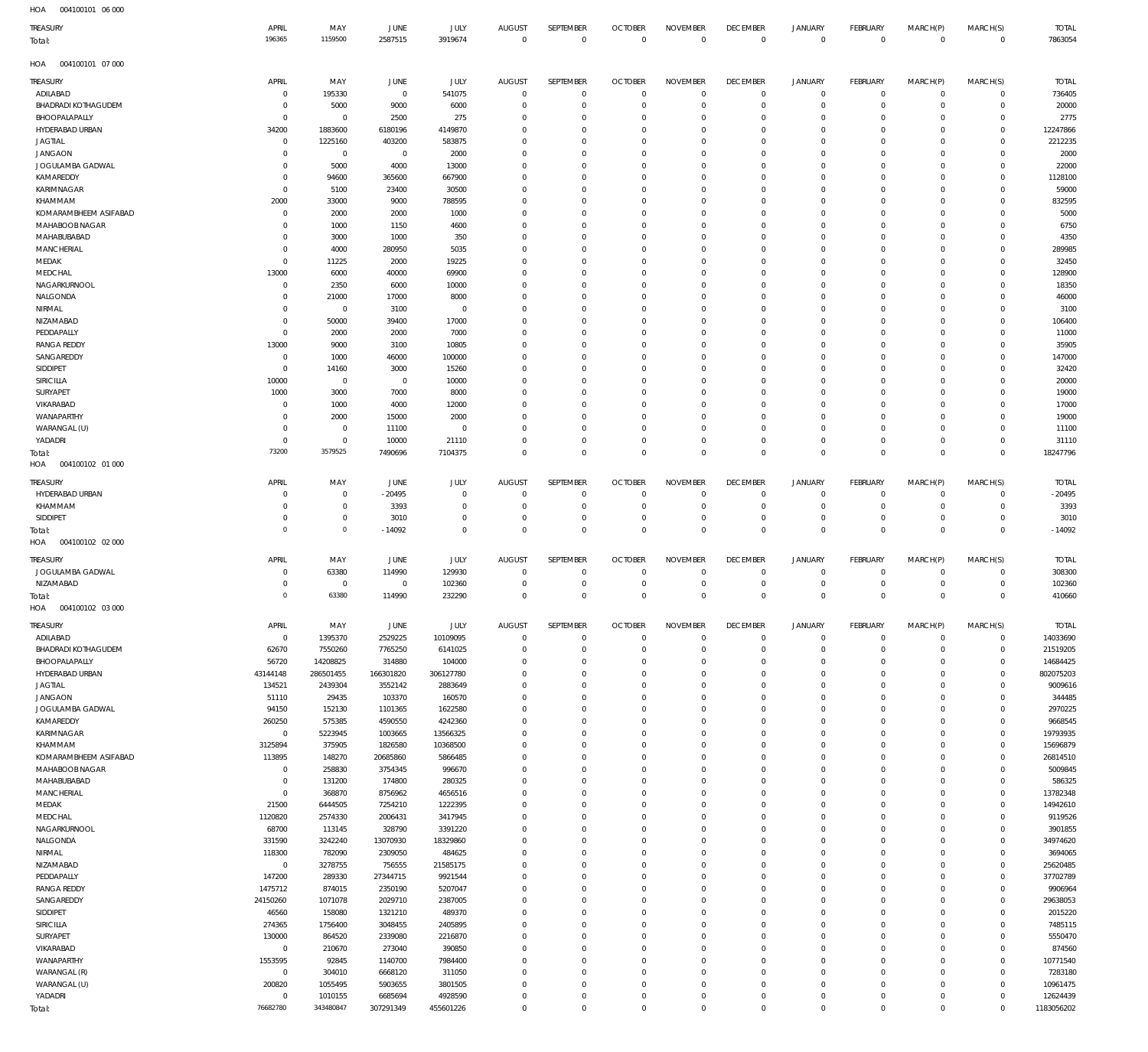004100101 06 000 HOA

| 11271<br>007100101<br>TREASURY<br>Total: | APRIL<br>196365           | MAY<br>1159500                | JUNE<br>2587515        | JULY<br>3919674         | <b>AUGUST</b><br>$\overline{0}$ | SEPTEMBER<br>$\mathbf 0$      | <b>OCTOBER</b><br>$\mathbf{0}$ | <b>NOVEMBER</b><br>$\mathbb O$   | <b>DECEMBER</b><br>$\mathbb O$ | <b>JANUARY</b><br>$\mathbb O$              | <b>FEBRUARY</b><br>$\mathbb O$ | MARCH(P)<br>$\mathbb O$    | MARCH(S)<br>$\mathbb O$ | <b>TOTAL</b><br>7863054 |
|------------------------------------------|---------------------------|-------------------------------|------------------------|-------------------------|---------------------------------|-------------------------------|--------------------------------|----------------------------------|--------------------------------|--------------------------------------------|--------------------------------|----------------------------|-------------------------|-------------------------|
| HOA<br>004100101 07 000                  |                           |                               |                        |                         |                                 |                               |                                |                                  |                                |                                            |                                |                            |                         |                         |
| TREASURY                                 | APRIL                     | MAY                           | JUNE                   | <b>JULY</b>             | <b>AUGUST</b>                   | SEPTEMBER                     | <b>OCTOBER</b>                 | <b>NOVEMBER</b>                  | <b>DECEMBER</b>                | <b>JANUARY</b>                             | FEBRUARY                       | MARCH(P)                   | MARCH(S)                | <b>TOTAL</b>            |
| ADILABAD<br><b>BHADRADI KOTHAGUDEM</b>   | $^{\circ}$<br>0           | 195330<br>5000                | $\overline{0}$<br>9000 | 541075<br>6000          | $^{\circ}$<br>$\Omega$          | $\overline{0}$<br>$\mathbf 0$ | $\overline{0}$<br>$^{\circ}$   | $\mathbf 0$<br>$\mathbf 0$       | $\overline{0}$<br>$\mathbf 0$  | $\mathsf{O}\xspace$<br>$\mathsf{O}\xspace$ | $\mathbf 0$<br>$\mathbf 0$     | $\circ$<br>$\mathbf 0$     | 0<br>$\mathbf 0$        | 736405<br>20000         |
| BHOOPALAPALLY                            | $\Omega$                  | $\overline{0}$                | 2500                   | 275                     | $\Omega$                        | $\mathbf 0$                   | $\Omega$                       | $\mathbf 0$                      | $\Omega$                       | $\mathbf 0$                                | $\Omega$                       | $\Omega$                   | 0                       | 2775                    |
| HYDERABAD URBAN                          | 34200                     | 1883600                       | 6180196                | 4149870                 | $\Omega$                        | $\mathbf 0$                   | $\Omega$                       | $\mathbf 0$                      | $\Omega$                       | $\mathbf 0$                                | $\Omega$                       | $\mathbf 0$                | $\Omega$                | 12247866                |
| <b>JAGTIAL</b>                           | $\overline{0}$            | 1225160                       | 403200                 | 583875                  | $\Omega$                        | $\mathbf 0$                   | $\Omega$                       | $\mathbf 0$                      | $\Omega$                       | $\mathbf 0$                                | $\Omega$                       | $\Omega$                   | $\Omega$                | 2212235                 |
| <b>JANGAON</b><br>JOGULAMBA GADWAL       | $\Omega$<br>$\Omega$      | $\overline{0}$<br>5000        | $\overline{0}$<br>4000 | 2000<br>13000           | $\Omega$<br>$\Omega$            | $\mathbf 0$<br>$\mathbf 0$    | $\Omega$<br>$\Omega$           | $^{\circ}$<br>$\mathbf 0$        | $\Omega$<br>$\Omega$           | $\mathbf 0$<br>$\mathbf 0$                 | $\Omega$<br>$\Omega$           | $\Omega$<br>$\Omega$       | $\Omega$<br>0           | 2000<br>22000           |
| KAMAREDDY                                | $\Omega$                  | 94600                         | 365600                 | 667900                  | $\Omega$                        | $\Omega$                      | $\Omega$                       | $\overline{0}$                   | $\Omega$                       | $\mathbf 0$                                | $\Omega$                       | $\Omega$                   | $\Omega$                | 1128100                 |
| KARIMNAGAR                               | 0                         | 5100                          | 23400                  | 30500                   | $\Omega$                        | $\mathbf 0$                   | $\Omega$                       | $\overline{0}$                   | $\Omega$                       | $\mathbf 0$                                | $\Omega$                       | $\mathbf 0$                | 0                       | 59000                   |
| KHAMMAM                                  | 2000                      | 33000                         | 9000                   | 788595                  | $\Omega$<br>$\Omega$            | $\Omega$<br>$\mathbf 0$       | $\Omega$<br>$\Omega$           | $\Omega$                         | $\Omega$<br>$\Omega$           | $\mathbf 0$<br>$\mathbf 0$                 | $\Omega$<br>$\Omega$           | $\Omega$<br>$\mathbf 0$    | $\Omega$<br>$\Omega$    | 832595                  |
| KOMARAMBHEEM ASIFABAD<br>MAHABOOB NAGAR  | 0<br>-C                   | 2000<br>1000                  | 2000<br>1150           | 1000<br>4600            | $\Omega$                        | $\mathbf 0$                   | $\Omega$                       | $\overline{0}$<br>$\mathbf 0$    | $\Omega$                       | $\mathbf 0$                                | $\Omega$                       | $\Omega$                   | $\Omega$                | 5000<br>6750            |
| MAHABUBABAD                              | $\Omega$                  | 3000                          | 1000                   | 350                     | $\Omega$                        | $\mathbf 0$                   | $\Omega$                       | $\overline{0}$                   | $\Omega$                       | $\mathbf 0$                                | $\Omega$                       | $\Omega$                   | $\Omega$                | 4350                    |
| MANCHERIAL                               | $\Omega$                  | 4000                          | 280950                 | 5035                    | $\Omega$                        | $\mathbf 0$                   | $\Omega$                       | $\mathbf 0$                      | $\Omega$                       | $\mathbf 0$                                | $\Omega$                       | $\Omega$                   | $\Omega$                | 289985                  |
| MEDAK<br>MEDCHAL                         | $\Omega$<br>13000         | 11225<br>6000                 | 2000<br>40000          | 19225<br>69900          | $\Omega$<br>$\Omega$            | $\mathbf 0$<br>$\mathbf 0$    | $\Omega$<br>$\Omega$           | $\mathbf 0$<br>$\overline{0}$    | $\Omega$<br>$\Omega$           | $\mathbf 0$<br>$\mathbf 0$                 | $\Omega$<br>$\Omega$           | $\Omega$<br>$\Omega$       | $\Omega$<br>$\Omega$    | 32450<br>128900         |
| NAGARKURNOOL                             | $^{\circ}$                | 2350                          | 6000                   | 10000                   | $\Omega$                        | $\mathbf 0$                   | $\Omega$                       | $\mathbf 0$                      | $\Omega$                       | $\mathbf 0$                                | $\Omega$                       | $\mathbf 0$                | 0                       | 18350                   |
| NALGONDA                                 | $\Omega$                  | 21000                         | 17000                  | 8000                    | $\Omega$                        | $\Omega$                      | $\Omega$                       | $^{\circ}$                       | $\Omega$                       | $\mathbf 0$                                | $\Omega$                       | $\Omega$                   | $\Omega$                | 46000                   |
| NIRMAL                                   | $\Omega$                  | $\overline{0}$                | 3100                   | $\overline{0}$          | $\Omega$                        | $\mathbf 0$                   | $\Omega$                       | $\mathbf 0$                      | $\Omega$                       | $\mathbf 0$                                | $\Omega$                       | $\mathbf 0$                | 0                       | 3100                    |
| NIZAMABAD<br>PEDDAPALLY                  | $\Omega$<br>$\Omega$      | 50000<br>2000                 | 39400<br>2000          | 17000<br>7000           | $\Omega$<br>$\Omega$            | $\Omega$<br>$\mathbf 0$       | $\Omega$<br>$\Omega$           | $\Omega$<br>$\overline{0}$       | $\Omega$<br>$\Omega$           | $\mathbf 0$<br>$\mathbf 0$                 | $\Omega$<br>$\Omega$           | $\Omega$<br>$\mathbf 0$    | $\Omega$<br>$\Omega$    | 106400<br>11000         |
| <b>RANGA REDDY</b>                       | 13000                     | 9000                          | 3100                   | 10805                   | $\Omega$                        | $\Omega$                      | $\Omega$                       | $\Omega$                         | $\Omega$                       | $\mathbf 0$                                | $\Omega$                       | $\Omega$                   | $\Omega$                | 35905                   |
| SANGAREDDY                               | $^{\circ}$                | 1000                          | 46000                  | 100000                  | $\Omega$                        | $\mathbf 0$                   | $\Omega$                       | $\overline{0}$                   | $\Omega$                       | $\mathbf 0$                                | $\Omega$                       | $\Omega$                   | $\Omega$                | 147000                  |
| SIDDIPET                                 | 0                         | 14160                         | 3000                   | 15260                   | $\Omega$                        | $\mathbf 0$                   | $\Omega$                       | $\mathbf 0$                      | $\Omega$                       | $\mathbf 0$                                | $\Omega$                       | $\mathbf 0$                | $\Omega$                | 32420                   |
| SIRICILLA<br>SURYAPET                    | 10000<br>1000             | $\overline{0}$<br>3000        | $\overline{0}$<br>7000 | 10000<br>8000           | $\Omega$<br>$\Omega$            | $\mathbf 0$<br>$\Omega$       | $\Omega$<br>$\Omega$           | $\Omega$<br>$^{\circ}$           | $\Omega$<br>$\Omega$           | $\mathbf 0$<br>$\mathbf 0$                 | $\Omega$<br>$\Omega$           | $\Omega$<br>$\Omega$       | $\Omega$<br>$\Omega$    | 20000<br>19000          |
| VIKARABAD                                | C                         | 1000                          | 4000                   | 12000                   | $\Omega$                        | $\mathbf 0$                   | $\Omega$                       | $\mathbf 0$                      | $\Omega$                       | $\mathbf 0$                                | $\Omega$                       | $\mathbf 0$                | 0                       | 17000                   |
| WANAPARTHY                               | $\Omega$                  | 2000                          | 15000                  | 2000                    | $\Omega$                        | $\Omega$                      | $\Omega$                       | $\overline{0}$                   | $\Omega$                       | $\mathbf 0$                                | $\Omega$                       | $\Omega$                   | $\Omega$                | 19000                   |
| WARANGAL (U)                             | 0                         | $\overline{0}$                | 11100                  | $\mathbf 0$             | $\Omega$                        | $\mathbf 0$                   | $\Omega$                       | $\mathbf 0$                      | 0                              | $\mathbf 0$                                | $\Omega$                       | $\mathbf 0$                | 0                       | 11100                   |
| YADADRI                                  | $\Omega$<br>73200         | $\overline{0}$<br>3579525     | 10000<br>7490696       | 21110<br>7104375        | $\Omega$<br>$\Omega$            | $\Omega$<br>$\mathbf 0$       | $\Omega$<br>$\Omega$           | $\mathbf 0$<br>$\mathbf 0$       | $\Omega$<br>$\overline{0}$     | $\mathbf 0$<br>$\mathbb O$                 | $\Omega$<br>$\Omega$           | $\mathbf 0$<br>$\mathbb O$ | $\Omega$<br>$\Omega$    | 31110<br>18247796       |
| Total:<br>HOA<br>004100102 01 000        |                           |                               |                        |                         |                                 |                               |                                |                                  |                                |                                            |                                |                            |                         |                         |
| TREASURY                                 | APRIL                     | MAY                           | JUNE                   | JULY                    | <b>AUGUST</b>                   | SEPTEMBER                     | <b>OCTOBER</b>                 | <b>NOVEMBER</b>                  | <b>DECEMBER</b>                | <b>JANUARY</b>                             | <b>FEBRUARY</b>                | MARCH(P)                   | MARCH(S)                | <b>TOTAL</b>            |
| HYDERABAD URBAN                          | 0<br>$\Omega$             | $\mathbf 0$                   | $-20495$               | $\mathbf 0$<br>$\Omega$ | 0<br>$\Omega$                   | $\overline{0}$<br>$\mathbf 0$ | $^{\circ}$<br>$\Omega$         | $^{\circ}$<br>$\Omega$           | $\overline{0}$<br>$\Omega$     | 0                                          | 0                              | 0<br>$\mathbf 0$           | $\circ$                 | $-20495$                |
| KHAMMAM<br>SIDDIPET                      | $\Omega$                  | $\mathbf 0$<br>$\overline{0}$ | 3393<br>3010           | $\mathbf 0$             | $\Omega$                        | $\mathbf 0$                   | 0                              | $\overline{0}$                   | $\overline{0}$                 | $\circ$<br>$\mathsf{O}\xspace$             | 0<br>0                         | $\circ$                    | 0<br>$\mathbf 0$        | 3393<br>3010            |
| Total:                                   | $\Omega$                  | $\mathbf{0}$                  | $-14092$               | $\Omega$                | $\Omega$                        | $\mathbf 0$                   | $\Omega$                       | $\Omega$                         | $\mathbb O$                    | $\mathbb O$                                | $\Omega$                       | $\Omega$                   | $\mathbf 0$             | $-14092$                |
| HOA<br>004100102 02 000                  |                           |                               |                        |                         |                                 |                               |                                |                                  |                                |                                            |                                |                            |                         |                         |
| TREASURY                                 | APRIL                     | MAY                           | JUNE                   | JULY                    | <b>AUGUST</b>                   | SEPTEMBER                     | <b>OCTOBER</b>                 | <b>NOVEMBER</b>                  | <b>DECEMBER</b>                | <b>JANUARY</b>                             | <b>FEBRUARY</b>                | MARCH(P)                   | MARCH(S)                | <b>TOTAL</b>            |
| JOGULAMBA GADWAL                         | 0                         | 63380                         | 114990                 | 129930                  | $^{\circ}$                      | $\mathbf 0$                   | $^{\circ}$                     | $\mathbf 0$                      | $\overline{0}$                 | 0                                          | 0                              | $\mathbf 0$                | 0                       | 308300                  |
| NIZAMABAD                                | $\Omega$<br>$\Omega$      | $\overline{0}$<br>63380       | $^{\circ}$<br>114990   | 102360<br>232290        | $\Omega$<br>$\Omega$            | $\mathbf 0$<br>$\mathbf 0$    | $^{\circ}$<br>$\Omega$         | $\mathbf 0$<br>$\mathbf 0$       | $\overline{0}$<br>$\Omega$     | $\mathsf{O}\xspace$<br>$\mathbf 0$         | $\mathbf 0$<br>$\Omega$        | $\circ$<br>$\overline{0}$  | 0<br>$\Omega$           | 102360<br>410660        |
| Total:<br>004100102 03 000<br>HOA        |                           |                               |                        |                         |                                 |                               |                                |                                  |                                |                                            |                                |                            |                         |                         |
| TREASURY                                 | APRIL                     | MAY                           | JUNE                   | <b>JULY</b>             | <b>AUGUST</b>                   | SEPTEMBER                     | <b>OCTOBER</b>                 | <b>NOVEMBER</b>                  | <b>DECEMBER</b>                | <b>JANUARY</b>                             | <b>FEBRUARY</b>                | MARCH(P)                   | MARCH(S)                | <b>TOTAL</b>            |
| ADILABAD                                 | $\mathbf 0$               | 1395370                       | 2529225                | 10109095                | $\overline{0}$                  | $\overline{0}$                | $\mathbf 0$                    | $\mathbf 0$                      | $\mathbf 0$                    | 0                                          | $\circ$                        | $\circ$                    | $\mathbf 0$             | 14033690                |
| <b>BHADRADI KOTHAGUDEM</b>               | 62670                     | 7550260                       | 7765250                | 6141025                 | $\Omega$                        | $\mathbf 0$                   | $\Omega$                       | $\overline{0}$                   | $\Omega$                       | $\mathsf{O}\xspace$                        | $\mathbf 0$                    | $\mathbf 0$                | $\circ$                 | 21519205                |
| BHOOPALAPALLY                            | 56720                     | 14208825                      | 314880                 | 104000                  | $\Omega$                        | $\mathbf 0$                   | $\Omega$                       | $\mathbf 0$                      | $\overline{0}$                 | $\mathbf 0$                                | $\Omega$                       | $\circ$                    | $\circ$                 | 14684425                |
| HYDERABAD URBAN<br><b>JAGTIAL</b>        | 43144148<br>134521        | 286501455<br>2439304          | 166301820<br>3552142   | 306127780<br>2883649    | $\Omega$<br>$\Omega$            | $\mathbf 0$<br>$\mathbf 0$    | $\Omega$<br>$\Omega$           | $\overline{0}$<br>$\overline{0}$ | $\Omega$<br>$\mathbf{0}$       | $\mathbf 0$<br>$\mathbf 0$                 | $\Omega$<br>$\Omega$           | $\Omega$<br>$\circ$        | $\Omega$<br>$\circ$     | 802075203<br>9009616    |
| <b>JANGAON</b>                           | 51110                     | 29435                         | 103370                 | 160570                  | $\Omega$                        | $\overline{0}$                | $\Omega$                       | $\overline{0}$                   | $\Omega$                       | $\mathbf 0$                                | $\Omega$                       | $\Omega$                   | $\Omega$                | 344485                  |
| JOGULAMBA GADWAL                         | 94150                     | 152130                        | 1101365                | 1622580                 | $\Omega$                        | $\overline{0}$                | $\Omega$                       | $\overline{0}$                   | $\Omega$                       | $\mathbf 0$                                | $\Omega$                       | $\Omega$                   | $\Omega$                | 2970225                 |
| KAMAREDDY                                | 260250                    | 575385                        | 4590550                | 4242360                 | $\Omega$                        | $\mathbf 0$                   | $\Omega$                       | $\overline{0}$                   | $\Omega$                       | $\mathbf 0$                                | $\Omega$                       | $\circ$                    | $\Omega$                | 9668545                 |
| KARIMNAGAR<br>KHAMMAM                    | $\mathbf 0$<br>3125894    | 5223945<br>375905             | 1003665<br>1826580     | 13566325<br>10368500    | $\Omega$<br>$\Omega$            | $\mathbf 0$<br>$\overline{0}$ | $\Omega$<br>$\Omega$           | $\mathbf 0$<br>$\overline{0}$    | $\Omega$<br>$\Omega$           | $\mathbf 0$<br>$\mathbf 0$                 | $\Omega$<br>$\Omega$           | $\circ$<br>$\Omega$        | $\Omega$<br>$\Omega$    | 19793935<br>15696879    |
| KOMARAMBHEEM ASIFABAD                    | 113895                    | 148270                        | 20685860               | 5866485                 | $\Omega$                        | $\mathbf 0$                   | $\Omega$                       | $\mathbf 0$                      | $\mathbf{0}$                   | $\mathbf 0$                                | $\Omega$                       | $\circ$                    | $\Omega$                | 26814510                |
| MAHABOOB NAGAR                           | $\overline{0}$            | 258830                        | 3754345                | 996670                  | $\Omega$                        | $\Omega$                      | $\Omega$                       | $\Omega$                         | $\Omega$                       | $\mathbf 0$                                | $\Omega$                       | $\Omega$                   | $\Omega$                | 5009845                 |
| MAHABUBABAD<br>MANCHERIAL                | $^{\circ}$<br>$\mathbf 0$ | 131200<br>368870              | 174800<br>8756962      | 280325<br>4656516       | $\Omega$<br>$\Omega$            | $\mathbf 0$<br>$\mathbf 0$    | $\Omega$<br>$\Omega$           | $\mathbf 0$<br>$\mathbf 0$       | $\mathbf{0}$<br>$\Omega$       | $\mathbf 0$<br>$\mathbf 0$                 | $\Omega$<br>$\Omega$           | $\circ$<br>$\Omega$        | $\circ$<br>$\Omega$     | 586325<br>13782348      |
| MEDAK                                    | 21500                     | 6444505                       | 7254210                | 1222395                 | $\Omega$                        | $\mathbf 0$                   | $\Omega$                       | $\overline{0}$                   | $\Omega$                       | $\mathbf 0$                                | $\Omega$                       | $\circ$                    | $\Omega$                | 14942610                |
| MEDCHAL                                  | 1120820                   | 2574330                       | 2006431                | 3417945                 | $\Omega$                        | $\mathbf 0$                   | $\Omega$                       | $\overline{0}$                   | $\Omega$                       | $\mathbf 0$                                | $\Omega$                       | $\Omega$                   | $\Omega$                | 9119526                 |
| NAGARKURNOOL                             | 68700                     | 113145                        | 328790                 | 3391220                 | $\Omega$                        | $\overline{0}$                | $\Omega$                       | $\overline{0}$                   | $\Omega$                       | $\mathbf 0$                                | $\Omega$                       | $\circ$                    | $\Omega$                | 3901855                 |
| NALGONDA<br>NIRMAL                       | 331590<br>118300          | 3242240<br>782090             | 13070930<br>2309050    | 18329860<br>484625      | $\Omega$<br>$\Omega$            | $\mathbf 0$<br>$\mathbf 0$    | $\Omega$<br>$\Omega$           | $\overline{0}$<br>$\overline{0}$ | $\Omega$<br>$\Omega$           | $\mathbf 0$<br>$\mathbf 0$                 | $\Omega$<br>$\Omega$           | $\circ$<br>$\Omega$        | $\Omega$<br>$\Omega$    | 34974620<br>3694065     |
| NIZAMABAD                                | $\mathbf 0$               | 3278755                       | 756555                 | 21585175                | $\Omega$                        | $\overline{0}$                | $\Omega$                       | $\overline{0}$                   | $\Omega$                       | $\mathbf 0$                                | $\Omega$                       | $\Omega$                   | $\Omega$                | 25620485                |
| PEDDAPALLY                               | 147200                    | 289330                        | 27344715               | 9921544                 | $\Omega$                        | $\mathbf 0$                   | $\Omega$                       | $\mathbf 0$                      | $\mathbf{0}$                   | $\mathbf 0$                                | $\Omega$                       | $\circ$                    | $\Omega$                | 37702789                |
| <b>RANGA REDDY</b>                       | 1475712                   | 874015                        | 2350190                | 5207047                 | $\Omega$                        | $\Omega$                      | $\Omega$                       | $\overline{0}$                   | $\Omega$                       | $\mathbf 0$                                | $\Omega$                       | $\Omega$                   | $\Omega$                | 9906964                 |
| SANGAREDDY<br>SIDDIPET                   | 24150260<br>46560         | 1071078<br>158080             | 2029710<br>1321210     | 2387005<br>489370       | $\Omega$<br>$\Omega$            | $\mathbf 0$<br>$\Omega$       | $\Omega$<br>$\Omega$           | $\mathbf 0$<br>$\Omega$          | $\mathbf{0}$<br>$\Omega$       | $\mathbf 0$<br>$\mathbf 0$                 | $\Omega$<br>$\Omega$           | $\circ$<br>$\Omega$        | $\circ$<br>$\Omega$     | 29638053<br>2015220     |
| SIRICILLA                                | 274365                    | 1756400                       | 3048455                | 2405895                 | $\Omega$                        | $\mathbf 0$                   | $\Omega$                       | $\overline{0}$                   | $\mathbf{0}$                   | $\mathbf 0$                                | $\Omega$                       | $\circ$                    | $\Omega$                | 7485115                 |
| SURYAPET                                 | 130000                    | 864520                        | 2339080                | 2216870                 | $\Omega$                        | $\mathbf 0$                   | $\Omega$                       | $\mathbf 0$                      | $\Omega$                       | $\mathbf 0$                                | $\Omega$                       | $\Omega$                   | $\Omega$                | 5550470                 |
| VIKARABAD                                | $\mathbf 0$               | 210670                        | 273040                 | 390850                  | $\Omega$                        | $\overline{0}$                | $\Omega$                       | $\overline{0}$                   | $\Omega$                       | $\mathbf 0$                                | $\Omega$                       | $\Omega$                   | $\Omega$                | 874560                  |
| WANAPARTHY<br>WARANGAL (R)               | 1553595<br>$\mathbf 0$    | 92845<br>304010               | 1140700<br>6668120     | 7984400<br>311050       | $\Omega$<br>$\Omega$            | $\mathbf 0$<br>$\mathbf 0$    | $\Omega$<br>$\Omega$           | $\overline{0}$<br>$\mathbf 0$    | $\Omega$<br>$\Omega$           | $\mathbf 0$<br>$\mathbf 0$                 | $\Omega$<br>$\Omega$           | $\circ$<br>$\circ$         | $\Omega$<br>$\mathbf 0$ | 10771540<br>7283180     |
| WARANGAL (U)                             | 200820                    | 1055495                       | 5903655                | 3801505                 | $\Omega$                        | $\mathbf 0$                   | $\Omega$                       | $\overline{0}$                   | $\mathbf{0}$                   | $\mathbf 0$                                | $\Omega$                       | $\circ$                    | $\Omega$                | 10961475                |
| YADADRI                                  | $^{\circ}$                | 1010155                       | 6685694                | 4928590                 | $\Omega$                        | $\overline{0}$                | - 0                            | $\mathbf 0$                      | $\overline{0}$                 | $\mathsf{O}\xspace$                        | 0                              | $\circ$                    | $\circ$                 | 12624439                |
| Total:                                   | 76682780                  | 343480847                     | 307291349              | 455601226               | $\Omega$                        | $\mathbf 0$                   | $\Omega$                       | $\mathbf 0$                      | $\overline{0}$                 | $\mathbf 0$                                | $\Omega$                       | $\mathbf 0$                | $\Omega$                | 1183056202              |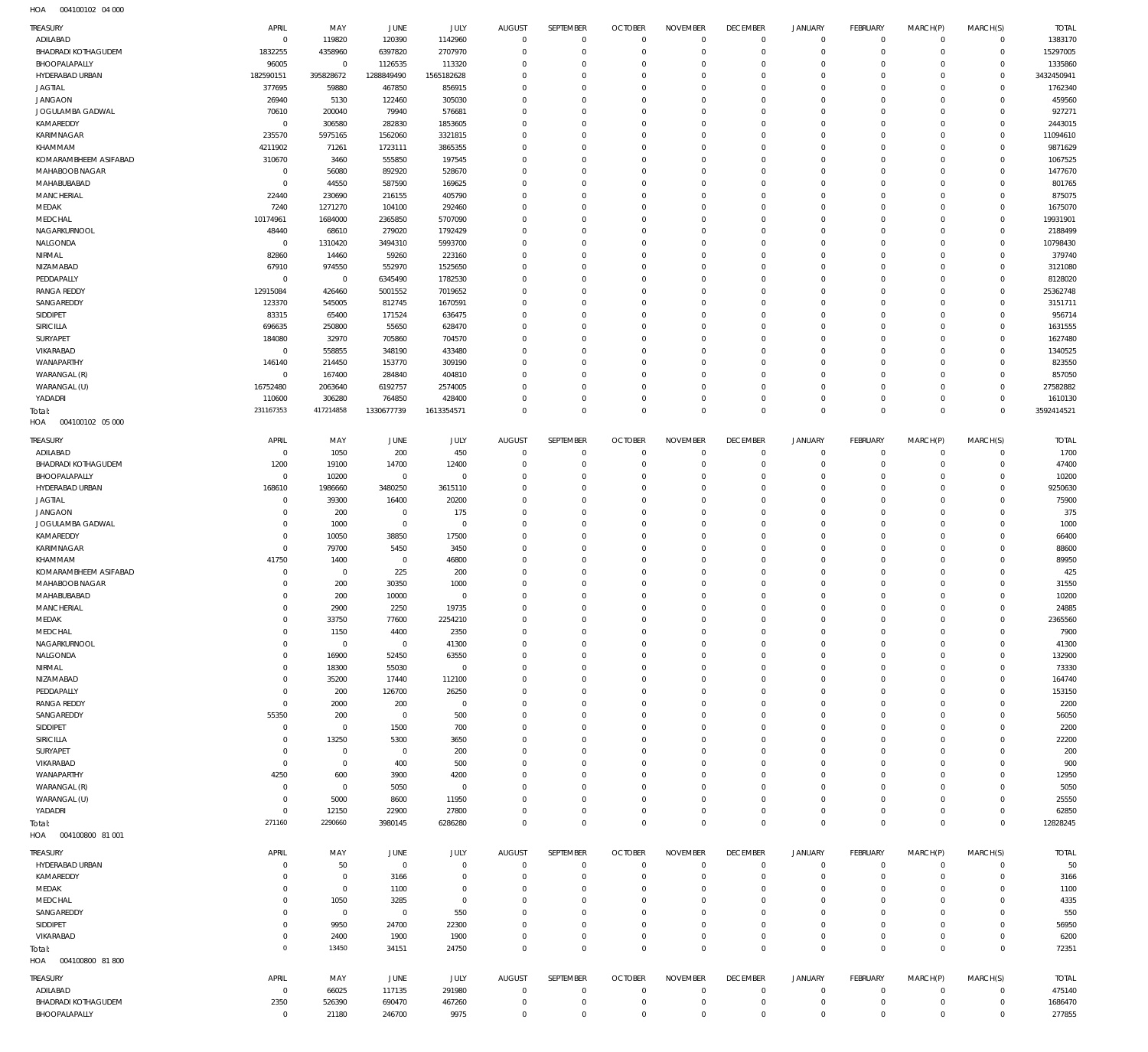004100102 04 000 HOA

| ADILABAD                               | APRIL                   | MAY                   | JUNE              | JULY                       | <b>AUGUST</b>                | SEPTEMBER                  | <b>OCTOBER</b>                   | <b>NOVEMBER</b>            | <b>DECEMBER</b>                   | <b>JANUARY</b>             | FEBRUARY                   | MARCH(P)             | MARCH(S)                   | <b>TOTAL</b>        |
|----------------------------------------|-------------------------|-----------------------|-------------------|----------------------------|------------------------------|----------------------------|----------------------------------|----------------------------|-----------------------------------|----------------------------|----------------------------|----------------------|----------------------------|---------------------|
| <b>BHADRADI KOTHAGUDEM</b>             | $\mathbf 0$<br>1832255  | 119820<br>4358960     | 120390<br>6397820 | 1142960<br>2707970         | $\mathbf 0$<br>$\Omega$      | $\circ$<br>$\mathbf 0$     | $\overline{0}$<br>$\mathbf{0}$   | $\mathbf 0$<br>$\mathbf 0$ | $\overline{0}$<br>$\overline{0}$  | $\mathbf 0$<br>$\mathbf 0$ | $\circ$<br>$\mathbf 0$     | $\Omega$<br>$\Omega$ | $\mathbf 0$<br>$\mathbf 0$ | 1383170<br>15297005 |
| BHOOPALAPALLY                          | 96005                   | $\mathbf 0$           | 1126535           | 113320                     | $\Omega$                     | $\mathbf 0$                | $\mathbf 0$                      | $\Omega$                   | $\overline{0}$                    | $\circ$                    | $\mathbf 0$                | $\Omega$             | $\mathbf 0$                | 1335860             |
| HYDERABAD URBAN                        | 182590151               | 395828672             | 1288849490        | 1565182628                 | $\Omega$                     | $\mathbf 0$                | $\mathbf{0}$                     | $\mathbf 0$                | $\overline{0}$                    | $\circ$                    | $\mathbf 0$                | $\Omega$             | $\mathbf 0$                | 3432450941          |
| <b>JAGTIAL</b>                         | 377695                  | 59880                 | 467850            | 856915                     | $\Omega$                     | $\mathbf 0$                | $\mathbf 0$                      | $\Omega$                   | $\overline{0}$                    | $\Omega$                   | $\Omega$                   | $\Omega$             | $\Omega$                   | 1762340             |
| <b>JANGAON</b>                         | 26940                   | 5130                  | 122460            | 305030                     | $\Omega$                     | $\mathbf 0$                | $\mathbf{0}$                     | $\mathbf 0$                | $\overline{0}$                    | $\circ$                    | $\Omega$                   | $\Omega$             | $\Omega$                   | 459560              |
| JOGULAMBA GADWAL<br>KAMAREDDY          | 70610<br>$\mathbf 0$    | 200040<br>306580      | 79940<br>282830   | 576681<br>1853605          | $\Omega$<br>$\Omega$         | $\Omega$<br>$\mathbf 0$    | $\mathbf 0$<br>$\mathbf{0}$      | $\Omega$<br>$\mathbf 0$    | $\circ$<br>$\overline{0}$         | $\Omega$<br>$\circ$        | $\Omega$<br>$\Omega$       | $\Omega$             | $\Omega$<br>$\mathbf 0$    | 927271<br>2443015   |
| KARIMNAGAR                             | 235570                  | 5975165               | 1562060           | 3321815                    | $\Omega$                     | $\mathbf 0$                | $\mathbf 0$                      | $\Omega$                   | $\overline{0}$                    | $\Omega$                   | $\Omega$                   |                      | $\Omega$                   | 11094610            |
| KHAMMAM                                | 4211902                 | 71261                 | 1723111           | 3865355                    | $\Omega$                     | $\mathbf 0$                | $\mathbf{0}$                     | $\mathbf 0$                | $\overline{0}$                    | $\circ$                    | $\Omega$                   | $\Omega$             | $\circ$                    | 9871629             |
| KOMARAMBHEEM ASIFABAD                  | 310670                  | 3460                  | 555850            | 197545                     | $\Omega$                     | $\mathbf 0$                | $\mathbf 0$                      | $\Omega$                   | $\circ$                           | $\Omega$                   | $\Omega$                   |                      | $\Omega$                   | 1067525             |
| MAHABOOB NAGAR                         | $\mathbf 0$             | 56080                 | 892920            | 528670                     | $\Omega$                     | $\mathbf 0$                | $\mathbf{0}$                     | $\Omega$                   | $\overline{0}$                    | $^{\circ}$                 | $\Omega$                   | $\Omega$             | $\circ$                    | 1477670             |
| MAHABUBABAD<br>MANCHERIAL              | $\mathbf 0$             | 44550                 | 587590            | 169625                     | $\Omega$<br>$\Omega$         | $\mathbf 0$<br>$\mathbf 0$ | $\mathbf 0$<br>$\mathbf{0}$      | $\Omega$<br>$\Omega$       | $\overline{0}$<br>$\overline{0}$  | $^{\circ}$<br>$^{\circ}$   | $\Omega$<br>$\Omega$       | $\Omega$             | $\Omega$<br>$\Omega$       | 801765<br>875075    |
| MEDAK                                  | 22440<br>7240           | 230690<br>1271270     | 216155<br>104100  | 405790<br>292460           | $\Omega$                     | $\mathbf 0$                | $\mathbf 0$                      | $\Omega$                   | $\overline{0}$                    | $^{\circ}$                 | $\mathbf 0$                |                      | $\mathbf 0$                | 1675070             |
| MEDCHAL                                | 10174961                | 1684000               | 2365850           | 5707090                    | $\Omega$                     | $\Omega$                   | $\mathbf{0}$                     | $\Omega$                   | $\circ$                           | $^{\circ}$                 | $\Omega$                   | $\Omega$             | $\circ$                    | 19931901            |
| NAGARKURNOOL                           | 48440                   | 68610                 | 279020            | 1792429                    | $\Omega$                     | $\mathbf 0$                | $\mathbf 0$                      | $\Omega$                   | $\overline{0}$                    | $\circ$                    | $\mathbf 0$                | $\Omega$             | $\mathbf 0$                | 2188499             |
| NALGONDA                               | $\mathbf 0$             | 1310420               | 3494310           | 5993700                    | $\Omega$                     | $\Omega$                   | $\mathbf 0$                      | $\Omega$                   | $\overline{0}$                    | $^{\circ}$                 | $\Omega$                   | $\Omega$             | $\Omega$                   | 10798430            |
| NIRMAL                                 | 82860                   | 14460                 | 59260             | 223160                     | $\Omega$<br>$\Omega$         | $\mathbf 0$<br>$\Omega$    | $\mathbf 0$<br>$\mathbf 0$       | $\Omega$<br>$\Omega$       | $\circ$<br>$\circ$                | $\Omega$<br>$\Omega$       | $\Omega$<br>$\Omega$       | $\Omega$<br>$\Omega$ | $\mathbf 0$<br>$\Omega$    | 379740              |
| NIZAMABAD<br>PEDDAPALLY                | 67910<br>$\mathbf 0$    | 974550<br>$\mathbf 0$ | 552970<br>6345490 | 1525650<br>1782530         | $\Omega$                     | $\mathbf 0$                | $\mathbf{0}$                     | $\Omega$                   | $\overline{0}$                    | $\circ$                    | $\mathbf 0$                | $\Omega$             | $\mathbf 0$                | 3121080<br>8128020  |
| <b>RANGA REDDY</b>                     | 12915084                | 426460                | 5001552           | 7019652                    | $\Omega$                     | $\Omega$                   | $\mathbf 0$                      | $\Omega$                   | $\overline{0}$                    | $\Omega$                   | $\Omega$                   |                      | $\Omega$                   | 25362748            |
| SANGAREDDY                             | 123370                  | 545005                | 812745            | 1670591                    | $\Omega$                     | $\mathbf 0$                | $\mathbf 0$                      | $\Omega$                   | $\circ$                           | $^{\circ}$                 | $\Omega$                   | $\Omega$             | $\mathbf 0$                | 3151711             |
| SIDDIPET                               | 83315                   | 65400                 | 171524            | 636475                     | $\Omega$                     | $\Omega$                   | $\mathbf 0$                      | $\Omega$                   | $\overline{0}$                    | $\Omega$                   | $\Omega$                   | $\Omega$             | $\Omega$                   | 956714              |
| SIRICILLA                              | 696635                  | 250800                | 55650             | 628470                     | $\Omega$                     | $\mathbf 0$                | $\mathbf 0$                      | $\Omega$                   | $\overline{0}$                    | $\circ$                    | $\Omega$                   | $\Omega$             | $\Omega$                   | 1631555             |
| SURYAPET<br>VIKARABAD                  | 184080<br>$\mathbf 0$   | 32970<br>558855       | 705860<br>348190  | 704570<br>433480           | $\Omega$<br>$\Omega$         | $\mathbf 0$<br>$\Omega$    | $\mathbf 0$<br>$\mathbf 0$       | $\Omega$<br>$\Omega$       | $\overline{0}$<br>$\circ$         | $\Omega$<br>$\Omega$       | $\Omega$<br>$\Omega$       | $\Omega$<br>$\Omega$ | $\Omega$<br>$\Omega$       | 1627480<br>1340525  |
| WANAPARTHY                             | 146140                  | 214450                | 153770            | 309190                     | $\Omega$                     | $\mathbf 0$                | $\mathbf{0}$                     | $\mathbf 0$                | $\overline{0}$                    | $\circ$                    | $\Omega$                   | $\Omega$             | $\Omega$                   | 823550              |
| WARANGAL (R)                           | $\mathbf 0$             | 167400                | 284840            | 404810                     | $\Omega$                     | $\mathbf 0$                | $\mathbf 0$                      | $\Omega$                   | $\overline{0}$                    | $\Omega$                   | $\Omega$                   | $\Omega$             | $\Omega$                   | 857050              |
| WARANGAL (U)                           | 16752480                | 2063640               | 6192757           | 2574005                    | $\Omega$                     | $\mathbf 0$                | $\mathbf{0}$                     | $\mathbf 0$                | $\overline{0}$                    | $\circ$                    | $\mathbf 0$                | $\Omega$             | $\mathbf 0$                | 27582882            |
| YADADRI                                | 110600                  | 306280                | 764850            | 428400                     | $\Omega$                     | $\mathbf 0$                | $\mathbf 0$                      | $\Omega$                   | $\overline{0}$                    | $\mathbf 0$                | $\mathbf 0$                | $\Omega$             | $\mathbf 0$                | 1610130             |
| Total:<br>HOA<br>004100102 05 000      | 231167353               | 417214858             | 1330677739        | 1613354571                 | $\Omega$                     | $\mathbf 0$                | $\Omega$                         | $\Omega$                   | $\mathbf{0}$                      | $\circ$                    | $\circ$                    | $\Omega$             | $\mathbf 0$                | 3592414521          |
|                                        |                         |                       |                   |                            |                              |                            |                                  |                            |                                   |                            |                            |                      |                            |                     |
| <b>TREASURY</b>                        | APRIL                   | MAY                   | JUNE              | JULY                       | <b>AUGUST</b>                | SEPTEMBER                  | <b>OCTOBER</b>                   | <b>NOVEMBER</b>            | <b>DECEMBER</b>                   | <b>JANUARY</b>             | FEBRUARY                   | MARCH(P)             | MARCH(S)                   | <b>TOTAL</b>        |
| ADILABAD<br><b>BHADRADI KOTHAGUDEM</b> | $\circ$<br>1200         | 1050<br>19100         | 200<br>14700      | 450<br>12400               | $\mathbf 0$<br>$\mathbf 0$   | $\circ$<br>$\mathbf 0$     | $\overline{0}$<br>$\circ$        | $\mathbf 0$<br>$\mathbf 0$ | $\overline{0}$<br>$\overline{0}$  | 0<br>$\circ$               | $\mathbf 0$<br>$\mathbf 0$ | $\Omega$<br>$\Omega$ | $\mathbf 0$<br>$\mathbf 0$ | 1700<br>47400       |
| BHOOPALAPALLY                          | $\mathbf 0$             | 10200                 | $\mathbf 0$       | $\mathbf 0$                | $\mathbf 0$                  | $\mathbf 0$                | $\mathbf{0}$                     | $\mathbf 0$                | $\overline{0}$                    | $^{\circ}$                 | $\mathbf 0$                | $\Omega$             | $\mathbf 0$                | 10200               |
| HYDERABAD URBAN                        | 168610                  | 1986660               | 3480250           | 3615110                    | $\mathbf 0$                  | $\mathbf 0$                | $\mathbf{0}$                     | 0                          | $\overline{0}$                    | $\circ$                    | $\mathbf 0$                | $\Omega$             | $\mathbf 0$                | 9250630             |
| <b>JAGTIAL</b>                         | $\mathbf 0$             | 39300                 | 16400             | 20200                      | $\mathbf 0$                  | $\mathbf 0$                | $\mathbf{0}$                     | $\mathbf 0$                | $\overline{0}$                    | $^{\circ}$                 | $\Omega$                   | $\Omega$             | $\Omega$                   | 75900               |
| <b>JANGAON</b>                         | $\mathbf 0$             | 200                   | 0                 | 175                        | $\mathbf 0$                  | $\mathbf 0$                | $\mathbf{0}$                     | $\mathbf 0$                | $\overline{0}$                    | $^{\circ}$                 | $\mathbf 0$                | $\Omega$             | $\mathbf 0$                | 375                 |
| JOGULAMBA GADWAL<br>KAMAREDDY          | $\Omega$<br>$\mathbf 0$ | 1000<br>10050         | $\circ$<br>38850  | $\mathbf 0$<br>17500       | $\mathbf 0$<br>$\mathbf 0$   | $\mathbf 0$<br>$\mathbf 0$ | $\mathbf{0}$<br>$\mathbf{0}$     | $\Omega$<br>$\mathbf 0$    | $\Omega$<br>$\overline{0}$        | $\Omega$<br>$\circ$        | $\Omega$<br>$\mathbf 0$    | $\Omega$<br>$\Omega$ | $\Omega$<br>$\mathbf 0$    | 1000<br>66400       |
| KARIMNAGAR                             | $\mathbf 0$             | 79700                 | 5450              | 3450                       | $\mathbf 0$                  | $\mathbf 0$                | $\mathbf{0}$                     | $\mathbf 0$                | $\overline{0}$                    | $^{\circ}$                 | $\Omega$                   | $\Omega$             | $\mathbf 0$                | 88600               |
| KHAMMAM                                | 41750                   | 1400                  | $\mathbf 0$       | 46800                      | $\mathbf 0$                  | $\mathbf 0$                | $\mathbf{0}$                     | $\mathbf 0$                | $\overline{0}$                    | $\circ$                    | $\Omega$                   | $\Omega$             | $\mathbf 0$                | 89950               |
| KOMARAMBHEEM ASIFABAD                  |                         |                       |                   |                            |                              |                            |                                  | $\mathbf 0$                | $\overline{0}$                    |                            |                            |                      |                            |                     |
|                                        | $\mathbf 0$             | $\mathbf 0$           | 225               | 200                        | $\mathbf 0$                  | $\mathbf 0$                | $\mathbf{0}$                     |                            |                                   | $^{\circ}$                 | $\Omega$                   | $\Omega$             | $\Omega$                   | 425                 |
| MAHABOOB NAGAR                         | $\Omega$                | 200                   | 30350             | 1000                       | $\mathbf 0$                  | $\mathbf 0$                | $\mathbf{0}$                     | $\mathbf 0$                | $\overline{0}$                    | $^{\circ}$                 | $\Omega$                   | $\Omega$             | $\Omega$                   | 31550               |
| MAHABUBABAD                            | $\Omega$                | 200                   | 10000             | $\mathbf 0$                | $\mathbf 0$                  | $\mathbf 0$                | $\mathbf{0}$                     | $\mathbf 0$                | $\overline{0}$                    | $\Omega$                   | $\Omega$                   | $\Omega$             | $\circ$                    | 10200               |
| MANCHERIAL                             | $\Omega$                | 2900                  | 2250              | 19735                      | $\Omega$<br>$\mathbf 0$      | $\Omega$                   | $\Omega$                         | $\Omega$<br>$\mathbf 0$    | $\Omega$                          | $\Omega$                   | $\Omega$<br>$\mathbf 0$    | $\cap$<br>$\Omega$   | $\Omega$                   | 24885               |
| MEDAK<br>MEDCHAL                       | $\mathbf 0$<br>0        | 33750<br>1150         | 77600<br>4400     | 2254210<br>2350            | $\mathbf 0$                  | $\circ$<br>$\mathbf 0$     | $\overline{0}$<br>$\circ$        | $\mathbf 0$                | $\overline{0}$<br>$\overline{0}$  | $\circ$<br>0               | $\mathbf 0$                | $\Omega$             | $\mathbf 0$<br>$\mathbf 0$ | 2365560<br>7900     |
| NAGARKURNOOL                           | 0                       | $\mathbf 0$           | $\overline{0}$    | 41300                      | $\mathbf 0$                  | $\circ$                    | $\circ$                          | $\mathbf 0$                | $\overline{0}$                    | $^{\circ}$                 | $\mathbf 0$                | $\Omega$             | $\mathbf 0$                | 41300               |
| NALGONDA                               | $\mathbf 0$             | 16900                 | 52450             | 63550                      | $\mathbf 0$                  | $\circ$                    | $\circ$                          | 0                          | $\overline{0}$                    | $\circ$                    | $\mathbf 0$                |                      | $\mathbf 0$                | 132900              |
| NIRMAL                                 | $\Omega$                | 18300                 | 55030             | $\mathbf 0$                | $\mathbf 0$                  | $\circ$                    | $\circ$                          | $\mathbf 0$                | $\overline{0}$                    | $\circ$                    | $\mathbf 0$                | $\Omega$             | $\mathbf 0$                | 73330               |
| NIZAMABAD                              | 0                       | 35200                 | 17440             | 112100                     | $\mathbf 0$                  | $\circ$                    | $\mathbf{0}$                     | 0                          | $\overline{0}$                    | $\circ$                    | $\mathbf 0$                | $\Omega$             | $\mathbf 0$                | 164740              |
| PEDDAPALLY<br><b>RANGA REDDY</b>       | 0<br>$\mathbf 0$        | 200<br>2000           | 126700<br>200     | 26250<br>0                 | $\mathbf 0$<br>$\mathbf 0$   | $\mathbf 0$<br>$\circ$     | $\mathbf{0}$<br>$\circ$          | $\mathbf 0$<br>0           | $\overline{0}$<br>$\overline{0}$  | $^{\circ}$<br>$\circ$      | $\mathbf 0$<br>$\mathbf 0$ |                      | $\mathbf 0$<br>$\mathbf 0$ | 153150<br>2200      |
| SANGAREDDY                             | 55350                   | 200                   | $\circ$           | 500                        | $\mathbf 0$                  | $\circ$                    | $\mathbf{0}$                     | $\mathbf 0$                | $\overline{0}$                    | $\circ$                    | $\mathbf 0$                | $\Omega$             | $\mathbf 0$                | 56050               |
| SIDDIPET                               | $\mathbf 0$             | $\mathbf 0$           | 1500              | 700                        | $\mathbf 0$                  | $\circ$                    | $\circ$                          | 0                          | $\overline{0}$                    | $\circ$                    | $\mathbf 0$                |                      | $\mathbf 0$                | 2200                |
| SIRICILLA                              | $\Omega$                | 13250                 | 5300              | 3650                       | $\mathbf 0$                  | $\mathbf 0$                | $\mathbf{0}$                     | $\mathbf 0$                | $\overline{0}$                    | $^{\circ}$                 | $\mathbf 0$                | $\Omega$             | $\mathbf 0$                | 22200               |
| SURYAPET                               | 0<br>$\mathbf 0$        | $\mathbf 0$           | $\overline{0}$    | 200                        | $\mathbf 0$<br>$\mathbf 0$   | $\circ$<br>$\mathbf 0$     | $\circ$<br>$\mathbf{0}$          | 0<br>$\mathbf 0$           | $\overline{0}$                    | 0<br>$^{\circ}$            | $\mathbf 0$<br>$\mathbf 0$ | $\Omega$<br>$\Omega$ | $\mathbf 0$<br>$\Omega$    | 200                 |
| VIKARABAD<br>WANAPARTHY                | 4250                    | $\mathbf 0$<br>600    | 400<br>3900       | 500<br>4200                | $\mathbf 0$                  | $\mathbf 0$                | $\circ$                          | 0                          | $\overline{0}$<br>$\overline{0}$  | $\circ$                    | $\mathbf 0$                | $\Omega$             | $\mathbf 0$                | 900<br>12950        |
| WARANGAL (R)                           | $\mathbf 0$             | $\mathbf 0$           | 5050              | $\mathbf 0$                | $\mathbf 0$                  | $\mathbf 0$                | $\mathbf{0}$                     | $\mathbf 0$                | $\overline{0}$                    | $^{\circ}$                 | $\mathbf 0$                | $\Omega$             | $\Omega$                   | 5050                |
| WARANGAL (U)                           | $\mathbf 0$             | 5000                  | 8600              | 11950                      | $\mathbf 0$                  | $\mathbf 0$                | $\circ$                          | $\mathbf 0$                | $\overline{0}$                    | 0                          | $\mathbf 0$                | $\Omega$             | $\mathbf 0$                | 25550               |
| YADADRI                                | $\mathbf 0$             | 12150                 | 22900             | 27800                      | $\mathbf 0$                  | $\mathbf 0$                | $\circ$                          | $\mathbf 0$                | $\mathsf 0$                       | $\circ$                    | $\mathbf 0$                | $\Omega$             | $\mathbf 0$                | 62850               |
| Total:                                 | 271160                  | 2290660               | 3980145           | 6286280                    | $\mathbf 0$                  | $\mathbf 0$                | $\overline{0}$                   | $\mathbf 0$                | $\mathbb O$                       | $\mathbf 0$                | $\circ$                    | $\Omega$             | $\mathbf 0$                | 12828245            |
| 004100800 81 001<br>HOA                |                         |                       |                   |                            |                              |                            |                                  |                            |                                   |                            |                            |                      |                            |                     |
| <b>TREASURY</b>                        | APRIL                   | MAY                   | JUNE              | JULY                       | <b>AUGUST</b>                | SEPTEMBER                  | <b>OCTOBER</b>                   | <b>NOVEMBER</b>            | <b>DECEMBER</b>                   | JANUARY                    | FEBRUARY                   | MARCH(P)             | MARCH(S)                   | <b>TOTAL</b>        |
| HYDERABAD URBAN                        | $\Omega$<br>$\Omega$    | 50                    | $\mathbf 0$       | $\mathbf 0$<br>$\mathbf 0$ | $\mathbf 0$<br>$\mathbf 0$   | $\mathbf 0$<br>$\mathbf 0$ | $\mathbf{0}$<br>$\circ$          | $\mathbf 0$<br>$\mathbf 0$ | $\overline{0}$<br>$\overline{0}$  | $\circ$<br>$\circ$         | $\mathbf 0$<br>$\mathbf 0$ | $\Omega$<br>$\Omega$ | $\mathbf 0$<br>$\mathbf 0$ | 50                  |
| KAMAREDDY<br>MEDAK                     | 0                       | 0<br>$\mathbf 0$      | 3166<br>1100      | $^{\circ}$                 | $\mathbf 0$                  | $\mathbf 0$                | $\mathbf 0$                      | $\mathbf 0$                | $\overline{0}$                    | $^{\circ}$                 | $\mathbf 0$                | $\Omega$             | $\Omega$                   | 3166<br>1100        |
| MEDCHAL                                | $\Omega$                | 1050                  | 3285              | $\mathbf 0$                | $\mathbf 0$                  | $\mathbf 0$                | $\mathbf{0}$                     | $\mathbf 0$                | $\overline{0}$                    | $\circ$                    | $\mathbf 0$                | $\Omega$             | $\Omega$                   | 4335                |
| SANGAREDDY                             | 0                       | $\mathbf 0$           | 0                 | 550                        | $\Omega$                     | $\mathbf 0$                | $\mathbf 0$                      | $\mathbf 0$                | $\overline{0}$                    | $\circ$                    | $\mathbf 0$                | $\Omega$             | $\Omega$                   | 550                 |
| SIDDIPET                               | $\Omega$                | 9950                  | 24700             | 22300                      | $\Omega$                     | $\mathbf 0$                | $\mathbf{0}$                     | $\mathbf 0$                | $\overline{0}$                    | $\circ$                    | $\mathbf 0$                | $\Omega$             | $\mathbf 0$                | 56950               |
| VIKARABAD                              | 0<br>$^{\circ}$         | 2400<br>13450         | 1900              | 1900                       | $\mathbf 0$                  | $\mathbf 0$                | $\circ$                          | $\mathbf 0$                | $\overline{0}$                    | $\mathbf 0$                | $\mathbf 0$                | $\Omega$<br>$\Omega$ | $\mathbf 0$                | 6200                |
| Total:<br>HOA<br>004100800 81800       |                         |                       | 34151             | 24750                      | $\mathbf 0$                  | $\mathbf 0$                | $\overline{0}$                   | $\mathbf 0$                | $\mathbb O$                       | $\mathbf 0$                | $\mathbf 0$                |                      | $\mathbf 0$                | 72351               |
|                                        |                         |                       |                   |                            |                              |                            |                                  |                            |                                   |                            |                            |                      |                            |                     |
| <b>TREASURY</b><br>ADILABAD            | APRIL<br>$\circ$        | MAY<br>66025          | JUNE<br>117135    | JULY<br>291980             | <b>AUGUST</b><br>$\mathbf 0$ | SEPTEMBER<br>$\mathbf 0$   | <b>OCTOBER</b><br>$\overline{0}$ | <b>NOVEMBER</b><br>0       | <b>DECEMBER</b><br>$\overline{0}$ | JANUARY<br>$\mathbf 0$     | FEBRUARY<br>$\mathbf 0$    | MARCH(P)<br>$\Omega$ | MARCH(S)<br>$\mathbf 0$    | TOTAL<br>475140     |
| <b>BHADRADI KOTHAGUDEM</b>             | 2350                    | 526390                | 690470            | 467260                     | $\mathbf 0$                  | $\mathbf 0$                | $\overline{0}$                   | $\mathbf 0$                | $\mathsf 0$                       | 0                          | $\mathsf{O}\xspace$        | $\circ$              | $\mathbb O$                | 1686470             |
| BHOOPALAPALLY                          | $\mathsf{O}\xspace$     | 21180                 | 246700            | 9975                       | $\mathbf 0$                  | $\mathbf 0$                | $\circ$                          | $\mathbf 0$                | $\mathsf 0$                       | $\mathbb O$                | $\mathbf 0$                | $\Omega$             | $\mathbf 0$                | 277855              |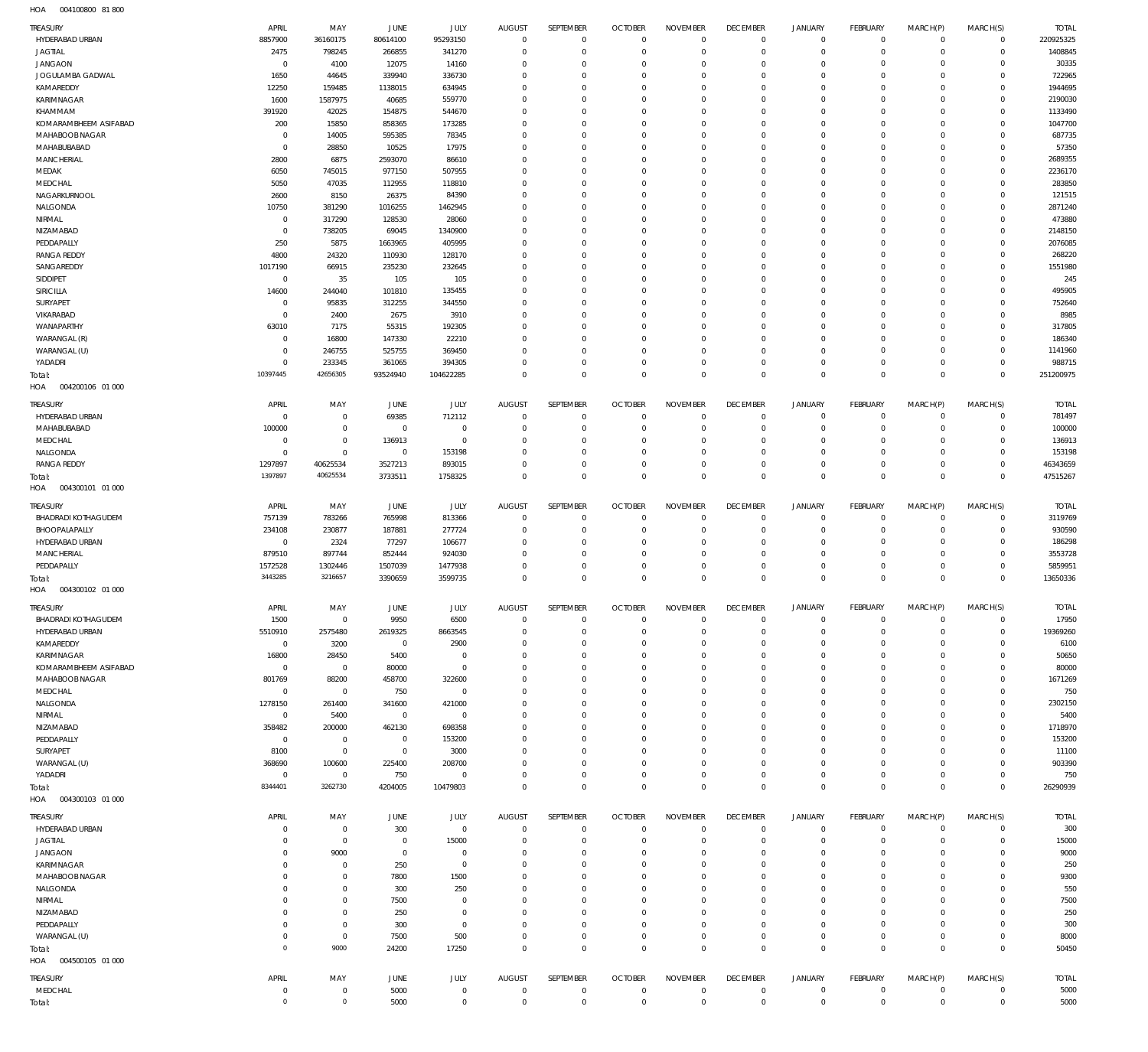004100800 81 800 HOA

| <b>TREASURY</b>            | APRIL          | MAY            | JUNE           | JULY           | <b>AUGUST</b> | SEPTEMBER        | <b>OCTOBER</b> | <b>NOVEMBER</b> | <b>DECEMBER</b> | <b>JANUARY</b> | FEBRUARY    | MARCH(P)    | MARCH(S)     | <b>TOTAL</b> |
|----------------------------|----------------|----------------|----------------|----------------|---------------|------------------|----------------|-----------------|-----------------|----------------|-------------|-------------|--------------|--------------|
| HYDERABAD URBAN            | 8857900        | 36160175       | 80614100       | 95293150       | $^{\circ}$    | $\overline{0}$   | $^{\circ}$     | $^{\circ}$      | $^{\circ}$      | $\mathbf 0$    | $^{\circ}$  | $\circ$     | $\mathbf 0$  | 220925325    |
| <b>JAGTIAL</b>             | 2475           | 798245         | 266855         | 341270         | $\Omega$      | $\mathbf 0$      | $^{\circ}$     | $\mathbf{0}$    | $\mathbf 0$     | $\mathbf 0$    | $^{\circ}$  | $^{\circ}$  | $\mathbf 0$  | 1408845      |
| <b>JANGAON</b>             | $\overline{0}$ | 4100           | 12075          | 14160          | $\Omega$      | $^{\circ}$       | $\Omega$       | $\mathbf 0$     | 0               | $\mathbf 0$    | 0           | $\mathbf 0$ | $\mathbf 0$  | 30335        |
| JOGULAMBA GADWAL           | 1650           | 44645          | 339940         | 336730         | $\Omega$      | $\Omega$         | $\Omega$       | $\Omega$        | $\Omega$        | $\mathbf 0$    | $\Omega$    | $\Omega$    | $\mathbf 0$  | 722965       |
| KAMAREDDY                  | 12250          | 159485         | 1138015        | 634945         | $\Omega$      | $\mathbf 0$      | $\Omega$       | $\mathbf 0$     | 0               | $\mathbf 0$    | 0           | $\mathbf 0$ | $\mathbf 0$  | 1944695      |
| <b>KARIMNAGAR</b>          | 1600           | 1587975        | 40685          | 559770         |               | $\Omega$         | $\mathsf{C}$   | $\Omega$        | C               | $\mathbf 0$    | $\Omega$    | $\Omega$    | $\mathbf 0$  | 2190030      |
| KHAMMAM                    | 391920         | 42025          | 154875         | 544670         | $\Omega$      | $\mathbf 0$      | $\Omega$       | $\mathbf 0$     | $\Omega$        | $\mathbf 0$    | $\Omega$    | $\mathbf 0$ | $\mathbf 0$  | 1133490      |
| KOMARAMBHEEM ASIFABAD      | 200            | 15850          | 858365         | 173285         | $\Omega$      | $\Omega$         | $\Omega$       | $\Omega$        | $\Omega$        | 0              | $\Omega$    | $\Omega$    | 0            | 1047700      |
| MAHABOOB NAGAR             | $\Omega$       | 14005          | 595385         | 78345          | $\Omega$      | $\mathbf 0$      | $\Omega$       | $\Omega$        | $\Omega$        | $\mathbf 0$    | $\Omega$    | $\mathbf 0$ | $\mathbf 0$  | 687735       |
| MAHABUBABAD                | $\mathbf 0$    | 28850          | 10525          | 17975          | $\Omega$      | $\mathbf 0$      | $\Omega$       | $\Omega$        | $\Omega$        | 0              | 0           | $\mathbf 0$ | $\mathbf 0$  | 57350        |
| <b>MANCHERIAL</b>          | 2800           | 6875           | 2593070        | 86610          | $\Omega$      | $\Omega$         | $\Omega$       | $\Omega$        | $\Omega$        | 0              | $\Omega$    | $\Omega$    | $\mathbf 0$  | 2689355      |
| MEDAK                      | 6050           | 745015         | 977150         | 507955         | $\Omega$      | $\mathbf 0$      | $\Omega$       | $\mathbf 0$     | $\Omega$        | $\mathbf 0$    | 0           | $\mathbf 0$ | 0            | 2236170      |
| MEDCHAL                    | 5050           | 47035          | 112955         | 118810         | $\Omega$      | $\mathbf 0$      | $\Omega$       | $\Omega$        | $\Omega$        | 0              | $\Omega$    | $\Omega$    | $\mathbf 0$  | 283850       |
| NAGARKURNOOL               | 2600           | 8150           | 26375          | 84390          | $\Omega$      | $\Omega$         | $\Omega$       | $\Omega$        | $\Omega$        | 0              | $\Omega$    | $\mathbf 0$ | $\circ$      | 121515       |
|                            | 10750          |                |                |                |               |                  |                |                 |                 |                |             |             |              |              |
| NALGONDA                   |                | 381290         | 1016255        | 1462945        | $\Omega$      | $\mathbf 0$      | $\Omega$       | $\mathbf 0$     | 0               | $\mathbf 0$    | $\Omega$    | $\mathbf 0$ | $\mathbf 0$  | 2871240      |
| NIRMAL                     | $\mathbf 0$    | 317290         | 128530         | 28060          |               | $\Omega$         | $\Omega$       | $\Omega$        | $\Omega$        | 0              | $\Omega$    | $\Omega$    | 0            | 473880       |
| NIZAMABAD                  | $\mathbf 0$    | 738205         | 69045          | 1340900        | $\Omega$      | $\mathbf 0$      | $\Omega$       | $\mathbf 0$     | 0               | $\mathbf 0$    | 0           | $\mathbf 0$ | $\mathbf 0$  | 2148150      |
| PEDDAPALLY                 | 250            | 5875           | 1663965        | 405995         |               | $\Omega$         | $\mathsf{C}$   | $\Omega$        | C               | $\mathbf 0$    | $\Omega$    | $\Omega$    | $\mathbf 0$  | 2076085      |
| <b>RANGA REDDY</b>         | 4800           | 24320          | 110930         | 128170         | $\Omega$      | $\mathbf 0$      | $\Omega$       | $\mathbf 0$     | 0               | $\mathbf 0$    | $\Omega$    | $\mathbf 0$ | $\mathbf 0$  | 268220       |
| SANGAREDDY                 | 1017190        | 66915          | 235230         | 232645         | $\Omega$      | $\Omega$         | $\Omega$       | $\Omega$        | $\Omega$        | $\mathbf 0$    | $\Omega$    | $\Omega$    | $\circ$      | 1551980      |
| SIDDIPET                   | $\overline{0}$ | 35             | 105            | 105            | $\Omega$      | $\mathbf 0$      | $\Omega$       | $\Omega$        | $\Omega$        | $\mathbf 0$    | $\Omega$    | $\mathbf 0$ | $\mathbf 0$  | 245          |
| <b>SIRICILLA</b>           | 14600          | 244040         | 101810         | 135455         | $\Omega$      | $\Omega$         | $\Omega$       | $\Omega$        | $\Omega$        | 0              | 0           | $\mathbf 0$ | $\mathbf 0$  | 495905       |
| SURYAPET                   | $\mathbf 0$    | 95835          | 312255         | 344550         | $\Omega$      | $\Omega$         | $\Omega$       | $\Omega$        | $\Omega$        | 0              | $\Omega$    | $\Omega$    | $\mathbf 0$  | 752640       |
| VIKARABAD                  | $\mathbf 0$    | 2400           | 2675           | 3910           | $\Omega$      | $\mathbf 0$      | $\Omega$       | $\mathbf 0$     | $\Omega$        | 0              | 0           | $\mathbf 0$ | 0            | 8985         |
| WANAPARTHY                 | 63010          | 7175           | 55315          | 192305         | $\Omega$      | $^{\circ}$       | $\Omega$       | $\Omega$        | $\Omega$        | 0              | $\Omega$    | $\Omega$    | $\mathbf 0$  | 317805       |
| WARANGAL (R)               | $\mathbf 0$    | 16800          | 147330         | 22210          | $\Omega$      | $\Omega$         | $\Omega$       | $\Omega$        | $\Omega$        | 0              | $\Omega$    | $\mathbf 0$ | $\mathbf 0$  | 186340       |
| WARANGAL (U)               | $\Omega$       | 246755         | 525755         | 369450         | $\Omega$      | $^{\circ}$       | $\Omega$       | $\mathbf 0$     | 0               | $\mathbf 0$    | 0           | $\mathbf 0$ | $\mathbf 0$  | 1141960      |
| YADADRI                    | $\Omega$       | 233345         | 361065         | 394305         | $\Omega$      | $\mathbf 0$      | $^{\circ}$     | $^{\circ}$      | $\mathbf 0$     | $\mathbf 0$    | $\mathbf 0$ | $\mathbf 0$ | $\mathbf 0$  | 988715       |
| Total:                     | 10397445       | 42656305       | 93524940       | 104622285      | $\Omega$      | $\mathbb O$      | $\Omega$       | $\mathbb O$     | $\mathbf 0$     | $\mathbb O$    | $\mathbf 0$ | $\mathbf 0$ | $\mathbf 0$  | 251200975    |
| HOA<br>004200106 01 000    |                |                |                |                |               |                  |                |                 |                 |                |             |             |              |              |
|                            |                |                |                |                |               |                  |                |                 |                 |                |             |             |              |              |
| TREASURY                   | APRIL          | MAY            | JUNE           | <b>JULY</b>    | <b>AUGUST</b> | SEPTEMBER        | <b>OCTOBER</b> | <b>NOVEMBER</b> | <b>DECEMBER</b> | <b>JANUARY</b> | FEBRUARY    | MARCH(P)    | MARCH(S)     | <b>TOTAL</b> |
| HYDERABAD URBAN            | $\mathbf 0$    | $\overline{0}$ | 69385          | 712112         | $\Omega$      | $\overline{0}$   | $^{\circ}$     | $^{\circ}$      | $\overline{0}$  | $\mathbf 0$    | $\mathbf 0$ | $\mathbf 0$ | $\mathbf 0$  | 781497       |
| MAHABUBABAD                | 100000         | $\overline{0}$ | $\overline{0}$ | $\overline{0}$ | $\mathbf 0$   | $\overline{0}$   | $\overline{0}$ | $\mathbf 0$     | $^{\circ}$      | $\circ$        | $\circ$     | $\mathbf 0$ | $^{\circ}$   | 100000       |
| MEDCHAL                    | $\mathbf 0$    | $\mathbf 0$    | 136913         | $\mathbf 0$    | $\Omega$      | $\mathbf 0$      | $^{\circ}$     | $\mathbf 0$     | $\mathbf 0$     | $\mathbf 0$    | $\circ$     | $\mathbf 0$ | $^{\circ}$   | 136913       |
| NALGONDA                   | $\overline{0}$ | $\mathbf 0$    | $\overline{0}$ | 153198         | $\Omega$      | $\mathbf 0$      | $\Omega$       | $\mathbf 0$     | $\mathbf 0$     | $\circ$        | $\circ$     | 0           | $^{\circ}$   | 153198       |
| <b>RANGA REDDY</b>         | 1297897        | 40625534       | 3527213        | 893015         | $\Omega$      | $\mathbf 0$      | $^{\circ}$     | $\mathbf 0$     | $\mathbf 0$     | $\mathbf 0$    | $\mathbf 0$ | $\mathbf 0$ | $^{\circ}$   | 46343659     |
| Total:                     | 1397897        | 40625534       | 3733511        | 1758325        | $\Omega$      | $\mathbb O$      | $\Omega$       | $\mathbb O$     | $\mathbf 0$     | $\mathbb O$    | $\Omega$    | $\mathbf 0$ | $\mathbf 0$  | 47515267     |
| HOA<br>004300101 01 000    |                |                |                |                |               |                  |                |                 |                 |                |             |             |              |              |
|                            |                |                |                |                |               |                  |                |                 |                 |                |             |             |              |              |
| <b>TREASURY</b>            | APRIL          | MAY            | JUNE           | JULY           | <b>AUGUST</b> | SEPTEMBER        | <b>OCTOBER</b> | <b>NOVEMBER</b> | <b>DECEMBER</b> | <b>JANUARY</b> | FEBRUARY    | MARCH(P)    | MARCH(S)     | <b>TOTAL</b> |
| <b>BHADRADI KOTHAGUDEM</b> | 757139         | 783266         | 765998         | 813366         | $^{\circ}$    | $\overline{0}$   | $\overline{0}$ | $^{\circ}$      | $^{\circ}$      | $\mathbf 0$    | $\mathbf 0$ | 0           | $\mathbf 0$  | 3119769      |
| BHOOPALAPALLY              | 234108         | 230877         | 187881         | 277724         | $\Omega$      | $\mathbf 0$      | $\Omega$       | $\mathbf 0$     | $\mathbf 0$     | $\mathbf 0$    | $\circ$     | $\mathbf 0$ | $^{\circ}$   | 930590       |
| HYDERABAD URBAN            | $\overline{0}$ | 2324           | 77297          | 106677         | $\Omega$      | $\overline{0}$   | 0              | $^{\circ}$      | $\circ$         | $\mathbf 0$    | 0           | $\mathbf 0$ | $\mathbf 0$  | 186298       |
| MANCHERIAL                 | 879510         | 897744         | 852444         | 924030         | $\Omega$      | $\mathbf 0$      | $\Omega$       | $\mathbf 0$     | $\mathbf 0$     | $\mathbf 0$    | 0           | $\mathbf 0$ | $^{\circ}$   | 3553728      |
| PEDDAPALLY                 | 1572528        | 1302446        | 1507039        | 1477938        | $\Omega$      | $\overline{0}$   | $\mathbf{0}$   | $\overline{0}$  | $^{\circ}$      | $\circ$        | 0           | $\mathbf 0$ | $\mathbf 0$  | 5859951      |
| Total:                     | 3443285        | 3216657        | 3390659        | 3599735        | $\Omega$      | $\mathbf 0$      | $\mathbf{0}$   | $\mathbf 0$     | $\mathbf 0$     | $\mathbb O$    | $\mathbf 0$ | $\mathbf 0$ | $^{\circ}$   | 13650336     |
| HOA<br>004300102 01 000    |                |                |                |                |               |                  |                |                 |                 |                |             |             |              |              |
|                            |                |                |                |                |               |                  |                |                 |                 |                |             |             |              |              |
| TREASURY                   | APRIL          | MAY            | JUNE           | <b>JULY</b>    | <b>AUGUST</b> | <b>SEPTEMBER</b> | <b>OCTOBER</b> | <b>NOVEMBER</b> | <b>DECEMBER</b> | <b>JANUARY</b> | FEBRUARY    | MARCH(P)    | MARCH(S)     | <b>TOTAL</b> |
| <b>BHADRADI KOTHAGUDEM</b> | 1500           | $\mathbf{0}$   | 9950           | 6500           |               | $\Omega$         |                |                 |                 | 0              | -0          | $\Omega$    | $\Omega$     | 17950        |
| HYDERABAD URBAN            | 5510910        | 2575480        | 2619325        | 8663545        | $\Omega$      | $\overline{0}$   | $\mathbf{0}$   | $\mathbf 0$     | $\mathbf 0$     | $\circ$        | $^{\circ}$  | $^{\circ}$  | $^{\circ}$   | 19369260     |
| KAMAREDDY                  | $\overline{0}$ | 3200           | $\mathbf 0$    | 2900           | $\Omega$      | $\mathbf 0$      | $\mathbf{0}$   | $\mathbf 0$     | $\mathbf 0$     | $\circ$        | $^{\circ}$  | $\mathbf 0$ | $^{\circ}$   | 6100         |
| KARIMNAGAR                 | 16800          | 28450          | 5400           | $\overline{0}$ | $\Omega$      | $\mathbf 0$      | $^{\circ}$     | $\overline{0}$  | $\mathbf 0$     | $\circ$        | $\circ$     | $\mathbf 0$ | $^{\circ}$   | 50650        |
| KOMARAMBHEEM ASIFABAD      | $\overline{0}$ | $\mathbf 0$    | 80000          | $\mathbf 0$    | $\Omega$      | $\mathbf 0$      | $\Omega$       | $\mathbf 0$     | $\mathbf 0$     | $\mathbf 0$    | -0          | 0           | $^{\circ}$   | 80000        |
| MAHABOOB NAGAR             | 801769         | 88200          | 458700         | 322600         | $\Omega$      | $\mathbf 0$      | $\mathbf{0}$   | $\overline{0}$  | $\mathbf 0$     | $\circ$        | $\circ$     | $\mathbf 0$ | $^{\circ}$   | 1671269      |
| MEDCHAL                    | $\overline{0}$ | $\mathbf 0$    | 750            | $\mathbf 0$    | $\Omega$      | $\mathbf 0$      | $\Omega$       | $\mathbf 0$     | 0               | $\mathbf 0$    | 0           | 0           | $^{\circ}$   | 750          |
| NALGONDA                   | 1278150        | 261400         | 341600         | 421000         | $\Omega$      | $\mathbf 0$      | $\Omega$       | $\overline{0}$  | $\mathbf 0$     | $\mathbf 0$    | $\circ$     | $\mathbf 0$ | $^{\circ}$   | 2302150      |
| NIRMAL                     | $\overline{0}$ | 5400           | $\overline{0}$ | $\mathbf 0$    | $\Omega$      | $\mathbf 0$      | $\Omega$       | $\overline{0}$  | 0               | $\mathbf 0$    | -0          | 0           | $^{\circ}$   | 5400         |
| NIZAMABAD                  | 358482         | 200000         | 462130         | 698358         | $\Omega$      | $\mathbf 0$      | $\Omega$       | $\mathbf 0$     | $\mathbf 0$     | $\mathbf 0$    | $\circ$     | 0           | $^{\circ}$   | 1718970      |
| PEDDAPALLY                 | $\overline{0}$ | $\overline{0}$ | $\overline{0}$ | 153200         | $\Omega$      | $\mathbf 0$      | $\Omega$       | $\overline{0}$  | $\mathbf 0$     | $\circ$        | -0          | 0           | $^{\circ}$   | 153200       |
| SURYAPET                   | 8100           | $\,0\,$        | $\mathbf 0$    | 3000           | $\Omega$      | $\mathbf 0$      | $^{\circ}$     | $\overline{0}$  | $\mathbf 0$     | $\mathbf 0$    | 0           | $\mathbf 0$ | $\circ$      | 11100        |
| WARANGAL (U)               | 368690         | 100600         | 225400         | 208700         | $\Omega$      | $\mathbf 0$      | $\Omega$       | $\overline{0}$  | $\mathbf 0$     | $\circ$        | $\circ$     | 0           | $^{\circ}$   | 903390       |
| YADADRI                    | $\overline{0}$ | $\overline{0}$ | 750            | $\overline{0}$ | $\Omega$      | $\overline{0}$   | $\mathbf{0}$   | $\mathbf 0$     | $^{\circ}$      | $\mathbf 0$    | $^{\circ}$  | $\mathbf 0$ | $^{\circ}$   | 750          |
| Total:                     | 8344401        | 3262730        | 4204005        | 10479803       | $\Omega$      | $\mathbf 0$      | $\Omega$       | $\mathbf 0$     | $^{\circ}$      | $\mathbb O$    | $\Omega$    | $\mathbf 0$ | $^{\circ}$   | 26290939     |
| HOA<br>004300103 01 000    |                |                |                |                |               |                  |                |                 |                 |                |             |             |              |              |
|                            |                |                |                |                |               |                  |                |                 |                 |                |             |             |              |              |
| TREASURY                   | APRIL          | MAY            | JUNE           | JULY           | <b>AUGUST</b> | SEPTEMBER        | <b>OCTOBER</b> | <b>NOVEMBER</b> | <b>DECEMBER</b> | <b>JANUARY</b> | FEBRUARY    | MARCH(P)    | MARCH(S)     | <b>TOTAL</b> |
| HYDERABAD URBAN            | $\Omega$       | $\overline{0}$ | 300            | $\mathbf 0$    | $^{\circ}$    | $\overline{0}$   | $\overline{0}$ | $^{\circ}$      | $^{\circ}$      | $\mathbf 0$    | $^{\circ}$  | 0           | $\mathbf 0$  | 300          |
| <b>JAGTIAL</b>             |                | $\mathbf 0$    | $^{\circ}$     | 15000          | $\Omega$      | $\mathbf 0$      | $\Omega$       | $\mathbf 0$     | $\mathbf 0$     | $\mathbf 0$    | $\circ$     | $\mathbf 0$ | $^{\circ}$   | 15000        |
| <b>JANGAON</b>             | $\Omega$       | 9000           | $\overline{0}$ | $\overline{0}$ | $\Omega$      | $\overline{0}$   | 0              | $^{\circ}$      | $\circ$         | $\mathbf 0$    | 0           | $^{\circ}$  | $^{\circ}$   | 9000         |
| KARIMNAGAR                 |                | $\overline{0}$ | 250            | $\overline{0}$ | $\Omega$      | $\mathbf 0$      | $\Omega$       | $\mathbf 0$     | 0               | $\mathbf 0$    | 0           | $\mathbf 0$ | $^{\circ}$   | 250          |
| MAHABOOB NAGAR             | $\Omega$       | $\overline{0}$ | 7800           | 1500           | $\Omega$      | $\mathbf 0$      | $\Omega$       | $^{\circ}$      | 0               | $\mathbf 0$    | 0           | $\mathbf 0$ | $\mathbf 0$  | 9300         |
| NALGONDA                   | $\Omega$       | $\overline{0}$ | 300            | 250            | $\Omega$      | $\mathbf 0$      | $\Omega$       | $\mathbf 0$     | $\Omega$        | $\mathbf 0$    | 0           | $\mathbf 0$ | $\mathbf 0$  | 550          |
| NIRMAL                     | $\Omega$       | $\overline{0}$ | 7500           | $\Omega$       | $\Omega$      | $\mathbf 0$      | $\Omega$       | $^{\circ}$      | $\Omega$        | $\mathbf 0$    | $\Omega$    | $\mathbf 0$ | $\mathbf 0$  | 7500         |
| NIZAMABAD                  | $\Omega$       | $\overline{0}$ | 250            | $\mathbf 0$    | $\Omega$      | $\mathbf 0$      | $\Omega$       | $\mathbf 0$     | 0               | $\mathbf 0$    | 0           | $\mathbf 0$ | $\mathbf 0$  | 250          |
| PEDDAPALLY                 | $\Omega$       | $\overline{0}$ | 300            | $\overline{0}$ | $\Omega$      | $\mathbf 0$      | $\Omega$       | $^{\circ}$      | $\mathbf 0$     | $\mathbf 0$    | 0           | $\mathbf 0$ | $\mathbf 0$  | 300          |
| WARANGAL (U)               | $\Omega$       | $\mathbf 0$    | 7500           | 500            | $\Omega$      | $\mathbf 0$      | $^{\circ}$     | $^{\circ}$      | $\mathbf 0$     | $\mathbf 0$    | $\mathbf 0$ | $\mathbf 0$ | $\mathbf 0$  | 8000         |
| Total:                     | $\Omega$       | 9000           | 24200          | 17250          | $\Omega$      | $\mathbf 0$      | $\Omega$       | $\mathbf 0$     | $\mathbf 0$     | $\mathbb O$    | $\Omega$    | $\mathbf 0$ | $\mathbf 0$  | 50450        |
|                            |                |                |                |                |               |                  |                |                 |                 |                |             |             |              |              |
|                            |                |                |                |                |               |                  |                |                 |                 |                |             |             |              |              |
| 004500105 01 000<br>HOA    |                |                |                |                |               |                  |                |                 |                 |                |             |             |              |              |
| TREASURY                   | APRIL          | MAY            | JUNE           | JULY           | <b>AUGUST</b> | SEPTEMBER        | <b>OCTOBER</b> | <b>NOVEMBER</b> | <b>DECEMBER</b> | <b>JANUARY</b> | FEBRUARY    | MARCH(P)    | MARCH(S)     | <b>TOTAL</b> |
| MEDCHAL                    | $\mathbf 0$    | $\overline{0}$ | 5000           | $\overline{0}$ | $^{\circ}$    | $\overline{0}$   | $^{\circ}$     | $\overline{0}$  | $^{\circ}$      | $\circ$        | $\mathbf 0$ | $\mathbf 0$ | $\mathbf 0$  | 5000         |
| Total:                     | $\Omega$       | $\,0\,$        | 5000           | $\mathbf 0$    | $\Omega$      | $\mathbf 0$      | $^{\circ}$     | $\mathbb O$     | $\mathbf{0}$    | $\mathbb O$    | $^{\circ}$  | $\mathbf 0$ | $\mathbf{0}$ | 5000         |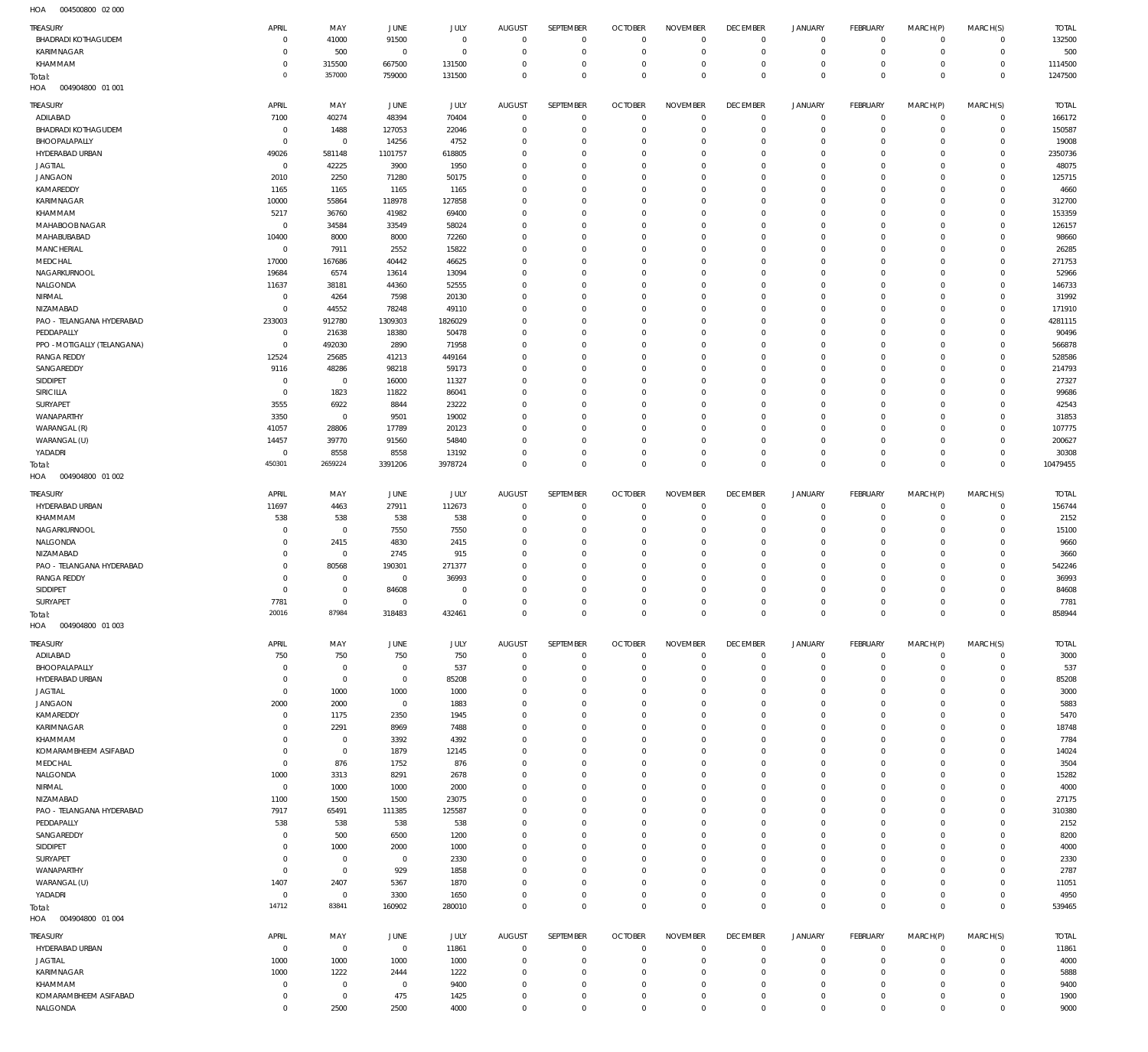004500800 02 000 HOA

| TREASURY                               | APRIL                  | MAY                    | JUNE                   | JULY             | AUGUST                     | SEPTEMBER                  | <b>OCTOBER</b>                   | <b>NOVEMBER</b>            | <b>DECEMBER</b>                  | <b>JANUARY</b>             | FEBRUARY                         | MARCH(P)                 | MARCH(S)                   | <b>TOTAL</b>     |
|----------------------------------------|------------------------|------------------------|------------------------|------------------|----------------------------|----------------------------|----------------------------------|----------------------------|----------------------------------|----------------------------|----------------------------------|--------------------------|----------------------------|------------------|
| <b>BHADRADI KOTHAGUDEM</b>             | $\circ$                | 41000                  | 91500                  | $\mathbf 0$      | $\mathbf 0$                | $\mathbf 0$                | $\overline{0}$                   | $\mathbf 0$                | $\overline{0}$                   | $\overline{0}$             | $\mathbf 0$                      | $\mathbf 0$              | $\mathbf 0$                | 132500           |
| KARIMNAGAR                             | $\Omega$               | 500                    | $\mathbf 0$            | $\mathbf 0$      | $\mathbf 0$                | $\mathbf 0$                | $\overline{0}$                   | $\mathbf 0$                | $\overline{0}$                   | $\mathbf 0$                | $\mathbb O$                      | $\mathbf 0$              | $\mathbf 0$                | 500              |
| KHAMMAM                                | $^{\circ}$             | 315500                 | 667500                 | 131500           | 0                          | $\mathbf 0$                | $\mathbf 0$                      | $\mathbf 0$                | $\overline{0}$                   | $\mathbf 0$                | $\mathbf 0$                      | $^{\circ}$               | $\mathbf 0$                | 1114500          |
| Total:<br>HOA<br>004904800 01 001      | $\Omega$               | 357000                 | 759000                 | 131500           | $\mathbf 0$                | $\mathbf 0$                | $\mathbf 0$                      | $\mathbf 0$                | $\overline{0}$                   | $\mathbf 0$                | $\,0\,$                          | $\overline{0}$           | $\mathbb O$                | 1247500          |
|                                        |                        |                        |                        |                  |                            |                            |                                  |                            |                                  |                            |                                  |                          |                            |                  |
| TREASURY                               | APRIL                  | MAY                    | JUNE                   | <b>JULY</b>      | AUGUST                     | SEPTEMBER                  | <b>OCTOBER</b>                   | <b>NOVEMBER</b>            | <b>DECEMBER</b>                  | <b>JANUARY</b>             | FEBRUARY                         | MARCH(P)                 | MARCH(S)                   | <b>TOTAL</b>     |
| ADILABAD<br><b>BHADRADI KOTHAGUDEM</b> | 7100<br>$\overline{0}$ | 40274<br>1488          | 48394<br>127053        | 70404<br>22046   | $\mathbf 0$<br>$\mathbf 0$ | $\mathbb O$<br>$\mathbf 0$ | $\overline{0}$<br>$\overline{0}$ | $\mathbf 0$<br>$\mathbf 0$ | $\overline{0}$<br>$\overline{0}$ | $\mathbf 0$<br>$\mathbf 0$ | $\mathbf 0$<br>$\mathbb O$       | $^{\circ}$<br>$^{\circ}$ | $\mathbf 0$<br>$\mathbf 0$ | 166172<br>150587 |
| BHOOPALAPALLY                          | $^{\circ}$             | $\overline{0}$         | 14256                  | 4752             | 0                          | $\mathbf 0$                | $\mathbf 0$                      | $\mathbf 0$                | $\mathbf 0$                      | 0                          | $\overline{0}$                   | $\circ$                  | $\mathbf 0$                | 19008            |
| HYDERABAD URBAN                        | 49026                  | 581148                 | 1101757                | 618805           | $\mathbf 0$                | $\mathbf 0$                | $\mathbf 0$                      | $\mathbf 0$                | $\mathbf 0$                      | $\mathbf 0$                | $\mathbf 0$                      | $\Omega$                 | $\Omega$                   | 2350736          |
| <b>JAGTIAL</b>                         | $\overline{0}$         | 42225                  | 3900                   | 1950             | $\mathbf 0$                | $\mathbf 0$                | $\mathbf 0$                      | $\mathbf 0$                | $\mathbf 0$                      | 0                          | $\overline{0}$                   | $\Omega$                 | $\Omega$                   | 48075            |
| <b>JANGAON</b>                         | 2010                   | 2250                   | 71280                  | 50175            | $\mathbf 0$                | $\mathbf 0$                | $\mathbf 0$                      | $\mathbf 0$                | $\mathbf 0$                      | $\mathbf 0$                | $\overline{0}$                   | $\Omega$                 | $\Omega$                   | 125715           |
| KAMAREDDY                              | 1165                   | 1165                   | 1165                   | 1165             | $\mathbf 0$                | $\mathbf 0$                | $\mathbf 0$                      | $\mathbf 0$                | $\mathbf 0$                      | 0                          | $\overline{0}$                   | $\Omega$                 | $\Omega$                   | 4660             |
| <b>KARIMNAGAR</b>                      | 10000                  | 55864                  | 118978                 | 127858           | $\mathbf 0$                | $\mathbf 0$<br>$\mathbf 0$ | $\mathbf 0$                      | $\mathbf 0$<br>$\mathbf 0$ | $\mathbf 0$<br>$\mathbf 0$       | 0                          | $\overline{0}$<br>$\overline{0}$ | $\Omega$                 | $\Omega$<br>$\Omega$       | 312700           |
| KHAMMAM<br>MAHABOOB NAGAR              | 5217<br>$\Omega$       | 36760<br>34584         | 41982<br>33549         | 69400<br>58024   | $^{\circ}$<br>$\mathbf 0$  | $\mathbf 0$                | $\mathbf 0$<br>$\mathbf 0$       | $\mathbf 0$                | $\mathbf 0$                      | 0<br>0                     | $\overline{0}$                   | $\Omega$<br>$\Omega$     | $\Omega$                   | 153359<br>126157 |
| MAHABUBABAD                            | 10400                  | 8000                   | 8000                   | 72260            | $^{\circ}$                 | $\mathbf 0$                | $\mathbf 0$                      | $\mathbf 0$                | $\mathbf 0$                      | $\mathbf 0$                | $\overline{0}$                   | $\Omega$                 | $\Omega$                   | 98660            |
| MANCHERIAL                             | $^{\circ}$             | 7911                   | 2552                   | 15822            | $\mathbf 0$                | $\mathbf 0$                | $\mathbf 0$                      | $\mathbf 0$                | $\mathbf 0$                      | 0                          | $\overline{0}$                   | $\Omega$                 | $\mathbf 0$                | 26285            |
| MEDCHAL                                | 17000                  | 167686                 | 40442                  | 46625            | $^{\circ}$                 | $\mathbf 0$                | $\mathbf 0$                      | $\mathbf 0$                | $\mathbf 0$                      | $\mathbf 0$                | $\overline{0}$                   | $\Omega$                 | $\Omega$                   | 271753           |
| NAGARKURNOOL                           | 19684                  | 6574                   | 13614                  | 13094            | $\mathbf 0$                | $\mathbf 0$                | $\mathbf 0$                      | $\mathbf 0$                | $\mathbf 0$                      | 0                          | $\overline{0}$                   | $\Omega$                 | $\mathbf 0$                | 52966            |
| NALGONDA                               | 11637                  | 38181                  | 44360                  | 52555            | $^{\circ}$                 | $\mathbf 0$                | $\mathbf 0$                      | $\Omega$                   | $\mathbf 0$                      | $\mathbf 0$                | $\overline{0}$                   | $\Omega$                 | $\Omega$                   | 146733           |
| NIRMAL                                 | $^{\circ}$<br>$\Omega$ | 4264                   | 7598                   | 20130            | $\mathbf 0$                | $\mathbf 0$<br>$\mathbf 0$ | $\mathbf 0$                      | $\mathbf 0$<br>$\mathbf 0$ | $\mathbf 0$<br>$\mathbf 0$       | 0<br>$\mathbf 0$           | $\overline{0}$<br>$\overline{0}$ | $\Omega$<br>$\Omega$     | $\mathbf 0$<br>$\Omega$    | 31992<br>171910  |
| NIZAMABAD<br>PAO - TELANGANA HYDERABAD | 233003                 | 44552<br>912780        | 78248<br>1309303       | 49110<br>1826029 | $^{\circ}$<br>$\mathbf 0$  | $\mathbf 0$                | $\mathbf 0$<br>$\mathbf 0$       | $\mathbf 0$                | $\mathbf 0$                      | 0                          | $\overline{0}$                   | $\Omega$                 | $\mathbf 0$                | 4281115          |
| PEDDAPALLY                             | $^{\circ}$             | 21638                  | 18380                  | 50478            | $\mathbf 0$                | $\mathbf 0$                | $\mathbf 0$                      | $\Omega$                   | $\mathbf 0$                      | $\mathbf 0$                | $\overline{0}$                   | $\Omega$                 | $\Omega$                   | 90496            |
| PPO - MOTIGALLY (TELANGANA)            | $^{\circ}$             | 492030                 | 2890                   | 71958            | $\mathbf 0$                | $\mathbf 0$                | $\mathbf 0$                      | $\mathbf 0$                | $\mathbf 0$                      | 0                          | $\overline{0}$                   | $\Omega$                 | $\mathbf 0$                | 566878           |
| <b>RANGA REDDY</b>                     | 12524                  | 25685                  | 41213                  | 449164           | $\mathbf 0$                | $\mathbf 0$                | $\mathbf 0$                      | $\mathbf 0$                | $\mathbf 0$                      | 0                          | $\overline{0}$                   | $\Omega$                 | $\Omega$                   | 528586           |
| SANGAREDDY                             | 9116                   | 48286                  | 98218                  | 59173            | $\mathbf 0$                | $\mathbf 0$                | $\mathbf 0$                      | $\mathbf 0$                | $\mathbf 0$                      | 0                          | $\overline{0}$                   | $\Omega$                 | $\Omega$                   | 214793           |
| SIDDIPET                               | 0                      | $\overline{0}$         | 16000                  | 11327            | $\mathbf 0$                | $\mathbf 0$                | $\mathbf 0$                      | 0                          | $\mathbf 0$                      | $\mathbf 0$                | $\overline{0}$                   | $\Omega$                 | $\Omega$                   | 27327            |
| SIRICILLA                              | $^{\circ}$             | 1823                   | 11822                  | 86041            | $\mathbf 0$                | $\mathbf 0$                | $\mathbf 0$                      | $\mathbf 0$                | $\mathbf 0$                      | 0                          | $\overline{0}$                   | $\Omega$                 | $\Omega$                   | 99686            |
| SURYAPET<br>WANAPARTHY                 | 3555<br>3350           | 6922<br>$\mathbf 0$    | 8844<br>9501           | 23222<br>19002   | $\mathbf 0$<br>$\mathbf 0$ | $\mathbf 0$<br>$\mathbf 0$ | $\mathbf 0$<br>$\mathbf 0$       | $\mathbf 0$<br>$\mathbf 0$ | $\mathbf 0$<br>$\mathbf 0$       | 0<br>$\mathbf 0$           | $\overline{0}$<br>$\overline{0}$ | $\Omega$<br>$\Omega$     | $\Omega$<br>$\Omega$       | 42543<br>31853   |
| WARANGAL (R)                           | 41057                  | 28806                  | 17789                  | 20123            | $\mathbf 0$                | $\mathbf 0$                | $\mathbf 0$                      | $\mathbf 0$                | $\mathbf 0$                      | 0                          | $\overline{0}$                   | $\Omega$                 | $\mathbf 0$                | 107775           |
| WARANGAL (U)                           | 14457                  | 39770                  | 91560                  | 54840            | $\mathbf 0$                | $\mathbf 0$                | $\mathbf 0$                      | $\mathbf 0$                | $\mathbf 0$                      | $\mathbf 0$                | $\mathbf 0$                      | $\Omega$                 | $\Omega$                   | 200627           |
| YADADRI                                | $\overline{0}$         | 8558                   | 8558                   | 13192            | $\mathbf 0$                | $\mathbf 0$                | $\mathbf 0$                      | $\mathbf 0$                | $\overline{0}$                   | $\mathbf 0$                | $\mathbf 0$                      | $^{\circ}$               | $\mathbf 0$                | 30308            |
| Total:                                 | 450301                 | 2659224                | 3391206                | 3978724          | $\mathbf 0$                | $\mathbf 0$                | $\overline{0}$                   | $\mathbf 0$                | $\overline{0}$                   | $\mathbf 0$                | $\,0\,$                          | $\overline{0}$           | $\mathbb O$                | 10479455         |
| HOA<br>004904800 01 002                |                        |                        |                        |                  |                            |                            |                                  |                            |                                  |                            |                                  |                          |                            |                  |
| TREASURY                               | APRIL                  | MAY                    | JUNE                   | JULY             | <b>AUGUST</b>              | SEPTEMBER                  | <b>OCTOBER</b>                   | <b>NOVEMBER</b>            | <b>DECEMBER</b>                  | <b>JANUARY</b>             | <b>FEBRUARY</b>                  | MARCH(P)                 | MARCH(S)                   | <b>TOTAL</b>     |
| HYDERABAD URBAN                        | 11697                  | 4463                   | 27911                  | 112673           | $\mathbf 0$                | $\mathbf 0$                | $\overline{0}$                   | $\mathbf 0$                | $\overline{0}$                   | $\mathbf 0$                | $\mathbf 0$                      | $^{\circ}$               | $\mathbf 0$                | 156744           |
| KHAMMAM                                | 538                    | 538                    | 538                    | 538              | 0                          | $\mathbf 0$                | $\overline{0}$                   | $\mathbf 0$                | $\overline{0}$                   | $\mathbf 0$                | $\mathbf 0$                      | $^{\circ}$               | $\mathbf 0$                | 2152             |
| NAGARKURNOOL                           | $\Omega$               | $\mathbf 0$            | 7550                   | 7550             | $\mathbf 0$                | $\mathbf 0$                | $\mathbf 0$                      | $\mathbf 0$                | $\overline{0}$                   | $\mathbf 0$                | $\mathbf 0$                      | $^{\circ}$               | $\mathbf 0$                | 15100            |
| NALGONDA                               | $\Omega$               | 2415                   | 4830                   | 2415             | $\mathbf 0$                | $\mathbf 0$                | $\mathbf 0$                      | $\mathbf 0$                | $\mathbf 0$                      | $\mathbf 0$                | $\overline{0}$                   | $\Omega$                 | $\mathbf 0$                | 9660             |
| NIZAMABAD<br>PAO - TELANGANA HYDERABAD | $\Omega$<br>$\Omega$   | $\mathbf 0$<br>80568   | 2745<br>190301         | 915<br>271377    | $\mathbf 0$<br>$\mathbf 0$ | $\mathbf 0$<br>$\mathbf 0$ | $\mathbf 0$<br>$\mathbf 0$       | $\mathbf 0$<br>$\mathbf 0$ | $\overline{0}$<br>$\mathbf 0$    | $\mathbf 0$<br>$\mathbf 0$ | $\mathbf 0$<br>$\overline{0}$    | $\Omega$<br>$\Omega$     | $\mathbf 0$<br>$\mathbf 0$ | 3660<br>542246   |
| <b>RANGA REDDY</b>                     | $\Omega$               | $\mathbf 0$            | $\mathbf 0$            | 36993            | $\mathbf 0$                | $\mathbf 0$                | $\mathbf 0$                      | $\mathbf 0$                | $\mathbf 0$                      | $\mathbf 0$                | $\mathbf 0$                      | $\Omega$                 | $\mathbf 0$                | 36993            |
| SIDDIPET                               | $\Omega$               | $\mathbf 0$            | 84608                  | $^{\circ}$       | 0                          | $\mathbf 0$                | $\mathbf 0$                      | $\mathbf 0$                | $\mathbf 0$                      | $\mathbf 0$                | $\overline{0}$                   | $\Omega$                 | $\mathbf 0$                | 84608            |
| SURYAPET                               | 7781                   | $\mathbb O$            | $\mathbf 0$            | $\mathbf 0$      | $\mathbf 0$                | $\mathbf 0$                | $\mathbf 0$                      | $\mathbf 0$                | $\Omega$                         | $\mathbf 0$                | $\mathbf 0$                      | $\circ$                  | $\mathbf 0$                | 7781             |
| Total:                                 | 2001                   | 87984                  | 318483                 | 432461           | 0                          | 0                          | 0                                |                            | 0                                | 0                          | 0                                | 0                        | 0                          | 858944           |
| HOA<br>004904800 01 003                |                        |                        |                        |                  |                            |                            |                                  |                            |                                  |                            |                                  |                          |                            |                  |
| TREASURY                               | APRIL                  | MAY                    | JUNE                   | JULY             | AUGUST                     | SEPTEMBER                  | <b>OCTOBER</b>                   | <b>NOVEMBER</b>            | <b>DECEMBER</b>                  | <b>JANUARY</b>             | FEBRUARY                         | MARCH(P)                 | MARCH(S)                   | <b>TOTAL</b>     |
| ADILABAD                               | 750                    | 750                    | 750                    | 750              | $\mathbf 0$                | $\mathbf 0$                | $\overline{0}$                   | $\mathbf 0$                | $\overline{0}$                   | $\mathbf 0$                | $\mathbb O$                      | $\circ$                  | $\mathbf 0$                | 3000             |
| BHOOPALAPALLY                          | $\Omega$               | $\overline{0}$         | $\mathbf 0$            | 537              | $\mathbf 0$                | $\mathbf 0$                | $\mathbf 0$                      | $\mathbf 0$                | $\mathbf 0$                      | $\mathsf{O}\xspace$        | $\mathbf 0$                      | $^{\circ}$               | $\mathbf 0$                | 537              |
| HYDERABAD URBAN                        | $\Omega$               | $\mathbf 0$            | $\overline{0}$         | 85208            | $\mathbf{0}$               | $\mathbf 0$                | $\mathbf 0$                      | $\mathbf 0$                | $\mathbf 0$                      | 0                          | $\overline{0}$                   | 0                        | $\mathbf 0$                | 85208            |
| JAGTIAL<br><b>JANGAON</b>              | $\circ$<br>2000        | 1000<br>2000           | 1000<br>$\overline{0}$ | 1000<br>1883     | 0<br>$\mathbf 0$           | $\mathbf 0$<br>$\mathbf 0$ | $\mathbf 0$<br>$\mathbf 0$       | $\mathbf 0$<br>$\mathbf 0$ | $\mathbf 0$<br>$\mathbf 0$       | 0<br>0                     | $\overline{0}$<br>$\mathbf 0$    | 0<br>$\Omega$            | $\Omega$<br>$\Omega$       | 3000<br>5883     |
| KAMAREDDY                              | $\circ$                | 1175                   | 2350                   | 1945             | $\mathbf 0$                | $\mathbf 0$                | $\mathbf 0$                      | $\mathbf 0$                | $\mathbf 0$                      | 0                          | $\overline{0}$                   | 0                        | $\Omega$                   | 5470             |
| KARIMNAGAR                             | $\Omega$               | 2291                   | 8969                   | 7488             | $\mathbf 0$                | $\mathbf 0$                | $\mathbf 0$                      | $\mathbf 0$                | $\mathbf 0$                      | 0                          | $\mathbf 0$                      | $\Omega$                 | $\Omega$                   | 18748            |
| KHAMMAM                                |                        | $\mathbf 0$            | 3392                   | 4392             | $\mathbf 0$                | $\mathbf 0$                | $\mathbf 0$                      | $\mathbf 0$                | $\mathbf 0$                      | 0                          | $\overline{0}$                   | 0                        | $\Omega$                   | 7784             |
| KOMARAMBHEEM ASIFABAD                  | $\Omega$               | $\mathbf 0$            | 1879                   | 12145            | $\mathbf 0$                | $\mathbf 0$                | $\mathbf 0$                      | $\mathbf 0$                | $\mathbf 0$                      | 0                          | $\mathbf 0$                      | $\Omega$                 | $\mathbf 0$                | 14024            |
| MEDCHAL                                | $\circ$                | 876                    | 1752                   | 876              | $^{\circ}$                 | $\mathbf 0$                | $\mathbf 0$                      | $\mathbf 0$                | $^{\circ}$                       | 0                          | $\overline{0}$                   | 0                        | $\Omega$                   | 3504             |
| NALGONDA                               | 1000                   | 3313                   | 8291                   | 2678             | $\mathbf 0$                | $\mathbf 0$                | $\mathbf 0$                      | $\mathbf 0$                | $\mathbf 0$                      | 0                          | $\overline{0}$                   | $\Omega$                 | $\Omega$                   | 15282            |
| NIRMAL<br>NIZAMABAD                    | $\circ$<br>1100        | 1000<br>1500           | 1000<br>1500           | 2000<br>23075    | $\mathbf 0$<br>$\mathbf 0$ | $\mathbf 0$<br>$\mathbf 0$ | $\mathbf 0$<br>$\mathbf 0$       | $\mathbf 0$<br>$\mathbf 0$ | $\mathbf 0$<br>$\mathbf 0$       | 0<br>0                     | $\overline{0}$<br>$\overline{0}$ | 0<br>$\Omega$            | $\Omega$<br>$\mathbf 0$    | 4000<br>27175    |
| PAO - TELANGANA HYDERABAD              | 7917                   | 65491                  | 111385                 | 125587           | $\mathbf 0$                | $\mathbf 0$                | $\mathbf 0$                      | $\mathbf 0$                | $\mathbf 0$                      | 0                          | $\overline{0}$                   | 0                        | $\mathbf 0$                | 310380           |
| PEDDAPALLY                             | 538                    | 538                    | 538                    | 538              | $\mathbf 0$                | $\mathbf 0$                | $\mathbf 0$                      | $\mathbf 0$                | $\mathbf 0$                      | 0                          | $\overline{0}$                   | $\Omega$                 | $\mathbf 0$                | 2152             |
| SANGAREDDY                             | $\circ$                | 500                    | 6500                   | 1200             | $\mathbf 0$                | $\mathbf 0$                | $\mathbf 0$                      | $\mathbf 0$                | $\mathbf 0$                      | 0                          | $\overline{0}$                   | $\Omega$                 | $\Omega$                   | 8200             |
| SIDDIPET                               | $\circ$                | 1000                   | 2000                   | 1000             | $\mathbf 0$                | $\mathbf 0$                | $\mathbf 0$                      | $\mathbf 0$                | $\mathbf 0$                      | 0                          | $\overline{0}$                   | 0                        | $\mathbf 0$                | 4000             |
| SURYAPET                               | $\Omega$               | $\overline{0}$         | $^{\circ}$             | 2330             | $^{\circ}$                 | $\mathbf 0$                | $\mathbf 0$                      | $\mathbf 0$                | $\mathbf 0$                      | 0                          | $\overline{0}$                   | $\Omega$                 | $\Omega$                   | 2330             |
| WANAPARTHY                             | $\Omega$               | $\mathbf 0$            | 929                    | 1858<br>1870     | $\mathbf 0$<br>$\mathbf 0$ | $\mathbf 0$<br>$\mathbf 0$ | $\mathbf 0$<br>$\mathbf 0$       | $\mathbf 0$<br>$\mathbf 0$ | $\mathbf 0$<br>$\mathbf 0$       | 0<br>$\mathbf 0$           | $\overline{0}$<br>$\mathbf 0$    | 0                        | $\mathbf 0$<br>$\Omega$    | 2787<br>11051    |
| WARANGAL (U)<br>YADADRI                | 1407<br>$\circ$        | 2407<br>$\overline{0}$ | 5367<br>3300           | 1650             | $\mathbf 0$                | $\mathbb O$                | $\mathbf 0$                      | $\mathbf 0$                | $\overline{0}$                   | 0                          | $\mathbf 0$                      | 0<br>$\circ$             | $\mathbf 0$                | 4950             |
| Total:                                 | 14712                  | 83841                  | 160902                 | 280010           | $\mathbf 0$                | $\mathbf 0$                | $\mathbf 0$                      | $\mathbf 0$                | $\overline{0}$                   | $\mathbf 0$                | $\,0\,$                          | $\mathbf 0$              | $\mathbf 0$                | 539465           |
| HOA<br>004904800 01 004                |                        |                        |                        |                  |                            |                            |                                  |                            |                                  |                            |                                  |                          |                            |                  |
| TREASURY                               | APRIL                  | MAY                    | JUNE                   | JULY             | AUGUST                     | SEPTEMBER                  | <b>OCTOBER</b>                   | <b>NOVEMBER</b>            | <b>DECEMBER</b>                  | <b>JANUARY</b>             | FEBRUARY                         | MARCH(P)                 | MARCH(S)                   | <b>TOTAL</b>     |
| HYDERABAD URBAN                        | $\circ$                | $\mathbf 0$            | $\,0\,$                | 11861            | $^{\circ}$                 | $^{\circ}$                 | $\overline{0}$                   | $\mathbf 0$                | $\mathbf 0$                      | $\mathbf 0$                | $\overline{0}$                   | $^{\circ}$               | $\mathbf 0$                | 11861            |
| <b>JAGTIAL</b>                         | 1000                   | 1000                   | 1000                   | 1000             | $\mathbf 0$                | $\mathbf 0$                | $\overline{0}$                   | $\mathbf 0$                | $\overline{0}$                   | $\mathbf 0$                | $\mathbf 0$                      | $^{\circ}$               | $\mathbf 0$                | 4000             |
| KARIMNAGAR                             | 1000                   | 1222                   | 2444                   | 1222             | $\mathbf{0}$               | $\mathbf 0$                | 0                                | $\mathbf 0$                | $^{\circ}$                       | 0                          | $\overline{0}$                   | 0                        | $\mathbf 0$                | 5888             |
| KHAMMAM                                | $\Omega$               | $\overline{0}$         | $\overline{0}$         | 9400             | 0                          | $\mathbf 0$                | $\mathbf 0$                      | $\mathbf 0$                | $\overline{0}$                   | $\mathbf 0$                | $\overline{0}$                   | $\Omega$                 | $\mathbf 0$                | 9400             |
| KOMARAMBHEEM ASIFABAD                  | $\circ$                | $\mathbf 0$            | 475                    | 1425             | $\mathbf{0}$               | $\mathbf 0$                | $\mathbf 0$                      | $\mathbf 0$                | $\overline{0}$                   | 0                          | $\circ$                          | $\circ$                  | $\mathbf 0$                | 1900             |
| NALGONDA                               | $\mathbf{0}$           | 2500                   | 2500                   | 4000             | $\mathbf 0$                | $\mathbf 0$                | $\mathbf 0$                      | $\mathbf 0$                | $\overline{0}$                   | $\mathbf 0$                | $\mathbb O$                      | $\mathbf 0$              | $\mathsf{O}\xspace$        | 9000             |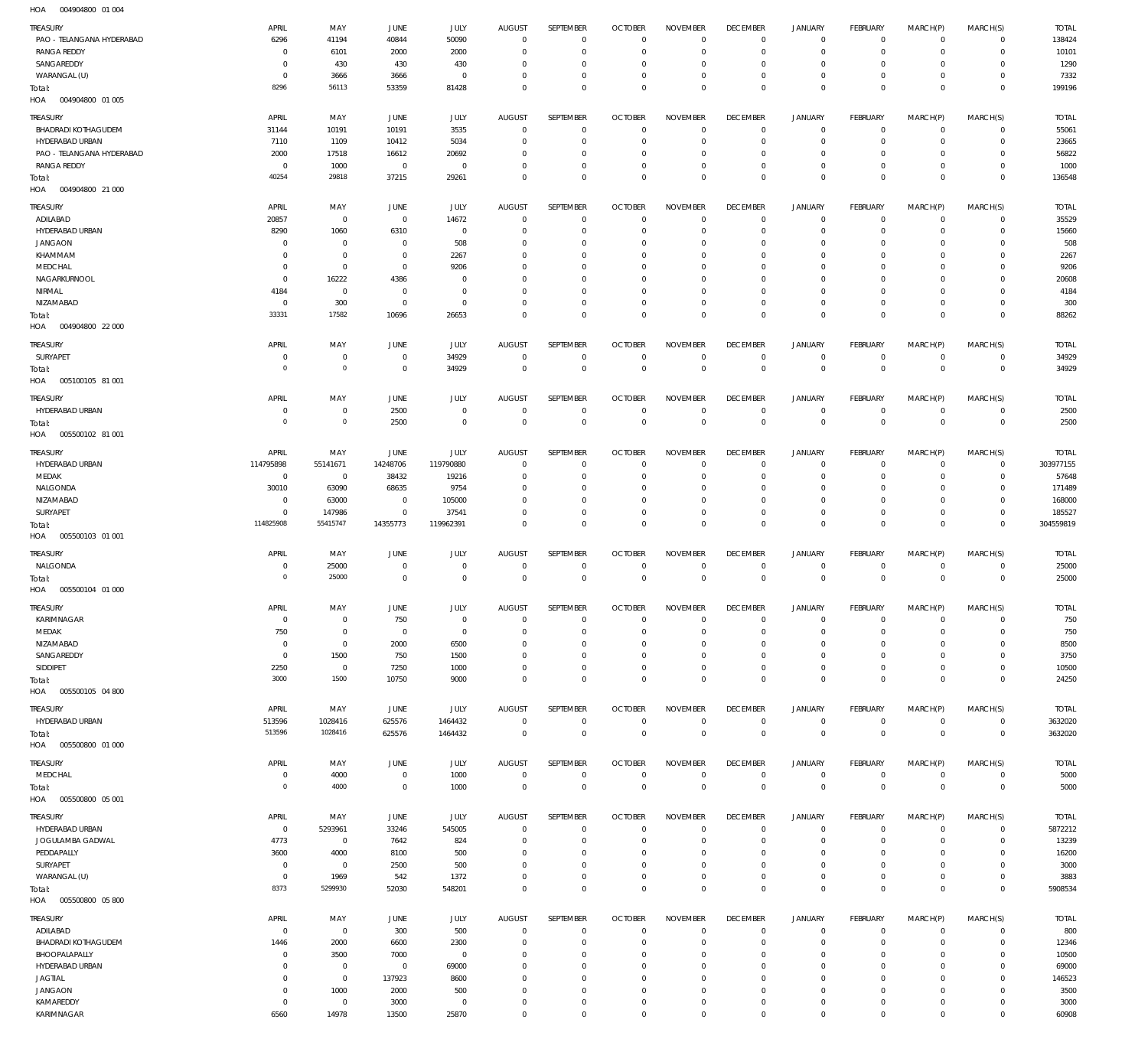004904800 01 004 HOA

| TREASURY<br>PAO - TELANGANA HYDERABAD | APRIL<br>6296                | MAY<br>41194               | <b>JUNE</b><br>40844       | JULY<br>50090                | <b>AUGUST</b><br>$\mathbf 0$ | SEPTEMBER<br>$\mathbf 0$    | <b>OCTOBER</b><br>$\overline{0}$ | <b>NOVEMBER</b><br>$\Omega$       | <b>DECEMBER</b><br>$\mathbf 0$ | <b>JANUARY</b><br>$\mathbf 0$              | FEBRUARY<br>$\mathbf 0$    | MARCH(P)<br>$\mathbf 0$    | MARCH(S)<br>$\mathbf 0$    | <b>TOTAL</b><br>138424 |
|---------------------------------------|------------------------------|----------------------------|----------------------------|------------------------------|------------------------------|-----------------------------|----------------------------------|-----------------------------------|--------------------------------|--------------------------------------------|----------------------------|----------------------------|----------------------------|------------------------|
| <b>RANGA REDDY</b><br>SANGAREDDY      | $^{\circ}$<br>0              | 6101<br>430                | 2000<br>430                | 2000<br>430                  | $\Omega$<br>0                | $\mathbf 0$<br>$\mathbf{0}$ | $^{\circ}$<br>0                  | $\Omega$<br>$\Omega$              | $\mathbf 0$<br>0               | $\mathbf 0$<br>0                           | $^{\circ}$<br>0            | $\Omega$<br>$\Omega$       | $\mathbf 0$<br>$\mathbf 0$ | 10101<br>1290          |
| WARANGAL (U)                          | $^{\circ}$                   | 3666                       | 3666                       | $\mathbf{0}$                 | $\Omega$                     | $\mathbf 0$                 | $^{\circ}$                       | $\mathbf{0}$                      | $\mathbf 0$                    | $\mathbf 0$                                | $^{\circ}$                 | 0                          | $\mathbf 0$                | 7332                   |
| Total:                                | 8296                         | 56113                      | 53359                      | 81428                        | $\mathbf{0}$                 | $\mathbf 0$                 | $\overline{0}$                   | $\Omega$                          | $\mathbf 0$                    | $\mathbf 0$                                | $\mathbf 0$                | $\Omega$                   | $\mathbf 0$                | 199196                 |
| HOA  004904800  01  005               |                              |                            |                            |                              |                              |                             |                                  |                                   |                                |                                            |                            |                            |                            |                        |
| TREASURY                              | APRIL                        | MAY                        | JUNE                       | JULY                         | <b>AUGUST</b>                | SEPTEMBER                   | <b>OCTOBER</b>                   | <b>NOVEMBER</b>                   | <b>DECEMBER</b>                | <b>JANUARY</b>                             | FEBRUARY                   | MARCH(P)                   | MARCH(S)                   | <b>TOTAL</b>           |
| <b>BHADRADI KOTHAGUDEM</b>            | 31144                        | 10191                      | 10191                      | 3535                         | $\overline{0}$               | $\mathbf 0$                 | $\overline{0}$                   | $^{\circ}$                        | 0                              | 0                                          | $\mathbf 0$                | $\mathbf 0$                | $\overline{0}$             | 55061                  |
| HYDERABAD URBAN                       | 7110                         | 1109                       | 10412                      | 5034                         | $^{\circ}$                   | $\mathbb O$                 | $^{\circ}$                       | $\mathbf{0}$                      | $\mathbf 0$                    | $\mathsf{O}\xspace$                        | $\overline{0}$             | $\mathbf 0$                | $\mathbf 0$                | 23665                  |
| PAO - TELANGANA HYDERABAD             | 2000                         | 17518                      | 16612                      | 20692                        | 0                            | $\mathbf 0$                 | $^{\circ}$                       | $^{\circ}$                        | $\mathbf 0$                    | 0                                          | $\mathbf 0$                | $\mathbf 0$                | $\mathbf 0$                | 56822                  |
| <b>RANGA REDDY</b>                    | $\mathbf 0$                  | 1000                       | $\overline{0}$             | $\mathbb O$                  | $^{\circ}$                   | $\mathbb O$                 | $^{\circ}$                       | $\mathbf 0$                       | 0                              | $\mathsf{O}\xspace$                        | $\mathbf 0$                | 0                          | $\overline{0}$             | 1000                   |
| Total:<br>HOA<br>004904800 21 000     | 40254                        | 29818                      | 37215                      | 29261                        | $\mathbf 0$                  | $\mathbf 0$                 | $\overline{0}$                   | $\mathbf 0$                       | $\mathbf 0$                    | $\mathbb O$                                | $\mathbf 0$                | $\mathbf 0$                | $\mathbf 0$                | 136548                 |
| TREASURY                              | APRIL                        | MAY                        | <b>JUNE</b>                | JULY                         | <b>AUGUST</b>                | SEPTEMBER                   | <b>OCTOBER</b>                   | <b>NOVEMBER</b>                   | <b>DECEMBER</b>                | <b>JANUARY</b>                             | FEBRUARY                   | MARCH(P)                   | MARCH(S)                   | <b>TOTAL</b>           |
| ADILABAD                              | 20857                        | $\mathbf 0$                | $\,0\,$                    | 14672                        | $\mathbf{0}$                 | $\mathbf{0}$                | $\overline{0}$                   | $\Omega$                          | $\mathbf 0$                    | $\mathbf 0$                                | $\mathbf 0$                | $\mathbf 0$                | $\mathbf 0$                | 35529                  |
| HYDERABAD URBAN                       | 8290                         | 1060                       | 6310                       | $\mathbf{0}$                 | 0                            | $\mathbf{0}$                | $^{\circ}$                       | $\Omega$                          | $\mathbf 0$                    | $\mathbf 0$                                | $\mathbf 0$                | $\Omega$                   | 0                          | 15660                  |
| <b>JANGAON</b>                        | 0                            | $\mathbf 0$                | $\mathbf 0$                | 508                          | $\Omega$                     | $\mathbf{0}$                | 0                                | $^{\circ}$                        | $\mathbf 0$                    | 0                                          | 0                          | $\Omega$                   | $\mathbf 0$                | 508                    |
| KHAMMAM                               | 0                            | $\mathbf 0$                | $^{\circ}$                 | 2267                         | $\Omega$                     | $\mathbf{0}$                | $\Omega$                         | $\Omega$                          | 0                              | 0                                          | $\mathbf 0$                | $\Omega$                   | $\mathbf 0$                | 2267                   |
| MEDCHAL                               | 0                            | $\mathbf 0$                | $^{\circ}$                 | 9206                         | $\Omega$                     | $\mathbf{0}$                | 0                                | $\mathbf{0}$                      | 0                              | 0                                          | 0                          | $\Omega$                   | $\mathbf 0$                | 9206                   |
| NAGARKURNOOL                          | $\mathbf 0$                  | 16222                      | 4386                       | $\Omega$                     | $\Omega$                     | $\Omega$                    | $\Omega$                         | $\Omega$                          | $\Omega$                       | $\mathbf 0$                                | 0                          | $\Omega$                   | $\mathbf 0$                | 20608                  |
| NIRMAL<br>NIZAMABAD                   | 4184<br>$^{\circ}$           | $\mathbf 0$<br>300         | $\mathbf 0$<br>$\mathbf 0$ | $\mathbf{0}$<br>$\mathbf{0}$ | $\Omega$<br>$\Omega$         | $\mathbf{0}$<br>$\mathbf 0$ | 0<br>$^{\circ}$                  | $\mathbf{0}$<br>$\mathbf{0}$      | $\mathbf 0$<br>$\mathbf 0$     | $\mathbf 0$<br>$\mathbf 0$                 | $\mathbf 0$<br>$\mathbf 0$ | $\Omega$<br>$\Omega$       | $\mathbf 0$<br>$\mathbf 0$ | 4184<br>300            |
| Total:                                | 33331                        | 17582                      | 10696                      | 26653                        | $\Omega$                     | $\Omega$                    | $\Omega$                         | $\mathbf 0$                       | $\mathbf 0$                    | $\mathbf 0$                                | $\mathbf 0$                | $\mathbf 0$                | $\mathbf 0$                | 88262                  |
| HOA<br>004904800 22 000               |                              |                            |                            |                              |                              |                             |                                  |                                   |                                |                                            |                            |                            |                            |                        |
| TREASURY                              | APRIL                        | MAY                        | <b>JUNE</b>                | JULY                         | <b>AUGUST</b>                | SEPTEMBER                   | <b>OCTOBER</b>                   | <b>NOVEMBER</b>                   | <b>DECEMBER</b>                | <b>JANUARY</b>                             | FEBRUARY                   | MARCH(P)                   | MARCH(S)                   | <b>TOTAL</b>           |
| SURYAPET                              | 0                            | $\mathbf 0$                | $\mathbf 0$                | 34929                        | $\overline{0}$               | $\mathbf 0$                 | $\overline{0}$                   | $\mathbf 0$                       | $\overline{0}$                 | $\mathsf{O}\xspace$                        | $\overline{0}$             | 0                          | $\overline{0}$             | 34929                  |
| Total:<br>005100105 81 001<br>HOA     | $\circ$                      | $\mathbf 0$                | $\mathbf 0$                | 34929                        | $\overline{0}$               | $\mathbb O$                 | $\overline{0}$                   | $\mathbf 0$                       | $\mathbf 0$                    | $\bf 0$                                    | $\overline{0}$             | $\mathbf 0$                | $\mathbf 0$                | 34929                  |
| <b>TREASURY</b>                       | APRIL                        | MAY                        | <b>JUNE</b>                | JULY                         | <b>AUGUST</b>                | SEPTEMBER                   | <b>OCTOBER</b>                   | <b>NOVEMBER</b>                   | <b>DECEMBER</b>                | <b>JANUARY</b>                             | <b>FEBRUARY</b>            | MARCH(P)                   | MARCH(S)                   | <b>TOTAL</b>           |
| HYDERABAD URBAN                       | $^{\circ}$                   | $\mathbb O$                | 2500                       | $\mathbf{0}$                 | $^{\circ}$                   | $\mathbf{0}$                | $\mathbf{0}$                     | $^{\circ}$                        | $\mathbf 0$                    | 0                                          | $\mathbf 0$                | $\mathbf 0$                | $\mathbf 0$                | 2500                   |
| Total:<br>HOA<br>005500102 81 001     | $\circ$                      | $\mathbf 0$                | 2500                       | $\mathbf 0$                  | $\overline{0}$               | $\mathbf 0$                 | $\mathbf{0}$                     | $\mathbf 0$                       | $\mathbf 0$                    | $\bf 0$                                    | $\mathbf{0}$               | $\mathbf 0$                | $\,0\,$                    | 2500                   |
| TREASURY                              | APRIL                        | MAY                        | JUNE                       |                              | <b>AUGUST</b>                | SEPTEMBER                   | <b>OCTOBER</b>                   | <b>NOVEMBER</b>                   | <b>DECEMBER</b>                | <b>JANUARY</b>                             | FEBRUARY                   | MARCH(P)                   | MARCH(S)                   | <b>TOTAL</b>           |
| HYDERABAD URBAN                       | 114795898                    | 55141671                   | 14248706                   | <b>JULY</b><br>119790880     | $^{\circ}$                   | $\mathbf 0$                 | $^{\circ}$                       | $^{\circ}$                        | 0                              | 0                                          | $\mathbf 0$                | $\mathbf 0$                | $\mathbf 0$                | 303977155              |
| MEDAK                                 | $\overline{0}$               | $\overline{0}$             | 38432                      | 19216                        | $^{\circ}$                   | $\mathbb O$                 | $^{\circ}$                       | $\mathbf{0}$                      | $\mathbf 0$                    | $\mathsf{O}\xspace$                        | $\mathbf 0$                | $\mathbf 0$                | $\mathbf 0$                | 57648                  |
| NALGONDA                              | 30010                        | 63090                      | 68635                      | 9754                         | 0                            | $\mathbf{0}$                | $^{\circ}$                       | $^{\circ}$                        | $\mathbf 0$                    | 0                                          | $\mathbf 0$                | $\mathbf 0$                | $\mathbf 0$                | 171489                 |
| NIZAMABAD                             | $\overline{0}$               | 63000                      | $\overline{0}$             | 105000                       | $^{\circ}$                   | $\mathbf 0$                 | $^{\circ}$                       | $\mathbf{0}$                      | $\mathbf 0$                    | $\mathsf{O}\xspace$                        | $\mathbf 0$                | 0                          | $\mathbf 0$                | 168000                 |
| SURYAPET                              | $^{\circ}$                   | 147986                     | $\overline{0}$             | 37541                        | $\mathbf{0}$                 | $\mathbb O$                 | $^{\circ}$                       | $\mathbf{0}$                      | 0                              | $\mathsf{O}\xspace$                        | $\mathbf 0$                | 0                          | $\mathbf 0$                | 185527                 |
| Total:<br>HOA<br>005500103 01 001     | 114825908                    | 55415747                   | 14355773                   | 119962391                    | $\Omega$                     | $\mathbf 0$                 | $\mathbf 0$                      | $\mathbf 0$                       | $\mathbf 0$                    | $\mathbf 0$                                | $\mathbf{0}$               | $\mathbf 0$                | $\mathbf{0}$               | 304559819              |
| <b>TREASURY</b>                       | APRIL                        | MAY                        | <b>JUNE</b>                | JULY                         | <b>AUGUST</b>                | SEPTEMBER                   | <b>OCTOBER</b>                   | <b>NOVEMBER</b>                   | <b>DECEMBER</b>                | <b>JANUARY</b>                             | FEBRUARY                   | MARCH(P)                   | MARCH(S)                   | <b>TOTAL</b>           |
| NALGONDA                              | 0                            | 25000                      | $\mathbf 0$                | $\mathbf 0$                  | $\mathbf 0$                  | $\mathbf 0$                 | $\mathbf 0$                      | $^{\circ}$                        | 0                              | 0                                          | $\mathbf 0$                | $\mathbf 0$                | $\mathbf 0$                | 25000                  |
| Total:                                | $\circ$                      | 25000                      | $\mathbf 0$                | $\mathbf 0$                  | $\mathbf 0$                  | $\mathbf 0$                 | $\mathbf{0}$                     | $\mathbf 0$                       | $\mathbf 0$                    | $\mathbf 0$                                | $\mathbf{0}$               | $\mathbf 0$                | $\,0\,$                    | 25000                  |
| 005500104 01 000<br>HOA               |                              |                            |                            |                              |                              |                             |                                  |                                   |                                |                                            |                            |                            |                            |                        |
| TREASURY                              | <b>APRIL</b>                 | MAY                        | <b>JUNE</b>                | JULY                         | <b>AUGUST</b>                | SEPTEMBER                   | <b>OCTOBER</b>                   | <b>NOVEMBER</b>                   | <b>DECEMBER</b>                | <b>JANUARY</b>                             | <b>FEBRUARY</b>            | MARCH(P)                   | MARCH(S)                   | <b>TOTAL</b>           |
| KARIMNAGAR                            | $\,0\,$                      | $\mathbf 0$                | 750                        | $\mathbb O$<br>$\mathbb O$   | $\mathbf 0$<br>$\mathbf{0}$  | $\mathbf 0$<br>$\mathbb O$  | $\mathbf 0$<br>$\overline{0}$    | $\mathbf 0$<br>$\mathbf 0$        | $\mathbf 0$                    | $\mathsf{O}\xspace$<br>$\mathsf{O}\xspace$ | $\mathbf 0$<br>$\mathbf 0$ | $\mathbf 0$<br>$\mathbf 0$ | $\mathbf 0$<br>$\mathbf 0$ | 750                    |
| MEDAK<br>NIZAMABAD                    | 750<br>$\overline{0}$        | $\mathbf 0$<br>$\mathbf 0$ | $\overline{0}$<br>2000     | 6500                         | $\mathbf{0}$                 | $\mathbf 0$                 | $^{\circ}$                       | $\mathbf{0}$                      | 0<br>$\mathbf 0$               | $\mathbf 0$                                | $\mathbf 0$                | $\mathbf 0$                | $\mathbf 0$                | 750<br>8500            |
| SANGAREDDY                            | $\overline{0}$               | 1500                       | 750                        | 1500                         | $\mathbf{0}$                 | $\mathbb O$                 | $^{\circ}$                       | $\mathbf{0}$                      | 0                              | $\mathsf{O}\xspace$                        | $\mathbf 0$                | $\mathbf 0$                | $\mathbf 0$                | 3750                   |
| SIDDIPET                              | 2250                         | $\,0\,$                    | 7250                       | 1000                         | $^{\circ}$                   | $\mathbf 0$                 | $\overline{0}$                   | $\mathbf 0$                       | $\bf 0$                        | $\mathsf{O}\xspace$                        | $\mathbf 0$                | $\mathbf 0$                | $\mathbf 0$                | 10500                  |
| Total:                                | 3000                         | 1500                       | 10750                      | 9000                         | $\mathbf 0$                  | $\mathbf 0$                 | $\mathbf 0$                      | $\mathbf 0$                       | $\mathbf 0$                    | $\mathsf 0$                                | $\mathbf 0$                | $\mathbf 0$                | $\mathbf 0$                | 24250                  |
| HOA<br>005500105 04 800               |                              |                            |                            |                              |                              |                             |                                  |                                   |                                |                                            |                            |                            |                            |                        |
| <b>TREASURY</b>                       | APRIL                        | MAY                        | JUNE                       | JULY                         | <b>AUGUST</b>                | <b>SEPTEMBER</b>            | <b>OCTOBER</b>                   | <b>NOVEMBER</b>                   | <b>DECEMBER</b>                | <b>JANUARY</b>                             | FEBRUARY                   | MARCH(P)                   | MARCH(S)                   | <b>TOTAL</b>           |
| HYDERABAD URBAN                       | 513596                       | 1028416                    | 625576                     | 1464432                      | $\mathbf 0$                  | $\mathbf 0$                 | $\mathbf{0}$                     | $\mathbf 0$                       | $\,0\,$                        | $\mathsf{O}\xspace$                        | $\mathbf 0$                | $\mathbf 0$                | $\mathbf 0$                | 3632020                |
| Total:<br>HOA<br>005500800 01 000     | 513596                       | 1028416                    | 625576                     | 1464432                      | $\mathbf 0$                  | $\mathbf 0$                 | $\mathbf{0}$                     | $\mathbf 0$                       | $\mathbf 0$                    | $\mathbf 0$                                | $\mathbf{0}$               | $\mathbf 0$                | $\mathbf{0}$               | 3632020                |
|                                       |                              |                            |                            |                              |                              |                             |                                  |                                   |                                |                                            |                            |                            |                            |                        |
| <b>TREASURY</b><br>MEDCHAL            | APRIL<br>$\overline{0}$      | MAY<br>4000                | JUNE<br>$\mathbf 0$        | JULY<br>1000                 | <b>AUGUST</b><br>$\mathbf 0$ | SEPTEMBER<br>$\mathbf 0$    | <b>OCTOBER</b><br>$\mathbf 0$    | <b>NOVEMBER</b><br>$\overline{0}$ | <b>DECEMBER</b><br>$\bf 0$     | <b>JANUARY</b><br>$\mathsf{O}\xspace$      | FEBRUARY<br>$\overline{0}$ | MARCH(P)<br>0              | MARCH(S)<br>$\overline{0}$ | <b>TOTAL</b><br>5000   |
| Total:                                | $\overline{0}$               | 4000                       | $\overline{0}$             | 1000                         | $\mathbf{0}$                 | $\mathsf{O}\xspace$         | $\overline{0}$                   | $\mathbb O$                       | $\mathbf 0$                    | $\mathsf 0$                                | $\overline{0}$             | $\mathbb O$                | $\,0\,$                    | 5000                   |
| HOA<br>005500800 05 001               |                              |                            |                            |                              |                              |                             |                                  |                                   |                                |                                            |                            |                            |                            |                        |
| <b>TREASURY</b>                       | APRIL                        | MAY                        | JUNE                       | JULY                         | <b>AUGUST</b>                | SEPTEMBER                   | <b>OCTOBER</b>                   | <b>NOVEMBER</b>                   | <b>DECEMBER</b>                | JANUARY                                    | FEBRUARY                   | MARCH(P)                   | MARCH(S)                   | <b>TOTAL</b>           |
| HYDERABAD URBAN                       | $\overline{0}$               | 5293961                    | 33246                      | 545005                       | $\mathbf 0$                  | $\mathbf 0$                 | $\overline{0}$                   | $\Omega$                          | $\mathbf 0$                    | $\mathsf{O}\xspace$                        | $\mathbf 0$                | $\mathbf 0$                | $\mathbf 0$                | 5872212                |
| JOGULAMBA GADWAL                      | 4773                         | $\mathbf 0$                | 7642                       | 824                          | $^{\circ}$                   | $\mathbf 0$                 | $^{\circ}$                       | $\overline{0}$                    | $\mathbf 0$                    | $\mathbf 0$                                | $\mathbf 0$                | $\Omega$                   | $\mathbf 0$                | 13239                  |
| PEDDAPALLY                            | 3600                         | 4000                       | 8100                       | 500                          | $^{\circ}$                   | $\mathbf 0$                 | $^{\circ}$                       | $\Omega$                          | $\mathbf 0$                    | $\mathbf 0$                                | $\mathbf 0$                | $\Omega$                   | 0                          | 16200                  |
| SURYAPET                              | $\mathbf 0$                  | $\mathbb O$                | 2500                       | 500                          | $\Omega$                     | $\mathbf 0$                 | $^{\circ}$                       | $\mathbf{0}$                      | $\mathbf 0$                    | $\mathbf 0$                                | $\mathbf 0$                | $\Omega$                   | $\mathbf 0$                | 3000                   |
| WARANGAL (U)                          | $\mathbf 0$<br>8373          | 1969<br>5299930            | 542<br>52030               | 1372<br>548201               | $\mathbf{0}$<br>$\Omega$     | $\mathbf 0$<br>$\mathbf 0$  | $\mathbf{0}$<br>$\mathbf 0$      | $\mathbf 0$<br>$\mathbf 0$        | $\mathbf 0$<br>$\mathbf 0$     | $\mathsf{O}\xspace$<br>$\mathbf 0$         | $\mathbf 0$<br>$\mathbf 0$ | $\mathbf 0$<br>$\mathbf 0$ | 0<br>$\mathbf 0$           | 3883<br>5908534        |
| Total:<br>HOA<br>005500800 05800      |                              |                            |                            |                              |                              |                             |                                  |                                   |                                |                                            |                            |                            |                            |                        |
| <b>TREASURY</b>                       | APRIL                        | MAY                        | JUNE                       | <b>JULY</b>                  | <b>AUGUST</b>                | SEPTEMBER                   | <b>OCTOBER</b>                   | <b>NOVEMBER</b>                   | <b>DECEMBER</b>                | JANUARY                                    | FEBRUARY                   | MARCH(P)                   | MARCH(S)                   | <b>TOTAL</b>           |
| ADILABAD                              | $\overline{0}$               | $\,0\,$                    | 300                        | 500                          | $\overline{0}$               | $\mathbf 0$                 | $\overline{0}$                   | $\overline{0}$                    | $\mathbf 0$                    | $\mathsf{O}\xspace$                        | $\overline{0}$             | $\mathbf 0$                | $\overline{0}$             | 800                    |
| <b>BHADRADI KOTHAGUDEM</b>            | 1446                         | 2000                       | 6600                       | 2300                         | $^{\circ}$                   | $\mathbb O$                 | $^{\circ}$                       | $^{\circ}$                        | 0                              | $\mathsf{O}\xspace$                        | $\overline{0}$             | $\mathbf 0$                | $\mathbf 0$                | 12346                  |
| BHOOPALAPALLY                         | $\overline{0}$               | 3500                       | 7000                       | $\mathbb O$                  | $^{\circ}$                   | $\mathbb O$                 | $\overline{0}$                   | $\mathbf 0$                       | 0                              | $\mathsf{O}\xspace$                        | $\mathbf 0$                | $\mathbf 0$                | $\mathbf 0$                | 10500                  |
| HYDERABAD URBAN                       | $^{\circ}$                   | $\mathbb O$                | $\mathbf 0$                | 69000                        | $^{\circ}$                   | $\mathbf 0$                 | $^{\circ}$                       | $\mathbf{0}$                      | $\mathbf 0$                    | $\mathbf 0$                                | $\mathbf 0$                | $\mathbf 0$                | $\mathbf 0$                | 69000                  |
| <b>JAGTIAL</b><br><b>JANGAON</b>      | $^{\circ}$<br>$\overline{0}$ | $\mathbf 0$<br>1000        | 137923<br>2000             | 8600<br>500                  | $\mathbf{0}$<br>$^{\circ}$   | $\mathbf 0$<br>$\mathbb O$  | $^{\circ}$<br>$\overline{0}$     | $\mathbf{0}$<br>$\mathbf 0$       | $\mathbf 0$<br>0               | $\mathbf 0$<br>$\mathsf{O}\xspace$         | $\mathbf 0$<br>$\mathbf 0$ | 0<br>0                     | $\mathbf 0$<br>$\mathbf 0$ | 146523<br>3500         |
| KAMAREDDY                             | $\overline{0}$               | $\mathbf 0$                | 3000                       | $\mathbb O$                  | $\mathbf{0}$                 | $\mathbb O$                 | $\mathbf 0$                      | $\mathbb O$                       | $\bf 0$                        | $\mathsf{O}\xspace$                        | $\overline{0}$             | $\mathsf{O}\xspace$        | $\mathbf 0$                | 3000                   |
| KARIMNAGAR                            | 6560                         | 14978                      | 13500                      | 25870                        | $\mathbf 0$                  | $\mathbf 0$                 | $\mathbf 0$                      | $\mathbf 0$                       | $\mathbb O$                    | $\mathsf{O}\xspace$                        | $\mathbf 0$                | $\mathbf 0$                | $\mathbf 0$                | 60908                  |
|                                       |                              |                            |                            |                              |                              |                             |                                  |                                   |                                |                                            |                            |                            |                            |                        |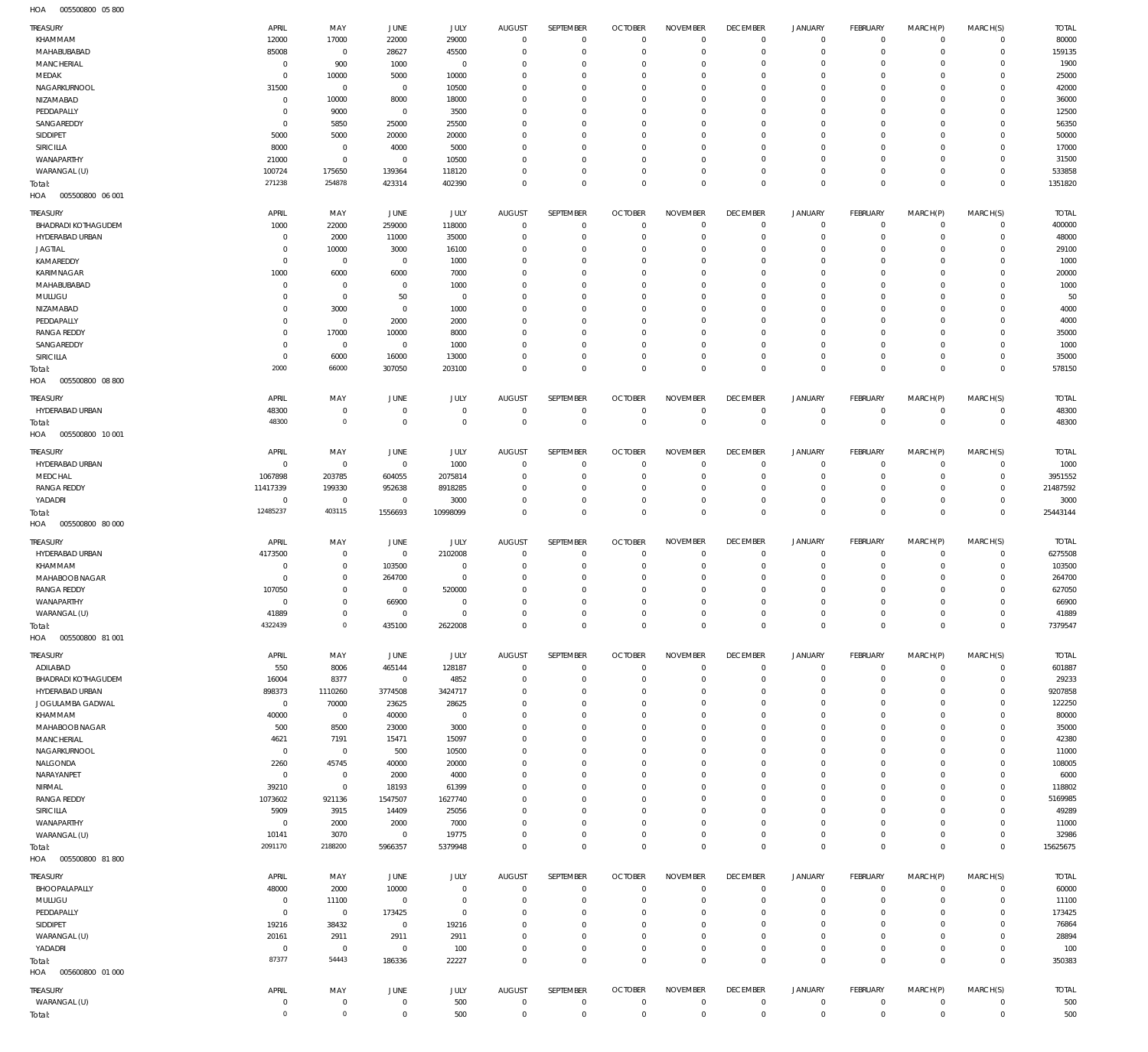005500800 05 800 HOA

| <b>TREASURY</b>                   | APRIL                    | MAY                        | <b>JUNE</b>          | JULY           | <b>AUGUST</b>                | SEPTEMBER                   | <b>OCTOBER</b>                | <b>NOVEMBER</b>                | <b>DECEMBER</b>                | <b>JANUARY</b>                     | FEBRUARY                   | MARCH(P)                        | MARCH(S)                | <b>TOTAL</b>   |
|-----------------------------------|--------------------------|----------------------------|----------------------|----------------|------------------------------|-----------------------------|-------------------------------|--------------------------------|--------------------------------|------------------------------------|----------------------------|---------------------------------|-------------------------|----------------|
| KHAMMAM                           | 12000                    | 17000                      | 22000                | 29000          | $\mathbf 0$                  | $\mathbf 0$                 | $\overline{0}$                | $\Omega$                       | $\mathbf 0$                    | $\mathbf 0$                        | $\mathbf 0$                | $\mathbf 0$                     | $\mathbf 0$             | 80000          |
| MAHABUBABAD                       | 85008                    | $\mathbf 0$                | 28627                | 45500          | $\Omega$                     | $\mathbf 0$                 | $^{\circ}$                    | $\Omega$                       | $\mathbf 0$                    | $\mathbf 0$                        | $\mathbf 0$                | $\Omega$                        | $\mathbf 0$             | 159135         |
| MANCHERIAL                        | $^{\circ}$               | 900                        | 1000                 | $\mathbf 0$    | $\Omega$                     | $^{\circ}$                  | $^{\circ}$                    | $\Omega$                       | $\mathbf 0$                    | $\mathbf 0$                        | $\mathbf 0$                | $\Omega$                        | $\mathbf 0$             | 1900           |
| MEDAK                             | $^{\circ}$               | 10000                      | 5000                 | 10000          | $\Omega$                     | $\mathbf 0$                 | $^{\circ}$                    | $\Omega$                       | $\mathbf 0$                    | $\mathbf 0$                        | $\Omega$                   | $\Omega$                        | $\Omega$                | 25000          |
| NAGARKURNOOL                      | 31500                    | $\mathbf 0$                | $\mathbf 0$          | 10500          | $\Omega$                     | $\mathbf{0}$                | $^{\circ}$                    | $\Omega$                       | $\mathbf 0$                    | $\mathbf 0$                        | $\mathbf 0$                | $\Omega$                        | $\mathbf 0$             | 42000          |
| NIZAMABAD                         | $\mathbf 0$              | 10000                      | 8000                 | 18000          | $\Omega$<br>$\Omega$         | $\mathbf 0$                 | $^{\circ}$                    | $\Omega$<br>$\Omega$           | $\mathbf 0$                    | $\mathbf 0$<br>$\mathbf 0$         | $\Omega$                   | $\Omega$<br>$\Omega$            | $\Omega$                | 36000<br>12500 |
| PEDDAPALLY<br>SANGAREDDY          | $^{\circ}$<br>$^{\circ}$ | 9000<br>5850               | $\mathbf 0$<br>25000 | 3500<br>25500  | $\Omega$                     | $\mathbf{0}$<br>$\mathbf 0$ | $^{\circ}$<br>$^{\circ}$      | $\Omega$                       | $\mathbf 0$<br>$\mathbf 0$     | $\mathbf 0$                        | $\mathbf 0$<br>$\Omega$    | $\Omega$                        | $\mathbf 0$<br>$\Omega$ | 56350          |
| SIDDIPET                          | 5000                     | 5000                       | 20000                | 20000          | $\Omega$                     | $\Omega$                    | $\Omega$                      | $\Omega$                       | $\mathbf 0$                    | $\mathbf 0$                        | $\mathbf 0$                | $\Omega$                        | $\Omega$                | 50000          |
| SIRICILLA                         | 8000                     | $\mathbf 0$                | 4000                 | 5000           | $\Omega$                     | $\mathbf 0$                 | $^{\circ}$                    | $\mathbf{0}$                   | $\mathbf 0$                    | $\mathbf 0$                        | $\Omega$                   | $\Omega$                        | $\mathbf 0$             | 17000          |
| WANAPARTHY                        | 21000                    | $\mathbf 0$                | $\mathbf 0$          | 10500          | $\Omega$                     | $\Omega$                    | $\Omega$                      | $\Omega$                       | $\mathbf 0$                    | $\mathbf 0$                        | $\mathbf 0$                | $\Omega$                        | $\mathbf 0$             | 31500          |
| WARANGAL (U)                      | 100724                   | 175650                     | 139364               | 118120         | $\Omega$                     | $\mathbf 0$                 | $^{\circ}$                    | $\mathbf{0}$                   | $\mathbf 0$                    | $\mathbf 0$                        | $\mathbf 0$                | $\Omega$                        | $\mathbf 0$             | 533858         |
| Total:                            | 271238                   | 254878                     | 423314               | 402390         | $\Omega$                     | $\mathbf 0$                 | $\Omega$                      | $\Omega$                       | $\mathbf 0$                    | $\mathbf 0$                        | $\mathbf 0$                | $\Omega$                        | $\mathbf 0$             | 1351820        |
| HOA<br>005500800 06 001           |                          |                            |                      |                |                              |                             |                               |                                |                                |                                    |                            |                                 |                         |                |
| TREASURY                          | APRIL                    | MAY                        | JUNE                 | <b>JULY</b>    | <b>AUGUST</b>                | SEPTEMBER                   | <b>OCTOBER</b>                | <b>NOVEMBER</b>                | <b>DECEMBER</b>                | <b>JANUARY</b>                     | FEBRUARY                   | MARCH(P)                        | MARCH(S)                | <b>TOTAL</b>   |
| <b>BHADRADI KOTHAGUDEM</b>        | 1000                     | 22000                      | 259000               | 118000         | $\overline{0}$               | $\mathbf 0$                 | $\overline{0}$                | $^{\circ}$                     | 0                              | $\mathbf 0$                        | $\overline{0}$             | $\mathbf 0$                     | $\mathbf 0$             | 400000         |
| HYDERABAD URBAN                   | $\overline{0}$           | 2000                       | 11000                | 35000          | $^{\circ}$                   | $\mathbb O$                 | $\overline{0}$                | $\overline{0}$                 | 0                              | $\mathsf{O}\xspace$                | $\overline{0}$             | $\mathbf 0$                     | $\mathbf 0$             | 48000          |
| <b>JAGTIAL</b>                    | $^{\circ}$               | 10000                      | 3000                 | 16100          | $^{\circ}$                   | $\mathbf{0}$                | $^{\circ}$                    | $^{\circ}$                     | $\mathbf 0$                    | $\mathsf{O}\xspace$                | $\mathbf 0$                | $\mathbf 0$                     | $\mathbf 0$             | 29100          |
| KAMAREDDY                         | $\overline{0}$           | $\,0\,$                    | $\mathbf 0$          | 1000           | 0                            | $\mathbf{0}$                | $^{\circ}$                    | $\mathbf{0}$                   | $\mathbf 0$                    | $\mathbf 0$                        | $\mathbf 0$                | $\mathbf 0$                     | $\mathbf 0$             | 1000           |
| KARIMNAGAR                        | 1000                     | 6000                       | 6000                 | 7000           | $^{\circ}$                   | $\mathbf 0$                 | $^{\circ}$                    | $\mathbf{0}$                   | $\mathbf 0$                    | $\mathbf 0$                        | $\mathbf 0$                | $\Omega$                        | $\mathbf 0$             | 20000          |
| MAHABUBABAD                       | $^{\circ}$               | $\mathbf 0$                | $\overline{0}$       | 1000           | $\Omega$                     | $\mathbf 0$                 | $^{\circ}$                    | $\mathbf{0}$                   | $\mathbf 0$                    | $\mathbf 0$                        | $\mathbf 0$                | $\mathbf 0$                     | $\mathbf 0$             | 1000           |
| MULUGU                            | $^{\circ}$               | $\mathbf 0$                | 50                   | $\mathbf 0$    | $^{\circ}$                   | $\mathbf 0$                 | $^{\circ}$                    | $\mathbf{0}$                   | $\mathbf 0$                    | $\mathbf 0$                        | $\mathbf 0$                | $\Omega$                        | $\mathbf 0$             | 50             |
| NIZAMABAD                         | 0                        | 3000                       | $\overline{0}$       | 1000           | $^{\circ}$                   | $\mathbf 0$                 | $^{\circ}$                    | $\mathbf{0}$                   | $\mathbf 0$                    | $\mathbf 0$                        | $\mathbf 0$                | $\Omega$                        | $\mathbf 0$             | 4000           |
| PEDDAPALLY                        | $^{\circ}$               | $\mathbb O$                | 2000                 | 2000           | $^{\circ}$                   | $\mathbf 0$                 | $^{\circ}$                    | $\mathbf{0}$                   | $\mathbf 0$                    | $\mathbf 0$                        | $\mathbf 0$                | $\mathbf 0$                     | $\mathbf 0$             | 4000           |
| <b>RANGA REDDY</b>                | $^{\circ}$               | 17000                      | 10000                | 8000           | $\Omega$                     | $\mathbf 0$                 | $^{\circ}$                    | $^{\circ}$                     | $\mathbf 0$                    | $\mathbf 0$                        | $\mathbf 0$                | $\Omega$                        | $\mathbf 0$             | 35000          |
| SANGAREDDY                        | $^{\circ}$               | $\,0\,$                    | $\overline{0}$       | 1000           | $\Omega$                     | $\mathbf 0$                 | $^{\circ}$                    | $\mathbf{0}$                   | $\mathbf 0$                    | $\mathbf 0$                        | $\mathbf 0$                | $\mathbf 0$                     | $\mathbf 0$             | 1000           |
| SIRICILLA                         | $\overline{0}$           | 6000                       | 16000                | 13000          | $^{\circ}$                   | $\mathbf 0$                 | $\overline{0}$                | $\mathbf 0$                    | 0                              | $\mathsf{O}\xspace$                | $\mathbf 0$                | $\mathbf 0$                     | $\mathbf 0$             | 35000          |
| Total:<br>HOA<br>005500800 08 800 | 2000                     | 66000                      | 307050               | 203100         | $\Omega$                     | $\mathbf 0$                 | $\overline{0}$                | $\mathbf 0$                    | $\mathbf 0$                    | $\mathbf 0$                        | $\mathbf 0$                | $\mathbf 0$                     | $\mathbf 0$             | 578150         |
|                                   |                          |                            |                      |                |                              |                             |                               |                                |                                |                                    |                            |                                 |                         |                |
| <b>TREASURY</b>                   | <b>APRIL</b>             | MAY                        | <b>JUNE</b>          | JULY           | <b>AUGUST</b>                | SEPTEMBER                   | <b>OCTOBER</b>                | <b>NOVEMBER</b>                | <b>DECEMBER</b>                | <b>JANUARY</b>                     | FEBRUARY                   | MARCH(P)                        | MARCH(S)                | <b>TOTAL</b>   |
| HYDERABAD URBAN                   | 48300<br>48300           | $\mathbf 0$<br>$\mathbf 0$ | $\mathbf 0$          | $\mathbf 0$    | $^{\circ}$                   | $\mathbf{0}$                | $\overline{0}$                | $\overline{0}$<br>$\mathbf 0$  | $\mathbf 0$                    | $\mathbf 0$<br>$\mathbf 0$         | $\mathbf 0$                | $\mathbf 0$<br>$\mathbf 0$      | $\mathbf 0$             | 48300          |
| Total:<br>HOA<br>005500800 10 001 |                          |                            | $\mathbf{0}$         | $\mathbf 0$    | $\overline{0}$               | $\mathbf 0$                 | $\mathbf{0}$                  |                                | $\mathbf 0$                    |                                    | $\mathbf{0}$               |                                 | $\,0\,$                 | 48300          |
|                                   |                          |                            |                      |                |                              |                             |                               |                                |                                |                                    |                            |                                 |                         |                |
| TREASURY                          | APRIL                    | MAY                        | JUNE                 | JULY           | <b>AUGUST</b>                | SEPTEMBER                   | <b>OCTOBER</b>                | <b>NOVEMBER</b>                | <b>DECEMBER</b>                | <b>JANUARY</b>                     | FEBRUARY                   | MARCH(P)                        | MARCH(S)                | <b>TOTAL</b>   |
| HYDERABAD URBAN                   | $\mathbf 0$              | $\,0\,$                    | $\mathbf 0$          | 1000           | $^{\circ}$                   | $\mathbf 0$                 | $^{\circ}$                    | $^{\circ}$                     | 0                              | 0                                  | $\mathbf 0$                | $\mathbf 0$                     | $\mathbf 0$             | 1000           |
| MEDCHAL                           | 1067898                  | 203785                     | 604055               | 2075814        | $^{\circ}$                   | $\mathbb O$                 | $^{\circ}$                    | $\overline{0}$                 | $\mathbf 0$                    | $\mathsf{O}\xspace$                | $\overline{0}$             | $\mathbf 0$                     | $\mathbf 0$             | 3951552        |
| <b>RANGA REDDY</b>                | 11417339                 | 199330                     | 952638               | 8918285        | $^{\circ}$                   | $\mathbf 0$                 | $^{\circ}$                    | $\mathbf{0}$                   | $\mathbf 0$                    | $\mathsf{O}\xspace$                | $\mathbf 0$                | $\mathbf 0$                     | $\mathbf 0$             | 21487592       |
| YADADRI                           | $\overline{0}$           | $\mathbf 0$                | $\overline{0}$       | 3000           | $\mathbf{0}$                 | $\mathbb O$                 | $\overline{0}$                | $\mathbf 0$                    | 0                              | $\mathsf{O}\xspace$                | $\overline{0}$             | 0                               | $\mathbf 0$             | 3000           |
| Total:<br>HOA<br>005500800 80 000 | 12485237                 | 403115                     | 1556693              | 10998099       | $\mathbf 0$                  | $\mathbf 0$                 | $\overline{0}$                | $\mathbf 0$                    | $\mathbf 0$                    | $\mathbf 0$                        | $\mathbf 0$                | $\mathbf 0$                     | $\mathbf 0$             | 25443144       |
|                                   |                          |                            |                      |                |                              |                             |                               |                                |                                |                                    |                            |                                 |                         |                |
| <b>TREASURY</b>                   | APRIL                    | MAY                        | JUNE                 | JULY           | <b>AUGUST</b>                | SEPTEMBER                   | <b>OCTOBER</b>                | <b>NOVEMBER</b>                | <b>DECEMBER</b>                | <b>JANUARY</b>                     | <b>FEBRUARY</b>            | MARCH(P)                        | MARCH(S)                | <b>TOTAL</b>   |
| HYDERABAD URBAN                   | 4173500                  | $\mathbf 0$                | $\mathbf 0$          | 2102008        | $\mathbf{0}$                 | $\mathbf{0}$                | $^{\circ}$                    | $\Omega$                       | $\mathbf 0$                    | $\mathbf 0$                        | $^{\circ}$                 | $\Omega$                        | $\mathbf 0$             | 6275508        |
| KHAMMAM                           | $^{\circ}$               | $\mathbb O$                | 103500               | $\mathbf{0}$   | 0                            | $\mathbf 0$                 | $^{\circ}$                    | $\overline{0}$                 | $\mathbf 0$                    | $\mathsf{O}\xspace$                | $^{\circ}$                 | $\mathbf 0$                     | 0                       | 103500         |
| MAHABOOB NAGAR                    | $^{\circ}$               | $\mathbf 0$                | 264700               | $\overline{0}$ | $\Omega$                     | $\mathbf{0}$                | $^{\circ}$                    | $^{\circ}$                     | $\mathbf 0$                    | $\mathbf 0$                        | 0                          | $\Omega$                        | 0                       | 264700         |
| <b>RANGA REDDY</b>                | 107050                   | $\mathbb O$                | $\mathbf{0}$         | 520000         | $\Omega$                     | $\mathbf{0}$                | $^{\circ}$                    | $\Omega$                       | $\mathbf 0$                    | $\mathbf 0$                        | $\mathbf 0$                | $\Omega$                        | $\mathbf 0$             | 627050         |
| WANAPARTHY<br>WARANGAL (U)        | $\Omega$                 | $\mathbf 0$                | 66900                | $\Omega$       | $\Omega$                     | $\Omega$                    | $\Omega$                      | $\Omega$                       | $\Omega$                       | $\Omega$                           | $\Omega$                   | $\Omega$                        | $\Omega$                | 66900<br>41889 |
| Total:                            | 41889<br>4322439         | 0<br>$\mathbb O$           | 0<br>435100          | 0<br>2622008   | 0<br>$\mathbf 0$             | 0<br>$\mathbf 0$            | 0<br>$\mathbf 0$              | 0<br>$\mathbf 0$               | 0<br>$\mathbf 0$               | 0<br>$\bf 0$                       | 0<br>$\mathbf 0$           | 0<br>$\mathbf 0$                | 0<br>$\mathbf 0$        | 7379547        |
| 005500800 81 001<br>HOA           |                          |                            |                      |                |                              |                             |                               |                                |                                |                                    |                            |                                 |                         |                |
| TREASURY                          | APRIL                    | MAY                        | JUNE                 |                | <b>AUGUST</b>                | SEPTEMBER                   | <b>OCTOBER</b>                | <b>NOVEMBER</b>                | <b>DECEMBER</b>                | JANUARY                            | FEBRUARY                   | MARCH(P)                        | MARCH(S)                | <b>TOTAL</b>   |
| ADILABAD                          | 550                      | 8006                       | 465144               | JULY<br>128187 | $\mathbf 0$                  | $\mathbb O$                 | $\overline{0}$                | $\mathbf 0$                    | $\bf 0$                        | $\mathsf{O}\xspace$                | $\overline{0}$             | $\mathbf 0$                     | $\mathbf 0$             | 601887         |
| <b>BHADRADI KOTHAGUDEM</b>        | 16004                    | 8377                       | $\overline{0}$       | 4852           | $^{\circ}$                   | $\mathbb O$                 | $^{\circ}$                    | $\overline{0}$                 | 0                              | $\mathsf{O}\xspace$                | $\overline{0}$             | $\mathbf 0$                     | $\mathbf 0$             | 29233          |
| HYDERABAD URBAN                   | 898373                   | 1110260                    | 3774508              | 3424717        | $^{\circ}$                   | $\mathbf 0$                 | $^{\circ}$                    | $^{\circ}$                     | $\mathbf 0$                    | $\mathsf{O}\xspace$                | $\mathbf 0$                | $\mathbf 0$                     | $\mathbf 0$             | 9207858        |
| JOGULAMBA GADWAL                  | $\,0\,$                  | 70000                      | 23625                | 28625          | $\mathbf{0}$                 | $\mathbf 0$                 | $^{\circ}$                    | $\mathbf{0}$                   | $\mathbf 0$                    | $\mathsf{O}\xspace$                | $\mathbf 0$                | 0                               | $\mathbf 0$             | 122250         |
| KHAMMAM                           | 40000                    | $\,0\,$                    | 40000                | $\mathbb O$    | $^{\circ}$                   | $\mathbf 0$                 | $^{\circ}$                    | $\mathbf{0}$                   | $\mathbf 0$                    | $\mathbf 0$                        | $\mathbf 0$                | $\mathbf 0$                     | $\mathbf 0$             | 80000          |
| MAHABOOB NAGAR                    | 500                      | 8500                       | 23000                | 3000           | $\mathbf{0}$                 | $\mathbf 0$                 | $^{\circ}$                    | $\mathbf 0$                    | $\mathbf 0$                    | $\mathbf 0$                        | $\mathbf 0$                | $\Omega$                        | $\mathbf 0$             | 35000          |
| MANCHERIAL                        | 4621                     | 7191                       | 15471                | 15097          | $\mathbf{0}$                 | $\mathbf 0$                 | $^{\circ}$                    | $\mathbf 0$                    | $\mathbf 0$                    | $\mathbf 0$                        | $\mathbf 0$                | 0                               | $\mathbf 0$             | 42380          |
| NAGARKURNOOL                      | $\overline{0}$           | $\,0\,$                    | 500                  | 10500          | $\mathbf{0}$                 | $\mathbf 0$                 | $^{\circ}$                    | $\mathbf{0}$                   | 0                              | $\mathbf 0$                        | $\mathbf 0$                | $\mathbf 0$                     | $\mathbf 0$             | 11000          |
| NALGONDA                          | 2260                     | 45745                      | 40000                | 20000          | $\mathbf{0}$                 | $\mathbf 0$                 | $^{\circ}$                    | $\mathbf 0$                    | $\mathbf 0$                    | $\mathbf 0$                        | $\mathbf 0$                | $\mathbf 0$                     | $\mathbf 0$             | 108005         |
| NARAYANPET                        | $\overline{0}$           | $\,0\,$                    | 2000                 | 4000           | $\mathbf{0}$                 | $\mathbf 0$                 | $^{\circ}$                    | $\mathbf{0}$                   | 0                              | $\mathsf{O}\xspace$                | $\mathbf 0$                | $\mathbf 0$                     | $\mathbf 0$             | 6000           |
| NIRMAL                            | 39210                    | $\mathbf 0$                | 18193                | 61399          | $\Omega$                     | $\mathbf 0$                 | $\overline{0}$                | $\mathbf 0$                    | $\mathbf 0$                    | $\mathbf 0$                        | $\mathbf 0$                | $\mathbf 0$                     | $\mathbf 0$             | 118802         |
| <b>RANGA REDDY</b>                | 1073602                  | 921136                     | 1547507              | 1627740        | $\mathbf{0}$                 | $\mathbf 0$                 | $^{\circ}$                    | $\mathbf{0}$                   | 0                              | $\mathsf{O}\xspace$                | $\mathbf 0$                | $\mathbf 0$                     | $\mathbf 0$             | 5169985        |
| SIRICILLA                         | 5909                     | 3915                       | 14409                | 25056          | $^{\circ}$                   | $\mathbf 0$                 | $^{\circ}$                    | $\mathbf 0$                    | 0                              | $\mathbf 0$                        | $\mathbf 0$                | $\mathbf 0$                     | $\mathbf 0$             | 49289          |
| WANAPARTHY                        | $\mathbf 0$              | 2000                       | 2000                 | 7000           | $\mathbf{0}$                 | $\mathbf 0$                 | $^{\circ}$                    | $\mathbf 0$                    | $\mathbf 0$                    | $\mathbf 0$                        | $\mathbf 0$                | 0                               | $\mathbf 0$             | 11000          |
| WARANGAL (U)                      | 10141                    | 3070                       | $\mathbf 0$          | 19775          | $\mathbf 0$                  | $\mathbb O$                 | $\mathbf 0$                   | $\mathbb O$                    | $\bf 0$                        | $\mathsf{O}\xspace$                | $\overline{0}$             | $\mathbf 0$                     | $\mathbf 0$             | 32986          |
| Total:<br>005500800 81800<br>HOA  | 2091170                  | 2188200                    | 5966357              | 5379948        | $\Omega$                     | $\mathbf 0$                 | $\mathbf 0$                   | $\mathbf 0$                    | $\mathbf 0$                    | $\mathbf 0$                        | $\mathbf 0$                | $\mathbf 0$                     | $\mathbf 0$             | 15625675       |
|                                   |                          |                            |                      |                |                              |                             |                               |                                |                                |                                    |                            |                                 |                         |                |
| TREASURY                          | APRIL                    | MAY                        | JUNE                 | <b>JULY</b>    | <b>AUGUST</b>                | SEPTEMBER                   | <b>OCTOBER</b>                | <b>NOVEMBER</b>                | <b>DECEMBER</b>                | JANUARY                            | FEBRUARY                   | MARCH(P)                        | MARCH(S)                | <b>TOTAL</b>   |
| BHOOPALAPALLY                     | 48000                    | 2000                       | 10000                | $\mathbf 0$    | $\mathbf{0}$                 | $\mathbf 0$                 | $\overline{0}$                | $\overline{0}$                 | $\bf 0$                        | $\mathsf{O}\xspace$                | $\overline{0}$             | $\mathbf 0$                     | $\mathbf 0$             | 60000          |
| MULUGU                            | $^{\circ}$               | 11100                      | $\mathbf 0$          | $\mathbf 0$    | $^{\circ}$                   | $\mathbf 0$                 | $^{\circ}$                    | $\overline{0}$                 | $\mathbf 0$                    | $\mathsf{O}\xspace$                | $\mathbf 0$                | $\mathbf 0$                     | 0                       | 11100          |
| PEDDAPALLY                        | $\overline{0}$           | $\mathbb O$                | 173425               | $\mathbf 0$    | $\Omega$                     | $\mathbf 0$                 | $^{\circ}$                    | $\mathbf{0}$                   | $\mathbf 0$                    | $\mathbf 0$                        | $\mathbf 0$                | $\Omega$                        | $\mathbf 0$             | 173425         |
| SIDDIPET                          | 19216                    | 38432                      | $\overline{0}$       | 19216          | $\mathbf{0}$                 | $\mathbf 0$                 | $^{\circ}$                    | $\mathbf{0}$                   | $\mathbf 0$                    | $\mathbf 0$                        | $\mathbf 0$                | $\Omega$                        | 0                       | 76864          |
| WARANGAL (U)                      |                          | 2911                       | 2911                 | 2911           | $\Omega$<br>$\mathbf{0}$     | $\mathbf 0$<br>$\mathbf 0$  | $^{\circ}$<br>$\mathbf{0}$    | $\mathbf 0$<br>$\mathbf 0$     | $\mathbf 0$<br>$\mathbf 0$     | $\mathbf 0$<br>$\mathsf{O}\xspace$ | $\mathbf 0$<br>$\mathbf 0$ | $\Omega$<br>$\mathbf 0$         | $\mathbf 0$             | 28894<br>100   |
|                                   | 20161                    |                            |                      |                |                              |                             |                               |                                |                                |                                    |                            |                                 |                         |                |
| YADADRI                           | $\overline{0}$           | $\mathbb O$                | $\mathbf 0$          | 100            |                              |                             |                               |                                |                                |                                    |                            |                                 | $\mathbf 0$             |                |
| Total:<br>HOA<br>005600800 01 000 | 87377                    | 54443                      | 186336               | 22227          | $\Omega$                     | $\mathbf 0$                 | $\mathbf 0$                   | $\mathbf 0$                    | $\mathbf 0$                    | $\mathbf 0$                        | $\mathbf 0$                | $\mathbf 0$                     | $\mathbf 0$             | 350383         |
|                                   |                          |                            |                      |                |                              |                             |                               |                                |                                |                                    |                            |                                 |                         |                |
| TREASURY                          | APRIL<br>$\overline{0}$  | MAY                        | JUNE<br>$\mathbf 0$  | <b>JULY</b>    | <b>AUGUST</b><br>$\mathbf 0$ | SEPTEMBER<br>$\mathbb O$    | <b>OCTOBER</b><br>$\mathbf 0$ | <b>NOVEMBER</b><br>$\mathbb O$ | <b>DECEMBER</b><br>$\mathbf 0$ | JANUARY<br>$\mathsf{O}\xspace$     | FEBRUARY<br>$\mathbf 0$    | MARCH(P)<br>$\mathsf{O}\xspace$ | MARCH(S)<br>$\mathbf 0$ | <b>TOTAL</b>   |
| WARANGAL (U)<br>Total:            | $\overline{0}$           | $\mathbf 0$<br>$\mathbb O$ | $\,0\,$              | 500<br>500     | $\mathbf 0$                  | $\mathbb O$                 | $\mathbf 0$                   | $\mathbb O$                    | $\bf 0$                        | $\bf 0$                            | $\bf 0$                    | $\mathbb O$                     | $\,0\,$                 | 500<br>500     |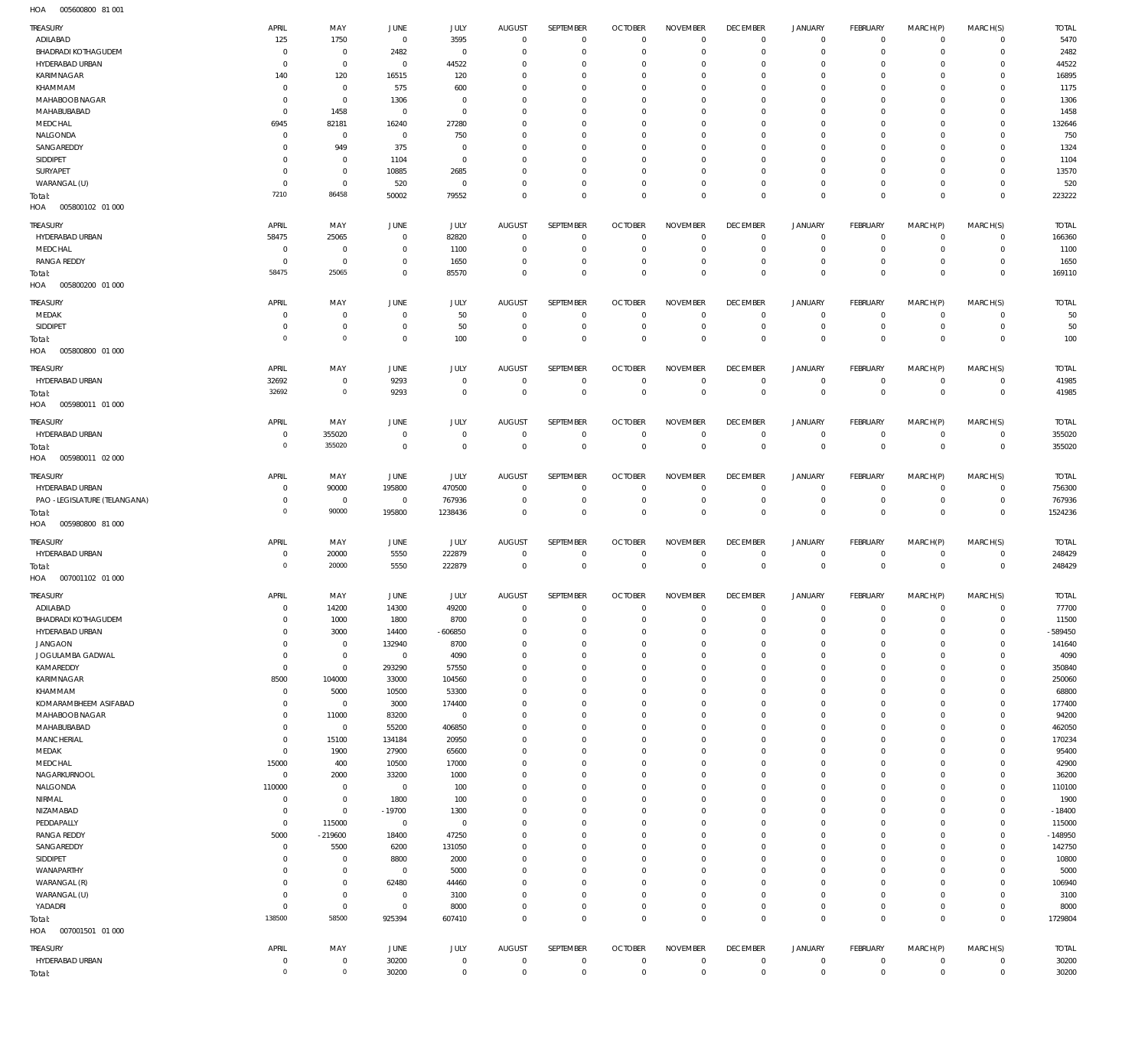005600800 81 001 HOA

| TREASURY                           | APRIL                            | MAY                           | <b>JUNE</b>                      | JULY                 | <b>AUGUST</b>                   | SEPTEMBER                  | <b>OCTOBER</b>                   | <b>NOVEMBER</b>                | <b>DECEMBER</b>                   | <b>JANUARY</b>             | FEBRUARY                         | MARCH(P)                   | MARCH(S)                     | <b>TOTAL</b>          |
|------------------------------------|----------------------------------|-------------------------------|----------------------------------|----------------------|---------------------------------|----------------------------|----------------------------------|--------------------------------|-----------------------------------|----------------------------|----------------------------------|----------------------------|------------------------------|-----------------------|
| ADILABAD                           | 125                              | 1750                          | $\overline{0}$                   | 3595                 | $\overline{0}$                  | $\mathbf{0}$               | $\overline{0}$                   | $\Omega$                       | $\overline{0}$                    | $\circ$                    | $\overline{0}$                   | $\mathbf{0}$               | $\circ$                      | 5470                  |
| <b>BHADRADI KOTHAGUDEM</b>         | $\overline{0}$                   | $\mathbf 0$                   | 2482                             | $^{\circ}$           | $\mathbf{0}$                    | $\mathbf 0$                | $\overline{0}$                   | $\Omega$                       | $\overline{0}$                    | $\mathbf 0$                | $\mathbf 0$                      | $\Omega$                   | $\mathbf{0}$                 | 2482                  |
| HYDERABAD URBAN                    | $\overline{0}$                   | $\mathbf 0$                   | $\overline{0}$                   | 44522                | $\mathbf 0$                     | $\mathbf 0$                | $\mathbf 0$                      | $\Omega$                       | $\mathbf 0$                       | 0                          | $^{\circ}$                       | $\Omega$                   | $\mathbf 0$                  | 44522                 |
| KARIMNAGAR                         | 140                              | 120                           | 16515                            | 120                  | $\Omega$                        | $\mathbf 0$                | $\mathbf{0}$                     | $\Omega$                       | $\overline{0}$                    | $\mathbf 0$                | $^{\circ}$                       | $\Omega$                   | $\mathbf{0}$                 | 16895                 |
| KHAMMAM<br>MAHABOOB NAGAR          | $\overline{0}$<br>$\overline{0}$ | $\mathbf 0$<br>$\mathbf{0}$   | 575<br>1306                      | 600<br>$\mathbf 0$   | $\mathbf 0$<br>$\Omega$         | $\mathbf 0$<br>$\Omega$    | $\mathbf 0$<br>$\mathbf 0$       | $\Omega$<br>$\Omega$           | $\mathbf 0$<br>$\mathbf 0$        | 0<br>$\Omega$              | $^{\circ}$<br>$\mathbf 0$        | $\Omega$<br>$\Omega$       | $\mathbf 0$<br>$\mathbf 0$   | 1175<br>1306          |
| MAHABUBABAD                        | $\mathbf 0$                      | 1458                          | $\overline{0}$                   | $\mathbf{0}$         | $\Omega$                        | $\mathbf 0$                | $\mathbf 0$                      | $\Omega$                       | $^{\circ}$                        | 0                          | $^{\circ}$                       | $\Omega$                   | $\mathbf 0$                  | 1458                  |
| MEDCHAL                            | 6945                             | 82181                         | 16240                            | 27280                | $\Omega$                        | $\mathbf 0$                | $\mathbf 0$                      | $\Omega$                       | $\mathbf 0$                       | 0                          | $^{\circ}$                       | $\Omega$                   | $\mathbf 0$                  | 132646                |
| NALGONDA                           | 0                                | $\mathbf 0$                   | $\overline{0}$                   | 750                  | $\Omega$                        | $\Omega$                   | $\mathbf 0$                      | $\Omega$                       | $\mathbf 0$                       | 0                          | $\mathbf 0$                      | $\Omega$                   | $\mathbf 0$                  | 750                   |
| SANGAREDDY                         | $\Omega$                         | 949                           | 375                              | $^{\circ}$           | $\mathbf 0$                     | $\mathbf 0$                | $^{\circ}$                       | $\Omega$                       | $\mathbf 0$                       | 0                          | $^{\circ}$                       | $\Omega$                   | $\mathbf 0$                  | 1324                  |
| SIDDIPET                           | $\Omega$                         | $\mathbf 0$                   | 1104                             | $\mathbf 0$          | $\Omega$                        | $\Omega$                   | $\mathbf 0$                      | $\Omega$                       | $\mathbf 0$                       | 0                          | $\mathbf 0$                      | $\Omega$                   | $\mathbf 0$                  | 1104                  |
| SURYAPET                           | $\overline{0}$                   | $\mathbf 0$                   | 10885                            | 2685                 | $\Omega$                        | $\mathbf 0$                | $\mathbf 0$                      | $\Omega$                       | $\overline{0}$                    | $\mathbf 0$                | $\mathbf{0}$                     | $\Omega$                   | $\mathbf{0}$                 | 13570                 |
| WARANGAL (U)                       | $\overline{0}$<br>7210           | $\mathbf 0$<br>86458          | 520<br>50002                     | $\mathbf 0$<br>79552 | $\mathbf 0$<br>$\Omega$         | $\mathbf 0$<br>$\mathbf 0$ | $\bf 0$<br>$\mathbf 0$           | $\mathbf 0$<br>$\Omega$        | $\overline{0}$<br>$\mathbf 0$     | $\mathbf 0$<br>$\mathbf 0$ | $\circ$<br>$\overline{0}$        | $\mathbf 0$<br>$\Omega$    | $\mathbf{0}$<br>$\mathbf 0$  | 520<br>223222         |
| Total:<br>HOA<br>005800102 01 000  |                                  |                               |                                  |                      |                                 |                            |                                  |                                |                                   |                            |                                  |                            |                              |                       |
| TREASURY                           | APRIL                            | MAY                           | <b>JUNE</b>                      | JULY                 | <b>AUGUST</b>                   | SEPTEMBER                  | <b>OCTOBER</b>                   | <b>NOVEMBER</b>                | <b>DECEMBER</b>                   | <b>JANUARY</b>             | FEBRUARY                         | MARCH(P)                   | MARCH(S)                     | <b>TOTAL</b>          |
| HYDERABAD URBAN                    | 58475<br>0                       | 25065                         | $\overline{0}$<br>$\overline{0}$ | 82820                | $\overline{0}$<br>$^{\circ}$    | $\mathbf 0$<br>0           | $\overline{0}$<br>$\overline{0}$ | $\mathbf 0$<br>$\mathbf{0}$    | $\overline{0}$<br>$\overline{0}$  | $\mathbf 0$<br>0           | $\overline{0}$<br>$\overline{0}$ | $\mathbf 0$<br>$\mathbf 0$ | $\overline{0}$<br>$\circ$    | 166360<br>1100        |
| MEDCHAL<br><b>RANGA REDDY</b>      | $\overline{0}$                   | $\overline{0}$<br>$\mathbf 0$ | $\overline{0}$                   | 1100<br>1650         | $\mathbf{0}$                    | $\mathbf 0$                | $\mathbf 0$                      | $\mathbf{0}$                   | $\overline{0}$                    | $\mathbf 0$                | $\overline{0}$                   | $\mathbf 0$                | $\mathbf{0}$                 | 1650                  |
| Total:                             | 58475                            | 25065                         | $\mathbf 0$                      | 85570                | $\mathbf{0}$                    | $\mathbf 0$                | $\overline{0}$                   | $\mathbf 0$                    | $\overline{0}$                    | $\mathbf 0$                | $\overline{0}$                   | $\mathbf 0$                | $\overline{0}$               | 169110                |
| HOA<br>005800200 01 000            |                                  |                               |                                  |                      |                                 |                            |                                  |                                |                                   |                            |                                  |                            |                              |                       |
| <b>TREASURY</b>                    | APRIL                            | MAY                           | <b>JUNE</b>                      | JULY                 | <b>AUGUST</b>                   | SEPTEMBER                  | <b>OCTOBER</b>                   | <b>NOVEMBER</b>                | <b>DECEMBER</b>                   | <b>JANUARY</b>             | FEBRUARY                         | MARCH(P)                   | MARCH(S)                     | <b>TOTAL</b>          |
| MEDAK                              | 0                                | $\mathbf 0$                   | $\overline{0}$                   | 50                   | $\mathbf 0$                     | $\mathbf 0$                | $\overline{0}$                   | $\mathbf{0}$                   | $\overline{0}$                    | $\circ$                    | $\overline{0}$                   | $^{\circ}$                 | $\mathbf{0}$                 | 50                    |
| SIDDIPET                           | $\overline{0}$                   | $\mathbf 0$                   | $\overline{0}$                   | 50                   | $\overline{0}$                  | $\bf 0$                    | $\overline{0}$                   | $\mathbf{0}$                   | $\overline{0}$                    | $\circ$                    | $\overline{0}$                   | $\mathbf 0$                | $\overline{0}$               | 50                    |
| Total:<br>HOA<br>005800800 01 000  | $^{\circ}$                       | $\mathbf 0$                   | $\overline{0}$                   | 100                  | $\mathbf 0$                     | $\mathbf 0$                | $\mathbf 0$                      | $\mathbf 0$                    | $\overline{0}$                    | $\mathbf 0$                | $\overline{0}$                   | $\mathbf 0$                | $\overline{0}$               | 100                   |
| <b>TREASURY</b>                    | APRIL                            | MAY                           | <b>JUNE</b>                      | JULY                 | <b>AUGUST</b>                   | SEPTEMBER                  | <b>OCTOBER</b>                   | <b>NOVEMBER</b>                | <b>DECEMBER</b>                   | <b>JANUARY</b>             | FEBRUARY                         | MARCH(P)                   | MARCH(S)                     | <b>TOTAL</b>          |
| HYDERABAD URBAN                    | 32692                            | $\mathbf 0$                   | 9293                             | $\mathbf 0$          | $\mathbf 0$                     | $\bf 0$                    | $\overline{0}$                   | $\mathbf 0$                    | $\overline{0}$                    | $\circ$                    | $\overline{0}$                   | $\mathbf 0$                | $\overline{0}$               | 41985                 |
| Total:                             | 32692                            | $\mathbf 0$                   | 9293                             | $\mathbf 0$          | $\overline{0}$                  | $\mathbf 0$                | $\overline{0}$                   | $\mathbf 0$                    | $\mathbf 0$                       | $\overline{0}$             | $\mathbf 0$                      | $\overline{0}$             | $\overline{0}$               | 41985                 |
| 005980011 01 000<br>HOA            |                                  |                               |                                  |                      |                                 |                            |                                  |                                |                                   |                            |                                  |                            |                              |                       |
| <b>TREASURY</b>                    | APRIL                            | MAY                           | <b>JUNE</b>                      | JULY                 | <b>AUGUST</b>                   | SEPTEMBER                  | <b>OCTOBER</b>                   | <b>NOVEMBER</b>                | <b>DECEMBER</b>                   | <b>JANUARY</b>             | FEBRUARY                         | MARCH(P)                   | MARCH(S)                     | <b>TOTAL</b>          |
| HYDERABAD URBAN                    | $\overline{0}$                   | 355020                        | $\overline{0}$                   | $\mathbf 0$          | $\mathbf 0$                     | $\mathbf 0$                | $\mathbf 0$                      | $\mathbf{0}$                   | $\overline{0}$                    | $\circ$                    | $\overline{0}$                   | $^{\circ}$                 | $\overline{0}$               | 355020                |
| Total:                             | $\circ$                          | 355020                        | $\overline{0}$                   | $\mathbf{0}$         | $\mathbf{0}$                    | $\mathbf 0$                | $\overline{0}$                   | $\mathbf{0}$                   | $\overline{0}$                    | $\mathbf 0$                | $\overline{0}$                   | $\mathbf 0$                | $\overline{0}$               | 355020                |
| HOA   005980011   02   000         |                                  |                               |                                  |                      |                                 |                            |                                  |                                |                                   |                            |                                  |                            |                              |                       |
| TREASURY                           | APRIL                            | MAY                           | JUNE                             | <b>JULY</b>          | <b>AUGUST</b>                   | SEPTEMBER                  | <b>OCTOBER</b>                   | <b>NOVEMBER</b>                | <b>DECEMBER</b>                   | <b>JANUARY</b>             | FEBRUARY                         | MARCH(P)                   | MARCH(S)                     | <b>TOTAL</b>          |
| HYDERABAD URBAN                    | $\overline{0}$                   | 90000                         | 195800                           | 470500               | $\mathbf{0}$                    | $\mathbf 0$                | $\overline{0}$                   | $\mathbf{0}$                   | $\overline{0}$                    | $\mathbf 0$                | $\overline{0}$                   | $^{\circ}$                 | $\circ$                      | 756300                |
| PAO -LEGISLATURE (TELANGANA)       | $\overline{0}$                   | $\overline{0}$                | $\overline{0}$                   | 767936               | $\mathbf{0}$                    | $\bf 0$                    | $\overline{0}$                   | $\mathbf 0$                    | $\overline{0}$                    | $\circ$                    | $\overline{0}$                   | $\mathbf 0$                | $\overline{0}$               | 767936                |
| Total:                             | $\overline{0}$                   | 90000                         | 195800                           | 1238436              | $\mathbf{0}$                    | $\mathbf 0$                | $\overline{0}$                   | $\mathbf{0}$                   | $\overline{0}$                    | $\mathbf 0$                | $\overline{0}$                   | $\mathbf 0$                | $\overline{0}$               | 1524236               |
| HOA<br>005980800 81 000            |                                  |                               |                                  |                      |                                 |                            |                                  |                                |                                   |                            |                                  |                            |                              |                       |
| <b>TREASURY</b>                    | APRIL                            | MAY                           | <b>JUNE</b>                      | JULY                 | <b>AUGUST</b>                   | SEPTEMBER                  | <b>OCTOBER</b>                   | <b>NOVEMBER</b>                | <b>DECEMBER</b>                   | <b>JANUARY</b>             | FEBRUARY                         | MARCH(P)                   | MARCH(S)                     | <b>TOTAL</b>          |
| HYDERABAD URBAN                    | $\overline{0}$                   | 20000                         | 5550                             | 222879               | $\mathbf{0}$                    | $\mathbf 0$                | $\overline{0}$                   | $\mathbf{0}$                   | $\overline{0}$                    | $\circ$                    | $\overline{0}$                   | $^{\circ}$                 | $\overline{0}$               | 248429                |
| Total:                             | $\circ$                          | 20000                         | 5550                             | 222879               | $\overline{0}$                  | $\mathbf 0$                | $\mathbf 0$                      | $\overline{0}$                 | $\mathbf 0$                       | $\overline{0}$             | $\mathbf 0$                      | $\overline{0}$             | $\overline{0}$               | 248429                |
| HOA   007001102   01   000         |                                  |                               |                                  |                      |                                 |                            |                                  |                                |                                   |                            |                                  |                            |                              |                       |
| <b>TREASURY</b>                    | APRIL                            | MAY                           | <b>JUNE</b>                      | <b>JULY</b>          | <b>AUGUST</b>                   | SEPTEMBER                  | <b>OCTOBER</b>                   | <b>NOVEMBER</b>                | <b>DECEMBER</b>                   | <b>JANUARY</b>             | FEBRUARY                         | MARCH(P)                   | MARCH(S)                     | <b>TOTAL</b>          |
| ADILABAD                           | $\overline{0}$                   | 14200                         | 14300                            | 49200                | $\Omega$                        | $\Omega$                   | $\overline{0}$                   | $\Omega$                       | $\Omega$                          | $\mathbf 0$                | $\Omega$                         | $\Omega$                   | $\Omega$                     | 77700                 |
| <b>BHADRADI KOTHAGUDEM</b>         | $\,0\,$                          | 1000                          | 1800                             | 8700                 | $\overline{0}$                  | $\mathbf 0$                | $\overline{0}$                   | $\mathbf 0$                    | $\overline{0}$                    | $\circ$                    | $\overline{0}$                   | $\mathbf 0$                | $\circ$                      | 11500                 |
| HYDERABAD URBAN<br>JANGAON         | $\mathbf 0$<br>$\mathbf 0$       | 3000<br>$\overline{0}$        | 14400<br>132940                  | $-606850$<br>8700    | $\mathbf 0$<br>$\mathbf{0}$     | $\bf 0$<br>$\mathbf 0$     | $\mathbf 0$<br>$\mathbf{0}$      | $\mathbf 0$<br>$\mathbf 0$     | $\overline{0}$<br>$\overline{0}$  | 0<br>$\mathbf 0$           | $\overline{0}$<br>$\mathbf{0}$   | $\mathbf 0$<br>0           | $\circ$<br>$\mathbf{0}$      | -589450<br>141640     |
| JOGULAMBA GADWAL                   | $\,0\,$                          | $\mathbf 0$                   | $\overline{0}$                   | 4090                 | $\mathbf{0}$                    | $\mathbf 0$                | $\mathbf 0$                      | $\mathbf 0$                    | $\overline{0}$                    | 0                          | $\mathbf{0}$                     | 0                          | $\mathbf{0}$                 | 4090                  |
| KAMAREDDY                          | $\,0\,$                          | $\mathbf 0$                   | 293290                           | 57550                | $\mathbf 0$                     | $\mathbf 0$                | $\mathbf{0}$                     | $\mathbf 0$                    | $\overline{0}$                    | $\mathbf 0$                | $\mathbf{0}$                     | $\Omega$                   | $\mathbf{0}$                 | 350840                |
| KARIMNAGAR                         | 8500                             | 104000                        | 33000                            | 104560               | $\mathbf 0$                     | $\mathbf 0$                | $\mathbf 0$                      | $\mathbf 0$                    | $\overline{0}$                    | $\mathbf 0$                | $\mathbf{0}$                     | 0                          | $\mathbf{0}$                 | 250060                |
| KHAMMAM                            | $\,0\,$                          | 5000                          | 10500                            | 53300                | $\mathbf 0$                     | $\mathbf 0$                | $\mathbf{0}$                     | $\mathbf 0$                    | $\overline{0}$                    | $\mathbf 0$                | $\mathbf{0}$                     | 0                          | $\mathbf{0}$                 | 68800                 |
| KOMARAMBHEEM ASIFABAD              | $\mathbf 0$                      | $\overline{0}$                | 3000                             | 174400               | $\mathbf 0$                     | $\mathbf 0$                | $\mathbf{0}$                     | $\mathbf 0$                    | $\overline{0}$                    | $\mathbf 0$                | $\mathbf{0}$                     | $\Omega$                   | $\mathbf{0}$                 | 177400                |
| MAHABOOB NAGAR                     | $\,0\,$                          | 11000                         | 83200                            | $\mathbf 0$          | $\mathbf{0}$                    | $\mathbf 0$                | $\mathbf 0$                      | $\mathbf 0$                    | $\overline{0}$                    | 0                          | $\mathbf{0}$                     | 0                          | $\mathbf{0}$                 | 94200                 |
| MAHABUBABAD<br>MANCHERIAL          | $\mathbf 0$<br>$\mathbf 0$       | $\overline{0}$<br>15100       | 55200<br>134184                  | 406850<br>20950      | $\mathbf 0$<br>$\mathbf 0$      | $\mathbf 0$<br>$\mathbf 0$ | $\mathbf{0}$<br>$\mathbf{0}$     | $\mathbf 0$<br>$\mathbf 0$     | $\overline{0}$<br>$\overline{0}$  | $\mathbf 0$<br>$\mathbf 0$ | $\mathbf{0}$<br>$\mathbf{0}$     | $\Omega$<br>0              | $\mathbf{0}$<br>$\mathbf{0}$ | 462050<br>170234      |
| MEDAK                              | $\mathbf 0$                      | 1900                          | 27900                            | 65600                | $\mathbf 0$                     | $\mathbf 0$                | $\mathbf 0$                      | $\mathbf 0$                    | $\overline{0}$                    | 0                          | $\mathbf{0}$                     | 0                          | $\mathbf{0}$                 | 95400                 |
| MEDCHAL                            | 15000                            | 400                           | 10500                            | 17000                | $\mathbf 0$                     | $\mathbf 0$                | $\mathbf 0$                      | $\mathbf 0$                    | $\overline{0}$                    | $\mathbf 0$                | $\mathbf{0}$                     | $\Omega$                   | $\mathbf{0}$                 | 42900                 |
| NAGARKURNOOL                       | $\,0\,$                          | 2000                          | 33200                            | 1000                 | $\mathbf 0$                     | $\mathbf 0$                | $\mathbf 0$                      | $\mathbf 0$                    | $\overline{0}$                    | 0                          | $\mathbf{0}$                     | 0                          | $\mathbf{0}$                 | 36200                 |
| NALGONDA                           | 110000                           | $\overline{0}$                | $\overline{0}$                   | 100                  | $\mathbf 0$                     | $\mathbf 0$                | $\mathbf 0$                      | $\mathbf 0$                    | $\overline{0}$                    | $\mathbf 0$                | $\mathbf{0}$                     | $\Omega$                   | $\mathbf{0}$                 | 110100                |
| NIRMAL                             | $\,0\,$                          | $\mathbf 0$                   | 1800                             | 100                  | $\mathbf 0$                     | $\mathbf 0$                | $\mathbf{0}$                     | $\mathbf 0$                    | $\overline{0}$                    | $\mathbf 0$                | $\mathbf{0}$                     | $\Omega$                   | $\mathbf{0}$                 | 1900                  |
| NIZAMABAD                          | $\,0\,$                          | $\overline{0}$                | $-19700$                         | 1300                 | $\mathbf 0$                     | $\mathbf 0$                | $\mathbf 0$                      | $\mathbf 0$                    | $\overline{0}$                    | 0                          | $\mathbf{0}$                     | 0                          | $\mathbf{0}$                 | $-18400$              |
| PEDDAPALLY<br><b>RANGA REDDY</b>   | $\mathbf 0$<br>5000              | 115000<br>$-219600$           | $\overline{0}$<br>18400          | $\mathbf 0$<br>47250 | $\mathbf 0$<br>$\mathbf{0}$     | $\mathbf 0$<br>$\mathbf 0$ | $\mathbf{0}$<br>$\mathbf{0}$     | $\mathbf 0$<br>$\mathbf 0$     | $\overline{0}$<br>$\overline{0}$  | $\mathbf 0$<br>$\mathbf 0$ | $\mathbf{0}$<br>$\mathbf{0}$     | $\Omega$<br>0              | $\mathbf{0}$<br>$\mathbf{0}$ | 115000<br>$-148950$   |
| SANGAREDDY                         | $\,0\,$                          | 5500                          | 6200                             | 131050               | $\mathbf 0$                     | $\mathbf 0$                | $\mathbf 0$                      | $\mathbf 0$                    | $\overline{0}$                    | 0                          | $\mathbf{0}$                     | $\Omega$                   | $\mathbf{0}$                 | 142750                |
| SIDDIPET                           | $\overline{0}$                   | $\mathbf 0$                   | 8800                             | 2000                 | $\mathbf 0$                     | $\mathbf 0$                | $\mathbf{0}$                     | $\mathbf 0$                    | $\overline{0}$                    | $\mathbf 0$                | $\mathbf{0}$                     | $\Omega$                   | $\mathbf{0}$                 | 10800                 |
| WANAPARTHY                         | $\mathbf 0$                      | $\mathbf 0$                   | $\overline{0}$                   | 5000                 | $\mathbf{0}$                    | $\mathbf 0$                | $\mathbf 0$                      | $\mathbf 0$                    | $\overline{0}$                    | 0                          | $\mathbf{0}$                     | 0                          | $\mathbf{0}$                 | 5000                  |
| WARANGAL (R)                       | $\mathbf 0$                      | $\bf 0$                       | 62480                            | 44460                | $\mathbf 0$                     | $\mathbf 0$                | $\mathbf{0}$                     | $\mathbf 0$                    | $\overline{0}$                    | $\mathbf 0$                | $\mathbf{0}$                     | $\Omega$                   | $\mathbf{0}$                 | 106940                |
| WARANGAL (U)                       | $\,0\,$                          | $\mathbf 0$                   | $\overline{0}$                   | 3100                 | $\mathbf 0$                     | $\mathbf 0$                | $\mathbf{0}$                     | $\mathbf 0$                    | $\overline{0}$                    | $\mathbf 0$                | $\mathbf{0}$                     | 0                          | $\mathbf{0}$                 | 3100                  |
| YADADRI                            | $\,0\,$                          | $\overline{0}$                | $\mathbf 0$                      | 8000                 | $\mathbf{0}$                    | $\bf 0$                    | $\mathbf 0$                      | $\mathbf 0$                    | $\overline{0}$                    | $\mathbf 0$                | $\circ$                          | $\mathbf 0$                | $\circ$                      | 8000                  |
| Total:<br>HOA<br>007001501 01 000  | 138500                           | 58500                         | 925394                           | 607410               | $\overline{0}$                  | $\mathbf 0$                | $\overline{0}$                   | $\mathbf 0$                    | $\overline{0}$                    | $\mathbf 0$                | $\overline{0}$                   | $\mathbf 0$                | $\overline{0}$               | 1729804               |
|                                    |                                  |                               |                                  |                      |                                 |                            |                                  |                                |                                   |                            |                                  |                            |                              |                       |
| <b>TREASURY</b><br>HYDERABAD URBAN | APRIL<br>$\,0\,$                 | MAY<br>$\mathbf 0$            | JUNE<br>30200                    | JULY<br>$\mathbf 0$  | <b>AUGUST</b><br>$\overline{0}$ | SEPTEMBER<br>$\mathbf 0$   | <b>OCTOBER</b><br>$\overline{0}$ | <b>NOVEMBER</b><br>$\mathbf 0$ | <b>DECEMBER</b><br>$\overline{0}$ | <b>JANUARY</b><br>$\circ$  | FEBRUARY<br>$\overline{0}$       | MARCH(P)<br>$\circ$        | MARCH(S)<br>$\overline{0}$   | <b>TOTAL</b><br>30200 |
| Total:                             | $\circ$                          | $\mathbf 0$                   | 30200                            | $\,0\,$              | $\mathbf 0$                     | $\bf 0$                    | $\mathbf 0$                      | $\mathbf 0$                    | $\mathbf 0$                       | $\,0\,$                    | $\mathbf 0$                      | $\mathbb O$                | $\,0\,$                      | 30200                 |
|                                    |                                  |                               |                                  |                      |                                 |                            |                                  |                                |                                   |                            |                                  |                            |                              |                       |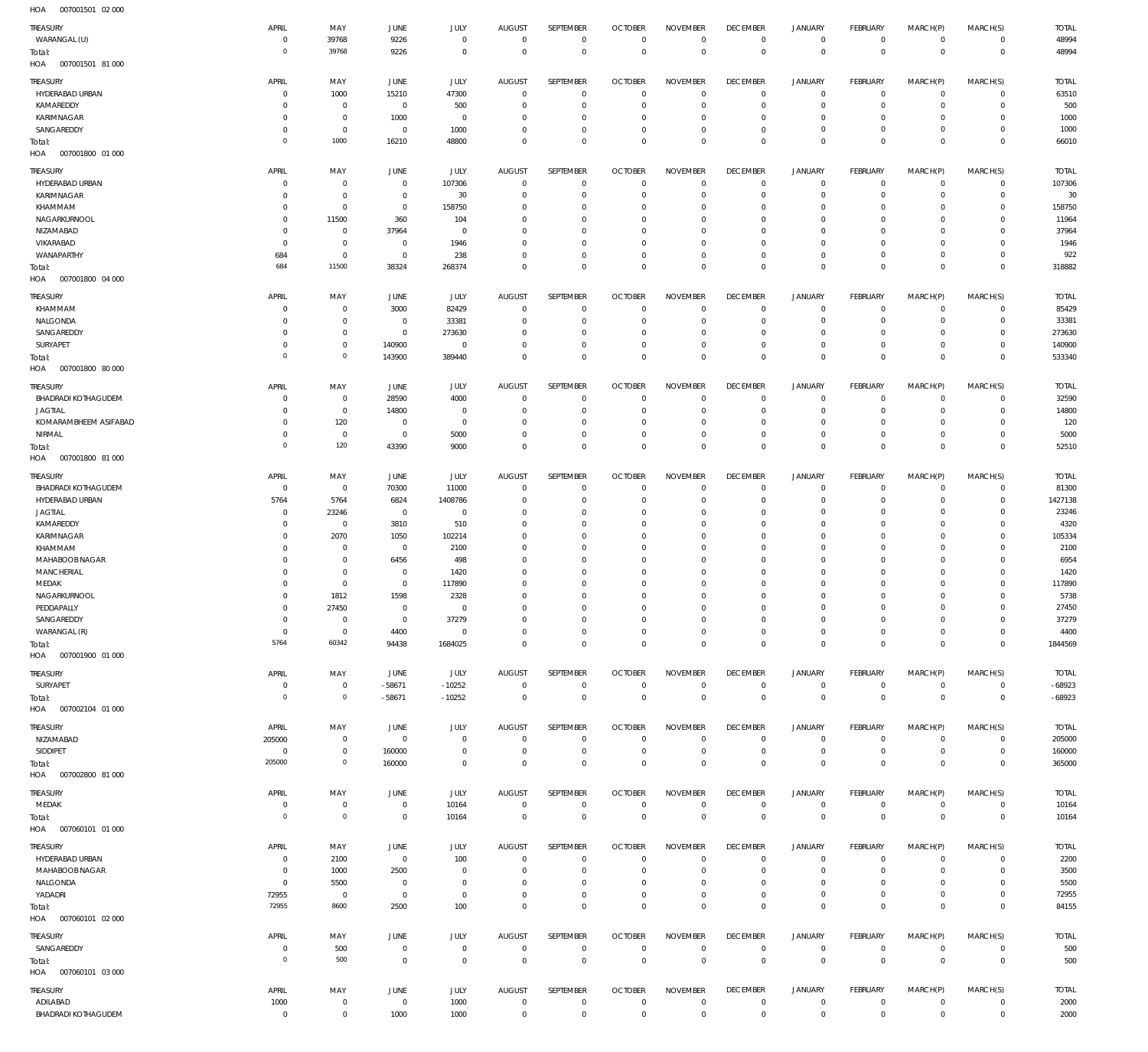007001501 02 000 HOA

| 110 <sub>m</sub><br><b>UUTUUTUUT UZUU</b> |                |                     |                |             |                |                  |                |                 |                 |                     |                 |             |                |              |
|-------------------------------------------|----------------|---------------------|----------------|-------------|----------------|------------------|----------------|-----------------|-----------------|---------------------|-----------------|-------------|----------------|--------------|
| TREASURY                                  | APRIL          | MAY                 | JUNE           | JULY        | <b>AUGUST</b>  | SEPTEMBER        | <b>OCTOBER</b> | <b>NOVEMBER</b> | <b>DECEMBER</b> | <b>JANUARY</b>      | <b>FEBRUARY</b> | MARCH(P)    | MARCH(S)       | <b>TOTAL</b> |
| WARANGAL (U)                              | $\overline{0}$ | 39768               | 9226           | $\mathbf 0$ | $^{\circ}$     | $\mathbf 0$      | $\mathbf 0$    | $\mathbf 0$     | $\mathbf 0$     | $\mathbf 0$         | $\overline{0}$  | $\mathbf 0$ | $\mathbf{0}$   | 48994        |
| Total:                                    | $\Omega$       | 39768               | 9226           | $\mathbf 0$ | $\overline{0}$ | $\mathbf 0$      | $\overline{0}$ | $\mathbf 0$     | $\mathbf 0$     | $\mathbf 0$         | $\overline{0}$  | $\mathbf 0$ | $\overline{0}$ | 48994        |
| HOA<br>007001501 81 000                   |                |                     |                |             |                |                  |                |                 |                 |                     |                 |             |                |              |
|                                           |                |                     |                |             |                |                  |                |                 |                 |                     |                 |             |                |              |
| TREASURY                                  | APRIL          | MAY                 | JUNE           | JULY        | <b>AUGUST</b>  | <b>SEPTEMBER</b> | <b>OCTOBER</b> | <b>NOVEMBER</b> | <b>DECEMBER</b> | <b>JANUARY</b>      | <b>FEBRUARY</b> | MARCH(P)    | MARCH(S)       | <b>TOTAL</b> |
| HYDERABAD URBAN                           | C              | 1000                | 15210          | 47300       | $\overline{0}$ | $\mathbf 0$      | $^{\circ}$     | $^{\circ}$      | $\overline{0}$  | 0                   | $\mathbf 0$     | $\mathbf 0$ | $\mathbf 0$    | 63510        |
| KAMAREDDY                                 | -C             | $\overline{0}$      | $^{\circ}$     | 500         | 0              | $\mathbf 0$      | $^{\circ}$     | $^{\circ}$      | $^{\circ}$      | 0                   | $^{\circ}$      | $\mathbf 0$ | $\mathbf{0}$   | 500          |
| KARIMNAGAR                                | $\Omega$       | $\mathbb O$         | 1000           | $\mathbf 0$ | 0              | $\mathbf{0}$     | 0              | 0               | 0               | 0                   | $\mathbf 0$     | 0           | $\mathbf 0$    | 1000         |
| SANGAREDDY                                | $\Omega$       | $\mathbb O$         | $\mathbf 0$    | 1000        | 0              | $\mathbf 0$      | 0              | $^{\circ}$      | $^{\circ}$      | 0                   | $^{\circ}$      | $\mathbf 0$ | $\mathbf 0$    | 1000         |
| Total:                                    | $\Omega$       | 1000                | 16210          | 48800       | $\mathbf 0$    | $\mathbf 0$      | $\mathbf 0$    | $\mathbf 0$     | $\mathbf 0$     | $\mathbf 0$         | $\overline{0}$  | $\mathbf 0$ | $\mathbf 0$    | 66010        |
| 007001800 01 000<br>HOA                   |                |                     |                |             |                |                  |                |                 |                 |                     |                 |             |                |              |
|                                           |                |                     |                |             |                |                  |                |                 |                 |                     |                 |             |                |              |
| TREASURY                                  | APRIL          | MAY                 | JUNE           | JULY        | <b>AUGUST</b>  | <b>SEPTEMBER</b> | <b>OCTOBER</b> | <b>NOVEMBER</b> | <b>DECEMBER</b> | <b>JANUARY</b>      | <b>FEBRUARY</b> | MARCH(P)    | MARCH(S)       | <b>TOTAL</b> |
| HYDERABAD URBAN                           | $\Omega$       | $\overline{0}$      | $\mathbb O$    | 107306      | $^{\circ}$     | $\mathbf{0}$     | $\mathbf 0$    | $\mathbf 0$     | $\mathbf 0$     | 0                   | $\mathbf 0$     | $\mathbf 0$ | $\mathbf{0}$   | 107306       |
| KARIMNAGAR                                | 0              | $\mathbf 0$         | $\overline{0}$ | 30          | 0              | $\mathbf{0}$     | 0              | $^{\circ}$      | 0               | 0                   | $^{\circ}$      | $\mathbf 0$ | $\mathbf 0$    | 30           |
| KHAMMAM                                   | $\Omega$       | $\mathbb O$         | $\overline{0}$ | 158750      | 0              | $\mathbf{0}$     | 0              | $\mathbf 0$     | $^{\circ}$      | $\mathbf 0$         | $\mathbf 0$     | $\mathbf 0$ | $\mathbf 0$    | 158750       |
| NAGARKURNOOL                              | $\Omega$       | 11500               | 360            | 104         | 0              | $\mathbf{0}$     | 0              | $\mathbf 0$     | 0               | 0                   | $\mathbf 0$     | $\Omega$    | $^{\circ}$     | 11964        |
| NIZAMABAD                                 | 0              |                     | 37964          | $^{\circ}$  | 0              | $\mathbf{0}$     | 0              | $\mathbf 0$     | 0               | 0                   | 0               | 0           | $^{\circ}$     | 37964        |
|                                           |                | $\mathbf 0$         |                |             |                |                  |                |                 |                 |                     |                 |             |                |              |
| VIKARABAD                                 | 0              | $\overline{0}$      | $\mathbb O$    | 1946        | 0              | $\mathbf{0}$     | 0              | $\mathbf 0$     | 0               | 0                   | $\mathbf 0$     | $\mathbf 0$ | $\mathbf 0$    | 1946         |
| WANAPARTHY                                | 684            | $\,0\,$             | $^{\circ}$     | 238         | 0              | $\mathbf{0}$     | 0              | $^{\circ}$      | $^{\circ}$      | $\mathbf 0$         | $\mathbf 0$     | $\mathbf 0$ | $\mathbf 0$    | 922          |
| Total:                                    | 684            | 11500               | 38324          | 268374      | $^{\circ}$     | $\mathbf 0$      | $^{\circ}$     | $\mathbf 0$     | $\mathbf 0$     | $\mathbf 0$         | $\overline{0}$  | $\mathbf 0$ | $\mathbf 0$    | 318882       |
| HOA<br>007001800 04 000                   |                |                     |                |             |                |                  |                |                 |                 |                     |                 |             |                |              |
| TREASURY                                  | APRIL          | MAY                 | JUNE           | JULY        | <b>AUGUST</b>  | <b>SEPTEMBER</b> | <b>OCTOBER</b> | <b>NOVEMBER</b> | <b>DECEMBER</b> | <b>JANUARY</b>      | <b>FEBRUARY</b> | MARCH(P)    | MARCH(S)       | <b>TOTAL</b> |
|                                           |                |                     |                |             |                |                  |                |                 |                 |                     |                 |             |                |              |
| KHAMMAM                                   | C              | $\mathbf 0$         | 3000           | 82429       | $\overline{0}$ | $\mathbf{0}$     | $^{\circ}$     | $^{\circ}$      | $\overline{0}$  | 0                   | $^{\circ}$      | $\mathbf 0$ | $\mathbf 0$    | 85429        |
| NALGONDA                                  | -C             | $\mathbf 0$         | $^{\circ}$     | 33381       | 0              | $\mathbf{0}$     | $^{\circ}$     | $^{\circ}$      | $^{\circ}$      | $\mathsf{O}\xspace$ | $^{\circ}$      | $\mathbf 0$ | $\mathbf 0$    | 33381        |
| SANGAREDDY                                | 0              | $\mathbf 0$         | $^{\circ}$     | 273630      | 0              | $\mathbf{0}$     | 0              | $^{\circ}$      | 0               | 0                   | $^{\circ}$      | 0           | $\mathbf 0$    | 273630       |
| SURYAPET                                  | 0              | $\mathbf 0$         | 140900         | $\mathbf 0$ | 0              | $\mathbf 0$      | $^{\circ}$     | $^{\circ}$      | $^{\circ}$      | $\mathsf{O}\xspace$ | $^{\circ}$      | $\mathbf 0$ | $\mathbf 0$    | 140900       |
| Total:                                    | $\Omega$       | $\mathbb O$         | 143900         | 389440      | $\Omega$       | $\mathsf 0$      | $^{\circ}$     | $\mathbf 0$     | $\mathbf 0$     | $\mathbf 0$         | $\overline{0}$  | $\mathbf 0$ | $\overline{0}$ | 533340       |
| HOA<br>007001800 80 000                   |                |                     |                |             |                |                  |                |                 |                 |                     |                 |             |                |              |
|                                           |                |                     |                |             |                |                  |                |                 |                 |                     |                 |             |                |              |
| TREASURY                                  | APRIL          | MAY                 | JUNE           | JULY        | <b>AUGUST</b>  | <b>SEPTEMBER</b> | <b>OCTOBER</b> | <b>NOVEMBER</b> | <b>DECEMBER</b> | <b>JANUARY</b>      | <b>FEBRUARY</b> | MARCH(P)    | MARCH(S)       | <b>TOTAL</b> |
| <b>BHADRADI KOTHAGUDEM</b>                | 0              | $\mathbf 0$         | 28590          | 4000        | 0              | $\mathbf{0}$     | $^{\circ}$     | $^{\circ}$      | $\overline{0}$  | 0                   | $^{\circ}$      | 0           | $\mathbf{0}$   | 32590        |
| <b>JAGTIAL</b>                            | $\Omega$       | $\mathbf 0$         | 14800          | $^{\circ}$  | 0              | $\mathbf{0}$     | 0              | $^{\circ}$      | $^{\circ}$      | $\mathbf 0$         | $^{\circ}$      | $\mathbf 0$ | $\mathbf 0$    | 14800        |
| KOMARAMBHEEM ASIFABAD                     | 0              | 120                 | $^{\circ}$     | $^{\circ}$  | 0              | $\mathbf{0}$     | 0              | $^{\circ}$      | 0               | 0                   | $^{\circ}$      | $\mathbf 0$ | $\mathbf 0$    | 120          |
| NIRMAL                                    | 0              | $\,0\,$             | $\mathbf 0$    | 5000        | 0              | $\mathbf 0$      | 0              | $\mathbf 0$     | $\mathbf 0$     | $\mathsf{O}\xspace$ | $^{\circ}$      | $\mathbf 0$ | $\mathbf 0$    | 5000         |
|                                           | $\Omega$       | 120                 | 43390          | 9000        | $^{\circ}$     | $\mathbf 0$      | $\mathbf 0$    | $\mathbf 0$     | $\mathbf 0$     | $\mathbf 0$         | $\overline{0}$  | $\mathbf 0$ | $\mathbf 0$    | 52510        |
| Total:                                    |                |                     |                |             |                |                  |                |                 |                 |                     |                 |             |                |              |
| HOA<br>007001800 81 000                   |                |                     |                |             |                |                  |                |                 |                 |                     |                 |             |                |              |
| TREASURY                                  | APRIL          | MAY                 | JUNE           | JULY        | <b>AUGUST</b>  | SEPTEMBER        | <b>OCTOBER</b> | <b>NOVEMBER</b> | <b>DECEMBER</b> | <b>JANUARY</b>      | FEBRUARY        | MARCH(P)    | MARCH(S)       | <b>TOTAL</b> |
| <b>BHADRADI KOTHAGUDEM</b>                | C              | $\mathbf 0$         | 70300          | 11000       | $\overline{0}$ | $\mathbf{0}$     | $^{\circ}$     | $^{\circ}$      | 0               | 0                   | $^{\circ}$      | $\mathbf 0$ | $\mathbf 0$    | 81300        |
| HYDERABAD URBAN                           | 5764           | 5764                | 6824           | 1408786     | 0              | $\mathbf{0}$     | 0              | $^{\circ}$      | 0               | 0                   | $^{\circ}$      | $\mathbf 0$ | $\mathbf 0$    | 1427138      |
|                                           |                |                     |                |             |                |                  |                |                 |                 |                     |                 |             |                |              |
| <b>JAGTIAL</b>                            | C              | 23246               | $\mathbf 0$    | $\mathbf 0$ | 0              | $\mathbf{0}$     | 0              | $\mathbf 0$     | 0               | $\mathbf 0$         | $\mathbf 0$     | 0           | $^{\circ}$     | 23246        |
| KAMAREDDY                                 | -0             | $\,0\,$             | 3810           | 510         | 0              | $\mathbf{0}$     | 0              | $\mathbf 0$     | 0               | $\mathbf 0$         | $\mathbf 0$     | 0           | $^{\circ}$     | 4320         |
| KARIMNAGAR                                | -0             | 2070                | 1050           | 102214      | 0              | $\mathbf{0}$     | 0              | 0               | 0               | $\mathbf 0$         | $\mathbf 0$     | 0           | $^{\circ}$     | 105334       |
| KHAMMAM                                   | -0             | $\mathbf 0$         | $\mathbf 0$    | 2100        | 0              | $\mathbf{0}$     | 0              | $\mathbf 0$     | 0               | $\mathbf 0$         | $\mathbf 0$     | 0           | $\mathbf 0$    | 2100         |
| MAHABOOB NAGAR                            | $\Omega$       | $\overline{0}$      | 6456           | 498         | 0              | $\mathbf{0}$     | 0              | $\mathbf 0$     | 0               | $\mathbf 0$         | $\mathbf 0$     | 0           | $^{\circ}$     | 6954         |
| <b>MANCHERIAL</b>                         | $\Omega$       | $\overline{0}$      | $\mathbf 0$    | 1420        | 0              | $\mathbf{0}$     | 0              | $\mathbf 0$     | 0               | $\mathbf 0$         | 0               | 0           | $\mathbf 0$    | 1420         |
| MEDAK                                     |                | $\mathbf 0$         | $^{\circ}$     | 117890      | $\Omega$       | $\mathbf{0}$     | 0              | $^{\circ}$      | 0               | $\mathbf 0$         | $\mathbf 0$     | 0           | $\mathbf 0$    | 117890       |
| NAGARKURNOOL                              | $\Omega$       | 1812                | 1598           | 2328        | $\mathbf 0$    | $\mathbf 0$      | $\mathbf 0$    | $\mathbf{0}$    | $\mathbf 0$     | $\mathbf 0$         | $\mathbf 0$     | $\mathbf 0$ | $\mathbf{0}$   | 5738         |
|                                           |                |                     |                |             |                |                  |                | $\cap$          | $\Omega$        | $\Omega$            | $\cap$          |             | $\Omega$       |              |
| PEDDAPALLY                                |                | 27450               |                | $\cap$      | $\cap$         | $\Omega$         | $\cap$         |                 |                 |                     |                 |             |                | 27450        |
| SANGAREDDY                                | $\overline{0}$ | $\,0\,$             | $\mathbf 0$    | 37279       | 0              | $\mathbf{0}$     | $^{\circ}$     | $^{\circ}$      | $^{\circ}$      | $\mathsf{O}\xspace$ | $\mathbf 0$     | $\mathbf 0$ | $\mathbf 0$    | 37279        |
| WARANGAL (R)                              | $^{\circ}$     | $\,0\,$             | 4400           | $\mathbf 0$ | $^{\circ}$     | $\mathbf 0$      | $\mathbf 0$    | $\mathbb O$     | $\mathbf 0$     | $\mathsf{O}\xspace$ | $\overline{0}$  | $\mathbf 0$ | $\circ$        | 4400         |
| Total:                                    | 5764           | 60342               | 94438          | 1684025     | $\mathbf 0$    | $\mathsf 0$      | $\mathbf 0$    | $\mathbf 0$     | $\mathbf 0$     | $\mathbf 0$         | $\overline{0}$  | $\mathbf 0$ | $\overline{0}$ | 1844569      |
| HOA   007001900   01   000                |                |                     |                |             |                |                  |                |                 |                 |                     |                 |             |                |              |
|                                           |                |                     |                |             |                |                  |                |                 |                 |                     |                 |             |                |              |
| TREASURY                                  | APRIL          | MAY                 | JUNE           | JULY        | <b>AUGUST</b>  | SEPTEMBER        | <b>OCTOBER</b> | <b>NOVEMBER</b> | <b>DECEMBER</b> | <b>JANUARY</b>      | <b>FEBRUARY</b> | MARCH(P)    | MARCH(S)       | <b>TOTAL</b> |
| SURYAPET                                  | $^{\circ}$     | $\,0\,$             | $-58671$       | $-10252$    | $\mathbf 0$    | $\mathbf 0$      | $\mathbf 0$    | $\mathbf 0$     | $\,0\,$         | $\mathsf{O}\xspace$ | $\overline{0}$  | $\mathbf 0$ | $\overline{0}$ | $-68923$     |
| Total:                                    | $\Omega$       | $\mathbb O$         | $-58671$       | $-10252$    | $\mathbf 0$    | $\mathsf 0$      | $\overline{0}$ | $\mathsf 0$     | $\mathbb O$     | $\mathsf 0$         | $\overline{0}$  | $\mathbb O$ | $\overline{0}$ | $-68923$     |
|                                           |                |                     |                |             |                |                  |                |                 |                 |                     |                 |             |                |              |
| TREASURY                                  | APRIL          | MAY                 | JUNE           | <b>JULY</b> | <b>AUGUST</b>  | SEPTEMBER        | <b>OCTOBER</b> | <b>NOVEMBER</b> | <b>DECEMBER</b> | <b>JANUARY</b>      | <b>FEBRUARY</b> | MARCH(P)    | MARCH(S)       | <b>TOTAL</b> |
|                                           |                |                     |                |             |                |                  |                |                 |                 |                     |                 |             |                |              |
| NIZAMABAD                                 | 205000         | $\,0\,$             | $\mathbf 0$    | $\mathbf 0$ | $\overline{0}$ | $\mathbf 0$      | 0              | $^{\circ}$      | $\mathbf 0$     | 0                   | $\overline{0}$  | 0           | $\circ$        | 205000       |
| SIDDIPET                                  | $\mathbf 0$    | $\,0\,$             | 160000         | $\mathbf 0$ | $^{\circ}$     | $\mathsf 0$      | $\,0\,$        | $\mathbb O$     | $\,0\,$         | $\mathsf{O}\xspace$ | $\overline{0}$  | $\mathbf 0$ | $\circ$        | 160000       |
| Total:                                    | 205000         | $\mathsf{O}$        | 160000         | $\mathbf 0$ | $\mathbf{0}$   | $\mathsf 0$      | $\mathbf 0$    | $\mathbf 0$     | $\mathbf 0$     | $\mathsf 0$         | $\overline{0}$  | $\mathbf 0$ | $\overline{0}$ | 365000       |
| HOA<br>007002800 81 000                   |                |                     |                |             |                |                  |                |                 |                 |                     |                 |             |                |              |
|                                           | APRIL          | MAY                 | JUNE           | <b>JULY</b> | <b>AUGUST</b>  |                  | <b>OCTOBER</b> | <b>NOVEMBER</b> |                 |                     | FEBRUARY        | MARCH(P)    | MARCH(S)       | <b>TOTAL</b> |
| TREASURY                                  |                |                     |                |             |                | SEPTEMBER        |                |                 | <b>DECEMBER</b> | <b>JANUARY</b>      |                 |             |                |              |
| MEDAK                                     | $^{\circ}$     | $\,0\,$             | $\,0\,$        | 10164       | $\mathbf{0}$   | $\mathbf 0$      | $\,0\,$        | $\mathbb O$     | $\,0\,$         | $\mathsf{O}\xspace$ | $\overline{0}$  | $\mathbf 0$ | $\circ$        | 10164        |
| Total:                                    | $\overline{0}$ | $\mathbb O$         | $\mathbb O$    | 10164       | $\mathbf 0$    | $\mathsf 0$      | $\overline{0}$ | $\mathbf 0$     | $\mathbb O$     | $\mathsf 0$         | $\overline{0}$  | $\mathbb O$ | $\overline{0}$ | 10164        |
| 007060101 01 000<br>HOA                   |                |                     |                |             |                |                  |                |                 |                 |                     |                 |             |                |              |
| TREASURY                                  | APRIL          | MAY                 | JUNE           | JULY        | <b>AUGUST</b>  | SEPTEMBER        | <b>OCTOBER</b> | <b>NOVEMBER</b> | <b>DECEMBER</b> | <b>JANUARY</b>      | <b>FEBRUARY</b> | MARCH(P)    | MARCH(S)       | <b>TOTAL</b> |
|                                           |                |                     |                |             |                |                  |                |                 |                 |                     |                 |             |                |              |
| HYDERABAD URBAN                           | 0              | 2100                | $\mathbb O$    | 100         | $^{\circ}$     | $\mathbf 0$      | $\circ$        | $\mathbf 0$     | $\mathbf 0$     | 0                   | $\overline{0}$  | $\mathbf 0$ | $\mathbf{0}$   | 2200         |
| MAHABOOB NAGAR                            | 0              | 1000                | 2500           | $\mathbf 0$ | $\circ$        | $\mathbf 0$      | $\mathbf 0$    | $\mathbf 0$     | $\mathbf 0$     | $\mathsf{O}\xspace$ | $\overline{0}$  | $\mathbf 0$ | $\mathbf{0}$   | 3500         |
| NALGONDA                                  | 0              | 5500                | $\mathbf 0$    | $\mathbf 0$ | 0              | $\mathbf 0$      | $\mathbf 0$    | $\mathbf 0$     | $\mathbf 0$     | $\mathsf{O}\xspace$ | $\mathbf 0$     | $\mathbf 0$ | $\mathbf 0$    | 5500         |
| YADADRI                                   | 72955          | $\mathbb O$         | $\mathbb O$    | $\mathbf 0$ | $^{\circ}$     | $\mathbf 0$      | $\mathbf 0$    | $\mathbf 0$     | $\mathbf 0$     | $\mathsf{O}\xspace$ | $\mathbf 0$     | $\mathbf 0$ | $\mathbf 0$    | 72955        |
| Total:                                    | 72955          | 8600                | 2500           | 100         | $\mathbf 0$    | $\mathsf 0$      | $\mathbf 0$    | $\mathbf 0$     | $\mathbf 0$     | $\mathsf{O}\xspace$ | $\mathbf 0$     | $\mathbf 0$ | $\overline{0}$ | 84155        |
| 007060101 02 000<br>HOA                   |                |                     |                |             |                |                  |                |                 |                 |                     |                 |             |                |              |
|                                           |                |                     |                |             |                |                  |                |                 |                 |                     |                 |             |                |              |
|                                           |                |                     |                | JULY        | <b>AUGUST</b>  | SEPTEMBER        | <b>OCTOBER</b> | <b>NOVEMBER</b> | <b>DECEMBER</b> | <b>JANUARY</b>      | FEBRUARY        | MARCH(P)    | MARCH(S)       | <b>TOTAL</b> |
| TREASURY                                  | APRIL          | MAY                 | JUNE           |             |                |                  |                |                 |                 |                     |                 |             |                |              |
| SANGAREDDY                                | - 0            | 500                 | $\mathbb O$    | $\mathbf 0$ | $\mathbf 0$    | $\mathbf 0$      | $\,0\,$        | $\mathbb O$     | $\mathbb O$     | $\mathsf{O}\xspace$ | $\overline{0}$  | 0           | $\circ$        | 500          |
|                                           | $\overline{0}$ | 500                 | $\mathbb O$    | $\mathbf 0$ | $\mathbf 0$    | $\mathsf 0$      | $\overline{0}$ | $\mathbf 0$     | $\mathbb O$     | $\mathsf 0$         | $\overline{0}$  | $\mathbb O$ | $\overline{0}$ | 500          |
| Total:                                    |                |                     |                |             |                |                  |                |                 |                 |                     |                 |             |                |              |
| HOA   007060101   03   000                |                |                     |                |             |                |                  |                |                 |                 |                     |                 |             |                |              |
| TREASURY                                  | APRIL          | MAY                 | JUNE           | JULY        | <b>AUGUST</b>  | SEPTEMBER        | <b>OCTOBER</b> | <b>NOVEMBER</b> | <b>DECEMBER</b> | <b>JANUARY</b>      | <b>FEBRUARY</b> | MARCH(P)    | MARCH(S)       | <b>TOTAL</b> |
| ADILABAD                                  | 1000           | $\mathbb O$         | $\,0\,$        | 1000        | $\mathbf 0$    | $\mathbf 0$      | $\mathbf 0$    | $\mathbf 0$     | $\mathbf 0$     | $\mathsf{O}\xspace$ | $\overline{0}$  | $\mathbf 0$ | $\circ$        | 2000         |
| <b>BHADRADI KOTHAGUDEM</b>                | $\mathbf 0$    | $\mathsf{O}\xspace$ | 1000           | 1000        | $\mathbf 0$    | $\mathsf 0$      | $\overline{0}$ | $\mathsf 0$     | $\mathbf 0$     | $\mathsf{O}\xspace$ | $\overline{0}$  | $\mathbf 0$ | $\mathbb O$    | 2000         |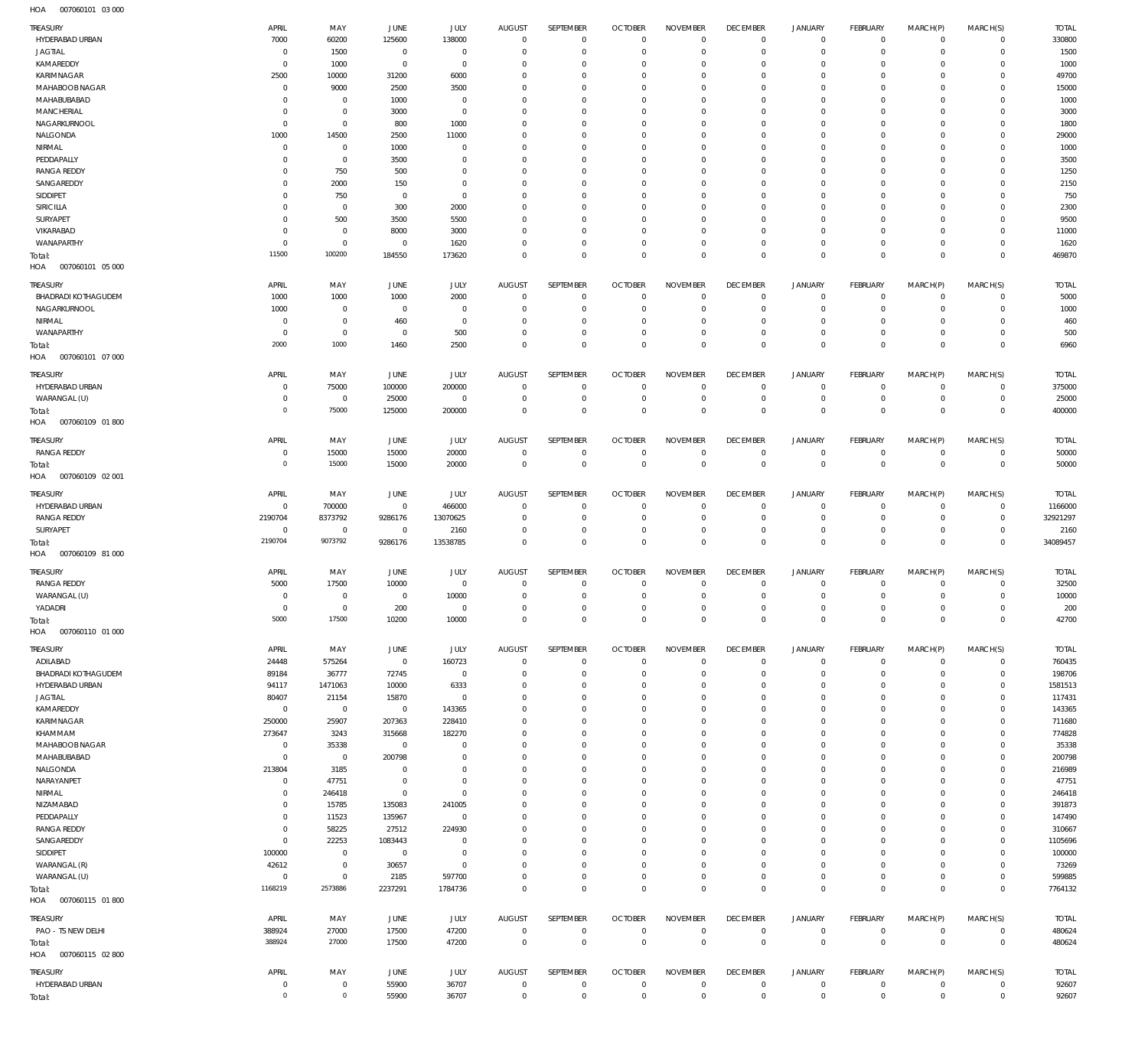007060101 03 000 HOA

| TREASURY<br>HYDERABAD URBAN           | APRIL<br>7000<br>$\overline{0}$ | MAY<br>60200<br>1500    | JUNE<br>125600<br>$\overline{0}$ | JULY<br>138000<br>$\mathbf 0$ | <b>AUGUST</b><br>$\mathbf 0$<br>$\Omega$ | SEPTEMBER<br>$^{\circ}$<br>$\Omega$ | <b>OCTOBER</b><br>$\mathbf 0$<br>$\mathbf 0$ | <b>NOVEMBER</b><br>$\mathbf 0$<br>$\Omega$ | <b>DECEMBER</b><br>$\overline{0}$<br>$\mathbf 0$ | <b>JANUARY</b><br>$\mathbf 0$<br>0 | FEBRUARY<br>$\overline{0}$<br>$\mathbf{0}$ | MARCH(P)<br>$\mathbf{0}$<br>$\Omega$ | MARCH(S)<br>$\circ$<br>$\mathbf 0$ | <b>TOTAL</b><br>330800 |
|---------------------------------------|---------------------------------|-------------------------|----------------------------------|-------------------------------|------------------------------------------|-------------------------------------|----------------------------------------------|--------------------------------------------|--------------------------------------------------|------------------------------------|--------------------------------------------|--------------------------------------|------------------------------------|------------------------|
| JAGTIAL<br>KAMAREDDY                  | $\overline{0}$                  | 1000                    | $\overline{0}$                   | $^{\circ}$                    | $\Omega$                                 | $\Omega$                            | $\mathbf 0$                                  | $\Omega$                                   | $\Omega$                                         | $\Omega$                           | $^{\circ}$                                 | $\Omega$                             | $^{\circ}$                         | 1500<br>1000           |
| KARIMNAGAR                            | 2500                            | 10000                   | 31200                            | 6000                          | $\Omega$                                 | $\Omega$                            | $\mathbf 0$                                  | $\Omega$                                   | $\mathbf 0$                                      | 0                                  | $^{\circ}$                                 | $\Omega$                             | $^{\circ}$                         | 49700                  |
| MAHABOOB NAGAR                        | $\Omega$                        | 9000                    | 2500                             | 3500                          | $\Omega$                                 | $\Omega$                            | $\Omega$                                     | $\Omega$                                   | $\Omega$                                         | $\Omega$                           | $\Omega$                                   | $\Omega$                             | $\Omega$                           | 15000                  |
| MAHABUBABAD                           | $\Omega$                        | $\mathbf 0$             | 1000                             | $\mathbf 0$                   | $\Omega$                                 | $\Omega$                            | $\mathbf 0$                                  | $\Omega$                                   | $\Omega$                                         | $\Omega$                           | $^{\circ}$                                 | $\Omega$                             | $\mathbf 0$                        | 1000                   |
| <b>MANCHERIAL</b>                     | $\Omega$                        | $\mathbf 0$             | 3000                             | $\Omega$                      | $\Omega$                                 | $\Omega$                            | $\Omega$                                     | $\Omega$                                   | $\Omega$                                         | $\Omega$                           | $\Omega$                                   | $\Omega$                             | $\Omega$                           | 3000                   |
| NAGARKURNOOL                          | $\Omega$                        | $\mathbf 0$             | 800                              | 1000                          | $\Omega$                                 | $\Omega$                            | $\Omega$                                     | $\Omega$                                   | $\Omega$                                         | $\Omega$                           | $\Omega$                                   | $\Omega$                             | $\Omega$                           | 1800                   |
| NALGONDA                              | 1000                            | 14500                   | 2500                             | 11000                         | $\Omega$                                 | $\Omega$                            | $\mathbf 0$                                  | $\Omega$                                   | $\Omega$                                         | $\Omega$                           | $\mathbf 0$                                | $\Omega$                             | $\mathbf 0$                        | 29000                  |
| NIRMAL                                | $\Omega$                        | $\mathbf 0$             | 1000                             | $\Omega$                      | $\Omega$                                 | $\Omega$                            | $\Omega$                                     | $\Omega$                                   | $\Omega$                                         | $\Omega$                           | $\Omega$                                   | $\Omega$                             | $\Omega$                           | 1000                   |
| PEDDAPALLY                            | $\Omega$                        | $\mathbf 0$             | 3500                             | $\Omega$                      | $\Omega$                                 | $\Omega$                            | $\Omega$                                     | $\Omega$                                   | $\Omega$                                         | $\Omega$                           | $\mathbf 0$                                | $\Omega$                             | $\mathbf 0$                        | 3500                   |
| <b>RANGA REDDY</b>                    | $\Omega$                        | 750                     | 500                              | $\Omega$                      | $\Omega$                                 | $\Omega$                            | $\mathbf 0$                                  | $\Omega$                                   | $^{\circ}$                                       | $\Omega$                           | $\mathbf 0$                                | $\Omega$                             | $\mathbf 0$                        | 1250                   |
| SANGAREDDY                            | $\Omega$<br>$\Omega$            | 2000                    | 150                              | $\Omega$<br>$\Omega$          | $\Omega$<br>$\Omega$                     | $\Omega$<br>$\Omega$                | $\Omega$<br>$\mathbf 0$                      | $\Omega$<br>$\Omega$                       | $\Omega$<br>$\mathbf 0$                          | $\Omega$<br>$\Omega$               | $\Omega$<br>$\mathbf 0$                    | $\Omega$<br>$\Omega$                 | $\Omega$<br>$\Omega$               | 2150                   |
| SIDDIPET<br>SIRICILLA                 | O                               | 750<br>$^{\circ}$       | $\overline{0}$<br>300            | 2000                          | $\Omega$                                 | $\Omega$                            | $\Omega$                                     | $\Omega$                                   | $\Omega$                                         | $\Omega$                           | $\Omega$                                   | $\Omega$                             | $\Omega$                           | 750<br>2300            |
| SURYAPET                              | $\Omega$                        | 500                     | 3500                             | 5500                          | $\Omega$                                 | $\Omega$                            | $\Omega$                                     | $\Omega$                                   | $\Omega$                                         | $\Omega$                           | $\Omega$                                   | $\Omega$                             | $\Omega$                           | 9500                   |
| VIKARABAD                             | $\Omega$                        | $\mathbf 0$             | 8000                             | 3000                          | $\Omega$                                 | $\Omega$                            | $\mathbf 0$                                  | $\Omega$                                   | $\mathbf 0$                                      | 0                                  | $\mathbf 0$                                | $\Omega$                             | $\mathbf 0$                        | 11000                  |
| WANAPARTHY                            | $\Omega$                        | $\mathbf 0$             | $^{\circ}$                       | 1620                          | $\Omega$                                 | $\Omega$                            | $\mathbf 0$                                  | $\Omega$                                   | $\mathbf 0$                                      | 0                                  | $^{\circ}$                                 | $\Omega$                             | $\mathbf 0$                        | 1620                   |
| Total:                                | 11500                           | 100200                  | 184550                           | 173620                        | $\Omega$                                 | $\Omega$                            | $\mathbf 0$                                  | $\Omega$                                   | $\mathbf 0$                                      | $\mathbf 0$                        | $\overline{0}$                             | $\Omega$                             | $\overline{0}$                     | 469870                 |
| HOA<br>007060101 05 000               |                                 |                         |                                  |                               |                                          |                                     |                                              |                                            |                                                  |                                    |                                            |                                      |                                    |                        |
| TREASURY                              | APRIL                           | MAY                     | JUNE                             | JULY                          | <b>AUGUST</b>                            | SEPTEMBER                           | <b>OCTOBER</b>                               | <b>NOVEMBER</b>                            | <b>DECEMBER</b>                                  | <b>JANUARY</b>                     | <b>FEBRUARY</b>                            | MARCH(P)                             | MARCH(S)                           | <b>TOTAL</b>           |
| <b>BHADRADI KOTHAGUDEM</b>            | 1000                            | 1000                    | 1000                             | 2000                          | $\mathbf 0$                              | 0                                   | $\overline{0}$                               | $\mathbf{0}$                               | $\overline{0}$                                   | $\mathbf 0$                        | $\overline{0}$                             | $\mathbf 0$                          | $\circ$                            | 5000                   |
| NAGARKURNOOL                          | 1000                            | $^{\circ}$              | $\overline{0}$                   | $^{\circ}$                    | $^{\circ}$                               | $\mathbf 0$                         | $\mathbf 0$                                  | $\mathbf{0}$                               | $\overline{0}$                                   | $\mathbf 0$                        | $\mathbf{0}$                               | $\mathbf 0$                          | $\mathbf{0}$                       | 1000                   |
| NIRMAL                                | $\overline{0}$                  | $\mathbf 0$             | 460                              | $^{\circ}$                    | $^{\circ}$                               | $\mathbf 0$                         | $\mathbf{0}$                                 | $\mathbf 0$                                | $\overline{0}$                                   | $^{\circ}$                         | $\circ$                                    | $\Omega$                             | $\mathbf{0}$                       | 460                    |
| WANAPARTHY                            | $\overline{0}$                  | $\mathbf{0}$            | $\overline{0}$                   | 500                           | $\Omega$                                 | $\mathbf 0$                         | $\mathbf{0}$                                 | $\mathbf 0$                                | $\overline{0}$                                   | $\mathbf 0$                        | $\mathbf{0}$                               | 0                                    | $\mathbf{0}$                       | 500                    |
| Total:<br>007060101 07 000<br>HOA     | 2000                            | 1000                    | 1460                             | 2500                          | $\Omega$                                 | $\Omega$                            | $\Omega$                                     | $\Omega$                                   | $\overline{0}$                                   | $\mathbf 0$                        | $\overline{0}$                             | $\Omega$                             | $\overline{0}$                     | 6960                   |
| TREASURY                              | APRIL                           | MAY                     | JUNE                             | JULY                          | <b>AUGUST</b>                            | <b>SEPTEMBER</b>                    | <b>OCTOBER</b>                               | <b>NOVEMBER</b>                            | <b>DECEMBER</b>                                  | <b>JANUARY</b>                     | <b>FEBRUARY</b>                            | MARCH(P)                             | MARCH(S)                           | <b>TOTAL</b>           |
| HYDERABAD URBAN                       | $^{\circ}$                      | 75000                   | 100000                           | 200000                        | $^{\circ}$                               | 0                                   | $^{\circ}$                                   | $\mathbf{0}$                               | $\overline{0}$                                   | $\mathbf 0$                        | $\mathbf 0$                                | $^{\circ}$                           | $^{\circ}$                         | 375000                 |
| WARANGAL (U)                          | $\Omega$                        | $^{\circ}$              | 25000                            | $^{\circ}$                    | $\mathbf 0$                              | $\mathbf 0$                         | $\mathbf{0}$                                 | $\mathbf 0$                                | $\overline{0}$                                   | $\mathbf 0$                        | $\mathbf{0}$                               | $^{\circ}$                           | $\mathbf{0}$                       | 25000                  |
| Total:                                | $\overline{0}$                  | 75000                   | 125000                           | 200000                        | $\Omega$                                 | $\mathbf 0$                         | $\overline{0}$                               | $\mathbf{0}$                               | $\overline{0}$                                   | $\mathbf 0$                        | $\overline{0}$                             | $\Omega$                             | $\overline{0}$                     | 400000                 |
| HOA<br>007060109 01 800               |                                 |                         |                                  |                               |                                          |                                     |                                              |                                            |                                                  |                                    |                                            |                                      |                                    |                        |
| TREASURY                              | APRIL                           | MAY                     | JUNE                             | JULY                          | <b>AUGUST</b>                            | SEPTEMBER                           | <b>OCTOBER</b>                               | <b>NOVEMBER</b>                            | <b>DECEMBER</b>                                  | <b>JANUARY</b>                     | FEBRUARY                                   | MARCH(P)                             | MARCH(S)                           | <b>TOTAL</b>           |
| <b>RANGA REDDY</b>                    | $\overline{0}$                  | 15000                   | 15000                            | 20000                         | $\mathbf 0$                              | $\mathbf 0$                         | $\overline{0}$                               | $\mathbf 0$                                | $\overline{0}$                                   | $\mathbf 0$                        | $\overline{0}$                             | $\mathbf 0$                          | $\overline{0}$                     | 50000                  |
| Total:                                | $\overline{0}$                  | 15000                   | 15000                            | 20000                         | $\mathbf{0}$                             | $\mathbf 0$                         | $\overline{0}$                               | $\mathbf{0}$                               | $\overline{0}$                                   | $\overline{0}$                     | $\overline{0}$                             | $\mathbf 0$                          | $\overline{0}$                     | 50000                  |
| 007060109 02 001<br>HOA               |                                 |                         |                                  |                               |                                          |                                     |                                              |                                            |                                                  |                                    |                                            |                                      |                                    |                        |
|                                       |                                 |                         |                                  |                               |                                          |                                     |                                              |                                            |                                                  |                                    |                                            |                                      |                                    |                        |
| TREASURY                              | APRIL                           | MAY                     | JUNE                             | JULY                          | <b>AUGUST</b><br>$^{\circ}$              | SEPTEMBER<br>$\mathbf 0$            | <b>OCTOBER</b>                               | <b>NOVEMBER</b><br>$\mathbf{0}$            | <b>DECEMBER</b><br>$\overline{0}$                | <b>JANUARY</b><br>$\mathbf 0$      | FEBRUARY                                   | MARCH(P)<br>$^{\circ}$               | MARCH(S)                           | <b>TOTAL</b>           |
| HYDERABAD URBAN<br><b>RANGA REDDY</b> | $\overline{0}$<br>2190704       | 700000<br>8373792       | $\overline{0}$<br>9286176        | 466000<br>13070625            | $\mathbf 0$                              | $\mathbf 0$                         | $\overline{0}$<br>$\mathbf 0$                | $\mathbf 0$                                | $\overline{0}$                                   | $\mathbf 0$                        | $\circ$<br>$\circ$                         | 0                                    | $\overline{0}$<br>$\circ$          | 1166000<br>32921297    |
| SURYAPET                              | $\overline{0}$                  | $^{\circ}$              | $\overline{0}$                   | 2160                          | $\mathbf 0$                              | $\mathbf 0$                         | $^{\circ}$                                   | $\mathbf{0}$                               | $\overline{0}$                                   | $^{\circ}$                         | $^{\circ}$                                 | $\Omega$                             | $\mathbf{0}$                       | 2160                   |
| Total:                                | 2190704                         | 9073792                 | 9286176                          | 13538785                      | $\mathbf{0}$                             | $\mathbf 0$                         | $\overline{0}$                               | $\mathbf 0$                                | $\overline{0}$                                   | $\mathbf 0$                        | $\overline{0}$                             | $\mathbf 0$                          | $\overline{0}$                     | 34089457               |
| HOA   007060109   81   000            |                                 |                         |                                  |                               |                                          |                                     |                                              |                                            |                                                  |                                    |                                            |                                      |                                    |                        |
|                                       |                                 |                         |                                  |                               |                                          |                                     |                                              |                                            |                                                  |                                    |                                            |                                      |                                    |                        |
| TREASURY                              | APRIL                           | MAY                     | JUNE                             | <b>JULY</b>                   | <b>AUGUST</b>                            | SEPTEMBER                           | <b>OCTOBER</b>                               | <b>NOVEMBER</b>                            | <b>DECEMBER</b>                                  | <b>JANUARY</b>                     | FEBRUARY                                   | MARCH(P)                             | MARCH(S)                           | <b>TOTAL</b>           |
| <b>RANGA REDDY</b>                    | 5000                            | 17500                   | 10000                            | $\mathbf 0$                   | $\mathbf{0}$<br>$\mathbf{0}$             | $\mathbf 0$<br>$\mathbf 0$          | $\overline{0}$                               | $\mathbf{0}$                               | $\overline{0}$<br>$\overline{0}$                 | 0<br>$\mathbf 0$                   | $\mathbf 0$                                | $\mathbf 0$                          | $^{\circ}$                         | 32500                  |
| WARANGAL (U)<br>YADADRI               | $\overline{0}$<br>$\Omega$      | $^{\circ}$<br>$\Omega$  | $\overline{0}$<br>200            | 10000<br>$\Omega$             | $\Omega$                                 | $\Omega$                            | $\overline{0}$<br>$\Omega$                   | $\mathbf{0}$<br>$\Omega$                   | $\Omega$                                         | $\Omega$                           | $\mathbf 0$<br>$\Omega$                    | $\mathbf 0$<br>$\Omega$              | $\overline{0}$<br>$\Omega$         | 10000<br>200           |
| Total:                                | 5000                            | 17500                   | 10200                            | 10000                         | $\mathbf 0$                              | $\mathbf 0$                         | $\mathbf 0$                                  | $\mathbf 0$                                | $\overline{0}$                                   | $\overline{0}$                     | $\overline{0}$                             | $\overline{0}$                       | $\overline{0}$                     | 42700                  |
| HOA<br>007060110 01 000               |                                 |                         |                                  |                               |                                          |                                     |                                              |                                            |                                                  |                                    |                                            |                                      |                                    |                        |
|                                       |                                 |                         |                                  |                               |                                          |                                     |                                              |                                            |                                                  |                                    |                                            |                                      |                                    |                        |
| TREASURY                              | APRIL                           | MAY                     | JUNE                             | <b>JULY</b>                   | <b>AUGUST</b>                            | SEPTEMBER                           | <b>OCTOBER</b>                               | <b>NOVEMBER</b>                            | <b>DECEMBER</b>                                  | <b>JANUARY</b>                     | FEBRUARY                                   | MARCH(P)                             | MARCH(S)                           | <b>TOTAL</b>           |
| ADILABAD                              | 24448                           | 575264                  | $\overline{0}$                   | 160723                        | $\mathbf 0$                              | $^{\circ}$                          | $\overline{0}$                               | $\mathbf 0$                                | $\overline{0}$                                   | $\mathbf 0$                        | $\overline{0}$                             | $\mathbf{0}$                         | $\mathbf 0$                        | 760435                 |
| <b>BHADRADI KOTHAGUDEM</b>            | 89184                           | 36777                   | 72745                            | $\overline{0}$                | $\mathbf 0$                              | $\mathbf 0$                         | $\mathbf 0$                                  | $\mathbf{0}$                               | $^{\circ}$                                       | $\mathbf 0$                        | $\overline{0}$                             | $\mathbf 0$                          | $\circ$                            | 198706                 |
| HYDERABAD URBAN                       | 94117                           | 1471063                 | 10000                            | 6333                          | $\Omega$                                 | $\Omega$                            | $\mathbf 0$                                  | $\Omega$                                   | $\Omega$                                         | $\Omega$                           | $^{\circ}$                                 | $\Omega$                             | $\mathbf 0$                        | 1581513                |
| JAGTIAL<br>KAMAREDDY                  | 80407<br>$\mathbf 0$            | 21154<br>$\overline{0}$ | 15870<br>$\overline{0}$          | $^{\circ}$<br>143365          | $\mathbf 0$<br>$\Omega$                  | $\Omega$<br>$\Omega$                | $^{\circ}$<br>$\mathbf 0$                    | $\Omega$<br>$\Omega$                       | $^{\circ}$<br>$\mathbf 0$                        | 0<br>$\Omega$                      | $^{\circ}$<br>$\mathbf 0$                  | $\Omega$<br>$\Omega$                 | $\mathbf 0$<br>0                   | 117431<br>143365       |
| KARIMNAGAR                            | 250000                          | 25907                   | 207363                           | 228410                        | $\Omega$                                 | $\Omega$                            | $^{\circ}$                                   | $\Omega$                                   | $\mathbf 0$                                      | $\Omega$                           | $^{\circ}$                                 | $\Omega$                             | $\Omega$                           | 711680                 |
| KHAMMAM                               | 273647                          | 3243                    | 315668                           | 182270                        | $\Omega$                                 | $\Omega$                            | $\mathbf 0$                                  | $\Omega$                                   | $\mathbf 0$                                      | 0                                  | $\mathbf 0$                                | $\Omega$                             | $\mathbf 0$                        | 774828                 |
| MAHABOOB NAGAR                        | $^{\circ}$                      | 35338                   | $\overline{0}$                   | $\Omega$                      | $\Omega$                                 | $\Omega$                            | $\mathbf 0$                                  | $\Omega$                                   | $\mathbf 0$                                      | $\Omega$                           | $\mathbf 0$                                | $\Omega$                             | $\Omega$                           | 35338                  |
| MAHABUBABAD                           | $\mathbf 0$                     | $\overline{0}$          | 200798                           | $\Omega$                      | $\Omega$                                 | $\Omega$                            | $\mathbf 0$                                  | $\Omega$                                   | $\mathbf 0$                                      | $\Omega$                           | $\mathbf 0$                                | $\Omega$                             | $\mathbf 0$                        | 200798                 |
| NALGONDA                              | 213804                          | 3185                    | $\overline{0}$                   | $\Omega$                      | $\Omega$                                 | $\Omega$                            | $\mathbf 0$                                  | $\Omega$                                   | $\mathbf 0$                                      | 0                                  | $^{\circ}$                                 | $\Omega$                             | $^{\circ}$                         | 216989                 |
| NARAYANPET                            |                                 | 47751                   | $\overline{0}$                   | $\Omega$                      | $\Omega$                                 | $\Omega$                            | $\mathbf 0$                                  | $\Omega$                                   | $\Omega$                                         | $\Omega$                           | $^{\circ}$                                 | $\Omega$                             | $\Omega$                           | 47751                  |
|                                       | $^{\circ}$                      |                         |                                  |                               | $\Omega$                                 | $\Omega$                            | $^{\circ}$                                   | $\Omega$                                   | $\mathbf 0$                                      | 0                                  | $^{\circ}$                                 | $\Omega$                             | $^{\circ}$                         | 246418                 |
| NIRMAL                                | $^{\circ}$                      | 246418                  | $\overline{0}$                   | $\Omega$                      |                                          |                                     |                                              |                                            |                                                  |                                    |                                            |                                      |                                    |                        |
| NIZAMABAD                             | $\Omega$                        | 15785                   | 135083                           | 241005                        | $\Omega$                                 | $\Omega$                            | $\mathbf 0$                                  | $\Omega$                                   | $\mathbf 0$                                      | $\Omega$                           | $^{\circ}$                                 | $\Omega$                             | 0                                  | 391873                 |
| PEDDAPALLY                            | $^{\circ}$                      | 11523                   | 135967                           | $\mathbf 0$                   | $\Omega$                                 | $\Omega$                            | $^{\circ}$                                   | $\Omega$                                   | $\mathbf 0$                                      | $\Omega$                           | $^{\circ}$                                 | $\Omega$                             | $^{\circ}$                         | 147490                 |
| <b>RANGA REDDY</b>                    | $\overline{0}$                  | 58225                   | 27512                            | 224930                        | $\Omega$                                 | $\Omega$                            | $\mathbf 0$                                  | $\Omega$                                   | $\mathbf 0$                                      | 0                                  | $^{\circ}$                                 | $\Omega$                             | $^{\circ}$                         | 310667                 |
| SANGAREDDY                            | $\Omega$                        | 22253                   | 1083443                          | $\Omega$                      | $\Omega$                                 | $\Omega$                            | $\mathbf 0$                                  | $\Omega$                                   | $\mathbf 0$                                      | $\Omega$                           | $\Omega$                                   | $\Omega$                             | $\Omega$                           | 1105696                |
| SIDDIPET                              | 100000                          | $^{\circ}$              | $\overline{0}$                   | $\mathbf 0$                   | $\Omega$                                 | $\Omega$                            | $\mathbf 0$                                  | $\Omega$                                   | $\Omega$                                         | $\Omega$                           | $\mathbf 0$                                | $\Omega$                             | $\mathbf 0$                        | 100000                 |
| WARANGAL (R)                          | 42612                           | $\mathbf 0$             | 30657                            | $\Omega$                      | $\Omega$                                 | $\Omega$                            | $\mathbf 0$                                  | $\Omega$                                   | $\mathbf 0$                                      | 0                                  | $\mathbf 0$                                | $\Omega$                             | $\mathbf 0$                        | 73269                  |
| WARANGAL (U)                          | $\overline{0}$                  | $\mathbf 0$             | 2185                             | 597700                        | $\Omega$                                 | $\mathbf 0$                         | $\mathbf 0$                                  | $\mathbf 0$                                | $\overline{0}$                                   | $\mathbf 0$                        | $\mathbf{0}$                               | $\Omega$                             | $\mathbf{0}$                       | 599885                 |
| Total:                                | 1168219                         | 2573886                 | 2237291                          | 1784736                       | $\mathbf 0$                              | $\mathbf 0$                         | $\mathbf 0$                                  | $\mathbf 0$                                | $\overline{0}$                                   | $\mathbf 0$                        | $\overline{0}$                             | $\mathbf 0$                          | $\overline{0}$                     | 7764132                |
| HOA   007060115   01   800            |                                 |                         |                                  |                               |                                          |                                     |                                              |                                            |                                                  |                                    |                                            |                                      |                                    |                        |
| <b>TREASURY</b>                       | APRIL                           | MAY                     | JUNE                             | <b>JULY</b>                   | <b>AUGUST</b>                            | SEPTEMBER                           | <b>OCTOBER</b>                               | <b>NOVEMBER</b>                            | <b>DECEMBER</b>                                  | <b>JANUARY</b>                     | FEBRUARY                                   | MARCH(P)                             | MARCH(S)                           | <b>TOTAL</b>           |
| PAO - TS NEW DELHI                    | 388924                          | 27000                   | 17500                            | 47200                         | $\mathbf 0$                              | $\mathbf 0$                         | $\overline{0}$                               | $\mathbf 0$                                | $\overline{0}$                                   | $\circ$                            | $\overline{0}$                             | $\mathbf 0$                          | $\overline{0}$                     | 480624                 |
| Total:                                | 388924                          | 27000                   | 17500                            | 47200                         | $\overline{0}$                           | $\mathbf 0$                         | $\overline{0}$                               | $\mathbf 0$                                | $\overline{0}$                                   | $\overline{0}$                     | $\overline{0}$                             | $\overline{0}$                       | $\overline{0}$                     | 480624                 |
| HOA   007060115   02   800            |                                 |                         |                                  |                               |                                          |                                     |                                              |                                            |                                                  |                                    |                                            |                                      |                                    |                        |
| TREASURY                              | APRIL                           | MAY                     | JUNE                             | JULY                          | <b>AUGUST</b>                            | SEPTEMBER                           | <b>OCTOBER</b>                               | <b>NOVEMBER</b>                            | <b>DECEMBER</b>                                  | <b>JANUARY</b>                     | FEBRUARY                                   | MARCH(P)                             | MARCH(S)                           | <b>TOTAL</b>           |
| HYDERABAD URBAN<br>Total:             | 0<br>$\mathbb O$                | 0<br>$\mathbf 0$        | 55900<br>55900                   | 36707<br>36707                | $\mathbf 0$<br>$\mathbf 0$               | $\mathbf 0$<br>$\mathbf 0$          | $\overline{0}$<br>$\mathbf 0$                | $\mathbf 0$<br>$\mathbf 0$                 | $\overline{0}$<br>$\overline{0}$                 | $\mathbf 0$<br>$\mathbf 0$         | $\mathbf 0$<br>$\overline{0}$              | $\mathbf 0$<br>$\mathbf 0$           | $\overline{0}$<br>$\overline{0}$   | 92607<br>92607         |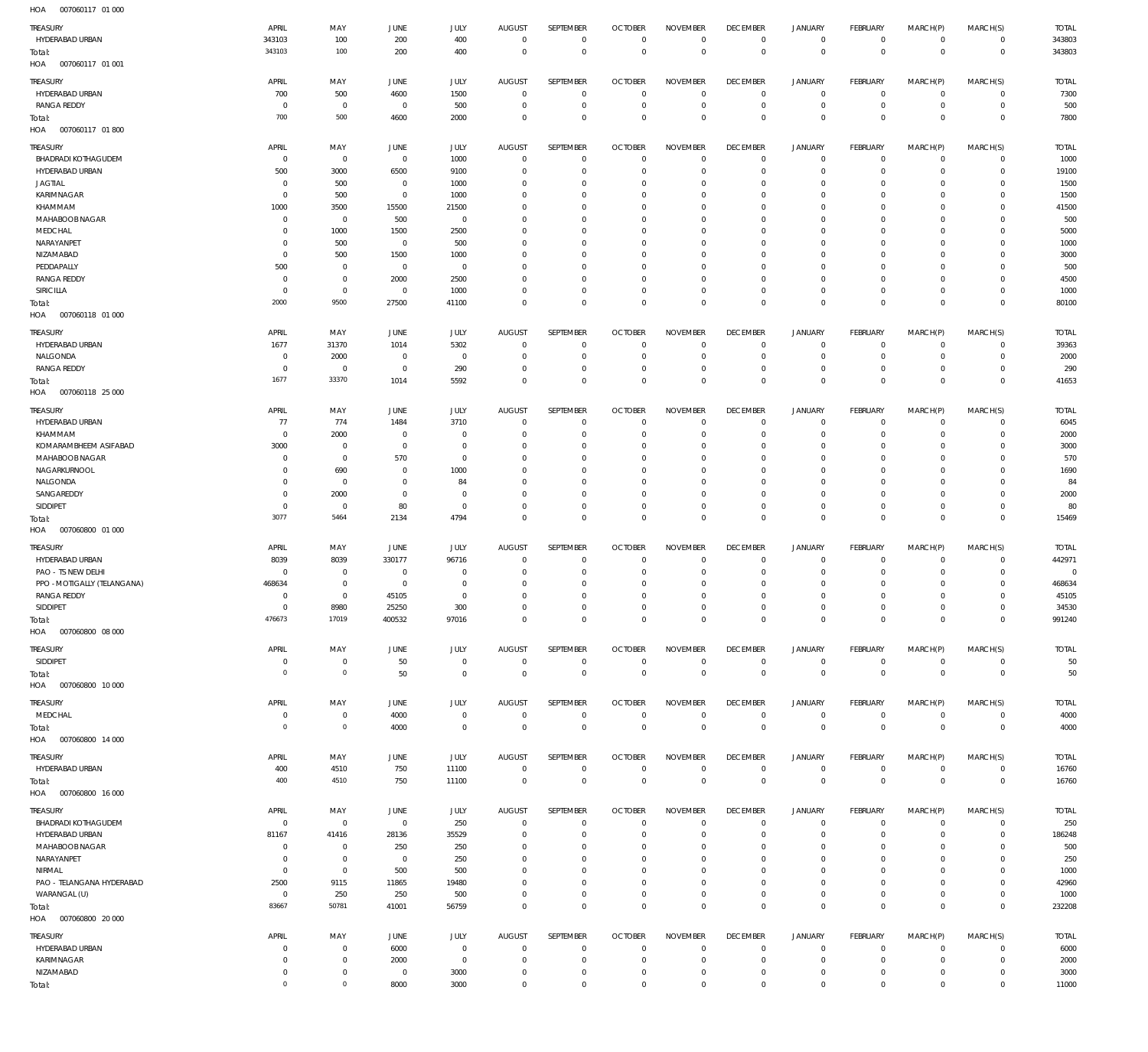| TREASURY                         | APRIL          | MAY                 | <b>JUNE</b>    | JULY                | <b>AUGUST</b>  | SEPTEMBER   | <b>OCTOBER</b> | <b>NOVEMBER</b> | <b>DECEMBER</b> | <b>JANUARY</b> | FEBRUARY       | MARCH(P)       | MARCH(S)       | <b>TOTAL</b> |
|----------------------------------|----------------|---------------------|----------------|---------------------|----------------|-------------|----------------|-----------------|-----------------|----------------|----------------|----------------|----------------|--------------|
| HYDERABAD URBAN                  | 343103         | 100                 | 200            | 400                 | $\overline{0}$ | $\bf 0$     | $\overline{0}$ | $\mathbf 0$     | $\overline{0}$  | $\circ$        | $\overline{0}$ | $\circ$        | $\overline{0}$ | 343803       |
|                                  | 343103         | 100                 | 200            | 400                 | $\mathbf 0$    | $\bf 0$     | $\overline{0}$ | $\overline{0}$  | $\mathbf 0$     | $\mathbf 0$    | $\overline{0}$ | $\mathbf 0$    | $\overline{0}$ | 343803       |
| Total:                           |                |                     |                |                     |                |             |                |                 |                 |                |                |                |                |              |
| HOA<br>007060117 01 001          |                |                     |                |                     |                |             |                |                 |                 |                |                |                |                |              |
| TREASURY                         | APRIL          | MAY                 | <b>JUNE</b>    | JULY                | <b>AUGUST</b>  | SEPTEMBER   | <b>OCTOBER</b> | <b>NOVEMBER</b> | <b>DECEMBER</b> | <b>JANUARY</b> | FEBRUARY       | MARCH(P)       | MARCH(S)       | <b>TOTAL</b> |
| HYDERABAD URBAN                  |                |                     |                |                     | $\mathbf 0$    | 0           | $\overline{0}$ | $\mathbf 0$     | $\overline{0}$  | 0              | $\overline{0}$ | $\mathbf 0$    | $\circ$        | 7300         |
|                                  | 700            | 500                 | 4600           | 1500                |                |             |                |                 |                 |                |                |                |                |              |
| <b>RANGA REDDY</b>               | $\mathbf 0$    | $\mathbf 0$         | $\overline{0}$ | 500                 | 0              | $\mathbf 0$ | $\overline{0}$ | $\mathbf 0$     | $\overline{0}$  | $\mathbf 0$    | $\overline{0}$ | 0              | $\circ$        | 500          |
| Total:                           | 700            | 500                 | 4600           | 2000                | $\mathbf 0$    | $\bf 0$     | $\overline{0}$ | $\mathbf 0$     | $\overline{0}$  | $\mathbf 0$    | $\overline{0}$ | $\mathbf 0$    | $\overline{0}$ | 7800         |
| 007060117 01 800<br>HOA          |                |                     |                |                     |                |             |                |                 |                 |                |                |                |                |              |
|                                  |                |                     |                |                     |                |             |                |                 |                 |                |                |                |                |              |
| TREASURY                         | APRIL          | MAY                 | <b>JUNE</b>    | JULY                | <b>AUGUST</b>  | SEPTEMBER   | <b>OCTOBER</b> | <b>NOVEMBER</b> | <b>DECEMBER</b> | <b>JANUARY</b> | FEBRUARY       | MARCH(P)       | MARCH(S)       | <b>TOTAL</b> |
| <b>BHADRADI KOTHAGUDEM</b>       | 0              | 0                   | $\mathbf 0$    | 1000                | $\mathbf 0$    | 0           | $\overline{0}$ | $\mathbf 0$     | $\overline{0}$  | 0              | $\mathbf 0$    | $\mathbf 0$    | $\circ$        | 1000         |
| HYDERABAD URBAN                  | 500            | 3000                | 6500           | 9100                | 0              | $\mathbf 0$ | $\mathbf 0$    | $\Omega$        | $\mathbf 0$     | $\mathbf 0$    | $\mathbf 0$    | $\Omega$       | $\mathbf 0$    | 19100        |
| <b>JAGTIAL</b>                   | 0              | 500                 | $\mathbf 0$    | 1000                | 0              | $\mathbf 0$ | $\mathbf 0$    | $\mathbf 0$     | $\mathbf 0$     | $\mathbf 0$    | $\mathbf 0$    | $\Omega$       | $\mathbf{0}$   | 1500         |
| KARIMNAGAR                       | 0              | 500                 | $\mathbf 0$    | 1000                | 0              | $\mathbf 0$ | 0              | $\Omega$        | $\mathbf 0$     | 0              | 0              | $\Omega$       | $\mathbf 0$    | 1500         |
|                                  |                |                     |                |                     |                |             |                |                 |                 |                |                |                |                |              |
| KHAMMAM                          | 1000           | 3500                | 15500          | 21500               | $\Omega$       | $\mathbf 0$ | 0              | $\Omega$        | $\mathbf 0$     | $\circ$        | $\mathbf 0$    | $\Omega$       | $\mathbf 0$    | 41500        |
| MAHABOOB NAGAR                   | 0              | 0                   | 500            | $\mathbf 0$         | 0              | $\mathbf 0$ | 0              | $\Omega$        | $\mathbf 0$     | $\circ$        | $\mathbf 0$    | $\Omega$       | $\mathbf 0$    | 500          |
| MEDCHAL                          | 0              | 1000                | 1500           | 2500                | $\Omega$       | $\mathbf 0$ | $\Omega$       | $\Omega$        | $\mathbf 0$     | $\circ$        | $\Omega$       | $\Omega$       | $\mathbf 0$    | 5000         |
| <b>NARAYANPET</b>                | 0              | 500                 | $\mathbf 0$    | 500                 | 0              | $\mathbf 0$ | 0              | $\Omega$        | $\mathbf 0$     | $\circ$        | $\mathbf 0$    | $\Omega$       | $\mathbf 0$    | 1000         |
| NIZAMABAD                        | 0              | 500                 | 1500           | 1000                | $\Omega$       | $\mathbf 0$ | 0              | $\mathbf 0$     | $\mathbf 0$     | $\circ$        | 0              | $\Omega$       | 0              | 3000         |
| PEDDAPALLY                       | 500            | 0                   | $\overline{0}$ | $\mathbf 0$         | $\Omega$       | $\mathbf 0$ | $\Omega$       | $\Omega$        | $\mathbf 0$     | $\mathbf 0$    | $\mathbf 0$    | $\Omega$       | $\mathbf 0$    | 500          |
|                                  |                |                     |                |                     |                |             |                |                 |                 |                |                |                |                |              |
| <b>RANGA REDDY</b>               | $\mathbf 0$    | $\mathsf{O}\xspace$ | 2000           | 2500                | $\Omega$       | $\mathbf 0$ | 0              | $\Omega$        | $\mathbf 0$     | $\mathbf 0$    | $\mathbf 0$    | $\Omega$       | $\mathbf 0$    | 4500         |
| <b>SIRICILLA</b>                 | $\mathbf 0$    | $\bf 0$             | $\mathbf 0$    | 1000                | $\mathbf 0$    | $\mathbf 0$ | $\mathbf 0$    | $\mathbf 0$     | $\mathbf 0$     | $\mathbf 0$    | $\mathbf 0$    | $\mathbf 0$    | $\mathbf 0$    | 1000         |
| Total:                           | 2000           | 9500                | 27500          | 41100               | $\mathbf 0$    | $\mathbf 0$ | $\overline{0}$ | $\mathbf 0$     | $\overline{0}$  | $\mathbf 0$    | $\overline{0}$ | $\mathbf 0$    | $\mathbf 0$    | 80100        |
| HOA<br>007060118 01 000          |                |                     |                |                     |                |             |                |                 |                 |                |                |                |                |              |
|                                  |                |                     |                |                     |                |             |                |                 |                 |                |                |                |                |              |
| TREASURY                         | APRIL          | MAY                 | <b>JUNE</b>    | JULY                | <b>AUGUST</b>  | SEPTEMBER   | <b>OCTOBER</b> | <b>NOVEMBER</b> | <b>DECEMBER</b> | <b>JANUARY</b> | FEBRUARY       | MARCH(P)       | MARCH(S)       | <b>TOTAL</b> |
| HYDERABAD URBAN                  | 1677           | 31370               | 1014           | 5302                | 0              | 0           | $\overline{0}$ | $\mathbf 0$     | $\overline{0}$  | 0              | $\circ$        | $\mathbf 0$    | $\circ$        | 39363        |
| NALGONDA                         | 0              | 2000                | $\overline{0}$ | 0                   | 0              | $\mathbf 0$ | $\overline{0}$ | $\mathbf 0$     | $\overline{0}$  | 0              | $\overline{0}$ | $\mathbf 0$    | $\circ$        | 2000         |
| <b>RANGA REDDY</b>               | $\mathbf 0$    | $\mathbf 0$         | $\overline{0}$ | 290                 | 0              | 0           | $\mathbf 0$    | 0               | $\overline{0}$  | 0              | $\overline{0}$ | 0              | $\circ$        | 290          |
|                                  | 1677           | 33370               | 1014           | 5592                | $\mathbf 0$    | $\bf 0$     | $\overline{0}$ | $\mathbf 0$     | $\mathbf 0$     | $\mathbf 0$    | $\overline{0}$ | $\mathbf 0$    | $\overline{0}$ |              |
| Total:                           |                |                     |                |                     |                |             |                |                 |                 |                |                |                |                | 41653        |
| HOA<br>007060118 25 000          |                |                     |                |                     |                |             |                |                 |                 |                |                |                |                |              |
| TREASURY                         | APRIL          | MAY                 | <b>JUNE</b>    | JULY                | <b>AUGUST</b>  | SEPTEMBER   | <b>OCTOBER</b> | <b>NOVEMBER</b> | <b>DECEMBER</b> | <b>JANUARY</b> | FEBRUARY       | MARCH(P)       | MARCH(S)       | <b>TOTAL</b> |
|                                  |                |                     |                |                     |                |             |                |                 |                 |                |                |                |                |              |
| HYDERABAD URBAN                  | 77             | 774                 | 1484           | 3710                | $\mathbf 0$    | $\mathbf 0$ | $\overline{0}$ | $\mathbf 0$     | $\overline{0}$  | 0              | $\mathbf 0$    | $\mathbf 0$    | $\mathbf{0}$   | 6045         |
| KHAMMAM                          | 0              | 2000                | $\mathbf 0$    | 0                   | 0              | 0           | $\mathbf 0$    | $\mathbf 0$     | $\mathbf 0$     | 0              | 0              | $\mathbf 0$    | 0              | 2000         |
| KOMARAMBHEEM ASIFABAD            | 3000           | 0                   | $\mathbf 0$    | $\mathbf 0$         | 0              | $\mathbf 0$ | 0              | $\mathbf 0$     | $\mathbf 0$     | $\mathbf 0$    | $\mathbf 0$    | $\Omega$       | $\mathbf 0$    | 3000         |
| MAHABOOB NAGAR                   | $\mathbf 0$    | $\bf 0$             | 570            | $\mathbf 0$         | 0              | $\mathbf 0$ | 0              | O               | $\mathbf 0$     | $\mathbf 0$    | $\mathbf 0$    | $\Omega$       | $\mathbf 0$    | 570          |
| NAGARKURNOOL                     | 0              | 690                 | $\mathbf 0$    | 1000                | $\Omega$       | $\mathbf 0$ | $\Omega$       | $\Omega$        | $\mathbf 0$     | $\mathbf 0$    | $\Omega$       | $\Omega$       | $\mathbf 0$    | 1690         |
|                                  |                |                     |                |                     |                |             |                | $\Omega$        |                 |                |                |                |                |              |
| NALGONDA                         | 0              | $\mathbf 0$         | $\mathbf 0$    | 84                  | 0              | $\mathbf 0$ | 0              |                 | $\mathbf 0$     | $\mathbf 0$    | $\mathbf 0$    | $\Omega$       | $\mathbf 0$    | 84           |
| SANGAREDDY                       | 0              | 2000                | 0              | 0                   | 0              | $\mathbf 0$ | 0              | $\mathbf 0$     | $\mathbf 0$     | $\mathbf 0$    | $\mathbf 0$    | $\Omega$       | $\mathbf 0$    | 2000         |
| SIDDIPET                         | 0              | $\bf 0$             | 80             | $\mathbf 0$         | $\mathbf 0$    | $\mathbf 0$ | $\mathbf 0$    | $\mathbf 0$     | $\mathbf 0$     | $\mathbf 0$    | $\circ$        | $\mathbf 0$    | $\mathbf 0$    | 80           |
| Total:                           | 3077           | 5464                | 2134           | 4794                | $\mathbf 0$    | $\mathbf 0$ | $\overline{0}$ | $\mathbf 0$     | $\overline{0}$  | $\mathbf 0$    | $\overline{0}$ | $\mathbf 0$    | $\overline{0}$ | 15469        |
| HOA<br>007060800 01 000          |                |                     |                |                     |                |             |                |                 |                 |                |                |                |                |              |
|                                  |                |                     |                |                     |                |             |                |                 |                 |                |                |                |                |              |
| TREASURY                         | APRIL          | MAY                 | JUNE           | JULY                | <b>AUGUST</b>  | SEPTEMBER   | <b>OCTOBER</b> | <b>NOVEMBER</b> | <b>DECEMBER</b> | <b>JANUARY</b> | FEBRUARY       | MARCH(P)       | MARCH(S)       | <b>TOTAL</b> |
| HYDERABAD URBAN                  | 8039           | 8039                | 330177         | 96716               | 0              | 0           | $\overline{0}$ | $\mathbf 0$     | $\overline{0}$  | 0              | $\circ$        | $\mathbf 0$    | $\circ$        | 442971       |
| PAO - TS NEW DELHI               | 0              | 0                   | $\mathbf 0$    | 0                   | 0              | 0           | $\mathbf 0$    | 0               | $\mathbf 0$     | 0              | $\mathbf 0$    | 0              | $\mathbf 0$    | $\mathbf 0$  |
| PPO - MOTIGALLY (TELANGANA)      | 468634         | $\bf 0$             | $\overline{0}$ | $\mathbf 0$         | $\mathbf 0$    | $\mathbf 0$ | $\overline{0}$ | $\mathbf 0$     | $\mathbf 0$     | $\circ$        | $\mathbf{0}$   | 0              | $\mathbf{0}$   | 468634       |
|                                  |                |                     |                |                     |                |             |                |                 |                 |                |                |                |                |              |
| <b>RANGA REDDY</b>               | $\mathbf 0$    | $\mathbf 0$         | 45105          | $\mathbf 0$         | $\mathbf 0$    | $\mathbf 0$ | $\overline{0}$ | $\mathbf 0$     | $\overline{0}$  | $\mathbf 0$    | $\mathbf{0}$   | $\circ$        | $\mathbf{0}$   | 45105        |
| SIDDIPET                         | $\cap$         | 8980                | 25250          | 300                 | $\Omega$       | $\mathbf 0$ | $\Omega$       | $\mathbf 0$     | $\Omega$        | 0              | $\Omega$       |                | $\Omega$       | 34530        |
| Total:                           | 476673         | 17019               | 400532         | 97016               | $\mathbf 0$    | $\mathbf 0$ | $\mathbb O$    | $\mathbf 0$     | $\overline{0}$  | $\mathbf 0$    | $\overline{0}$ | $\overline{0}$ | $\overline{0}$ | 991240       |
| HOA<br>007060800 08 000          |                |                     |                |                     |                |             |                |                 |                 |                |                |                |                |              |
|                                  |                |                     |                |                     |                |             |                |                 |                 |                |                |                |                |              |
| TREASURY                         |                |                     |                |                     |                |             |                |                 |                 |                |                |                |                |              |
|                                  | APRIL          | MAY                 | JUNE           | <b>JULY</b>         | AUGUST         | SEPTEMBER   | <b>OCTOBER</b> | <b>NOVEMBER</b> | <b>DECEMBER</b> | <b>JANUARY</b> | FEBRUARY       | MARCH(P)       | MARCH(S)       | <b>TOTAL</b> |
| SIDDIPET                         | $\mathbf 0$    | $\mathsf{O}\xspace$ | 50             | $\mathsf{O}\xspace$ | $\mathbf 0$    | $\bf 0$     | $\overline{0}$ | $\overline{0}$  | $\overline{0}$  | $\circ$        | $\overline{0}$ | $\circ$        | $\overline{0}$ | 50           |
|                                  | $\overline{0}$ | $\mathsf{O}\xspace$ | 50             | $\mathbf 0$         | $\mathbf 0$    | $\mathbf 0$ | $\overline{0}$ | $\overline{0}$  | $\overline{0}$  | $\,0\,$        | $\overline{0}$ | $\mathbf 0$    | $\overline{0}$ | 50           |
| Total:<br>HOA  007060800  10 000 |                |                     |                |                     |                |             |                |                 |                 |                |                |                |                |              |
|                                  |                |                     |                |                     |                |             |                |                 |                 |                |                |                |                |              |
| TREASURY                         | APRIL          | MAY                 | JUNE           | JULY                | <b>AUGUST</b>  | SEPTEMBER   | <b>OCTOBER</b> | <b>NOVEMBER</b> | <b>DECEMBER</b> | <b>JANUARY</b> | FEBRUARY       | MARCH(P)       | MARCH(S)       | <b>TOTAL</b> |
| MEDCHAL                          | $\overline{0}$ | $\mathbb O$         | 4000           | $\bf 0$             | $\overline{0}$ | $\mathbf 0$ | $\overline{0}$ | $\overline{0}$  | $\overline{0}$  | $\overline{0}$ | $\overline{0}$ | $\circ$        | $\overline{0}$ | 4000         |
|                                  | $\overline{0}$ | $\mathbb O$         |                | $\mathbf 0$         | $\overline{0}$ |             | $\overline{0}$ | $\overline{0}$  | $\overline{0}$  | $\mathbf 0$    |                | $\overline{0}$ |                |              |
| Total:                           |                |                     | 4000           |                     |                | $\mathbf 0$ |                |                 |                 |                | $\overline{0}$ |                | $\overline{0}$ | 4000         |
| HOA  007060800  14 000           |                |                     |                |                     |                |             |                |                 |                 |                |                |                |                |              |
| <b>TREASURY</b>                  | APRIL          | MAY                 | JUNE           | JULY                | AUGUST         | SEPTEMBER   | <b>OCTOBER</b> | <b>NOVEMBER</b> | <b>DECEMBER</b> | <b>JANUARY</b> | FEBRUARY       | MARCH(P)       | MARCH(S)       | <b>TOTAL</b> |
|                                  |                |                     |                |                     | $\mathbf{0}$   | $\mathbf 0$ | $\overline{0}$ | $\mathbf 0$     | $\overline{0}$  | $\circ$        |                | $\mathbf{0}$   |                |              |
| HYDERABAD URBAN                  | 400            | 4510                | 750            | 11100               |                |             |                |                 |                 |                | $\overline{0}$ |                | $\overline{0}$ | 16760        |
| Total:                           | 400            | 4510                | 750            | 11100               | $\overline{0}$ | $\mathbb O$ | $\overline{0}$ | $\overline{0}$  | $\overline{0}$  | $\mathbb O$    | $\overline{0}$ | $\mathbb O$    | $\overline{0}$ | 16760        |
| HOA<br>007060800 16 000          |                |                     |                |                     |                |             |                |                 |                 |                |                |                |                |              |
| <b>TREASURY</b>                  | APRIL          | MAY                 |                |                     | AUGUST         | SEPTEMBER   | <b>OCTOBER</b> | <b>NOVEMBER</b> | <b>DECEMBER</b> | <b>JANUARY</b> | FEBRUARY       | MARCH(P)       |                | <b>TOTAL</b> |
|                                  |                |                     | JUNE           | JULY                |                |             |                | $\mathbf 0$     |                 |                |                |                | MARCH(S)       |              |
| <b>BHADRADI KOTHAGUDEM</b>       | $\mathbf 0$    | $\mathbb O$         | $\overline{0}$ | 250                 | $\overline{0}$ | $\bf 0$     | $\overline{0}$ |                 | $\overline{0}$  | $\circ$        | $\overline{0}$ | $\mathbf 0$    | $\overline{0}$ | 250          |
| HYDERABAD URBAN                  | 81167          | 41416               | 28136          | 35529               | $\mathbf 0$    | $\bf 0$     | $\overline{0}$ | $\mathbf 0$     | $\overline{0}$  | $\mathbf 0$    | $\overline{0}$ | $\circ$        | $\circ$        | 186248       |
| MAHABOOB NAGAR                   | $\mathbf 0$    | $\mathsf{O}\xspace$ | 250            | 250                 | $\mathbf 0$    | $\mathbf 0$ | $\overline{0}$ | $\mathbf 0$     | $\overline{0}$  | $\mathbf 0$    | $\circ$        | $\mathbf 0$    | $\circ$        | 500          |
| NARAYANPET                       | $\mathbf 0$    | $\mathbf 0$         | $\overline{0}$ | 250                 | $\mathbf 0$    | $\mathbf 0$ | $\overline{0}$ | $\mathbf 0$     | $\overline{0}$  | $\mathbf 0$    | $\mathbf{0}$   | $\circ$        | $\mathbf{0}$   | 250          |
| NIRMAL                           | $\mathbf 0$    | $\mathbf 0$         | 500            | 500                 | $\mathbf 0$    | $\mathbf 0$ | $\overline{0}$ | $\mathbf 0$     | $\overline{0}$  | $\mathbf 0$    | $\mathbf{0}$   | $\circ$        | $\mathbf{0}$   | 1000         |
| PAO - TELANGANA HYDERABAD        |                | 9115                |                | 19480               | $\Omega$       | $\mathbf 0$ | $\overline{0}$ | $\mathbf 0$     | $\overline{0}$  | $\mathbf 0$    | $\mathbf{0}$   | $\circ$        | $\mathbf{0}$   |              |
|                                  | 2500           |                     | 11865          |                     |                |             |                |                 |                 |                |                |                |                | 42960        |
| WARANGAL (U)                     | $\mathbf 0$    | 250                 | 250            | 500                 | $\mathbf 0$    | $\mathbf 0$ | $\overline{0}$ | $\mathbf 0$     | $\overline{0}$  | $\mathbf 0$    | $\overline{0}$ | $\mathbf 0$    | $\mathbf{0}$   | 1000         |
| Total:                           | 83667          | 50781               | 41001          | 56759               | $\mathbf{0}$   | $\mathbf 0$ | $\overline{0}$ | $\mathbf 0$     | $\overline{0}$  | $\mathbf 0$    | $\overline{0}$ | $\mathbf 0$    | $\overline{0}$ | 232208       |
| HOA<br>007060800 20 000          |                |                     |                |                     |                |             |                |                 |                 |                |                |                |                |              |
|                                  |                |                     |                |                     |                |             |                |                 |                 |                |                |                |                |              |
| TREASURY                         | APRIL          | MAY                 | JUNE           | JULY                | AUGUST         | SEPTEMBER   | <b>OCTOBER</b> | <b>NOVEMBER</b> | <b>DECEMBER</b> | <b>JANUARY</b> | FEBRUARY       | MARCH(P)       | MARCH(S)       | <b>TOTAL</b> |
| HYDERABAD URBAN                  | 0              | $\bf 0$             | 6000           | $\bf 0$             | $\mathbf 0$    | $\mathbf 0$ | $\overline{0}$ | $\mathbf 0$     | $\overline{0}$  | $\mathbf 0$    | $\circ$        | $\mathbf 0$    | $\mathbf{0}$   | 6000         |
| KARIMNAGAR                       | $\mathbf 0$    | $\mathbf 0$         | 2000           | $\mathbf 0$         | $\mathbf{0}$   | $\mathbf 0$ | $\overline{0}$ | $\mathbf 0$     | $\overline{0}$  | $\mathbb O$    | $\overline{0}$ | $\mathbf 0$    | $\overline{0}$ | 2000         |
| NIZAMABAD                        | 0              | $\mathsf{O}\xspace$ | $\overline{0}$ | 3000                | $\mathbf 0$    | $\bf 0$     | $\overline{0}$ | $\mathbf 0$     | $\overline{0}$  | $\mathbf 0$    | $\circ$        | $\mathbf 0$    | $\circ$        | 3000         |
| Total:                           | $\mathbf 0$    | $\mathbf 0$         | 8000           | 3000                | $\mathbf 0$    | $\mathbf 0$ | $\mathbf 0$    | $\mathbf 0$     | $\mathbb O$     | $\mathsf 0$    | $\mathbf 0$    | $\mathbf 0$    | $\mathbf 0$    | 11000        |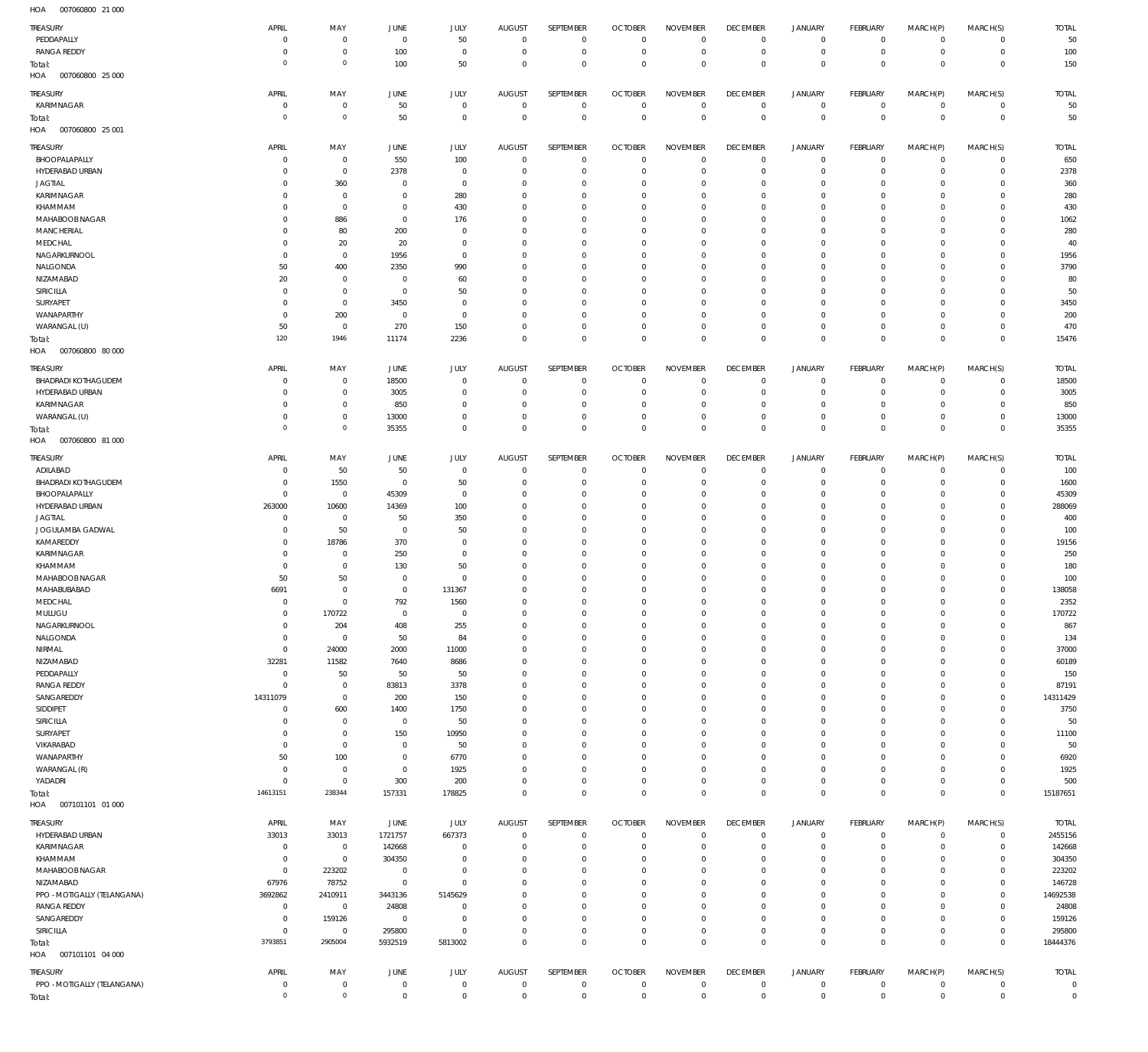007060800 21 000 HOA

| $\cdot$ - $\cdot$                     |                            |                            |                             |                        |                                  |                               |                                  |                        |                               |                  |                  |                               |              |                                  |
|---------------------------------------|----------------------------|----------------------------|-----------------------------|------------------------|----------------------------------|-------------------------------|----------------------------------|------------------------|-------------------------------|------------------|------------------|-------------------------------|--------------|----------------------------------|
| TREASURY                              | APRIL                      | MAY                        | JUNE                        | JULY                   | <b>AUGUST</b>                    | SEPTEMBER                     | <b>OCTOBER</b>                   | <b>NOVEMBER</b>        | <b>DECEMBER</b>               | JANUARY          | <b>FEBRUARY</b>  | MARCH(P)                      | MARCH(S)     | <b>TOTAL</b>                     |
| PEDDAPALLY                            | 0                          | $^{\circ}$                 | $\overline{0}$              | 50                     | $\overline{0}$                   | $\mathbf 0$                   | $\overline{0}$                   | $\mathbf 0$            | $^{\circ}$                    | $\circ$          | $\mathbf 0$      | $\circ$                       | $\circ$      | 50                               |
| <b>RANGA REDDY</b>                    | 0                          | $\mathbf 0$                | 100                         | $\mathbf 0$            | $\mathbf 0$                      | $\mathbf 0$                   | $\overline{0}$                   | $\mathbf 0$            | $\mathbf 0$                   | $\circ$          | $\mathbf 0$      | $^{\circ}$                    | $\mathbf 0$  | 100                              |
|                                       | $\overline{0}$             | $\mathbb O$                | 100                         | 50                     | $\mathbf 0$                      | $\mathbf 0$                   | $\overline{0}$                   | $\mathbf 0$            | $\mathbf 0$                   | $\mathbf 0$      | $\mathbf 0$      | $^{\circ}$                    | $^{\circ}$   | 150                              |
| Total:<br>HOA<br>007060800 25 000     |                            |                            |                             |                        |                                  |                               |                                  |                        |                               |                  |                  |                               |              |                                  |
|                                       |                            |                            |                             |                        |                                  |                               |                                  |                        |                               |                  |                  |                               |              |                                  |
| TREASURY                              | APRIL                      | MAY                        | <b>JUNE</b>                 | JULY                   | AUGUST                           | SEPTEMBER                     | <b>OCTOBER</b>                   | <b>NOVEMBER</b>        | <b>DECEMBER</b>               | <b>JANUARY</b>   | <b>FEBRUARY</b>  | MARCH(P)                      | MARCH(S)     | <b>TOTAL</b>                     |
| KARIMNAGAR                            | $^{\circ}$                 | $\mathbf 0$                | 50                          | $\mathbf 0$            | $\overline{0}$                   | $\mathbf 0$                   | $\overline{0}$                   | $^{\circ}$             | $\overline{0}$                | $\circ$          | $\mathbf 0$      | $^{\circ}$                    | $\mathbf 0$  | 50                               |
| Total:                                | $\circ$                    | $\mathbf 0$                | 50                          | $\mathbf 0$            | $\overline{0}$                   | $\mathbf 0$                   | $\overline{0}$                   | $\mathbf 0$            | $\overline{0}$                | $\mathbf 0$      | $\mathbf 0$      | $^{\circ}$                    | $\mathbb O$  | 50                               |
| 007060800 25 001<br>HOA               |                            |                            |                             |                        |                                  |                               |                                  |                        |                               |                  |                  |                               |              |                                  |
|                                       |                            |                            |                             |                        |                                  |                               |                                  |                        |                               |                  |                  |                               |              |                                  |
| TREASURY                              | APRIL                      | MAY                        | <b>JUNE</b>                 | JULY                   | <b>AUGUST</b>                    | SEPTEMBER                     | <b>OCTOBER</b>                   | <b>NOVEMBER</b>        | <b>DECEMBER</b>               | <b>JANUARY</b>   | <b>FEBRUARY</b>  | MARCH(P)                      | MARCH(S)     | <b>TOTAL</b>                     |
| BHOOPALAPALLY                         | 0                          | $^{\circ}$                 | 550                         | 100                    | $\mathbf 0$                      | $\mathbf 0$                   | $^{\circ}$                       | $\mathbf 0$            | $^{\circ}$                    | $\circ$          | $\mathbf 0$      | $\circ$                       | $\circ$      | 650                              |
| HYDERABAD URBAN                       | 0                          | $\mathbf 0$                | 2378                        | $\mathbf 0$            | $\mathbf 0$                      | $\mathbf 0$                   | $\overline{0}$                   | $\mathbf 0$            | $^{\circ}$                    | $\mathbf 0$      | $\mathbf 0$      | $\Omega$                      | $\mathbf 0$  | 2378                             |
| <b>JAGTIAL</b>                        | $\Omega$                   | 360                        | $\mathbf 0$                 | $\mathbf 0$            | 0                                | $\mathbf 0$                   | $\mathbf 0$                      | 0                      | $\mathbf 0$                   | 0                | $^{\circ}$       |                               | $\Omega$     | 360                              |
| KARIMNAGAR                            | 0                          | $^{\circ}$                 | $\mathbf 0$                 | 280                    | $\mathbf 0$                      | $\mathbf 0$                   | $\mathbf 0$                      | 0                      | $\mathbf 0$                   | 0                | $^{\circ}$       | $\Omega$                      | $\Omega$     | 280                              |
| KHAMMAM                               | 0                          | $\mathbf 0$                | $\mathbf 0$                 | 430                    | $\mathbf 0$                      | $\mathbf 0$                   | $\mathbf 0$                      | $\Omega$               | 0                             | 0                | $^{\circ}$       |                               | $\Omega$     | 430                              |
| MAHABOOB NAGAR                        | 0                          | 886                        | $\mathbf 0$                 | 176                    | $\mathbf 0$                      | $\mathbf 0$                   | $^{\circ}$                       | 0                      | 0                             | 0                | $^{\circ}$       |                               | $\Omega$     | 1062                             |
| MANCHERIAL                            | 0                          | 80                         | 200                         | 0                      | $\Omega$                         | $\mathbf 0$                   | $\mathbf 0$                      | $\Omega$               | 0                             | 0                | $^{\circ}$       |                               | $\Omega$     | 280                              |
| MEDCHAL                               | 0                          | 20                         | 20                          | $\mathbf 0$            | $\mathbf 0$                      | $\mathbf 0$                   | $^{\circ}$                       | $\mathbf 0$            | 0                             | 0                | $^{\circ}$       |                               | $\Omega$     | 40                               |
| NAGARKURNOOL                          | 0                          | $^{\circ}$                 | 1956                        | $\mathbf 0$            | $\mathbf 0$                      | $\mathbf 0$                   | $^{\circ}$                       | 0                      | 0                             | 0                | $^{\circ}$       |                               | $\Omega$     | 1956                             |
|                                       |                            |                            |                             |                        |                                  |                               |                                  |                        |                               |                  |                  |                               |              |                                  |
| NALGONDA                              | 50                         | 400                        | 2350                        | 990                    | $\Omega$                         | $\mathbf 0$                   | $^{\circ}$                       | $\Omega$               | 0                             | 0                | $\Omega$         |                               | $\Omega$     | 3790                             |
| NIZAMABAD                             | 20                         | $^{\circ}$                 | $\overline{0}$              | 60                     | $\mathbf 0$                      | $\mathbf 0$                   | $^{\circ}$                       | 0                      | $\mathbf 0$                   | 0                | $^{\circ}$       |                               | $\Omega$     | 80                               |
| SIRICILLA                             | 0                          | $^{\circ}$                 | $\overline{0}$              | 50                     | $\Omega$                         | $\Omega$                      | 0                                | 0                      | 0                             | 0                | $\Omega$         |                               |              | 50                               |
| SURYAPET                              | 0                          | $\mathbf 0$                | 3450                        | 0                      | $\mathbf 0$                      | $\mathbf 0$                   | $\mathbf 0$                      | 0                      | $\mathbf 0$                   | $\mathbf 0$      | $^{\circ}$       |                               | $\Omega$     | 3450                             |
| WANAPARTHY                            | 0                          | 200                        | $\mathbf 0$                 | $\mathbf 0$            | $\Omega$                         | $\Omega$                      | 0                                | $\Omega$               | 0                             | $\mathbf 0$      | $^{\circ}$       |                               |              | 200                              |
| WARANGAL (U)                          | 50                         | $\mathbf 0$                | 270                         | 150                    | $\mathbf 0$                      | $\mathbf 0$                   | $\mathbf 0$                      | $\mathbf 0$            | $\mathbf 0$                   | $\mathbf 0$      | $\mathbf 0$      | $\Omega$                      | $\Omega$     | 470                              |
| Total:                                | 120                        | 1946                       | 11174                       | 2236                   | $\mathbf 0$                      | $\mathbf 0$                   | $\mathbf 0$                      | $\mathbf 0$            | $\mathbf 0$                   | $\mathbf 0$      | $\overline{0}$   | $\Omega$                      | $^{\circ}$   | 15476                            |
| HOA<br>007060800 80 000               |                            |                            |                             |                        |                                  |                               |                                  |                        |                               |                  |                  |                               |              |                                  |
|                                       |                            |                            |                             |                        |                                  |                               |                                  |                        |                               |                  |                  |                               |              |                                  |
| TREASURY                              | APRIL                      | MAY                        | JUNE                        | JULY                   | <b>AUGUST</b>                    | SEPTEMBER                     | <b>OCTOBER</b>                   | <b>NOVEMBER</b>        | <b>DECEMBER</b>               | <b>JANUARY</b>   | FEBRUARY         | MARCH(P)                      | MARCH(S)     | <b>TOTAL</b>                     |
| <b>BHADRADI KOTHAGUDEM</b>            | 0                          | $\mathbf 0$                | 18500                       | $\mathbf 0$            | $\overline{0}$                   | $\mathbf 0$                   | $^{\circ}$                       | 0                      | $^{\circ}$                    | $\circ$          | $^{\circ}$       | $\Omega$                      | $\mathbf 0$  | 18500                            |
| HYDERABAD URBAN                       | 0                          | $\mathbf 0$                | 3005                        | $\mathbf 0$            | $\mathbf 0$                      | $\mathbf 0$                   | $^{\circ}$                       | $\mathbf 0$            | $^{\circ}$                    | $\circ$          | $^{\circ}$       | $\circ$                       | $\mathbf 0$  | 3005                             |
| KARIMNAGAR                            | 0                          | $\mathbf 0$                | 850                         | 0                      | $\mathbf 0$                      | $\mathbf 0$                   | $\mathbf 0$                      | $\mathbf 0$            | $^{\circ}$                    | $\circ$          | $^{\circ}$       | $\Omega$                      | $\mathbf 0$  | 850                              |
| WARANGAL (U)                          | 0                          | $\mathbf 0$                | 13000                       | $\mathbf 0$            | $\overline{0}$                   | $\mathbf 0$                   | $\mathbf 0$                      | $\mathbf 0$            | $^{\circ}$                    | $\mathbf 0$      | $^{\circ}$       | $\circ$                       | $\mathbf 0$  | 13000                            |
| Total:                                | $\circ$                    | $\mathbb O$                | 35355                       | $\mathbf 0$            | $\overline{0}$                   | $\mathbf 0$                   | $\overline{0}$                   | $\mathbf 0$            | $\mathbb O$                   | $\mathbf 0$      | $\mathbb O$      | $\Omega$                      | $\mathbf{0}$ | 35355                            |
| HOA<br>007060800 81 000               |                            |                            |                             |                        |                                  |                               |                                  |                        |                               |                  |                  |                               |              |                                  |
|                                       |                            |                            |                             |                        |                                  |                               |                                  |                        |                               |                  |                  |                               |              |                                  |
| TREASURY                              | APRIL                      | MAY                        | <b>JUNE</b>                 | JULY                   | <b>AUGUST</b>                    | SEPTEMBER                     | <b>OCTOBER</b>                   | <b>NOVEMBER</b>        | <b>DECEMBER</b>               | <b>JANUARY</b>   | FEBRUARY         | MARCH(P)                      | MARCH(S)     | <b>TOTAL</b>                     |
| ADILABAD                              | 0                          | 50                         | 50                          | $\mathbf 0$            | $\mathbf 0$                      | $\mathbf 0$                   | $^{\circ}$                       | $\mathbf 0$            | $\mathbf 0$                   | $\circ$          | $\mathbf 0$      | $\circ$                       | $\circ$      | 100                              |
| <b>BHADRADI KOTHAGUDEM</b>            | 0                          | 1550                       | $\overline{0}$              | 50                     | $\mathbf 0$                      | $\mathbf 0$                   | $\overline{0}$                   | $\mathbf 0$            | $\mathbf 0$                   | $\mathbf 0$      | $^{\circ}$       | $\Omega$                      | $\Omega$     | 1600                             |
| BHOOPALAPALLY                         | $^{\circ}$                 | $^{\circ}$                 | 45309                       | $\mathbf 0$            | $\mathbf 0$                      | $\mathbf 0$                   | $^{\circ}$                       | 0                      | $\mathbf 0$                   | $\mathbf 0$      | $^{\circ}$       | $\Omega$                      | $\circ$      | 45309                            |
| HYDERABAD URBAN                       | 263000                     | 10600                      | 14369                       | 100                    | $\Omega$                         | $\mathbf 0$                   | $^{\circ}$                       | $\Omega$               | 0                             | 0                | $^{\circ}$       |                               | $\Omega$     | 288069                           |
| <b>JAGTIAL</b>                        | 0                          | $^{\circ}$                 | 50                          | 350                    | $\mathbf 0$                      | $\mathbf 0$                   | $^{\circ}$                       | 0                      | $\mathbf 0$                   | $\mathbf 0$      | $^{\circ}$       |                               | $\Omega$     | 400                              |
| JOGULAMBA GADWAL                      | 0                          | 50                         | $\overline{0}$              | 50                     | $\Omega$                         | 0                             | $\mathbf 0$                      | 0                      | 0                             | 0                | $^{\circ}$       |                               | $\Omega$     | 100                              |
| KAMAREDDY                             | 0                          | 18786                      | 370                         | 0                      | $\mathbf 0$                      | $\mathbf 0$                   | $^{\circ}$                       | 0                      | $\mathbf 0$                   | 0                | $^{\circ}$       |                               | $\Omega$     | 19156                            |
| <b>KARIMNAGAR</b>                     | 0                          | $^{\circ}$                 | 250                         | $\mathbf 0$            | $\mathbf 0$                      | $\mathbf 0$                   | $\mathbf{0}$                     | 0                      | 0                             | 0                | $^{\circ}$       |                               | $\Omega$     | 250                              |
| KHAMMAM                               | 0                          | $^{\circ}$                 | 130                         | 50                     | $\mathbf 0$                      | $\mathbf 0$                   | $\mathbf 0$                      | 0                      | $\mathbf 0$                   | 0                | $^{\circ}$       |                               | $\Omega$     | 180                              |
| MAHABOOB NAGAR                        | 50                         | 50                         | $\overline{0}$              | $\mathbf 0$            | 0                                | $\mathbf 0$                   | $^{\circ}$                       | 0                      | 0                             | 0                | $^{\circ}$       |                               | $\Omega$     | 100                              |
|                                       |                            |                            |                             |                        | $\Omega$                         |                               |                                  |                        |                               |                  |                  |                               |              |                                  |
| MAHABUBABAD                           | 6691                       | $^{\circ}$                 | $\overline{0}$              | 131367                 |                                  | $\mathbf 0$                   | $^{\circ}$                       | 0                      | $\mathbf 0$                   | $\mathbf 0$      | $^{\circ}$       |                               | $\Omega$     | 138058                           |
| MEDCHAL                               | $\mathbf 0$                | $\mathbf 0$                | 792                         | 1560                   | $\Omega$                         | $\mathbf 0$                   | $\overline{0}$                   | $\Omega$               | $\mathbf{0}$                  | $\mathbf 0$      | $\mathbf 0$      | $\Omega$                      | $\Omega$     | 2352                             |
| MULUGU                                | 0                          | 170722                     | $\mathbf 0$                 | $\mathbf 0$            | 0                                | 0                             | $^{\circ}$                       | 0                      | 0                             | 0                | $\circ$          | $\Omega$                      | $\circ$      | 170722                           |
| NAGARKURNOOL                          | $^{\circ}$                 | 204                        | 408                         | 255                    | $\mathbf 0$                      | $\mathbf 0$                   | $^{\circ}$                       | $\mathbf 0$            | $\mathbf 0$                   | $\mathbf 0$      | $^{\circ}$       | $\Omega$                      | $\Omega$     | 867                              |
| NALGONDA                              | $^{\circ}$                 | $^{\circ}$                 | 50                          | 84                     | $\mathbf 0$                      | $\mathbf 0$                   | $^{\circ}$                       | $\mathbf 0$            | $\mathbf 0$                   | $\mathbf 0$      | $^{\circ}$       | $\Omega$                      | $\Omega$     | 134                              |
| NIRMAL                                | $^{\circ}$                 | 24000                      | 2000                        | 11000                  | $\mathbf 0$                      | $\mathbf 0$                   | $^{\circ}$                       | $\mathbf 0$            | $\mathbf 0$                   | $\mathbf 0$      | $^{\circ}$       |                               | $\Omega$     | 37000                            |
| NIZAMABAD                             | 32281                      | 11582                      | 7640                        | 8686                   | $\mathbf 0$                      | $\mathbf 0$                   | $^{\circ}$                       | $\mathbf 0$            | $\mathbf 0$                   | $\mathbf 0$      | $^{\circ}$       | $\Omega$                      | $\Omega$     | 60189                            |
| PEDDAPALLY                            | $^{\circ}$                 | 50                         | 50                          | 50                     | $\mathbf 0$                      | $\mathbf 0$                   | $^{\circ}$                       | $\mathbf 0$            | $\mathbf 0$                   | 0                | $^{\circ}$       |                               | $\Omega$     | 150                              |
| <b>RANGA REDDY</b>                    | $^{\circ}$                 | $\mathbf 0$                | 83813                       | 3378                   | $\mathbf 0$                      | $\mathbf 0$                   | $^{\circ}$                       | $\mathbf 0$            | $\mathbf 0$                   | $\mathbf 0$      | $\mathbf 0$      | $\Omega$                      | $\mathbf 0$  | 87191                            |
| SANGAREDDY                            | 14311079                   | $\mathbf 0$                | 200                         | 150                    | $\mathbf 0$                      | $\mathbf 0$                   | $^{\circ}$                       | $\mathbf 0$            | $\mathbf 0$                   | 0                | $^{\circ}$       |                               | $\mathbf 0$  | 14311429                         |
| SIDDIPET                              | $\mathbf 0$                | 600                        | 1400                        | 1750                   | $\mathbf 0$                      | $\mathbf 0$                   | $^{\circ}$                       | $\mathbf 0$            | $\mathbf 0$                   | $\mathbf 0$      | $^{\circ}$       | $\Omega$                      | $\mathbf 0$  | 3750                             |
| SIRICILLA                             | 0                          | $\mathbf 0$                | $\mathbf 0$                 | 50                     | $\mathbf 0$                      | $\mathbf 0$                   | $\mathbf 0$                      | $\mathbf 0$            | $\mathbf 0$                   | 0                | $^{\circ}$       |                               | $\Omega$     | 50                               |
| SURYAPET                              | 0                          | $\mathbf 0$                | 150                         | 10950                  | $\mathbf 0$                      | $\mathbf 0$                   | $\mathbf 0$                      | $\mathbf 0$            | $\mathbf 0$                   | $\mathbf 0$      | $^{\circ}$       | $\Omega$                      | $\Omega$     | 11100                            |
| VIKARABAD                             | $\mathbf 0$                | $\mathbf 0$                | $\mathbf 0$                 | 50                     | $\mathbf 0$                      | $\mathbf 0$                   | $\mathbf 0$                      | $\mathbf 0$            | $\mathbf 0$                   | 0                | $^{\circ}$       |                               | $\Omega$     | 50                               |
| WANAPARTHY                            | 50                         | 100                        | $\overline{0}$              | 6770                   | $\mathbf 0$                      | $\mathbf 0$                   | $\mathbf 0$                      | $\mathbf 0$            | $\mathbf 0$                   | $\mathbf 0$      | $^{\circ}$       | $\Omega$                      | $\Omega$     | 6920                             |
| WARANGAL (R)                          | $\mathbf 0$                | $\mathbf 0$                | $\overline{0}$              | 1925                   | $\mathbf 0$                      | $\mathbf 0$                   | $\mathbf 0$                      | $\mathbf 0$            | $\mathbf 0$                   | $\mathbf 0$      | $^{\circ}$       | $\Omega$                      | $\Omega$     | 1925                             |
| YADADRI                               | $\mathbf 0$                | $\mathbf 0$                | 300                         | 200                    | $\mathbf 0$                      | $\mathbf 0$                   | $\mathbf 0$                      | $\mathbf 0$            | $\mathbf{0}$                  | $\mathbf 0$      | $\mathbf 0$      | $\Omega$                      | $\mathbf 0$  | 500                              |
|                                       | 14613151                   | 238344                     | 157331                      | 178825                 | $\mathbf 0$                      | $\mathbf 0$                   | $\overline{0}$                   | $\mathbf 0$            | $\mathbf{0}$                  | $\mathbf 0$      | $\mathbf 0$      | $^{\circ}$                    | $\mathbb O$  |                                  |
|                                       |                            |                            |                             |                        |                                  |                               |                                  |                        |                               |                  |                  |                               |              | 15187651                         |
| Total:                                |                            |                            |                             |                        |                                  |                               |                                  |                        |                               |                  |                  |                               |              |                                  |
|                                       |                            |                            |                             |                        |                                  |                               |                                  |                        |                               |                  |                  |                               |              |                                  |
| TREASURY                              | APRIL                      | MAY                        | JUNE                        | <b>JULY</b>            | <b>AUGUST</b>                    | SEPTEMBER                     | <b>OCTOBER</b>                   | <b>NOVEMBER</b>        | <b>DECEMBER</b>               | <b>JANUARY</b>   | FEBRUARY         | MARCH(P)                      | MARCH(S)     | <b>TOTAL</b>                     |
| HYDERABAD URBAN                       | 33013                      | 33013                      | 1721757                     | 667373                 | $\overline{0}$                   | $\mathbf 0$                   | $\overline{0}$                   | $\mathbf 0$            | $\mathbf 0$                   | 0                | $^{\circ}$       | $^{\circ}$                    | $\mathbf 0$  | 2455156                          |
|                                       | $\mathbf 0$                |                            |                             | $\mathbf 0$            | $\overline{0}$                   | $\mathbf 0$                   | $\overline{0}$                   | $\mathbf 0$            | $\mathbf{0}$                  |                  |                  | $\circ$                       | $\mathbf 0$  |                                  |
| <b>KARIMNAGAR</b>                     |                            | $\overline{0}$             | 142668                      |                        |                                  |                               |                                  |                        |                               | $\circ$          | $\mathbf 0$      | $\Omega$                      |              | 142668                           |
| KHAMMAM                               | $^{\circ}$                 | $\mathbf 0$                | 304350                      | $\mathbf 0$            | $\mathbf 0$                      | $\mathbf 0$                   | $^{\circ}$                       | $\mathbf 0$            | $^{\circ}$                    | $\mathbf 0$      | $^{\circ}$       |                               | $\mathbf 0$  | 304350                           |
| MAHABOOB NAGAR                        | $\mathbf 0$                | 223202                     | $\overline{0}$              | $\mathbf 0$            | $\mathbf 0$                      | $\mathbf 0$                   | $^{\circ}$                       | $\mathbf 0$            | $\mathbf{0}$                  | $\mathbf 0$      | $^{\circ}$       | $\Omega$                      | $\mathbf 0$  | 223202                           |
| NIZAMABAD                             | 67976                      | 78752                      | $\overline{0}$              | $\mathbf 0$            | $\mathbf 0$                      | $\mathbf 0$                   | $^{\circ}$                       | $\mathbf 0$            | $\mathbf 0$                   | $\mathbf 0$      | $^{\circ}$       | $\Omega$                      | $\mathbf 0$  | 146728                           |
| PPO - MOTIGALLY (TELANGANA)           | 3692862                    | 2410911                    | 3443136                     | 5145629                | $\mathbf 0$                      | $\mathbf 0$                   | $^{\circ}$                       | $\mathbf 0$            | $\mathbf{0}$                  | $\mathbf 0$      | $^{\circ}$       | $\Omega$                      | $\mathbf 0$  | 14692538                         |
| <b>RANGA REDDY</b>                    | $\mathbf 0$                | $\overline{0}$             | 24808                       | $\mathbf 0$            | $\mathbf 0$                      | $\mathbf 0$                   | $^{\circ}$                       | $\mathbf 0$            | $^{\circ}$                    | $\mathbf 0$      | $^{\circ}$       | $\Omega$                      | $\mathbf 0$  | 24808                            |
| SANGAREDDY                            | $^{\circ}$                 | 159126                     | $\overline{0}$              | $\mathbf 0$            | $\mathbf 0$                      | $\mathbf 0$                   | $^{\circ}$                       | $\mathbf 0$            | $\mathbf{0}$                  | $\mathbf 0$      | $^{\circ}$       | $\Omega$                      | $\mathbf 0$  | 159126                           |
| <b>SIRICILLA</b>                      | $^{\circ}$                 | $\overline{0}$             | 295800                      | $\mathbf 0$            | $\mathbf 0$                      | $\mathbf 0$                   | $\overline{0}$                   | $\mathbf 0$            | $\mathbf{0}$                  | $\circ$          | $\mathbf 0$      | $^{\circ}$                    | $\circ$      | 295800                           |
| Total:                                | 3793851                    | 2905004                    | 5932519                     | 5813002                | $\overline{0}$                   | $\mathbf 0$                   | $\overline{0}$                   | $\mathbf 0$            | $\overline{0}$                | $\overline{0}$   | $\mathbb O$      | $\overline{0}$                | $\mathbf 0$  | 18444376                         |
| HOA   007101101   04   000            |                            |                            |                             |                        |                                  |                               |                                  |                        |                               |                  |                  |                               |              |                                  |
|                                       |                            |                            |                             |                        |                                  |                               |                                  |                        |                               |                  |                  |                               |              |                                  |
| <b>TREASURY</b>                       | APRIL                      | MAY                        | JUNE                        | <b>JULY</b>            | <b>AUGUST</b>                    | SEPTEMBER                     | <b>OCTOBER</b>                   | <b>NOVEMBER</b>        | <b>DECEMBER</b>               | <b>JANUARY</b>   | FEBRUARY         | MARCH(P)                      | MARCH(S)     | <b>TOTAL</b>                     |
| PPO - MOTIGALLY (TELANGANA)<br>Total: | $\mathbf 0$<br>$\mathbf 0$ | $\mathbf 0$<br>$\mathbb O$ | $\mathbf 0$<br>$\mathbf{0}$ | $\bf 0$<br>$\mathbf 0$ | $\overline{0}$<br>$\overline{0}$ | $\overline{0}$<br>$\mathbf 0$ | $\overline{0}$<br>$\overline{0}$ | $\mathbf 0$<br>$\bf 0$ | $\overline{0}$<br>$\mathbf 0$ | 0<br>$\mathbf 0$ | 0<br>$\mathbb O$ | $\mathbf 0$<br>$\overline{0}$ | 0<br>$\,0\,$ | $\overline{0}$<br>$\overline{0}$ |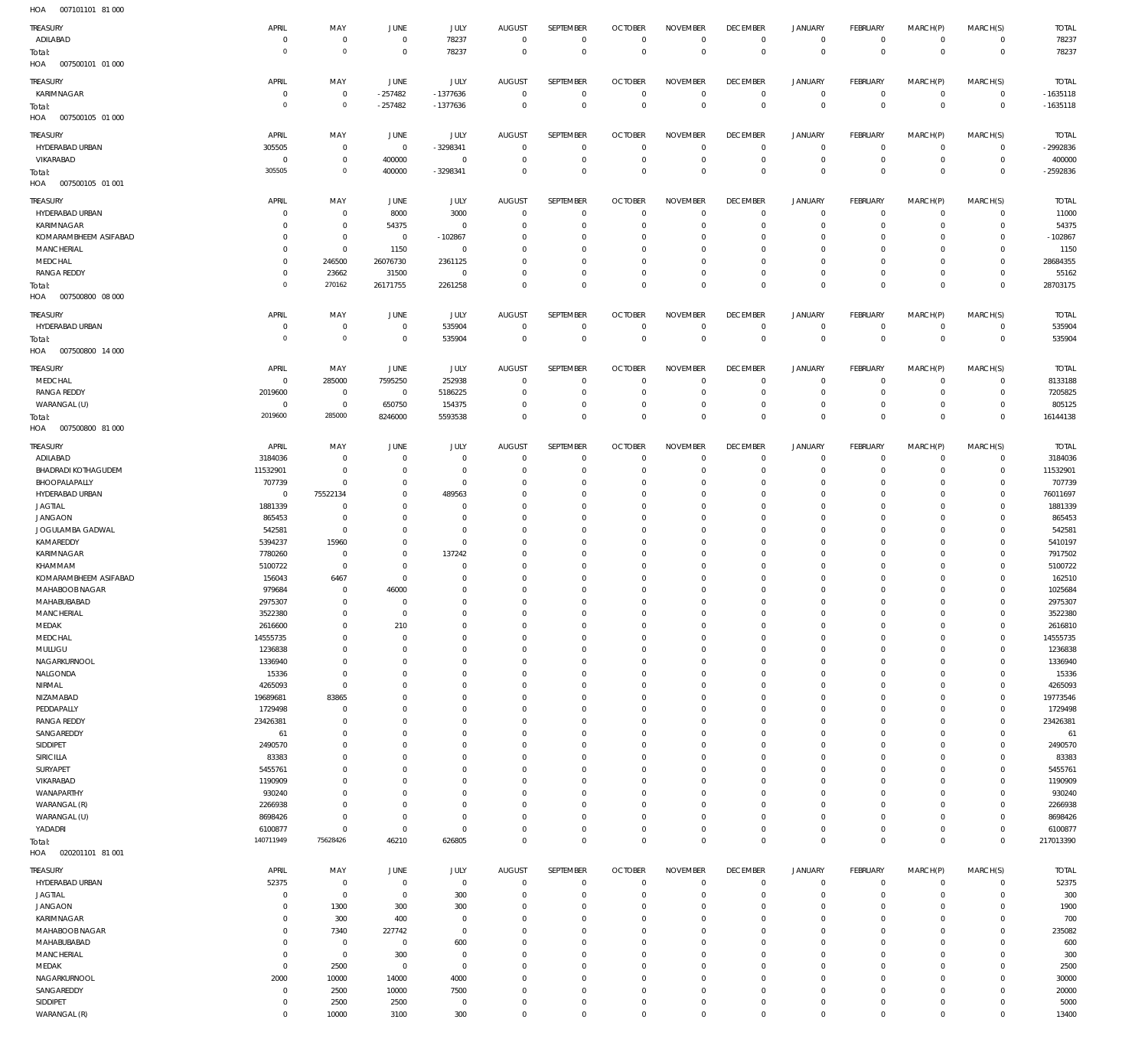007101101 81 000 HOA

| ,,,,,<br>001101101                |                               |                |                |                    |                            |                            |                               |                            |                  |                                            |                                    |                                            |                            |               |
|-----------------------------------|-------------------------------|----------------|----------------|--------------------|----------------------------|----------------------------|-------------------------------|----------------------------|------------------|--------------------------------------------|------------------------------------|--------------------------------------------|----------------------------|---------------|
| <b>TREASURY</b>                   | APRIL                         | MAY            | <b>JUNE</b>    | JULY               | <b>AUGUST</b>              | SEPTEMBER                  | <b>OCTOBER</b>                | <b>NOVEMBER</b>            | <b>DECEMBER</b>  | <b>JANUARY</b>                             | FEBRUARY                           | MARCH(P)                                   | MARCH(S)                   | <b>TOTAL</b>  |
| ADILABAD                          | $^{\circ}$                    | $\mathbb O$    | $\,0\,$        | 78237              | $\mathbf 0$                | $\mathbf 0$                | $\mathbf 0$                   | $\mathbf 0$                | $\mathbf 0$      | $\mathsf{O}\xspace$                        | $\mathbf 0$                        | 0                                          | $\mathbf 0$                | 78237         |
| Total:                            | $^{\circ}$                    | $\mathbf 0$    | $\,0\,$        | 78237              | $^{\circ}$                 | $\mathbf 0$                | $\overline{0}$                | $\overline{0}$             | $\mathbf 0$      | $\bf 0$                                    | $\overline{0}$                     | $\mathbf 0$                                | $\bf 0$                    | 78237         |
| HOA<br>007500101 01 000           |                               |                |                |                    |                            |                            |                               |                            |                  |                                            |                                    |                                            |                            |               |
|                                   |                               |                |                |                    |                            |                            |                               |                            |                  |                                            |                                    |                                            |                            |               |
| TREASURY                          | APRIL                         | MAY            | JUNE           | <b>JULY</b>        | <b>AUGUST</b>              | SEPTEMBER                  | <b>OCTOBER</b>                | <b>NOVEMBER</b>            | <b>DECEMBER</b>  | <b>JANUARY</b>                             | FEBRUARY                           | MARCH(P)                                   | MARCH(S)                   | <b>TOTAL</b>  |
| KARIMNAGAR                        | $\overline{0}$                | $\mathbf 0$    | $-257482$      | $-1377636$         | $^{\circ}$                 | $\mathbf 0$                | $\overline{0}$                | $\overline{0}$             | 0                | 0                                          | $\overline{0}$                     | $\mathbf 0$                                | $\mathbf 0$                | $-1635118$    |
| Total:                            | $\overline{0}$                | $\overline{0}$ | $-257482$      | $-1377636$         | $\overline{0}$             | $\mathbb O$                | $\overline{0}$                | $\mathbf 0$                | $\bf 0$          | $\mathbb O$                                | $\overline{0}$                     | $\bf 0$                                    | $\mathbf 0$                | $-1635118$    |
| HOA<br>007500105 01 000           |                               |                |                |                    |                            |                            |                               |                            |                  |                                            |                                    |                                            |                            |               |
| TREASURY                          | APRIL                         | MAY            | JUNE           | <b>JULY</b>        | <b>AUGUST</b>              | SEPTEMBER                  | <b>OCTOBER</b>                | <b>NOVEMBER</b>            | <b>DECEMBER</b>  | <b>JANUARY</b>                             | FEBRUARY                           | MARCH(P)                                   | MARCH(S)                   | <b>TOTAL</b>  |
| HYDERABAD URBAN                   | 305505                        | $\mathbf 0$    | $\overline{0}$ | $-3298341$         | $^{\circ}$                 | $\mathbf{0}$               | $\overline{0}$                | $\Omega$                   | $\mathbf 0$      | $\mathbf 0$                                | $\mathbf 0$                        | $\mathbf 0$                                | $\mathbf 0$                | -2992836      |
|                                   |                               |                |                |                    |                            |                            |                               |                            |                  |                                            |                                    |                                            |                            |               |
| VIKARABAD                         | $^{\circ}$                    | $\mathbb O$    | 400000         | $\mathbf{0}$       | $^{\circ}$                 | $\mathbf 0$                | $\overline{0}$                | $\overline{0}$             | 0                | $\mathsf{O}\xspace$                        | $\mathbf 0$                        | $\mathbf 0$                                | $\mathbf 0$                | 400000        |
| Total:                            | 305505                        | $\mathbf 0$    | 400000         | $-3298341$         | $^{\circ}$                 | $\mathbf 0$                | $\overline{0}$                | $\overline{0}$             | $\mathbf 0$      | $\bf 0$                                    | $\mathbf 0$                        | $\mathbf 0$                                | $\bf 0$                    | -2592836      |
| HOA<br>007500105 01 001           |                               |                |                |                    |                            |                            |                               |                            |                  |                                            |                                    |                                            |                            |               |
| TREASURY                          | APRIL                         | MAY            | <b>JUNE</b>    | <b>JULY</b>        | <b>AUGUST</b>              | SEPTEMBER                  | <b>OCTOBER</b>                | <b>NOVEMBER</b>            | <b>DECEMBER</b>  | <b>JANUARY</b>                             | FEBRUARY                           | MARCH(P)                                   | MARCH(S)                   | <b>TOTAL</b>  |
| HYDERABAD URBAN                   | 0                             | $\mathbf 0$    | 8000           | 3000               | $^{\circ}$                 | $\mathbf 0$                | $\overline{0}$                | $^{\circ}$                 | 0                | 0                                          | $\overline{0}$                     | $\mathbf 0$                                | $\mathbf 0$                | 11000         |
| KARIMNAGAR                        | 0                             | $\mathbb O$    | 54375          | $\mathbf 0$        | 0                          | $\mathbf 0$                | $\overline{0}$                | $\overline{0}$             | 0                | $\mathsf{O}\xspace$                        | $\mathbf 0$                        | $\mathbf 0$                                | $\mathbf 0$                | 54375         |
| KOMARAMBHEEM ASIFABAD             | 0                             | $\mathbb O$    | $\overline{0}$ | $-102867$          | 0                          | $\mathbf 0$                | 0                             | 0                          | 0                | 0                                          | $\mathbf 0$                        | 0                                          | 0                          | $-102867$     |
| MANCHERIAL                        | 0                             | $\mathbb O$    | 1150           | $\mathbf 0$        | 0                          | $\mathbf{0}$               | 0                             | 0                          | 0                | 0                                          | $\mathbf 0$                        | 0                                          | 0                          | 1150          |
|                                   |                               |                |                |                    |                            |                            |                               |                            |                  |                                            |                                    |                                            |                            |               |
| MEDCHAL                           | $\overline{0}$                | 246500         | 26076730       | 2361125            | 0                          | $\mathbf{0}$               | 0                             | $^{\circ}$                 | 0                | 0                                          | $\mathbf 0$                        | 0                                          | $\mathbf 0$                | 28684355      |
| <b>RANGA REDDY</b>                | 0                             | 23662          | 31500          | $\mathbb O$        | $^{\circ}$                 | $\mathbf 0$                | $\overline{0}$                | $\mathbf 0$                | 0                | $\mathsf{O}\xspace$                        | $\mathbf 0$                        | 0                                          | 0                          | 55162         |
| Total:                            | $^{\circ}$                    | 270162         | 26171755       | 2261258            | $\overline{0}$             | $\mathbb O$                | $\overline{0}$                | $\mathbb O$                | $\bf 0$          | $\mathbb O$                                | $\mathbf 0$                        | $\mathbf 0$                                | $\mathbf 0$                | 28703175      |
| HOA<br>007500800 08 000           |                               |                |                |                    |                            |                            |                               |                            |                  |                                            |                                    |                                            |                            |               |
| TREASURY                          | APRIL                         | MAY            | <b>JUNE</b>    | JULY               | <b>AUGUST</b>              | SEPTEMBER                  | <b>OCTOBER</b>                | <b>NOVEMBER</b>            | <b>DECEMBER</b>  | <b>JANUARY</b>                             | <b>FEBRUARY</b>                    | MARCH(P)                                   | MARCH(S)                   | <b>TOTAL</b>  |
| HYDERABAD URBAN                   | $^{\circ}$                    | $\mathbf 0$    | $\mathbf 0$    | 535904             | $\overline{0}$             | $\mathbf 0$                | $\overline{0}$                | $\overline{0}$             | $\bf 0$          | $\mathbf 0$                                | $\mathbf 0$                        | $\mathbf 0$                                | $\mathbf 0$                | 535904        |
|                                   | $^{\circ}$                    | $\mathbf 0$    | $\,0\,$        | 535904             | $^{\circ}$                 | $\mathbb O$                | $\mathbf 0$                   | $\mathbf 0$                | $\bf 0$          | $\mathbb O$                                | $\mathbf 0$                        | $\mathbf 0$                                | $\,0\,$                    | 535904        |
| Total:                            |                               |                |                |                    |                            |                            |                               |                            |                  |                                            |                                    |                                            |                            |               |
| HOA<br>007500800 14 000           |                               |                |                |                    |                            |                            |                               |                            |                  |                                            |                                    |                                            |                            |               |
| TREASURY                          | APRIL                         | MAY            | JUNE           | <b>JULY</b>        | <b>AUGUST</b>              | SEPTEMBER                  | <b>OCTOBER</b>                | <b>NOVEMBER</b>            | <b>DECEMBER</b>  | <b>JANUARY</b>                             | FEBRUARY                           | MARCH(P)                                   | MARCH(S)                   | <b>TOTAL</b>  |
| MEDCHAL                           | $\overline{0}$                | 285000         | 7595250        | 252938             | $\overline{0}$             | $\overline{0}$             | $\overline{0}$                | 0                          | 0                | 0                                          | 0                                  | 0                                          | 0                          | 8133188       |
| <b>RANGA REDDY</b>                | 2019600                       | $\,0\,$        | $\overline{0}$ | 5186225            | $^{\circ}$                 | $\mathbb O$                | $\overline{0}$                | $\mathbf 0$                | 0                | $\mathsf{O}\xspace$                        | $\mathbf 0$                        | $\mathbf 0$                                | $\mathbf 0$                | 7205825       |
| WARANGAL (U)                      | $\overline{0}$                | $\mathbb O$    | 650750         | 154375             | $^{\circ}$                 | $\mathbf 0$                | $\overline{0}$                | $\overline{0}$             | 0                | $\mathsf{O}\xspace$                        | $\mathbf 0$                        | $\mathbf 0$                                | $\overline{0}$             | 805125        |
|                                   | 2019600                       | 285000         | 8246000        | 5593538            | $^{\circ}$                 | $\mathbf 0$                | $^{\circ}$                    | $\mathbf 0$                | $\bf 0$          | $\mathbb O$                                | $\mathbf 0$                        | $\mathbb O$                                | $\mathbf 0$                | 16144138      |
| Total:<br>HOA<br>007500800 81 000 |                               |                |                |                    |                            |                            |                               |                            |                  |                                            |                                    |                                            |                            |               |
|                                   |                               |                |                |                    |                            |                            |                               |                            |                  |                                            |                                    |                                            |                            |               |
| TREASURY                          | APRIL                         | MAY            | <b>JUNE</b>    | JULY               | <b>AUGUST</b>              | SEPTEMBER                  | <b>OCTOBER</b>                | <b>NOVEMBER</b>            | <b>DECEMBER</b>  | <b>JANUARY</b>                             | FEBRUARY                           | MARCH(P)                                   | MARCH(S)                   | <b>TOTAL</b>  |
| ADILABAD                          | 3184036                       | $\overline{0}$ | $\overline{0}$ | $\mathbf{0}$       | $^{\circ}$                 | $^{\circ}$                 | $^{\circ}$                    | $^{\circ}$                 | 0                | 0                                          | $\mathbf 0$                        | $\mathbf 0$                                | 0                          | 3184036       |
| <b>BHADRADI KOTHAGUDEM</b>        | 11532901                      | $\mathbf 0$    | $\overline{0}$ | $\mathbf{0}$       | 0                          | $\mathbf 0$                | $^{\circ}$                    | $^{\circ}$                 | $\mathbf 0$      | $\mathbf 0$                                | $\mathbf 0$                        | $\mathbf 0$                                | 0                          | 11532901      |
| BHOOPALAPALLY                     | 707739                        | $\mathbf 0$    | $\mathbf{0}$   | $\mathbf{0}$       | $\Omega$                   | $\mathbf{0}$               | 0                             | 0                          | 0                | 0                                          | 0                                  | $\Omega$                                   | $\mathbf 0$                | 707739        |
| HYDERABAD URBAN                   | $\mathbf 0$                   | 75522134       | 0              | 489563             | $\Omega$                   | $\mathbf{0}$               | 0                             | $^{\circ}$                 | 0                | 0                                          | 0                                  | $\Omega$                                   | 0                          | 76011697      |
| <b>JAGTIAL</b>                    | 1881339                       | $^{\circ}$     | 0              | 0                  | $\Omega$                   | $\mathbf{0}$               | 0                             | $\Omega$                   | 0                | $\mathbf 0$                                | 0                                  | $\Omega$                                   | $\mathbf 0$                | 1881339       |
|                                   |                               | $\mathbf 0$    |                |                    |                            |                            |                               |                            |                  |                                            |                                    |                                            |                            |               |
| <b>JANGAON</b>                    | 865453                        |                | 0              | $\mathbf{0}$       | $^{\circ}$                 | $\mathbf{0}$               | 0                             | $\mathbf{0}$               | 0                | 0                                          | 0                                  | 0                                          | $\mathbf 0$                | 865453        |
| JOGULAMBA GADWAL                  | 542581                        | $\mathbf 0$    | 0              | $^{\circ}$         | 0                          | $^{\circ}$                 | 0                             | $\Omega$                   | 0                | $\mathbf 0$                                | 0                                  | $\Omega$                                   | 0                          | 542581        |
| KAMAREDDY                         | 5394237                       | 15960          | 0              | $\mathbf{0}$       | $\Omega$                   | $\mathbf{0}$               | 0                             | $\mathbf{0}$               | $\mathbf 0$      | 0                                          | 0                                  | $\Omega$                                   | $\mathbf 0$                | 5410197       |
| KARIMNAGAR                        | 7780260                       | $^{\circ}$     | $^{\circ}$     | 137242             | 0                          | $^{\circ}$                 | 0                             | 0                          | 0                | $\mathbf 0$                                | 0                                  | $\Omega$                                   | 0                          | 7917502       |
| KHAMMAM                           | 5100722                       | $\mathbf 0$    | $^{\circ}$     | $^{\circ}$         | $\Omega$                   | $\mathbf{0}$               | 0                             | $\mathbf{0}$               | 0                | 0                                          | 0                                  | $\Omega$                                   | $\mathbf 0$                | 5100722       |
| KOMARAMBHEEM ASIFABAD             | 156043                        | 6467           | $\overline{0}$ | $^{\circ}$         | 0                          | $\mathbf{0}$               | 0                             | 0                          | 0                | $\mathbf 0$                                | 0                                  | $\Omega$                                   | 0                          | 162510        |
| MAHABOOB NAGAR                    | 979684                        | $\mathbf 0$    | 46000          | $\Omega$           | $\Omega$                   | $\mathbf{0}$               | 0                             | $\mathbf{0}$               | $\mathbf 0$      | $\mathbf 0$                                | $\Omega$                           | $\Omega$                                   | 0                          | 1025684       |
| MAHABUBABAD                       | 2975307                       | $\mathbf 0$    | $\Omega$       | $\Omega$           | $\Omega$                   | $\Omega$                   | $\Omega$                      | $\Omega$                   | $\Omega$         | $\Omega$                                   | $\Omega$                           | $\Omega$                                   | $\mathbf 0$                | 2975307       |
| MANCHERIAL                        | 3522380                       | $\mathbf 0$    | $\mathbf 0$    | $\mathbf{0}$       | $\mathbf 0$                | $\mathbf 0$                | $\mathbf 0$                   | $\mathbf{0}$               | 0                | 0                                          | $\mathbf 0$                        | 0                                          | 0                          | 3522380       |
| MEDAK                             | 2616600                       | $\mathbb O$    | 210            | $\Omega$           | $^{\circ}$                 | $\mathbf 0$                | $^{\circ}$                    | $^{\circ}$                 | $\mathbf 0$      | $\mathbf 0$                                | $\mathbf 0$                        | $\Omega$                                   | 0                          | 2616810       |
| MEDCHAL                           | 14555735                      | $\mathbb O$    | $^{\circ}$     | $\mathbf{0}$       | $^{\circ}$                 | $\mathbf 0$                | $^{\circ}$                    | $\mathbf{0}$               | $\mathbf 0$      | $\mathbf 0$                                | $\mathbf 0$                        | $\Omega$                                   | 0                          | 14555735      |
| MULUGU                            | 1236838                       | $\mathbf 0$    | $^{\circ}$     | $\Omega$           | $\Omega$                   | $\mathbf{0}$               | $^{\circ}$                    | $\Omega$                   | 0                | $\mathbf 0$                                | $\mathbf 0$                        | $\Omega$                                   | $\mathbf 0$                | 1236838       |
| NAGARKURNOOL                      | 1336940                       | $\mathbf 0$    | $^{\circ}$     | $\Omega$           | $\Omega$                   | $\mathbf 0$                | $^{\circ}$                    | $\mathbf{0}$               | $\mathbf 0$      | $\mathbf 0$                                | $\mathbf 0$                        | $\Omega$                                   | 0                          | 1336940       |
| NALGONDA                          | 15336                         | $\mathbf 0$    | 0              | $\Omega$           | $\Omega$                   | $\mathbf{0}$               | $^{\circ}$                    | $\Omega$                   | 0                | $\mathbf 0$                                | $\mathbf 0$                        | $\Omega$                                   | $\mathbf 0$                | 15336         |
|                                   |                               |                |                |                    |                            |                            |                               |                            |                  |                                            |                                    |                                            |                            |               |
| NIRMAL                            | 4265093                       | $\overline{0}$ | $^{\circ}$     | $\Omega$           | $\Omega$                   | $\mathbf 0$                | $^{\circ}$                    | $^{\circ}$                 | $\mathbf 0$      | $\mathbf 0$                                | $\mathbf 0$                        | $\Omega$                                   | $\mathbf 0$                | 4265093       |
| NIZAMABAD                         | 19689681                      | 83865          | $^{\circ}$     | $\Omega$           | $\Omega$                   | $\mathbf{0}$               | $^{\circ}$                    | $\Omega$                   | 0                | $\mathbf 0$                                | $\mathbf 0$                        | $\Omega$                                   | 0                          | 19773546      |
| PEDDAPALLY                        | 1729498                       | $\overline{0}$ |                | $\Omega$           |                            |                            |                               |                            |                  |                                            | $\Omega$                           | $\Omega$                                   | 0                          | 1729498       |
| <b>RANGA REDDY</b>                |                               |                | $\Omega$       |                    | $\Omega$                   | $\mathbf 0$                | $^{\circ}$                    | $^{\circ}$                 | $\mathbf 0$      | $\mathbf 0$                                |                                    |                                            |                            |               |
|                                   | 23426381                      | $\mathbf 0$    | $^{\circ}$     | $\Omega$           | $\Omega$                   | $\mathbf{0}$               | $^{\circ}$                    | $\Omega$                   | $\mathbf 0$      | $\mathbf 0$                                | $\mathbf 0$                        | $\Omega$                                   | 0                          | 23426381      |
| SANGAREDDY                        | 61                            | $^{\circ}$     | $^{\circ}$     | $\Omega$           | $\Omega$                   | $\mathbf 0$                | $^{\circ}$                    | $^{\circ}$                 | $\mathbf 0$      | $\mathbf 0$                                | $\mathbf 0$                        | $\Omega$                                   | $\mathbf 0$                | 61            |
| SIDDIPET                          | 2490570                       | $^{\circ}$     | $^{\circ}$     | $\Omega$           | $\Omega$                   | $\mathbf{0}$               | $^{\circ}$                    | $\Omega$                   | $\mathbf 0$      | $\mathbf 0$                                | $\mathbf 0$                        | $\Omega$                                   | $\mathbf 0$                | 2490570       |
| SIRICILLA                         | 83383                         | $\mathbf 0$    | 0              | $\Omega$           | $\Omega$                   | $\mathbf 0$                | $^{\circ}$                    | $\mathbf{0}$               | $\mathbf 0$      | $\mathbf 0$                                | $\mathbf 0$                        | $\Omega$                                   | $\mathbf 0$                | 83383         |
| SURYAPET                          | 5455761                       | $^{\circ}$     | 0              | $\Omega$           | $\Omega$                   | $^{\circ}$                 | $^{\circ}$                    | $\Omega$                   | 0                | $\mathbf 0$                                | $\mathbf 0$                        | $\Omega$                                   | $\mathbf 0$                | 5455761       |
| VIKARABAD                         | 1190909                       | $\mathbf 0$    | $^{\circ}$     | $\Omega$           | $\Omega$                   | $\mathbf 0$                | $^{\circ}$                    | $\mathbf{0}$               | $\mathbf 0$      | $\mathbf 0$                                | $\mathbf 0$                        | $\Omega$                                   | 0                          | 1190909       |
| WANAPARTHY                        | 930240                        | $^{\circ}$     | 0              | $\Omega$           | $\Omega$                   | $^{\circ}$                 | $^{\circ}$                    | $^{\circ}$                 | 0                | $\mathbf 0$                                | 0                                  | $\Omega$                                   | 0                          | 930240        |
| WARANGAL (R)                      | 2266938                       | $\mathbf 0$    | $^{\circ}$     | $\Omega$           | $\Omega$                   | $\mathbf 0$                | $^{\circ}$                    | $\mathbf{0}$               | $\mathbf 0$      | $\mathbf 0$                                | 0                                  | $\Omega$                                   | 0                          | 2266938       |
|                                   | 8698426                       | $\mathbf 0$    | $^{\circ}$     | $\mathbf{0}$       | $\Omega$                   | $\mathbf{0}$               | $^{\circ}$                    | $^{\circ}$                 | $\mathbf 0$      | $\mathbf 0$                                | $\mathbf 0$                        | $\Omega$                                   | $\mathbf 0$                | 8698426       |
| WARANGAL (U)                      |                               | $\overline{0}$ | $^{\circ}$     | $\mathbf 0$        | $\mathbf{0}$               | $\mathbf 0$                | $^{\circ}$                    | $\mathbf 0$                | $\mathbf 0$      | $\mathbf 0$                                | $\mathbf 0$                        | $\mathbf 0$                                | $\mathbf 0$                |               |
| YADADRI                           | 6100877<br>140711949          | 75628426       |                |                    | $\mathbf 0$                | $\mathbf 0$                | $\mathbf 0$                   | $\mathbf 0$                | $\mathbf 0$      | $\mathbf 0$                                | $\mathbf 0$                        | $\mathbf 0$                                | $\mathbf 0$                | 6100877       |
| Total:                            |                               |                | 46210          | 626805             |                            |                            |                               |                            |                  |                                            |                                    |                                            |                            | 217013390     |
| HOA<br>020201101 81 001           |                               |                |                |                    |                            |                            |                               |                            |                  |                                            |                                    |                                            |                            |               |
| <b>TREASURY</b>                   | APRIL                         | MAY            | <b>JUNE</b>    | JULY               | <b>AUGUST</b>              | SEPTEMBER                  | <b>OCTOBER</b>                | <b>NOVEMBER</b>            | <b>DECEMBER</b>  | JANUARY                                    | FEBRUARY                           | MARCH(P)                                   | MARCH(S)                   | <b>TOTAL</b>  |
| HYDERABAD URBAN                   | 52375                         | $\mathbf 0$    | $\overline{0}$ | $\mathbf 0$        | $\overline{0}$             | $\mathbf 0$                | $\mathbf 0$                   | $\overline{0}$             | 0                | 0                                          | 0                                  | $\mathbf 0$                                | $\mathbf 0$                | 52375         |
| JAGTIAL                           | $^{\circ}$                    | $\mathbb O$    | $\mathbf 0$    | 300                | $^{\circ}$                 | $\mathbb O$                | $\overline{0}$                | $\overline{0}$             | 0                | $\mathsf{O}\xspace$                        | $\overline{0}$                     | $\mathbf 0$                                | $\mathbf 0$                | 300           |
| <b>JANGAON</b>                    | $^{\circ}$                    | 1300           | 300            | 300                | 0                          | $\mathbf 0$                | $\overline{0}$                | $\overline{0}$             | 0                | 0                                          | 0                                  | $\mathbf 0$                                | $\mathbf 0$                | 1900          |
| KARIMNAGAR                        | 0                             | 300            | 400            | $\overline{0}$     | 0                          | $\mathbf{0}$               | $^{\circ}$                    | $\mathbf{0}$               | $\mathbf 0$      | $\mathbf 0$                                | $\mathbf 0$                        | $\mathbf 0$                                | $\mathbf 0$                | 700           |
| MAHABOOB NAGAR                    | $^{\circ}$                    | 7340           | 227742         | $\mathbf 0$        | $^{\circ}$                 | $\mathbf 0$                | $^{\circ}$                    | $\mathbf{0}$               | $\mathbf 0$      | $\mathbf 0$                                | $\mathbf 0$                        | $\mathbf 0$                                | $\mathsf{O}\xspace$        | 235082        |
|                                   | $^{\circ}$                    | $\mathbf 0$    | $\mathbf 0$    |                    | $^{\circ}$                 | $\mathbf 0$                | $^{\circ}$                    | $\mathbf{0}$               | $\mathbf 0$      | $\mathbf 0$                                | $\mathbf 0$                        | $\mathbf 0$                                | $\mathbf 0$                |               |
| MAHABUBABAD                       |                               |                |                | 600                |                            |                            |                               |                            |                  |                                            |                                    |                                            |                            | 600           |
| MANCHERIAL                        | $\overline{0}$                | $\mathbb O$    | 300            | $\overline{0}$     | $^{\circ}$                 | $\mathbf 0$                | $^{\circ}$                    | $\mathbf{0}$               | $\mathbf 0$      | $\mathbf 0$                                | $\mathbf 0$                        | $\mathbf 0$                                | $\mathbf 0$                | 300           |
| MEDAK                             | $\mathbf 0$                   | 2500           | $\overline{0}$ | $\mathbb O$        | $^{\circ}$                 | $\mathbf{0}$               | $^{\circ}$                    | $\mathbf{0}$               | $\mathbf 0$      | $\mathbf 0$                                | $\mathbf 0$                        | $\mathbf 0$                                | $\mathbf 0$                | 2500          |
| NAGARKURNOOL                      | 2000                          | 10000          | 14000          | 4000               | $^{\circ}$                 | $\mathbf 0$                | $^{\circ}$                    | $\mathbf{0}$               | $\mathbf 0$      | $\mathbf 0$                                | $\mathbf 0$                        | $\mathbf 0$                                | $\mathbf 0$                | 30000         |
| SANGAREDDY                        | $\mathbf 0$                   | 2500           | 10000          | 7500               | $^{\circ}$                 | $\mathbf 0$                | $^{\circ}$                    | $\mathbf{0}$               | $\mathbf 0$      | $\mathbf 0$                                | $\mathbf 0$                        | 0                                          | $\mathbf 0$                | 20000         |
| SIDDIPET<br>WARANGAL (R)          | $\overline{0}$<br>$\mathbf 0$ | 2500<br>10000  | 2500<br>3100   | $\mathbf 0$<br>300 | $\mathbf 0$<br>$\mathbb O$ | $\mathbb O$<br>$\mathbf 0$ | $\overline{0}$<br>$\mathbf 0$ | $\mathbf 0$<br>$\mathbf 0$ | 0<br>$\mathbb O$ | $\mathsf{O}\xspace$<br>$\mathsf{O}\xspace$ | $\mathbf 0$<br>$\mathsf{O}\xspace$ | $\mathsf{O}\xspace$<br>$\mathsf{O}\xspace$ | $\mathbf 0$<br>$\mathbf 0$ | 5000<br>13400 |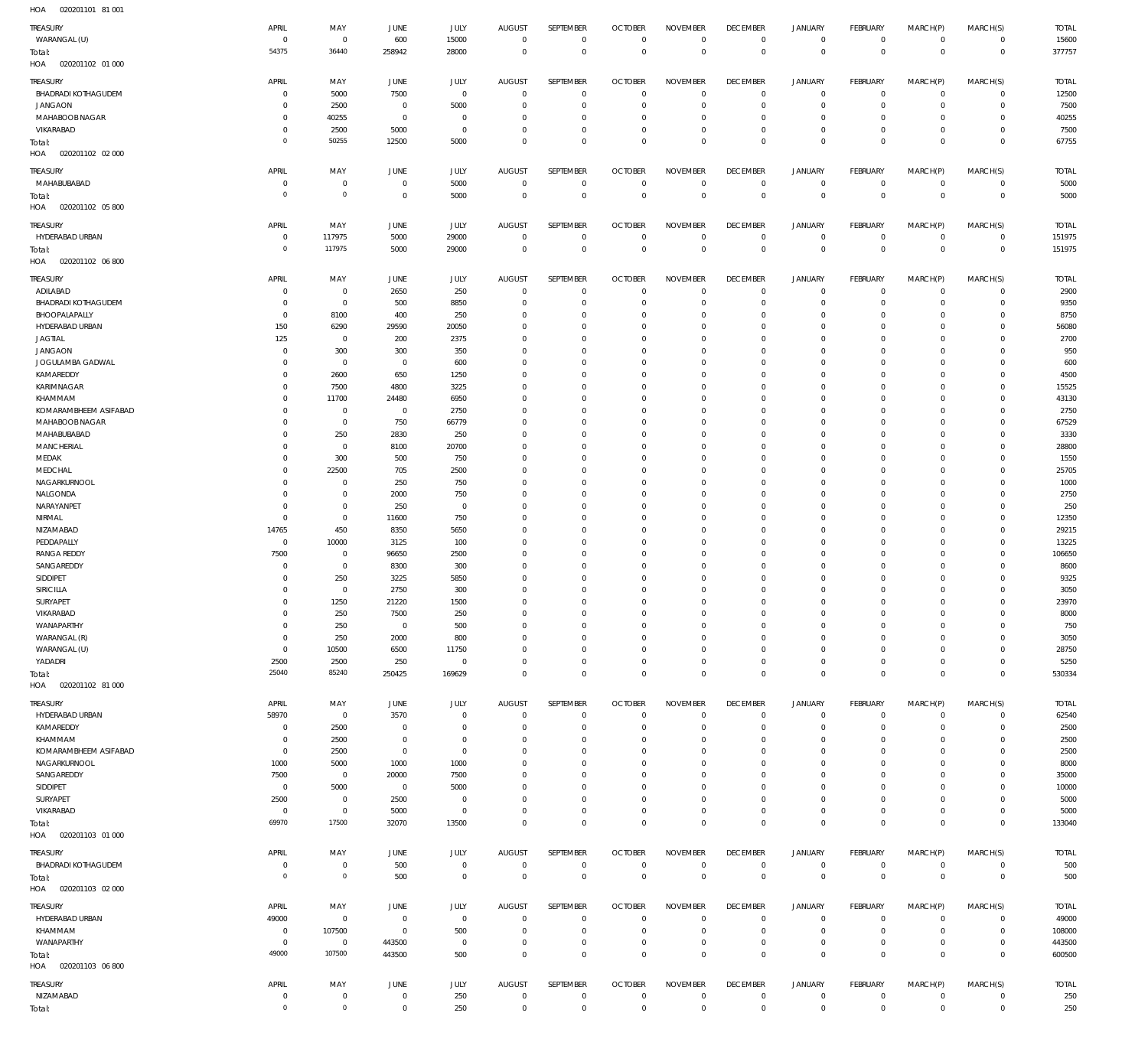020201101 81 001 HOA

| <b>TREASURY</b>            | APRIL          | MAY            | JUNE           | JULY           | AUGUST         | SEPTEMBER        | <b>OCTOBER</b> | <b>NOVEMBER</b> | <b>DECEMBER</b> | <b>JANUARY</b> | FEBRUARY        | MARCH(P)     | MARCH(S)     | <b>TOTAL</b> |
|----------------------------|----------------|----------------|----------------|----------------|----------------|------------------|----------------|-----------------|-----------------|----------------|-----------------|--------------|--------------|--------------|
| WARANGAL (U)               | $\overline{0}$ | $\mathbf 0$    | 600            | 15000          | $\overline{0}$ | $\mathbf{0}$     | $\overline{0}$ | $\mathbf 0$     | $\mathbf 0$     | $\mathbf 0$    | $^{\circ}$      | $\mathbf 0$  | $\mathbf 0$  | 15600        |
|                            |                |                |                |                |                |                  |                |                 |                 |                |                 |              |              |              |
| Total:                     | 54375          | 36440          | 258942         | 28000          | $\mathbf{0}$   | $\mathbf 0$      | $\mathbb O$    | $\mathbf 0$     | $\mathbb O$     | $\mathbf 0$    | $\mathbb O$     | $\mathbf{0}$ | $\mathbb O$  | 377757       |
| 020201102 01 000<br>HOA    |                |                |                |                |                |                  |                |                 |                 |                |                 |              |              |              |
|                            |                |                |                |                |                |                  |                |                 |                 |                |                 |              |              |              |
| TREASURY                   | APRIL          | MAY            | JUNE           | JULY           | <b>AUGUST</b>  | SEPTEMBER        | <b>OCTOBER</b> | <b>NOVEMBER</b> | <b>DECEMBER</b> | <b>JANUARY</b> | <b>FEBRUARY</b> | MARCH(P)     | MARCH(S)     | <b>TOTAL</b> |
| BHADRADI KOTHAGUDEM        | $\mathbf 0$    | 5000           | 7500           | $\overline{0}$ | $^{\circ}$     | $^{\circ}$       | $\overline{0}$ | $\mathbf{0}$    | $\overline{0}$  | $\mathbf 0$    | $^{\circ}$      | $\circ$      | $\mathbf 0$  | 12500        |
| <b>JANGAON</b>             | $\mathbf 0$    | 2500           | $\overline{0}$ | 5000           | $\mathbf 0$    | 0                | $\mathbf{0}$   | $\mathbf 0$     | $\overline{0}$  | $^{\circ}$     | $^{\circ}$      | $\Omega$     | $\mathbf 0$  | 7500         |
| MAHABOOB NAGAR             | $\mathbf 0$    | 40255          | $\overline{0}$ | $\mathbf 0$    | $\mathbf{0}$   | 0                | $\overline{0}$ | $\mathbf 0$     | $^{\circ}$      | $^{\circ}$     | $^{\circ}$      | $\Omega$     | $\Omega$     | 40255        |
|                            |                |                |                |                |                |                  |                |                 |                 |                |                 |              |              |              |
| VIKARABAD                  | $\mathbf 0$    | 2500           | 5000           | $\mathbf 0$    | $\mathbf 0$    | 0                | $^{\circ}$     | $\mathbf 0$     | $\overline{0}$  | $\mathbf 0$    | $^{\circ}$      | $\circ$      | $\mathbf 0$  | 7500         |
| Total:                     | $\mathbf 0$    | 50255          | 12500          | 5000           | $\mathbf 0$    | 0                | $\mathbb O$    | $\mathbf 0$     | $\mathbb O$     | $\mathbf 0$    | $\mathbb O$     | $\Omega$     | $\Omega$     | 67755        |
| 020201102 02 000<br>HOA    |                |                |                |                |                |                  |                |                 |                 |                |                 |              |              |              |
|                            |                |                |                |                |                |                  |                |                 |                 |                |                 |              |              |              |
| <b>TREASURY</b>            | APRIL          | MAY            | <b>JUNE</b>    | JULY           | <b>AUGUST</b>  | SEPTEMBER        | <b>OCTOBER</b> | <b>NOVEMBER</b> | <b>DECEMBER</b> | <b>JANUARY</b> | FEBRUARY        | MARCH(P)     | MARCH(S)     | <b>TOTAL</b> |
| MAHABUBABAD                | $\mathbf 0$    | $\mathbf 0$    | $\overline{0}$ | 5000           | $\mathbf{0}$   | $\mathbf 0$      | $\overline{0}$ | $\overline{0}$  | $\overline{0}$  | $\mathbf 0$    | $^{\circ}$      | $\mathbf 0$  | $\mathbf 0$  | 5000         |
|                            | $\mathbf 0$    | $\mathbf 0$    | $\overline{0}$ |                | $\mathbf{0}$   | $\mathbf 0$      | $\mathbb O$    |                 | $\mathbb O$     |                | $\mathbb O$     | $\mathbf{0}$ | $\mathbb O$  |              |
| Total:                     |                |                |                | 5000           |                |                  |                | $\mathbf 0$     |                 | $\mathbf 0$    |                 |              |              | 5000         |
| 020201102 05 800<br>HOA    |                |                |                |                |                |                  |                |                 |                 |                |                 |              |              |              |
|                            |                |                |                |                |                |                  |                |                 |                 |                |                 |              |              |              |
| <b>TREASURY</b>            | APRIL          | MAY            | JUNE           | JULY           | <b>AUGUST</b>  | SEPTEMBER        | <b>OCTOBER</b> | <b>NOVEMBER</b> | <b>DECEMBER</b> | <b>JANUARY</b> | <b>FEBRUARY</b> | MARCH(P)     | MARCH(S)     | <b>TOTAL</b> |
| HYDERABAD URBAN            | $\mathbf 0$    | 117975         | 5000           | 29000          | $^{\circ}$     | $\mathbf 0$      | $\overline{0}$ | $\mathbf 0$     | $\overline{0}$  | $\mathbf 0$    | $^{\circ}$      | $\circ$      | $\mathbf 0$  | 151975       |
| Total:                     | $\overline{0}$ | 117975         | 5000           | 29000          | $\mathbf{0}$   | $\mathbf 0$      | $\mathbb O$    | $\mathbf 0$     | $\mathbb O$     | $\mathbf 0$    | $\mathbb O$     | $^{\circ}$   | $\mathbf{0}$ | 151975       |
| HOA<br>020201102 06 800    |                |                |                |                |                |                  |                |                 |                 |                |                 |              |              |              |
|                            |                |                |                |                |                |                  |                |                 |                 |                |                 |              |              |              |
| <b>TREASURY</b>            | APRIL          | MAY            | JUNE           | JULY           | AUGUST         | <b>SEPTEMBER</b> | <b>OCTOBER</b> | <b>NOVEMBER</b> | <b>DECEMBER</b> | <b>JANUARY</b> | FEBRUARY        | MARCH(P)     | MARCH(S)     | <b>TOTAL</b> |
|                            | $\mathbf 0$    | $^{\circ}$     |                | 250            | $\mathbf{0}$   | $^{\circ}$       | $\overline{0}$ | $\mathbf{0}$    | $^{\circ}$      |                | $^{\circ}$      | $\Omega$     | $\mathbf 0$  | 2900         |
| ADILABAD                   |                |                | 2650           |                |                |                  |                |                 |                 | $\mathbf 0$    |                 |              |              |              |
| <b>BHADRADI KOTHAGUDEM</b> | $^{\circ}$     | $\mathbf 0$    | 500            | 8850           | $^{\circ}$     | 0                | $\overline{0}$ | $\mathbf 0$     | $\overline{0}$  | $^{\circ}$     | $^{\circ}$      | $\Omega$     | $\mathbf 0$  | 9350         |
| BHOOPALAPALLY              | $\mathbf 0$    | 8100           | 400            | 250            | $\mathbf 0$    | 0                | $\mathbf{0}$   | $\mathbf 0$     | $\overline{0}$  | $^{\circ}$     | $^{\circ}$      | $\Omega$     | $\mathbf 0$  | 8750         |
| HYDERABAD URBAN            | 150            | 6290           | 29590          | 20050          | $\mathbf 0$    | 0                | $\overline{0}$ | $\mathbf 0$     | $\overline{0}$  | $^{\circ}$     | $^{\circ}$      | $\Omega$     | $\mathbf 0$  | 56080        |
| <b>JAGTIAL</b>             | 125            | $\overline{0}$ | 200            | 2375           | $\mathbf 0$    | 0                | $\overline{0}$ | $\Omega$        | $\overline{0}$  | $\mathbf 0$    | $^{\circ}$      |              | $\Omega$     | 2700         |
|                            |                |                |                |                |                |                  |                |                 |                 |                |                 |              |              |              |
| <b>JANGAON</b>             | $\mathbf 0$    | 300            | 300            | 350            | $\mathbf 0$    | 0                | $^{\circ}$     | $\mathbf 0$     | $\overline{0}$  | $\mathbf 0$    | $^{\circ}$      | $\Omega$     | $\mathbf 0$  | 950          |
| JOGULAMBA GADWAL           | $\mathbf 0$    | $\overline{0}$ | $\overline{0}$ | 600            | $\mathbf 0$    | 0                | $\overline{0}$ | $\Omega$        | $\overline{0}$  | $\mathbf 0$    | $^{\circ}$      |              | $\Omega$     | 600          |
| KAMAREDDY                  | $\mathbf 0$    | 2600           | 650            | 1250           | $\mathbf 0$    | 0                | $\overline{0}$ | $\mathbf 0$     | $\overline{0}$  | $\Omega$       | $^{\circ}$      | $\Omega$     | $\Omega$     | 4500         |
|                            |                |                |                |                |                |                  |                |                 |                 |                |                 |              |              |              |
| KARIMNAGAR                 | $\mathbf 0$    | 7500           | 4800           | 3225           | $\mathbf 0$    | 0                | $\overline{0}$ | $\mathbf 0$     | $^{\circ}$      | $^{\circ}$     | $^{\circ}$      |              | $\mathbf 0$  | 15525        |
| KHAMMAM                    | $\mathbf 0$    | 11700          | 24480          | 6950           | $\mathbf 0$    | 0                | $\overline{0}$ | $\mathbf 0$     | $\overline{0}$  | $\Omega$       | $^{\circ}$      |              | $\Omega$     | 43130        |
| KOMARAMBHEEM ASIFABAD      | $\mathbf 0$    | $\mathbf 0$    | $\overline{0}$ | 2750           | $\mathbf 0$    | 0                | $\overline{0}$ | $\mathbf 0$     | $\overline{0}$  | $\mathbf 0$    | $^{\circ}$      | $\Omega$     | $\mathbf 0$  | 2750         |
| MAHABOOB NAGAR             | $\mathbf 0$    | $\mathbf 0$    | 750            | 66779          | $\mathbf 0$    | 0                | $\overline{0}$ | $\mathbf 0$     | $\overline{0}$  | $\Omega$       | $^{\circ}$      |              | $\Omega$     | 67529        |
|                            |                |                |                |                |                |                  |                |                 |                 |                |                 |              |              |              |
| MAHABUBABAD                | $\mathbf 0$    | 250            | 2830           | 250            | $\mathbf 0$    | 0                | $^{\circ}$     | $\mathbf 0$     | $\overline{0}$  | $\mathbf 0$    | $^{\circ}$      |              | $\Omega$     | 3330         |
| <b>MANCHERIAL</b>          | $\mathbf 0$    | $\mathbf 0$    | 8100           | 20700          | $\mathbf 0$    | 0                | $\overline{0}$ | $\mathbf 0$     | $\overline{0}$  | $\mathbf 0$    | $^{\circ}$      |              | $\Omega$     | 28800        |
| MEDAK                      | $\mathbf 0$    | 300            | 500            | 750            | $\mathbf 0$    | 0                | $\overline{0}$ | $\Omega$        | $\overline{0}$  | $\mathbf 0$    | $^{\circ}$      |              | $\Omega$     | 1550         |
| MEDCHAL                    | $\mathbf 0$    | 22500          | 705            | 2500           | $\mathbf 0$    | 0                | $\overline{0}$ | $\mathbf 0$     | $^{\circ}$      | $\mathbf 0$    | $^{\circ}$      | $\Omega$     | $\mathbf 0$  | 25705        |
|                            |                |                |                |                |                |                  |                |                 |                 |                |                 |              |              |              |
| NAGARKURNOOL               | $\mathbf 0$    | $\mathbf 0$    | 250            | 750            | $\mathbf 0$    | 0                | $\overline{0}$ | $\Omega$        | $^{\circ}$      | $\mathbf 0$    | $^{\circ}$      |              | $\Omega$     | 1000         |
| NALGONDA                   | $\mathbf 0$    | $\mathbf 0$    | 2000           | 750            | $\mathbf 0$    | 0                | $\mathbf{0}$   | $\mathbf 0$     | $\overline{0}$  | $\mathbf 0$    | $^{\circ}$      | $\Omega$     | $\mathbf 0$  | 2750         |
| NARAYANPET                 | $\mathbf 0$    | $\mathbf 0$    | 250            | $\overline{0}$ | $\mathbf 0$    | 0                | $\overline{0}$ | $\Omega$        | $\overline{0}$  | $\mathbf 0$    | $^{\circ}$      |              | $\Omega$     | 250          |
| NIRMAL                     | $\mathbf 0$    | $\mathbf 0$    | 11600          | 750            | $\mathbf 0$    | 0                | $\overline{0}$ | $\mathbf 0$     | $\overline{0}$  | $\mathbf 0$    | $^{\circ}$      | $\Omega$     | $\Omega$     | 12350        |
|                            |                |                |                |                |                |                  |                |                 |                 |                |                 |              |              |              |
| NIZAMABAD                  | 14765          | 450            | 8350           | 5650           | $\mathbf 0$    | 0                | $\overline{0}$ | $\mathbf 0$     | $^{\circ}$      | $^{\circ}$     | $^{\circ}$      |              | $\mathbf 0$  | 29215        |
| PEDDAPALLY                 | $\mathbf 0$    | 10000          | 3125           | 100            | $\mathbf 0$    | 0                | $\overline{0}$ | $\mathbf 0$     | $\overline{0}$  | $\Omega$       | $^{\circ}$      |              | $\Omega$     | 13225        |
| <b>RANGA REDDY</b>         | 7500           | $\mathbf 0$    | 96650          | 2500           | $\mathbf 0$    | 0                | $\mathbf{0}$   | $\mathbf 0$     | $\overline{0}$  | $^{\circ}$     | $^{\circ}$      | $\Omega$     | $\mathbf 0$  | 106650       |
|                            | $\mathbf 0$    | $\mathbf 0$    |                |                | $\mathbf 0$    | 0                | $\overline{0}$ | $\mathbf 0$     | $\overline{0}$  | $\Omega$       | $^{\circ}$      | $\Omega$     | $\Omega$     |              |
| SANGAREDDY                 |                |                | 8300           | 300            |                |                  |                |                 |                 |                |                 |              |              | 8600         |
| SIDDIPET                   | $\mathbf 0$    | 250            | 3225           | 5850           | $\mathbf 0$    | 0                | $^{\circ}$     | $\mathbf 0$     | $^{\circ}$      | $^{\circ}$     | $^{\circ}$      | $\Omega$     | $\Omega$     | 9325         |
| SIRICILLA                  | $\Omega$       | $\mathbf 0$    | 2750           | 300            | $\mathbf 0$    | 0                | $\overline{0}$ | $\mathbf 0$     | $\overline{0}$  | $\Omega$       | $\Omega$        | $\Omega$     | $\Omega$     | 3050         |
| SURYAPET                   | $\Omega$       | 1250           | 21220          | 1500           | $\Omega$       | $\Omega$         | $\overline{0}$ | $\Omega$        | $\mathbf{0}$    | $\circ$        | $\mathbf 0$     | $\circ$      | $\circ$      | 23970        |
|                            |                |                |                |                |                |                  |                |                 |                 |                |                 |              |              |              |
|                            |                |                | 7500           | 250            | $\mathbf{0}$   | $\mathbf 0$      | $\overline{0}$ | $\mathbf{0}$    | $\overline{0}$  | $\mathbf 0$    | $\mathbf 0$     | $\Omega$     | $\mathbf 0$  | 8000         |
| VIKARABAD                  | $\mathbf 0$    | 250            |                |                |                |                  |                |                 |                 |                | $\mathbf{0}$    | $\Omega$     |              | 750          |
| WANAPARTHY                 | $\mathbf 0$    | 250            | $\mathbf 0$    | 500            | $\mathbf 0$    | 0                | $\overline{0}$ | $\mathbf 0$     | $\overline{0}$  | $\mathbf 0$    |                 |              | $\Omega$     |              |
| WARANGAL (R)               | $\mathbf 0$    | 250            | 2000           | 800            | $\mathbf 0$    | 0                | $^{\circ}$     | $\mathbf 0$     | $^{\circ}$      | $\mathbf 0$    | $^{\circ}$      | $\Omega$     | $\Omega$     | 3050         |
|                            |                |                |                |                |                |                  |                |                 |                 |                |                 |              |              |              |
| WARANGAL (U)               | $\mathbf 0$    | 10500          | 6500           | 11750          | $\mathbf 0$    | 0                | $\overline{0}$ | $\mathbf 0$     | $\mathbf 0$     | $\mathbf 0$    | $^{\circ}$      | $\Omega$     | $\Omega$     | 28750        |
| YADADRI                    | 2500           | 2500           | 250            | $\mathbf 0$    | $\mathbf 0$    | 0                | $\mathbf 0$    | $\mathbf{0}$    | $\mathbf 0$     | $\mathbf 0$    | $^{\circ}$      | $\Omega$     | $\mathbf 0$  | 5250         |
| Total:                     | 25040          | 85240          | 250425         | 169629         | $\overline{0}$ | $\mathbf 0$      | $\mathbb O$    | $\mathbf 0$     | $\,0\,$         | $\mathbf 0$    | $\mathbb O$     | $\Omega$     | $\mathbf 0$  | 530334       |
| HOA  020201102  81  000    |                |                |                |                |                |                  |                |                 |                 |                |                 |              |              |              |
|                            |                |                |                |                |                |                  |                |                 |                 |                |                 |              |              |              |
| <b>TREASURY</b>            | APRIL          | MAY            | JUNE           | JULY           | <b>AUGUST</b>  | SEPTEMBER        | <b>OCTOBER</b> | <b>NOVEMBER</b> | <b>DECEMBER</b> | <b>JANUARY</b> | <b>FEBRUARY</b> | MARCH(P)     | MARCH(S)     | <b>TOTAL</b> |
| HYDERABAD URBAN            | 58970          | $^{\circ}$     | 3570           | $\mathbf 0$    | $\mathbf 0$    | $\mathbf 0$      | $\overline{0}$ | $\mathbf 0$     | $\mathbf 0$     | $\mathbf 0$    | $\mathbf 0$     | $\circ$      | $\Omega$     | 62540        |
|                            |                |                |                |                |                |                  |                |                 |                 |                |                 | $\Omega$     |              |              |
| KAMAREDDY                  | $\mathbf 0$    | 2500           | $\overline{0}$ | $\mathbf 0$    | $\mathbf 0$    | 0                | $\overline{0}$ | $\mathbf 0$     | $^{\circ}$      | $\mathbf 0$    | $^{\circ}$      |              | $\mathbf 0$  | 2500         |
| KHAMMAM                    | $\mathbf 0$    | 2500           | $\overline{0}$ | $\mathbf 0$    | $\mathbf 0$    | 0                | $^{\circ}$     | $\mathbf 0$     | $\overline{0}$  | $\mathbf 0$    | $^{\circ}$      |              | $\Omega$     | 2500         |
| KOMARAMBHEEM ASIFABAD      | $\mathbf 0$    | 2500           | $\overline{0}$ | $\mathbf 0$    | $\mathbf 0$    | 0                | $^{\circ}$     | $\mathbf 0$     | $^{\circ}$      | $\mathbf 0$    | $^{\circ}$      | $\Omega$     | $\Omega$     | 2500         |
| NAGARKURNOOL               | 1000           | 5000           | 1000           | 1000           | $\mathbf 0$    | 0                | $^{\circ}$     | 0               | $\overline{0}$  | $\mathbf 0$    | $^{\circ}$      |              | $\Omega$     | 8000         |
|                            |                |                |                |                |                |                  |                |                 |                 |                |                 |              | $\Omega$     |              |
| SANGAREDDY                 | 7500           | $^{\circ}$     | 20000          | 7500           | 0              | 0                | $^{\circ}$     | 0               | $^{\circ}$      | $\mathbf 0$    | $^{\circ}$      |              |              | 35000        |
| SIDDIPET                   | $\mathbf 0$    | 5000           | $\overline{0}$ | 5000           | $\mathbf 0$    | 0                | $^{\circ}$     | 0               | $\overline{0}$  | $\mathbf 0$    | $^{\circ}$      | $\Omega$     | $\Omega$     | 10000        |
| SURYAPET                   | 2500           | $\mathbf 0$    | 2500           | $\mathbf 0$    | 0              | 0                | $\overline{0}$ | $\Omega$        | $^{\circ}$      | $\mathbf 0$    | $^{\circ}$      |              | $\Omega$     | 5000         |
| VIKARABAD                  | $^{\circ}$     | $\mathbf 0$    | 5000           | $\overline{0}$ | $\mathbf 0$    | 0                | $\mathbf{0}$   | $\mathbf 0$     | $\mathbf 0$     | $\mathbf 0$    | $\mathbf 0$     | $\Omega$     | $\mathbf 0$  | 5000         |
|                            |                |                |                |                |                |                  |                |                 |                 |                |                 |              |              |              |
| Total:                     | 69970          | 17500          | 32070          | 13500          | $\mathbf 0$    | 0                | $\mathbf{0}$   | $\mathbf 0$     | $\mathbf 0$     | $\mathbf 0$    | $\mathbf 0$     | $\Omega$     | $\mathbf{0}$ | 133040       |
| HOA  020201103  01  000    |                |                |                |                |                |                  |                |                 |                 |                |                 |              |              |              |
|                            |                |                |                |                |                |                  |                |                 |                 |                |                 |              |              |              |
| <b>TREASURY</b>            | APRIL          | MAY            | JUNE           | JULY           | <b>AUGUST</b>  | SEPTEMBER        | <b>OCTOBER</b> | <b>NOVEMBER</b> | <b>DECEMBER</b> | <b>JANUARY</b> | <b>FEBRUARY</b> | MARCH(P)     | MARCH(S)     | <b>TOTAL</b> |
| BHADRADI KOTHAGUDEM        | $\mathbf 0$    | $\mathbf 0$    | 500            | $\overline{0}$ | $\mathbf 0$    | $\mathbf 0$      | $\overline{0}$ | $\mathbf 0$     | $^{\circ}$      | $\mathbf 0$    | $^{\circ}$      | $\mathbf 0$  | $\mathbf 0$  | 500          |
| Total:                     | $\overline{0}$ | $\overline{0}$ | 500            | $\overline{0}$ | $\overline{0}$ | $\overline{0}$   | $\mathbb O$    | $\,0\,$         | $\mathbb O$     | $\mathbb O$    | $\overline{0}$  | $\mathbf{0}$ | $\mathbf{0}$ | 500          |
|                            |                |                |                |                |                |                  |                |                 |                 |                |                 |              |              |              |
| HOA<br>020201103 02 000    |                |                |                |                |                |                  |                |                 |                 |                |                 |              |              |              |
|                            |                |                |                |                |                |                  |                |                 |                 |                |                 |              |              |              |
| <b>TREASURY</b>            | APRIL          | MAY            | JUNE           | JULY           | <b>AUGUST</b>  | SEPTEMBER        | <b>OCTOBER</b> | <b>NOVEMBER</b> | <b>DECEMBER</b> | <b>JANUARY</b> | FEBRUARY        | MARCH(P)     | MARCH(S)     | <b>TOTAL</b> |
| HYDERABAD URBAN            | 49000          | $^{\circ}$     | $\overline{0}$ | $\overline{0}$ | $\mathbf{0}$   | $^{\circ}$       | $\overline{0}$ | $\mathbf 0$     | $\overline{0}$  | $\mathbf 0$    | $^{\circ}$      | $\circ$      | $\mathbf 0$  | 49000        |
| KHAMMAM                    | $\mathbf 0$    | 107500         | $\overline{0}$ | 500            | $\mathbf 0$    | 0                | $^{\circ}$     | $\mathbf 0$     | $\mathbf 0$     | $\mathbf 0$    | $^{\circ}$      | $\circ$      | $\mathbf 0$  | 108000       |
| WANAPARTHY                 | $\mathbf 0$    | $^{\circ}$     | 443500         | $\overline{0}$ | $\mathbf 0$    | 0                | $\mathbf 0$    | $\mathbf 0$     | $^{\circ}$      | $\mathbf 0$    | $\mathbf{0}$    | $\circ$      | $\mathbf 0$  | 443500       |
|                            | 49000          | 107500         |                | 500            | $\mathbf 0$    | $\mathbf 0$      | $\mathbb O$    | $\mathbf 0$     | $\mathbb O$     | $\mathbf 0$    | $\mathbb O$     | $^{\circ}$   | $\mathbb O$  |              |
| Total:                     |                |                | 443500         |                |                |                  |                |                 |                 |                |                 |              |              | 600500       |
| 020201103 06 800<br>HOA    |                |                |                |                |                |                  |                |                 |                 |                |                 |              |              |              |
|                            | APRIL          |                |                |                |                | SEPTEMBER        |                |                 | <b>DECEMBER</b> | <b>JANUARY</b> | <b>FEBRUARY</b> |              |              |              |
| <b>TREASURY</b>            |                | MAY            | JUNE           | JULY           | <b>AUGUST</b>  |                  | <b>OCTOBER</b> | <b>NOVEMBER</b> |                 |                |                 | MARCH(P)     | MARCH(S)     | <b>TOTAL</b> |
| NIZAMABAD                  | $\mathbf 0$    | 0              | $\overline{0}$ | 250            | $\mathbf 0$    | 0                | $\overline{0}$ | $\mathbf{0}$    | $\overline{0}$  | $\mathbf 0$    | $^{\circ}$      | $\mathbf 0$  | $\mathbf 0$  | 250          |
| Total:                     | $\mathbf 0$    | $\mathbf 0$    | $\overline{0}$ | 250            | $\overline{0}$ | $\mathbf 0$      | $\mathbb O$    | $\mathbf 0$     | $\mathbb O$     | $\mathbf 0$    | $\mathbb O$     | $^{\circ}$   | $\mathbb O$  | 250          |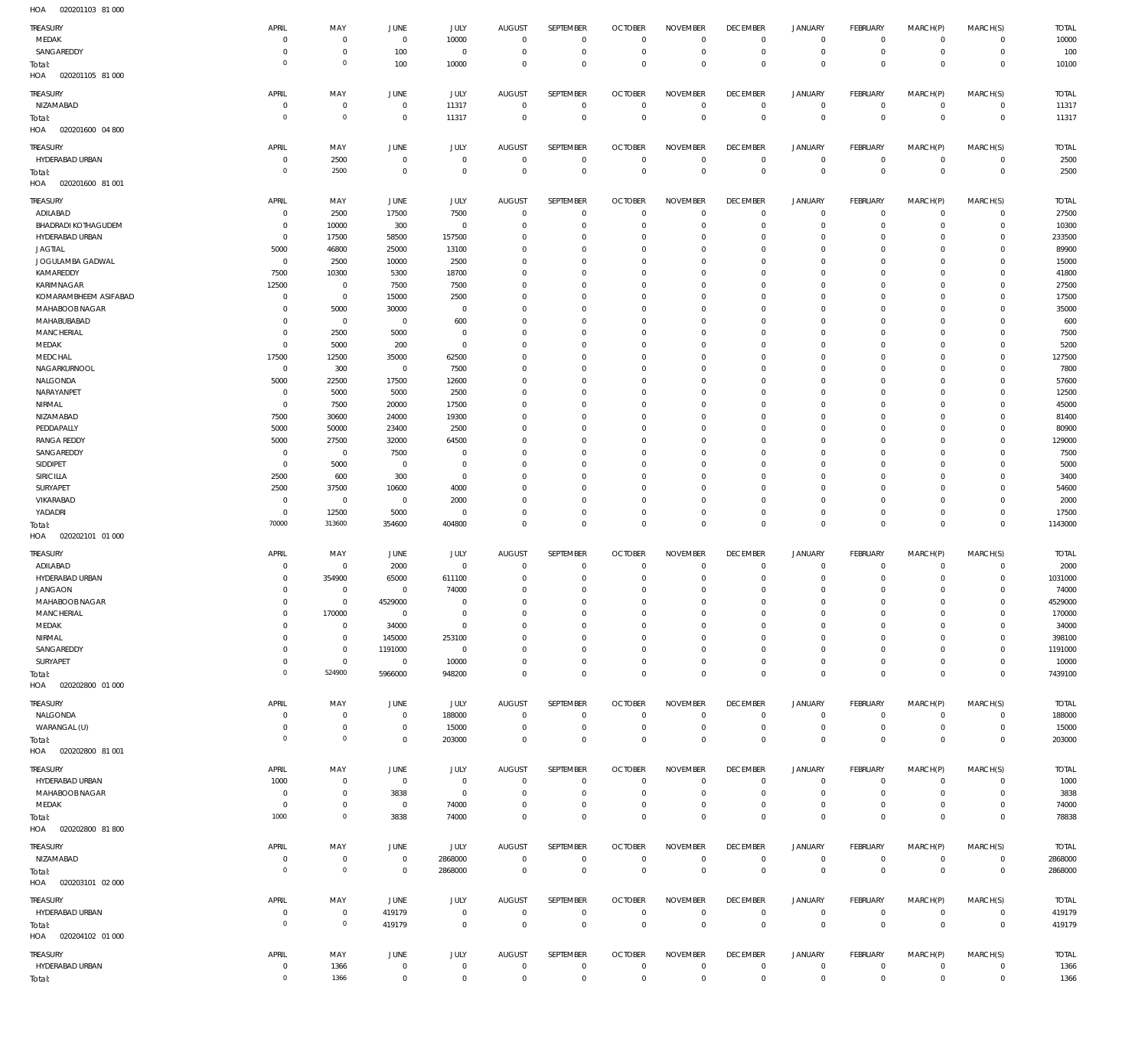| HOA<br>020201103 81 000           |                        |                                |             |                       |                             |                            |                            |                            |                                  |                                    |                            |                           |                            |                  |
|-----------------------------------|------------------------|--------------------------------|-------------|-----------------------|-----------------------------|----------------------------|----------------------------|----------------------------|----------------------------------|------------------------------------|----------------------------|---------------------------|----------------------------|------------------|
| TREASURY                          | APRIL                  | MAY                            | JUNE        | JULY                  | <b>AUGUST</b>               | SEPTEMBER                  | <b>OCTOBER</b>             | <b>NOVEMBER</b>            | <b>DECEMBER</b>                  | <b>JANUARY</b>                     | <b>FEBRUARY</b>            | MARCH(P)                  | MARCH(S)                   | <b>TOTAL</b>     |
| MEDAK                             | $\Omega$               | $\overline{0}$                 | $\mathbb O$ | 10000                 | $\mathbf 0$                 | $\mathbf 0$                | $\overline{0}$             | $\mathbf 0$                | $\overline{0}$                   | $\overline{0}$                     | $\circ$                    | $\mathbf 0$               | $\mathbf 0$                | 10000            |
| SANGAREDDY                        | $\Omega$               | $\overline{0}$                 | 100         | $\mathbf 0$           | 0                           | $\mathbf 0$                | $\mathbf 0$                | $\mathbf 0$                | $\overline{0}$                   | $\mathbf 0$                        | $\mathbf 0$                | $^{\circ}$                | $\mathbf 0$                | 100              |
| Total:                            | $\Omega$               | $\mathbf{0}$                   | 100         | 10000                 | 0                           | $\mathbf 0$                | $\mathbf 0$                | $\mathbf 0$                | $\mathbf 0$                      | $\mathbf 0$                        | $\mathbf 0$                | $\overline{0}$            | $\mathbb O$                | 10100            |
| HOA<br>020201105 81 000           |                        |                                |             |                       |                             |                            |                            |                            |                                  |                                    |                            |                           |                            |                  |
|                                   |                        |                                |             |                       |                             |                            |                            |                            |                                  |                                    |                            |                           |                            |                  |
| <b>TREASURY</b>                   | APRIL                  | MAY                            | JUNE        | JULY                  | <b>AUGUST</b>               | SEPTEMBER                  | <b>OCTOBER</b>             | <b>NOVEMBER</b>            | <b>DECEMBER</b>                  | <b>JANUARY</b>                     | <b>FEBRUARY</b>            | MARCH(P)                  | MARCH(S)                   | <b>TOTAL</b>     |
| NIZAMABAD                         | $\Omega$               | $\overline{0}$                 | $\mathbf 0$ | 11317                 | $^{\circ}$                  | $\mathbf 0$                | $\mathbf 0$                | $\mathbf 0$                | $\overline{0}$                   | $\mathbf 0$                        | $\mathbb O$                | $^{\circ}$                | $\mathbf 0$                | 11317            |
| Total:                            | $\Omega$               | $\mathbf{0}$                   | $\mathbb O$ | 11317                 | $\mathbf 0$                 | $\mathsf{O}\xspace$        | $\overline{0}$             | $\overline{0}$             | $\overline{0}$                   | $\mathbf 0$                        | $\mathbb O$                | $\mathbf 0$               | $\overline{0}$             | 11317            |
| HOA<br>020201600 04 800           |                        |                                |             |                       |                             |                            |                            |                            |                                  |                                    |                            |                           |                            |                  |
| TREASURY                          | APRIL                  | MAY                            | JUNE        | JULY                  | <b>AUGUST</b>               | SEPTEMBER                  | <b>OCTOBER</b>             | <b>NOVEMBER</b>            | <b>DECEMBER</b>                  | <b>JANUARY</b>                     | <b>FEBRUARY</b>            | MARCH(P)                  | MARCH(S)                   | <b>TOTAL</b>     |
| <b>HYDERABAD URBAN</b>            | - 0                    | 2500                           | $\mathbf 0$ | $\mathbf 0$           | $\mathbf 0$                 | $\mathbf 0$                | $\overline{0}$             | $\mathbf 0$                | $\overline{0}$                   | $\mathbf 0$                        | $\mathbb O$                | $^{\circ}$                | $\mathbf 0$                | 2500             |
| Total:                            | $\Omega$               | 2500                           | $\mathbb O$ | $\mathbf 0$           | $\mathbf 0$                 | $\mathbf 0$                | $\overline{0}$             | $\mathbf 0$                | $\overline{0}$                   | $\overline{0}$                     | $\mathbb O$                | $\mathbf 0$               | $\mathbb O$                | 2500             |
| HOA<br>020201600 81 001           |                        |                                |             |                       |                             |                            |                            |                            |                                  |                                    |                            |                           |                            |                  |
|                                   |                        |                                |             |                       |                             |                            |                            |                            |                                  |                                    |                            |                           |                            |                  |
| TREASURY                          | APRIL                  | MAY                            | JUNE        | JULY                  | <b>AUGUST</b>               | SEPTEMBER                  | <b>OCTOBER</b>             | <b>NOVEMBER</b>            | <b>DECEMBER</b>                  | <b>JANUARY</b>                     | <b>FEBRUARY</b>            | MARCH(P)                  | MARCH(S)                   | <b>TOTAL</b>     |
| ADILABAD                          | $\Omega$               | 2500                           | 17500       | 7500                  | $\mathbf 0$                 | $\mathbf 0$                | $\overline{0}$             | $\mathbf 0$                | $\overline{0}$                   | $\mathbf 0$                        | $\mathbf 0$                | $^{\circ}$                | $\mathbf 0$                | 27500            |
| <b>BHADRADI KOTHAGUDEM</b>        | $\Omega$               | 10000                          | 300         | $\mathbf 0$           | 0                           | $\mathbf 0$                | $\mathbf 0$                | $\mathbf 0$                | $\overline{0}$                   | $\mathsf{O}\xspace$                | $\mathbb O$                | $\circ$                   | $\mathbf 0$                | 10300            |
| HYDERABAD URBAN                   | $\Omega$               | 17500                          | 58500       | 157500                | 0                           | $\mathbf 0$                | $\mathbf 0$                | $\mathbf 0$                | $\overline{0}$                   | 0                                  | $\overline{0}$             | $\circ$                   | $\mathbf 0$                | 233500           |
| <b>JAGTIAL</b>                    | 5000                   | 46800                          | 25000       | 13100                 | 0                           | $\mathbf 0$                | $\mathbf 0$                | $\mathbf 0$                | $\overline{0}$                   | 0                                  | $\mathbf 0$                | $\Omega$                  | $\mathbf 0$                | 89900            |
| JOGULAMBA GADWAL                  | $\mathbf{0}$           | 2500                           | 10000       | 2500                  | $\Omega$                    | $\mathbf 0$                | $\mathbf 0$                | $\mathbf 0$                | $\mathbf 0$                      | $\mathbf 0$                        | $\mathbf 0$                | $\Omega$                  | $\Omega$                   | 15000            |
| KAMAREDDY                         | 7500                   | 10300                          | 5300        | 18700                 | $\Omega$                    | $\mathbf 0$                | $\mathbf 0$                | $\mathbf 0$                | $\mathbf 0$                      | 0                                  | $\mathbf 0$                | $\Omega$                  | $\Omega$                   | 41800            |
| KARIMNAGAR                        | 12500                  | $\overline{0}$                 | 7500        | 7500                  | 0                           | $\mathbf 0$                | $\mathbf 0$                | $\mathbf 0$                | $\mathbf 0$                      | 0                                  | $\mathbf 0$                | $\Omega$                  | $\Omega$                   | 27500            |
| KOMARAMBHEEM ASIFABAD             | $\Omega$               | $\mathbf 0$                    | 15000       | 2500                  | $\mathbf 0$                 | $\mathbf 0$                | $\mathbf 0$                | $\Omega$                   | $\mathbf 0$                      | 0                                  | $\mathbf 0$                | $\Omega$                  | $\Omega$                   | 17500            |
| MAHABOOB NAGAR                    | $\Omega$               | 5000                           | 30000       | $\mathbf 0$           | $\mathbf 0$                 | $\mathbf 0$                | $\mathbf 0$                | $\mathbf 0$                | $\mathbf 0$                      | $\mathbf 0$                        | $\mathbf 0$                | $\Omega$                  | $\Omega$                   | 35000            |
| MAHABUBABAD                       | - 0                    | $\overline{0}$                 | $\mathbb O$ | 600                   | $\mathbf 0$                 | $\mathbf 0$                | $\mathbf 0$                | $\Omega$                   | $\mathbf 0$                      | 0                                  | $\mathbf 0$                | $\Omega$                  | $\Omega$                   | 600              |
| MANCHERIAL                        | $\Omega$               | 2500                           | 5000        | $\mathbf 0$           | 0                           | $\mathbf 0$                | $\mathbf 0$                | $\mathbf 0$                | $\overline{0}$                   | $\mathbf 0$                        | $\mathbf 0$                | $\Omega$                  | $\Omega$                   | 7500             |
| MEDAK                             | $\Omega$               | 5000                           | 200         | $\mathbf 0$           | $\Omega$                    | $\mathbf 0$                | $\mathbf 0$                | $\Omega$                   | $\mathbf 0$                      | 0                                  | $\mathbf 0$                | $\Omega$                  | $\Omega$                   | 5200             |
| MEDCHAL                           | 17500                  | 12500                          | 35000       | 62500                 | $\Omega$                    | $\mathbf 0$                | $\mathbf 0$                | $\mathbf 0$                | $\mathbf 0$                      | $\mathbf 0$                        | $\mathbf 0$                | $\Omega$                  | $\Omega$                   | 127500           |
| NAGARKURNOOL                      | $\overline{0}$         | 300                            | $\mathbf 0$ | 7500                  | 0                           | $\mathbf 0$                | $\mathbf 0$                | $\Omega$                   | $\mathbf 0$                      | 0                                  | $\mathbf 0$                | $\Omega$                  | $\Omega$                   | 7800             |
| NALGONDA                          | 5000                   | 22500                          | 17500       | 12600                 | $\Omega$                    | $\mathbf 0$                | $\mathbf 0$                | $\mathbf 0$                | $\overline{0}$                   | $\mathbf 0$                        | $\mathbf 0$                | $\Omega$                  | $\Omega$                   | 57600            |
| NARAYANPET                        | 0                      | 5000                           | 5000        | 2500                  | $^{\circ}$                  | $^{\circ}$                 | $\mathbf 0$                | $\Omega$                   | $\mathbf 0$                      | 0                                  | $\mathbf 0$                | $\Omega$                  | $\mathbf 0$                | 12500            |
| NIRMAL                            | $\Omega$               | 7500                           | 20000       | 17500                 | $\Omega$                    | $\mathbf 0$                | $\mathbf 0$                | $\mathbf 0$                | $\mathbf 0$                      | $\mathbf 0$                        | $\mathbf 0$                | $\Omega$                  | $\Omega$                   | 45000            |
| NIZAMABAD                         | 7500                   | 30600                          | 24000       | 19300                 | 0                           | $\mathbf 0$                | $\mathbf 0$                | $\mathbf 0$                | $\mathbf 0$                      | 0                                  | $\mathbf 0$                | $\Omega$                  | $\mathbf 0$                | 81400            |
| PEDDAPALLY                        | 5000                   | 50000                          | 23400       | 2500                  | $\Omega$                    | $\mathbf 0$                | $\mathbf 0$                | $\mathbf 0$                | $\mathbf 0$                      | $\mathbf 0$                        | $\mathbf 0$                | $\Omega$                  | $\Omega$                   | 80900            |
| <b>RANGA REDDY</b>                | 5000                   | 27500                          | 32000       | 64500                 | 0                           | $\mathbf 0$                | $\mathbf 0$                | $\mathbf 0$                | $\mathbf 0$                      | 0                                  | $\mathbf 0$                | $\Omega$                  | $\mathbf 0$                | 129000           |
| SANGAREDDY                        | $\Omega$               | $\overline{0}$                 | 7500        | $^{\circ}$            | $\Omega$                    | $\mathbf 0$                | $\mathbf 0$                | $\Omega$                   | $\mathbf 0$                      | $\mathbf 0$                        | $\mathbf 0$                | $\Omega$                  | $\Omega$                   | 7500             |
| SIDDIPET                          | $\Omega$               | 5000                           | $\mathbf 0$ | $\mathbf 0$           | 0                           | $\mathbf 0$                | $\mathbf 0$                | $\mathbf 0$                | $\mathbf 0$                      | 0                                  | $\mathbf 0$                | $\Omega$                  | $\Omega$                   | 5000             |
| SIRICILLA                         | 2500                   | 600                            | 300         | $\mathbf 0$           | $\Omega$                    | $\mathbf 0$                | $\mathbf 0$                | $\mathbf 0$                | $\mathbf 0$                      | $\mathbf 0$                        | $\overline{0}$             | $\Omega$                  | $\Omega$                   | 3400             |
| SURYAPET                          | 2500                   | 37500                          | 10600       | 4000                  | 0                           | $\mathbf 0$                | $\mathbf 0$                | $\mathbf 0$                | $\mathbf 0$                      | 0                                  | $\mathbf 0$                | $\Omega$                  | $\mathbf 0$<br>$\Omega$    | 54600            |
| VIKARABAD                         | $\Omega$<br>$\Omega$   | $\overline{0}$                 | $\mathbf 0$ | 2000                  | $\Omega$                    | $\mathbf 0$                | $\mathbf 0$                | $\mathbf 0$                | $\mathbf 0$                      | $\mathbf 0$                        | $\mathbf 0$                | $\Omega$                  |                            | 2000             |
| YADADRI                           | 70000                  | 12500<br>313600                | 5000        | $\mathbf 0$<br>404800 | $\mathbf 0$<br>$\mathbf 0$  | $\mathbb O$<br>$\mathbf 0$ | $\mathbf 0$<br>$\mathbf 0$ | $\mathbf 0$<br>$\mathbf 0$ | $\overline{0}$<br>$\overline{0}$ | $\mathsf{O}\xspace$<br>$\mathbf 0$ | $\mathbf 0$<br>$\mathbb O$ | $^{\circ}$<br>$\mathbf 0$ | $\mathbf 0$<br>$\mathbb O$ | 17500<br>1143000 |
| Total:<br>HOA<br>020202101 01 000 |                        |                                | 354600      |                       |                             |                            |                            |                            |                                  |                                    |                            |                           |                            |                  |
|                                   |                        |                                |             |                       |                             |                            |                            |                            |                                  |                                    |                            |                           |                            |                  |
| TREASURY                          | APRIL                  | MAY                            | JUNE        | JULY                  | <b>AUGUST</b>               | SEPTEMBER                  | <b>OCTOBER</b>             | <b>NOVEMBER</b>            | <b>DECEMBER</b>                  | <b>JANUARY</b>                     | <b>FEBRUARY</b>            | MARCH(P)                  | MARCH(S)                   | <b>TOTAL</b>     |
| ADILABAD                          | $\Omega$               | $\mathbf 0$                    | 2000        | $\mathbf 0$           | 0                           | $\mathbf 0$                | $\overline{0}$             | $\mathbf 0$                | $\overline{0}$                   | $\mathbf 0$                        | $\circ$                    | $^{\circ}$                | $\mathbf 0$                | 2000             |
| <b>HYDERABAD URBAN</b>            | $\Omega$               | 354900                         | 65000       | 611100                | 0                           | $\mathbf 0$                | $\mathbf 0$                | $\mathbf 0$                | $\overline{0}$                   | $\mathbf 0$                        | $\mathbf 0$                | $\Omega$                  | $\Omega$                   | 1031000          |
| JANGAON                           | $\Omega$               | $^{\circ}$                     | $\mathbb O$ | 74000                 | $\Omega$                    | $\Omega$                   | $\mathbf 0$                | $\mathbf 0$                | $\overline{0}$                   | $\mathbf 0$                        | $\mathbf 0$                | $\mathbf{0}$              | $\mathbf 0$                | 74000            |
| MAHABOOB NAGAR                    | $\Omega$               | $\Omega$                       | 4529000     | $\Omega$              | $\Omega$                    | $\Omega$                   | $\Omega$                   | $\Omega$                   | $\mathbf 0$                      | $\mathsf{O}\xspace$                | $\mathbb O$                | 0                         | $\mathsf{O}\xspace$        | 4529000          |
| MANCHERIAL                        | $\Omega$               | 170000                         | $\mathbb O$ | $\mathbf 0$           | $\mathbf 0$                 | $\mathbf 0$                | $\mathbf 0$                | $\mathbf 0$                | $\mathbf 0$                      | $\mathbf 0$                        | $\mathbf 0$                | $\Omega$                  | $\mathbf 0$                | 170000           |
| MEDAK                             | $\Omega$               | $\overline{0}$                 | 34000       | $\mathbf 0$           | $\Omega$                    | $\mathbf 0$                | $\mathbf 0$                | $\mathbf 0$                | $\mathbf 0$                      | $\mathsf{O}\xspace$                | $\mathbf 0$                | $\Omega$                  | $\mathbf 0$                | 34000            |
| NIRMAL                            | $\Omega$               | $\mathbf 0$                    | 145000      | 253100                | $\Omega$                    | $\mathbf 0$                | $\mathbf 0$                | $\Omega$                   | $\mathbf 0$                      | $\mathsf{O}\xspace$                | $\mathbf 0$                | $\Omega$                  | $\mathbf 0$                | 398100           |
| SANGAREDDY                        | $^{\circ}$             | $\overline{0}$                 | 1191000     | $\mathbf 0$           | $\Omega$                    | $\mathbf 0$                | $\mathbf 0$                | $\mathbf 0$                | $\mathbf 0$                      | $\mathsf{O}\xspace$                | $\mathbf 0$                | $\Omega$                  | $\circ$                    | 1191000          |
| SURYAPET                          | $\Omega$               | $\mathbf 0$                    | $\,0\,$     | 10000                 | $\mathbf 0$                 | $\mathbf 0$                | $\mathbf 0$                | $\mathbf 0$                | $\overline{0}$                   | $\mathsf{O}\xspace$                | $\mathbb O$                | $^{\circ}$                | $\mathbf 0$                | 10000            |
| Total:                            | $\Omega$               | 524900                         | 5966000     | 948200                | $\mathbf 0$                 | $\mathbf 0$                | $\mathbf 0$                | $\mathbf 0$                | $\overline{0}$                   | $\mathbf 0$                        | $\,0\,$                    | $\mathbf 0$               | $\mathbf 0$                | 7439100          |
| HOA<br>020202800 01 000           |                        |                                |             |                       |                             |                            |                            |                            |                                  |                                    |                            |                           |                            |                  |
| TREASURY                          | APRIL                  | MAY                            | JUNE        | JULY                  | <b>AUGUST</b>               | SEPTEMBER                  | <b>OCTOBER</b>             | <b>NOVEMBER</b>            | <b>DECEMBER</b>                  | <b>JANUARY</b>                     | <b>FEBRUARY</b>            | MARCH(P)                  | MARCH(S)                   | <b>TOTAL</b>     |
| NALGONDA                          | $\Omega$               | $\overline{0}$                 | $\,0\,$     | 188000                | $\mathbb O$                 | $\mathbb O$                | $\overline{0}$             | $\overline{0}$             | $\overline{0}$                   | $\overline{0}$                     | $\mathbb O$                | $\mathbf 0$               | $\mathbf 0$                | 188000           |
| WARANGAL (U)                      | $\Omega$               | $\overline{0}$                 | $\,0\,$     | 15000                 | $\mathbf 0$                 | $\mathbb O$                | $\overline{0}$             | $\mathbf 0$                | $\overline{0}$                   | $\mathbf 0$                        | $\mathsf 0$                | $^{\circ}$                | $\mathsf{O}\xspace$        | 15000            |
| Total:                            | $\circ$                | $\mathbf{0}$                   | $\mathbb O$ | 203000                | $\mathbf 0$                 | $\mathbf 0$                | $\overline{0}$             | $\mathbf 0$                | $\overline{0}$                   | $\mathbf 0$                        | $\,0\,$                    | $\mathbf 0$               | $\mathbb O$                | 203000           |
| HOA  020202800  81 001            |                        |                                |             |                       |                             |                            |                            |                            |                                  |                                    |                            |                           |                            |                  |
|                                   |                        |                                |             |                       |                             |                            |                            |                            |                                  |                                    |                            |                           |                            |                  |
| <b>TREASURY</b>                   | APRIL                  | MAY                            | JUNE        | JULY                  | AUGUST                      | SEPTEMBER                  | <b>OCTOBER</b>             | <b>NOVEMBER</b>            | <b>DECEMBER</b>                  | <b>JANUARY</b>                     | <b>FEBRUARY</b>            | MARCH(P)                  | MARCH(S)                   | <b>TOTAL</b>     |
| HYDERABAD URBAN                   | 1000                   | $\overline{0}$                 | $\,0\,$     | $\mathbf 0$           | $^{\circ}$                  | $^{\circ}$                 | $\overline{0}$             | $\mathbf 0$                | $\overline{0}$                   | $\mathbf 0$                        | $\mathbf 0$                | $^{\circ}$                | $\mathbf 0$                | 1000             |
| MAHABOOB NAGAR                    | $\Omega$               | $\overline{0}$                 | 3838        | $\mathbf 0$           | $\mathbf{0}$                | $\mathbf 0$                | $\overline{0}$             | $\mathbf 0$<br>$\mathbf 0$ | $\overline{0}$                   | $\mathbf 0$                        | $\mathbb O$                | $\mathbf 0$               | $\mathbf 0$<br>$\mathbf 0$ | 3838             |
| MEDAK                             | $\overline{0}$<br>1000 | $\overline{0}$<br>$\mathbf{0}$ | $\,0\,$     | 74000                 | $\mathbf{0}$<br>$\mathbf 0$ | $\mathbb O$<br>$\mathbf 0$ | $\bf 0$<br>$\mathbf 0$     | $\mathbf 0$                | $\overline{0}$<br>$\overline{0}$ | $\mathbf 0$<br>$\mathbf 0$         | $\mathbb O$                | $^{\circ}$                |                            | 74000            |
| Total:                            |                        |                                | 3838        | 74000                 |                             |                            |                            |                            |                                  |                                    | $\mathbf 0$                | $\mathbf 0$               | $\mathbb O$                | 78838            |
| HOA<br>020202800 81 800           |                        |                                |             |                       |                             |                            |                            |                            |                                  |                                    |                            |                           |                            |                  |
| TREASURY                          | APRIL                  | MAY                            | JUNE        | JULY                  | <b>AUGUST</b>               | SEPTEMBER                  | <b>OCTOBER</b>             | <b>NOVEMBER</b>            | <b>DECEMBER</b>                  | <b>JANUARY</b>                     | <b>FEBRUARY</b>            | MARCH(P)                  | MARCH(S)                   | <b>TOTAL</b>     |
| NIZAMABAD                         | $\Omega$               | $\overline{0}$                 | $\,0\,$     | 2868000               | $\mathbf 0$                 | $\mathbb O$                | $\mathbf 0$                | $\overline{0}$             | $\overline{0}$                   | $\overline{0}$                     | $\mathbb O$                | $\mathbf 0$               | $\circ$                    | 2868000          |
| Total:                            | $\Omega$               | $\circ$                        | $\,0\,$     | 2868000               | $\mathbb O$                 | $\mathsf{O}\xspace$        | $\mathbf 0$                | $\mathbf 0$                | $\overline{0}$                   | $\mathbf 0$                        | $\,0\,$                    | $\mathbf 0$               | $\,0\,$                    | 2868000          |
| 020203101 02 000<br>HOA           |                        |                                |             |                       |                             |                            |                            |                            |                                  |                                    |                            |                           |                            |                  |
| TREASURY                          | APRIL                  | MAY                            | JUNE        | JULY                  | <b>AUGUST</b>               | SEPTEMBER                  | <b>OCTOBER</b>             | <b>NOVEMBER</b>            | <b>DECEMBER</b>                  | <b>JANUARY</b>                     | <b>FEBRUARY</b>            | MARCH(P)                  | MARCH(S)                   | <b>TOTAL</b>     |
| HYDERABAD URBAN                   | $\circ$                | $\overline{0}$                 | 419179      | $\mathbf 0$           | $\mathbf 0$                 | $\mathbb O$                | $\overline{0}$             | $\mathbf 0$                | $\overline{0}$                   | $\mathbf 0$                        | $\mathbb O$                | 0                         | $\mathbf 0$                | 419179           |
|                                   | $\circ$                | $\mathbf{0}$                   | 419179      | $\mathbf 0$           | $\mathbb O$                 | $\mathsf{O}\xspace$        | $\,0\,$                    | $\overline{0}$             | $\overline{0}$                   | $\mathbf 0$                        | $\,0\,$                    | $\mathbf 0$               | $\overline{0}$             | 419179           |
| Total:<br>HOA  020204102  01  000 |                        |                                |             |                       |                             |                            |                            |                            |                                  |                                    |                            |                           |                            |                  |
|                                   |                        |                                |             |                       |                             |                            |                            |                            |                                  |                                    |                            |                           |                            |                  |
| <b>TREASURY</b>                   |                        |                                |             | <b>JULY</b>           | <b>AUGUST</b>               | SEPTEMBER                  | <b>OCTOBER</b>             | <b>NOVEMBER</b>            | <b>DECEMBER</b>                  | <b>JANUARY</b>                     | FEBRUARY                   | MARCH(P)                  | MARCH(S)                   | <b>TOTAL</b>     |
|                                   | APRIL                  | MAY                            | JUNE        |                       |                             |                            |                            |                            |                                  |                                    |                            |                           |                            |                  |
| HYDERABAD URBAN                   | $\circ$                | 1366                           | $\,0\,$     | $\mathbf 0$           | $\mathbf 0$                 | $\mathbb O$                | $\overline{0}$             | $\mathbf 0$                | $\overline{0}$                   | $\mathbf 0$                        | $\mathbb O$                | $\mathbf 0$               | $\mathbf 0$                | 1366             |
| Total:                            | $\circ$                | 1366                           | $\mathbb O$ | $\mathbf 0$           | $\mathbf 0$                 | $\mathbf 0$                | $\mathbf 0$                | $\mathbf 0$                | $\overline{0}$                   | $\,0\,$                            | $\,0\,$                    | $\overline{0}$            | $\,0\,$                    | 1366             |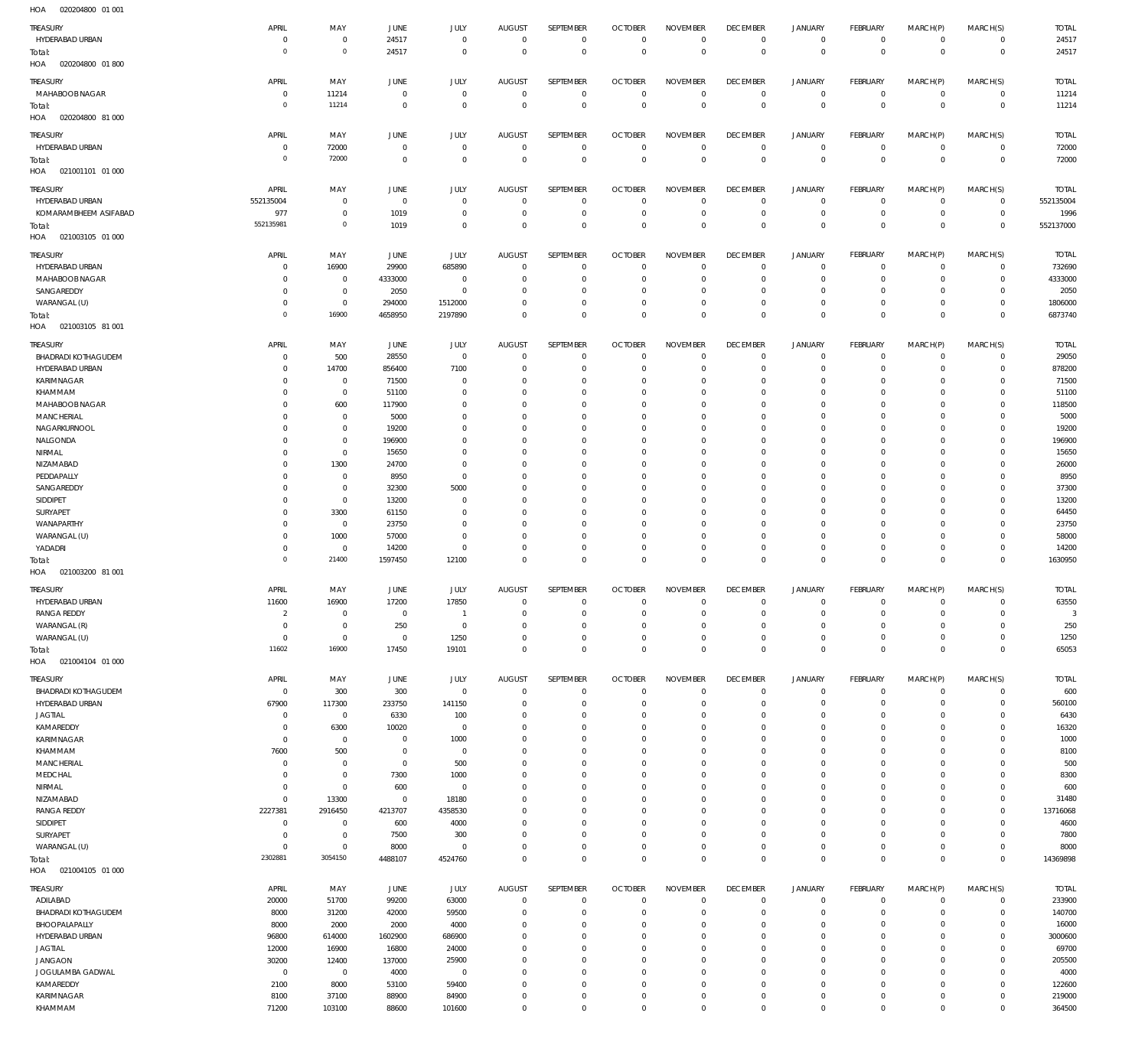| HOA<br>020204800 01 001    |                |                     |                |             |                |                  |                |                     |                 |                     |                |                |                |              |
|----------------------------|----------------|---------------------|----------------|-------------|----------------|------------------|----------------|---------------------|-----------------|---------------------|----------------|----------------|----------------|--------------|
| TREASURY                   | APRIL          | MAY                 | JUNE           | JULY        | <b>AUGUST</b>  | SEPTEMBER        | <b>OCTOBER</b> | <b>NOVEMBER</b>     | <b>DECEMBER</b> | <b>JANUARY</b>      | FEBRUARY       | MARCH(P)       | MARCH(S)       | <b>TOTAL</b> |
| HYDERABAD URBAN            | 0              | $\bf 0$             | 24517          | $\mathbf 0$ | $\overline{0}$ | 0                | $\overline{0}$ | $\mathbf 0$         | $\overline{0}$  | $\circ$             | $\overline{0}$ | $\mathbf{0}$   | $\overline{0}$ | 24517        |
|                            | $\mathbf 0$    | $\mathbf 0$         | 24517          | $\mathbf 0$ | $\overline{0}$ | $\mathbb O$      | $\mathbf 0$    | $\mathbf{0}$        | $\overline{0}$  | $\overline{0}$      | $\overline{0}$ | $\overline{0}$ | $\overline{0}$ | 24517        |
| Total:                     |                |                     |                |             |                |                  |                |                     |                 |                     |                |                |                |              |
| 020204800 01 800<br>HOA    |                |                     |                |             |                |                  |                |                     |                 |                     |                |                |                |              |
| TREASURY                   | APRIL          | MAY                 | JUNE           | JULY        | <b>AUGUST</b>  | SEPTEMBER        | <b>OCTOBER</b> | <b>NOVEMBER</b>     | <b>DECEMBER</b> | <b>JANUARY</b>      | FEBRUARY       | MARCH(P)       | MARCH(S)       | <b>TOTAL</b> |
| MAHABOOB NAGAR             | 0              | 11214               | $\overline{0}$ | $\bf 0$     | $\overline{0}$ | $\mathbf 0$      | $\overline{0}$ | $\overline{0}$      | $\overline{0}$  | $\circ$             | $\overline{0}$ | $\circ$        | $\overline{0}$ | 11214        |
| Total:                     | $\mathbf 0$    | 11214               | $\overline{0}$ | $\bf 0$     | $\overline{0}$ | $\bf 0$          | $\overline{0}$ | $\mathbf 0$         | $\overline{0}$  | $\mathbf 0$         | $\overline{0}$ | $\mathbf 0$    | $\overline{0}$ | 11214        |
| 020204800 81 000<br>HOA    |                |                     |                |             |                |                  |                |                     |                 |                     |                |                |                |              |
|                            |                |                     |                |             |                |                  |                |                     |                 |                     |                |                |                |              |
| TREASURY                   | APRIL          | MAY                 | <b>JUNE</b>    | JULY        | <b>AUGUST</b>  | SEPTEMBER        | <b>OCTOBER</b> | <b>NOVEMBER</b>     | <b>DECEMBER</b> | <b>JANUARY</b>      | FEBRUARY       | MARCH(P)       | MARCH(S)       | <b>TOTAL</b> |
| HYDERABAD URBAN            | $\mathbf 0$    | 72000               | $\mathbf 0$    | $\mathbf 0$ | $\overline{0}$ | $\mathbf 0$      | $\overline{0}$ | $\mathbf 0$         | $\overline{0}$  | $\mathbf 0$         | $\overline{0}$ | $\mathbf 0$    | $\overline{0}$ | 72000        |
| Total:                     | $\mathbf 0$    | 72000               | $\mathbf 0$    | $\mathbf 0$ | $\mathbf 0$    | $\mathbf 0$      | $\overline{0}$ | $\overline{0}$      | $\overline{0}$  | $\mathbf 0$         | $\overline{0}$ | $\mathbf 0$    | $\overline{0}$ | 72000        |
| HOA<br>021001101 01 000    |                |                     |                |             |                |                  |                |                     |                 |                     |                |                |                |              |
|                            |                |                     |                |             |                |                  |                |                     |                 |                     |                |                |                |              |
| TREASURY                   | APRIL          | MAY                 | <b>JUNE</b>    | JULY        | <b>AUGUST</b>  | SEPTEMBER        | <b>OCTOBER</b> | <b>NOVEMBER</b>     | <b>DECEMBER</b> | <b>JANUARY</b>      | FEBRUARY       | MARCH(P)       | MARCH(S)       | <b>TOTAL</b> |
| HYDERABAD URBAN            | 552135004      | 0                   | $\overline{0}$ | 0           | $\overline{0}$ | 0                | $\overline{0}$ | $\mathbf 0$         | $\overline{0}$  | $\mathbf 0$         | $\overline{0}$ | 0              | $\overline{0}$ | 552135004    |
| KOMARAMBHEEM ASIFABAD      | 977            | $\mathsf{O}\xspace$ | 1019           | 0           | $\mathbf 0$    | $\bf 0$          | $\overline{0}$ | $\mathbf 0$         | $\overline{0}$  | $\mathbf 0$         | $\overline{0}$ | $\mathbf 0$    | $\overline{0}$ | 1996         |
| Total:                     | 552135981      | $\mathbf 0$         | 1019           | $\bf 0$     | $\mathbf 0$    | $\mathbf 0$      | $\overline{0}$ | $\mathbf 0$         | $\overline{0}$  | $\mathbf 0$         | $\overline{0}$ | $\mathbf 0$    | $\overline{0}$ | 552137000    |
| 021003105 01 000<br>HOA    |                |                     |                |             |                |                  |                |                     |                 |                     |                |                |                |              |
|                            |                |                     |                |             |                |                  |                |                     |                 |                     |                |                |                |              |
| TREASURY                   | APRIL          | MAY                 | JUNE           | JULY        | <b>AUGUST</b>  | SEPTEMBER        | <b>OCTOBER</b> | <b>NOVEMBER</b>     | <b>DECEMBER</b> | <b>JANUARY</b>      | FEBRUARY       | MARCH(P)       | MARCH(S)       | <b>TOTAL</b> |
| HYDERABAD URBAN            | 0              | 16900               | 29900          | 685890      | $\mathbf 0$    | $\mathbf 0$      | $\overline{0}$ | $\mathbf 0$         | $\overline{0}$  | 0                   | $\mathbf 0$    | $\mathbf 0$    | $\circ$        | 732690       |
| MAHABOOB NAGAR             | 0              | 0                   | 4333000        | $\mathbf 0$ | 0              | $\mathbf 0$      | $\mathbf 0$    | $\Omega$            | $\mathbf 0$     | $\mathbf 0$         | $^{\circ}$     | $\mathbf 0$    | $\circ$        | 4333000      |
| SANGAREDDY                 | 0              | $\mathsf{O}\xspace$ | 2050           | $\mathbf 0$ | $\mathbf 0$    | $\mathbf 0$      | $\overline{0}$ | $\mathbf 0$         | $\overline{0}$  | $\mathbf 0$         | $^{\circ}$     | $\mathbf 0$    | $\mathbf{0}$   | 2050         |
| WARANGAL (U)               | 0              | $\mathsf{O}\xspace$ | 294000         | 1512000     | $\mathbf 0$    | $\mathbf 0$      | $\mathbf 0$    | $\mathbf 0$         | $\mathbf 0$     | $\mathbf 0$         | $\circ$        | $\circ$        | $\circ$        | 1806000      |
| Total:                     | $\mathbf 0$    | 16900               | 4658950        | 2197890     | $\Omega$       | $\mathbf 0$      | $\overline{0}$ | $\mathbf 0$         | $\overline{0}$  | $\mathbf 0$         | $\overline{0}$ | $\mathbf 0$    | $\overline{0}$ | 6873740      |
| HOA<br>021003105 81 001    |                |                     |                |             |                |                  |                |                     |                 |                     |                |                |                |              |
|                            |                |                     |                |             |                |                  |                |                     |                 |                     |                |                |                |              |
| TREASURY                   | APRIL          | MAY                 | JUNE           | JULY        | <b>AUGUST</b>  | SEPTEMBER        | <b>OCTOBER</b> | <b>NOVEMBER</b>     | <b>DECEMBER</b> | <b>JANUARY</b>      | FEBRUARY       | MARCH(P)       | MARCH(S)       | <b>TOTAL</b> |
| <b>BHADRADI KOTHAGUDEM</b> | $\mathbf 0$    | 500                 | 28550          | $\bf 0$     | $\mathbf 0$    | 0                | $\overline{0}$ | $\mathbf 0$         | $\overline{0}$  | 0                   | $\overline{0}$ | 0              | $\overline{0}$ | 29050        |
| HYDERABAD URBAN            | 0              | 14700               | 856400         | 7100        | $\mathbf 0$    | $\mathbf 0$      | $\overline{0}$ | $\mathbf 0$         | $\overline{0}$  | $\mathbf 0$         | $\overline{0}$ | $\circ$        | $\circ$        | 878200       |
| KARIMNAGAR                 | 0              | $\mathsf{O}\xspace$ | 71500          | $\mathbf 0$ | $\mathbf 0$    | $\mathbf 0$      | $\overline{0}$ | $\mathbf 0$         | $\overline{0}$  | 0                   | $\circ$        | $\circ$        | $\mathbf{0}$   | 71500        |
| KHAMMAM                    | 0              | $\mathsf{O}\xspace$ | 51100          | $\mathbf 0$ | $\mathbf 0$    | $\mathbf 0$      | $\mathbf 0$    | $\mathbf 0$         | $\mathbf 0$     | 0                   | $\mathbf{0}$   | $\Omega$       | $\mathbf{0}$   | 51100        |
|                            |                |                     |                |             |                | $\mathbf 0$      |                |                     | $\overline{0}$  | $\mathbf 0$         | $\mathbf{0}$   | $\Omega$       | $\mathbf{0}$   |              |
| MAHABOOB NAGAR             | 0              | 600                 | 117900         | $\mathbf 0$ | $\mathbf 0$    |                  | $\mathbf 0$    | $\mathbf 0$         |                 |                     |                |                |                | 118500       |
| MANCHERIAL                 | 0              | 0                   | 5000           | $\mathbf 0$ | $\mathbf 0$    | $\mathbf 0$      | $\mathbf 0$    | $\mathbf 0$         | $\mathbf 0$     | 0                   | $\mathbf{0}$   | 0              | $\mathbf{0}$   | 5000         |
| NAGARKURNOOL               | 0              | $\mathsf{O}\xspace$ | 19200          | $\mathbf 0$ | $\mathbf 0$    | $\mathbf 0$      | $\mathbf 0$    | $\mathbf 0$         | $\mathbf 0$     | $\circ$             | $\mathbf{0}$   | $\Omega$       | $\mathbf{0}$   | 19200        |
| NALGONDA                   | 0              | $\mathsf{O}\xspace$ | 196900         | $\mathbf 0$ | $\mathbf 0$    | $\mathbf 0$      | $\mathbf 0$    | $\mathbf 0$         | $\mathbf 0$     | 0                   | $\mathbf{0}$   | 0              | $\circ$        | 196900       |
| NIRMAL                     | 0              | $\mathsf{O}\xspace$ | 15650          | $\mathbf 0$ | $\mathbf 0$    | $\mathbf 0$      | $\mathbf 0$    | $\mathbf 0$         | $\mathbf 0$     | $\mathbf 0$         | $\mathbf{0}$   | $\Omega$       | $\mathbf{0}$   | 15650        |
| NIZAMABAD                  | 0              | 1300                | 24700          | $\mathbf 0$ | $\mathbf 0$    | $\mathbf 0$      | $\mathbf 0$    | $\mathbf 0$         | $\mathbf 0$     | $\circ$             | $\mathbf{0}$   | $\Omega$       | $\mathbf{0}$   | 26000        |
| PEDDAPALLY                 | 0              | $\bf 0$             | 8950           | $\mathbf 0$ | $\mathbf 0$    | $\mathbf 0$      | $\mathbf 0$    | $\mathbf 0$         | $\mathbf 0$     | $\circ$             | $\mathbf{0}$   | $\circ$        | $\mathbf{0}$   | 8950         |
| SANGAREDDY                 | $\mathbf 0$    | $\bf 0$             | 32300          | 5000        | $\mathbf 0$    | $\mathbf 0$      | $\mathbf 0$    | $\Omega$            | $\mathbf 0$     | $\circ$             | $\mathbf{0}$   | $\Omega$       | $\mathbf{0}$   | 37300        |
| SIDDIPET                   | 0              | $\mathsf{O}\xspace$ | 13200          | $\mathbf 0$ | $\mathbf 0$    | $\mathbf 0$      | $\mathbf 0$    | $\mathbf 0$         | $\mathbf 0$     | $\mathbf 0$         | $\mathbf{0}$   | $\circ$        | $\mathbf{0}$   | 13200        |
| SURYAPET                   | 0              | 3300                | 61150          | $\mathbf 0$ | $\mathbf 0$    | $\mathbf 0$      | $\mathbf 0$    | $\mathbf 0$         | $\mathbf 0$     | $\circ$             | $\mathbf{0}$   | $\Omega$       | $\mathbf{0}$   | 64450        |
|                            |                |                     |                | $\mathbf 0$ | $\mathbf 0$    | $\mathbf 0$      | $\mathbf 0$    | $\mathbf 0$         | $\overline{0}$  | $\mathbf 0$         | $\mathbf{0}$   | $\mathbf 0$    | $\mathbf{0}$   |              |
| WANAPARTHY                 | 0              | 0                   | 23750          |             |                |                  |                |                     |                 |                     |                |                |                | 23750        |
| WARANGAL (U)               | 0              | 1000                | 57000          | $\mathbf 0$ | $\mathbf 0$    | $\mathbf 0$      | $\mathbf 0$    | $\mathbf 0$         | $\overline{0}$  | $\mathbf 0$         | $\circ$        | $\mathbf 0$    | $\circ$        | 58000        |
| YADADRI                    | $\mathbf 0$    | 0                   | 14200          | $\mathbf 0$ | $\mathbf 0$    | $\mathbf 0$      | $\overline{0}$ | $\mathbf 0$         | $\overline{0}$  | $\mathbf 0$         | $\circ$        | $\mathbf 0$    | $\mathbf{0}$   | 14200        |
| Total:                     | $\mathbf 0$    | 21400               | 1597450        | 12100       | $\overline{0}$ | $\mathbf 0$      | $\overline{0}$ | $\mathbf 0$         | $\overline{0}$  | $\bf 0$             | $\overline{0}$ | $\mathbf 0$    | $\overline{0}$ | 1630950      |
| 021003200 81 001<br>HOA    |                |                     |                |             |                |                  |                |                     |                 |                     |                |                |                |              |
| TREASURY                   | APRIL          | MAY                 | JUNE           | JULY        | <b>AUGUST</b>  | <b>SEPTEMBER</b> | <b>OCTOBER</b> | <b>NOVEMBER</b>     | <b>DECEMBER</b> | <b>JANUARY</b>      | FEBRUARY       | MARCH(P)       | MARCH(S)       | <b>TOTAL</b> |
| HYDERABAD URBAN            | 11600          | 16900               | 17200          | 17850       | $\mathbf 0$    | 0                | $\mathbf 0$    | 0                   | $\mathbf 0$     | $\mathbf 0$         | $\circ$        | 0              | $\overline{0}$ | 63550        |
|                            |                |                     |                |             |                |                  |                |                     |                 |                     |                |                |                |              |
| <b>RANGA REDDY</b>         | $\overline{2}$ | $\bf 0$             | $\mathbf 0$    | -1          | $\mathbf 0$    | $\mathbf 0$      | $\overline{0}$ | $\mathbf 0$         | $\mathbf 0$     | $\mathbf 0$         | $\mathbf{0}$   | $\mathbf 0$    | $\mathbf 0$    | -3           |
| WARANGAL (R)               | 0              | $\mathsf{O}\xspace$ | 250            | $\bf 0$     | $\mathbf 0$    | $\mathbf 0$      | $\mathbf 0$    | $\mathbf 0$         | $\mathbf 0$     | $\mathbf 0$         | $\mathbf{0}$   | $\mathbf 0$    | $\circ$        | 250          |
| WARANGAL (U)               | 0              | $\mathsf{O}\xspace$ | $\mathbf 0$    | 1250        | $\mathbf 0$    | $\bf 0$          | $\mathbf 0$    | $\mathbf 0$         | $\mathbf 0$     | $\mathbf 0$         | $\circ$        | $\mathbf 0$    | $\circ$        | 1250         |
| Total:                     | 11602          | 16900               | 17450          | 19101       | $\mathbf 0$    | $\mathbf 0$      | $\overline{0}$ | $\mathbf 0$         | $\overline{0}$  | $\mathbf 0$         | $\overline{0}$ | $\mathbf 0$    | $\overline{0}$ | 65053        |
| HOA<br>021004104 01 000    |                |                     |                |             |                |                  |                |                     |                 |                     |                |                |                |              |
|                            |                |                     |                |             | AUGUST         | SEPTEMBER        | <b>OCTOBER</b> | <b>NOVEMBER</b>     | <b>DECEMBER</b> | <b>JANUARY</b>      | FEBRUARY       | MARCH(P)       | MARCH(S)       | <b>TOTAL</b> |
| TREASURY                   | APRIL          | MAY                 | JUNE           | <b>JULY</b> |                |                  |                |                     |                 |                     |                |                |                |              |
| <b>BHADRADI KOTHAGUDEM</b> | $\mathbf 0$    | 300                 | 300            | $\bf 0$     | $\overline{0}$ | $\bf 0$          | $\overline{0}$ | $\mathbf 0$         | $\overline{0}$  | $\mathbf 0$         | $\overline{0}$ | $\mathbf 0$    | $\overline{0}$ | 600          |
| HYDERABAD URBAN            | 67900          | 117300              | 233750         | 141150      | $\mathbf 0$    | $\bf 0$          | $\overline{0}$ | $\mathbf 0$         | $\overline{0}$  | $\mathbf 0$         | $\overline{0}$ | $\mathbf 0$    | $\circ$        | 560100       |
| <b>JAGTIAL</b>             | 0              | $\mathbf 0$         | 6330           | 100         | $\mathbf 0$    | $\bf 0$          | $\overline{0}$ | $\mathbf 0$         | $\overline{0}$  | $\mathbf 0$         | $\circ$        | $\mathbf 0$    | $\circ$        | 6430         |
| KAMAREDDY                  | 0              | 6300                | 10020          | $\mathbf 0$ | $\mathbf 0$    | $\bf 0$          | $\overline{0}$ | $\mathbf 0$         | $\overline{0}$  | $\mathbf 0$         | $\mathbf{0}$   | $\mathbf 0$    | $\circ$        | 16320        |
| KARIMNAGAR                 | $\mathbf 0$    | $\mathsf{O}\xspace$ | $\overline{0}$ | 1000        | $\mathbf 0$    | $\mathbf 0$      | $\overline{0}$ | $\mathbf 0$         | $\overline{0}$  | $\mathbf 0$         | $\circ$        | $\mathbf 0$    | $\circ$        | 1000         |
| KHAMMAM                    | 7600           | 500                 | $\overline{0}$ | 0           | $\mathbf 0$    | $\mathbf 0$      | $\overline{0}$ | $\mathbf 0$         | $\mathbf 0$     | $\mathbf 0$         | $\mathbf{0}$   | $\mathbf 0$    | $\circ$        | 8100         |
| MANCHERIAL                 | 0              | $\mathsf{O}\xspace$ | $\overline{0}$ | 500         | $\mathbf 0$    | $\mathbf 0$      | $\overline{0}$ | $\mathbf 0$         | $\overline{0}$  | $\mathbf 0$         | $\mathbf{0}$   | $\mathbf 0$    | $\mathbf{0}$   | 500          |
| MEDCHAL                    | 0              | $\mathbf 0$         | 7300           | 1000        | $\mathbf 0$    | $\bf 0$          | $\overline{0}$ | $\mathbf 0$         | $\overline{0}$  | $\mathbf 0$         | $\circ$        | $\mathbf 0$    | $\circ$        | 8300         |
| NIRMAL                     | 0              | $\mathsf{O}\xspace$ | 600            | $\mathbf 0$ | $\mathbf 0$    | $\mathbf 0$      | $\overline{0}$ | $\mathbf 0$         | $\overline{0}$  | $\mathbf 0$         | $\mathbf{0}$   | $\Omega$       | $\mathbf{0}$   | 600          |
| NIZAMABAD                  | $\bf 0$        | 13300               | $\overline{0}$ | 18180       | $\mathbf 0$    | $\mathbf 0$      | $\overline{0}$ | $\mathbf 0$         | $\overline{0}$  | $\mathbf 0$         | $\circ$        | $\mathbf 0$    | $\circ$        | 31480        |
| <b>RANGA REDDY</b>         | 2227381        | 2916450             | 4213707        | 4358530     | $\mathbf 0$    | $\mathbf 0$      | $\mathbf 0$    | $\mathbf 0$         | $\mathbf 0$     | $\mathbf 0$         | $\mathbf{0}$   | $\mathbf 0$    | $\mathbf{0}$   | 13716068     |
| SIDDIPET                   | $\bf 0$        | $\mathbb O$         | 600            | 4000        | $\mathbf 0$    | $\mathbf 0$      | $\overline{0}$ | $\mathbf 0$         | $\overline{0}$  | $\mathbf 0$         | $\mathbf{0}$   | $\mathbf 0$    | $\mathbf{0}$   | 4600         |
| SURYAPET                   | $\overline{0}$ | $\mathsf{O}\xspace$ | 7500           | 300         | $\mathbf 0$    | $\mathbf 0$      | $\overline{0}$ | $\mathbf 0$         | $\overline{0}$  | $\mathbf 0$         | $\circ$        | $\mathbf 0$    | $\mathbf{0}$   | 7800         |
|                            |                |                     |                |             |                |                  |                |                     |                 |                     |                |                |                |              |
| WARANGAL (U)               | 0              | $\mathsf{O}\xspace$ | 8000           | $\mathbf 0$ | $\mathbf 0$    | $\bf 0$          | $\overline{0}$ | $\mathbf 0$         | $\overline{0}$  | $\mathbf 0$         | $\circ$        | $\mathbf 0$    | $\overline{0}$ | 8000         |
| Total:                     | 2302881        | 3054150             | 4488107        | 4524760     | $\mathbf 0$    | $\mathbf 0$      | $\overline{0}$ | $\bf 0$             | $\,0\,$         | $\bf 0$             | $\overline{0}$ | $\mathbb O$    | $\overline{0}$ | 14369898     |
| HOA  021004105  01  000    |                |                     |                |             |                |                  |                |                     |                 |                     |                |                |                |              |
| TREASURY                   | APRIL          | MAY                 | JUNE           | <b>JULY</b> | AUGUST         | SEPTEMBER        | <b>OCTOBER</b> | <b>NOVEMBER</b>     | <b>DECEMBER</b> | <b>JANUARY</b>      | FEBRUARY       | MARCH(P)       | MARCH(S)       | <b>TOTAL</b> |
|                            |                | 51700               |                |             | $\mathbf 0$    | $\mathbf 0$      | $\overline{0}$ | $\mathbf 0$         | $\overline{0}$  | $\mathbf 0$         | $\circ$        | $\mathbf 0$    | $\circ$        | 233900       |
| ADILABAD                   | 20000          |                     | 99200          | 63000       |                |                  |                |                     |                 |                     |                |                |                |              |
| <b>BHADRADI KOTHAGUDEM</b> | 8000           | 31200               | 42000          | 59500       | $\mathbf 0$    | $\mathbf 0$      | $\overline{0}$ | $\mathbf 0$         | $\mathbf 0$     | $\mathbf 0$         | $\circ$        | $\mathbf 0$    | $\circ$        | 140700       |
| BHOOPALAPALLY              | 8000           | 2000                | 2000           | 4000        | $\mathbf 0$    | $\mathbf 0$      | $\mathbf 0$    | $\mathbf 0$         | $\mathbf 0$     | $\mathbf 0$         | $\circ$        | $\mathbf 0$    | $\mathbf 0$    | 16000        |
| HYDERABAD URBAN            | 96800          | 614000              | 1602900        | 686900      | $\Omega$       | $\mathbf 0$      | $\mathbf 0$    | $\mathbf 0$         | $\mathbf 0$     | $\mathbf 0$         | $\mathbf 0$    | $\Omega$       | $\mathbf{0}$   | 3000600      |
| <b>JAGTIAL</b>             | 12000          | 16900               | 16800          | 24000       | $\mathbf 0$    | $\mathbf 0$      | $\mathbf 0$    | $\mathbf 0$         | $\mathbf 0$     | $\mathbf 0$         | $\mathbf 0$    | $\Omega$       | $\mathbf 0$    | 69700        |
| JANGAON                    | 30200          | 12400               | 137000         | 25900       | $\mathbf 0$    | $\mathbf 0$      | $\mathbf 0$    | $\mathbf 0$         | $\mathbf 0$     | $\mathbf 0$         | $\mathbf 0$    | $\Omega$       | $\mathbf 0$    | 205500       |
| JOGULAMBA GADWAL           |                |                     |                |             |                |                  |                |                     |                 |                     |                |                |                |              |
|                            | $\mathbf{0}$   | $\bf 0$             | 4000           | $\mathbf 0$ | $\mathbf 0$    | $\mathbf 0$      | $\mathbf 0$    | $\Omega$            | $\mathbf 0$     | $\mathbf 0$         | $\mathbf{0}$   | $\Omega$       | $\mathbf{0}$   | 4000         |
| KAMAREDDY                  | 2100           | 8000                | 53100          | 59400       | $\mathbf 0$    | $\mathbf 0$      | $\mathbf 0$    | $\mathbf 0$         | $\overline{0}$  | $\mathbf 0$         | $^{\circ}$     | $\mathbf 0$    | $\mathbf{0}$   | 122600       |
| KARIMNAGAR                 | 8100           | 37100               | 88900          | 84900       | $\mathbf 0$    | $\bf 0$          | 0              | $\mathbf 0$         | $\mathbf 0$     | $\mathbf 0$         | $\mathbf 0$    | $\mathbf 0$    | $\mathbf 0$    | 219000       |
| KHAMMAM                    | 71200          | 103100              | 88600          | 101600      | $\mathbf 0$    | $\mathbf 0$      | $\mathbf 0$    | $\mathsf{O}\xspace$ | $\mathbf{0}$    | $\mathsf{O}\xspace$ | $\mathbf 0$    | $\mathbf 0$    | $\mathbf{0}$   | 364500       |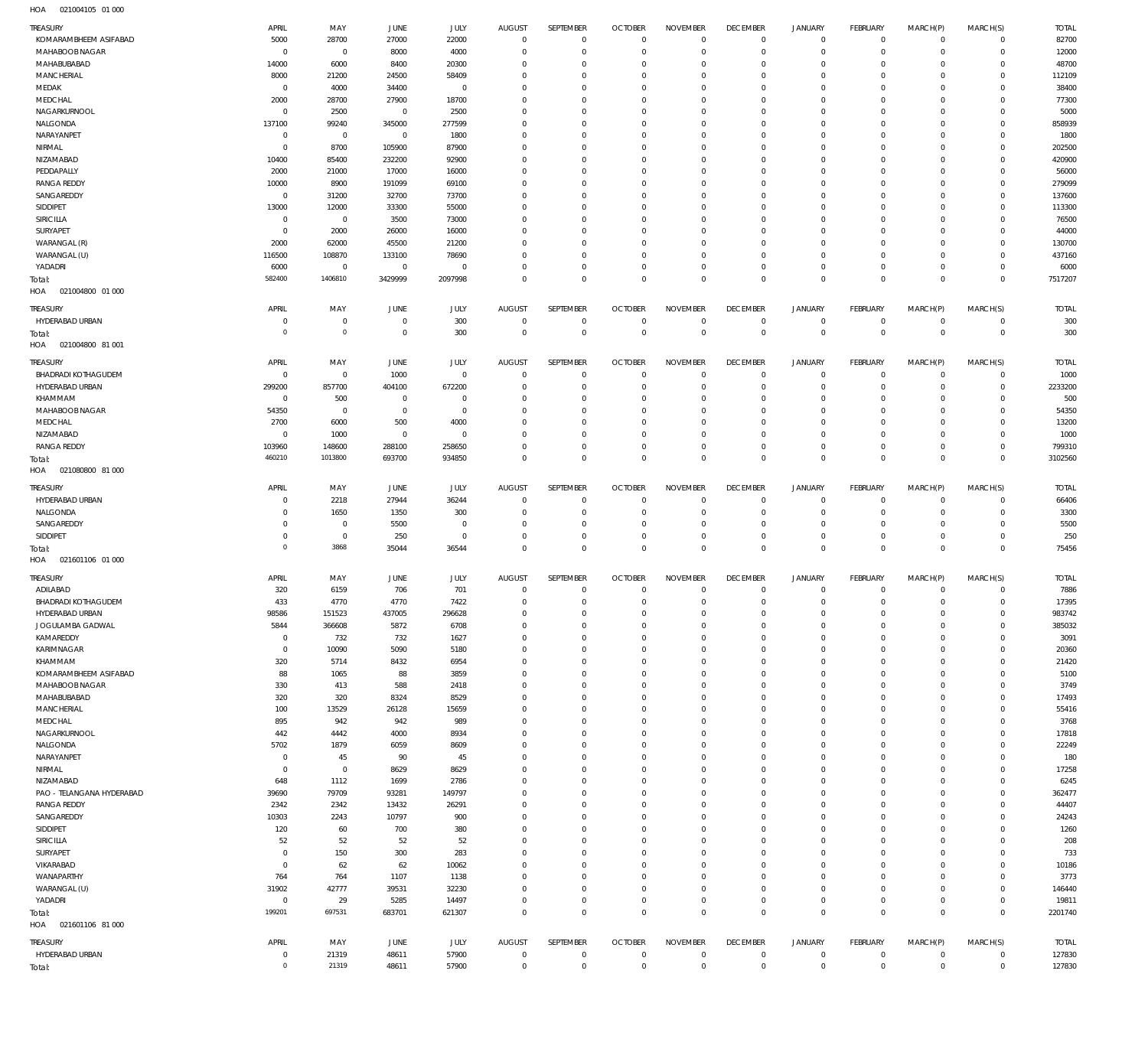| TREASURY                               | APRIL                      | MAY                 | <b>JUNE</b>      | JULY           | <b>AUGUST</b>              | SEPTEMBER                  | <b>OCTOBER</b>                   | <b>NOVEMBER</b>            | <b>DECEMBER</b>             | JANUARY                       | <b>FEBRUARY</b>            | MARCH(P)               | MARCH(S)                | <b>TOTAL</b>     |
|----------------------------------------|----------------------------|---------------------|------------------|----------------|----------------------------|----------------------------|----------------------------------|----------------------------|-----------------------------|-------------------------------|----------------------------|------------------------|-------------------------|------------------|
| KOMARAMBHEEM ASIFABAD                  | 5000                       | 28700               | 27000            | 22000          | $\mathbf 0$                | $\overline{0}$             | $\overline{0}$                   | $\mathbf 0$                | $\mathbf 0$                 | $\overline{0}$                | $\mathbf 0$                | $\Omega$               | $\Omega$                | 82700            |
| MAHABOOB NAGAR                         | C                          | $\mathbf 0$         | 8000             | 4000           | $\mathbf 0$                | $\mathbf 0$                | $\overline{0}$                   | $\mathbf 0$                | $\mathbf{0}$                | $\mathbf 0$                   | $\mathbf 0$                | $\Omega$               | $\Omega$                | 12000            |
| MAHABUBABAD                            | 14000                      | 6000                | 8400             | 20300          | $\Omega$                   | $\Omega$                   | $\overline{0}$                   | $\Omega$                   | $^{\circ}$                  | $\mathbf 0$                   | $\mathbf 0$                | $\Omega$               | $\Omega$                | 48700            |
| <b>MANCHERIAL</b>                      | 8000                       | 21200               | 24500            | 58409          | $\Omega$                   | $\mathbf 0$                | $\mathbf 0$                      | $\mathbf 0$                | $\mathbf 0$                 | $\mathbf 0$                   | $^{\circ}$                 | $\Omega$               | $\Omega$                | 112109           |
| MEDAK                                  | $\overline{0}$             | 4000                | 34400            | $\mathbf 0$    | $\Omega$                   | $\Omega$                   | $\overline{0}$                   | $\Omega$                   | $\mathbf 0$                 | $\mathbf 0$                   | $\mathbf 0$                | $\Omega$               | $\Omega$                | 38400            |
| MEDCHAL                                | 2000                       | 28700               | 27900            | 18700          | $\mathbf 0$                | $\mathbf 0$                | $\mathbf 0$                      | $\mathbf 0$                | $\mathbf 0$                 | 0                             | $^{\circ}$                 | $\Omega$               | $\Omega$                | 77300            |
| NAGARKURNOOL                           | $\overline{0}$             | 2500                | $\mathbf 0$      | 2500           | $\Omega$                   | $\Omega$                   | $\mathbf 0$                      | $\Omega$                   | $\mathbf 0$                 | $\mathbf 0$                   | $\mathbf 0$                | $\Omega$               | $\Omega$                | 5000             |
| NALGONDA                               | 137100                     | 99240               | 345000           | 277599         | $\Omega$                   | $\Omega$                   | $\mathbf 0$                      | $\mathbf 0$                | $\mathbf 0$                 | $\Omega$                      | $\mathbf{0}$               | $\Omega$               | $\Omega$                | 858939           |
| NARAYANPET                             | $\overline{0}$<br>$\Omega$ | $\mathbf 0$         | $\mathbf 0$      | 1800           | $\Omega$<br>$\Omega$       | $\Omega$<br>$\Omega$       | $\mathbf 0$<br>$\overline{0}$    | $\Omega$                   | $\mathbf 0$                 | 0<br>$\Omega$                 | $\mathbf 0$                | $\Omega$               | $\Omega$<br>$\Omega$    | 1800             |
| NIRMAL<br>NIZAMABAD                    | 10400                      | 8700<br>85400       | 105900<br>232200 | 87900<br>92900 | $\Omega$                   | $\Omega$                   | $\mathbf 0$                      | $\mathbf 0$<br>$\Omega$    | $\mathbf 0$<br>$\mathbf 0$  | 0                             | $^{\circ}$<br>$\mathbf 0$  | $\Omega$<br>$\Omega$   | $\Omega$                | 202500<br>420900 |
| PEDDAPALLY                             | 2000                       | 21000               | 17000            | 16000          | $\Omega$                   | $\Omega$                   | $\mathbf 0$                      | $\Omega$                   | $\mathbf 0$                 | $\Omega$                      | $\mathbf{0}$               | $\Omega$               | $\Omega$                | 56000            |
| <b>RANGA REDDY</b>                     | 10000                      | 8900                | 191099           | 69100          | $\Omega$                   | $\mathbf 0$                | $\mathbf 0$                      | $\Omega$                   | $\mathbf 0$                 | $\mathbf 0$                   | $\mathbf{0}$               | $\Omega$               | $\Omega$                | 279099           |
| SANGAREDDY                             | $\overline{0}$             | 31200               | 32700            | 73700          | $\Omega$                   | $\Omega$                   | $\mathbf 0$                      | $\Omega$                   | $\mathbf 0$                 | $\Omega$                      | $^{\circ}$                 | $\Omega$               | $\Omega$                | 137600           |
| SIDDIPET                               | 13000                      | 12000               | 33300            | 55000          | $\Omega$                   | $\Omega$                   | $\overline{0}$                   | $\Omega$                   | $\mathbf 0$                 | $\mathbf 0$                   | $\mathbf 0$                | $\Omega$               | $\Omega$                | 113300           |
| SIRICILLA                              | $\overline{0}$             | $\mathbf 0$         | 3500             | 73000          | $\Omega$                   | $\Omega$                   | $\Omega$                         | $\Omega$                   | $\Omega$                    | $\Omega$                      | $\mathbf{0}$               | $\Omega$               | $\Omega$                | 76500            |
| SURYAPET                               | $\Omega$                   | 2000                | 26000            | 16000          | $\Omega$                   | $\Omega$                   | $\overline{0}$                   | $\Omega$                   | $\mathbf 0$                 | $\mathbf 0$                   | $^{\circ}$                 | $\Omega$               | $\Omega$                | 44000            |
| WARANGAL (R)                           | 2000                       | 62000               | 45500            | 21200          | $\Omega$                   | $\Omega$                   | $\mathbf 0$                      | $\mathbf 0$                | $\mathbf 0$                 | 0                             | $^{\circ}$                 | $\Omega$               | $\Omega$                | 130700           |
| WARANGAL (U)                           | 116500                     | 108870              | 133100           | 78690          | $\Omega$                   | $\Omega$                   | $\overline{0}$                   | $\Omega$                   | $^{\circ}$                  | $\mathbf 0$                   | $\mathbf 0$                | $\Omega$               | $\Omega$                | 437160           |
| YADADRI                                | 6000                       | $\mathbf 0$         | $\circ$          | $^{\circ}$     | $\Omega$                   | $\mathbf 0$                | $\mathbf 0$                      | $\mathbf 0$                | $\mathbf 0$                 | $\mathbf 0$                   | $\mathbf 0$                | $\Omega$               | $\circ$                 | 6000             |
| Total:                                 | 582400                     | 1406810             | 3429999          | 2097998        | $\Omega$                   | $\Omega$                   | $\Omega$                         | $\Omega$                   | $\mathbf 0$                 | $\mathbf 0$                   | $\overline{0}$             | $\Omega$               | $\overline{0}$          | 7517207          |
| HOA<br>021004800 01 000                |                            |                     |                  |                |                            |                            |                                  |                            |                             |                               |                            |                        |                         |                  |
| TREASURY                               | APRIL                      | MAY                 | JUNE             | <b>JULY</b>    | <b>AUGUST</b>              | SEPTEMBER                  | <b>OCTOBER</b>                   | <b>NOVEMBER</b>            | <b>DECEMBER</b>             | <b>JANUARY</b>                | <b>FEBRUARY</b>            | MARCH(P)               | MARCH(S)                | <b>TOTAL</b>     |
| HYDERABAD URBAN                        | C                          | $\overline{0}$      | $\mathbf 0$      | 300            | $\mathbf 0$                | $\mathbf 0$                | $\mathbf 0$                      | $\mathbf 0$                | $\mathbf 0$                 | $\mathbf 0$                   | $\circ$                    | $\circ$                | $\mathbf 0$             | 300              |
| Total:                                 | $^{\circ}$                 | $\mathsf{O}\xspace$ | $\mathbf 0$      | 300            | $\mathbf 0$                | $\mathbf 0$                | $\overline{0}$                   | $\overline{0}$             | $\overline{0}$              | $\overline{0}$                | $\mathbf 0$                | $\Omega$               | $\mathbf 0$             | 300              |
| HOA<br>021004800 81 001                |                            |                     |                  |                |                            |                            |                                  |                            |                             |                               |                            |                        |                         |                  |
| TREASURY                               | APRIL                      | MAY                 | JUNE             | JULY           | <b>AUGUST</b>              | SEPTEMBER                  | <b>OCTOBER</b>                   | <b>NOVEMBER</b>            | <b>DECEMBER</b>             | <b>JANUARY</b>                | <b>FEBRUARY</b>            | MARCH(P)               | MARCH(S)                | <b>TOTAL</b>     |
| <b>BHADRADI KOTHAGUDEM</b>             | $\overline{0}$             | $\mathbf 0$         | 1000             | $\mathbf 0$    | $\mathbf 0$                | $\mathbf 0$                | $\overline{0}$                   | $\mathbf 0$                | $\mathbf 0$                 | $\overline{0}$                | $^{\circ}$                 | $\Omega$               | $\Omega$                | 1000             |
| HYDERABAD URBAN                        | 299200                     | 857700              | 404100           | 672200         | $\mathbf 0$                | $\mathbf 0$                | $\overline{0}$                   | $\mathbf 0$                | $\mathbf{0}$                | $\mathbf 0$                   | $\mathbf 0$                | $\Omega$               | $\circ$                 | 2233200          |
| KHAMMAM                                | $\overline{0}$             | 500                 | $^{\circ}$       | $\overline{0}$ | $\mathbf 0$                | $\mathbf 0$                | $\overline{0}$                   | $\mathbf 0$                | $^{\circ}$                  | $\mathbf 0$                   | $\mathbf 0$                | $\Omega$               | $\Omega$                | 500              |
| MAHABOOB NAGAR                         | 54350                      | $\mathbf 0$         | $\overline{0}$   | $\mathbf 0$    | $\Omega$                   | $\Omega$                   | $\Omega$                         | $\Omega$                   | $\mathbf 0$                 | $\Omega$                      | $^{\circ}$                 | $\Omega$               | $\Omega$                | 54350            |
| MEDCHAL                                | 2700                       | 6000                | 500              | 4000           | $\mathbf 0$                | $\mathbf 0$                | $^{\circ}$                       | $\mathbf 0$                | $^{\circ}$                  | $\mathbf 0$                   | $\circ$                    | $\Omega$               | $\Omega$                | 13200            |
| NIZAMABAD                              | $\overline{0}$             | 1000                | 0                | $^{\circ}$     | $\Omega$                   | $\Omega$                   | $\mathbf 0$                      | $\Omega$                   | $\mathbf 0$                 | $\mathbf 0$                   | $\mathbf 0$                | $\Omega$               | $\Omega$                | 1000             |
| <b>RANGA REDDY</b>                     | 103960                     | 148600              | 288100           | 258650         | $\Omega$                   | $\mathbf 0$                | $\overline{0}$                   | $\mathbf 0$                | $\mathbf{0}$                | $\mathbf 0$                   | $\mathbf 0$                | $\Omega$               | $\circ$                 | 799310           |
| Total:                                 | 460210                     | 1013800             | 693700           | 934850         | $\Omega$                   | $\mathbf 0$                | $\overline{0}$                   | $\mathbf 0$                | $\mathbf{0}$                | $\mathbf 0$                   | $\overline{0}$             | $\Omega$               | $\mathbf 0$             | 3102560          |
| HOA<br>021080800 81 000                |                            |                     |                  |                |                            |                            |                                  |                            |                             |                               |                            |                        |                         |                  |
| TREASURY                               | APRIL                      | MAY                 | JUNE             | JULY           | <b>AUGUST</b>              | SEPTEMBER                  | <b>OCTOBER</b>                   | <b>NOVEMBER</b>            | <b>DECEMBER</b>             | <b>JANUARY</b>                | <b>FEBRUARY</b>            | MARCH(P)               | MARCH(S)                | <b>TOTAL</b>     |
| HYDERABAD URBAN                        | C                          | 2218                | 27944            | 36244          | $\mathbf 0$                | $\mathbf 0$                | $\overline{0}$                   | $\Omega$                   | $^{\circ}$                  | $\overline{0}$                | $^{\circ}$                 | $\Omega$               | $\mathbf 0$             | 66406            |
| NALGONDA                               | -C                         | 1650                | 1350             | 300            | 0                          | $\mathbf 0$                | $\mathbf 0$                      | $\mathbf 0$                | $\mathbf 0$                 | $\mathbf 0$                   | $^{\circ}$                 | $\Omega$               | $\Omega$                | 3300             |
| SANGAREDDY                             | 0                          | $\overline{0}$      | 5500             | $\Omega$       | $\Omega$                   | $\Omega$                   | $\mathbf 0$                      | $\Omega$                   | $^{\circ}$                  | $\mathbf 0$                   | $\circ$                    | $\Omega$               | $\Omega$                | 5500             |
| SIDDIPET                               | $\Omega$                   | $\mathbf 0$         | 250              | $^{\circ}$     | $\Omega$                   | $\mathbf 0$                | $\mathbf 0$                      | $\mathbf 0$                | $\mathbf 0$                 | $\mathbf 0$                   | $\mathbf 0$                | $\Omega$               | $\Omega$                | 250              |
| Total:                                 | $\circ$                    | 3868                | 35044            | 36544          | $\Omega$                   | $\Omega$                   | $\Omega$                         | $\Omega$                   | $\Omega$                    | $\mathbf 0$                   | $\overline{0}$             | $\Omega$               | $\mathbf 0$             | 75456            |
| HOA<br>021601106 01 000                |                            |                     |                  |                |                            |                            |                                  |                            |                             |                               |                            |                        |                         |                  |
| TREASURY                               | APRIL                      | MAY                 | JUNE             | JULY           | <b>AUGUST</b>              | SEPTEMBER                  | <b>OCTOBER</b>                   | <b>NOVEMBER</b>            | <b>DECEMBER</b>             | <b>JANUARY</b>                | <b>FEBRUARY</b>            | MARCH(P)               | MARCH(S)                | <b>TOTAL</b>     |
| ADILABAD                               | 320                        | 6159                | 706              | 701            | $\mathbf 0$                | $\mathbf 0$                | $^{\circ}$                       | $\mathbf 0$                | $\mathbf 0$                 | $\circ$                       | $\mathbf 0$                | $\circ$                | $\Omega$                | 7886             |
| <b>BHADRADI KOTHAGUDEM</b>             | 433                        | 4770                | 4770             | 7422           | $\mathbf 0$                | $\mathbf 0$                | $\overline{0}$                   | $\mathbf 0$                | $\overline{0}$              | $\overline{0}$                | $\mathbf 0$                | $\mathbf{0}$           | $\circ$                 | 17395            |
| HYDERABAD URBAN                        | 98586                      | 151523              | 437005           | 296628         | $\Omega$                   | $\Omega$                   | $\Omega$                         | 0                          | $\mathbf 0$                 | 0                             | $^{\circ}$                 | $\Omega$               | $\Omega$                | 983742           |
| JOGULAMBA GADWAL<br>KAMAREDDY          | 5844                       | 366608              | 5872             | 6708           | $\mathbf 0$<br>$\mathbf 0$ | $\mathbf 0$<br>$\mathbf 0$ | $\overline{0}$<br>$\overline{0}$ | $\mathbf 0$<br>$\mathbf 0$ | $\mathbf 0$<br>$\mathbf 0$  | $\mathbf 0$                   | $\mathbf 0$                | $^{\circ}$<br>$\Omega$ | $\Omega$<br>$\mathbf 0$ | 385032           |
| KARIMNAGAR                             | $\mathbf 0$<br>$^{\circ}$  | 732<br>10090        | 732<br>5090      | 1627<br>5180   | $\mathbf 0$                | $\mathbf 0$                | $\mathbf 0$                      | $\mathbf 0$                | $\mathbf{0}$                | $\overline{0}$<br>$\mathbf 0$ | $\mathbb O$<br>$\mathbf 0$ | $\Omega$               | $\Omega$                | 3091<br>20360    |
| KHAMMAM                                | 320                        | 5714                | 8432             | 6954           | $\Omega$                   | $\Omega$                   | $\overline{0}$                   | $\mathbf 0$                | $\mathbf{0}$                | $\mathbf 0$                   | $\mathbf 0$                | $\Omega$               | $\circ$                 | 21420            |
| KOMARAMBHEEM ASIFABAD                  | 88                         | 1065                | 88               | 3859           | $\mathbf 0$                | $\mathbf 0$                | $\overline{0}$                   | $\mathbf 0$                | $\mathbf{0}$                | $\mathbf 0$                   | $\mathbf 0$                | $\Omega$               | $\circ$                 | 5100             |
| MAHABOOB NAGAR                         | 330                        | 413                 | 588              | 2418           | $\Omega$                   | $\Omega$                   | $\overline{0}$                   | $\Omega$                   | $\mathbf{0}$                | $\mathbf 0$                   | $\mathbf 0$                | $\Omega$               | $\circ$                 | 3749             |
| MAHABUBABAD                            | 320                        | 320                 | 8324             | 8529           | $\mathbf 0$                | $\mathbf 0$                | $\overline{0}$                   | $\mathbf 0$                | $\mathbf 0$                 | $\mathbf 0$                   | $\mathbf 0$                | $\Omega$               | $\Omega$                | 17493            |
| <b>MANCHERIAL</b>                      | 100                        | 13529               | 26128            | 15659          | $\Omega$                   | $\Omega$                   | $\overline{0}$                   | $\Omega$                   | $\mathbf{0}$                | $\mathbf 0$                   | $\mathbf 0$                | $\Omega$               | $\circ$                 | 55416            |
| MEDCHAL                                | 895                        | 942                 | 942              | 989            | $\Omega$                   | $\mathbf 0$                | $\overline{0}$                   | $\mathbf 0$                | $\mathbf{0}$                | $\mathbf 0$                   | $\mathbf 0$                | $\Omega$               | $\circ$                 | 3768             |
| NAGARKURNOOL                           | 442                        | 4442                | 4000             | 8934           | $\Omega$                   | $\mathbf 0$                | $\overline{0}$                   | $\mathbf 0$                | $\mathbf 0$                 | $\mathbf 0$                   | $\mathbf 0$                | $\Omega$               | $\circ$                 | 17818            |
| NALGONDA                               | 5702                       | 1879                | 6059             | 8609           | $\Omega$                   | $\mathbf 0$                | $\overline{0}$                   | $\mathbf 0$                | $\mathbf{0}$                | $\mathbf 0$                   | $\mathbf 0$                | $\Omega$               | $\circ$                 | 22249            |
| NARAYANPET                             | $\overline{0}$             | 45                  | 90               | 45             | $\mathbf 0$                | $\mathbf 0$                | $\overline{0}$                   | $\mathbf 0$                | $\mathbf 0$                 | $\mathbf 0$                   | $\mathbf 0$                | $\Omega$               | $\circ$                 | 180              |
| NIRMAL                                 | $^{\circ}$                 | $\mathbf 0$         | 8629             | 8629           | $\Omega$                   | $\Omega$<br>$\mathbf 0$    | $\overline{0}$<br>$\overline{0}$ | $\mathbf 0$                | $\mathbf{0}$                | $\mathbf 0$                   | $\mathbf 0$                | $\Omega$               | $\circ$<br>$\circ$      | 17258            |
| NIZAMABAD<br>PAO - TELANGANA HYDERABAD | 648<br>39690               | 1112<br>79709       | 1699<br>93281    | 2786<br>149797 | $\mathbf 0$<br>$\Omega$    | $\Omega$                   | $\overline{0}$                   | $\mathbf 0$<br>$\mathbf 0$ | $\mathbf 0$<br>$\mathbf{0}$ | $\mathbf 0$<br>$\mathbf 0$    | $\mathbf 0$<br>$\mathbf 0$ | $\Omega$<br>$\Omega$   | $\circ$                 | 6245<br>362477   |
| <b>RANGA REDDY</b>                     | 2342                       | 2342                | 13432            | 26291          | $\mathbf 0$                | $\mathbf 0$                | $\overline{0}$                   | $\mathbf 0$                | $\mathbf 0$                 | $\mathbf 0$                   | $\mathbf 0$                | $\Omega$               | $\circ$                 | 44407            |
| SANGAREDDY                             | 10303                      | 2243                | 10797            | 900            | $\Omega$                   | $\Omega$                   | $\mathbf 0$                      | $\mathbf 0$                | $\mathbf 0$                 | $\mathbf 0$                   | $\mathbf 0$                | $\Omega$               | $\circ$                 | 24243            |
| SIDDIPET                               | 120                        | 60                  | 700              | 380            | $\mathbf 0$                | $\mathbf 0$                | $\overline{0}$                   | $\mathbf 0$                | $\mathbf 0$                 | $\mathbf 0$                   | $\mathbf 0$                | $\Omega$               | $\circ$                 | 1260             |
| SIRICILLA                              | 52                         | 52                  | 52               | 52             | $\mathbf 0$                | $\mathbf 0$                | $\mathbf 0$                      | $\mathbf 0$                | $\mathbf 0$                 | $\mathbf 0$                   | $\mathbf 0$                | $\Omega$               | $\Omega$                | 208              |
| SURYAPET                               | $\overline{0}$             | 150                 | 300              | 283            | $\Omega$                   | $\Omega$                   | $\overline{0}$                   | $\mathbf 0$                | $\mathbf{0}$                | $\mathbf 0$                   | $\mathbf 0$                | $\Omega$               | $\circ$                 | 733              |
| VIKARABAD                              | $\overline{0}$             | 62                  | 62               | 10062          | $\Omega$                   | $\mathbf 0$                | $\mathbf 0$                      | $\mathbf 0$                | $\mathbf 0$                 | $\mathbf 0$                   | $\mathbf 0$                | $\Omega$               | $\circ$                 | 10186            |
| WANAPARTHY                             | 764                        | 764                 | 1107             | 1138           | $\Omega$                   | $\Omega$                   | $\overline{0}$                   | $\Omega$                   | $\mathbf 0$                 | $\mathbf 0$                   | $\mathbf 0$                | $\Omega$               | $\circ$                 | 3773             |
| WARANGAL (U)                           | 31902                      | 42777               | 39531            | 32230          | $\mathbf 0$                | $\mathbf 0$                | $\overline{0}$                   | $\mathbf 0$                | $\mathbf 0$                 | $\mathbf 0$                   | $\mathbf 0$                | $\Omega$               | $\circ$                 | 146440           |
| YADADRI                                | $\overline{0}$             | 29                  | 5285             | 14497          | $\Omega$                   | $\mathbf 0$                | $\overline{0}$                   | $\mathbf 0$                | $\mathbf 0$                 | $\overline{0}$                | $\mathbf 0$                | $\Omega$               | $\circ$                 | 19811            |
| Total:                                 | 199201                     | 697531              | 683701           | 621307         | $\mathbf 0$                | $\mathbf 0$                | $\overline{0}$                   | $\mathbf 0$                | $\overline{0}$              | $\mathbf 0$                   | $\,0\,$                    | $\mathbf 0$            | $\mathbf 0$             | 2201740          |
| HOA<br>021601106 81 000                |                            |                     |                  |                |                            |                            |                                  |                            |                             |                               |                            |                        |                         |                  |
| TREASURY                               | APRIL                      | MAY                 | JUNE             | JULY           | <b>AUGUST</b>              | SEPTEMBER                  | <b>OCTOBER</b>                   | <b>NOVEMBER</b>            | <b>DECEMBER</b>             | JANUARY                       | <b>FEBRUARY</b>            | MARCH(P)               | MARCH(S)                | <b>TOTAL</b>     |
| HYDERABAD URBAN                        | $^{\circ}$                 | 21319               | 48611            | 57900          | $\mathbf 0$                | $\mathbf 0$                | $\overline{0}$                   | $\overline{0}$             | $\overline{0}$              | $\overline{0}$                | $\overline{0}$             | $\mathbf 0$            | $\circ$                 | 127830           |
| Total:                                 | $\circ$                    | 21319               | 48611            | 57900          | $\mathbf 0$                | $\mathbf 0$                | $\overline{0}$                   | $\mathbf 0$                | $\mathbf 0$                 | $\mathbf 0$                   | $\mathbf 0$                | $\mathbf 0$            | $\,0\,$                 | 127830           |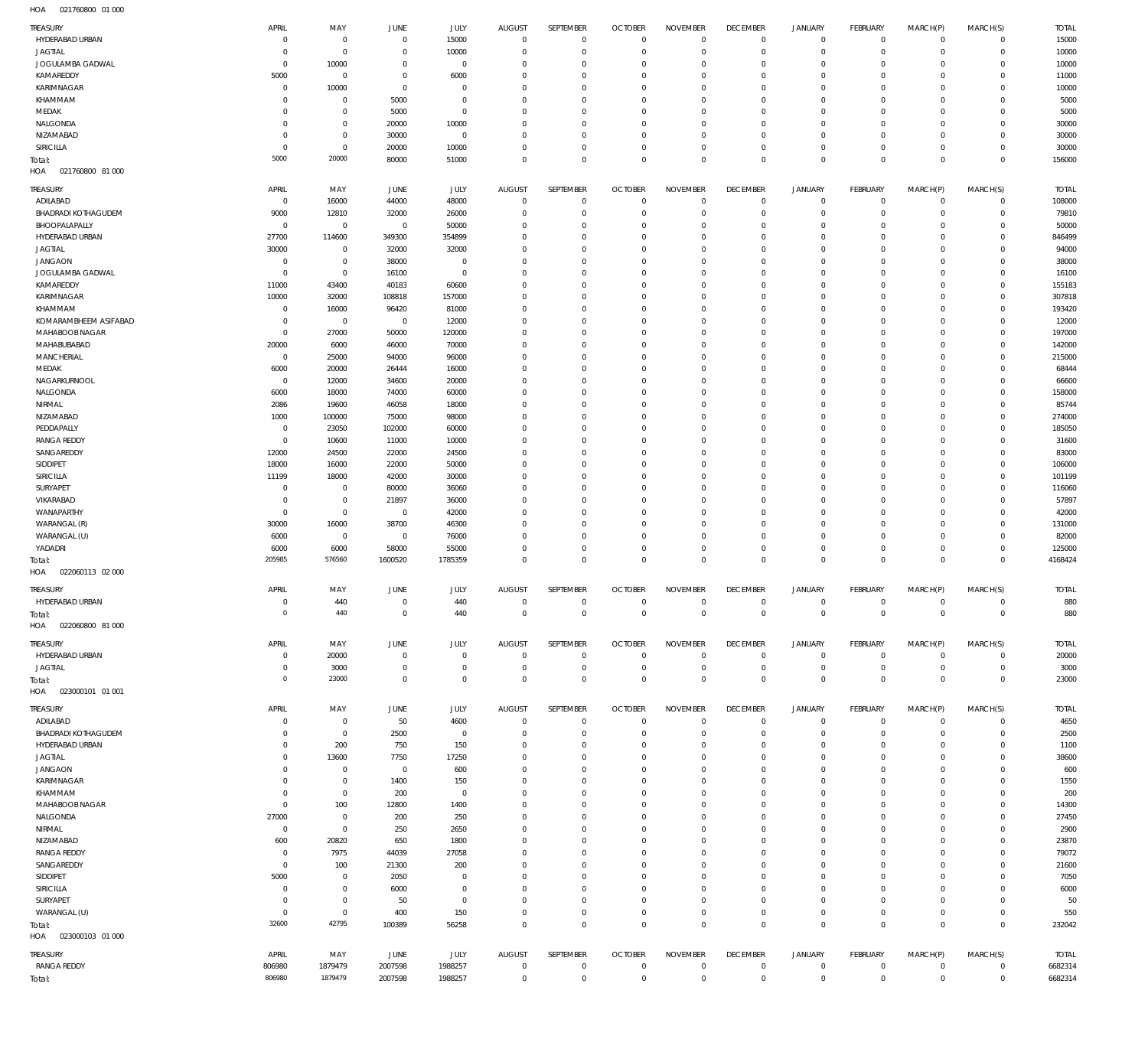| TREASURY                   | APRIL          | MAY            | <b>JUNE</b>     | <b>JULY</b>     | <b>AUGUST</b>        | SEPTEMBER               | <b>OCTOBER</b>             | <b>NOVEMBER</b>         | <b>DECEMBER</b>        | <b>JANUARY</b>             | FEBRUARY                 | MARCH(P)             | MARCH(S)                   | <b>TOTAL</b>     |
|----------------------------|----------------|----------------|-----------------|-----------------|----------------------|-------------------------|----------------------------|-------------------------|------------------------|----------------------------|--------------------------|----------------------|----------------------------|------------------|
| HYDERABAD URBAN            | $\,0\,$        | $\overline{0}$ | $^{\circ}$      | 15000           | $\overline{0}$       | $\mathbf 0$             | $\overline{0}$             | $\,0\,$                 | $\mathbf 0$            | $\mathsf{O}$               | $\circ$                  | $\mathbf 0$          | $\circ$                    | 15000            |
| <b>JAGTIAL</b>             | $\,0\,$        | $\overline{0}$ | $\overline{0}$  | 10000           | $\Omega$             | $\mathbf 0$             | $\overline{0}$             | $\mathbf 0$             | $\mathbf{0}$           | $\mathbf 0$                | $\circ$                  | $\mathbf 0$          | $\circ$                    | 10000            |
| JOGULAMBA GADWAL           | $\mathbf 0$    | 10000          | $^{\circ}$      | $\overline{0}$  | $\Omega$             | $\mathbf 0$             | $\Omega$                   | $\mathbf 0$             | $\overline{0}$         | $\mathsf{O}$               | $^{\circ}$               | $\mathbf 0$          | $\overline{0}$             | 10000            |
| KAMAREDDY                  | 5000           | $\overline{0}$ | $\mathbf{0}$    | 6000            | $\Omega$             | $\mathbf 0$             | $\Omega$                   | $\mathbf 0$             | $^{\circ}$             | $\mathbf 0$                | $^{\circ}$               | $\mathbf 0$          | $\overline{0}$             | 11000            |
| KARIMNAGAR                 | $\,0\,$        | 10000          | $^{\circ}$      | $\Omega$        | $\Omega$             | $\mathbf 0$             | $\Omega$                   | $\mathbf 0$             | $\overline{0}$         | $\mathsf{O}$               | $^{\circ}$               | $\mathbf 0$          | $\mathbf 0$                | 10000            |
| KHAMMAM                    | $\mathbf 0$    | $\overline{0}$ | 5000            | $\overline{0}$  | $\Omega$             | $\overline{0}$          | $\Omega$                   | $\mathbf 0$             | $^{\circ}$             | $\mathbf 0$                | $^{\circ}$               | $\Omega$             | $\mathbf 0$                | 5000             |
| MEDAK                      | $\mathbf 0$    | $\overline{0}$ | 5000            | $\overline{0}$  | $\Omega$             | $\mathbf 0$             | $\Omega$                   | $\mathbf 0$             | $^{\circ}$             | $\mathsf{O}$               | $^{\circ}$               | $\mathbf 0$          | $\mathbf 0$                | 5000             |
| NALGONDA                   | $\mathbf 0$    | $\overline{0}$ | 20000           | 10000           | $\Omega$             | $\overline{0}$          | $\Omega$                   | $\mathbf 0$             | $\Omega$               | $\mathbf 0$                | $^{\circ}$               | $\Omega$             | $\mathbf 0$                | 30000            |
| NIZAMABAD                  | $\mathbf 0$    | $\overline{0}$ | 30000           | $\overline{0}$  | $\Omega$             | $\mathbf 0$             | $\Omega$                   | $\mathbf 0$             | $^{\circ}$             | $\mathsf{O}$               | $^{\circ}$               | $\mathbf 0$          | $\overline{0}$             | 30000            |
| <b>SIRICILLA</b>           | $\mathbf 0$    | $\overline{0}$ | 20000           | 10000           | $\Omega$             | $\mathbf 0$             | $^{\circ}$                 | $\,0\,$                 | $^{\circ}$             | $\mathsf{O}$               | $\mathbf 0$              | $\mathbf 0$          | $\overline{0}$             | 30000            |
| Total:                     | 5000           | 20000          | 80000           | 51000           | $\Omega$             | $\mathbb O$             | $\Omega$                   | $\mathbb O$             | $\mathbf 0$            | $\mathsf 0$                | $\mathbf 0$              | $\mathbf 0$          | $\overline{0}$             | 156000           |
| HOA<br>021760800 81 000    |                |                |                 |                 |                      |                         |                            |                         |                        |                            |                          |                      |                            |                  |
| TREASURY                   | APRIL          | MAY            | JUNE            | <b>JULY</b>     | <b>AUGUST</b>        | SEPTEMBER               | <b>OCTOBER</b>             | <b>NOVEMBER</b>         | <b>DECEMBER</b>        | <b>JANUARY</b>             | FEBRUARY                 | MARCH(P)             | MARCH(S)                   | <b>TOTAL</b>     |
| ADILABAD                   | $\mathbf 0$    | 16000          | 44000           | 48000           | $\Omega$             | $\overline{0}$          | $\overline{0}$             | $^{\circ}$              | $\mathbf 0$            | $\mathbf 0$                | $^{\circ}$               | $\mathbf 0$          | $\overline{0}$             | 108000           |
| <b>BHADRADI KOTHAGUDEM</b> | 9000           | 12810          | 32000           | 26000           | $\Omega$             | $\mathbf 0$             | $\overline{0}$             | $\mathbb O$             | $^{\circ}$             | $\mathsf{O}$               | $\mathbf 0$              | $\mathbf 0$          | $\overline{0}$             | 79810            |
| BHOOPALAPALLY              | $\mathbf 0$    | $\overline{0}$ | $\overline{0}$  | 50000           | $\Omega$             | $\mathbf 0$             | $\overline{0}$             | $\mathbb O$             | $\circ$                | $\mathbf 0$                | $^{\circ}$               | $\mathbf 0$          | $\mathbf 0$                | 50000            |
| HYDERABAD URBAN            | 27700          | 114600         | 349300          | 354899          | $\Omega$             | $\mathbf 0$             | $\Omega$                   | $\mathbb O$             | $\Omega$               | $\mathbf 0$                | $^{\circ}$               | $\Omega$             | $\mathbf 0$                | 846499           |
| <b>JAGTIAL</b>             | 30000          | $\overline{0}$ | 32000           | 32000           | $\Omega$             | $\mathbf 0$             | $\overline{0}$             | $\mathbb O$             | $^{\circ}$             | $\mathbf 0$                | $^{\circ}$               | $\Omega$             | $\mathbf 0$                | 94000            |
| <b>JANGAON</b>             | $\,0\,$        | $\overline{0}$ | 38000           | $\overline{0}$  | $\Omega$             | $\Omega$                | $\Omega$                   | $\mathbb O$             | $\Omega$               | $\mathbf 0$                | $^{\circ}$               | $\Omega$             | $\mathbf 0$                | 38000            |
| JOGULAMBA GADWAL           | $\mathbf 0$    | $\overline{0}$ | 16100           | $\overline{0}$  | $\Omega$<br>$\Omega$ | $\mathbf 0$<br>$\Omega$ | $\overline{0}$<br>$\Omega$ | $\mathbb O$<br>$\Omega$ | $^{\circ}$             | $\mathbf 0$<br>$\mathbf 0$ | $^{\circ}$               | $\Omega$<br>$\Omega$ | $\mathbf 0$                | 16100            |
| KAMAREDDY<br>KARIMNAGAR    | 11000<br>10000 | 43400<br>32000 | 40183<br>108818 | 60600<br>157000 | $\Omega$             | $\mathbf 0$             | $\Omega$                   | $\mathbb O$             | $\Omega$<br>$^{\circ}$ | $\mathbf 0$                | $^{\circ}$<br>$^{\circ}$ | $\Omega$             | $\mathbf 0$<br>$\mathbf 0$ | 155183<br>307818 |
| KHAMMAM                    | $\overline{0}$ | 16000          | 96420           | 81000           | $\Omega$             | $\mathbf 0$             | $\Omega$                   | $\mathbb O$             | 0                      | $\mathbf 0$                | $^{\circ}$               | $\Omega$             | $\mathbf 0$                | 193420           |
| KOMARAMBHEEM ASIFABAD      | $\mathbf 0$    | $\overline{0}$ | $\overline{0}$  | 12000           | $\Omega$             | $\mathbf 0$             | $\Omega$                   | $\mathbb O$             | $^{\circ}$             | $\mathbf 0$                | $^{\circ}$               | $\Omega$             | $\mathbf 0$                | 12000            |
| MAHABOOB NAGAR             | $\mathbf 0$    | 27000          | 50000           | 120000          | $\Omega$             | $\mathbf 0$             | $\Omega$                   | $\mathbb O$             | $\Omega$               | $\mathbf 0$                | $^{\circ}$               | $\Omega$             | $\mathbf 0$                | 197000           |
| MAHABUBABAD                | 20000          | 6000           | 46000           | 70000           | $\Omega$             | $\overline{0}$          | $\Omega$                   | $\mathbb O$             | $\Omega$               | $\mathbf 0$                | $\Omega$                 | $\Omega$             | $\mathbf 0$                | 142000           |
| MANCHERIAL                 | $\,0\,$        | 25000          | 94000           | 96000           | $\Omega$             | $\mathbf 0$             | $\Omega$                   | $\mathbf 0$             | $\circ$                | $\mathbf 0$                | $^{\circ}$               | $\Omega$             | $\mathbf 0$                | 215000           |
| MEDAK                      | 6000           | 20000          | 26444           | 16000           | $\Omega$             | $\overline{0}$          | $\Omega$                   | $\mathbf 0$             | $\Omega$               | $\mathbf 0$                | $\Omega$                 | $\Omega$             | $\mathbf 0$                | 68444            |
| NAGARKURNOOL               | $\mathbf 0$    | 12000          | 34600           | 20000           | $\Omega$             | $\mathbf 0$             | $\Omega$                   | $\mathbf 0$             | $\Omega$               | $\mathbf 0$                | $^{\circ}$               | $\Omega$             | $\mathbf 0$                | 66600            |
| NALGONDA                   | 6000           | 18000          | 74000           | 60000           | $\Omega$             | $\overline{0}$          | $\Omega$                   | $\mathbf 0$             | $\Omega$               | $\mathbf 0$                | $^{\circ}$               | $\Omega$             | $\mathbf 0$                | 158000           |
| NIRMAL                     | 2086           | 19600          | 46058           | 18000           | $\Omega$             | $\mathbf 0$             | $\Omega$                   | $\mathbf 0$             | $\circ$                | $\mathbf 0$                | $^{\circ}$               | $\Omega$             | $\mathbf 0$                | 85744            |
| NIZAMABAD                  | 1000           | 100000         | 75000           | 98000           | $\Omega$             | $\mathbf 0$             | $\Omega$                   | $\mathbf 0$             | $\circ$                | $\mathbf 0$                | $^{\circ}$               | $\Omega$             | $\mathbf 0$                | 274000           |
| PEDDAPALLY                 | $\mathbf 0$    | 23050          | 102000          | 60000           | $\Omega$             | $\overline{0}$          | $\Omega$                   | $\overline{0}$          | $\Omega$               | $\mathbf 0$                | $^{\circ}$               | $\Omega$             | $\mathbf 0$                | 185050           |
| <b>RANGA REDDY</b>         | $\mathbf 0$    | 10600          | 11000           | 10000           | $\Omega$             | $\mathbf 0$             | $\Omega$                   | $\mathbf 0$             | $\circ$                | $\mathbf 0$                | $^{\circ}$               | $\Omega$             | $\mathbf 0$                | 31600            |
| SANGAREDDY                 | 12000          | 24500          | 22000           | 24500           | $\Omega$             | $\overline{0}$          | $\Omega$                   | $\mathbf 0$             | $\Omega$               | $\mathbf 0$                | $^{\circ}$               | $\Omega$             | $\mathbf 0$                | 83000            |
| SIDDIPET                   | 18000          | 16000          | 22000           | 50000           | $\Omega$             | $\mathbf 0$             | $\overline{0}$             | $\mathbf 0$             | $^{\circ}$             | $\mathbf 0$                | $^{\circ}$               | $\Omega$             | $\mathbf 0$                | 106000           |
| SIRICILLA                  | 11199          | 18000          | 42000           | 30000           | $\Omega$             | $\Omega$                | $\Omega$                   | $\Omega$                | $\Omega$               | $\mathbf 0$                | $^{\circ}$               | $\Omega$             | $\mathbf 0$                | 101199           |
| SURYAPET                   | $\,0\,$        | $\overline{0}$ | 80000           | 36060           | $\Omega$             | $\mathbf 0$             | $\overline{0}$             | $\mathbf 0$             | $^{\circ}$             | $\mathbf 0$                | $^{\circ}$               | $\Omega$             | $\mathbf 0$                | 116060           |
| VIKARABAD                  | $\,0\,$        | $\overline{0}$ | 21897           | 36000           | $\Omega$             | $\Omega$                | $\Omega$                   | $\mathbf 0$             | 0                      | $\mathbf 0$                | $^{\circ}$               | $\Omega$             | $\mathbf 0$                | 57897            |
| WANAPARTHY                 | $\mathbf 0$    | $\overline{0}$ | $\overline{0}$  | 42000           | $\Omega$             | $\mathbf 0$             | $\Omega$                   | $\mathbb O$             | $^{\circ}$             | $\mathbf 0$                | $^{\circ}$               | $\Omega$             | $\mathbf 0$                | 42000            |
| WARANGAL (R)               | 30000          | 16000          | 38700           | 46300           | $\Omega$             | $\Omega$                | $\Omega$                   | $\overline{0}$          | 0                      | $\mathbf 0$                | $^{\circ}$               | $\Omega$             | $\mathbf 0$                | 131000           |
| WARANGAL (U)               | 6000           | $\overline{0}$ | $\mathbb O$     | 76000           | $\Omega$             | $\mathbf 0$             | $\Omega$                   | $\mathbb O$             | $^{\circ}$             | $\mathbf 0$                | $^{\circ}$               | $\Omega$             | $\mathbf 0$                | 82000            |
| YADADRI                    | 6000           | 6000           | 58000           | 55000           | $\Omega$             | $\mathbf 0$             | $\overline{0}$             | $\mathbb O$             | $^{\circ}$             | $\mathsf{O}$               | $\mathbf 0$              | $\mathbf 0$          | $\overline{0}$             | 125000           |
| Total:                     | 205985         | 576560         | 1600520         | 1785359         | $\Omega$             | $\overline{0}$          | $\overline{0}$             | $\mathbb O$             | $\mathbf 0$            | $\mathsf 0$                | $\Omega$                 | $\mathbf 0$          | $\mathbf 0$                | 4168424          |
| 022060113 02 000<br>HOA    |                |                |                 |                 |                      |                         |                            |                         |                        |                            |                          |                      |                            |                  |
| TREASURY                   | APRIL          | MAY            | <b>JUNE</b>     | <b>JULY</b>     | <b>AUGUST</b>        | SEPTEMBER               | <b>OCTOBER</b>             | <b>NOVEMBER</b>         | <b>DECEMBER</b>        | <b>JANUARY</b>             | FEBRUARY                 | MARCH(P)             | MARCH(S)                   | <b>TOTAL</b>     |
| HYDERABAD URBAN            | $\,0\,$        | 440            | $\mathbb O$     | 440             | $\mathbf 0$          | $\overline{0}$          | $\mathbb O$                | $\mathbb O$             | $\mathbf 0$            | $\mathbf 0$                | $\mathbf 0$              | $\mathbf 0$          | $\overline{0}$             | 880              |
| Total:                     | $\mathbf 0$    | 440            | $\mathbb O$     | 440             | $\circ$              | $\mathbf 0$             | $\mathbf 0$                | $\mathbb O$             | $\mathbf 0$            | $\mathbf 0$                | $\mathbf 0$              | $\mathsf{O}\xspace$  | $\overline{0}$             | 880              |
| HOA<br>022060800 81 000    |                |                |                 |                 |                      |                         |                            |                         |                        |                            |                          |                      |                            |                  |
| TREASURY                   | APRIL          | MAY            | JUNE            | JULY            | <b>AUGUST</b>        | SEPTEMBER               | <b>OCTOBER</b>             | <b>NOVEMBER</b>         | <b>DECEMBER</b>        | <b>JANUARY</b>             | FEBRUARY                 | MARCH(P)             | MARCH(S)                   | <b>TOTAL</b>     |
| HYDERABAD URBAN            | $\overline{0}$ | 20000          | $\overline{0}$  | $\overline{0}$  | $\overline{0}$       | $\overline{0}$          | $\mathbb O$                | $\overline{0}$          | $\mathbf 0$            | 0                          | $\mathbf 0$              | 0                    | $\mathbf 0$                | 20000            |
| <b>JAGTIAL</b>             | $\mathbf 0$    | 3000           | $\overline{0}$  | $^{\circ}$      | $\Omega$             | $\mathbf 0$             | $\overline{0}$             | $\,0\,$                 | $^{\circ}$             | $\mathsf{O}$               | $\mathbf 0$              | $\mathbf 0$          | $\circ$                    | 3000             |
| Total:                     | $\mathbf 0$    | 23000          | $\mathbf 0$     | $\mathbf 0$     | $\Omega$             | $\mathbf 0$             | $\mathbf 0$                | $\mathbf 0$             | $\mathbf 0$            | $\mathbf 0$                | $\overline{0}$           | $\mathbf 0$          | $\overline{0}$             | 23000            |
| HOA<br>023000101 01 001    |                |                |                 |                 |                      |                         |                            |                         |                        |                            |                          |                      |                            |                  |
| TREASURY                   | APRIL          | MAY            | JUNE            | <b>JULY</b>     | <b>AUGUST</b>        | SEPTEMBER               | <b>OCTOBER</b>             | <b>NOVEMBER</b>         | <b>DECEMBER</b>        | <b>JANUARY</b>             | FEBRUARY                 | MARCH(P)             | MARCH(S)                   | <b>TOTAL</b>     |
| ADILABAD                   | $\overline{0}$ | $\overline{0}$ | 50              | 4600            | $\overline{0}$       | $\mathbf 0$             | $\overline{0}$             | $\mathbf 0$             | $\overline{0}$         | $\mathsf{O}$               | $\circ$                  | $\mathbf 0$          | $\circ$                    | 4650             |
| <b>BHADRADI KOTHAGUDEM</b> | $\mathbf 0$    | $\overline{0}$ | 2500            | $\overline{0}$  | $\Omega$             | $\mathbf 0$             | $\overline{0}$             | $\overline{0}$          | 0                      | $\mathsf{O}$               | $\mathbf 0$              | $\mathbf 0$          | $\circ$                    | 2500             |
| HYDERABAD URBAN            | $\mathbf 0$    | 200            | 750             | 150             | $\Omega$             | $\overline{0}$          | $\overline{0}$             | $\overline{0}$          | $\overline{0}$         | $\mathsf{O}$               | $\mathbf 0$              | $\mathbf 0$          | $\overline{0}$             | 1100             |
| <b>JAGTIAL</b>             | $\mathbf 0$    | 13600          | 7750            | 17250           | $\Omega$             | $\mathbf 0$             | 0                          | $\overline{0}$          | $^{\circ}$             | $\mathsf{O}$               | $^{\circ}$               | $\mathbf 0$          | $\mathbf 0$                | 38600            |
| <b>JANGAON</b>             | $\mathbf 0$    | $\overline{0}$ | $\mathbf 0$     | 600             | $\Omega$             | $\mathbf 0$             | $^{\circ}$                 | $\mathbf 0$             | $^{\circ}$             | $\mathsf{O}$               | $^{\circ}$               | $\mathbf 0$          | $\mathbf 0$                | 600              |
| KARIMNAGAR                 | $\mathbf 0$    | $\overline{0}$ | 1400            | 150             | $\Omega$             | $\mathbf 0$             | $\Omega$                   | $\mathbb O$             | $^{\circ}$             | $\mathsf{O}$               | $^{\circ}$               | $\Omega$             | $\mathbf 0$                | 1550             |
| KHAMMAM                    | $\mathbf 0$    | $\overline{0}$ | 200             | $\overline{0}$  | $\Omega$             | $\mathbf 0$             | $\overline{0}$             | $\mathbb O$             | $^{\circ}$             | $\mathsf{O}$               | $^{\circ}$               | $\mathbf 0$          | $\mathbf 0$                | 200              |
| MAHABOOB NAGAR             | $\mathbf 0$    | 100            | 12800           | 1400            | $\Omega$             | $\mathbf 0$             | $\Omega$                   | $\mathbb O$             | $^{\circ}$             | $\mathsf{O}$               | $^{\circ}$               | $\Omega$             | $\mathbf 0$                | 14300            |
| NALGONDA                   | 27000          | $\overline{0}$ | 200             | 250             | $\Omega$             | $\mathbf 0$             | $\overline{0}$             | $\mathbb O$             | $^{\circ}$             | $\mathsf{O}$               | $^{\circ}$               | $\mathbf 0$          | $\mathbf 0$                | 27450            |
| NIRMAL                     | $\,0\,$        | $\overline{0}$ | 250             | 2650            | $\Omega$             | $\mathbf 0$             | $\Omega$                   | $\mathbb O$             | $^{\circ}$             | $\mathsf{O}$               | $^{\circ}$               | $\Omega$             | $\mathbf 0$                | 2900             |
| NIZAMABAD                  | 600            | 20820          | 650             | 1800            | $\Omega$             | $\mathbf 0$             | $\overline{0}$             | $\mathbb O$             | $^{\circ}$             | $\mathbf 0$                | $^{\circ}$               | $\mathbf 0$          | $\mathbf 0$                | 23870            |
| <b>RANGA REDDY</b>         | $\overline{0}$ | 7975           | 44039           | 27058           | $\Omega$             | $\mathbf 0$             | $\Omega$                   | $\mathbb O$             | $^{\circ}$             | $\mathsf{O}$               | $^{\circ}$               | $\Omega$             | $\mathbf 0$                | 79072            |
| SANGAREDDY                 | $\mathbf 0$    | 100            | 21300           | 200             | $\Omega$             | $\overline{0}$          | $\Omega$                   | $\mathbb O$             | $^{\circ}$             | $\mathbf 0$                | $^{\circ}$               | $\mathbf 0$          | $\mathbf 0$                | 21600            |
| SIDDIPET                   | 5000           | $\overline{0}$ | 2050            | $\Omega$        | $\Omega$             | $\mathbf 0$             | $\Omega$                   | $\mathbb O$             | $^{\circ}$             | $\mathsf{O}$               | $^{\circ}$               | $\mathbf 0$          | $\mathbf 0$                | 7050             |
| SIRICILLA                  | $\overline{0}$ | $\overline{0}$ | 6000            | $^{\circ}$      | $\Omega$             | $\overline{0}$          | $\Omega$                   | $\mathbb O$             | $^{\circ}$             | $\mathbf 0$                | $^{\circ}$               | $\mathbf 0$          | $\mathbf 0$                | 6000             |
| SURYAPET                   | $\mathbf 0$    | $\overline{0}$ | 50              | $\overline{0}$  | $\Omega$             | $\mathbf 0$             | 0                          | $\mathbb O$             | $^{\circ}$             | $\mathsf{O}$               | $^{\circ}$               | $\mathbf 0$          | $\circ$                    | 50               |
| WARANGAL (U)               | $\overline{0}$ | $\overline{0}$ | 400             | 150             | $\Omega$             | $\mathbf 0$             | $\overline{0}$             | $\mathbb O$             | $^{\circ}$             | $\mathsf{O}$               | $\mathbf 0$              | $\mathbf 0$          | $\circ$                    | 550              |
| Total:                     | 32600          | 42795          | 100389          | 56258           | $\Omega$             | $\mathbf 0$             | $\circ$                    | $\mathbb O$             | $\mathbf 0$            | $\mathbf 0$                | $\overline{0}$           | $\mathbf 0$          | $\mathbf{0}$               | 232042           |
| HOA<br>023000103 01 000    |                |                |                 |                 |                      |                         |                            |                         |                        |                            |                          |                      |                            |                  |
| TREASURY                   | APRIL          | MAY            | JUNE            | JULY            | <b>AUGUST</b>        | SEPTEMBER               | <b>OCTOBER</b>             | <b>NOVEMBER</b>         | <b>DECEMBER</b>        | <b>JANUARY</b>             | FEBRUARY                 | MARCH(P)             | MARCH(S)                   | <b>TOTAL</b>     |
| <b>RANGA REDDY</b>         | 806980         | 1879479        | 2007598         | 1988257         | $\Omega$             | $\overline{0}$          | $\overline{0}$             | $\mathbf 0$             | $\mathbf 0$            | 0                          | 0                        | $\mathbf 0$          | $\circ$                    | 6682314          |
| Total:                     | 806980         | 1879479        | 2007598         | 1988257         | $\Omega$             | $\mathbf 0$             | $\Omega$                   | $\mathbb O$             | $\mathbf 0$            | $\mathbf 0$                | $\mathbf 0$              | $\mathbf 0$          | $\mathbf{0}$               | 6682314          |
|                            |                |                |                 |                 |                      |                         |                            |                         |                        |                            |                          |                      |                            |                  |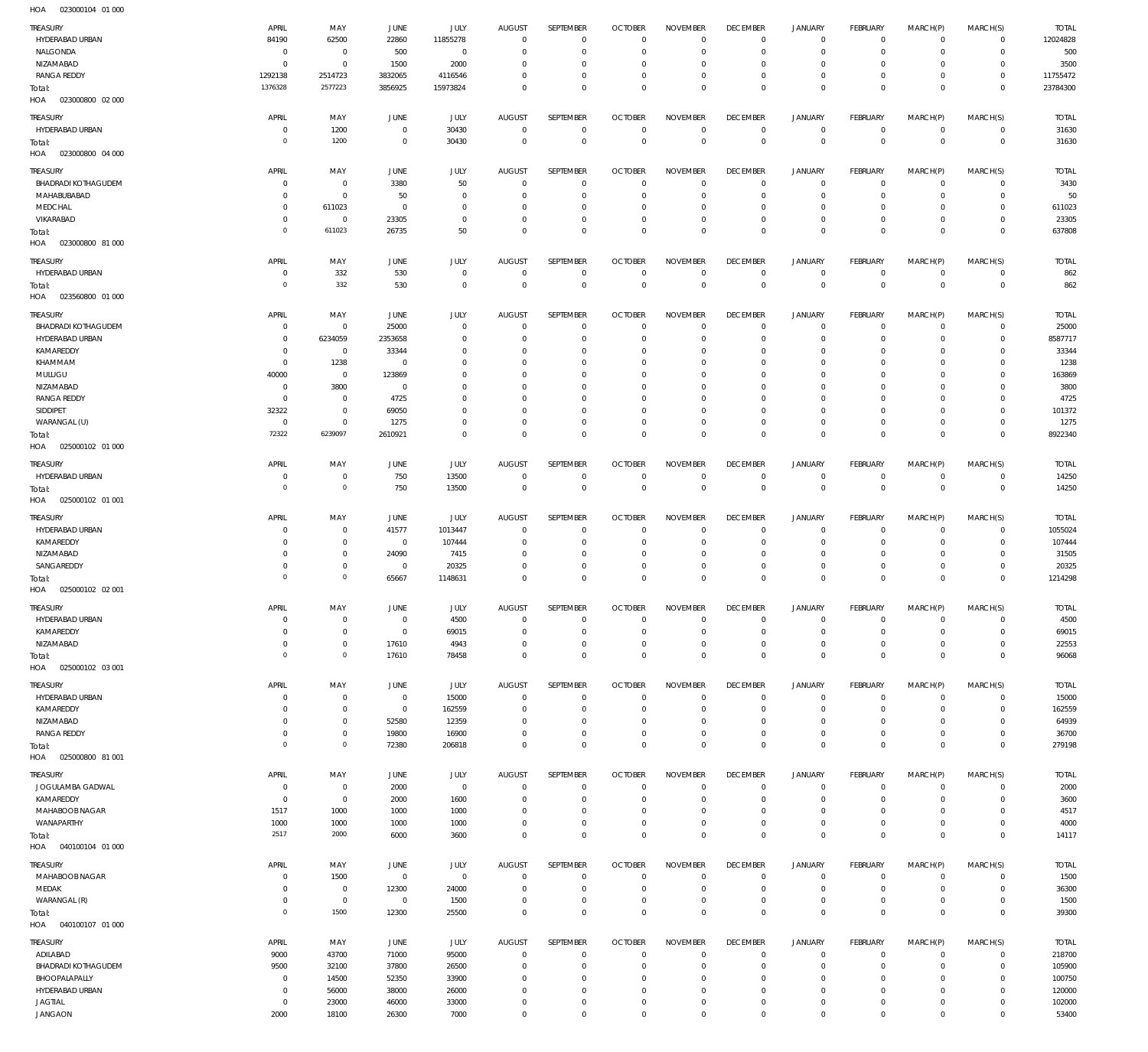| TREASURY<br>HYDERABAD URBAN<br>NALGONDA                          | APRIL<br>84190<br>$\mathbf 0$       | MAY<br>62500<br>$\bf 0$                    | <b>JUNE</b><br>22860<br>500               | <b>JULY</b><br>11855278<br>$\bf 0$ | <b>AUGUST</b><br>$\overline{0}$<br>$\mathbf 0$ | SEPTEMBER<br>$\mathbf{0}$<br>$\mathbf 0$  | <b>OCTOBER</b><br>$\overline{0}$<br>$\overline{0}$ | <b>NOVEMBER</b><br>$\Omega$<br>$\mathbf 0$       | <b>DECEMBER</b><br>$\overline{0}$<br>$\mathbf 0$   | <b>JANUARY</b><br>$\mathbf 0$<br>$\mathbf 0$ | <b>FEBRUARY</b><br>$\overline{0}$<br>$\mathbf{0}$ | MARCH(P)<br>$\mathbf 0$<br>$\mathbf 0$ | MARCH(S)<br>$\overline{0}$<br>$\circ$            | <b>TOTAL</b><br>12024828<br>500 |
|------------------------------------------------------------------|-------------------------------------|--------------------------------------------|-------------------------------------------|------------------------------------|------------------------------------------------|-------------------------------------------|----------------------------------------------------|--------------------------------------------------|----------------------------------------------------|----------------------------------------------|---------------------------------------------------|----------------------------------------|--------------------------------------------------|---------------------------------|
| NIZAMABAD<br><b>RANGA REDDY</b><br>Total:                        | $\mathbf 0$<br>1292138<br>1376328   | $\mathbf 0$<br>2514723<br>2577223          | 1500<br>3832065<br>3856925                | 2000<br>4116546<br>15973824        | $\Omega$<br>$\Omega$<br>$\Omega$               | $\mathbf 0$<br>$\mathbf 0$<br>$\mathbf 0$ | $\overline{0}$<br>$\overline{0}$<br>$\Omega$       | $\Omega$<br>$\mathbf 0$<br>$\Omega$              | $\overline{0}$<br>$\overline{0}$<br>$\overline{0}$ | $\mathbf 0$<br>$\mathbf 0$<br>$\mathbf 0$    | $\mathbf{0}$<br>$\mathbf{0}$<br>$\overline{0}$    | $\Omega$<br>$\mathbf 0$<br>$\Omega$    | $\mathbf{0}$<br>$\overline{0}$<br>$\overline{0}$ | 3500<br>11755472<br>23784300    |
| 023000800 02 000<br>HOA                                          |                                     |                                            |                                           |                                    |                                                |                                           |                                                    |                                                  |                                                    |                                              |                                                   |                                        |                                                  |                                 |
| TREASURY<br>HYDERABAD URBAN<br>Total:<br>HOA  023000800  04  000 | APRIL<br>$\mathbf 0$<br>$\mathbf 0$ | MAY<br>1200<br>1200                        | <b>JUNE</b><br>$\mathbf 0$<br>$\mathbf 0$ | <b>JULY</b><br>30430<br>30430      | <b>AUGUST</b><br>$\mathbf 0$<br>$\mathbf 0$    | SEPTEMBER<br>$\mathbf 0$<br>$\bf 0$       | <b>OCTOBER</b><br>$\overline{0}$<br>$\overline{0}$ | <b>NOVEMBER</b><br>$\mathbf 0$<br>$\overline{0}$ | <b>DECEMBER</b><br>$\overline{0}$<br>$\mathbf 0$   | <b>JANUARY</b><br>0<br>$\mathbf 0$           | FEBRUARY<br>$\circ$<br>$\overline{0}$             | MARCH(P)<br>$\mathbf 0$<br>$\mathbf 0$ | MARCH(S)<br>$\overline{0}$<br>$\overline{0}$     | <b>TOTAL</b><br>31630<br>31630  |
| TREASURY                                                         | APRIL                               | MAY                                        | <b>JUNE</b>                               | JULY                               | <b>AUGUST</b>                                  | SEPTEMBER                                 | <b>OCTOBER</b>                                     | <b>NOVEMBER</b>                                  | <b>DECEMBER</b>                                    | <b>JANUARY</b>                               | FEBRUARY                                          | MARCH(P)                               | MARCH(S)                                         | <b>TOTAL</b>                    |
| <b>BHADRADI KOTHAGUDEM</b>                                       | $\mathbf 0$                         | $^{\circ}$                                 | 3380                                      | 50                                 | $\overline{0}$                                 | $\mathbf 0$                               | $\overline{0}$                                     | $\Omega$                                         | $\overline{0}$                                     | $\mathbf 0$                                  | $\overline{0}$                                    | $\mathbf 0$                            | $\mathbf{0}$                                     | 3430                            |
| MAHABUBABAD<br>MEDCHAL                                           | $\mathbf 0$<br>$\mathbf 0$          | $\bf 0$<br>611023                          | 50<br>$\overline{0}$                      | $\mathbf 0$<br>$\mathbf 0$         | $\mathbf 0$<br>$\mathbf 0$                     | $\mathbf 0$<br>$\mathbf 0$                | $\overline{0}$<br>$\overline{0}$                   | $\mathbf 0$<br>$\mathbf 0$                       | $\overline{0}$<br>$\overline{0}$                   | $\mathbf 0$<br>$\mathbf 0$                   | $\mathbf{0}$<br>$\mathbf{0}$                      | $\mathbf 0$<br>$\mathbf 0$             | $\circ$<br>$\mathbf{0}$                          | 50<br>611023                    |
| VIKARABAD                                                        | $\mathbf 0$                         | $\,0\,$                                    | 23305                                     | $\mathbf 0$                        | $\overline{0}$                                 | $\mathbf 0$                               | $\overline{0}$                                     | $\mathbf 0$                                      | $\overline{0}$                                     | $\mathbf 0$                                  | $\mathbf{0}$                                      | $\mathbf 0$                            | $\mathbf{0}$                                     | 23305                           |
| Total:<br>023000800 81 000<br>HOA                                | $\mathbf 0$                         | 611023                                     | 26735                                     | 50                                 | $\Omega$                                       | $\mathbf 0$                               | $\overline{0}$                                     | $\mathbf 0$                                      | $\overline{0}$                                     | $\mathbf 0$                                  | $\overline{0}$                                    | $\mathbf 0$                            | $\overline{0}$                                   | 637808                          |
| TREASURY                                                         | APRIL                               | MAY                                        | JUNE                                      | JULY                               | <b>AUGUST</b>                                  | SEPTEMBER                                 | <b>OCTOBER</b>                                     | <b>NOVEMBER</b>                                  | <b>DECEMBER</b>                                    | <b>JANUARY</b>                               | FEBRUARY                                          | MARCH(P)                               | MARCH(S)                                         | <b>TOTAL</b>                    |
| HYDERABAD URBAN<br>Total:                                        | $\mathbf 0$<br>$\circ$              | 332<br>332                                 | 530<br>530                                | $\mathbf 0$<br>$\mathbf 0$         | $\mathbf 0$<br>$\mathbf 0$                     | $\mathbf 0$<br>$\bf 0$                    | $\overline{0}$<br>$\overline{0}$                   | $\mathbf 0$<br>$\overline{0}$                    | $\overline{0}$<br>$\overline{0}$                   | 0<br>$\mathbf 0$                             | $\mathbf{0}$<br>$\overline{0}$                    | $\mathbf 0$<br>$\mathbf 0$             | $\mathbf{0}$<br>$\overline{0}$                   | 862<br>862                      |
| HOA  023560800  01  000                                          |                                     |                                            |                                           |                                    |                                                |                                           |                                                    |                                                  |                                                    |                                              |                                                   |                                        |                                                  |                                 |
| TREASURY                                                         | APRIL                               | MAY                                        | JUNE                                      | JULY                               | <b>AUGUST</b>                                  | SEPTEMBER                                 | <b>OCTOBER</b>                                     | <b>NOVEMBER</b>                                  | <b>DECEMBER</b>                                    | <b>JANUARY</b>                               | FEBRUARY                                          | MARCH(P)                               | MARCH(S)                                         | <b>TOTAL</b>                    |
| <b>BHADRADI KOTHAGUDEM</b><br>HYDERABAD URBAN                    | $\mathbf 0$<br>$\overline{0}$       | 0<br>6234059                               | 25000<br>2353658                          | $\mathbf 0$<br>$\mathbf 0$         | $\mathbf 0$<br>$\mathbf 0$                     | $\mathbf 0$<br>$\mathbf 0$                | $\overline{0}$<br>$\overline{0}$                   | $\Omega$<br>$\Omega$                             | $\overline{0}$<br>$\overline{0}$                   | 0<br>$\mathbf 0$                             | $\mathbf{0}$<br>$\mathbf{0}$                      | $\mathbf 0$<br>$\mathbf 0$             | $\mathbf{0}$<br>$\mathbf{0}$                     | 25000<br>8587717                |
| KAMAREDDY                                                        | $\mathbf 0$                         | $\mathbf 0$                                | 33344                                     | $\mathbf 0$                        | $\mathbf 0$                                    | $\mathbf 0$                               | $\overline{0}$                                     | $\mathbf 0$                                      | $\overline{0}$                                     | $\mathbf 0$                                  | $\mathbf{0}$                                      | $\Omega$                               | $\circ$                                          | 33344                           |
| KHAMMAM                                                          | $\overline{0}$                      | 1238                                       | $\overline{0}$                            | $\Omega$                           | $\Omega$                                       | $\Omega$                                  | $\Omega$                                           | $\Omega$                                         | $\Omega$                                           | $\Omega$                                     | $^{\circ}$                                        | $\Omega$                               | $\mathbf{0}$                                     | 1238                            |
| MULUGU<br>NIZAMABAD                                              | 40000<br>$\mathbf 0$                | $\mathbf 0$<br>3800                        | 123869<br>$\overline{0}$                  | $\Omega$<br>$\Omega$               | $\Omega$<br>$\Omega$                           | $\mathbf 0$<br>$\Omega$                   | $\overline{0}$<br>$\mathbf 0$                      | $\Omega$<br>$\Omega$                             | $\overline{0}$<br>$\mathbf 0$                      | $\circ$<br>$\Omega$                          | $^{\circ}$<br>$\mathbf 0$                         | $\Omega$<br>$\Omega$                   | $\mathbf{0}$<br>$\mathbf 0$                      | 163869<br>3800                  |
| <b>RANGA REDDY</b>                                               | $\mathbf 0$                         | $\mathbf 0$                                | 4725                                      | $\Omega$                           | $\Omega$                                       | $\Omega$                                  | $\overline{0}$                                     | $\Omega$                                         | $\Omega$                                           | $\circ$                                      | $^{\circ}$                                        | $\Omega$                               | $\mathbf{0}$                                     | 4725                            |
| SIDDIPET                                                         | 32322                               | $\mathsf{O}\xspace$                        | 69050                                     | $\Omega$                           | $\Omega$                                       | $\mathbf 0$                               | $\mathbf 0$                                        | $\Omega$                                         | $\overline{0}$                                     | $\mathbf 0$                                  | $\mathbf{0}$                                      | $\circ$                                | $\mathbf{0}$                                     | 101372                          |
| WARANGAL (U)<br>Total:<br>025000102 01 000<br>HOA                | $\mathbf 0$<br>72322                | $\mathbf 0$<br>6239097                     | 1275<br>2610921                           | $\Omega$<br>$\mathbf 0$            | $\Omega$<br>$\mathbf 0$                        | $\mathbf 0$<br>$\mathbf 0$                | $\overline{0}$<br>$\overline{0}$                   | $\Omega$<br>$\mathbf 0$                          | $\overline{0}$<br>$\overline{0}$                   | $\mathbf 0$<br>$\mathbf 0$                   | $\mathbf{0}$<br>$\overline{0}$                    | $\Omega$<br>$\mathbf 0$                | $\mathbf{0}$<br>$\overline{0}$                   | 1275<br>8922340                 |
| TREASURY                                                         | APRIL                               | MAY                                        | JUNE                                      | JULY                               | <b>AUGUST</b>                                  | SEPTEMBER                                 | <b>OCTOBER</b>                                     | <b>NOVEMBER</b>                                  | <b>DECEMBER</b>                                    | <b>JANUARY</b>                               | FEBRUARY                                          | MARCH(P)                               | MARCH(S)                                         | <b>TOTAL</b>                    |
| HYDERABAD URBAN                                                  | $\mathbf 0$                         | 0                                          | 750                                       | 13500                              | $\mathbf 0$                                    | $\mathbf 0$                               | $\overline{0}$                                     | $\mathbf 0$                                      | $\overline{0}$                                     | $\mathbf 0$                                  | $\mathbf{0}$                                      | $\mathbf 0$                            | $\circ$                                          | 14250                           |
| Total:<br>HOA<br>025000102 01 001                                | $\overline{0}$                      | $\mathbf 0$                                | 750                                       | 13500                              | $\overline{0}$                                 | $\mathbf 0$                               | $\mathbf 0$                                        | $\mathbf 0$                                      | $\overline{0}$                                     | $\mathbf 0$                                  | $\overline{0}$                                    | $\mathbf 0$                            | $\overline{0}$                                   | 14250                           |
| TREASURY                                                         | APRIL                               | MAY                                        | JUNE                                      | <b>JULY</b>                        | <b>AUGUST</b>                                  | SEPTEMBER                                 | <b>OCTOBER</b>                                     | <b>NOVEMBER</b>                                  | <b>DECEMBER</b>                                    | <b>JANUARY</b>                               | FEBRUARY                                          | MARCH(P)                               | MARCH(S)                                         | <b>TOTAL</b>                    |
| HYDERABAD URBAN                                                  | $\mathbf 0$                         | 0                                          | 41577                                     | 1013447                            | $\overline{0}$                                 | 0                                         | $\overline{0}$                                     | $\mathbf 0$                                      | $\overline{0}$                                     | 0                                            | $\circ$                                           | $\mathbf 0$                            | $\circ$                                          | 1055024                         |
| KAMAREDDY<br>NIZAMABAD                                           | $\Omega$<br>$\Omega$                | $\mathbf 0$<br>$\mathbf 0$                 | $\overline{0}$<br>24090                   | 107444<br>7415                     | $\mathbf 0$<br>$\mathbf 0$                     | $\mathbf 0$<br>$\mathbf 0$                | $\overline{0}$<br>$\overline{0}$                   | $\Omega$<br>$\mathbf 0$                          | $\overline{0}$<br>$\overline{0}$                   | $\circ$<br>$\mathbf 0$                       | $^{\circ}$<br>$\mathbf{0}$                        | $\Omega$<br>$\mathbf 0$                | $\mathbf{0}$<br>$\overline{0}$                   | 107444<br>31505                 |
| SANGAREDDY                                                       | $\mathbf 0$                         | $\mathsf{O}\xspace$                        | $\overline{0}$                            | 20325                              | $\mathbf 0$                                    | $\mathbf 0$                               | $\overline{0}$                                     | $\Omega$                                         | $\overline{0}$                                     | $\mathbf 0$                                  | $\mathbf{0}$                                      | $\circ$                                | $\mathbf{0}$                                     | 20325                           |
| Total:<br>025000102 02 001<br>HOA                                | $\mathbf 0$                         | $\mathsf{O}\xspace$                        | 65667                                     | 1148631                            | $\mathbf 0$                                    | $\mathbf 0$                               | $\overline{0}$                                     | $\mathbf 0$                                      | $\overline{0}$                                     | $\mathbf 0$                                  | $\overline{0}$                                    | $\mathbf 0$                            | $\overline{0}$                                   | 1214298                         |
| TREASURY                                                         | APRIL                               | MAY                                        | JUNE                                      | JULY                               | <b>AUGUST</b>                                  | <b>SFPTFMBFR</b>                          | <b>OCTOBER</b>                                     | <b>NOVEMBER</b>                                  | <b>DECEMBER</b>                                    | <b>JANUARY</b>                               | <b>FEBRUARY</b>                                   | MARCH(P)                               | MARCH(S)                                         | <b>TOTAL</b>                    |
| HYDERABAD URBAN                                                  | $\mathbf 0$                         | $\mathbf 0$                                | $\mathbf 0$                               | 4500                               | $\mathbf 0$                                    | $\mathbf 0$                               | $\mathbf 0$                                        | $\Omega$                                         | $\mathbf 0$                                        | $\circ$                                      | $\mathbf 0$                                       | $\Omega$                               | $\mathbf 0$                                      | 4500                            |
| KAMAREDDY                                                        | $\mathbf 0$                         | $\mathbf 0$                                | $\mathbf 0$                               | 69015                              | $\Omega$                                       | $\mathbf 0$                               | $\mathbf 0$                                        | $\Omega$                                         | $\mathbf 0$                                        | $\mathbf 0$                                  | $\mathbf{0}$                                      | $\Omega$                               | $\mathbf 0$                                      | 69015                           |
| NIZAMABAD<br>Total:                                              | $\mathbf 0$<br>$\mathbf 0$          | $\mathbf 0$<br>$\mathsf{O}\xspace$         | 17610<br>17610                            | 4943<br>78458                      | $\mathbf 0$<br>$\Omega$                        | $\mathbf 0$<br>$\mathbf 0$                | $\mathbf 0$<br>$\mathbf 0$                         | $\mathbf 0$<br>$\mathbf 0$                       | $\overline{0}$<br>$\mathbf 0$                      | $\mathbf 0$<br>$\mathbf 0$                   | $\circ$<br>$\mathbf 0$                            | $\mathbf 0$<br>$\Omega$                | $\mathbf{0}$<br>$\mathbf 0$                      | 22553<br>96068                  |
| HOA  025000102  03  001                                          |                                     |                                            |                                           |                                    |                                                |                                           |                                                    |                                                  |                                                    |                                              |                                                   |                                        |                                                  |                                 |
| TREASURY                                                         | APRIL                               | MAY                                        | JUNE                                      | <b>JULY</b>                        | AUGUST                                         | SEPTEMBER                                 | <b>OCTOBER</b>                                     | <b>NOVEMBER</b>                                  | <b>DECEMBER</b>                                    | <b>JANUARY</b>                               | FEBRUARY                                          | MARCH(P)                               | MARCH(S)                                         | <b>TOTAL</b>                    |
| HYDERABAD URBAN                                                  | $\mathbf 0$<br>$\mathbf 0$          | $\mathsf{O}\xspace$<br>$\mathsf{O}\xspace$ | $\overline{0}$<br>$\overline{0}$          | 15000                              | $\overline{0}$<br>$\mathbf 0$                  | $\bf 0$<br>$\bf 0$                        | $\overline{0}$<br>$\overline{0}$                   | $\mathbf 0$<br>$\mathbf 0$                       | $\overline{0}$<br>$\mathbf 0$                      | $\circ$<br>$\mathbf 0$                       | $\overline{0}$<br>$\circ$                         | $\mathbf 0$<br>$\mathbf 0$             | $\overline{0}$<br>$\circ$                        | 15000<br>162559                 |
| KAMAREDDY<br>NIZAMABAD                                           | $\mathbf 0$                         | $\mathbf 0$                                | 52580                                     | 162559<br>12359                    | $\Omega$                                       | $\mathbf 0$                               | $\overline{0}$                                     | $\mathbf 0$                                      | $\overline{0}$                                     | $\mathbf 0$                                  | $\mathbf{0}$                                      | $\mathbf 0$                            | $\mathbf{0}$                                     | 64939                           |
| <b>RANGA REDDY</b>                                               | $\mathbf 0$                         | $\mathbf 0$                                | 19800                                     | 16900                              | $\mathbf 0$                                    | $\mathbf 0$                               | $\overline{0}$                                     | $\mathbf 0$                                      | $\overline{0}$                                     | $\mathbf 0$                                  | $\overline{0}$                                    | $\mathbf 0$                            | $\overline{0}$                                   | 36700                           |
| Total:<br>HOA  025000800  81 001                                 | $\mathbf 0$                         | $\mathsf{O}\xspace$                        | 72380                                     | 206818                             | $\mathbf 0$                                    | $\mathbf 0$                               | $\overline{0}$                                     | $\mathbf 0$                                      | $\overline{0}$                                     | $\mathbf 0$                                  | $\overline{0}$                                    | $\mathbf 0$                            | $\overline{0}$                                   | 279198                          |
| TREASURY                                                         | APRIL                               | MAY                                        | JUNE                                      | <b>JULY</b>                        | <b>AUGUST</b>                                  | SEPTEMBER                                 | <b>OCTOBER</b>                                     | <b>NOVEMBER</b>                                  | <b>DECEMBER</b>                                    | <b>JANUARY</b>                               | FEBRUARY                                          | MARCH(P)                               | MARCH(S)                                         | <b>TOTAL</b>                    |
| JOGULAMBA GADWAL                                                 | $\overline{0}$                      | $\bf 0$                                    | 2000                                      | $\mathbf 0$                        | $\mathbf 0$                                    | $\mathbf 0$                               | $\overline{0}$                                     | $\Omega$                                         | $\overline{0}$                                     | $^{\circ}$                                   | $\mathbf{0}$                                      | $\mathbf 0$                            | $\circ$                                          | 2000                            |
| KAMAREDDY<br>MAHABOOB NAGAR                                      | $\mathbf 0$<br>1517                 | $\bf 0$<br>1000                            | 2000<br>1000                              | 1600<br>1000                       | $\mathbf 0$<br>$\Omega$                        | $\mathbf 0$<br>$\mathbf 0$                | $\overline{0}$<br>$\mathbf 0$                      | $\mathbf 0$<br>$\Omega$                          | $\mathbf 0$<br>$\mathbf 0$                         | $\mathbf 0$<br>$\mathbf 0$                   | $\mathbf{0}$<br>$^{\circ}$                        | $\mathbf 0$<br>$\Omega$                | $\mathbf{0}$<br>$\mathbf 0$                      | 3600<br>4517                    |
| WANAPARTHY                                                       | 1000                                | 1000                                       | 1000                                      | 1000                               | $\mathbf 0$                                    | $\mathbf 0$                               | $\mathbf 0$                                        | $\mathbf 0$                                      | $\overline{0}$                                     | $\mathbf 0$                                  | $^{\circ}$                                        | $\mathbf 0$                            | $\mathbf{0}$                                     | 4000                            |
| Total:<br>HOA  040100104  01  000                                | 2517                                | 2000                                       | 6000                                      | 3600                               | $\mathbf 0$                                    | $\mathbf 0$                               | $\overline{0}$                                     | $\mathbf 0$                                      | $\overline{0}$                                     | $\mathbf 0$                                  | $\mathbf 0$                                       | $\mathbf 0$                            | $\overline{0}$                                   | 14117                           |
| TREASURY                                                         | APRIL                               | MAY                                        | JUNE                                      | <b>JULY</b>                        | AUGUST                                         | SEPTEMBER                                 | <b>OCTOBER</b>                                     | <b>NOVEMBER</b>                                  | <b>DECEMBER</b>                                    | <b>JANUARY</b>                               | FEBRUARY                                          | MARCH(P)                               | MARCH(S)                                         | <b>TOTAL</b>                    |
| MAHABOOB NAGAR                                                   | $\mathbf 0$                         | 1500                                       | $\overline{0}$                            | $\,0\,$                            | $\overline{0}$                                 | $\mathbf 0$                               | $\overline{0}$                                     | $\mathbf 0$                                      | $\overline{0}$                                     | $\circ$                                      | $\overline{0}$                                    | $^{\circ}$                             | $\mathbf{0}$                                     | 1500                            |
| MEDAK                                                            | $\mathbf 0$<br>$\mathbf 0$          | $\,0\,$<br>$\mathbf 0$                     | 12300<br>$\overline{0}$                   | 24000                              | $\overline{0}$<br>$\mathbf 0$                  | $\bf 0$<br>$\mathbf 0$                    | $\overline{0}$<br>$\overline{0}$                   | $\mathbf 0$<br>$\mathbf 0$                       | $\overline{0}$<br>$\overline{0}$                   | $\mathbf 0$<br>$\mathbf 0$                   | $\circ$<br>$\overline{0}$                         | $^{\circ}$<br>$^{\circ}$               | $\overline{0}$<br>$\overline{0}$                 | 36300                           |
| WARANGAL (R)<br>Total:                                           | $\circ$                             | 1500                                       | 12300                                     | 1500<br>25500                      | $\mathbf{0}$                                   | $\mathbf 0$                               | $\overline{0}$                                     | $\bf 0$                                          | $\overline{0}$                                     | $\mathbf 0$                                  | $\overline{0}$                                    | $\mathbf 0$                            | $\overline{0}$                                   | 1500<br>39300                   |
| HOA  040100107  01  000                                          |                                     |                                            |                                           |                                    |                                                |                                           |                                                    |                                                  |                                                    |                                              |                                                   |                                        |                                                  |                                 |
| TREASURY<br>ADILABAD                                             | APRIL<br>9000                       | MAY<br>43700                               | JUNE<br>71000                             | <b>JULY</b><br>95000               | <b>AUGUST</b><br>$\mathbf 0$                   | SEPTEMBER<br>$\mathbf 0$                  | <b>OCTOBER</b><br>$\overline{0}$                   | <b>NOVEMBER</b><br>$\Omega$                      | <b>DECEMBER</b><br>$\overline{0}$                  | <b>JANUARY</b><br>$\mathbf 0$                | FEBRUARY<br>$\mathbf{0}$                          | MARCH(P)<br>$\mathbf 0$                | MARCH(S)<br>$\mathbf{0}$                         | <b>TOTAL</b><br>218700          |
| <b>BHADRADI KOTHAGUDEM</b>                                       | 9500                                | 32100                                      | 37800                                     | 26500                              | $\mathbf 0$                                    | $\mathbf 0$                               | $\overline{0}$                                     | $\Omega$                                         | $\mathbf 0$                                        | $\mathbf 0$                                  | $\mathbf{0}$                                      | $\circ$                                | $\mathbf{0}$                                     | 105900                          |
| BHOOPALAPALLY                                                    | $\mathbf 0$                         | 14500                                      | 52350                                     | 33900                              | $\mathbf 0$                                    | $\mathbf 0$                               | $\mathbf 0$                                        | $\Omega$                                         | $\mathbf 0$                                        | $\mathbf 0$                                  | $\mathbf 0$                                       | $\Omega$                               | $\mathbf 0$                                      | 100750                          |
| HYDERABAD URBAN<br>JAGTIAL                                       | $\mathbf 0$<br>$\mathbf 0$          | 56000<br>23000                             | 38000                                     | 26000                              | $\Omega$<br>$\mathbf 0$                        | $\mathbf 0$<br>$\mathbf 0$                | $\mathbf 0$<br>0                                   | $\Omega$<br>$\mathbf 0$                          | $\mathbf 0$<br>$\overline{0}$                      | $\mathbf 0$<br>$\mathbf 0$                   | $^{\circ}$<br>$\circ$                             | $\Omega$<br>$\circ$                    | $\mathbf{0}$<br>$\circ$                          | 120000                          |
| JANGAON                                                          | 2000                                | 18100                                      | 46000<br>26300                            | 33000<br>7000                      | $\mathbf 0$                                    | $\mathbf 0$                               | $\mathbf 0$                                        | $\mathbf 0$                                      | $\mathbf 0$                                        | $\mathbf 0$                                  | $\mathbf 0$                                       | $\mathbf 0$                            | $\mathbf 0$                                      | 102000<br>53400                 |
|                                                                  |                                     |                                            |                                           |                                    |                                                |                                           |                                                    |                                                  |                                                    |                                              |                                                   |                                        |                                                  |                                 |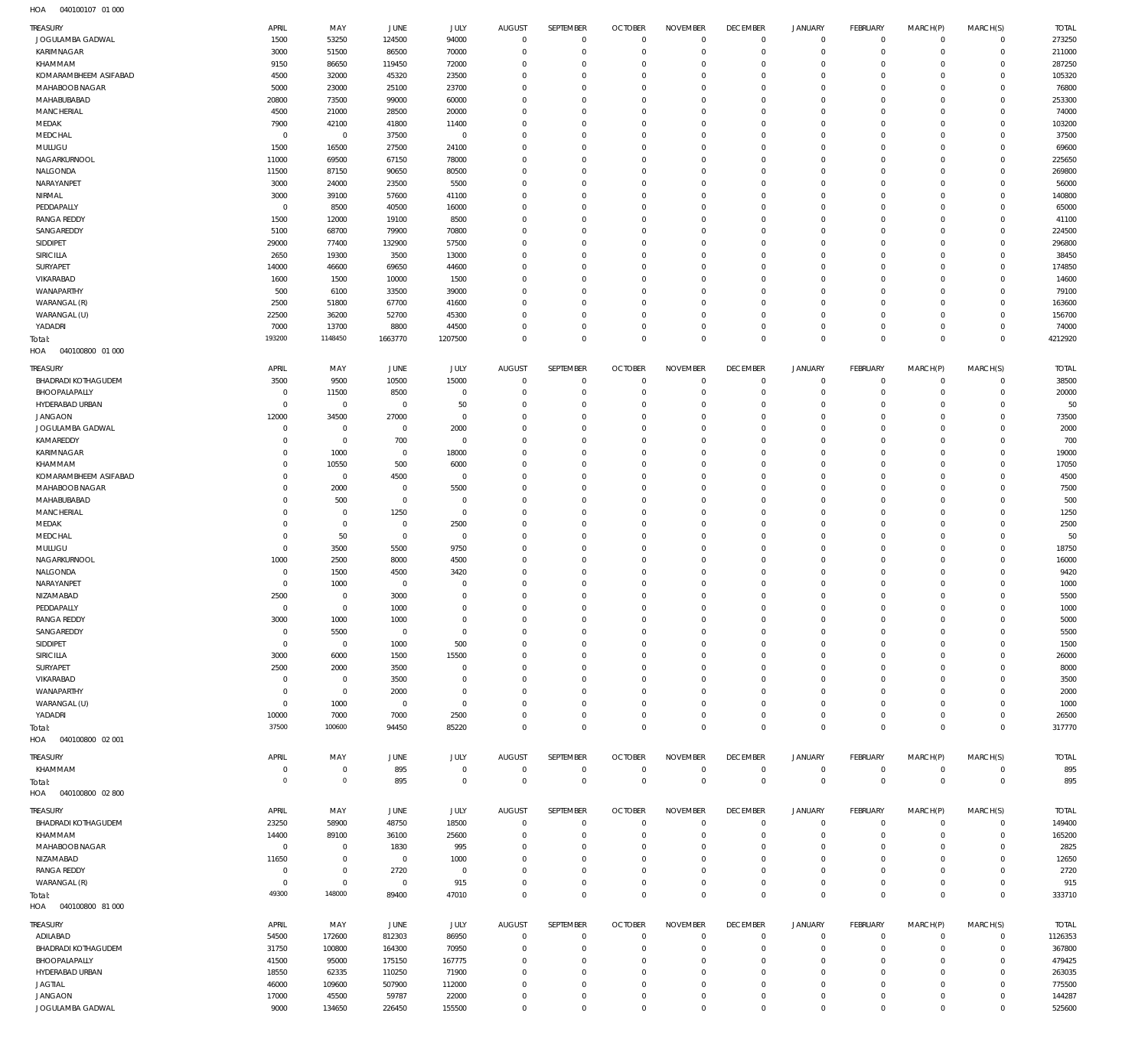| TREASURY                           | APRIL          | MAY             | JUNE            | JULY            | <b>AUGUST</b>              | <b>SEPTEMBER</b> | <b>OCTOBER</b>             | <b>NOVEMBER</b>  | <b>DECEMBER</b>               | JANUARY                    | <b>FEBRUARY</b>            | MARCH(P)             | MARCH(S)                   | <b>TOTAL</b>     |
|------------------------------------|----------------|-----------------|-----------------|-----------------|----------------------------|------------------|----------------------------|------------------|-------------------------------|----------------------------|----------------------------|----------------------|----------------------------|------------------|
| JOGULAMBA GADWAL                   | 1500           | 53250           | 124500          | 94000           | $\mathbf{0}$               | $\mathbf{0}$     | $\overline{0}$             | $\mathbf 0$      | $\mathbf 0$                   | $\mathbf 0$                | $\mathbf 0$                | $\mathbf 0$          | $\mathbf 0$                | 273250           |
| KARIMNAGAR                         | 3000           | 51500           | 86500           | 70000           | $\mathbf 0$                | 0                | $\overline{0}$             | $\mathbf 0$      | $\mathbf 0$                   | $\mathbf 0$                | $\mathbf{0}$               | $\Omega$             | $\mathbf 0$                | 211000           |
|                                    |                |                 |                 |                 |                            |                  |                            |                  |                               |                            |                            |                      |                            |                  |
| KHAMMAM                            | 9150           | 86650           | 119450          | 72000           | $\mathbf 0$                | 0                | $\mathbf 0$                | $\mathbf 0$      | $\mathbf 0$                   | $^{\circ}$                 | $^{\circ}$                 | $\Omega$             | $\Omega$                   | 287250           |
| KOMARAMBHEEM ASIFABAD              | 4500           | 32000           | 45320           | 23500           | $\Omega$                   | $\Omega$         | $\overline{0}$             | $\Omega$         | $\overline{0}$                | $\Omega$                   | $\Omega$                   |                      | $\Omega$                   | 105320           |
| MAHABOOB NAGAR                     | 5000           | 23000           | 25100           | 23700           | $\mathbf 0$                | 0                | $\mathbf 0$                | $\mathbf 0$      | $\mathbf 0$                   | $\mathbf 0$                | $^{\circ}$                 | $\Omega$             | $\Omega$                   | 76800            |
| MAHABUBABAD                        | 20800          | 73500           | 99000           | 60000           | $\mathbf 0$                | $\Omega$         | $\overline{0}$             | $\Omega$         | $\overline{0}$                | $\Omega$                   | $\Omega$                   |                      | $\Omega$                   | 253300           |
| MANCHERIAL                         | 4500           | 21000           | 28500           | 20000           | $\mathbf 0$                | 0                | $\mathbf 0$                | $\mathbf 0$      | $\overline{0}$                | $\mathbf 0$                | $\Omega$                   |                      | $\Omega$                   | 74000            |
|                                    |                |                 |                 |                 |                            |                  |                            |                  |                               |                            |                            |                      |                            |                  |
| MEDAK                              | 7900           | 42100           | 41800           | 11400           | 0                          | 0                | $\overline{0}$             | $\Omega$         | $\overline{0}$                | $\Omega$                   | $\Omega$                   |                      | $\Omega$                   | 103200           |
| MEDCHAL                            | $\overline{0}$ | $\mathbf 0$     | 37500           | $\overline{0}$  | $\mathbf 0$                | 0                | $\overline{0}$             | $\Omega$         | $\overline{0}$                | $\Omega$                   | $\Omega$                   |                      | $\Omega$                   | 37500            |
| MULUGU                             | 1500           | 16500           | 27500           | 24100           | $\mathbf 0$                | 0                | $\mathbf 0$                | $\mathbf 0$      | $\overline{0}$                | $\mathbf 0$                | $^{\circ}$                 |                      | $\Omega$                   | 69600            |
| NAGARKURNOOL                       | 11000          | 69500           | 67150           | 78000           | 0                          | 0                | $\overline{0}$             | $\Omega$         | $\overline{0}$                | $\Omega$                   | $\Omega$                   |                      | $\Omega$                   | 225650           |
| NALGONDA                           | 11500          | 87150           | 90650           | 80500           | 0                          | 0                | $\overline{0}$             | $\Omega$         | $^{\circ}$                    | $\Omega$                   | $\Omega$                   |                      | $\Omega$                   | 269800           |
|                                    |                |                 |                 |                 |                            |                  |                            |                  |                               |                            |                            |                      |                            |                  |
| NARAYANPET                         | 3000           | 24000           | 23500           | 5500            | $\mathbf 0$                | 0                | $\overline{0}$             | $\Omega$         | $\overline{0}$                | $\mathbf 0$                | $^{\circ}$                 |                      | $\Omega$                   | 56000            |
| NIRMAL                             | 3000           | 39100           | 57600           | 41100           | $\Omega$                   | 0                | $\overline{0}$             | $\Omega$         | $\overline{0}$                | $\Omega$                   | $\Omega$                   |                      | $\Omega$                   | 140800           |
| PEDDAPALLY                         | $\overline{0}$ | 8500            | 40500           | 16000           | $\mathbf 0$                | 0                | $\mathbf 0$                | 0                | $\overline{0}$                | $\mathbf 0$                | $^{\circ}$                 |                      | $\Omega$                   | 65000            |
| <b>RANGA REDDY</b>                 | 1500           | 12000           | 19100           | 8500            | $\Omega$                   | $\Omega$         | $\overline{0}$             | $\Omega$         | $\Omega$                      | $\Omega$                   | $\Omega$                   |                      | $\Omega$                   | 41100            |
|                                    |                |                 |                 |                 |                            |                  |                            |                  |                               |                            |                            |                      |                            |                  |
| SANGAREDDY                         | 5100           | 68700           | 79900           | 70800           | $\mathbf 0$                | 0                | $\mathbf{0}$               | $\mathbf 0$      | $\overline{0}$                | $\mathbf 0$                | $^{\circ}$                 |                      | $\Omega$                   | 224500           |
| SIDDIPET                           | 29000          | 77400           | 132900          | 57500           | $\Omega$                   | $\Omega$         | $\overline{0}$             | $\Omega$         | $\overline{0}$                | $\Omega$                   | $\Omega$                   |                      | $\Omega$                   | 296800           |
| SIRICILLA                          | 2650           | 19300           | 3500            | 13000           | $\mathbf 0$                | 0                | $\mathbf{0}$               | $\Omega$         | $\overline{0}$                | $\mathbf 0$                | $\Omega$                   |                      | $\Omega$                   | 38450            |
| SURYAPET                           | 14000          | 46600           | 69650           | 44600           | 0                          | $\Omega$         | $\overline{0}$             | $\Omega$         | $\mathbf 0$                   | $\Omega$                   | $\Omega$                   |                      | $\Omega$                   | 174850           |
| VIKARABAD                          |                |                 |                 |                 |                            |                  | $\overline{0}$             | $\Omega$         | $\overline{0}$                | $\Omega$                   | $\Omega$                   |                      | $\Omega$                   |                  |
|                                    | 1600           | 1500            | 10000           | 1500            | $\mathbf 0$                | 0                |                            |                  |                               |                            |                            |                      |                            | 14600            |
| WANAPARTHY                         | 500            | 6100            | 33500           | 39000           | 0                          | 0                | $\overline{0}$             | 0                | $\overline{0}$                | $\Omega$                   | $\Omega$                   |                      | $\Omega$                   | 79100            |
| WARANGAL (R)                       | 2500           | 51800           | 67700           | 41600           | 0                          | 0                | $\overline{0}$             | $\Omega$         | $\overline{0}$                | $\Omega$                   | $\Omega$                   |                      | $\Omega$                   | 163600           |
| WARANGAL (U)                       | 22500          | 36200           | 52700           | 45300           | $\Omega$                   | 0                | $\overline{0}$             | $\Omega$         | $\overline{0}$                | $\Omega$                   | $\Omega$                   |                      | $\Omega$                   | 156700           |
| YADADRI                            | 7000           | 13700           | 8800            | 44500           | $\mathbf 0$                | 0                | $\overline{0}$             | 0                | $\overline{0}$                | $\mathbf 0$                | $\mathbf{0}$               | $\Omega$             | $\Omega$                   | 74000            |
|                                    |                |                 |                 |                 |                            |                  |                            |                  |                               |                            |                            |                      |                            |                  |
| Total:                             | 193200         | 1148450         | 1663770         | 1207500         | $\Omega$                   | 0                | $\mathbb O$                | $\Omega$         | $\,0\,$                       | $\mathbf 0$                | $\mathbb O$                | $\Omega$             | $\Omega$                   | 4212920          |
| 040100800 01 000<br>HOA            |                |                 |                 |                 |                            |                  |                            |                  |                               |                            |                            |                      |                            |                  |
|                                    |                |                 |                 |                 |                            |                  |                            |                  |                               |                            |                            |                      |                            |                  |
| <b>TREASURY</b>                    | APRIL          | MAY             | JUNE            | JULY            | <b>AUGUST</b>              | SEPTEMBER        | <b>OCTOBER</b>             | <b>NOVEMBER</b>  | <b>DECEMBER</b>               | <b>JANUARY</b>             | <b>FEBRUARY</b>            | MARCH(P)             | MARCH(S)                   | <b>TOTAL</b>     |
| <b>BHADRADI KOTHAGUDEM</b>         | 3500           | 9500            | 10500           | 15000           | $\mathbf 0$                | $\mathbf 0$      | $\overline{0}$             | $\mathbf 0$      | $\overline{0}$                | $^{\circ}$                 | $^{\circ}$                 | $\Omega$             | $\mathbf 0$                | 38500            |
| BHOOPALAPALLY                      | $\overline{0}$ | 11500           | 8500            | $\mathbf 0$     | $\mathbf 0$                | $\mathbf 0$      | $\mathbb O$                | $\mathbf 0$      | $\,0\,$                       | $\mathbf{0}$               | $\mathbf{0}$               | $\Omega$             | $\mathbf 0$                | 20000            |
| HYDERABAD URBAN                    | $\overline{0}$ | $\overline{0}$  | $\overline{0}$  | 50              | $\mathbf 0$                | 0                | $\overline{0}$             | $\mathbf 0$      | $\overline{0}$                | $\mathbf 0$                | $^{\circ}$                 | $\Omega$             | $\mathbf 0$                | 50               |
|                                    |                |                 |                 |                 |                            |                  |                            |                  |                               |                            |                            |                      |                            |                  |
| <b>JANGAON</b>                     | 12000          | 34500           | 27000           | $\overline{0}$  | $\mathbf 0$                | 0                | $\overline{0}$             | $\mathbf 0$      | $\overline{0}$                | $\mathbf 0$                | $\mathbf{0}$               | $\Omega$             | $\Omega$                   | 73500            |
| JOGULAMBA GADWAL                   | $\mathbf 0$    | $^{\circ}$      | $\overline{0}$  | 2000            | $\mathbf 0$                | 0                | $\overline{0}$             | $\Omega$         | $\mathbf 0$                   | $\mathbf 0$                | $\mathbf{0}$               | $\Omega$             | $\mathbf 0$                | 2000             |
| KAMAREDDY                          | $\mathbf 0$    | $\mathbf 0$     | 700             | $\mathbf 0$     | $\mathbf 0$                | 0                | $\overline{0}$             | $\mathbf 0$      | $\overline{0}$                | $\Omega$                   | $\mathbf{0}$               | $\Omega$             | $\Omega$                   | 700              |
| KARIMNAGAR                         | $\mathbf 0$    | 1000            | $\overline{0}$  | 18000           | $\mathbf 0$                | 0                | $\overline{0}$             | $\mathbf 0$      | $\mathbf 0$                   | $\mathbf 0$                | $\mathbf{0}$               | $\Omega$             | $\Omega$                   | 19000            |
|                                    |                |                 |                 |                 |                            |                  |                            |                  |                               |                            |                            |                      |                            |                  |
| KHAMMAM                            | $\mathbf 0$    | 10550           | 500             | 6000            | $\mathbf 0$                | 0                | $\overline{0}$             | $\mathbf 0$      | $\overline{0}$                | $\mathbf 0$                | $\mathbf{0}$               | $\Omega$             | $\mathbf 0$                | 17050            |
| KOMARAMBHEEM ASIFABAD              | $\mathbf 0$    | $\mathbf 0$     | 4500            | $^{\circ}$      | $\mathbf 0$                | 0                | $\overline{0}$             | $\Omega$         | $\overline{0}$                | $\mathbf 0$                | $\mathbf{0}$               |                      | $\Omega$                   | 4500             |
| MAHABOOB NAGAR                     | $\mathbf 0$    | 2000            | $\overline{0}$  | 5500            | $\mathbf 0$                | 0                | $\overline{0}$             | $\mathbf 0$      | $\overline{0}$                | $\mathbf 0$                | $\mathbf{0}$               | $\Omega$             | $\mathbf 0$                | 7500             |
| MAHABUBABAD                        | $\mathbf 0$    | 500             | $\overline{0}$  | $^{\circ}$      | $\mathbf 0$                | 0                | $\overline{0}$             | 0                | $\overline{0}$                | $\mathbf 0$                | $\mathbf{0}$               |                      | $\Omega$                   | 500              |
|                                    |                |                 |                 |                 |                            |                  |                            |                  |                               |                            |                            |                      |                            |                  |
| MANCHERIAL                         | $\mathbf 0$    | $^{\circ}$      | 1250            | $\overline{0}$  | $\mathbf 0$                | 0                | $\overline{0}$             | $\mathbf 0$      | $\overline{0}$                | $\Omega$                   | $\mathbf{0}$               | $\Omega$             | $\Omega$                   | 1250             |
| MEDAK                              | $\mathbf 0$    | $\mathbf 0$     | $\overline{0}$  | 2500            | $\mathbf 0$                | 0                | $\overline{0}$             | $\Omega$         | $\overline{0}$                | $\mathbf 0$                | $\mathbf{0}$               |                      | $\Omega$                   | 2500             |
| MEDCHAL                            | $\mathbf 0$    | 50              | $\overline{0}$  | $\mathbf 0$     | $\mathbf 0$                | 0                | $\overline{0}$             | $\mathbf 0$      | $\overline{0}$                | $\Omega$                   | $\Omega$                   | $\Omega$             | $\Omega$                   | 50               |
| MULUGU                             | $\mathbf 0$    | 3500            | 5500            | 9750            | $\mathbf 0$                | 0                | $\overline{0}$             | $\mathbf 0$      | $\overline{0}$                | $^{\circ}$                 | $\mathbf{0}$               |                      | $\mathbf 0$                | 18750            |
|                                    |                |                 |                 |                 |                            |                  |                            |                  |                               |                            |                            |                      |                            |                  |
| NAGARKURNOOL                       | 1000           | 2500            | 8000            | 4500            | $\mathbf 0$                | 0                | $\overline{0}$             | $\mathbf 0$      | $\overline{0}$                | $\Omega$                   | $\Omega$                   | $\Omega$             | $\Omega$                   | 16000            |
| NALGONDA                           | $\overline{0}$ | 1500            | 4500            | 3420            | $\mathbf 0$                | 0                | $\overline{0}$             | $\mathbf 0$      | $\overline{0}$                | $^{\circ}$                 | $^{\circ}$                 | $\Omega$             | $\mathbf 0$                | 9420             |
| NARAYANPET                         | $\mathbf 0$    | 1000            | $\overline{0}$  | $\mathbf 0$     | $\mathbf 0$                | 0                | $\overline{0}$             | $\mathbf 0$      | $\overline{0}$                | $\Omega$                   | $\mathbf{0}$               | $\Omega$             | $\Omega$                   | 1000             |
| NIZAMABAD                          | 2500           | $\overline{0}$  | 3000            | $\mathbf 0$     | $\overline{0}$             | $\mathbf 0$      | $\mathbb O$                | $\mathbf 0$      | $\,0\,$                       | $\mathbf 0$                | $\mathbf 0$                | $\Omega$             | $\mathsf{O}\xspace$        | 5500             |
|                                    |                |                 |                 |                 |                            |                  |                            |                  |                               |                            |                            |                      |                            |                  |
| PEDDAPALLY                         | $\Omega$       | $\mathbf{0}$    | 1000            | $\overline{0}$  | $\Omega$                   | $\Omega$         | $\Omega$                   | $\Omega$         | $\mathbf{0}$                  | $\circ$                    | $\circ$                    | $\circ$              | $\circ$                    | 1000             |
| <b>RANGA REDDY</b>                 | 3000           | 1000            | 1000            | $\mathbf 0$     | $\mathbf 0$                | 0                | $\mathbf{0}$               | $\mathbf 0$      | $\mathbf 0$                   | $^{\circ}$                 | $^{\circ}$                 | $\Omega$             | $\Omega$                   | 5000             |
| SANGAREDDY                         | $\mathbf 0$    | 5500            | $\overline{0}$  | $\mathbf 0$     | $\mathbf 0$                | 0                | $^{\circ}$                 | $\mathbf{0}$     | $^{\circ}$                    | $^{\circ}$                 | $^{\circ}$                 | $\Omega$             | $\mathbf 0$                | 5500             |
| SIDDIPET                           | $\mathbf 0$    | $\overline{0}$  | 1000            | 500             | 0                          | 0                | $\overline{0}$             | 0                | $\mathbf 0$                   | $^{\circ}$                 | $^{\circ}$                 |                      | $\Omega$                   | 1500             |
|                                    |                |                 |                 |                 |                            |                  |                            |                  |                               |                            |                            |                      |                            |                  |
| SIRICILLA                          | 3000           | 6000            | 1500            | 15500           | 0                          | 0                | $\overline{0}$             | $\mathbf 0$      | $\overline{0}$                | $^{\circ}$                 | $^{\circ}$                 | $\Omega$             | $\Omega$                   | 26000            |
| SURYAPET                           | 2500           | 2000            | 3500            | $\mathbf 0$     | 0                          | 0                | $\overline{0}$             | 0                | $^{\circ}$                    | $^{\circ}$                 | $^{\circ}$                 |                      | $\Omega$                   | 8000             |
| VIKARABAD                          | $\mathbf 0$    | $\mathbf 0$     | 3500            | $\mathbf 0$     | 0                          | 0                | $\overline{0}$             | $\mathbf 0$      | $\overline{0}$                | $\mathbf 0$                | $^{\circ}$                 |                      | $\Omega$                   | 3500             |
| WANAPARTHY                         | $\mathbf 0$    | $\overline{0}$  | 2000            | $\mathbf 0$     | 0                          | 0                | $\overline{0}$             | 0                | $\overline{0}$                | $\mathbf 0$                | $^{\circ}$                 |                      | $\Omega$                   | 2000             |
| WARANGAL (U)                       | $\mathbf 0$    | 1000            | $\overline{0}$  | $\mathbf 0$     | $\mathbf 0$                | 0                | $\overline{0}$             | $\mathbf 0$      | $\overline{0}$                | $\mathbf 0$                | $^{\circ}$                 | $\Omega$             | $\Omega$                   | 1000             |
|                                    |                |                 |                 |                 |                            |                  |                            |                  |                               |                            |                            |                      |                            |                  |
| YADADRI                            | 10000          | 7000            | 7000            | 2500            | $\mathbf 0$                | 0                | $\mathbf 0$                | $\mathbf 0$      | $\mathbf 0$                   | $\mathbf 0$                | $^{\circ}$                 | $\Omega$             | $\mathbf 0$                | 26500            |
| Total:                             | 37500          | 100600          | 94450           | 85220           | $\mathbf 0$                | 0                | $\overline{0}$             | $\mathbf 0$      | $\mathbb O$                   | $\mathbf 0$                | $\overline{0}$             | $^{\circ}$           | $\mathbf 0$                | 317770           |
| 040100800 02 001<br>HOA            |                |                 |                 |                 |                            |                  |                            |                  |                               |                            |                            |                      |                            |                  |
|                                    |                |                 |                 |                 |                            |                  |                            |                  |                               |                            |                            |                      |                            |                  |
| TREASURY                           | APRIL          | MAY             | JUNE            | JULY            | AUGUST                     | SEPTEMBER        | <b>OCTOBER</b>             | <b>NOVEMBER</b>  | <b>DECEMBER</b>               | <b>JANUARY</b>             | FEBRUARY                   | MARCH(P)             | MARCH(S)                   | <b>TOTAL</b>     |
| KHAMMAM                            | $\mathbf 0$    | $\mathbf 0$     | 895             | $\overline{0}$  | $\mathbf 0$                | $\mathbf 0$      | $\overline{0}$             | $\mathbf 0$      | $\mathbf 0$                   | $\mathbf 0$                | $\mathbf 0$                | $\mathbf 0$          | $\mathbf 0$                | 895              |
| Total:                             | $\overline{0}$ | $\mathbf 0$     | 895             | $\mathbf 0$     | $\overline{0}$             | $\mathbf 0$      | $\mathbb O$                | $\mathbb O$      | $\mathbb O$                   | $\mathbf 0$                | $\overline{0}$             | $\mathbf{0}$         | $\mathbf{0}$               | 895              |
| 040100800 02 800<br>HOA            |                |                 |                 |                 |                            |                  |                            |                  |                               |                            |                            |                      |                            |                  |
|                                    |                |                 |                 |                 |                            |                  |                            |                  |                               |                            |                            |                      |                            |                  |
| <b>TREASURY</b>                    | APRIL          | MAY             | JUNE            | JULY            | <b>AUGUST</b>              | SEPTEMBER        | <b>OCTOBER</b>             | <b>NOVEMBER</b>  | <b>DECEMBER</b>               | <b>JANUARY</b>             | FEBRUARY                   | MARCH(P)             | MARCH(S)                   | <b>TOTAL</b>     |
|                                    |                |                 |                 |                 |                            |                  |                            |                  |                               |                            |                            |                      |                            |                  |
| BHADRADI KOTHAGUDEM                | 23250          | 58900           | 48750           | 18500           | $\mathbf{0}$               | $\mathbf{0}$     | $\overline{0}$             | $\mathbf 0$      | $\mathbf 0$                   | $\mathbf 0$                | $^{\circ}$                 | $\mathbf 0$          | $\mathbf 0$                | 149400           |
| KHAMMAM                            | 14400          | 89100           | 36100           | 25600           | $\mathbf 0$                | 0                | $\overline{0}$             | $\mathbf 0$      | $\overline{0}$                | $^{\circ}$                 | $^{\circ}$                 | $\Omega$             | $\mathbf 0$                | 165200           |
| MAHABOOB NAGAR                     | $\overline{0}$ | $\mathbf 0$     | 1830            | 995             | $\mathbf 0$                | 0                | $\overline{0}$             | $\mathbf 0$      | $\overline{0}$                | $\mathbf 0$                | $^{\circ}$                 | $\Omega$             | $\Omega$                   | 2825             |
| NIZAMABAD                          | 11650          | $^{\circ}$      | $\overline{0}$  | 1000            | $\mathbf 0$                | 0                | $\overline{0}$             | $\mathbf 0$      | $\overline{0}$                | $\mathbf 0$                | $^{\circ}$                 | $\Omega$             | $\mathbf 0$                | 12650            |
|                                    |                |                 |                 |                 |                            |                  |                            |                  |                               |                            |                            |                      |                            |                  |
| <b>RANGA REDDY</b>                 | $\mathbf 0$    | $\mathbf 0$     | 2720            | $^{\circ}$      | 0                          | 0                | $\overline{0}$             | $\mathbf 0$      | $\overline{0}$                | $\mathbf 0$                | $^{\circ}$                 |                      | $\Omega$                   | 2720             |
| WARANGAL (R)                       | $\overline{0}$ | $\mathbf 0$     | $\overline{0}$  | 915             | $\mathbf 0$                | 0                | $\mathbf{0}$               | $\mathbf 0$      | $\mathbf 0$                   | $\mathbf 0$                | $\mathbf{0}$               | $\Omega$             | $\mathbf 0$                | 915              |
| Total:                             | 49300          | 148000          | 89400           | 47010           | $\overline{0}$             | $\mathbf 0$      | $\mathbb O$                | $\mathbf 0$      | $\mathbb O$                   | $\mathbf 0$                | $\mathbb O$                | $^{\circ}$           | $\mathbb O$                | 333710           |
| HOA  040100800  81 000             |                |                 |                 |                 |                            |                  |                            |                  |                               |                            |                            |                      |                            |                  |
|                                    |                |                 |                 |                 |                            |                  |                            |                  |                               |                            |                            |                      |                            |                  |
| TREASURY                           | APRIL          | MAY             | JUNE            | JULY            | AUGUST                     | SEPTEMBER        | <b>OCTOBER</b>             | <b>NOVEMBER</b>  | <b>DECEMBER</b>               | <b>JANUARY</b>             | FEBRUARY                   | MARCH(P)             | MARCH(S)                   | <b>TOTAL</b>     |
| ADILABAD                           | 54500          | 172600          | 812303          | 86950           | $\mathbf{0}$               | $\mathbf 0$      | $\overline{0}$             | $\mathbf 0$      | $\overline{0}$                | $\mathbf 0$                | $^{\circ}$                 | $\mathbf 0$          | $\mathbf 0$                | 1126353          |
|                                    |                |                 |                 |                 |                            |                  |                            |                  |                               |                            |                            |                      |                            |                  |
| <b>BHADRADI KOTHAGUDEM</b>         | 31750          | 100800          | 164300          | 70950           | $\mathbf 0$                | 0                | $^{\circ}$                 | $\mathbf 0$      | $^{\circ}$                    | $^{\circ}$                 | $^{\circ}$                 | $\Omega$             | $\mathbf 0$                | 367800           |
| BHOOPALAPALLY                      | 41500          | 95000           | 175150          | 167775          | 0                          | 0                | $\overline{0}$             | 0                | $\mathbf 0$                   | $^{\circ}$                 | $^{\circ}$                 |                      | $\Omega$                   | 479425           |
|                                    |                | 62335           | 110250          | 71900           | $\mathbf 0$                | 0                | $^{\circ}$                 | $\mathbf 0$      | $\overline{0}$                | $\mathbf 0$                | $^{\circ}$                 |                      | $\Omega$                   | 263035           |
| HYDERABAD URBAN                    | 18550          |                 |                 |                 |                            |                  |                            |                  |                               |                            |                            |                      |                            |                  |
|                                    |                |                 |                 |                 | 0                          | 0                | $\mathbf 0$                | 0                | $^{\circ}$                    | $^{\circ}$                 | $^{\circ}$                 |                      | $\Omega$                   |                  |
| <b>JAGTIAL</b>                     | 46000          | 109600          | 507900          | 112000          |                            |                  |                            |                  |                               |                            |                            |                      |                            | 775500           |
| <b>JANGAON</b><br>JOGULAMBA GADWAL | 17000<br>9000  | 45500<br>134650 | 59787<br>226450 | 22000<br>155500 | $\mathbf 0$<br>$\mathbf 0$ | 0<br>0           | $^{\circ}$<br>$\mathbf{0}$ | $\mathbf 0$<br>0 | $\overline{0}$<br>$\mathbb O$ | $\mathbf 0$<br>$\mathbf 0$ | $^{\circ}$<br>$\mathbf{0}$ | $\Omega$<br>$\Omega$ | $\mathbf 0$<br>$\mathbf 0$ | 144287<br>525600 |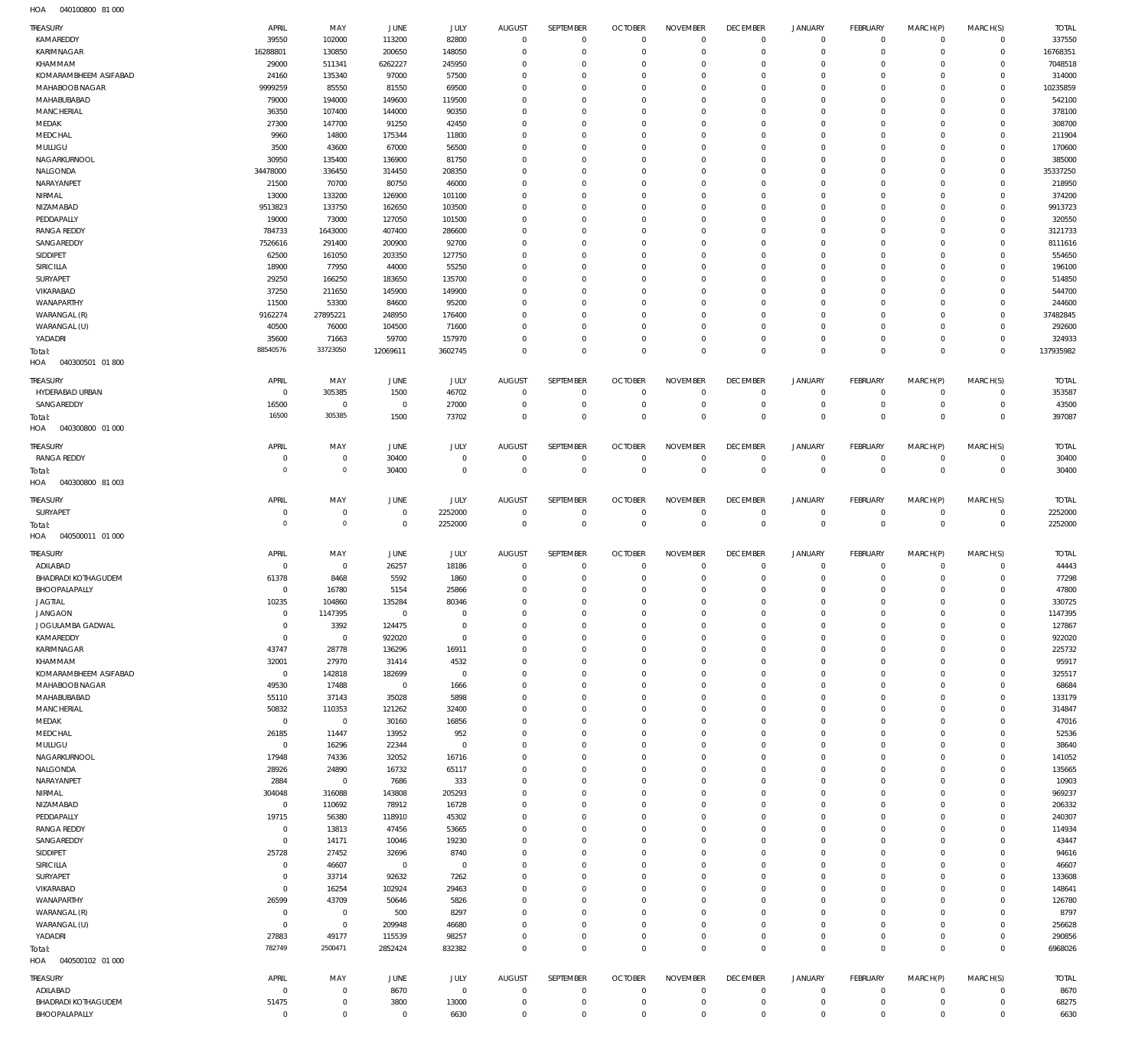040100800 81 000 HOA

| <b>TREASURY</b>                        | APRIL                   | MAY                        | JUNE                 | JULY                       | <b>AUGUST</b>              | SEPTEMBER                  | <b>OCTOBER</b>                   | <b>NOVEMBER</b>             | <b>DECEMBER</b>                  | <b>JANUARY</b>        | <b>FEBRUARY</b>            | MARCH(P)             | MARCH(S)                   | <b>TOTAL</b>       |
|----------------------------------------|-------------------------|----------------------------|----------------------|----------------------------|----------------------------|----------------------------|----------------------------------|-----------------------------|----------------------------------|-----------------------|----------------------------|----------------------|----------------------------|--------------------|
| KAMAREDDY                              | 39550                   | 102000                     | 113200               | 82800                      | $\mathbf{0}$               | $\mathbf{0}$               | $\overline{0}$                   | $\mathbf{0}$                | $\overline{0}$                   | $\circ$               | $\mathbf 0$                | $\Omega$             | $\mathbf 0$                | 337550             |
| <b>KARIMNAGAR</b>                      | 16288801                | 130850                     | 200650               | 148050                     | $\mathbf 0$                | $\mathbf 0$                | $\overline{0}$                   | $\mathbf 0$                 | $\overline{0}$                   | $\mathbf 0$           | $\mathbf 0$                | $\Omega$             | $\mathbf 0$                | 16768351           |
| KHAMMAM                                | 29000                   | 511341                     | 6262227              | 245950                     | 0                          | $\mathbf 0$                | $\mathbf 0$                      | 0                           | $\overline{0}$                   | $^{\circ}$            | $\mathbf 0$                | $\Omega$             | $\mathbf 0$                | 7048518            |
| KOMARAMBHEEM ASIFABAD                  | 24160                   | 135340                     | 97000                | 57500                      | $\Omega$                   | $\mathbf 0$                | $\mathbf 0$                      | $\mathbf 0$                 | $\mathbf{0}$                     | $\circ$               | $\mathbf 0$                | $\Omega$             | $\mathbf 0$                | 314000             |
| MAHABOOB NAGAR<br>MAHABUBABAD          | 9999259<br>79000        | 85550<br>194000            | 81550<br>149600      | 69500<br>119500            | $\mathbf 0$<br>$\Omega$    | $\mathbf 0$<br>$\mathbf 0$ | $\mathbf 0$<br>$\mathbf 0$       | $\mathbf 0$<br>$\mathbf 0$  | $\mathbf{0}$<br>$\mathbf{0}$     | $\circ$<br>$^{\circ}$ | $\mathbf 0$<br>$\mathbf 0$ | $\Omega$<br>$\Omega$ | $\mathbf 0$<br>$\mathbf 0$ | 10235859<br>542100 |
| MANCHERIAL                             | 36350                   | 107400                     | 144000               | 90350                      | $\mathbf 0$                | $\mathbf 0$                | $\mathbf 0$                      | $\mathbf 0$                 | $\mathbf{0}$                     | $\circ$               | $\mathbf 0$                | $\Omega$             | $\mathbf 0$                | 378100             |
| MEDAK                                  | 27300                   | 147700                     | 91250                | 42450                      | $\mathbf 0$                | $\mathbf 0$                | $\mathbf 0$                      | $\mathbf 0$                 | $\mathbf{0}$                     | $^{\circ}$            | $\mathbf 0$                | $\Omega$             | $\mathbf 0$                | 308700             |
| MEDCHAL                                | 9960                    | 14800                      | 175344               | 11800                      | $\mathbf 0$                | $\mathbf 0$                | $\mathbf 0$                      | $\mathbf 0$                 | $\mathbf{0}$                     | $\circ$               | $\mathbf 0$                | $\Omega$             | $\mathbf 0$                | 211904             |
| MULUGU                                 | 3500                    | 43600                      | 67000                | 56500                      | $\mathbf 0$                | $\mathbf 0$                | $\mathbf 0$                      | $\mathbf 0$                 | $\mathbf{0}$                     | $^{\circ}$            | $\mathbf 0$                | $\Omega$             | $\mathbf 0$                | 170600             |
| NAGARKURNOOL                           | 30950                   | 135400                     | 136900               | 81750                      | $\mathbf 0$                | $\mathbf 0$                | $\mathbf 0$                      | $\mathbf 0$                 | $\mathbf{0}$                     | $\circ$               | $\mathbf 0$                | $\Omega$             | $\mathbf 0$                | 385000             |
| NALGONDA                               | 34478000                | 336450                     | 314450               | 208350                     | $\mathbf 0$                | $\mathbf 0$                | $\mathbf 0$                      | $\mathbf 0$                 | $\mathbf{0}$                     | $^{\circ}$            | $\mathbf 0$                | $\Omega$             | $\mathbf 0$                | 35337250           |
| NARAYANPET                             | 21500                   | 70700                      | 80750                | 46000                      | $\mathbf 0$                | $\mathbf 0$                | $\mathbf 0$                      | $\mathbf 0$                 | $\mathbf{0}$                     | $\circ$               | $\mathbf 0$                | $\Omega$             | $\mathbf 0$                | 218950             |
| NIRMAL<br>NIZAMABAD                    | 13000<br>9513823        | 133200<br>133750           | 126900<br>162650     | 101100<br>103500           | $\mathbf 0$<br>$\mathbf 0$ | $\mathbf 0$<br>$\mathbf 0$ | $\mathbf 0$<br>$\mathbf 0$       | $\mathbf 0$<br>$\mathbf 0$  | $\mathbf{0}$<br>$\mathbf{0}$     | $^{\circ}$<br>$\circ$ | $^{\circ}$<br>$\mathbf 0$  | $\Omega$<br>$\Omega$ | $\mathbf 0$<br>$\mathbf 0$ | 374200<br>9913723  |
| PEDDAPALLY                             | 19000                   | 73000                      | 127050               | 101500                     | $\mathbf 0$                | $\mathbf 0$                | $\mathbf 0$                      | $\mathbf 0$                 | $\mathbf{0}$                     | $\circ$               | $^{\circ}$                 | $\Omega$             | $\mathbf 0$                | 320550             |
| <b>RANGA REDDY</b>                     | 784733                  | 1643000                    | 407400               | 286600                     | $\mathbf 0$                | $\mathbf 0$                | $\mathbf 0$                      | $\mathbf 0$                 | $\mathbf{0}$                     | $\circ$               | $^{\circ}$                 |                      | $\mathbf 0$                | 3121733            |
| SANGAREDDY                             | 7526616                 | 291400                     | 200900               | 92700                      | $\mathbf 0$                | $\mathbf 0$                | $^{\circ}$                       | $\mathbf 0$                 | $\mathbf{0}$                     | $\circ$               | $^{\circ}$                 | $\Omega$             | $\mathbf 0$                | 8111616            |
| SIDDIPET                               | 62500                   | 161050                     | 203350               | 127750                     | $\mathbf 0$                | $\mathbf 0$                | $\mathbf 0$                      | $\mathbf 0$                 | $\mathbf{0}$                     | $^{\circ}$            | $\mathbf 0$                |                      | $\mathbf 0$                | 554650             |
| SIRICILLA                              | 18900                   | 77950                      | 44000                | 55250                      | $\mathbf 0$                | $\mathbf 0$                | $\mathbf 0$                      | $\mathbf 0$                 | $\mathbf{0}$                     | $\circ$               | $^{\circ}$                 | $\Omega$             | $\mathbf 0$                | 196100             |
| SURYAPET                               | 29250                   | 166250                     | 183650               | 135700                     | $\mathbf 0$                | $\mathbf 0$                | $^{\circ}$                       | $\mathbf 0$                 | $\mathbf{0}$                     | $^{\circ}$            | $^{\circ}$                 |                      | $\mathbf 0$                | 514850             |
| VIKARABAD                              | 37250                   | 211650                     | 145900               | 149900                     | $\mathbf 0$                | $\mathbf 0$                | $\mathbf 0$                      | $\mathbf 0$                 | $\mathbf{0}$                     | $\circ$               | $^{\circ}$                 | $\Omega$             | $\mathbf 0$                | 544700             |
| WANAPARTHY                             | 11500                   | 53300                      | 84600                | 95200                      | $\mathbf 0$<br>$\Omega$    | $\mathbf 0$<br>$\mathbf 0$ | $\circ$<br>$\mathbf 0$           | $\mathbf 0$<br>$\mathbf 0$  | $\overline{0}$<br>$\mathbf{0}$   | $\mathbf 0$           | $^{\circ}$<br>$\mathbf 0$  | $\Omega$             | $\mathbf 0$<br>$\mathbf 0$ | 244600<br>37482845 |
| WARANGAL (R)<br>WARANGAL (U)           | 9162274<br>40500        | 27895221<br>76000          | 248950<br>104500     | 176400<br>71600            | $\mathbf 0$                | $\mathbf 0$                | $^{\circ}$                       | 0                           | $\mathbf{0}$                     | $\circ$<br>$\circ$    | $^{\circ}$                 |                      | $\mathbf 0$                | 292600             |
| YADADRI                                | 35600                   | 71663                      | 59700                | 157970                     | $\mathbf 0$                | $\mathbf 0$                | $\mathbf 0$                      | $\mathbf 0$                 | $\mathbf{0}$                     | $\mathbf 0$           | $\mathbf 0$                | $\Omega$             | $\mathbf 0$                | 324933             |
| Total:                                 | 88540576                | 33723050                   | 12069611             | 3602745                    | $\mathbf 0$                | $\mathbf 0$                | $\overline{0}$                   | $\mathbf 0$                 | $\mathbb O$                      | $\mathbb O$           | $\mathbb O$                | $\Omega$             | $\mathbf 0$                | 137935982          |
| 040300501 01800<br>HOA                 |                         |                            |                      |                            |                            |                            |                                  |                             |                                  |                       |                            |                      |                            |                    |
| <b>TREASURY</b>                        | APRIL                   | MAY                        | JUNE                 | JULY                       | <b>AUGUST</b>              | <b>SEPTEMBER</b>           | <b>OCTOBER</b>                   | <b>NOVEMBER</b>             | <b>DECEMBER</b>                  | <b>JANUARY</b>        | FEBRUARY                   | MARCH(P)             | MARCH(S)                   | <b>TOTAL</b>       |
| HYDERABAD URBAN                        | $\overline{0}$          | 305385                     | 1500                 | 46702                      | $\mathbf 0$                | $\mathbf 0$                | $\overline{0}$                   | $\mathbf{0}$                | $\overline{0}$                   | $\circ$               | $^{\circ}$                 | $\Omega$             | $\mathbf 0$                | 353587             |
| SANGAREDDY                             | 16500                   | $\mathbf 0$                | $\mathbf 0$          | 27000                      | $\mathbf 0$                | $\mathbf 0$                | $\overline{0}$                   | $\mathbf 0$                 | $\overline{0}$                   | $\circ$               | $\mathbf 0$                | $\circ$              | $\mathbf 0$                | 43500              |
| Total:                                 | 16500                   | 305385                     | 1500                 | 73702                      | $\mathbf 0$                | $\mathbf 0$                | $\overline{0}$                   | $\mathbf{0}$                | $\mathbb O$                      | $\mathbb O$           | $\mathbb O$                | $\Omega$             | $\mathbf 0$                | 397087             |
| HOA<br>040300800 01 000                |                         |                            |                      |                            |                            |                            |                                  |                             |                                  |                       |                            |                      |                            |                    |
| TREASURY                               | APRIL                   | MAY                        | JUNE                 | <b>JULY</b>                | <b>AUGUST</b>              | SEPTEMBER                  | <b>OCTOBER</b>                   | <b>NOVEMBER</b>             | <b>DECEMBER</b>                  | <b>JANUARY</b>        | <b>FEBRUARY</b>            | MARCH(P)             | MARCH(S)                   | <b>TOTAL</b>       |
| <b>RANGA REDDY</b>                     | 0                       | $\mathbf 0$                | 30400                | $^{\circ}$                 | $\mathbf 0$                | $\mathbf 0$                | $\overline{0}$                   | $\mathbf{0}$                | $\overline{0}$                   | $\circ$               | $^{\circ}$                 | $\Omega$             | $\circ$                    | 30400              |
| Total:                                 | $\Omega$                | $\mathbf 0$                | 30400                | $\mathbf 0$                | $\mathbf 0$                | $\overline{0}$             | $\overline{0}$                   | $\overline{0}$              | $\mathbb O$                      | $\mathbf 0$           | $\overline{0}$             | $\overline{0}$       | $\mathbf 0$                | 30400              |
| 040300800 81 003<br>HOA                |                         |                            |                      |                            |                            |                            |                                  |                             |                                  |                       |                            |                      |                            |                    |
| <b>TREASURY</b>                        | APRIL                   | MAY                        | <b>JUNE</b>          | JULY                       | <b>AUGUST</b>              | SEPTEMBER                  | <b>OCTOBER</b>                   | <b>NOVEMBER</b>             | <b>DECEMBER</b>                  | <b>JANUARY</b>        | FEBRUARY                   | MARCH(P)             | MARCH(S)                   | <b>TOTAL</b>       |
| SURYAPET                               | C                       | $\mathbf 0$                | $\mathbf 0$          | 2252000                    | $\mathbf 0$                | $\mathbf 0$                | $\overline{0}$                   | $\overline{0}$              | $\overline{0}$                   | $\mathbf 0$           | $^{\circ}$                 | $\Omega$             | $\mathbf 0$                | 2252000            |
| Total:                                 | $\overline{0}$          | $\mathsf{O}\xspace$        | $\mathbf 0$          | 2252000                    | $\overline{0}$             | $\overline{0}$             | $\overline{0}$                   | $\overline{0}$              | $\mathbb O$                      | $\mathbb O$           | $\overline{0}$             | $^{\circ}$           | $\mathbf 0$                | 2252000            |
| HOA<br>040500011 01 000                |                         |                            |                      |                            |                            |                            |                                  |                             |                                  |                       |                            |                      |                            |                    |
| <b>TREASURY</b>                        | APRIL                   | MAY                        | <b>JUNE</b>          | JULY                       | <b>AUGUST</b>              | <b>SEPTEMBER</b>           | <b>OCTOBER</b>                   | <b>NOVEMBER</b>             | <b>DECEMBER</b>                  | <b>JANUARY</b>        | FEBRUARY                   | MARCH(P)             | MARCH(S)                   | <b>TOTAL</b>       |
| ADILABAD                               | $\overline{0}$          | $\mathbf 0$                | 26257                | 18186                      | $\mathbf 0$                | $\mathbf 0$                | $\overline{0}$                   | $\mathbf 0$                 | $\overline{0}$                   | $^{\circ}$            | $^{\circ}$                 | $\Omega$             | $\mathbf 0$                | 44443              |
| <b>BHADRADI KOTHAGUDEM</b>             |                         |                            |                      |                            |                            |                            |                                  | $\mathbf 0$                 | $\overline{0}$                   |                       |                            |                      |                            |                    |
|                                        | 61378                   | 8468                       | 5592                 | 1860                       | 0                          | $\mathbf 0$                | $\overline{0}$                   |                             |                                  | $\circ$               | $^{\circ}$                 | $\Omega$             | $\circ$                    | 77298              |
| BHOOPALAPALLY                          | 0                       | 16780                      | 5154                 | 25866                      | 0                          | $\mathbf 0$                | $\mathbf 0$                      | 0                           | $\overline{0}$                   | $^{\circ}$            | $^{\circ}$                 | $\Omega$             | $\mathbf 0$                | 47800              |
| <b>JAGTIAL</b>                         | 10235                   | 104860                     | 135284               | 80346                      | $\Omega$                   | $\mathbf 0$                | $\Omega$                         | $\mathbf 0$                 | $\Omega$                         | $\mathbf 0$           | $\Omega$                   | $\Omega$             | $\Omega$                   | 330725             |
| JANGAON                                |                         | 1147395                    | 0                    | 0                          |                            |                            |                                  |                             |                                  |                       |                            |                      |                            | 1147395            |
| JOGULAMBA GADWAL                       | $\overline{0}$          | 3392                       | 124475               | $\mathbf 0$<br>$\mathbf 0$ | $\mathbf 0$<br>$\mathbf 0$ | $\mathbf 0$<br>$\mathbf 0$ | $\overline{0}$<br>$\mathbf 0$    | $\mathbf{0}$<br>$\mathbf 0$ | $\overline{0}$<br>$\overline{0}$ | $\circ$               | $^{\circ}$<br>$\mathbf 0$  | $\Omega$<br>$\Omega$ | $\mathbf 0$<br>$\mathbf 0$ | 127867             |
| KAMAREDDY<br>KARIMNAGAR                | $\overline{0}$<br>43747 | $\mathbf 0$<br>28778       | 922020<br>136296     | 16911                      | $\mathbf 0$                | $\mathbf 0$                | $\mathbf 0$                      | $\mathbf 0$                 | $\mathbf 0$                      | $\circ$<br>$\circ$    | $^{\circ}$                 | $\Omega$             | $\mathbf 0$                | 922020<br>225732   |
| KHAMMAM                                | 32001                   | 27970                      | 31414                | 4532                       | 0                          | $\mathbf 0$                | $\mathbf 0$                      | $\mathbf 0$                 | $\mathbf 0$                      | $\circ$               | $^{\circ}$                 | $\Omega$             | $\mathbf 0$                | 95917              |
| KOMARAMBHEEM ASIFABAD                  | $\mathbb O$             | 142818                     | 182699               | $\mathbf 0$                | $\mathbf 0$                | $\mathbf 0$                | $\mathbf 0$                      | $\mathbf 0$                 | $\mathbf 0$                      | $\circ$               | $\mathbf 0$                | $\Omega$             | $\mathbf 0$                | 325517             |
| MAHABOOB NAGAR                         | 49530                   | 17488                      | $\mathbf 0$          | 1666                       | $\mathbf 0$                | $\mathbf 0$                | $\mathbf 0$                      | $\mathbf 0$                 | $\mathbf 0$                      | $\circ$               | $^{\circ}$                 | $\Omega$             | $\mathbf 0$                | 68684              |
| MAHABUBABAD                            | 55110                   | 37143                      | 35028                | 5898                       | $\mathbf 0$                | $\mathbf 0$                | $\mathbf 0$                      | $\mathbf 0$                 | $\mathbf 0$                      | $\circ$               | $^{\circ}$                 | $\Omega$             | $\mathbf 0$                | 133179             |
| MANCHERIAL                             | 50832                   | 110353                     | 121262               | 32400                      | $\mathbf 0$                | $\mathbf 0$                | $\mathbf 0$                      | $\mathbf 0$                 | $\mathbf 0$                      | $\circ$               | $^{\circ}$                 | $\Omega$             | $\mathbf 0$                | 314847             |
| MEDAK                                  | $\mathbf 0$             | $\mathbf 0$                | 30160                | 16856                      | $\mathbf 0$<br>$\mathbf 0$ | $\mathbf 0$<br>$\mathbf 0$ | $\mathbf 0$<br>$\mathbf 0$       | $\mathbf 0$<br>$\mathbf 0$  | $\mathbf{0}$<br>$\mathbf{0}$     | $\circ$               | $\mathbf 0$<br>$^{\circ}$  | $\Omega$<br>$\Omega$ | $\mathbf 0$<br>$\mathbf 0$ | 47016              |
| MEDCHAL<br>MULUGU                      | 26185<br>$\overline{0}$ | 11447<br>16296             | 13952<br>22344       | 952<br>$\mathbf 0$         | $\mathbf 0$                | $\mathbf 0$                | $\mathbf 0$                      | $\mathbf 0$                 | $\mathbf{0}$                     | $\circ$<br>$\circ$    | $^{\circ}$                 | $\Omega$             | $\mathbf 0$                | 52536<br>38640     |
| NAGARKURNOOL                           | 17948                   | 74336                      | 32052                | 16716                      | $\mathbf 0$                | $\mathbf 0$                | $\mathbf 0$                      | $\mathbf 0$                 | $\mathbf{0}$                     | $\circ$               | $^{\circ}$                 | $\Omega$             | $\mathbf 0$                | 141052             |
| NALGONDA                               | 28926                   | 24890                      | 16732                | 65117                      | $\mathbf 0$                | $\mathbf 0$                | $\mathbf 0$                      | $\mathbf 0$                 | $\mathbf{0}$                     | $\circ$               | $^{\circ}$                 | $\Omega$             | $\mathbf 0$                | 135665             |
| NARAYANPET                             | 2884                    | $\mathbf 0$                | 7686                 | 333                        | $\mathbf 0$                | $\mathbf 0$                | $\mathbf 0$                      | $\mathbf 0$                 | $\mathbf 0$                      | $\circ$               | $^{\circ}$                 | $\Omega$             | $\mathbf 0$                | 10903              |
| NIRMAL                                 | 304048                  | 316088                     | 143808               | 205293                     | $\mathbf 0$                | $\mathbf 0$                | $\mathbf 0$                      | $\mathbf 0$                 | $\mathbf 0$                      | $\circ$               | $^{\circ}$                 | $\Omega$             | $\mathbf 0$                | 969237             |
| NIZAMABAD                              | $\mathbf 0$             | 110692                     | 78912                | 16728                      | $\mathbf 0$                | $\mathbf 0$                | $\mathbf 0$                      | $\mathbf 0$                 | $\mathbf 0$                      | $\circ$               | $^{\circ}$                 | $\Omega$             | $\mathbf 0$                | 206332             |
| PEDDAPALLY                             | 19715                   | 56380                      | 118910               | 45302                      | $\mathbf 0$                | $\mathbf 0$                | $\mathbf 0$                      | $\mathbf 0$                 | $\mathbf 0$                      | $\circ$               | $^{\circ}$                 | $\Omega$             | $\mathbf 0$                | 240307             |
| <b>RANGA REDDY</b>                     | $\overline{0}$          | 13813                      | 47456                | 53665                      | $\mathbf 0$                | $\mathbf 0$                | $\mathbf 0$                      | $\mathbf 0$                 | $\mathbf 0$                      | $\circ$               | $^{\circ}$                 |                      | $\mathbf 0$                | 114934             |
| SANGAREDDY                             | $\overline{0}$          | 14171                      | 10046                | 19230                      | $\mathbf 0$<br>$\mathbf 0$ | $\mathbf 0$<br>$\mathbf 0$ | $^{\circ}$<br>$\mathbf 0$        | $\mathbf 0$<br>$\mathbf 0$  | $\mathbf 0$<br>$\mathbf 0$       | $\circ$<br>$\circ$    | $^{\circ}$<br>$^{\circ}$   | $\Omega$             | $\mathbf 0$<br>$\mathbf 0$ | 43447              |
| SIDDIPET<br>SIRICILLA                  | 25728<br>$\overline{0}$ | 27452<br>46607             | 32696<br>$\mathbf 0$ | 8740<br>$\mathbf 0$        | $\mathbf 0$                | $\mathbf 0$                | $\mathbf 0$                      | $\mathbf 0$                 | $\mathbf 0$                      | $\circ$               | $^{\circ}$                 | $\Omega$             | $\mathbf 0$                | 94616<br>46607     |
| SURYAPET                               | $\overline{0}$          | 33714                      | 92632                | 7262                       | $\mathbf 0$                | $\mathbf 0$                | $\mathbf 0$                      | $\mathbf 0$                 | $\mathbf 0$                      | $\circ$               | $^{\circ}$                 |                      | $\mathbf 0$                | 133608             |
| VIKARABAD                              | $\overline{0}$          | 16254                      | 102924               | 29463                      | $\mathbf 0$                | $\mathbf 0$                | $^{\circ}$                       | $\mathbf 0$                 | $\mathbf 0$                      | $\circ$               | $\mathbf 0$                | $\Omega$             | $\mathbf 0$                | 148641             |
| WANAPARTHY                             | 26599                   | 43709                      | 50646                | 5826                       | $\mathbf 0$                | $\mathbf 0$                | $\mathbf 0$                      | $\mathbf 0$                 | $\mathbf 0$                      | $\mathbf 0$           | $\mathbf 0$                |                      | $\mathbf 0$                | 126780             |
| WARANGAL (R)                           | $\overline{0}$          | $\mathbf 0$                | 500                  | 8297                       | $\mathbf 0$                | $\mathbf 0$                | $\mathbf 0$                      | $\mathbf 0$                 | $\mathbf 0$                      | $\circ$               | $\mathbf 0$                | $\Omega$             | $\mathbf 0$                | 8797               |
| WARANGAL (U)                           | $\overline{0}$          | $\mathbf 0$                | 209948               | 46680                      | $\mathbf 0$                | $\mathbf 0$                | $^{\circ}$                       | $\mathbf 0$                 | $\mathbf 0$                      | $\circ$               | $\mathbf 0$                | - 0                  | $\mathbf 0$                | 256628             |
| YADADRI                                | 27883                   | 49177                      | 115539               | 98257                      | $\mathbf 0$                | $\mathbf 0$                | $\mathbf 0$                      | $\mathbf 0$                 | $\overline{0}$                   | $\mathbf 0$           | $\mathbf 0$                | $\Omega$             | $\mathbf 0$                | 290856             |
| Total:<br>HOA<br>040500102 01 000      | 782749                  | 2500471                    | 2852424              | 832382                     | $\mathbf 0$                | $\mathbf 0$                | $\overline{0}$                   | $\overline{0}$              | $\mathbb O$                      | $\,0\,$               | $\mathbb O$                | $^{\circ}$           | $\mathbf 0$                | 6968026            |
|                                        |                         |                            |                      |                            |                            |                            |                                  |                             |                                  |                       |                            |                      |                            |                    |
| <b>TREASURY</b>                        | APRIL                   | MAY                        | <b>JUNE</b>          | JULY                       | AUGUST                     | SEPTEMBER                  | <b>OCTOBER</b>                   | <b>NOVEMBER</b>             | <b>DECEMBER</b>                  | <b>JANUARY</b>        | FEBRUARY                   | MARCH(P)<br>$\Omega$ | MARCH(S)                   | <b>TOTAL</b>       |
| ADILABAD<br><b>BHADRADI KOTHAGUDEM</b> | $\overline{0}$<br>51475 | $\mathbf 0$<br>$\mathbf 0$ | 8670<br>3800         | $\mathbb O$<br>13000       | $\mathbf 0$<br>0           | $\mathbf 0$<br>$\mathbf 0$ | $\overline{0}$<br>$\overline{0}$ | $^{\circ}$<br>$\mathbf 0$   | $\overline{0}$<br>$\overline{0}$ | 0<br>0                | $\mathbf 0$<br>$\mathbf 0$ | $\circ$              | $\mathbf 0$<br>$\mathbf 0$ | 8670               |
| BHOOPALAPALLY                          | $\overline{0}$          | $\mathbb O$                | $\mathbf 0$          | 6630                       | $\mathbf 0$                | $\mathbf 0$                | $\overline{0}$                   | $\mathbf 0$                 | $\mathbb O$                      | $\mathbf 0$           | $\mathbf 0$                | $\Omega$             | $\mathbf 0$                | 68275<br>6630      |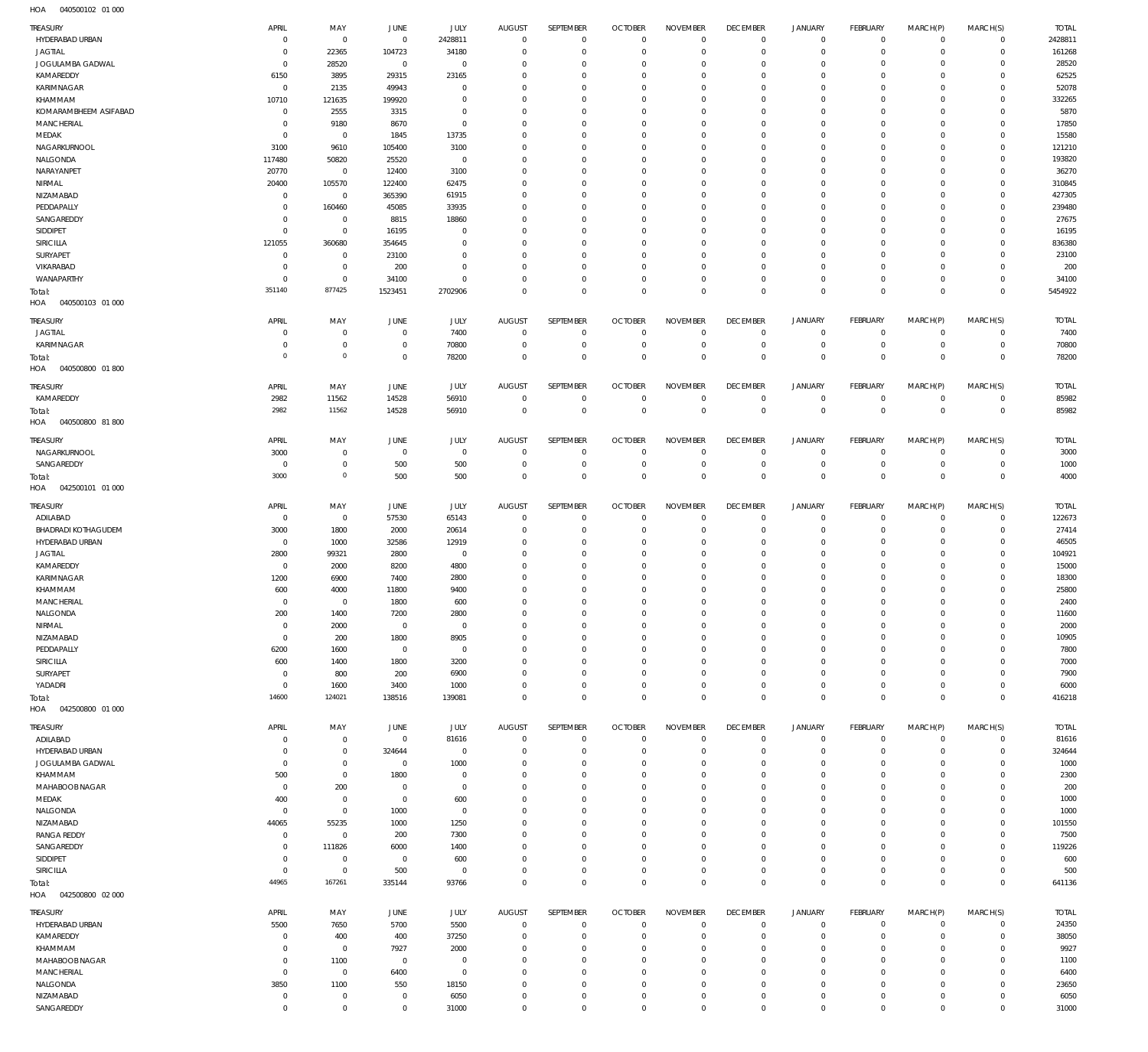| TREASURY                   | APRIL          | MAY                 | JUNE           | JULY        | <b>AUGUST</b> | SEPTEMBER   | <b>OCTOBER</b> | <b>NOVEMBER</b> | <b>DECEMBER</b>     | <b>JANUARY</b>      | <b>FEBRUARY</b> | MARCH(P)            | MARCH(S)       | <b>TOTAL</b> |
|----------------------------|----------------|---------------------|----------------|-------------|---------------|-------------|----------------|-----------------|---------------------|---------------------|-----------------|---------------------|----------------|--------------|
| HYDERABAD URBAN            | $\Omega$       | $\mathbf{0}$        | $\mathbf{0}$   | 2428811     | $\mathbf 0$   | $\mathbf 0$ | $\overline{0}$ | $\mathbf 0$     | $\mathbf 0$         | $\mathbf 0$         | $\overline{0}$  | $\mathbf 0$         | $\mathbf{0}$   | 2428811      |
| <b>JAGTIAL</b>             | $\Omega$       | 22365               | 104723         | 34180       | $\Omega$      | $\mathbf 0$ | $\Omega$       | $\Omega$        | $\mathbf 0$         | $\mathbf 0$         | $\mathbf 0$     | $\Omega$            | $\mathbf 0$    | 161268       |
| JOGULAMBA GADWAL           | $\Omega$       | 28520               | $\overline{0}$ | $^{\circ}$  | $\Omega$      | $\Omega$    | $\Omega$       | $\Omega$        | $\Omega$            | $\mathbf 0$         | $\mathbf 0$     | $\Omega$            | $\mathbf 0$    | 28520        |
| KAMAREDDY                  | 6150           | 3895                | 29315          | 23165       | $\Omega$      | $\Omega$    | $\Omega$       | $\Omega$        | $\mathbf 0$         | $\Omega$            | $\Omega$        | $\Omega$            | $\Omega$       | 62525        |
| KARIMNAGAR                 | $^{\circ}$     | 2135                | 49943          | $\Omega$    | $\Omega$      | $\Omega$    | $\Omega$       | $\Omega$        | $\Omega$            | $\Omega$            | $\Omega$        | $\Omega$            | $\Omega$       | 52078        |
| KHAMMAM                    | 10710          | 121635              | 199920         | $\Omega$    | $\Omega$      | $\Omega$    | $\Omega$       | $\Omega$        | $\mathbf 0$         | $\Omega$            | $\Omega$        | $\Omega$            | $\Omega$       | 332265       |
| KOMARAMBHEEM ASIFABAD      | $\Omega$       |                     |                | $\Omega$    | $\Omega$      | $\Omega$    | $\Omega$       | $\Omega$        | $\Omega$            | $\Omega$            | $\Omega$        | $\Omega$            | $\Omega$       | 5870         |
|                            |                | 2555                | 3315           |             |               |             |                |                 |                     |                     |                 |                     |                |              |
| MANCHERIAL                 | $\Omega$       | 9180                | 8670           | $^{\circ}$  | $\Omega$      | $\Omega$    | $\Omega$       | $\Omega$        | $\mathbf 0$         | $\Omega$            | $\Omega$        | $\Omega$            | $\mathbf 0$    | 17850        |
| MEDAK                      | $\Omega$       | $\mathbf{0}$        | 1845           | 13735       | $\Omega$      | $\Omega$    | $\Omega$       | $\Omega$        | $\Omega$            | $\Omega$            | $\Omega$        | $\Omega$            | $\Omega$       | 15580        |
| NAGARKURNOOL               | 3100           | 9610                | 105400         | 3100        | $\Omega$      | $\Omega$    | $\Omega$       | $\Omega$        | $\Omega$            | $\Omega$            | $\Omega$        | $\Omega$            | $\Omega$       | 121210       |
| NALGONDA                   | 117480         | 50820               | 25520          | $^{\circ}$  | $\Omega$      | $\Omega$    | $\Omega$       | $\Omega$        | $\Omega$            | $\Omega$            | $\Omega$        | $\Omega$            | $\Omega$       | 193820       |
| NARAYANPET                 | 20770          | $\mathbf 0$         | 12400          | 3100        | $\Omega$      | $\Omega$    | $\Omega$       | $\Omega$        | $\Omega$            | $\Omega$            | $\Omega$        | $\Omega$            | $\Omega$       | 36270        |
| NIRMAL                     | 20400          | 105570              | 122400         | 62475       | $\Omega$      | $\Omega$    | $\Omega$       | $\Omega$        | $\mathbf 0$         | $\Omega$            | $\Omega$        | $\Omega$            | $\Omega$       | 310845       |
| NIZAMABAD                  | $\Omega$       | $\mathbf 0$         | 365390         | 61915       | $\Omega$      | $\Omega$    | $\Omega$       | $\Omega$        | $\Omega$            | $\Omega$            | $\Omega$        | $\Omega$            | $\Omega$       | 427305       |
|                            | $\Omega$       |                     |                |             | $\Omega$      | $\Omega$    | $\Omega$       | $\Omega$        | $\Omega$            | $\Omega$            | $\Omega$        | $\Omega$            | $\Omega$       | 239480       |
| PEDDAPALLY                 |                | 160460              | 45085          | 33935       |               |             |                |                 |                     |                     |                 |                     |                |              |
| SANGAREDDY                 | $\Omega$       | $^{\circ}$          | 8815           | 18860       | $\Omega$      | $\Omega$    | $\Omega$       | $\Omega$        | $\Omega$            | $\Omega$            | $\Omega$        | $\Omega$            | $\Omega$       | 27675        |
| SIDDIPET                   | $\Omega$       | $\mathbf 0$         | 16195          | $^{\circ}$  | $\Omega$      | $\Omega$    | $\Omega$       | $\Omega$        | $\Omega$            | $\Omega$            | $\Omega$        | $\Omega$            | $\Omega$       | 16195        |
| SIRICILLA                  | 121055         | 360680              | 354645         | $\Omega$    | $\Omega$      | $\Omega$    | $\Omega$       | $\Omega$        | $\mathbf 0$         | $\Omega$            | $\Omega$        | $\Omega$            | $\Omega$       | 836380       |
| SURYAPET                   | $\Omega$       | $^{\circ}$          | 23100          | $\Omega$    | $\Omega$      | $\Omega$    | $\Omega$       | $\Omega$        | $\Omega$            | $\Omega$            | $\Omega$        | $\Omega$            | $\Omega$       | 23100        |
| VIKARABAD                  | $\Omega$       | $\mathbf 0$         | 200            | $\Omega$    | $\Omega$      | $\mathbf 0$ | $\Omega$       | $\Omega$        | $\mathbf 0$         | $\mathbf 0$         | $\Omega$        | $\Omega$            | $\mathbf 0$    | 200          |
| WANAPARTHY                 | $\Omega$       | $\mathbf 0$         | 34100          | $\Omega$    | $\Omega$      | $\mathbf 0$ | $^{\circ}$     | $\Omega$        | $\mathbf 0$         | $\mathbf 0$         | $\mathbf 0$     | $\Omega$            | $\mathbf 0$    | 34100        |
| Total:                     | 351140         | 877425              | 1523451        | 2702906     | $\Omega$      | $\Omega$    | $\Omega$       | $\Omega$        | $\Omega$            | $\mathbf 0$         | $\Omega$        | $\Omega$            | $\mathbf 0$    | 5454922      |
| HOA<br>040500103 01 000    |                |                     |                |             |               |             |                |                 |                     |                     |                 |                     |                |              |
|                            |                |                     |                |             |               |             |                |                 |                     |                     |                 |                     |                |              |
| TREASURY                   | APRIL          | MAY                 | JUNE           | JULY        | <b>AUGUST</b> | SEPTEMBER   | <b>OCTOBER</b> | <b>NOVEMBER</b> | <b>DECEMBER</b>     | <b>JANUARY</b>      | <b>FEBRUARY</b> | MARCH(P)            | MARCH(S)       | <b>TOTAL</b> |
| <b>JAGTIAL</b>             | $\Omega$       | $\mathbf 0$         | $\overline{0}$ | 7400        | $\circ$       | $\mathbf 0$ | $\overline{0}$ | $\overline{0}$  | $\mathbf 0$         | $\mathbf 0$         | $\overline{0}$  | $\mathbf 0$         | $\mathbf{0}$   | 7400         |
| KARIMNAGAR                 | $\Omega$       | $\mathbf 0$         | $\overline{0}$ | 70800       | $^{\circ}$    | $\mathbb O$ | $\overline{0}$ | $\overline{0}$  | $\mathbf 0$         | $\mathbf 0$         | $\overline{0}$  | $\mathbf 0$         | $\overline{0}$ | 70800        |
|                            | $\circ$        | $\mathsf{O}\xspace$ | $\overline{0}$ |             | $^{\circ}$    | $\mathbf 0$ | $\overline{0}$ | $\mathbf 0$     | $\mathbf 0$         | $\mathbf 0$         | $\overline{0}$  | $\mathbf 0$         | $\overline{0}$ | 78200        |
| Total:                     |                |                     |                | 78200       |               |             |                |                 |                     |                     |                 |                     |                |              |
| 040500800 01800<br>HOA     |                |                     |                |             |               |             |                |                 |                     |                     |                 |                     |                |              |
| TREASURY                   | APRIL          | MAY                 | JUNE           | <b>JULY</b> | <b>AUGUST</b> | SEPTEMBER   | <b>OCTOBER</b> | <b>NOVEMBER</b> | <b>DECEMBER</b>     | <b>JANUARY</b>      | <b>FEBRUARY</b> | MARCH(P)            | MARCH(S)       | <b>TOTAL</b> |
| KAMAREDDY                  | 2982           | 11562               | 14528          | 56910       | $\mathbf 0$   | $\mathbf 0$ | $\overline{0}$ | $\overline{0}$  | $\mathbf 0$         | $\mathbf 0$         | $\overline{0}$  | $\mathbf 0$         | $\mathbf{0}$   | 85982        |
| Total:                     | 2982           | 11562               | 14528          | 56910       | $\mathbf 0$   | $\mathbf 0$ | $\overline{0}$ | $\mathbf 0$     | $\mathbf 0$         | $\mathbf 0$         | $\overline{0}$  | $\mathbf 0$         | $\overline{0}$ | 85982        |
| HOA<br>040500800 81800     |                |                     |                |             |               |             |                |                 |                     |                     |                 |                     |                |              |
|                            |                |                     |                |             |               |             |                |                 |                     |                     |                 |                     |                |              |
| TREASURY                   | APRIL          | MAY                 | JUNE           | <b>JULY</b> | <b>AUGUST</b> | SEPTEMBER   | <b>OCTOBER</b> | <b>NOVEMBER</b> | <b>DECEMBER</b>     | <b>JANUARY</b>      | <b>FEBRUARY</b> | MARCH(P)            | MARCH(S)       | <b>TOTAL</b> |
| NAGARKURNOOL               | 3000           | $\mathbf 0$         | $\overline{0}$ | $\mathbf 0$ | $^{\circ}$    | $\mathbf 0$ | $\overline{0}$ | $\overline{0}$  | $\mathbf 0$         | $\mathbf 0$         | $\overline{0}$  | $\mathbf 0$         | $\overline{0}$ | 3000         |
| SANGAREDDY                 | C              | $\mathbf 0$         | 500            | 500         | $^{\circ}$    | $\mathbf 0$ | $\overline{0}$ | $\overline{0}$  | $\mathbf 0$         | $\mathbf 0$         | $\overline{0}$  | $\mathbf 0$         | $\circ$        | 1000         |
| Total:                     | 3000           | $\mathsf{O}\xspace$ | 500            | 500         | $\mathbf 0$   | $\mathbf 0$ | $\overline{0}$ | $\mathbf 0$     | $\mathbf 0$         | $\mathbf 0$         | $\overline{0}$  | $\mathbf 0$         | $\overline{0}$ | 4000         |
|                            |                |                     |                |             |               |             |                |                 |                     |                     |                 |                     |                |              |
| HOA  042500101  01  000    |                |                     |                |             |               |             |                |                 |                     |                     |                 |                     |                |              |
| TREASURY                   | APRIL          | MAY                 | JUNE           | JULY        | <b>AUGUST</b> | SEPTEMBER   | <b>OCTOBER</b> | <b>NOVEMBER</b> | <b>DECEMBER</b>     | <b>JANUARY</b>      | <b>FEBRUARY</b> | MARCH(P)            | MARCH(S)       | <b>TOTAL</b> |
| ADILABAD                   | $^{\circ}$     | $\mathbf 0$         | 57530          | 65143       | $\mathbf 0$   | $\mathbf 0$ | $\overline{0}$ | $\Omega$        | $\mathbf 0$         | $\mathbf 0$         | $\overline{0}$  | $\mathbf 0$         | $\mathbf{0}$   | 122673       |
|                            |                |                     |                |             | $\Omega$      | $\mathbf 0$ | $^{\circ}$     | $\Omega$        | $\mathbf 0$         | $\mathbf 0$         | $\mathbf 0$     | $\Omega$            | $\mathbf 0$    |              |
| <b>BHADRADI KOTHAGUDEM</b> | 3000           | 1800                | 2000           | 20614       |               |             |                |                 |                     |                     |                 |                     |                | 27414        |
| HYDERABAD URBAN            | $\overline{0}$ | 1000                | 32586          | 12919       | $\Omega$      | $^{\circ}$  | $\Omega$       | $\Omega$        | $\Omega$            | $\mathbf 0$         | $\mathbf 0$     | $\Omega$            | $\mathbf 0$    | 46505        |
| <b>JAGTIAL</b>             | 2800           | 99321               | 2800           | $^{\circ}$  | $\Omega$      | $\mathbf 0$ | $\Omega$       | $\Omega$        | $\mathbf 0$         | $\mathbf 0$         | $\Omega$        | $\Omega$            | $\mathbf 0$    | 104921       |
| KAMAREDDY                  | $\Omega$       | 2000                | 8200           | 4800        | $\Omega$      | $\Omega$    | $\Omega$       | $\Omega$        | $\Omega$            | $\Omega$            | $\Omega$        | $\Omega$            | $\Omega$       | 15000        |
| KARIMNAGAR                 | 1200           | 6900                | 7400           | 2800        | $\Omega$      | $\Omega$    | $\Omega$       | $\Omega$        | $\Omega$            | $\Omega$            | $\Omega$        | $\Omega$            | $\mathbf 0$    | 18300        |
| KHAMMAM                    | 600            | 4000                | 11800          | 9400        | $\Omega$      | $\Omega$    | $\Omega$       | $\Omega$        | $\Omega$            | $\Omega$            | $\Omega$        | $\Omega$            | $\mathbf 0$    | 25800        |
| MANCHERIAL                 | $\Omega$       | $\mathbf 0$         | 1800           | 600         | $\Omega$      | $\Omega$    | $\Omega$       | $\Omega$        | $\Omega$            | $\Omega$            | $\Omega$        | $\Omega$            | $\Omega$       | 2400         |
| NALGONDA                   | 200            | 1400                | 7200           | 2800        | $\Omega$      |             |                |                 |                     |                     |                 | $\sim$              | $\Omega$       | 11600        |
|                            |                |                     |                |             |               |             |                | $\Omega$        |                     |                     |                 |                     |                |              |
| NIRMAL                     | $\overline{0}$ | 2000                | $^{\circ}$     | $\mathbf 0$ | 0             | $\mathbf 0$ | $\mathbf 0$    |                 | $\mathbf 0$         | $\mathbf 0$         | $\mathbf 0$     | $\mathbf 0$         | $\mathbf 0$    | 2000         |
| NIZAMABAD                  | $\overline{0}$ | 200                 | 1800           | 8905        | $\mathbf 0$   | $\mathbf 0$ | $^{\circ}$     | $^{\circ}$      | $\mathbf 0$         | $\mathbf 0$         | $\mathbf 0$     | $\mathbf 0$         | $\mathbf 0$    | 10905        |
| PEDDAPALLY                 | 6200           | 1600                | $^{\circ}$     | $\mathbf 0$ | $\Omega$      | $\Omega$    | $\Omega$       | $\Omega$        | $\mathbf 0$         | $\Omega$            | $\Omega$        | $\Omega$            | $\Omega$       | 7800         |
| SIRICILLA                  | 600            | 1400                | 1800           | 3200        | $\Omega$      | $\Omega$    | $\Omega$       | $\Omega$        | $\mathbf 0$         | $\mathbf 0$         | $\mathbf 0$     | $\Omega$            | $\mathbf 0$    | 7000         |
| SURYAPET                   | $^{\circ}$     | 800                 | 200            | 6900        | $\Omega$      | $\Omega$    | $^{\circ}$     | $\Omega$        | $\mathbf 0$         | $\mathbf 0$         | $\Omega$        | $\Omega$            | $\mathbf 0$    | 7900         |
| YADADRI                    | $^{\circ}$     | 1600                | 3400           | 1000        | $\Omega$      | $\mathbf 0$ | $^{\circ}$     | $\mathbf{0}$    | $\mathbf 0$         | $\mathbf 0$         | $\mathbf 0$     | $\mathbf 0$         | $\mathbf 0$    | 6000         |
| Total:                     | 14600          | 124021              | 138516         | 139081      | $\Omega$      | $\mathbf 0$ | $\mathbf 0$    | $\mathbf 0$     | $\mathbf 0$         | $\mathbf 0$         | $\mathbf 0$     | $\mathbf 0$         | $\mathbf 0$    | 416218       |
| HOA<br>042500800 01 000    |                |                     |                |             |               |             |                |                 |                     |                     |                 |                     |                |              |
|                            |                |                     |                |             |               |             |                |                 |                     |                     |                 |                     |                |              |
| TREASURY                   | APRIL          | MAY                 | JUNE           | JULY        | <b>AUGUST</b> | SEPTEMBER   | <b>OCTOBER</b> | <b>NOVEMBER</b> | <b>DECEMBER</b>     | <b>JANUARY</b>      | <b>FEBRUARY</b> | MARCH(P)            | MARCH(S)       | <b>TOTAL</b> |
| ADILABAD                   | $\Omega$       | $\mathbf 0$         | $\mathbf 0$    | 81616       | $\mathbf 0$   | $\mathbf 0$ | $\overline{0}$ | $\mathbf 0$     | $\mathbf 0$         | $\mathbf 0$         | $\overline{0}$  | $\mathbf 0$         | $\overline{0}$ | 81616        |
| HYDERABAD URBAN            | C              | $\mathbf 0$         | 324644         | $\mathbf 0$ | $^{\circ}$    | $\mathbb O$ | $^{\circ}$     | $^{\circ}$      | $\mathbf 0$         | $\mathbf 0$         | $\overline{0}$  | $\mathbf 0$         | $\circ$        | 324644       |
| JOGULAMBA GADWAL           | $^{\circ}$     | $\mathbf 0$         | $\mathbf 0$    | 1000        | $\Omega$      | $\mathbf 0$ | $^{\circ}$     | $\mathbf{0}$    | $\mathbf 0$         | $\mathbf 0$         | $\overline{0}$  | $\mathbf 0$         | $\mathbf{0}$   | 1000         |
| KHAMMAM                    | 500            | $\mathbf 0$         | 1800           | $\mathbf 0$ | $\Omega$      | $\mathbf 0$ | $^{\circ}$     | $\mathbf{0}$    | $\mathbf 0$         | $\mathbf 0$         | $\overline{0}$  | $\Omega$            | $\mathbf{0}$   | 2300         |
| MAHABOOB NAGAR             | $^{\circ}$     | 200                 | $\overline{0}$ | $\mathbf 0$ | $\Omega$      | $\mathbf 0$ | $^{\circ}$     | $\mathbf 0$     | $\mathbf 0$         | $\mathbf 0$         | $\mathbf 0$     | $\Omega$            | $\mathbf 0$    | 200          |
| MEDAK                      | 400            | $\mathbf 0$         | $^{\circ}$     | 600         | $\Omega$      | $\mathbf 0$ | $^{\circ}$     | $\mathbf{0}$    | $\mathbf 0$         | $\mathbf 0$         | $\overline{0}$  | $\Omega$            | $\mathbf{0}$   | 1000         |
|                            |                |                     |                |             |               |             |                |                 |                     |                     |                 |                     |                |              |
| NALGONDA                   | $^{\circ}$     | $\mathbf 0$         | 1000           | $\mathbb O$ | $\Omega$      | $\mathbf 0$ | $^{\circ}$     | $\mathbf 0$     | $\mathbf 0$         | $\mathbf 0$         | $\mathbf 0$     | $\Omega$            | $\mathbf 0$    | 1000         |
| NIZAMABAD                  | 44065          | 55235               | 1000           | 1250        | $\Omega$      | $\mathbf 0$ | $\Omega$       | $\mathbf{0}$    | $\mathbf 0$         | $\mathbf 0$         | $\overline{0}$  | $\Omega$            | $\mathbf{0}$   | 101550       |
| <b>RANGA REDDY</b>         | $\overline{0}$ | $\mathbf 0$         | 200            | 7300        | $\Omega$      | $\mathbf 0$ | $^{\circ}$     | $\mathbf{0}$    | $\mathbf 0$         | $\mathbf 0$         | $\mathbf 0$     | $\Omega$            | $\mathbf{0}$   | 7500         |
| SANGAREDDY                 | $\overline{0}$ | 111826              | 6000           | 1400        | $\Omega$      | $\mathbf 0$ | $^{\circ}$     | $\mathbf{0}$    | $\mathbf 0$         | $\mathbf 0$         | $\mathbf 0$     | $\Omega$            | $\mathbf{0}$   | 119226       |
| SIDDIPET                   | 0              | $\mathbf 0$         | $\overline{0}$ | 600         | $\Omega$      | $\mathbf 0$ | $^{\circ}$     | $\mathbf{0}$    | $\mathbf 0$         | $\mathbf 0$         | $\overline{0}$  | $\Omega$            | $\mathbf{0}$   | 600          |
| SIRICILLA                  | $^{\circ}$     | $\mathbf 0$         | 500            | $\mathbb O$ | $\mathbf 0$   | $\mathbf 0$ | $^{\circ}$     | $\mathbf 0$     | $\mathbf 0$         | $\mathsf{O}\xspace$ | $\overline{0}$  | $\mathbf 0$         | $\mathbf{0}$   | 500          |
| Total:                     | 44965          | 167261              | 335144         | 93766       | $\mathbf 0$   | $\mathbf 0$ | $\mathbf 0$    | $\mathbf 0$     | $\mathbf 0$         | $\mathbf 0$         | $\overline{0}$  | $\mathbf 0$         | $\overline{0}$ | 641136       |
| HOA  042500800  02  000    |                |                     |                |             |               |             |                |                 |                     |                     |                 |                     |                |              |
|                            |                |                     |                |             |               |             |                |                 |                     |                     |                 |                     |                |              |
| TREASURY                   | APRIL          | MAY                 | JUNE           | JULY        | <b>AUGUST</b> | SEPTEMBER   | <b>OCTOBER</b> | <b>NOVEMBER</b> | <b>DECEMBER</b>     | <b>JANUARY</b>      | FEBRUARY        | MARCH(P)            | MARCH(S)       | <b>TOTAL</b> |
| HYDERABAD URBAN            | 5500           | 7650                | 5700           | 5500        | $\mathbf 0$   | $\mathbf 0$ | $\overline{0}$ | $\overline{0}$  | $\mathbf 0$         | 0                   | $\mathbf 0$     | $\mathbf 0$         | $\circ$        | 24350        |
| KAMAREDDY                  | C              | 400                 | 400            | 37250       | $\Omega$      | $\mathbf 0$ | $^{\circ}$     | $\Omega$        | $\mathbf 0$         | $\mathbf 0$         | $\mathbf 0$     | $\Omega$            | $\mathbf 0$    | 38050        |
| KHAMMAM                    | C              | $\mathbf{0}$        | 7927           | 2000        | $\Omega$      | $\mathbf 0$ | $^{\circ}$     | $\Omega$        | $\mathbf 0$         | $\mathbf 0$         | $\mathbf 0$     | $\Omega$            | $\mathbf 0$    | 9927         |
| MAHABOOB NAGAR             | $\Omega$       | 1100                | $^{\circ}$     | $\mathbf 0$ | $\Omega$      | $\Omega$    | $^{\circ}$     | $\Omega$        | $\mathbf 0$         | $\mathbf 0$         | $\Omega$        | $\Omega$            | $\mathbf 0$    | 1100         |
| MANCHERIAL                 | $^{\circ}$     | $\mathbf 0$         | 6400           | $\mathbf 0$ | $\Omega$      | $\Omega$    | $\Omega$       | $\Omega$        | $\Omega$            | $\mathbf 0$         | $\mathbf 0$     | $\Omega$            | $\mathbf 0$    | 6400         |
| NALGONDA                   | 3850           | 1100                | 550            | 18150       | $\Omega$      | $\mathbf 0$ | $^{\circ}$     | $\Omega$        | $\mathbf 0$         | $\mathbf 0$         | $\Omega$        | $\Omega$            | $\mathbf 0$    | 23650        |
|                            | $^{\circ}$     |                     | $^{\circ}$     |             | $^{\circ}$    | $\mathbf 0$ | $^{\circ}$     | $\mathbf{0}$    | $\mathbf 0$         | $\mathbf 0$         | $\mathbf 0$     | $\mathbf 0$         | $\mathbf 0$    |              |
| NIZAMABAD                  |                | $\mathbf 0$         |                | 6050        |               |             |                |                 |                     |                     |                 |                     |                | 6050         |
| SANGAREDDY                 | $\mathbf 0$    | $\mathbf 0$         | $\mathbf 0$    | 31000       | $\mathbf 0$   | $\mathsf 0$ | $\mathbb O$    | $\mathbf 0$     | $\mathsf{O}\xspace$ | $\mathsf{O}\xspace$ | $\mathbf 0$     | $\mathsf{O}\xspace$ | $\mathbf 0$    | 31000        |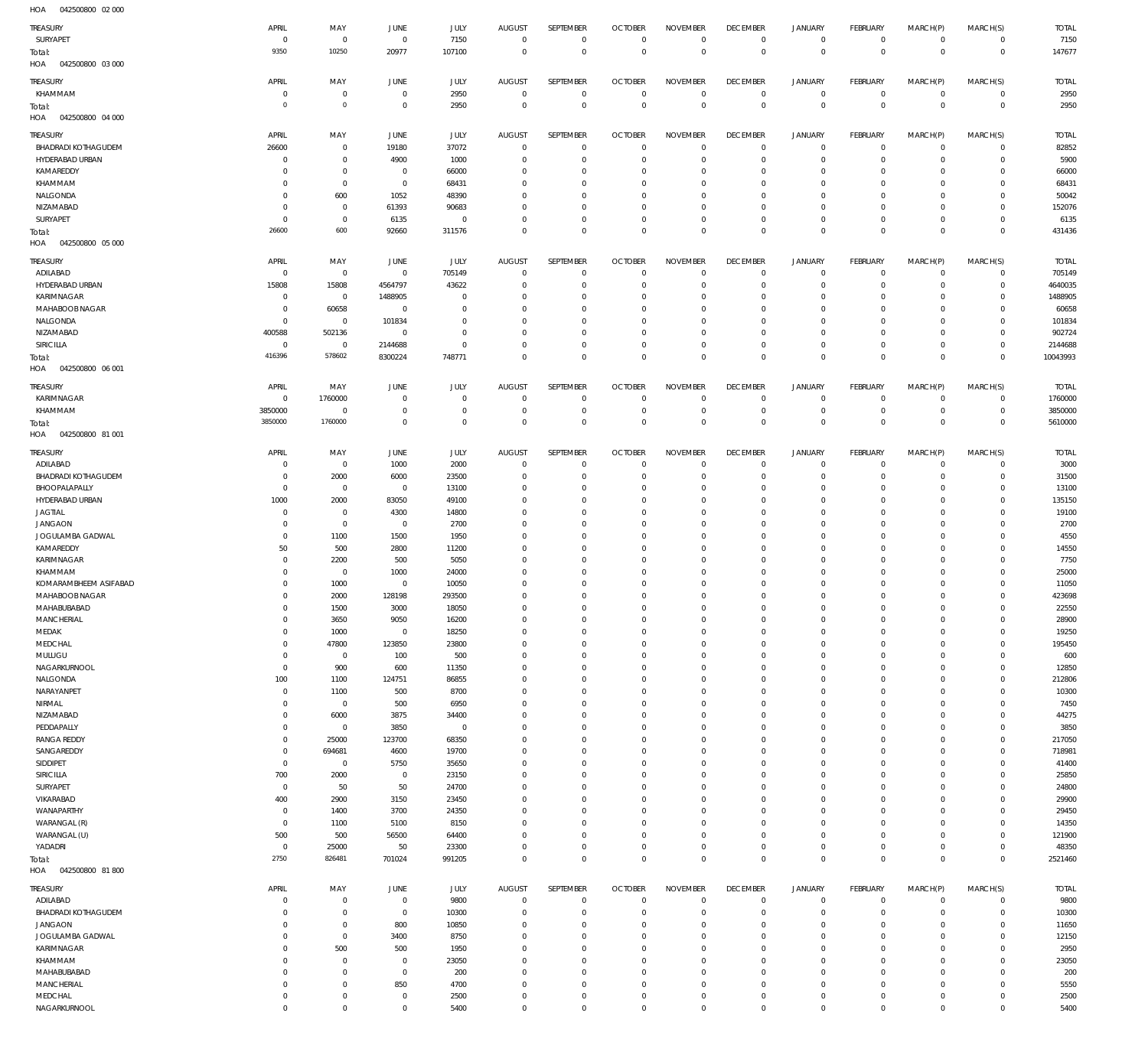| HOA<br>042500800 02 000                |                               |                               |                                  |                            |                            |                                  |                            |                                  |                               |                                  |                                    |                            |                                            |                      |
|----------------------------------------|-------------------------------|-------------------------------|----------------------------------|----------------------------|----------------------------|----------------------------------|----------------------------|----------------------------------|-------------------------------|----------------------------------|------------------------------------|----------------------------|--------------------------------------------|----------------------|
| TREASURY                               | APRIL                         | MAY                           | JUNE                             | JULY                       | <b>AUGUST</b>              | SEPTEMBER                        | <b>OCTOBER</b>             | <b>NOVEMBER</b>                  | <b>DECEMBER</b>               | JANUARY                          | <b>FEBRUARY</b>                    | MARCH(P)                   | MARCH(S)                                   | <b>TOTAL</b>         |
| SURYAPET                               | $^{\circ}$                    | $\,0\,$                       | $\overline{0}$                   | 7150                       | $\mathbf 0$                | $\mathbf 0$                      | $\overline{0}$             | $^{\circ}$                       | $\,0\,$                       | $\overline{0}$                   | $\mathbf 0$                        | $\mathbf 0$                | 0                                          | 7150                 |
| Total:                                 | 9350                          | 10250                         | 20977                            | 107100                     | $^{\circ}$                 | $\mathbb O$                      | $\overline{0}$             | $\overline{0}$                   | $\mathbb O$                   | $\overline{0}$                   | $\mathbf 0$                        | $\mathbf 0$                | $\,0\,$                                    | 147677               |
| HOA<br>042500800 03 000                |                               |                               |                                  |                            |                            |                                  |                            |                                  |                               |                                  |                                    |                            |                                            |                      |
| Treasury                               | APRIL                         | MAY                           | JUNE                             | JULY                       | <b>AUGUST</b>              | SEPTEMBER                        | <b>OCTOBER</b>             | <b>NOVEMBER</b>                  | <b>DECEMBER</b>               | <b>JANUARY</b>                   | FEBRUARY                           | MARCH(P)                   | MARCH(S)                                   | <b>TOTAL</b>         |
| KHAMMAM                                | $\circ$<br>$\circ$            | $\mathbf 0$<br>$\mathbf 0$    | $\overline{0}$<br>$\overline{0}$ | 2950<br>2950               | $^{\circ}$<br>$^{\circ}$   | $\,0\,$<br>$\,0\,$               | $\Omega$<br>$\overline{0}$ | $^{\circ}$<br>$\mathbf{0}$       | $\,0\,$<br>$\,0\,$            | $\overline{0}$<br>$\overline{0}$ | 0<br>$\mathbf 0$                   | 0<br>$\mathbf 0$           | $\mathsf{O}\xspace$<br>$\,0\,$             | 2950<br>2950         |
| Total:<br>HOA<br>042500800 04 000      |                               |                               |                                  |                            |                            |                                  |                            |                                  |                               |                                  |                                    |                            |                                            |                      |
| Treasury                               | APRIL                         | MAY                           | <b>JUNE</b>                      | JULY                       | <b>AUGUST</b>              | SEPTEMBER                        | <b>OCTOBER</b>             | <b>NOVEMBER</b>                  | <b>DECEMBER</b>               | <b>JANUARY</b>                   | FEBRUARY                           | MARCH(P)                   | MARCH(S)                                   | <b>TOTAL</b>         |
| <b>BHADRADI KOTHAGUDEM</b>             | 26600                         | $\mathbf 0$                   | 19180                            | 37072                      | $^{\circ}$                 | $\overline{0}$                   | $\overline{0}$             | $^{\circ}$                       | $\,0\,$                       | $\overline{0}$                   | $\mathbf 0$                        | $\mathbf 0$                | $\circ$                                    | 82852                |
| HYDERABAD URBAN                        | $\circ$                       | $\mathbf 0$                   | 4900                             | 1000                       | 0                          | $\mathbf 0$                      | $\Omega$                   | $^{\circ}$                       | $\mathbf 0$                   | $\overline{0}$                   | $\Omega$                           | 0                          | 0                                          | 5900                 |
| KAMAREDDY                              | $\Omega$                      | $\mathbf 0$                   | $\overline{0}$                   | 66000                      | 0                          | $\overline{0}$                   | $\Omega$                   | $^{\circ}$                       | $\mathbf 0$                   | $\mathbf 0$                      | $\Omega$                           | 0                          | $\circ$                                    | 66000                |
| KHAMMAM                                | $\Omega$                      | $\mathbf 0$                   | $\overline{0}$                   | 68431                      | $\Omega$                   | $\overline{0}$                   | $\Omega$                   | $^{\circ}$                       | $\mathbf 0$                   | $\mathbf 0$                      | $\Omega$                           | 0                          | $\mathbf 0$                                | 68431                |
| NALGONDA                               | $\Omega$                      | 600                           | 1052                             | 48390                      | $\Omega$                   | $\overline{0}$                   | $\Omega$                   | $\overline{0}$                   | $\mathbf{0}$                  | $\mathbf 0$                      | $\Omega$                           | 0                          | $\circ$                                    | 50042                |
| NIZAMABAD<br>SURYAPET                  | $^{\circ}$<br>$\Omega$        | $\overline{0}$<br>$\mathbf 0$ | 61393<br>6135                    | 90683<br>$\mathbf 0$       | 0<br>$\mathbf 0$           | $\overline{0}$<br>$\overline{0}$ | $\Omega$<br>$\Omega$       | $^{\circ}$<br>$\mathbf 0$        | $\mathbf 0$<br>$\mathbf 0$    | $\mathbf 0$<br>$\mathbf 0$       | $\Omega$<br>$\mathbf 0$            | 0<br>$\mathbf 0$           | 0<br>$\mathsf{O}\xspace$                   | 152076<br>6135       |
| Total:                                 | 26600                         | 600                           | 92660                            | 311576                     | $\mathbf 0$                | $\mathbf 0$                      | $\Omega$                   | $\mathbf 0$                      | $\mathbf 0$                   | $\overline{0}$                   | $\Omega$                           | $\mathbf 0$                | $\,0\,$                                    | 431436               |
| HOA<br>042500800 05 000                |                               |                               |                                  |                            |                            |                                  |                            |                                  |                               |                                  |                                    |                            |                                            |                      |
| TREASURY                               | APRIL                         | MAY                           | JUNE                             | JULY                       | <b>AUGUST</b>              | SEPTEMBER                        | <b>OCTOBER</b>             | <b>NOVEMBER</b>                  | <b>DECEMBER</b>               | JANUARY                          | FEBRUARY                           | MARCH(P)                   | MARCH(S)                                   | <b>TOTAL</b>         |
| ADILABAD                               | $^{\circ}$                    | $\,0\,$                       | $\overline{0}$                   | 705149                     | $\mathbf 0$                | $\,0\,$                          | $\Omega$                   | $^{\circ}$                       | $\overline{0}$                | $\overline{0}$                   | $\mathbf 0$                        | $^{\circ}$                 | 0                                          | 705149               |
| HYDERABAD URBAN                        | 15808                         | 15808                         | 4564797                          | 43622                      | 0                          | $\overline{0}$                   | $\Omega$                   | $^{\circ}$                       | $\mathbf 0$                   | $\overline{0}$                   | $\mathbf 0$                        | $^{\circ}$                 | $\mathsf{O}\xspace$                        | 4640035              |
| <b>KARIMNAGAR</b>                      | $\circ$                       | $\overline{0}$                | 1488905                          | 0                          | 0                          | $\mathbf 0$                      | n                          | $^{\circ}$                       | $\mathbf 0$                   | $\mathbf 0$                      | 0                                  | 0                          | 0                                          | 1488905              |
| MAHABOOB NAGAR                         | $\Omega$<br>$^{\circ}$        | 60658                         | $\overline{0}$<br>101834         | $\mathbf 0$<br>$\mathbf 0$ | 0                          | $\mathbf 0$                      | $\Omega$                   | $^{\circ}$<br>$^{\circ}$         | $\mathbf 0$<br>$\mathbf{0}$   | $\mathbf 0$<br>$\mathbf 0$       | $\Omega$<br>$\Omega$               | 0                          | $\mathbf 0$                                | 60658                |
| NALGONDA<br>NIZAMABAD                  | 400588                        | $\,0\,$<br>502136             | $\overline{0}$                   | $\mathbf 0$                | 0<br>0                     | $\overline{0}$<br>$\mathbf 0$    | $\Omega$<br>$\Omega$       | $^{\circ}$                       | $\mathbf{0}$                  | $\mathbf 0$                      | 0                                  | 0<br>0                     | 0<br>$\mathsf{O}\xspace$                   | 101834<br>902724     |
| SIRICILLA                              | $^{\circ}$                    | $\overline{0}$                | 2144688                          | $\mathbf 0$                | $\mathbf 0$                | $\,0\,$                          | $\Omega$                   | $\mathbf 0$                      | $\mathbf 0$                   | $\overline{0}$                   | $\mathbf 0$                        | $\mathbf 0$                | $\mathsf{O}\xspace$                        | 2144688              |
| lotal:                                 | 416396                        | 578602                        | 8300224                          | 748771                     | $\mathbf 0$                | $\mathbf 0$                      | $\Omega$                   | $\mathbf 0$                      | $\mathbf 0$                   | $\overline{0}$                   | $\mathbf 0$                        | $\mathbf 0$                | $\,0\,$                                    | 10043993             |
| HOA<br>042500800 06 001                |                               |                               |                                  |                            |                            |                                  |                            |                                  |                               |                                  |                                    |                            |                                            |                      |
| Treasury                               | APRIL                         | MAY                           | JUNE                             | JULY                       | <b>AUGUST</b>              | SEPTEMBER                        | <b>OCTOBER</b>             | <b>NOVEMBER</b>                  | <b>DECEMBER</b>               | <b>JANUARY</b>                   | FEBRUARY                           | MARCH(P)                   | MARCH(S)                                   | <b>TOTAL</b>         |
| <b>KARIMNAGAR</b>                      | $\overline{0}$                | 1760000                       | $\overline{0}$                   | $\mathbf 0$                | $\mathbf 0$                | $\overline{0}$                   | $\Omega$                   | $^{\circ}$                       | $\overline{0}$                | $\overline{0}$                   | $\mathbf 0$                        | $\mathbf 0$                | 0                                          | 1760000              |
| KHAMMAM                                | 3850000                       | $\mathbf 0$                   | $\overline{0}$                   | $\mathbf 0$                | $^{\circ}$                 | $\,0\,$                          | $\mathbf{0}$               | $\mathbf{0}$                     | $\,0\,$                       | $\overline{0}$                   | $\mathbf 0$                        | $\mathbf 0$                | $\mathsf{O}\xspace$                        | 3850000              |
| Total:<br>HOA<br>042500800 81 001      | 3850000                       | 1760000                       | $\overline{0}$                   | $\mathbf 0$                | $^{\circ}$                 | $\mathbf 0$                      | $\Omega$                   | $\mathbf{0}$                     | $\mathbf 0$                   | $\overline{0}$                   | $\mathbf 0$                        | $^{\circ}$                 | $\,0\,$                                    | 5610000              |
|                                        |                               |                               |                                  |                            |                            |                                  |                            |                                  |                               |                                  |                                    |                            |                                            |                      |
| TREASURY                               | APRIL                         | MAY                           | JUNE                             | JULY                       | <b>AUGUST</b>              | SEPTEMBER                        | <b>OCTOBER</b>             | <b>NOVEMBER</b>                  | <b>DECEMBER</b>               | JANUARY                          | FEBRUARY                           | MARCH(P)                   | MARCH(S)                                   | <b>TOTAL</b>         |
| ADILABAD<br><b>BHADRADI KOTHAGUDEM</b> | $\circ$<br>$\circ$            | $\,0\,$<br>2000               | 1000<br>6000                     | 2000<br>23500              | $^{\circ}$<br>0            | $\mathbf 0$<br>$\mathbf 0$       | $\Omega$<br>$\Omega$       | $\circ$<br>$^{\circ}$            | $\overline{0}$<br>$\mathbf 0$ | $\overline{0}$<br>$\overline{0}$ | $\mathbf 0$<br>$\mathbf 0$         | $^{\circ}$<br>$^{\circ}$   | $\mathbf 0$<br>$\mathsf{O}\xspace$         | 3000<br>31500        |
| BHOOPALAPALLY                          | $\Omega$                      | $\,0\,$                       | $\overline{0}$                   | 13100                      | 0                          | $\mathbf 0$                      | $\Omega$                   | $^{\circ}$                       | $\mathbf 0$                   | $\circ$                          | 0                                  | 0                          | $\mathsf{O}\xspace$                        | 13100                |
| HYDERABAD URBAN                        | 1000                          | 2000                          | 83050                            | 49100                      | 0                          | $\mathbf 0$                      | $\Omega$                   | $^{\circ}$                       | $\mathbf 0$                   | $\mathbf 0$                      | $\Omega$                           | 0                          | $\mathsf{O}\xspace$                        | 135150               |
| JAGTIAL                                | $\circ$                       | $\overline{0}$                | 4300                             | 14800                      | 0                          | $\mathbf 0$                      | $\Omega$                   | $^{\circ}$                       | $\mathbf 0$                   | $\mathbf 0$                      | $\Omega$                           | 0                          | $\mathsf{O}\xspace$                        | 19100                |
| <b>JANGAON</b>                         | $\Omega$                      | $\,0\,$                       | $\overline{0}$                   | 2700                       | 0                          | $\mathbf 0$                      | $\Omega$                   | $^{\circ}$                       | $\mathbf 0$                   | $\mathbf 0$                      | $\Omega$                           | 0                          | $\mathsf{O}\xspace$                        | 2700                 |
| JOGULAMBA GADWAL<br>KAMAREDDY          | $^{\circ}$<br>50              | 1100<br>500                   | 1500<br>2800                     | 1950<br>11200              | $^{\circ}$<br>$^{\circ}$   | $\mathbf 0$<br>$\mathbf 0$       | $\Omega$<br>$\Omega$       | $\overline{0}$<br>$^{\circ}$     | $\mathbf{0}$<br>$\mathbf 0$   | $\mathbf 0$<br>$\mathbf 0$       | 0<br>0                             | 0<br>0                     | $\mathsf{O}\xspace$<br>$\mathsf{O}\xspace$ | 4550<br>14550        |
| KARIMNAGAR                             | $\circ$                       | 2200                          | 500                              | 5050                       | 0                          | $\overline{0}$                   | $\Omega$                   | $^{\circ}$                       | $\mathbf 0$                   | $\mathbf 0$                      | $\Omega$                           | 0                          | 0                                          | 7750                 |
| KHAMMAM                                | $\Omega$                      | $\overline{0}$                | 1000                             | 24000                      | 0                          | $\overline{0}$                   | $\Omega$                   | $^{\circ}$                       | $\mathbf 0$                   | $\mathbf 0$                      | $\Omega$                           | 0                          | $\mathbf 0$                                | 25000                |
| KOMARAMBHEEM ASIFABAD                  | $^{\circ}$                    | 1000                          | $\overline{0}$                   | 10050                      | $\mathbf 0$                | $\mathbf 0$                      | $\Omega$                   | $\overline{0}$                   | $\mathbf{0}$                  | $\mathbf 0$                      | $\Omega$                           | $\mathbf 0$                | 0                                          | 11050                |
| MAHABOOB NAGAR                         | $\Omega$                      | 2000                          | 128198                           | 293500                     | $\Omega$                   | $\mathbf 0$                      | $\Omega$                   | $\overline{0}$                   | $\mathbf 0$                   | $\mathbf 0$                      | $\Omega$                           | $\mathbf 0$                | $\mathbf 0$                                | 423698               |
| MAHABUBABAD                            | $\circ$                       | 1500                          | 3000                             | 18050                      | 0                          | $\mathbf 0$                      |                            | $\Omega$                         | 0                             | $\mathbf 0$                      | $\Omega$                           | $\Omega$                   | $\mathsf{O}\xspace$                        | 22550                |
| MANCHERIAL<br>MEDAK                    | $^{\circ}$<br>$\mathbf 0$     | 3650<br>1000                  | 9050<br>$\overline{0}$           | 16200<br>18250             | $\mathbf 0$<br>$\mathbf 0$ | $\mathbf 0$<br>$\,0\,$           | $\Omega$<br>$\Omega$       | $^{\circ}$<br>$\overline{0}$     | $\mathbf 0$<br>$\mathbf 0$    | $\circ$<br>$\circ$               | $\mathbf 0$<br>$\mathbf 0$         | $\mathbf 0$<br>$\mathbf 0$ | $\mathsf{O}\xspace$<br>$\mathsf{O}\xspace$ | 28900<br>19250       |
| MEDCHAL                                | $^{\circ}$                    | 47800                         | 123850                           | 23800                      | $\mathbf 0$                | $\mathbf 0$                      | $\Omega$                   | $\mathbf{0}$                     | $\mathbf 0$                   | $\mathbf 0$                      | $\Omega$                           | $^{\circ}$                 | $\mathsf{O}\xspace$                        | 195450               |
| MULUGU                                 | $\mathbf 0$                   | $\,0\,$                       | 100                              | 500                        | $\mathbf 0$                | $\mathbf 0$                      | $\Omega$                   | $\mathbf 0$                      | $\mathbf{0}$                  | $\mathbf 0$                      | $\Omega$                           | $\mathbf 0$                | $\mathsf{O}\xspace$                        | 600                  |
| NAGARKURNOOL                           | $\mathbf 0$                   | 900                           | 600                              | 11350                      | $\mathbf 0$                | $\mathbf 0$                      | $\Omega$                   | $\overline{0}$                   | $\mathbf 0$                   | $\mathbf 0$                      | $\Omega$                           | $\mathbf 0$                | $\mathsf{O}\xspace$                        | 12850                |
| NALGONDA                               | 100                           | 1100                          | 124751                           | 86855                      | $\mathbf 0$                | $\,0\,$                          | $\Omega$                   | $\mathbf 0$                      | $\mathbf 0$                   | $\mathbf 0$                      | $\Omega$                           | $\mathbf 0$                | $\mathsf{O}\xspace$                        | 212806               |
| NARAYANPET                             | $^{\circ}$                    | 1100                          | 500                              | 8700                       | $\mathbf 0$                | $\mathbf 0$                      | $\Omega$                   | $\mathbf 0$                      | $\mathbf 0$                   | $\mathbf 0$                      | $\Omega$                           | $^{\circ}$                 | $\mathsf{O}\xspace$                        | 10300                |
| NIRMAL<br>NIZAMABAD                    | $^{\circ}$<br>$^{\circ}$      | $\,0\,$<br>6000               | 500<br>3875                      | 6950<br>34400              | $\mathbf 0$<br>$\mathbf 0$ | $\mathbb O$<br>$\mathbb O$       | $\Omega$<br>$\Omega$       | $\mathbb O$<br>$\mathbb O$       | $\mathbf{0}$<br>$\mathbf 0$   | $\mathbf 0$<br>$\mathbf 0$       | $\Omega$<br>$\Omega$               | $\mathbf 0$<br>$\mathbf 0$ | $\mathsf{O}\xspace$<br>$\mathsf{O}\xspace$ | 7450<br>44275        |
| PEDDAPALLY                             | $\mathbf{0}$                  | $\,0\,$                       | 3850                             | $\bf 0$                    | $\mathbf 0$                | $\mathbb O$                      | $\Omega$                   | $\mathbb O$                      | 0                             | $\mathbf 0$                      | $\Omega$                           | $\mathbf 0$                | $\mathsf{O}\xspace$                        | 385C                 |
| <b>RANGA REDDY</b>                     | $\mathbb O$                   | 25000                         | 123700                           | 68350                      | $^{\circ}$                 | $\mathbf 0$                      | $\Omega$                   | $\mathbf 0$                      | $\mathbf 0$                   | $\mathbf 0$                      | $\Omega$                           | $^{\circ}$                 | $\mathsf{O}\xspace$                        | 217050               |
| SANGAREDDY                             | $\mathbf 0$                   | 694681                        | 4600                             | 19700                      | $^{\circ}$                 | $\mathbf 0$                      | $\Omega$                   | $\mathbf 0$                      | $\mathbf 0$                   | $\mathbf 0$                      | $\Omega$                           | $\mathbf 0$                | $\mathsf{O}\xspace$                        | 718981               |
| SIDDIPET                               | $\,0\,$                       | $\,0\,$                       | 5750                             | 35650                      | $^{\circ}$                 | $\mathbf 0$                      | $\Omega$                   | $\mathbf 0$                      | $\mathbf 0$                   | $\mathbf 0$                      | $\Omega$                           | $\mathbf 0$                | $\mathsf{O}\xspace$                        | 41400                |
| SIRICILLA                              | 700                           | 2000                          | $\overline{0}$<br>50             | 23150                      | $^{\circ}$<br>$\mathbf 0$  | $\mathbf 0$<br>$\mathbb O$       | $\Omega$<br>$\Omega$       | $\mathbf 0$                      | 0<br>$\mathbf 0$              | $\mathbf 0$<br>$\mathbf 0$       | $\Omega$<br>$\Omega$               | $\mathbf 0$<br>$^{\circ}$  | $\mathsf{O}\xspace$                        | 25850<br>24800       |
| SURYAPET<br>VIKARABAD                  | $\overline{0}$<br>400         | 50<br>2900                    | 3150                             | 24700<br>23450             | $\mathbf 0$                | $\mathbb O$                      | $\Omega$                   | $\overline{0}$<br>$\overline{0}$ | $\mathbf 0$                   | $\mathbf 0$                      | $\Omega$                           | $\mathbf 0$                | $\mathsf{O}\xspace$<br>$\mathsf{O}\xspace$ | 29900                |
| WANAPARTHY                             | $^{\circ}$                    | 1400                          | 3700                             | 24350                      | $\mathbf 0$                | $\mathbb O$                      | $\Omega$                   | $\mathbb O$                      | $\mathbf 0$                   | $\mathbf 0$                      | $\Omega$                           | $^{\circ}$                 | $\mathsf{O}\xspace$                        | 29450                |
| WARANGAL (R)                           | $\mathbb O$                   | 1100                          | 5100                             | 8150                       | $\mathbf 0$                | $\mathbb O$                      | $\Omega$                   | $\mathbb O$                      | 0                             | $\mathbf 0$                      | $\Omega$                           | $\mathbf 0$                | $\mathsf{O}\xspace$                        | 14350                |
| WARANGAL (U)                           | 500                           | 500                           | 56500                            | 64400                      | $\mathbf 0$                | $\mathbb O$                      | $\Omega$                   | $\mathbb O$                      | $\mathbf 0$                   | $\mathbf 0$                      | $\mathbf 0$                        | $\mathbf 0$                | $\mathsf{O}\xspace$                        | 121900               |
| YADADRI                                | $\mathbb O$                   | 25000                         | 50                               | 23300                      | $\mathbf 0$                | $\,0\,$                          | $\Omega$                   | $\mathbb O$                      | $\mathbf 0$                   | $\overline{0}$                   | $\mathbf 0$                        | 0                          | $\mathsf{O}\xspace$                        | 48350                |
| rotal:<br>HOA<br>042500800 81800       | 2750                          | 826481                        | 701024                           | 991205                     | $\mathbf 0$                | $\mathbb O$                      | $\Omega$                   | $\mathbb O$                      | $\mathbf 0$                   | $\overline{0}$                   | $\mathbf 0$                        | $\mathbf 0$                | $\,0\,$                                    | 2521460              |
|                                        |                               |                               |                                  |                            |                            |                                  |                            |                                  |                               |                                  |                                    |                            |                                            |                      |
| TREASURY<br>ADILABAD                   | APRIL<br>$\circ$              | MAY<br>$\mathbf 0$            | JUNE<br>$\overline{0}$           | JULY<br>9800               | AUGUST<br>$\mathbf 0$      | SEPTEMBER<br>$\mathbf 0$         | <b>OCTOBER</b><br>$\Omega$ | <b>NOVEMBER</b><br>$^{\circ}$    | <b>DECEMBER</b><br>$\,0\,$    | <b>JANUARY</b><br>$\overline{0}$ | <b>FEBRUARY</b><br>$\mathbf 0$     | MARCH(P)<br>$^{\circ}$     | MARCH(S)<br>0                              | <b>TOTAL</b><br>980C |
| <b>BHADRADI KOTHAGUDEM</b>             | $\Omega$                      | $\mathbf 0$                   | $\overline{0}$                   | 10300                      | 0                          | $\mathbb O$                      | $\Omega$                   | $^{\circ}$                       | $\mathbf 0$                   | $\circ$                          | $\mathbf 0$                        | $^{\circ}$                 | $\mathsf{O}\xspace$                        | 10300                |
| <b>JANGAON</b>                         | $^{\circ}$                    | $\mathbf 0$                   | 800                              | 10850                      | 0                          | $\overline{0}$                   | $\Omega$                   | $\overline{0}$                   | $\mathbf 0$                   | $\circ$                          | $\Omega$                           | 0                          | $\mathsf{O}\xspace$                        | 11650                |
| JOGULAMBA GADWAL                       | $^{\circ}$                    | $\mathbf 0$                   | 3400                             | 8750                       | 0                          | $\mathbb O$                      | $\Omega$                   | $\overline{0}$                   | $\mathbf 0$                   | $\mathbf 0$                      | $\Omega$                           | $^{\circ}$                 | $\mathsf{O}\xspace$                        | 12150                |
| KARIMNAGAR                             | $^{\circ}$                    | 500                           | 500                              | 1950                       | 0                          | $\overline{0}$                   | $\Omega$                   | $\overline{0}$                   | $\mathbf 0$                   | $\mathbf 0$                      | $\Omega$                           | 0                          | $\mathsf{O}\xspace$                        | 2950                 |
| KHAMMAM                                |                               |                               | $\overline{0}$                   | 23050                      | $\Omega$                   | $\mathbb O$                      | $\Omega$                   | $\mathbb O$                      | $\mathbf 0$                   | $\mathbf 0$                      | $\Omega$                           | $^{\circ}$                 | $\mathsf{O}\xspace$                        | 23050                |
|                                        | $^{\circ}$                    | $\mathbf 0$                   |                                  |                            |                            |                                  |                            |                                  |                               |                                  |                                    |                            |                                            |                      |
| MAHABUBABAD<br>MANCHERIAL              | $\overline{0}$<br>$\mathbb O$ | $\mathbf 0$<br>$\mathbf 0$    | $\overline{0}$<br>850            | 200<br>4700                | $\mathbf 0$<br>$\mathbb O$ | $\mathbb O$<br>$\mathbb O$       | $\Omega$<br>$\Omega$       | $\mathbb O$<br>$\mathbb O$       | $\mathbf 0$<br>$\mathbf 0$    | $\circ$<br>$\circ$               | $\mathbf 0$<br>$\mathsf{O}\xspace$ | $^{\circ}$<br>$\mathsf{O}$ | $\mathsf{O}\xspace$<br>$\mathsf{O}\xspace$ | 200<br>5550          |

NAGARKURNOOL

 $\mathbf 0$ 

 $\,$  0  $\,$ 

 $\mathbf 0$ 

 $\,$  0  $\,$ 

 $\,$  0  $\,$ 

 $\,$  0  $\,$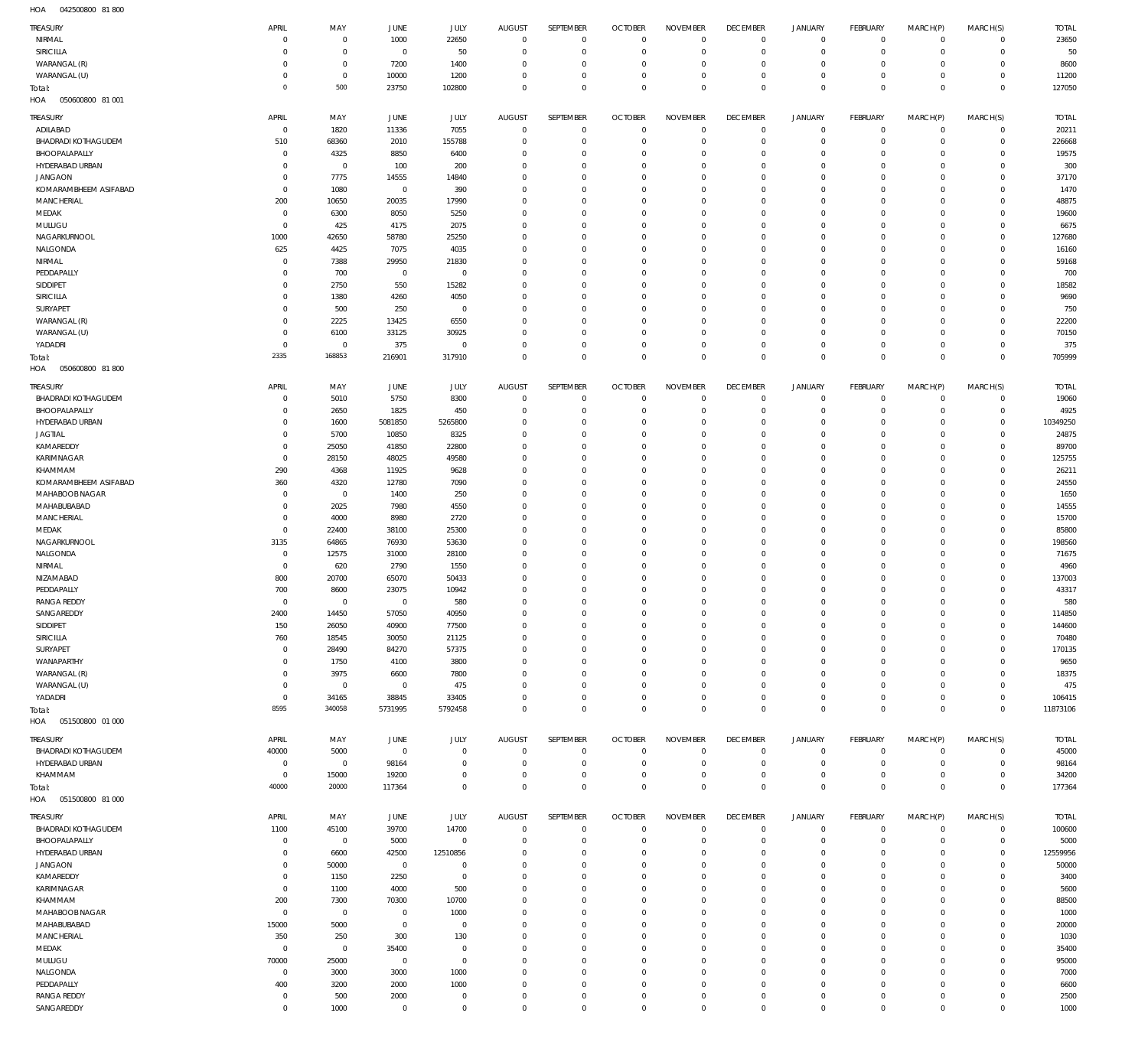042500800 81 800 HOA

| TREASURY<br>NIRMAL<br>SIRICILLA  |                            |                |                |                |                      |                                |                      |                        |                 |                                            |                         |             |              |              |
|----------------------------------|----------------------------|----------------|----------------|----------------|----------------------|--------------------------------|----------------------|------------------------|-----------------|--------------------------------------------|-------------------------|-------------|--------------|--------------|
|                                  | APRIL                      | MAY            | <b>JUNE</b>    | <b>JULY</b>    | <b>AUGUST</b>        | <b>SEPTEMBER</b>               | <b>OCTOBER</b>       | <b>NOVEMBER</b>        | <b>DECEMBER</b> | <b>JANUARY</b>                             | FEBRUARY                | MARCH(P)    | MARCH(S)     | <b>TOTAL</b> |
|                                  | $^{\circ}$                 | $\overline{0}$ | 1000           | 22650          | $^{\circ}$           | $\mathbf{0}$                   | $\mathbf{0}$         | $\mathbf 0$            | $\overline{0}$  | $\mathsf{O}\xspace$                        | $^{\circ}$              | $\mathbf 0$ | $\mathbf 0$  | 23650        |
|                                  | $\mathbf 0$                | $\overline{0}$ | $\mathbf 0$    | 50             | $\circ$              | $\mathbf{0}$                   | 0                    | $\mathbf 0$            | $\mathbf 0$     | $\mathsf{O}\xspace$                        | $^{\circ}$              | $\mathbf 0$ | $\mathbf 0$  | 50           |
| WARANGAL (R)                     | $\mathbf 0$                | $\overline{0}$ | 7200           | 1400           | $\Omega$             | $\mathbf{0}$                   | $\Omega$             | $\mathbf 0$            | 0               | $\mathbf 0$                                | 0                       | $\mathbf 0$ | $\mathbf 0$  | 8600         |
| WARANGAL (U)                     | $^{\circ}$                 | $\,0\,$        | 10000          | 1200           | $\Omega$             | $\mathbf{0}$                   | $\Omega$             | $\mathbf 0$            | 0               | $\mathbf 0$                                | 0                       | $\mathbf 0$ | $^{\circ}$   | 11200        |
| Total:                           | $\mathbf 0$                | 500            | 23750          | 102800         | $\Omega$             | $\Omega$                       | $\Omega$             | $\,0\,$                | $\mathbf 0$     | $\mathbb O$                                | $\Omega$                | $\mathbf 0$ | $\mathbf 0$  | 127050       |
| 050600800 81 001<br>HOA          |                            |                |                |                |                      |                                |                      |                        |                 |                                            |                         |             |              |              |
|                                  |                            |                |                |                |                      |                                |                      |                        |                 |                                            |                         |             |              |              |
| TREASURY                         | APRIL                      | MAY            | JUNE           | JULY           | <b>AUGUST</b>        | SEPTEMBER                      | <b>OCTOBER</b>       | <b>NOVEMBER</b>        | <b>DECEMBER</b> | JANUARY                                    | FEBRUARY                | MARCH(P)    | MARCH(S)     | <b>TOTAL</b> |
| ADILABAD                         | $\overline{0}$             | 1820           | 11336          | 7055           | $^{\circ}$           | $\overline{0}$                 | $\mathbf{0}$         | $\overline{0}$         | $\mathbf 0$     | 0                                          | $\mathbf 0$             | $\mathbf 0$ | $\mathbf 0$  | 20211        |
| <b>BHADRADI KOTHAGUDEM</b>       | 510                        | 68360          | 2010           | 155788         | $^{\circ}$           | $\mathbf{0}$                   | $\Omega$             | $\mathbf 0$            | $^{\circ}$      | $\mathsf{O}\xspace$                        | $^{\circ}$              | $\mathbf 0$ | $\mathbf 0$  | 226668       |
| BHOOPALAPALLY                    | $\overline{0}$             | 4325           | 8850           | 6400           | $^{\circ}$           | $^{\circ}$                     | $\Omega$             | $\overline{0}$         | $\overline{0}$  | $\mathbf 0$                                | 0                       | $\mathbf 0$ | $\mathbf 0$  | 19575        |
| HYDERABAD URBAN                  | $\mathbf 0$                | $\overline{0}$ | 100            | 200            | $\circ$              | $^{\circ}$                     | $\Omega$             | $\mathbf 0$            | 0               | $\circ$                                    | 0                       | 0           | $\mathbf 0$  | 300          |
| <b>JANGAON</b>                   | $\mathbf 0$                | 7775           | 14555          | 14840          | $\Omega$             | $^{\circ}$                     | $\Omega$             | $\overline{0}$         | $\Omega$        | $\mathbf 0$                                | $\Omega$                | $\mathbf 0$ | $\mathbf 0$  | 37170        |
| KOMARAMBHEEM ASIFABAD            | $\mathbf 0$                | 1080           | $\overline{0}$ | 390            | $\circ$              | $^{\circ}$                     | $\Omega$             | $\mathbf 0$            | 0               | $\circ$                                    | 0                       | 0           | $\circ$      | 1470         |
| MANCHERIAL                       | 200                        | 10650          | 20035          | 17990          | $\Omega$             | $\Omega$                       | $\Omega$             | $\mathbf 0$            | $\Omega$        | $\mathbf 0$                                | $\Omega$                | $\mathbf 0$ | $\mathbf 0$  | 48875        |
| MEDAK                            | $\overline{0}$             | 6300           | 8050           | 5250           | $^{\circ}$           | $^{\circ}$                     | $\Omega$             | $\overline{0}$         | 0               | $\circ$                                    | 0                       | $\mathbf 0$ | $\mathbf 0$  | 19600        |
| MULUGU                           | $\mathbf 0$                | 425            | 4175           | 2075           | $\Omega$             | $^{\circ}$                     | $\Omega$             | $\mathbf 0$            | 0               | $\circ$                                    | 0                       | 0           | $^{\circ}$   | 6675         |
| NAGARKURNOOL                     | 1000                       | 42650          | 58780          | 25250          | $^{\circ}$           | $\mathbf{0}$                   | $\Omega$             | $\overline{0}$         | 0               | $\mathbf 0$                                | 0                       | $\mathbf 0$ | $\mathbf 0$  | 127680       |
| NALGONDA                         | 625                        | 4425           | 7075           | 4035           | $^{\circ}$           | $^{\circ}$                     | $\Omega$             | $\overline{0}$         | 0               | $\mathbf 0$                                | 0                       | $\mathbf 0$ | $\mathbf 0$  | 16160        |
| NIRMAL                           | $^{\circ}$                 | 7388           | 29950          | 21830          | $^{\circ}$           | $^{\circ}$                     | $\Omega$             | $\mathbf 0$            | 0               | $\circ$                                    | $\Omega$                | 0           | $\mathbf 0$  | 59168        |
| PEDDAPALLY                       | $^{\circ}$                 | 700            | $\overline{0}$ | $^{\circ}$     | $^{\circ}$           | $^{\circ}$                     | $\Omega$             | $\overline{0}$         | 0               | $\circ$                                    | 0                       | $\mathbf 0$ | $\mathbf 0$  | 700          |
|                                  |                            |                |                |                |                      |                                |                      |                        |                 |                                            |                         |             |              |              |
| SIDDIPET                         | $^{\circ}$                 | 2750           | 550            | 15282          | $^{\circ}$           | $^{\circ}$                     | $\Omega$             | $\mathbf 0$            | $\Omega$        | $\circ$                                    | 0                       | 0           | $\mathbf 0$  | 18582        |
| SIRICILLA                        | $\mathbf 0$                | 1380           | 4260           | 4050           | $^{\circ}$           | $\mathbf{0}$                   | $\Omega$             | $\overline{0}$         | $\mathbf{0}$    | $\mathbf 0$                                | 0                       | $\mathbf 0$ | $\mathbf 0$  | 9690         |
| SURYAPET                         | $^{\circ}$                 | 500            | 250            | $^{\circ}$     | $\circ$              | $^{\circ}$                     | $\Omega$             | $\mathbf 0$            | 0               | $\circ$                                    | O                       | 0           | 0            | 750          |
| WARANGAL (R)                     | $\mathbf 0$                | 2225           | 13425          | 6550           | $\Omega$             | $\Omega$                       | $\Omega$             | $\overline{0}$         | $\mathbf{0}$    | $\mathbf 0$                                | 0                       | $\mathbf 0$ | $\mathbf 0$  | 22200        |
| WARANGAL (U)                     | $\mathbf 0$                | 6100           | 33125          | 30925          | $\circ$              | $^{\circ}$                     | $\Omega$             | $\mathbf 0$            | 0               | $\circ$                                    | 0                       | $\mathbf 0$ | $\mathbf 0$  | 70150        |
| YADADRI                          | $\mathbf 0$                | $\overline{0}$ | 375            | $\mathbf{0}$   | $\Omega$             | $\Omega$                       | $\Omega$             | $\mathbf 0$            | $\overline{0}$  | $\mathbf 0$                                | $\mathbf 0$             | $\circ$     | $\mathbf 0$  | 375          |
| Total:                           | 2335                       | 168853         | 216901         | 317910         | $\mathbf 0$          | $\mathbf{0}$                   | $\Omega$             | $\mathbf 0$            | $\mathbf 0$     | $\mathbb O$                                | $\mathbf{0}$            | $\mathbf 0$ | $\mathbf 0$  | 705999       |
| 050600800 81 800<br>HOA          |                            |                |                |                |                      |                                |                      |                        |                 |                                            |                         |             |              |              |
|                                  |                            |                |                |                |                      |                                |                      |                        |                 |                                            |                         |             |              |              |
| <b>TREASURY</b>                  | APRIL                      | MAY            | JUNE           | JULY           | <b>AUGUST</b>        | <b>SEPTEMBER</b>               | <b>OCTOBER</b>       | <b>NOVEMBER</b>        | <b>DECEMBER</b> | <b>JANUARY</b>                             | FEBRUARY                | MARCH(P)    | MARCH(S)     | <b>TOTAL</b> |
| <b>BHADRADI KOTHAGUDEM</b>       | $\mathbf 0$                | 5010           | 5750           | 8300           | $\circ$              | $^{\circ}$                     | $\Omega$             | $\mathbf 0$            | $^{\circ}$      | $\mathbf 0$                                | C                       | $^{\circ}$  | $\mathbf 0$  | 19060        |
| BHOOPALAPALLY                    | $\mathbf 0$                | 2650           | 1825           | 450            | $\circ$              | $\mathbf{0}$                   | $\Omega$             | $\overline{0}$         | $\mathbf 0$     | $\mathbf 0$                                | $^{\circ}$              | $\mathbf 0$ | $\mathbf 0$  | 4925         |
| HYDERABAD URBAN                  | $\mathbf 0$                | 1600           | 5081850        | 5265800        | 0                    | $^{\circ}$                     | $\Omega$             | $\mathbf 0$            | 0               | $\mathbf 0$                                | O                       | $\mathbf 0$ | $\mathbf 0$  | 10349250     |
| <b>JAGTIAL</b>                   | $\mathbf 0$                | 5700           | 10850          | 8325           | $\Omega$             | $\Omega$                       | $\Omega$             | $\mathbf 0$            | $\Omega$        | $\mathbf 0$                                | $\Omega$                | $\mathbf 0$ | $^{\circ}$   | 24875        |
| KAMAREDDY                        | $\mathbf 0$                | 25050          | 41850          | 22800          | 0                    | $^{\circ}$                     | $\Omega$             | $\mathbf 0$            | 0               | $\circ$                                    | O                       | $\mathbf 0$ | $\mathbf 0$  | 89700        |
| KARIMNAGAR                       | $\mathbf 0$                | 28150          | 48025          | 49580          | $\Omega$             | $\Omega$                       | $\Omega$             | $\Omega$               | $\Omega$        | $\mathbf 0$                                | O                       | 0           | $^{\circ}$   | 125755       |
| KHAMMAM                          | 290                        | 4368           | 11925          | 9628           | 0                    | $\mathbf{0}$                   | $\Omega$             | $\mathbf 0$            | 0               | $\mathbf 0$                                | O                       | $\mathbf 0$ | $\mathbf 0$  | 26211        |
| KOMARAMBHEEM ASIFABAD            | 360                        | 4320           | 12780          | 7090           | $\Omega$             | $\Omega$                       | $\Omega$             | $\mathbf 0$            | $\Omega$        | $\mathbf 0$                                | O                       | 0           | 0            | 24550        |
| MAHABOOB NAGAR                   | $\overline{0}$             | $\overline{0}$ | 1400           | 250            | $\Omega$             | $\Omega$                       | $\Omega$             | $\overline{0}$         | 0               | $\mathbf 0$                                | O                       | $\mathbf 0$ | $\mathbf 0$  | 1650         |
| MAHABUBABAD                      | $\mathbf 0$                | 2025           | 7980           | 4550           | $\Omega$             | $\Omega$                       | $\Omega$             | $\mathbf 0$            | $\Omega$        | $\mathbf 0$                                | O                       | 0           | $^{\circ}$   | 14555        |
| MANCHERIAL                       | $\mathbf 0$                | 4000           | 8980           | 2720           | $\Omega$             | $\Omega$                       | $\Omega$             | $\mathbf 0$            | $\Omega$        | $\mathbf 0$                                | O                       | $\mathbf 0$ | $\mathbf 0$  | 15700        |
| MEDAK                            | $\overline{0}$             | 22400          | 38100          | 25300          | $\Omega$             | $\Omega$                       | $\Omega$             | $\mathbf 0$            | 0               | $\circ$                                    | O                       | $\mathbf 0$ | 0            | 85800        |
| NAGARKURNOOL                     | 3135                       | 64865          | 76930          | 53630          | $\Omega$             | $\Omega$                       | $\Omega$             | $\mathbf 0$            | $\Omega$        | $\mathbf 0$                                | O                       | $\mathbf 0$ | $\mathbf 0$  | 198560       |
|                                  |                            |                |                |                |                      | $\Omega$                       |                      |                        |                 |                                            |                         |             |              |              |
| NALGONDA                         | $\mathbf 0$                | 12575          | 31000          | 28100          | $\Omega$             |                                | $\Omega$             | $\mathbf 0$            | $\Omega$        | $\mathbf 0$                                | O                       | $\mathbf 0$ | $\mathbf 0$  | 71675        |
| NIRMAL                           | $\mathbf 0$                | 620            | 2790           | 1550           | 0                    | $\Omega$                       | $\Omega$             | $\mathbf 0$            | 0               | $\circ$                                    | O                       | $\mathbf 0$ | $\mathbf 0$  | 4960         |
| NIZAMABAD                        | 800                        | 20700          | 65070          | 50433          | $\Omega$             | $\Omega$                       | $\Omega$             | $\mathbf 0$            | $\Omega$        | $\circ$                                    | $\Omega$                | $\mathbf 0$ | $\mathbf 0$  | 137003       |
| PEDDAPALLY                       | 700                        | 8600           | 23075          | 10942          | 0                    | $^{\circ}$                     | $\Omega$             | $\mathbf 0$            | 0               | $\circ$                                    | O                       | $\mathbf 0$ | $\mathbf 0$  | 43317        |
| <b>RANGA REDDY</b>               | $\mathbf 0$                | $\mathbf 0$    | $\overline{0}$ | 580            | $\Omega$             | $\Omega$                       | $\Omega$             | $\Omega$               | $\Omega$        | $\mathsf{O}\xspace$                        | $\Omega$                | $\mathbf 0$ | $\mathbf 0$  | 580          |
| SANGAREDDY                       | 2400                       |                |                |                | $\circ$              | $\circ$                        | $\Omega$             | $\mathbf{0}$           | 0               |                                            |                         |             |              |              |
| SIDDIPET                         |                            | 14450          | 57050          | 40950          |                      |                                |                      |                        |                 | $\circ$                                    | 0                       | 0           | $\circ$      | 114850       |
|                                  | 150                        | 26050          | 40900          | 77500          | $^{\circ}$           | $\mathbf{0}$                   | $\Omega$             | $\mathbf 0$            | $\Omega$        | $\mathbf 0$                                | $\mathbf 0$             | $\mathbf 0$ | $\mathbf 0$  | 144600       |
| SIRICILLA                        | 760                        | 18545          | 30050          | 21125          | $^{\circ}$           | $\mathbf{0}$                   | $\Omega$             | $\mathbf 0$            | $\overline{0}$  | $\mathbf 0$                                | 0                       | $\mathbf 0$ | $\mathbf 0$  | 70480        |
| SURYAPET                         | $\mathbf 0$                | 28490          | 84270          | 57375          | $\Omega$             | $\mathbf{0}$                   | $\Omega$             | $\mathbf 0$            | $\mathbf 0$     | $\mathbf 0$                                | 0                       | $\mathbf 0$ | $^{\circ}$   | 170135       |
| WANAPARTHY                       | $\mathbf 0$                | 1750           | 4100           | 3800           | $^{\circ}$           | $\mathbf{0}$                   | $\Omega$             | $\mathbf 0$            | $\mathbf 0$     | $\mathbf 0$                                | $\Omega$                | $\circ$     | $\mathbf 0$  | 9650         |
|                                  |                            |                |                |                |                      | $\Omega$                       | $\Omega$             |                        |                 |                                            |                         |             |              |              |
| WARANGAL (R)                     | $\mathbf 0$                | 3975           | 6600           | 7800           | $\circ$              |                                |                      | $\overline{0}$         | 0               | $\mathbf 0$                                | 0                       | $\mathbf 0$ | $\mathbf 0$  | 18375        |
| WARANGAL (U)                     | $\mathbf 0$                | $\overline{0}$ | $\overline{0}$ | 475            | $^{\circ}$           | $\mathbf{0}$                   | $\Omega$             | $\mathbf 0$            | $\mathbf 0$     | $\mathbf 0$                                | $\Omega$                | $\circ$     | $\mathbf 0$  | 475          |
| YADADRI                          | $\mathbf 0$                | 34165          | 38845          | 33405          | $\Omega$<br>$\Omega$ | $\mathbf{0}$                   | $\Omega$<br>$\Omega$ | $\mathbf 0$            | $\overline{0}$  | $\mathbf 0$                                | $\mathbf 0$<br>$\Omega$ | $\mathbf 0$ | $\mathbf 0$  | 106415       |
| Total:                           | 8595                       | 340058         | 5731995        | 5792458        |                      | $\,0\,$                        |                      | $\,0\,$                | $\mathbf 0$     | $\mathbb O$                                |                         | $\mathbb O$ | $\mathbf{0}$ | 11873106     |
| 051500800 01 000<br>HOA          |                            |                |                |                |                      |                                |                      |                        |                 |                                            |                         |             |              |              |
| <b>TREASURY</b>                  | APRIL                      | MAY            | JUNE           | JULY           | <b>AUGUST</b>        | <b>SEPTEMBER</b>               | <b>OCTOBER</b>       | <b>NOVEMBER</b>        | <b>DECEMBER</b> | JANUARY                                    | FEBRUARY                | MARCH(P)    | MARCH(S)     | <b>TOTAL</b> |
| <b>BHADRADI KOTHAGUDEM</b>       | 40000                      | 5000           | $\overline{0}$ | $\mathbf 0$    | $\mathbf 0$          | $\mathbf 0$                    | $\overline{0}$       | $\mathbf 0$            | $\mathbf 0$     | $\mathbf 0$                                | $\circ$                 | $\circ$     | $\circ$      | 45000        |
| HYDERABAD URBAN                  | $\overline{0}$             | $\overline{0}$ | 98164          | $^{\circ}$     | $\circ$              | $\overline{0}$                 | 0                    | $\mathbf 0$            | $^{\circ}$      | $\mathsf{O}\xspace$                        | $^{\circ}$              | $\mathbf 0$ | $\mathbf 0$  | 98164        |
| KHAMMAM                          | $\mathbf 0$                | 15000          | 19200          | $\Omega$       | $^{\circ}$           | $\mathbf{0}$                   | $\mathbf{0}$         | $\mathbf 0$            | $\mathbf 0$     | $\mathbf 0$                                | $\mathbf 0$             | $\mathbf 0$ | $\mathbf 0$  | 34200        |
|                                  | 40000                      | 20000          |                | $\mathbf 0$    | $\mathbf 0$          | $\mathbf 0$                    | $\Omega$             | $\,0\,$                | $\mathbf 0$     | $\mathbb O$                                | $\mathbf 0$             | $\mathbb O$ | $\mathbf 0$  |              |
| Total:                           |                            |                | 117364         |                |                      |                                |                      |                        |                 |                                            |                         |             |              | 177364       |
| HOA<br>051500800 81 000          |                            |                |                |                |                      |                                |                      |                        |                 |                                            |                         |             |              |              |
| TREASURY                         | APRIL                      | MAY            | JUNE           | JULY           | AUGUST               | SEPTEMBER                      | <b>OCTOBER</b>       | <b>NOVEMBER</b>        | <b>DECEMBER</b> | JANUARY                                    | FEBRUARY                | MARCH(P)    | MARCH(S)     | <b>TOTAL</b> |
| <b>BHADRADI KOTHAGUDEM</b>       | 1100                       | 45100          | 39700          | 14700          | $^{\circ}$           | $\mathbf 0$                    | $\Omega$             | $\mathbf 0$            | $\mathbf 0$     | $\mathsf{O}\xspace$                        | $^{\circ}$              | $\mathbf 0$ | $\circ$      | 100600       |
| BHOOPALAPALLY                    | $\mathbf 0$                | $\overline{0}$ | 5000           | $\mathbf 0$    | $\circ$              | $\mathbf{0}$                   | $^{\circ}$           | $\mathbf 0$            | $^{\circ}$      | $\mathsf{O}\xspace$                        | $^{\circ}$              | $\mathbf 0$ | $\mathbf 0$  | 5000         |
| HYDERABAD URBAN                  | $\mathbf 0$                | 6600           | 42500          | 12510856       | 0                    | $\mathbf 0$                    | $\Omega$             | $\mathbf 0$            | 0               | $\mathbf 0$                                | 0                       | $\mathbf 0$ | $\mathbf 0$  | 12559956     |
| <b>JANGAON</b>                   | $\mathbf 0$                | 50000          | $\overline{0}$ | $^{\circ}$     | $\Omega$             | $\mathbf 0$                    | $\Omega$             | $\overline{0}$         | $^{\circ}$      | $\mathbf 0$                                | 0                       | $\mathbf 0$ | $\mathbf 0$  | 50000        |
| KAMAREDDY                        | $\mathbf 0$                | 1150           | 2250           | $\overline{0}$ | $^{\circ}$           | $\mathbf 0$                    | $\Omega$             | $\mathbf 0$            | 0               | $\mathbf 0$                                | 0                       | $\mathbf 0$ | $\mathbf 0$  | 3400         |
|                                  | $\mathbf 0$                |                |                |                | $\Omega$             | $\Omega$                       | $\Omega$             | $\mathbf 0$            | $\Omega$        | $\mathbf 0$                                | $\Omega$                | $\mathbf 0$ | $\mathbf 0$  |              |
| KARIMNAGAR                       |                            | 1100           | 4000           | 500            | $\circ$              | $\mathbf 0$                    | $\Omega$             |                        | 0               |                                            | 0                       | $\mathbf 0$ | $\mathbf 0$  | 5600         |
| KHAMMAM                          | 200                        | 7300           | 70300          | 10700          |                      |                                | $\Omega$             | $\mathbf 0$            |                 | $\mathbf 0$                                |                         |             |              | 88500        |
| MAHABOOB NAGAR                   | $\mathbf 0$                | $\overline{0}$ | $\overline{0}$ | 1000           | $\Omega$             | $\Omega$                       |                      | $\Omega$               | $\Omega$        | $\mathbf 0$                                | $\Omega$                | $\mathbf 0$ | $\mathbf 0$  | 1000         |
| MAHABUBABAD                      | 15000                      | 5000           | $\overline{0}$ | $^{\circ}$     | $^{\circ}$           | $\mathbf 0$                    | $\Omega$             | $\mathbf 0$            | $\mathbf 0$     | $\mathbf 0$                                | 0                       | $\circ$     | $\mathbf 0$  | 20000        |
| MANCHERIAL                       | 350                        | 250            | 300            | 130            | $\Omega$             | $\mathbf 0$                    | $\Omega$             | $\mathbf 0$            | 0               | $\mathbf 0$                                | 0                       | $\mathbf 0$ | $\mathbf 0$  | 1030         |
| MEDAK                            | $\mathbf 0$                | $\overline{0}$ | 35400          | $^{\circ}$     | $^{\circ}$           | $\mathbf 0$                    | $\Omega$             | $\mathbf 0$            | $\mathbf 0$     | $\mathbf 0$                                | $\Omega$                | $\circ$     | $\mathbf 0$  | 35400        |
| MULUGU                           | 70000                      | 25000          | $\overline{0}$ | $\mathbf 0$    | $\Omega$             | $\Omega$                       | $\Omega$             | $\mathbf 0$            | 0               | $\mathbf 0$                                | 0                       | $\mathbf 0$ | $\mathbf 0$  | 95000        |
| NALGONDA                         | $\mathbf 0$                | 3000           | 3000           | 1000           | $\Omega$             | $\Omega$                       | $\Omega$             | $\mathbf 0$            | $\mathbf 0$     | $\mathbf 0$                                | $\Omega$                | $\mathbf 0$ | $\mathbf 0$  | 7000         |
| PEDDAPALLY                       | 400                        | 3200           | 2000           | 1000           | $\circ$              | $\mathbf{0}$                   | $\Omega$             | $\mathbf 0$            | $\mathbf 0$     | $\mathbf 0$                                | 0                       | $\mathbf 0$ | $\mathbf 0$  | 6600         |
| <b>RANGA REDDY</b><br>SANGAREDDY | $\mathbf 0$<br>$\mathbb O$ | 500<br>1000    | 2000           | $^{\circ}$     | $\circ$              | $\mathbf{0}$<br>$\overline{0}$ | $\Omega$             | $\mathbf 0$<br>$\,0\,$ | $^{\circ}$      | $\mathsf{O}\xspace$<br>$\mathsf{O}\xspace$ | 0                       | $\circ$     | $\mathbf 0$  | 2500<br>1000 |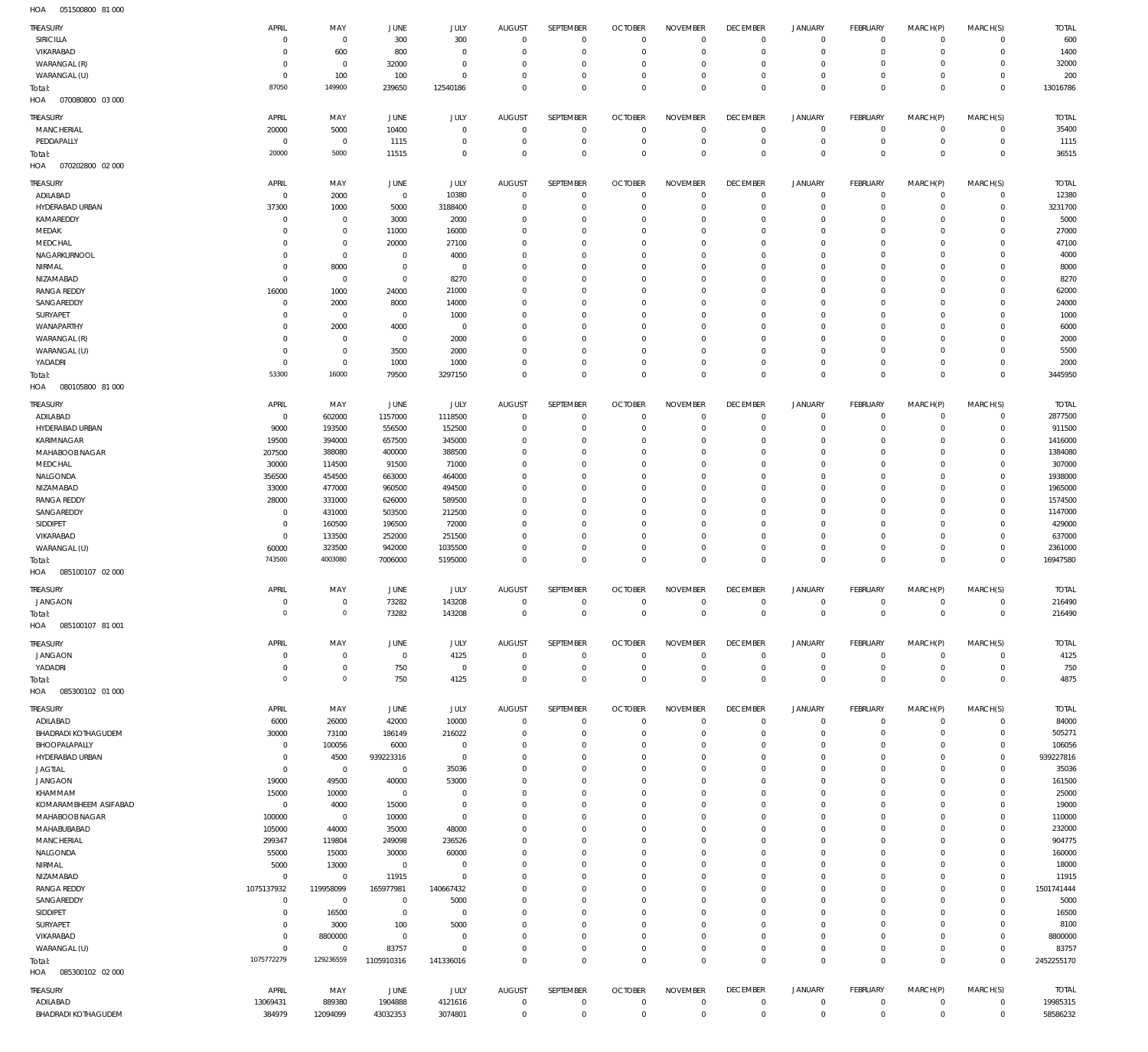051500800 81 000 HOA

| TREASURY                               | APRIL                         | MAY                              | <b>JUNE</b>                 | JULY                    | AUGUST                   | SEPTEMBER                     | <b>OCTOBER</b>                   | <b>NOVEMBER</b>                  | <b>DECEMBER</b>                  | <b>JANUARY</b>              | FEBRUARY                      | MARCH(P)                   | MARCH(S)                    | <b>TOTAL</b>         |
|----------------------------------------|-------------------------------|----------------------------------|-----------------------------|-------------------------|--------------------------|-------------------------------|----------------------------------|----------------------------------|----------------------------------|-----------------------------|-------------------------------|----------------------------|-----------------------------|----------------------|
| <b>SIRICILLA</b>                       | $\mathbf 0$                   | $\overline{0}$                   | 300                         | 300                     | $^{\circ}$               | $\mathbf 0$                   | $\overline{0}$                   | $\overline{0}$                   | $^{\circ}$                       | $\mathbf 0$                 | $\overline{0}$                | $\mathbf 0$                | $\overline{0}$              | 600                  |
| VIKARABAD                              | $\mathbf 0$                   | 600                              | 800                         | $\Omega$                | $\Omega$                 | $\mathbf 0$                   | $\overline{0}$                   | $\mathbf 0$                      | $^{\circ}$                       | $\mathbf 0$                 | $^{\circ}$                    | $\mathbf 0$                | $\overline{0}$              | 1400                 |
| WARANGAL (R)                           | $\mathbf 0$                   | $\overline{0}$                   | 32000                       | $^{\circ}$              | $\Omega$                 | $\mathbf 0$                   | 0                                | $^{\circ}$                       | $\circ$                          | $\mathbf 0$                 | $^{\circ}$                    | $\mathbf 0$                | $\mathbf 0$                 | 32000                |
| WARANGAL (U)                           | $\mathbf 0$<br>87050          | 100<br>149900                    | 100<br>239650               | $\Omega$<br>12540186    | $\Omega$<br>$\Omega$     | $\mathbf 0$<br>$\mathbf 0$    | $\overline{0}$<br>$\Omega$       | $\mathbf 0$<br>$\mathbb O$       | $^{\circ}$<br>$\mathbf 0$        | $\mathbf 0$<br>$\mathsf 0$  | $^{\circ}$<br>$\mathbf 0$     | $\mathbf 0$<br>$\mathbf 0$ | $\mathbf 0$<br>$\mathbf{0}$ | 200<br>13016786      |
| Total:<br>HOA<br>070080800 03 000      |                               |                                  |                             |                         |                          |                               |                                  |                                  |                                  |                             |                               |                            |                             |                      |
| TREASURY                               | APRIL                         | MAY                              | JUNE                        | JULY                    | AUGUST                   | SEPTEMBER                     | <b>OCTOBER</b>                   | <b>NOVEMBER</b>                  | <b>DECEMBER</b>                  | <b>JANUARY</b>              | FEBRUARY                      | MARCH(P)                   | MARCH(S)                    | <b>TOTAL</b>         |
| MANCHERIAL                             | 20000                         | 5000                             | 10400                       | $\Omega$                | $^{\circ}$               | $\mathbf 0$                   | $\overline{0}$                   | $\mathbf{0}$                     | $\mathbf 0$                      | 0                           | $\mathbf 0$                   | $\mathbf 0$                | $\mathbf 0$                 | 35400                |
| PEDDAPALLY                             | $\overline{0}$                | $\overline{0}$                   | 1115                        | $^{\circ}$              | $\Omega$                 | $\mathbf 0$                   | $\overline{0}$                   | $\mathbf 0$                      | $^{\circ}$                       | $\mathsf{O}$                | $\overline{0}$                | $\mathbf 0$                | $\overline{0}$              | 1115                 |
| Total:                                 | 20000                         | 5000                             | 11515                       | $\Omega$                | $\Omega$                 | $\mathbb O$                   | $\overline{0}$                   | $\mathbf 0$                      | $\mathbf{0}$                     | $\mathsf 0$                 | $\overline{0}$                | $\mathbf 0$                | $\overline{0}$              | 36515                |
| 070202800 02 000<br>HOA                |                               |                                  |                             |                         |                          |                               |                                  |                                  |                                  |                             |                               |                            |                             |                      |
| TREASURY                               | APRIL                         | MAY                              | JUNE                        | JULY                    | AUGUST                   | SEPTEMBER                     | <b>OCTOBER</b>                   | <b>NOVEMBER</b>                  | <b>DECEMBER</b>                  | <b>JANUARY</b>              | FEBRUARY                      | MARCH(P)                   | MARCH(S)                    | <b>TOTAL</b>         |
| ADILABAD                               | $\overline{0}$                | 2000                             | $\overline{0}$              | 10380                   | $^{\circ}$               | $\overline{0}$                | $\overline{0}$                   | $\overline{0}$                   | $^{\circ}$                       | $\mathbf 0$                 | $\overline{0}$                | $\mathbf 0$                | $\overline{0}$              | 12380                |
| HYDERABAD URBAN<br>KAMAREDDY           | 37300<br>$\mathbf 0$          | 1000<br>$\overline{0}$           | 5000<br>3000                | 3188400<br>2000         | $\Omega$<br>$\Omega$     | $\mathbf 0$<br>$\overline{0}$ | $\overline{0}$<br>$\overline{0}$ | $\mathbf 0$<br>$\mathbb O$       | $\overline{0}$<br>$\overline{0}$ | $\mathbf 0$<br>$\mathbf 0$  | $^{\circ}$<br>$^{\circ}$      | $\mathbf 0$<br>$\mathbf 0$ | $\mathbf 0$<br>$\mathbf 0$  | 3231700<br>5000      |
| MEDAK                                  | $\mathbf 0$                   | $\mathbf 0$                      | 11000                       | 16000                   | $\Omega$                 | $\mathbf 0$                   | 0                                | $\mathbb O$                      | $\circ$                          | $\mathbf 0$                 | $^{\circ}$                    | $\mathbf 0$                | $\mathbf 0$                 | 27000                |
| MEDCHAL                                | $\mathbf 0$                   | $\mathbf 0$                      | 20000                       | 27100                   | $\Omega$                 | $\mathbf 0$                   | $\Omega$                         | $\mathbb O$                      | $\overline{0}$                   | $\mathbf 0$                 | $^{\circ}$                    | $\Omega$                   | $\mathbf 0$                 | 47100                |
| NAGARKURNOOL                           | $\mathbf 0$                   | $\overline{0}$                   | $^{\circ}$                  | 4000                    | $\Omega$                 | $\mathbf 0$                   | 0                                | $\overline{0}$                   | 0                                | $\mathbf 0$                 | $^{\circ}$                    | $\mathbf 0$                | $\mathbf 0$                 | 4000                 |
| NIRMAL                                 | $\mathbf 0$<br>$\mathbf 0$    | 8000                             | $\mathbb O$                 | $\overline{0}$          | $\Omega$<br>$\Omega$     | $\mathbf 0$                   | $\Omega$                         | $\mathbb O$                      | $\mathbf 0$                      | $\mathbf 0$                 | $^{\circ}$                    | $\Omega$<br>$\Omega$       | $\mathbf 0$<br>$\mathbf 0$  | 8000                 |
| NIZAMABAD<br><b>RANGA REDDY</b>        | 16000                         | $\overline{0}$<br>1000           | $\mathbb O$<br>24000        | 8270<br>21000           | $\Omega$                 | $\mathbf 0$<br>$\mathbf 0$    | $\mathbf 0$<br>0                 | $\overline{0}$<br>$\mathbb O$    | $\circ$<br>0                     | $\mathbf 0$<br>$\mathbf 0$  | $^{\circ}$<br>$^{\circ}$      | $\mathbf 0$                | $\mathbf 0$                 | 8270<br>62000        |
| SANGAREDDY                             | $\mathbf 0$                   | 2000                             | 8000                        | 14000                   | $\Omega$                 | $\mathbf 0$                   | $\Omega$                         | $\mathbb O$                      | $\circ$                          | $\mathbf 0$                 | $^{\circ}$                    | $\Omega$                   | $\mathbf 0$                 | 24000                |
| SURYAPET                               | $\mathbf 0$                   | $\overline{0}$                   | $\overline{0}$              | 1000                    | $\Omega$                 | $\mathbf 0$                   | 0                                | $\overline{0}$                   | 0                                | $\mathbf 0$                 | $^{\circ}$                    | $\mathbf 0$                | $\mathbf 0$                 | 1000                 |
| WANAPARTHY                             | $\mathbf 0$                   | 2000                             | 4000                        | $\overline{0}$          | $\Omega$                 | $\mathbf 0$                   | $\Omega$                         | $\mathbb O$                      | $\circ$                          | $\mathbf 0$                 | $^{\circ}$                    | $\Omega$                   | $\mathbf 0$                 | 6000                 |
| WARANGAL (R)                           | $\mathbf 0$                   | $\overline{0}$                   | $\overline{0}$              | 2000                    | $\Omega$                 | $\mathbf 0$                   | 0                                | $\overline{0}$                   | $\circ$                          | $\mathbf 0$                 | 0                             | $\mathbf 0$                | $\mathbf 0$                 | 2000                 |
| WARANGAL (U)<br>YADADRI                | $\mathbf 0$<br>$\mathbf 0$    | $\overline{0}$<br>$\overline{0}$ | 3500<br>1000                | 2000<br>1000            | $\Omega$<br>$\Omega$     | $\mathbf 0$<br>$\mathbf 0$    | $\Omega$<br>$\overline{0}$       | $\mathbb O$<br>$\mathbb O$       | $^{\circ}$<br>$^{\circ}$         | $\mathbf 0$<br>$\mathbf 0$  | $^{\circ}$<br>$^{\circ}$      | $\Omega$<br>0              | $\mathbf 0$<br>$\mathbf 0$  | 5500<br>2000         |
| Total:                                 | 53300                         | 16000                            | 79500                       | 3297150                 | $\Omega$                 | $\mathbf 0$                   | $\Omega$                         | $\mathbb O$                      | $\mathbf 0$                      | $\mathsf 0$                 | $\mathbf 0$                   | $\mathbf 0$                | $\overline{0}$              | 3445950              |
| HOA<br>080105800 81 000                |                               |                                  |                             |                         |                          |                               |                                  |                                  |                                  |                             |                               |                            |                             |                      |
| TREASURY                               | APRIL                         | MAY                              | JUNE                        | JULY                    | AUGUST                   | SEPTEMBER                     | <b>OCTOBER</b>                   | <b>NOVEMBER</b>                  | <b>DECEMBER</b>                  | <b>JANUARY</b>              | FEBRUARY                      | MARCH(P)                   | MARCH(S)                    | <b>TOTAL</b>         |
| ADILABAD                               | $\overline{0}$                | 602000                           | 1157000                     | 1118500                 | $\circ$                  | $\overline{0}$                | $\overline{0}$                   | $\overline{0}$                   | $\overline{0}$                   | 0                           | $^{\circ}$                    | $\mathbf 0$                | $\mathbf 0$                 | 2877500              |
| HYDERABAD URBAN                        | 9000                          | 193500                           | 556500                      | 152500                  | $\Omega$                 | $\mathbf 0$                   | $^{\circ}$                       | $\mathbf 0$                      | $\overline{0}$                   | $\mathbf 0$                 | $^{\circ}$                    | $\mathbf 0$                | $\mathbf 0$                 | 911500               |
| KARIMNAGAR                             | 19500                         | 394000                           | 657500                      | 345000                  | $\Omega$                 | $\mathbf 0$                   | 0                                | $\overline{0}$                   | 0                                | $\mathbf 0$                 | $^{\circ}$                    | $\mathbf 0$                | $\mathbf 0$                 | 1416000              |
| MAHABOOB NAGAR<br>MEDCHAL              | 207500<br>30000               | 388080<br>114500                 | 400000<br>91500             | 388500<br>71000         | $\Omega$                 | $\mathbf 0$<br>$\mathbf 0$    | 0<br>$\Omega$                    | $\mathbf 0$<br>$\overline{0}$    | 0<br>$\circ$                     | $\mathbf 0$<br>$\mathbf 0$  | $^{\circ}$<br>$^{\circ}$      | 0<br>$\Omega$              | $\mathbf 0$<br>$\mathbf 0$  | 1384080<br>307000    |
| NALGONDA                               | 356500                        | 454500                           | 663000                      | 464000                  |                          | $\mathbf 0$                   | 0                                | $^{\circ}$                       | 0                                | $\mathbf 0$                 | $^{\circ}$                    | 0                          | $\mathbf 0$                 | 1938000              |
| NIZAMABAD                              | 33000                         | 477000                           | 960500                      | 494500                  | $\Omega$                 | $\mathbf 0$                   | $\Omega$                         | $\mathbb O$                      | $\circ$                          | $\mathbf 0$                 | $^{\circ}$                    | $\Omega$                   | $\mathbf 0$                 | 1965000              |
| <b>RANGA REDDY</b>                     | 28000                         | 331000                           | 626000                      | 589500                  | $\Omega$                 | $\mathbf 0$                   | 0                                | $^{\circ}$                       | 0                                | $\mathbf 0$                 | $^{\circ}$                    | 0                          | $\mathbf 0$                 | 1574500              |
| SANGAREDDY                             | $\mathbf 0$                   | 431000                           | 503500                      | 212500                  | $\Omega$                 | $\mathbf 0$                   | $\Omega$                         | $\mathbb O$                      | 0                                | $\mathbf 0$                 | $^{\circ}$                    | $\Omega$                   | $\mathbf 0$                 | 1147000              |
| SIDDIPET<br>VIKARABAD                  | $\overline{0}$<br>$\mathbf 0$ | 160500<br>133500                 | 196500<br>252000            | 72000<br>251500         | $\Omega$<br>$\Omega$     | $\mathbf 0$<br>$\mathbf 0$    | 0                                | $^{\circ}$                       | 0                                | $\mathbf 0$<br>$\mathsf{O}$ | $^{\circ}$<br>$^{\circ}$      | $\mathbf 0$<br>$\mathbf 0$ | $\mathbf 0$<br>$\mathbf 0$  | 429000<br>637000     |
| WARANGAL (U)                           | 60000                         | 323500                           | 942000                      | 1035500                 | $\Omega$                 | $\mathbf 0$                   | 0<br>$\overline{0}$              | $\overline{0}$<br>$\mathbb O$    | $\circ$<br>$^{\circ}$            | $\mathsf{O}$                | $^{\circ}$                    | $\mathbf 0$                | $\mathbf 0$                 | 2361000              |
| Total:                                 | 743500                        | 4003080                          | 7006000                     | 5195000                 | $\Omega$                 | $\mathbb O$                   | $\overline{0}$                   | $\mathbb O$                      | $\mathbf 0$                      | $\mathsf 0$                 | $\mathbf 0$                   | $\mathbf 0$                | $\overline{0}$              | 16947580             |
| 085100107 02 000<br>HOA                |                               |                                  |                             |                         |                          |                               |                                  |                                  |                                  |                             |                               |                            |                             |                      |
| TREASURY                               | APRIL                         | MAY                              | JUNE                        | JULY                    | <b>AUGUST</b>            | SEPTEMBER                     | <b>OCTOBER</b>                   | <b>NOVEMBER</b>                  | <b>DECEMBER</b>                  | <b>JANUARY</b>              | FEBRUARY                      | MARCH(P)                   | MARCH(S)                    | <b>TOTAL</b>         |
| <b>JANGAON</b>                         | $\mathbf 0$                   | $\mathbf 0$                      | 73282                       | 143208                  | $\Omega$                 | $\mathbf 0$                   | $\mathbb O$                      | $\mathbb O$                      | $\mathbf 0$                      | $\mathbf 0$                 | $\mathbf 0$                   | $\mathbf 0$                | $\mathbf 0$                 | 216490               |
| Total:                                 |                               | $\cup$                           | 73282                       | 143208                  |                          |                               |                                  |                                  | 0                                | 0                           | 0                             | 0                          | 0                           | 216490               |
| HOA<br>085100107 81 001                |                               |                                  |                             |                         |                          |                               |                                  |                                  |                                  |                             |                               |                            |                             |                      |
| TREASURY                               | APRIL                         | MAY                              | JUNE                        | JULY                    | <b>AUGUST</b>            | SEPTEMBER                     | <b>OCTOBER</b>                   | <b>NOVEMBER</b>                  | <b>DECEMBER</b>                  | <b>JANUARY</b>              | FEBRUARY                      | MARCH(P)                   | MARCH(S)                    | <b>TOTAL</b>         |
| <b>JANGAON</b><br>YADADRI              | $\mathbf{0}$<br>$\mathbf 0$   | $\overline{0}$<br>$\overline{0}$ | $\overline{0}$<br>750       | 4125<br>$\overline{0}$  | $^{\circ}$<br>$\Omega$   | $\overline{0}$<br>$\mathbf 0$ | $\overline{0}$<br>$\overline{0}$ | $\mathbb O$<br>$\mathbb O$       | $^{\circ}$<br>$\overline{0}$     | 0<br>$\mathsf{O}$           | $\overline{0}$<br>$\mathbf 0$ | $\mathbf 0$<br>$\mathbf 0$ | $\overline{0}$<br>$\circ$   | 4125<br>750          |
| Total:                                 | $\mathbf 0$                   | $\overline{0}$                   | 750                         | 4125                    | $\Omega$                 | $\mathbf 0$                   | $\overline{0}$                   | $\mathbb O$                      | $\mathbf 0$                      | $\mathbf 0$                 | $^{\circ}$                    | $\mathbf 0$                | $\overline{0}$              | 4875                 |
| 085300102 01 000<br>HOA                |                               |                                  |                             |                         |                          |                               |                                  |                                  |                                  |                             |                               |                            |                             |                      |
| TREASURY                               | APRIL                         | MAY                              | JUNE                        | <b>JULY</b>             | <b>AUGUST</b>            | SEPTEMBER                     | <b>OCTOBER</b>                   | <b>NOVEMBER</b>                  | <b>DECEMBER</b>                  | <b>JANUARY</b>              | FEBRUARY                      | MARCH(P)                   | MARCH(S)                    | <b>TOTAL</b>         |
| ADILABAD                               | 6000                          | 26000                            | 42000                       | 10000                   | $^{\circ}$               | $\overline{0}$                | $\overline{0}$                   | $^{\circ}$                       | $^{\circ}$                       | 0                           | $\overline{0}$                | $\mathbf 0$                | $\overline{0}$              | 84000                |
| <b>BHADRADI KOTHAGUDEM</b>             | 30000                         | 73100                            | 186149                      | 216022                  | $\Omega$                 | $\overline{0}$                | $\overline{0}$                   | $\mathbf 0$                      | $\circ$                          | $\mathbf 0$                 | $^{\circ}$                    | $\mathbf 0$                | $\mathbf 0$                 | 505271               |
| BHOOPALAPALLY                          | $\overline{0}$                | 100056                           | 6000                        | $\overline{0}$          | $\Omega$                 | $\mathbf 0$                   | 0                                | $\overline{0}$                   | $\circ$                          | $\mathbf 0$                 | 0                             | $\mathbf 0$                | $\mathbf 0$                 | 106056               |
| HYDERABAD URBAN<br><b>JAGTIAL</b>      | $\mathbf 0$<br>$\overline{0}$ | 4500<br>$\overline{0}$           | 939223316<br>$\overline{0}$ | $\overline{0}$<br>35036 | $\Omega$<br>$\Omega$     | $\mathbf 0$<br>$\mathbf 0$    | 0<br>0                           | $\overline{0}$<br>$\overline{0}$ | $\circ$<br>$\circ$               | $\mathbf 0$<br>$\mathbf 0$  | $^{\circ}$<br>0               | $\mathbf 0$<br>$\mathbf 0$ | $\mathbf 0$<br>$\mathbf 0$  | 939227816<br>35036   |
| <b>JANGAON</b>                         | 19000                         | 49500                            | 40000                       | 53000                   | $\Omega$                 | $\mathbf 0$                   | 0                                | $\overline{0}$                   | $\circ$                          | $\mathbf 0$                 | $^{\circ}$                    | 0                          | $\mathbf 0$                 | 161500               |
| KHAMMAM                                | 15000                         | 10000                            | $\overline{0}$              | $^{\circ}$              | $\Omega$                 | $\overline{0}$                | 0                                | $\overline{0}$                   | $^{\circ}$                       | $\mathbf 0$                 | 0                             | $\mathbf 0$                | $^{\circ}$                  | 25000                |
| KOMARAMBHEEM ASIFABAD                  | $\overline{0}$                | 4000                             | 15000                       | $^{\circ}$              | $\Omega$                 | $\mathbf 0$                   | 0                                | $\overline{0}$                   | $\circ$                          | $\mathbf 0$                 | $^{\circ}$                    | 0                          | $\mathbf 0$                 | 19000                |
| MAHABOOB NAGAR                         | 100000                        | $\overline{0}$                   | 10000                       | $\overline{0}$          | $\Omega$                 | $\mathbf 0$                   | 0                                | $\overline{0}$                   | $^{\circ}$                       | $\mathbf 0$                 | $^{\circ}$                    | $\mathbf 0$                | $\mathbf 0$                 | 110000               |
| MAHABUBABAD<br>MANCHERIAL              | 105000<br>299347              | 44000<br>119804                  | 35000<br>249098             | 48000<br>236526         | $\Omega$<br>$\Omega$     | $\mathbf 0$<br>$\mathbf 0$    | 0<br>0                           | $\overline{0}$<br>$\overline{0}$ | $\circ$<br>$^{\circ}$            | $\mathbf 0$<br>$\mathbf 0$  | 0<br>0                        | 0<br>$\mathbf 0$           | $\mathbf 0$<br>$\mathbf 0$  | 232000<br>904775     |
| NALGONDA                               | 55000                         | 15000                            | 30000                       | 60000                   | $\Omega$                 | $\mathbf 0$                   | 0                                | $\overline{0}$                   | $\circ$                          | $\mathbf 0$                 | 0                             | $\mathbf 0$                | $\mathbf 0$                 | 160000               |
| NIRMAL                                 | 5000                          | 13000                            | $\overline{0}$              | $^{\circ}$              | $\Omega$                 | $\mathbf 0$                   | 0                                | $\mathbb O$                      | $^{\circ}$                       | $\mathbf 0$                 | $^{\circ}$                    | $\mathbf 0$                | $\mathbf 0$                 | 18000                |
| NIZAMABAD                              | $\mathbf 0$                   | $\overline{0}$                   | 11915                       | $\mathbf{0}$            | $\Omega$                 | $\mathbf 0$                   | 0                                | $\overline{0}$                   | $\circ$                          | $\mathbf 0$                 | 0                             | $\mathbf 0$                | $^{\circ}$                  | 11915                |
| <b>RANGA REDDY</b>                     | 1075137932                    | 119958099                        | 165977981                   | 140667432               | $\Omega$                 | $\mathbf 0$                   | 0                                | $\overline{0}$                   | $^{\circ}$                       | $\mathbf 0$                 | 0                             | $\mathbf 0$                | $\mathbf 0$                 | 1501741444           |
| SANGAREDDY                             | $\overline{0}$                | $\overline{0}$                   | $^{\circ}$                  | 5000                    | $\circ$                  | $\mathbf 0$                   | 0                                | $\overline{0}$                   | $\circ$                          | $\mathbf 0$                 | $^{\circ}$                    | $\mathbf 0$                | $\mathbf 0$<br>$\mathbf 0$  | 5000                 |
| SIDDIPET<br>SURYAPET                   | $\mathbf 0$<br>$\mathbf 0$    | 16500<br>3000                    | $^{\circ}$<br>100           | $^{\circ}$<br>5000      | $\Omega$<br>$\Omega$     | $\mathbf 0$<br>$\mathbf 0$    | 0<br>0                           | $\overline{0}$<br>$\overline{0}$ | $\circ$<br>$\circ$               | $\mathbf 0$<br>$\mathbf 0$  | 0<br>0                        | $\mathbf 0$<br>$\mathbf 0$ | $^{\circ}$                  | 16500<br>8100        |
| VIKARABAD                              | $\mathbf 0$                   | 8800000                          | $^{\circ}$                  | $^{\circ}$              | $\Omega$                 | $\mathbf 0$                   | 0                                | $\overline{0}$                   | $^{\circ}$                       | $\mathbf 0$                 | 0                             | $\mathbf 0$                | $^{\circ}$                  | 8800000              |
| WARANGAL (U)                           | $\mathbf 0$                   | $^{\circ}$                       | 83757                       | $\Omega$                | $\Omega$                 | $\mathbf 0$                   | $^{\circ}$                       | $\mathbb O$                      | $\mathbf{0}$                     | $\mathbf 0$                 | $\mathbf 0$                   | 0                          | $\mathbf 0$                 | 83757                |
| Total:                                 | 1075772279                    | 129236559                        | 1105910316                  | 141336016               | $\Omega$                 | $\mathbf 0$                   | $\overline{0}$                   | $\mathbb O$                      | $\mathbf 0$                      | $\mathsf 0$                 | $^{\circ}$                    | $\mathbf 0$                | $\mathbf{0}$                | 2452255170           |
| HOA<br>085300102 02 000                |                               |                                  |                             |                         |                          |                               |                                  |                                  |                                  |                             |                               |                            |                             |                      |
| TREASURY                               | APRIL                         | MAY                              | JUNE                        | JULY                    | AUGUST                   | SEPTEMBER                     | <b>OCTOBER</b>                   | <b>NOVEMBER</b>                  | <b>DECEMBER</b>                  | <b>JANUARY</b>              | FEBRUARY                      | MARCH(P)                   | MARCH(S)                    | <b>TOTAL</b>         |
| ADILABAD<br><b>BHADRADI KOTHAGUDEM</b> | 13069431<br>384979            | 889380<br>12094099               | 1904888<br>43032353         | 4121616<br>3074801      | $^{\circ}$<br>$^{\circ}$ | $\mathbf 0$<br>$\mathbf 0$    | $\mathbb O$<br>$\overline{0}$    | $\mathbb O$<br>$\mathbb O$       | $^{\circ}$<br>$^{\circ}$         | 0<br>$\mathsf{O}$           | $\mathbf 0$<br>$^{\circ}$     | $\mathbf 0$<br>0           | $\circ$<br>$\overline{0}$   | 19985315<br>58586232 |
|                                        |                               |                                  |                             |                         |                          |                               |                                  |                                  |                                  |                             |                               |                            |                             |                      |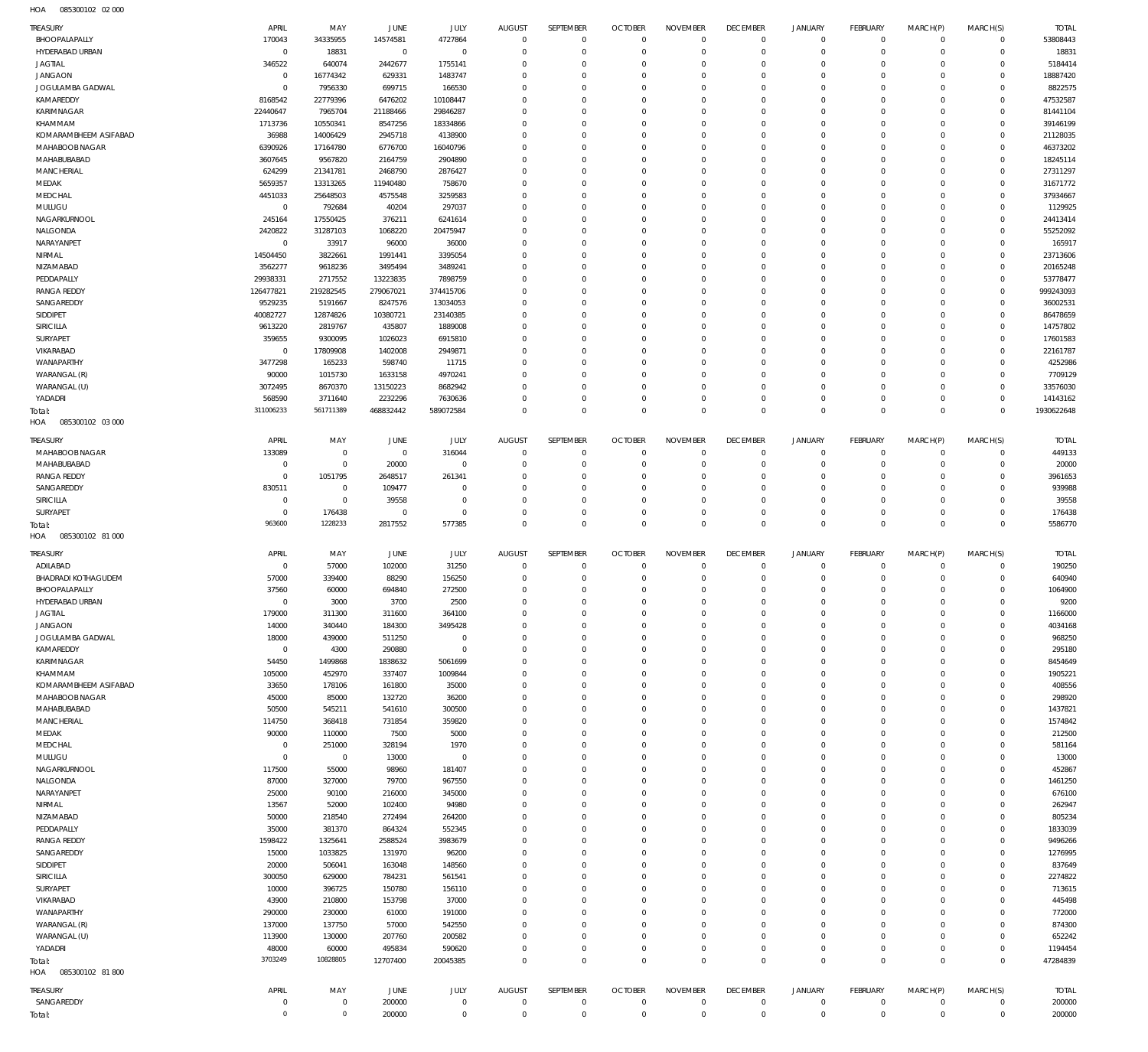085300102 02 000 HOA

| TREASURY                          | APRIL                         | MAY                        | JUNE                   | JULY                    | <b>AUGUST</b>                   | SEPTEMBER               | <b>OCTOBER</b>               | <b>NOVEMBER</b>        | <b>DECEMBER</b>             | <b>JANUARY</b>             | <b>FEBRUARY</b>                | MARCH(P)             | MARCH(S)               | <b>TOTAL</b>           |
|-----------------------------------|-------------------------------|----------------------------|------------------------|-------------------------|---------------------------------|-------------------------|------------------------------|------------------------|-----------------------------|----------------------------|--------------------------------|----------------------|------------------------|------------------------|
| BHOOPALAPALLY                     | 170043                        | 34335955                   | 14574581               | 4727864                 | $\overline{0}$                  | $\mathbf 0$             | $\mathbf{0}$                 | $^{\circ}$             | $\mathbf{0}$                | $^{\circ}$                 | $\mathbf 0$                    | $\Omega$             | $\mathbf 0$            | 53808443               |
| HYDERABAD URBAN<br><b>JAGTIAL</b> | $\overline{0}$<br>346522      | 18831<br>640074            | $\mathsf 0$<br>2442677 | $\circ$<br>1755141      | $\Omega$<br>$\Omega$            | $\Omega$<br>$\Omega$    | $\mathbf{0}$<br>$\mathbf{0}$ | $\Omega$<br>$\Omega$   | $\Omega$<br>$\Omega$        | $\Omega$<br>$\Omega$       | $\mathbf 0$<br>$\Omega$        | $\Omega$<br>$\Omega$ | $\Omega$<br>$\Omega$   | 18831<br>5184414       |
| <b>JANGAON</b>                    | $\overline{0}$                | 16774342                   | 629331                 | 1483747                 | $\Omega$                        | $\Omega$                | $\Omega$                     | $\Omega$               | $\Omega$                    | $\Omega$                   | $\Omega$                       | $\Omega$             | $\Omega$               | 18887420               |
| JOGULAMBA GADWAL                  | $\mathbf 0$                   | 7956330                    | 699715                 | 166530                  | $\Omega$                        | $\Omega$                | $\mathbf{0}$                 | $\Omega$               | $\Omega$                    | $\Omega$                   | $\Omega$                       | $\Omega$             | $\Omega$               | 8822575                |
| KAMAREDDY                         | 8168542                       | 22779396                   | 6476202                | 10108447                | $\Omega$                        | $\Omega$                | $\Omega$                     | $\Omega$               | $\Omega$                    | $\Omega$                   | $\Omega$                       |                      | $\Omega$               | 47532587               |
| KARIMNAGAR                        | 22440647                      | 7965704                    | 21188466               | 29846287                | $\Omega$                        | $\Omega$                | $\Omega$                     | $\Omega$               | $\Omega$                    | $\Omega$                   | $\Omega$                       | $\Omega$             | $\Omega$               | 81441104               |
| KHAMMAM                           | 1713736                       | 10550341                   | 8547256                | 18334866                | $\Omega$                        | $\Omega$                | $\mathbf{0}$                 | $\Omega$               | $\Omega$                    | $\Omega$                   | $\Omega$                       |                      | $\Omega$               | 39146199               |
| KOMARAMBHEEM ASIFABAD             | 36988                         | 14006429                   | 2945718                | 4138900                 | $\Omega$<br>$\Omega$            | $\Omega$<br>$\Omega$    | $\Omega$<br>$\mathbf{0}$     | $\Omega$<br>$\Omega$   | $\Omega$<br>$\Omega$        | $\Omega$<br>$\Omega$       | $\Omega$<br>$\Omega$           | $\Omega$             | $\Omega$<br>$\Omega$   | 21128035<br>46373202   |
| MAHABOOB NAGAR<br>MAHABUBABAD     | 6390926<br>3607645            | 17164780<br>9567820        | 6776700<br>2164759     | 16040796<br>2904890     | $\Omega$                        | $\Omega$                | $\Omega$                     | $\Omega$               | $\Omega$                    | $\Omega$                   | $\Omega$                       | $\Omega$             | $\Omega$               | 18245114               |
| MANCHERIAL                        | 624299                        | 21341781                   | 2468790                | 2876427                 | $\Omega$                        | $\Omega$                | $\mathbf{0}$                 | $\Omega$               | $\Omega$                    | $\Omega$                   | $\Omega$                       |                      | $\Omega$               | 27311297               |
| MEDAK                             | 5659357                       | 13313265                   | 11940480               | 758670                  | $\Omega$                        | $\Omega$                | $\Omega$                     | $\Omega$               | $\Omega$                    | $\Omega$                   | $\Omega$                       |                      | $\Omega$               | 31671772               |
| MEDCHAL                           | 4451033                       | 25648503                   | 4575548                | 3259583                 | $\Omega$                        | $\Omega$                | $\Omega$                     | $\Omega$               | $\Omega$                    | $\Omega$                   | $\Omega$                       | $\Omega$             | $\Omega$               | 37934667               |
| MULUGU                            | $\overline{0}$                | 792684                     | 40204                  | 297037                  | $\Omega$                        | $\Omega$                | $\Omega$                     | $\Omega$               | $\Omega$                    | $\Omega$                   | $\Omega$                       |                      | $\Omega$               | 1129925                |
| NAGARKURNOOL                      | 245164                        | 17550425                   | 376211                 | 6241614                 | $\Omega$                        | $\Omega$                | $\Omega$                     | $\Omega$               | $\Omega$                    | $\Omega$                   | $\Omega$                       | $\Omega$             | $\Omega$               | 24413414               |
| NALGONDA                          | 2420822                       | 31287103                   | 1068220                | 20475947                | $\Omega$<br>$\Omega$            | $\Omega$<br>$\Omega$    | $\mathbf{0}$<br>$\Omega$     | $\Omega$<br>$\Omega$   | $\Omega$<br>$\Omega$        | $\Omega$                   | $\Omega$<br>$\Omega$           |                      | $\Omega$<br>$\Omega$   | 55252092               |
| NARAYANPET<br>NIRMAL              | $\mathbf 0$<br>14504450       | 33917<br>3822661           | 96000<br>1991441       | 36000<br>3395054        | $\Omega$                        | $\Omega$                | $\Omega$                     | $\Omega$               | $\Omega$                    | $\Omega$<br>$\Omega$       | $\Omega$                       | $\Omega$             | $\Omega$               | 165917<br>23713606     |
| NIZAMABAD                         | 3562277                       | 9618236                    | 3495494                | 3489241                 | $\Omega$                        | $\Omega$                | $\mathbf{0}$                 | $\Omega$               | $\Omega$                    | $\Omega$                   | $\Omega$                       |                      | $\Omega$               | 20165248               |
| PEDDAPALLY                        | 29938331                      | 2717552                    | 13223835               | 7898759                 | $\Omega$                        | $\Omega$                | $\Omega$                     | $\Omega$               | $\Omega$                    | $\Omega$                   | $\Omega$                       | $\Omega$             | $\Omega$               | 53778477               |
| <b>RANGA REDDY</b>                | 126477821                     | 219282545                  | 279067021              | 374415706               | $\Omega$                        | $\Omega$                | $\mathbf{0}$                 | $\Omega$               | $\Omega$                    | $\Omega$                   | $\Omega$                       |                      | $\Omega$               | 999243093              |
| SANGAREDDY                        | 9529235                       | 5191667                    | 8247576                | 13034053                | $\Omega$                        | $\Omega$                | $\Omega$                     | $\Omega$               | $\Omega$                    | $\Omega$                   | $\Omega$                       | $\Omega$             | $\Omega$               | 36002531               |
| SIDDIPET                          | 40082727                      | 12874826                   | 10380721               | 23140385                | $\Omega$                        | $\Omega$                | $\mathbf{0}$                 | $\Omega$               | $\Omega$                    | $\Omega$                   | $\Omega$                       |                      | $\Omega$               | 86478659               |
| SIRICILLA                         | 9613220                       | 2819767                    | 435807                 | 1889008                 | $\Omega$                        | $\Omega$                | $\Omega$                     | $\Omega$               | $\Omega$                    | $\Omega$                   | $\Omega$                       |                      | $\Omega$               | 14757802               |
| SURYAPET<br>VIKARABAD             | 359655<br>$\overline{0}$      | 9300095<br>17809908        | 1026023<br>1402008     | 6915810<br>2949871      | $\Omega$<br>$\Omega$            | $\Omega$<br>$\Omega$    | $\Omega$<br>$\Omega$         | $\Omega$<br>$\Omega$   | $\Omega$<br>$\Omega$        | $\Omega$<br>$\Omega$       | $\Omega$<br>$\Omega$           | $\Omega$             | $\Omega$<br>$\Omega$   | 17601583<br>22161787   |
| WANAPARTHY                        | 3477298                       | 165233                     | 598740                 | 11715                   | $\Omega$                        | $\Omega$                | $\Omega$                     | $\Omega$               | $\Omega$                    | $\Omega$                   | $\Omega$                       | $\Omega$             | $\Omega$               | 4252986                |
| WARANGAL (R)                      | 90000                         | 1015730                    | 1633158                | 4970241                 | $\Omega$                        | $\Omega$                | $\Omega$                     | $\Omega$               | $\Omega$                    | $\Omega$                   | $\Omega$                       |                      | $\Omega$               | 7709129                |
| WARANGAL (U)                      | 3072495                       | 8670370                    | 13150223               | 8682942                 | $\Omega$                        | $\Omega$                | $\Omega$                     | $\Omega$               | $\Omega$                    | $\Omega$                   | $\Omega$                       | $\Omega$             | $\Omega$               | 33576030               |
| YADADRI                           | 568590                        | 3711640                    | 2232296                | 7630636                 | $\Omega$                        | $\Omega$                | $\mathbf{0}$                 | $\Omega$               | $\mathbf{0}$                | $\Omega$                   | $\Omega$                       | $\Omega$             | $\Omega$               | 14143162               |
| Total:                            | 311006233                     | 561711389                  | 468832442              | 589072584               | $\Omega$                        | $\Omega$                | $\Omega$                     | $\Omega$               | $\Omega$                    | $\Omega$                   | $\Omega$                       | $\Omega$             | $\Omega$               | 1930622648             |
| 085300102 03 000<br>HOA           |                               |                            |                        |                         |                                 |                         |                              |                        |                             |                            |                                |                      |                        |                        |
| TREASURY                          | APRIL                         | MAY                        | <b>JUNE</b>            | JULY                    | <b>AUGUST</b>                   | SEPTEMBER               | <b>OCTOBER</b>               | <b>NOVEMBER</b>        | <b>DECEMBER</b>             | <b>JANUARY</b>             | <b>FEBRUARY</b>                | MARCH(P)             | MARCH(S)               | <b>TOTAL</b>           |
| MAHABOOB NAGAR                    | 133089                        | $\mathbf 0$                | $\circ$                | 316044                  | $\Omega$                        | $\circ$                 | $^{\circ}$                   | $\Omega$               | $^{\circ}$                  | $^{\circ}$                 | $\circ$                        | $\Omega$             | $\Omega$               | 449133                 |
| MAHABUBABAD                       | $\mathbf 0$                   | $\mathbf 0$                | 20000                  | $\Omega$                | $\Omega$                        | $\Omega$                | $\Omega$                     | $\Omega$               | $\Omega$                    | $\Omega$                   | $\Omega$                       |                      | $\Omega$               | 20000                  |
| <b>RANGA REDDY</b>                | $\mathbf 0$                   | 1051795                    | 2648517                | 261341                  | $\Omega$                        | $\Omega$                | $\Omega$                     | $\Omega$               | $\Omega$                    | $\Omega$                   | $\Omega$                       | $\Omega$             | $\Omega$               | 3961653                |
| SANGAREDDY<br>SIRICILLA           | 830511<br>$\mathbf 0$         | $\mathbf 0$<br>$\mathbf 0$ | 109477<br>39558        | $\Omega$<br>$\Omega$    | $\Omega$<br>$\Omega$            | $\Omega$<br>$\Omega$    | $\Omega$<br>$\Omega$         | $\Omega$<br>$\Omega$   | $\Omega$<br>$\Omega$        | $\Omega$<br>$\Omega$       | $\Omega$<br>$\Omega$           | $\Omega$             | $\Omega$<br>$\Omega$   | 939988<br>39558        |
| SURYAPET                          | $\mathbf 0$                   | 176438                     | $\circ$                | $\Omega$                | $\Omega$                        | $\Omega$                | $\Omega$                     | $\Omega$               | $\Omega$                    | $\Omega$                   | $\Omega$                       | $\Omega$             | $\Omega$               | 176438                 |
| Total:                            | 963600                        | 1228233                    | 2817552                | 577385                  | $\Omega$                        | $\Omega$                | $\Omega$                     | $\Omega$               | $\Omega$                    | $\Omega$                   | $\Omega$                       | $\Omega$             | $\Omega$               | 5586770                |
| 085300102 81 000<br>HOA           |                               |                            |                        |                         |                                 |                         |                              |                        |                             |                            |                                |                      |                        |                        |
|                                   |                               |                            |                        |                         |                                 |                         |                              | <b>NOVEMBER</b>        | <b>DECEMBER</b>             |                            |                                |                      |                        |                        |
|                                   |                               |                            |                        |                         |                                 |                         |                              |                        |                             |                            |                                |                      |                        |                        |
| TREASURY<br>ADILABAD              | APRIL<br>$\overline{0}$       | MAY<br>57000               | JUNE<br>102000         | JULY<br>31250           | <b>AUGUST</b><br>$\overline{0}$ | SEPTEMBER<br>$\circ$    | <b>OCTOBER</b><br>$^{\circ}$ | $^{\circ}$             | $^{\circ}$                  | <b>JANUARY</b><br>$\Omega$ | <b>FEBRUARY</b><br>$\mathbf 0$ | MARCH(P)<br>$\Omega$ | MARCH(S)<br>$\Omega$   | <b>TOTAL</b><br>190250 |
| <b>BHADRADI KOTHAGUDEM</b>        | 57000                         | 339400                     | 88290                  | 156250                  | $\Omega$                        | $\mathbf 0$             | $\mathbf{0}$                 | $\Omega$               | $^{\circ}$                  | $\Omega$                   | $\mathbf 0$                    | $\Omega$             | $\Omega$               | 640940                 |
| BHOOPALAPALLY                     | 37560                         | 60000                      | 694840                 | 272500                  | $\Omega$                        | $\Omega$                | $\mathbf{0}$                 | $\Omega$               | $\mathbf{0}$                | $\Omega$                   | $\Omega$                       | $\Omega$             | $\Omega$               | 1064900                |
| HYDERABAD URBAN                   | $\circ$                       | 3000                       | 3700                   | 2500                    | $\overline{0}$                  | $\mathbf 0$             | $\mathbf{0}$                 | $\Omega$               | $\mathbf 0$                 | $\mathbf 0$                | $\Omega$                       | $\Omega$             | $\Omega$               | 9200                   |
| <b>JAGTIAL</b>                    | 179000                        | 311300                     | 311600                 | 364100                  | $\Omega$                        | $\Omega$                | $\Omega$                     | $\Omega$               | $\Omega$                    | $\Omega$                   | $\Omega$                       | $\Omega$             | $\Omega$               | 1166000                |
| <b>JANGAON</b>                    | 14000                         | 340440                     | 184300                 | 3495428                 | $\mathbf 0$                     | $\mathbf 0$             | $\mathbf{0}$                 | $\Omega$               | $^{\circ}$                  | $\Omega$                   | $\mathbf 0$                    | $\Omega$             | $\Omega$               | 4034168                |
| JOGULAMBA GADWAL<br>KAMAREDDY     | 18000<br>$\overline{0}$       | 439000<br>4300             | 511250<br>290880       | $\mathbf 0$<br>$\Omega$ | $\Omega$<br>$\Omega$            | $\mathbf 0$<br>$\Omega$ | $\mathbf{0}$<br>$\mathbf{0}$ | $^{\circ}$<br>$\Omega$ | $^{\circ}$<br>$\Omega$      | $\Omega$<br>$\Omega$       | $\mathbf 0$<br>$\Omega$        | $\Omega$<br>$\Omega$ | $\Omega$<br>$\Omega$   | 968250<br>295180       |
| KARIMNAGAR                        | 54450                         | 1499868                    | 1838632                | 5061699                 | $\Omega$                        | $\Omega$                | $\mathbf{0}$                 | $\Omega$               | $\Omega$                    | $\Omega$                   | $\Omega$                       | $\Omega$             | $\Omega$               | 8454649                |
| KHAMMAM                           | 105000                        | 452970                     | 337407                 | 1009844                 | $\Omega$                        | $\Omega$                | $\mathbf{0}$                 | $\Omega$               | $\Omega$                    | $\Omega$                   | $\Omega$                       | $\Omega$             | $\Omega$               | 1905221                |
| KOMARAMBHEEM ASIFABAD             | 33650                         | 178106                     | 161800                 | 35000                   | $\Omega$                        | $\Omega$                | $\mathbf{0}$                 | $\Omega$               | $^{\circ}$                  | $\Omega$                   | $\Omega$                       | $\Omega$             | $\Omega$               | 408556                 |
| MAHABOOB NAGAR                    | 45000                         | 85000                      | 132720                 | 36200                   | $\Omega$                        | $\Omega$                | $\mathbf{0}$                 | $\Omega$               | $\Omega$                    | $\Omega$                   | $\Omega$                       |                      | $\Omega$               | 298920                 |
| MAHABUBABAD                       | 50500                         | 545211                     | 541610                 | 300500                  | $\Omega$                        | $\Omega$                | $\mathbf{0}$                 | $\Omega$               | $\Omega$                    | $\Omega$                   | $\Omega$                       | $\Omega$             | $\Omega$               | 1437821                |
| MANCHERIAL                        | 114750                        | 368418                     | 731854                 | 359820                  | $\Omega$<br>$\Omega$            | $\Omega$<br>$\Omega$    | $\mathbf{0}$<br>$\mathbf{0}$ | $\Omega$<br>$\Omega$   | $^{\circ}$<br>$\Omega$      | $\Omega$<br>$\Omega$       | $\Omega$<br>$\Omega$           | $\Omega$             | $\Omega$<br>$\Omega$   | 1574842                |
| MEDAK<br>MEDCHAL                  | 90000<br>$\overline{0}$       | 110000<br>251000           | 7500<br>328194         | 5000<br>1970            | $\Omega$                        | $\Omega$                | $\mathbf{0}$                 | $\Omega$               | $^{\circ}$                  | $\Omega$                   | $\mathbf 0$                    |                      | $\Omega$               | 212500<br>581164       |
| MULUGU                            | $\mathbf 0$                   | $\overline{0}$             | 13000                  | $\mathbf 0$             | $\Omega$                        | $\Omega$                | $\mathbf{0}$                 | $\Omega$               | $\Omega$                    | $\Omega$                   | $\Omega$                       | $\Omega$             | $\Omega$               | 13000                  |
| NAGARKURNOOL                      | 117500                        | 55000                      | 98960                  | 181407                  | $\Omega$                        | $\Omega$                | $\mathbf{0}$                 | $\Omega$               | $^{\circ}$                  | $\Omega$                   | $\mathbf 0$                    |                      | $\Omega$               | 452867                 |
| NALGONDA                          | 87000                         | 327000                     | 79700                  | 967550                  | $\Omega$                        | $\Omega$                | $\mathbf{0}$                 | $\Omega$               | $\mathbf{0}$                | $\Omega$                   | $\Omega$                       |                      | $\Omega$               | 1461250                |
| NARAYANPET                        | 25000                         | 90100                      | 216000                 | 345000                  | $\Omega$                        | $\Omega$                | $\mathbf{0}$                 | $\Omega$               | $\Omega$                    | $\Omega$                   | $\Omega$                       | $\Omega$             | $\Omega$               | 676100                 |
| NIRMAL                            | 13567                         | 52000                      | 102400                 | 94980                   | $\Omega$                        | $\Omega$                | $\mathbf{0}$                 | $\Omega$               | $\Omega$                    | $\Omega$                   | $\Omega$                       |                      | $\Omega$               | 262947                 |
| NIZAMABAD                         | 50000                         | 218540                     | 272494                 | 264200                  | $\Omega$                        | $\Omega$                | $\mathbf{0}$                 | $\Omega$               | $\Omega$                    | $\Omega$                   | $\Omega$                       | $\Omega$<br>$\Omega$ | $\Omega$               | 805234                 |
| PEDDAPALLY                        | 35000                         | 381370                     | 864324                 | 552345                  | $\Omega$<br>$\Omega$            | $\Omega$<br>$\Omega$    | $\mathbf{0}$<br>$\mathbf{0}$ | $\Omega$<br>$\Omega$   | $^{\circ}$<br>$\Omega$      | $\Omega$<br>$\Omega$       | $\Omega$<br>$\Omega$           |                      | $\Omega$<br>$\Omega$   | 1833039                |
| <b>RANGA REDDY</b><br>SANGAREDDY  | 1598422<br>15000              | 1325641<br>1033825         | 2588524<br>131970      | 3983679<br>96200        | $\Omega$                        | $\Omega$                | $\mathbf{0}$                 | $\Omega$               | $\Omega$                    | $\Omega$                   | $\Omega$                       | $\Omega$             | $\Omega$               | 9496266<br>1276995     |
| SIDDIPET                          | 20000                         | 506041                     | 163048                 | 148560                  | $\Omega$                        | $\Omega$                | $\mathbf{0}$                 | $\Omega$               | $^{\circ}$                  | $\Omega$                   | $\Omega$                       |                      | $\Omega$               | 837649                 |
| SIRICILLA                         | 300050                        | 629000                     | 784231                 | 561541                  | $\Omega$                        | $\Omega$                | $\mathbf{0}$                 | $\Omega$               | $\Omega$                    | $\Omega$                   | $\Omega$                       | $\Omega$             | $\Omega$               | 2274822                |
| SURYAPET                          | 10000                         | 396725                     | 150780                 | 156110                  | $\Omega$                        | $\Omega$                | $\mathbf{0}$                 | $\Omega$               | $^{\circ}$                  | $\Omega$                   | $\Omega$                       |                      | $\Omega$               | 713615                 |
| VIKARABAD                         | 43900                         | 210800                     | 153798                 | 37000                   | $\Omega$                        | $\Omega$                | $\mathbf{0}$                 | $\Omega$               | $\Omega$                    | $\Omega$                   | $\Omega$                       | $\Omega$             | $\Omega$               | 445498                 |
| WANAPARTHY                        | 290000                        | 230000                     | 61000                  | 191000                  | $\Omega$<br>$\Omega$            | $\Omega$<br>$\Omega$    | $\mathbf{0}$                 | $\Omega$<br>$\Omega$   | $^{\circ}$                  | $\Omega$<br>$\Omega$       | $\Omega$<br>$\Omega$           | $\Omega$             | $\Omega$<br>$\Omega$   | 772000                 |
| WARANGAL (R)                      | 137000<br>113900              | 137750<br>130000           | 57000<br>207760        | 542550                  | $\Omega$                        | $\Omega$                | $\mathbf{0}$<br>$\mathbf{0}$ | $\Omega$               | $^{\circ}$<br>$\mathbf 0$   | $\Omega$                   | $\Omega$                       | $\Omega$             | $\Omega$               | 874300                 |
| WARANGAL (U)<br>YADADRI           | 48000                         | 60000                      | 495834                 | 200582<br>590620        | $\Omega$                        | $\Omega$                | $\mathbf{0}$                 | $^{\circ}$             | $\mathbf{0}$                | $^{\circ}$                 | $\mathbf 0$                    | $\Omega$             | $\Omega$               | 652242<br>1194454      |
| Total:                            | 3703249                       | 10828805                   | 12707400               | 20045385                | $\Omega$                        | $\Omega$                | $\Omega$                     | $\Omega$               | $\mathbf 0$                 | $\circ$                    | $\Omega$                       | $\Omega$             | $\Omega$               | 47284839               |
| 085300102 81 800<br>HOA           |                               |                            |                        |                         |                                 |                         |                              |                        |                             |                            |                                |                      |                        |                        |
| <b>TREASURY</b>                   | APRIL                         | MAY                        | JUNE                   | JULY                    | <b>AUGUST</b>                   | SEPTEMBER               | <b>OCTOBER</b>               | <b>NOVEMBER</b>        | <b>DECEMBER</b>             | <b>JANUARY</b>             | <b>FEBRUARY</b>                | MARCH(P)             | MARCH(S)               | <b>TOTAL</b>           |
| SANGAREDDY<br>Total:              | $\mathbf 0$<br>$\overline{0}$ | 0<br>$\mathbf 0$           | 200000<br>200000       | 0<br>$\mathbf 0$        | $\mathbf 0$<br>$\mathbf 0$      | 0<br>$\mathbf 0$        | $^{\circ}$<br>$\mathbf{0}$   | $^{\circ}$<br>$\Omega$ | $\mathbf 0$<br>$\mathbf{0}$ | $^{\circ}$<br>$\Omega$     | $\circ$<br>$\mathbf 0$         | $\Omega$<br>$\Omega$ | $\circ$<br>$\mathbf 0$ | 200000<br>200000       |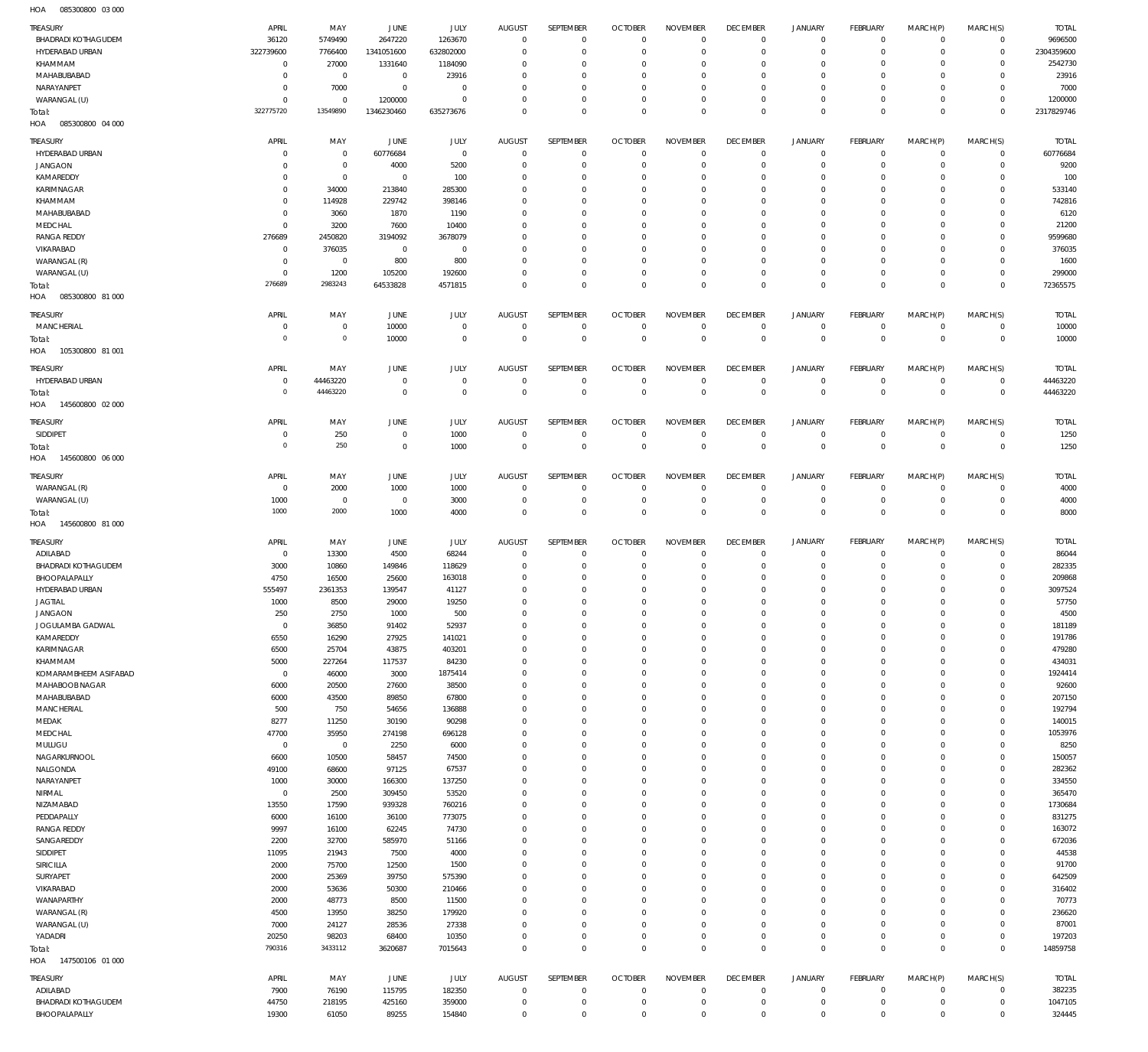085300800 03 000 HOA

| TREASURY                                    | APRIL                | MAY               | JUNE             | JULY               | <b>AUGUST</b>          | SEPTEMBER                  | <b>OCTOBER</b>             | <b>NOVEMBER</b>                            | <b>DECEMBER</b>            | JANUARY                            | FEBRUARY                   | MARCH(P)                                   | MARCH(S)                   | <b>TOTAL</b>      |
|---------------------------------------------|----------------------|-------------------|------------------|--------------------|------------------------|----------------------------|----------------------------|--------------------------------------------|----------------------------|------------------------------------|----------------------------|--------------------------------------------|----------------------------|-------------------|
| <b>BHADRADI KOTHAGUDEM</b>                  | 36120                | 5749490           | 2647220          | 1263670            | $^{\circ}$             | $\mathbf 0$                | $\Omega$                   | $\Omega$                                   | $\mathbf 0$                | $\mathbf 0$                        | $\overline{0}$             | $\mathbf 0$                                | $\overline{0}$             | 9696500           |
| HYDERABAD URBAN                             | 322739600            | 7766400           | 1341051600       | 632802000          | $\Omega$               | $\mathbf 0$                | $\Omega$                   | $\mathbf 0$                                | $\mathbf 0$                | $\mathbf 0$                        | $^{\circ}$                 | $\Omega$                                   | $\mathbb O$                | 2304359600        |
| KHAMMAM                                     | $\circ$              | 27000             | 1331640          | 1184090            | $\Omega$               | $\Omega$                   | $\Omega$                   | $\Omega$                                   | 0                          | $\mathbf 0$                        | $^{\circ}$                 | $\Omega$                                   | $\mathbf 0$                | 2542730           |
| MAHABUBABAD                                 | $\mathbf 0$          | $\circ$           | $\circ$          | 23916              | $\Omega$               | $\mathbf 0$                | $\Omega$                   | $\circ$                                    | $\mathbf 0$                | $\mathbf 0$                        | 0                          | $\Omega$                                   | $\mathbf 0$                | 23916             |
| NARAYANPET                                  | $\circ$              | 7000              | $\mathbf 0$      | $\Omega$           | $\Omega$               | $\Omega$                   | $\Omega$                   | $\mathbf 0$                                | 0                          | $\mathbf 0$                        | 0                          | $\Omega$                                   | $\mathbf 0$                | 7000              |
| WARANGAL (U)                                | $\circ$              | $^{\circ}$        | 1200000          | $\Omega$           | $\Omega$               | $\mathbf 0$                | 0                          | $\mathbf 0$                                | $\mathbf 0$                | $\mathbf 0$                        | $^{\circ}$                 | 0                                          | $\mathbf 0$                | 1200000           |
| Total:                                      | 322775720            | 13549890          | 1346230460       | 635273676          | $\Omega$               | $\mathbf 0$                | $\Omega$                   | $\mathbf 0$                                | $\mathbf 0$                | $\mathbf 0$                        | $\mathbf 0$                | $\Omega$                                   | $\mathbf 0$                | 2317829746        |
| HOA<br>085300800 04 000                     |                      |                   |                  |                    |                        |                            |                            |                                            |                            |                                    |                            |                                            |                            |                   |
|                                             |                      |                   |                  |                    |                        |                            |                            |                                            |                            |                                    |                            |                                            |                            |                   |
| TREASURY                                    | APRIL                | MAY               | JUNE             | JULY               | <b>AUGUST</b>          | SEPTEMBER                  | <b>OCTOBER</b>             | <b>NOVEMBER</b>                            | <b>DECEMBER</b>            | JANUARY                            | FEBRUARY                   | MARCH(P)                                   | MARCH(S)                   | <b>TOTAL</b>      |
| HYDERABAD URBAN                             | $\circ$              | $\overline{0}$    | 60776684         | $\overline{0}$     | $^{\circ}$             | $\mathbf 0$                | $\mathbf 0$                | $\mathbf 0$                                | $\mathbf 0$                | 0                                  | $\overline{0}$             | $\mathbf 0$                                | $\overline{0}$             | 60776684          |
| <b>JANGAON</b>                              | $\circ$              | $\overline{0}$    | 4000             | 5200               | $\Omega$               | $\mathbf 0$                | O                          | $\mathbf 0$                                | $\mathbf 0$                | $\mathsf{O}$                       | $\mathbf 0$                | $\mathbf 0$                                | $\circ$                    | 9200              |
| KAMAREDDY                                   | $\circ$              | $\overline{0}$    | $\mathbf 0$      | 100                | $\Omega$               | $\mathbf 0$                | $\Omega$                   | $\mathbf 0$                                | $\mathbf 0$                | $\mathsf{O}$                       | $^{\circ}$                 | $\mathbf 0$                                | $\overline{0}$             | 100               |
| KARIMNAGAR                                  | $^{\circ}$           | 34000             | 213840           | 285300             | $\Omega$               | $\mathbf 0$                | $\Omega$                   | $\mathbf 0$                                | $\mathbf 0$                | $\mathbf 0$                        | $^{\circ}$                 | $\mathbf 0$                                | $\mathbf 0$                | 533140            |
| KHAMMAM                                     | $^{\circ}$           | 114928            | 229742           | 398146             | $\Omega$               | $\mathbf 0$                | $\Omega$                   | $\circ$                                    | $\mathbf 0$                | $\mathbf 0$                        | $^{\circ}$                 | $\Omega$                                   | $\mathbf 0$                | 742816            |
| MAHABUBABAD                                 | $^{\circ}$           | 3060              | 1870             | 1190               | $\Omega$               | $\mathbf 0$                | $\Omega$                   | $\mathbf 0$                                | $\mathbf 0$                | $\mathbf 0$                        | $^{\circ}$                 | $\Omega$                                   | $\mathbf 0$                | 6120              |
| MEDCHAL                                     | $\circ$              | 3200              | 7600<br>3194092  | 10400              | $\Omega$<br>$\Omega$   | $\mathbf 0$<br>$\circ$     | $\Omega$<br>$\Omega$       | $\circ$                                    | $\mathbf 0$<br>$\mathbf 0$ | $\mathbf 0$<br>$\mathbf 0$         | $^{\circ}$<br>$^{\circ}$   | $\Omega$<br>$\Omega$                       | $\mathbf 0$<br>$\mathbf 0$ | 21200<br>9599680  |
| <b>RANGA REDDY</b><br>VIKARABAD             | 276689               | 2450820<br>376035 | $\circ$          | 3678079<br>$\circ$ | $\Omega$               | $\mathbf 0$                | $\Omega$                   | $\circ$<br>$\mathbf 0$                     | $\mathbf 0$                | $\mathsf{O}$                       | $^{\circ}$                 | $\Omega$                                   | $\mathbf 0$                | 376035            |
| WARANGAL (R)                                | 0<br>$\circ$         | $\overline{0}$    | 800              | 800                | $\Omega$               | $\mathbf 0$                | $\Omega$                   | $\mathbf 0$                                | $\mathbf 0$                | $\mathbf 0$                        | $^{\circ}$                 | $\mathbf 0$                                | $\overline{0}$             | 1600              |
| WARANGAL (U)                                | $\Omega$             | 1200              | 105200           | 192600             | $\Omega$               | $\mathbf 0$                | $\Omega$                   | $\mathbf 0$                                | $\mathbf 0$                | $\mathsf{O}$                       | $^{\circ}$                 | $\mathbf 0$                                | $\mathbf 0$                | 299000            |
| Total:                                      | 276689               | 2983243           | 64533828         | 4571815            | $\Omega$               | $\mathbf 0$                | $\Omega$                   | $\mathbf 0$                                | $\mathbf 0$                | $\mathbf 0$                        | $\mathbf 0$                | $\mathbf 0$                                | $\overline{0}$             | 72365575          |
| HOA<br>085300800 81 000                     |                      |                   |                  |                    |                        |                            |                            |                                            |                            |                                    |                            |                                            |                            |                   |
|                                             |                      |                   |                  |                    |                        |                            |                            |                                            |                            |                                    |                            |                                            |                            |                   |
| TREASURY                                    | APRIL                | MAY               | JUNE             | JULY               | <b>AUGUST</b>          | SEPTEMBER                  | <b>OCTOBER</b>             | <b>NOVEMBER</b>                            | <b>DECEMBER</b>            | JANUARY                            | FEBRUARY                   | MARCH(P)                                   | MARCH(S)                   | <b>TOTAL</b>      |
| MANCHERIAL                                  | $^{\circ}$           | 0                 | 10000            | $\Omega$           | $\Omega$               | $\mathbf 0$                | $\mathbf 0$                | $\mathbf 0$                                | $\mathbf 0$                | 0                                  | $^{\circ}$                 | $\mathbf 0$                                | $\circ$                    | 10000             |
| Total:                                      | $\Omega$             | $\overline{0}$    | 10000            | $\circ$            | $\Omega$               | $\mathbf 0$                | $\Omega$                   | $\mathbf 0$                                | $\mathbf 0$                | $\mathbf 0$                        | $\mathbf 0$                | $\mathbf 0$                                | $\overline{0}$             | 10000             |
| 105300800 81 001<br>HOA                     |                      |                   |                  |                    |                        |                            |                            |                                            |                            |                                    |                            |                                            |                            |                   |
| TREASURY                                    | APRIL                | MAY               | JUNE             | JULY               | <b>AUGUST</b>          | SEPTEMBER                  | <b>OCTOBER</b>             | <b>NOVEMBER</b>                            | <b>DECEMBER</b>            | JANUARY                            | FEBRUARY                   | MARCH(P)                                   | MARCH(S)                   | <b>TOTAL</b>      |
| HYDERABAD URBAN                             | $^{\circ}$           | 44463220          | $\Omega$         | $\Omega$           | $\Omega$               | $\mathbf 0$                | $\mathbf 0$                | $\mathbf 0$                                | $\overline{0}$             | 0                                  | $\mathbf 0$                | $\mathbf 0$                                | $\circ$                    | 44463220          |
| Total:                                      | $\Omega$             | 44463220          | $\Omega$         | $\circ$            | $\Omega$               | $\mathbf 0$                | $\mathbf 0$                | $\mathbf 0$                                | $\mathbf 0$                | $\mathsf{O}$                       | $\mathbf{0}$               | $\mathbf 0$                                | $\overline{0}$             | 44463220          |
| 145600800 02 000<br>HOA                     |                      |                   |                  |                    |                        |                            |                            |                                            |                            |                                    |                            |                                            |                            |                   |
|                                             |                      |                   |                  |                    |                        |                            |                            |                                            |                            |                                    |                            |                                            |                            |                   |
| TREASURY                                    | APRIL                | MAY               | <b>JUNE</b>      | JULY               | <b>AUGUST</b>          | SEPTEMBER                  | <b>OCTOBER</b>             | <b>NOVEMBER</b>                            | <b>DECEMBER</b>            | JANUARY                            | FEBRUARY                   | MARCH(P)                                   | MARCH(S)                   | <b>TOTAL</b>      |
| SIDDIPET                                    | $\mathbf 0$          | 250               | $\mathbf 0$      | 1000               | $\Omega$               | 0                          | $\mathbf 0$                | 0                                          | $\mathbf 0$                | 0                                  | $^{\circ}$                 | $\mathbf 0$                                | $\circ$                    | 1250              |
| Total:                                      | $\Omega$             | 250               | $\mathbf 0$      | 1000               | $\Omega$               | $\mathbf 0$                | $\mathbf 0$                | $\mathbf 0$                                | $\mathbf 0$                | $\mathbf 0$                        | $\overline{0}$             | $\mathbf 0$                                | $\circ$                    | 1250              |
| HOA<br>145600800 06 000                     |                      |                   |                  |                    |                        |                            |                            |                                            |                            |                                    |                            |                                            |                            |                   |
| <b>TREASURY</b>                             | APRIL                | MAY               | JUNE             | JULY               | <b>AUGUST</b>          | SEPTEMBER                  | <b>OCTOBER</b>             | <b>NOVEMBER</b>                            | <b>DECEMBER</b>            | JANUARY                            | FEBRUARY                   | MARCH(P)                                   | MARCH(S)                   | <b>TOTAL</b>      |
| WARANGAL (R)                                | 0                    | 2000              | 1000             | 1000               | $\mathbf 0$            | 0                          | $\mathbf 0$                | $\mathbf 0$                                | $\mathbf 0$                | 0                                  | $\mathbf 0$                | $\mathbf 0$                                | $\circ$                    | 4000              |
| WARANGAL (U)                                | 1000                 | $\overline{0}$    | $\circ$          | 3000               | $\Omega$               | $\mathbf 0$                | $\mathbf 0$                | $\mathbf 0$                                | $\mathbf 0$                | $\mathsf{O}$                       | $\circ$                    | $\mathbf 0$                                | $\circ$                    | 4000              |
| Total:                                      | 1000                 | 2000              | 1000             | 4000               | $\Omega$               | $\mathbf 0$                | $\mathbf 0$                | $\mathbf 0$                                | $\mathbf 0$                | $\mathbf 0$                        | $\overline{0}$             | $\mathbf 0$                                | $\overline{0}$             | 8000              |
|                                             |                      |                   |                  |                    |                        |                            |                            |                                            |                            |                                    |                            |                                            |                            |                   |
|                                             |                      |                   |                  |                    |                        |                            |                            |                                            |                            |                                    |                            |                                            |                            |                   |
| 145600800 81 000<br>HOA                     |                      |                   |                  |                    |                        |                            |                            |                                            |                            |                                    |                            |                                            |                            |                   |
| <b>TREASURY</b>                             | APRIL                | MAY               | <b>JUNE</b>      | JULY               | <b>AUGUST</b>          | SEPTEMBER                  | <b>OCTOBER</b>             | <b>NOVEMBER</b>                            | <b>DECEMBER</b>            | JANUARY                            | FEBRUARY                   | MARCH(P)                                   | MARCH(S)                   | <b>TOTAL</b>      |
| ADILABAD                                    | $\circ$              | 13300             | 4500             | 68244              | $\Omega$               | $\mathbf 0$                | $\Omega$                   | 0                                          | $\mathbf 0$                | $\mathbf 0$                        | $^{\circ}$                 | $\Omega$                                   | $\mathbf 0$                | 86044             |
| <b>BHADRADI KOTHAGUDEM</b>                  | 3000                 | 10860             | 149846           | 118629             | $\Omega$               | $\mathbf 0$                | $\mathbf 0$                | $\mathbf 0$                                | $\mathbf 0$                | 0                                  | $^{\circ}$                 | $\mathbf 0$                                | $\mathbf 0$                | 282335            |
| BHOOPALAPALLY                               | 4750                 | 16500             | 25600            | 163018             | $\Omega$               | $\mathbf 0$                | $\Omega$                   | $\mathbf 0$                                | $\mathbf 0$                | $\mathbf 0$                        | 0                          | $\Omega$                                   | $\mathbf 0$                | 209868            |
| <b>HYDERABAD URBAN</b>                      | 555497               | 2361353           | 139547           | 41127              | $\Omega$               | $\mathbf 0$                | $\Omega$                   | $\mathbf 0$                                | 0                          | $\mathbf 0$                        | 0                          | $\Omega$                                   | $\mathbf 0$                | 3097524           |
| <b>JAGTIAL</b>                              | 1000                 | 8500              | 29000            | 19250              | $\Omega$               | $\circ$                    | $\Omega$                   | $\circ$                                    | $\Omega$                   | $\Omega$                           | $\Omega$                   | $\Omega$                                   | $\mathbf 0$                | 57750             |
| <b>JANGAON</b>                              | 250                  | 2750              | 1000             | <b>500</b>         |                        |                            |                            |                                            |                            |                                    |                            |                                            |                            | 4500              |
| JOGULAMBA GADWAL                            | 0                    | 36850             | 91402            | 52937              | $\circ$                | $\mathbf 0$                | $\mathbf 0$                | $\mathbf 0$                                | 0                          | $\mathbf 0$                        | $^{\circ}$                 | $\mathbf 0$                                | $\mathbf 0$                | 181189            |
| KAMAREDDY                                   | 6550                 | 16290             | 27925            | 141021             | $\Omega$               | $\mathbf 0$                | $\circ$                    | $\mathbf 0$                                | 0                          | $\mathsf{O}$                       | $\mathbf 0$                | $\mathbf 0$                                | $\mathbf 0$                | 191786            |
| KARIMNAGAR                                  | 6500                 | 25704             | 43875            | 403201             | $\Omega$               | $\mathbf 0$                | $\mathbf 0$                | $\circ$                                    | $\mathbf 0$                | $\mathbf 0$                        | $^{\circ}$                 | $\Omega$                                   | $\mathbf 0$                | 479280            |
| KHAMMAM                                     | 5000                 | 227264            | 117537           | 84230              | $\Omega$               | $\mathbf 0$                | $\Omega$                   | $\mathbf 0$                                | 0                          | $\mathbf 0$                        | $^{\circ}$                 | $\Omega$                                   | $\mathbf 0$                | 434031            |
| KOMARAMBHEEM ASIFABAD                       | $\mathbb O$          | 46000             | 3000             | 1875414            | $\Omega$               | $\mathbf 0$                | $\mathbf 0$                | $\mathbf 0$                                | $\mathbf 0$                | $\mathbf 0$                        | $^{\circ}$                 | $\Omega$                                   | $\mathbf 0$                | 1924414           |
| MAHABOOB NAGAR                              | 6000                 | 20500             | 27600            | 38500              | $\Omega$               | $\mathbf 0$                | $\mathbf 0$                | $\mathbf 0$                                | 0                          | $\mathbf 0$                        | $^{\circ}$                 | $\Omega$                                   | $\mathbf 0$                | 92600             |
| MAHABUBABAD                                 | 6000                 | 43500             | 89850            | 67800              | $\Omega$<br>$\Omega$   | $\mathbf 0$                | $\mathbf 0$                | $\mathbf 0$                                | $\mathbf 0$                | $\mathbf 0$                        | $^{\circ}$                 | $\Omega$<br>$\Omega$                       | $\mathbf 0$                | 207150            |
| MANCHERIAL                                  | 500                  | 750               | 54656            | 136888             |                        | $\mathbf 0$                | 0                          | $\mathbf 0$                                | 0                          | $\mathbf 0$                        | $^{\circ}$                 |                                            | $\mathbf 0$                | 192794            |
| MEDAK                                       | 8277                 | 11250             | 30190            | 90298              | $\Omega$<br>$\Omega$   | $\mathbf 0$<br>$\mathbf 0$ | $\mathbf 0$<br>$\mathbf 0$ | $\mathbf 0$<br>$\mathbf 0$                 | $\mathbf 0$<br>0           | $\mathbf 0$                        | $^{\circ}$<br>$^{\circ}$   | $\Omega$<br>$\Omega$                       | $\mathbf 0$<br>$\mathbf 0$ | 140015            |
| MEDCHAL                                     | 47700<br>$\mathbf 0$ | 35950<br>$\circ$  | 274198           | 696128             | $\Omega$               | $\mathbf 0$                | $\mathbf 0$                | $\mathbf 0$                                | $\mathbf 0$                | 0<br>$\mathbf 0$                   | $^{\circ}$                 | $\Omega$                                   | $\mathbf 0$                | 1053976           |
| MULUGU<br>NAGARKURNOOL                      | 6600                 | 10500             | 2250<br>58457    | 6000<br>74500      | $\Omega$               | $\mathbf 0$                | $\mathbf 0$                | $\mathbf 0$                                | $\mathbf 0$                | $\mathbf 0$                        | $^{\circ}$                 | $\Omega$                                   | $\mathbf 0$                | 8250<br>150057    |
|                                             |                      |                   |                  |                    | $\Omega$               | $\mathbf 0$                | $\mathbf 0$                | $\mathbf 0$                                | $\mathbf 0$                | $\mathbf 0$                        | $^{\circ}$                 | $\Omega$                                   | $\mathbf 0$                |                   |
| NALGONDA                                    | 49100                | 68600             | 97125            | 67537              | $\Omega$               | $\mathbf 0$                | $\mathbf 0$                | $\mathbf 0$                                | $\mathbf 0$                | $\mathbf 0$                        | $^{\circ}$                 | $\Omega$                                   | $\mathbf 0$                | 282362            |
| NARAYANPET                                  | 1000<br>$\mathbf{0}$ | 30000             | 166300           | 137250             | $\Omega$               | $\mathbf 0$                | $^{\circ}$                 | $\mathbf 0$                                | $\mathbf 0$                | $\mathbf 0$                        | $^{\circ}$                 | $\Omega$                                   | $\mathbf 0$                | 334550            |
| NIRMAL<br>NIZAMABAD                         | 13550                | 2500<br>17590     | 309450<br>939328 | 53520<br>760216    | $\Omega$               | $\mathbf 0$                | $^{\circ}$                 | $\mathbf 0$                                | $\mathbf 0$                | $\mathbf 0$                        | $^{\circ}$                 | $\Omega$                                   | $\mathbf 0$                | 365470<br>1730684 |
| PEDDAPALLY                                  | 6000                 | 16100             | 36100            |                    | $\Omega$               | $\mathbf 0$                | $^{\circ}$                 | $\mathbf 0$                                | $\mathbf 0$                | $\mathbf 0$                        | $^{\circ}$                 | $\Omega$                                   | $\mathbf 0$                |                   |
| <b>RANGA REDDY</b>                          | 9997                 | 16100             | 62245            | 773075<br>74730    | $\Omega$               | $\mathbf 0$                | $^{\circ}$                 | $\mathbf 0$                                | $\mathbf 0$                | $^{\circ}$                         | $^{\circ}$                 | $\Omega$                                   | $\mathbf 0$                | 831275<br>163072  |
| SANGAREDDY                                  | 2200                 | 32700             | 585970           | 51166              | $\Omega$               | $\mathbf 0$                | $\overline{0}$             | $\mathbf 0$                                | $\mathbf 0$                | $\mathbf 0$                        | $^{\circ}$                 | $\Omega$                                   | $\mathbf 0$                | 672036            |
| SIDDIPET                                    | 11095                | 21943             | 7500             | 4000               | $\Omega$               | $\mathbf 0$                | $\Omega$                   | $\mathbf 0$                                | $\mathbf 0$                | $\mathbf 0$                        | $^{\circ}$                 | $\Omega$                                   | $\mathbf 0$                | 44538             |
| SIRICILLA                                   | 2000                 | 75700             | 12500            | 1500               | $\Omega$               | $\mathbf 0$                | $\mathbf 0$                | $\mathbf 0$                                | $\mathbf 0$                | $\mathbf 0$                        | $^{\circ}$                 | $\Omega$                                   | $\mathbf 0$                | 91700             |
| SURYAPET                                    | 2000                 | 25369             | 39750            | 575390             | $\Omega$               | $\mathbf 0$                | $^{\circ}$                 | $\mathbf 0$                                | 0                          | $^{\circ}$                         | $^{\circ}$                 | $\Omega$                                   | $\mathbf 0$                | 642509            |
| VIKARABAD                                   | 2000                 | 53636             | 50300            | 210466             | $\Omega$               | $\mathbf 0$                | $\mathbf 0$                | $\mathbf 0$                                | $\mathbf 0$                | $\mathbf 0$                        | $^{\circ}$                 | $\Omega$                                   | $\mathbf 0$                | 316402            |
| WANAPARTHY                                  | 2000                 | 48773             | 8500             | 11500              | $\Omega$               | $\mathbf 0$                | 0                          | $\mathbf 0$                                | 0                          | $^{\circ}$                         | $^{\circ}$                 | $\Omega$                                   | $\mathbf 0$                | 70773             |
| WARANGAL (R)                                | 4500                 | 13950             | 38250            | 179920             | $\Omega$               | $\mathbf 0$                | $\mathbf 0$                | $\mathbf 0$                                | $\mathbf 0$                | $\mathbf 0$                        | $^{\circ}$                 | $\Omega$                                   | $\mathbf 0$                | 236620            |
| WARANGAL (U)                                | 7000                 | 24127             | 28536            | 27338              | $\Omega$               | $\mathbf 0$                | 0                          | $\mathbf 0$                                | $\mathbf 0$                | 0                                  | $^{\circ}$                 | $\Omega$                                   | $\mathbf 0$                | 87001             |
| YADADRI                                     | 20250                | 98203             | 68400            | 10350              | $\Omega$               | $\mathbf 0$                | $\circ$                    | $\mathsf{O}\xspace$                        | $\mathbf 0$                | $\mathsf{O}$                       | $^{\circ}$                 | 0                                          | $\mathbf 0$                | 197203            |
| Total:                                      | 790316               | 3433112           | 3620687          | 7015643            | $\mathbf 0$            | $\mathbb O$                | $\mathbf 0$                | $\mathbf 0$                                | $\mathbf 0$                | $\mathbf 0$                        | $\mathbf 0$                | $\mathbf 0$                                | $\overline{0}$             | 14859758          |
| HOA 147500106 01 000                        |                      |                   |                  |                    |                        |                            |                            |                                            |                            |                                    |                            |                                            |                            |                   |
|                                             |                      |                   |                  |                    |                        |                            |                            |                                            |                            |                                    |                            |                                            |                            |                   |
| <b>TREASURY</b>                             | APRIL                | MAY               | JUNE             | JULY               | <b>AUGUST</b>          | SEPTEMBER                  | <b>OCTOBER</b>             | <b>NOVEMBER</b>                            | <b>DECEMBER</b>            | JANUARY                            | FEBRUARY                   | MARCH(P)                                   | MARCH(S)                   | <b>TOTAL</b>      |
| ADILABAD                                    | 7900                 | 76190             | 115795           | 182350             | $\circ$                | $\mathbf 0$                | $\mathbf 0$                | $\mathbf 0$                                | $\mathbf 0$                | $\mathsf{O}$                       | $\circ$                    | $\mathbf 0$                                | $\circ$                    | 382235            |
| <b>BHADRADI KOTHAGUDEM</b><br>BHOOPALAPALLY | 44750<br>19300       | 218195<br>61050   | 425160<br>89255  | 359000<br>154840   | $\circ$<br>$\mathbf 0$ | $\mathbf 0$<br>$\mathbf 0$ | $\mathbf 0$<br>$\mathbf 0$ | $\mathsf{O}\xspace$<br>$\mathsf{O}\xspace$ | $\mathbf 0$<br>$\mathbf 0$ | $\mathbf 0$<br>$\mathsf{O}\xspace$ | $\mathbf 0$<br>$\mathbf 0$ | $\mathsf{O}\xspace$<br>$\mathsf{O}\xspace$ | $\circ$<br>$\overline{0}$  | 1047105<br>324445 |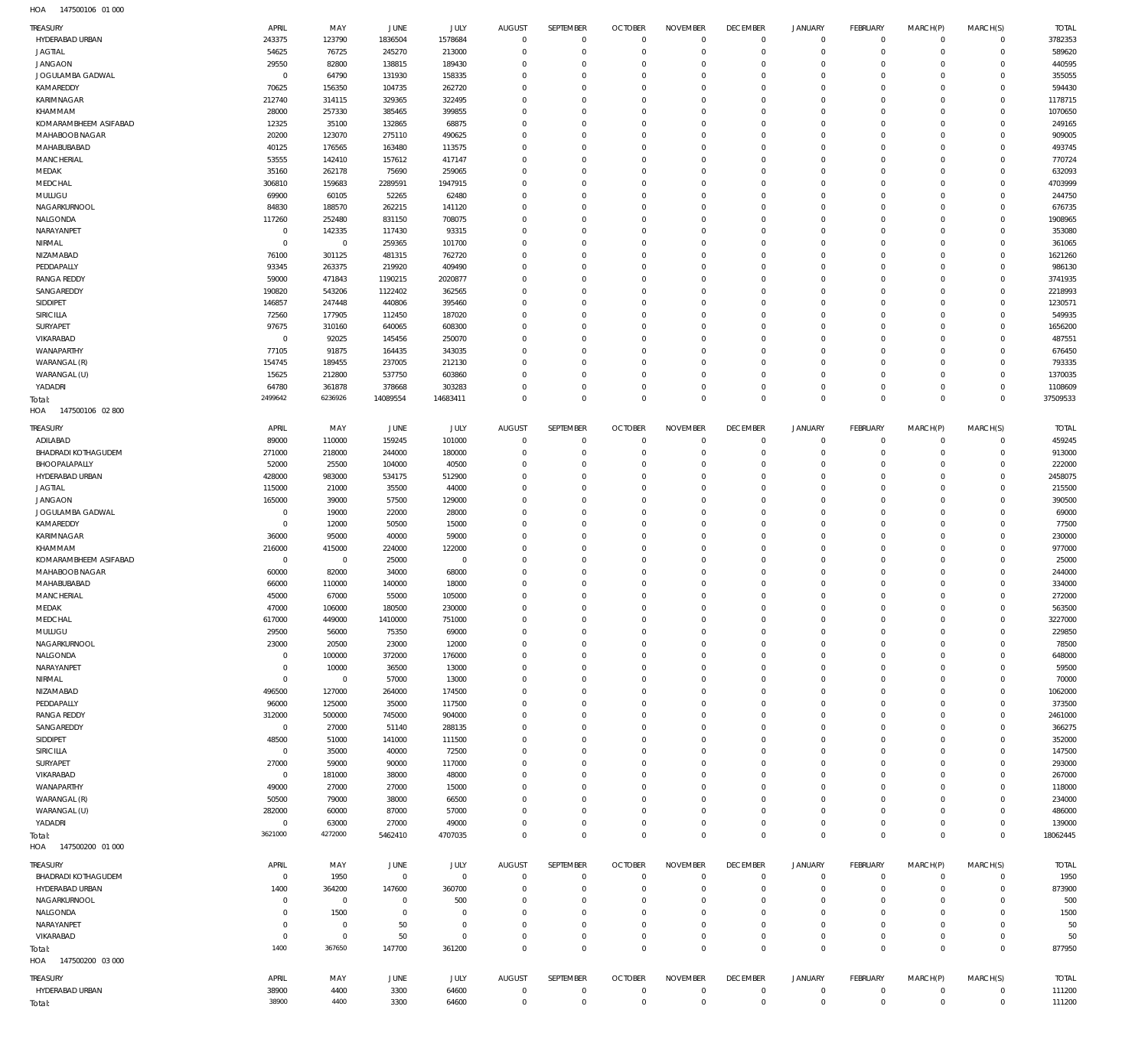| TREASURY                               | APRIL                            | MAY                      | <b>JUNE</b>              | JULY                        | <b>AUGUST</b>            | SEPTEMBER                   | <b>OCTOBER</b>                 | <b>NOVEMBER</b>               | <b>DECEMBER</b>             | JANUARY                      | <b>FEBRUARY</b>             | MARCH(P)                | MARCH(S)                    | <b>TOTAL</b>      |
|----------------------------------------|----------------------------------|--------------------------|--------------------------|-----------------------------|--------------------------|-----------------------------|--------------------------------|-------------------------------|-----------------------------|------------------------------|-----------------------------|-------------------------|-----------------------------|-------------------|
| HYDERABAD URBAN                        | 243375                           | 123790                   | 1836504                  | 1578684                     | $\mathbf 0$              | $\overline{0}$              | $\Omega$                       | $\Omega$                      | $\Omega$                    | $^{\circ}$                   | $\mathbf 0$                 | $\mathbf 0$             | $\mathbf 0$                 | 3782353           |
| <b>JAGTIAL</b>                         | 54625                            | 76725                    | 245270                   | 213000                      | $\Omega$                 | $\overline{0}$              | $\overline{0}$                 | $\Omega$                      | $\Omega$                    | $\Omega$                     | $\mathbf 0$                 | $\Omega$                | $\mathbf 0$                 | 589620            |
| <b>JANGAON</b><br>JOGULAMBA GADWAL     | 29550<br>$\overline{0}$          | 82800<br>64790           | 138815<br>131930         | 189430<br>158335            | $\Omega$<br>$\Omega$     | $\Omega$<br>$\Omega$        | $\Omega$<br>$\Omega$           | $\Omega$<br>$\Omega$          | $\Omega$<br>$\Omega$        | $\Omega$<br>$\Omega$         | $\mathbf 0$<br>$\mathbf{0}$ | $\Omega$<br>$\Omega$    | $\Omega$<br>$\Omega$        | 440595<br>355055  |
| KAMAREDDY                              | 70625                            | 156350                   | 104735                   | 262720                      | $\Omega$                 | $\Omega$                    | $\Omega$                       | $\Omega$                      | $\Omega$                    | $\Omega$                     | $\Omega$                    | -C                      | $\Omega$                    | 594430            |
| <b>KARIMNAGAR</b>                      | 212740                           | 314115                   | 329365                   | 322495                      | $\Omega$                 | $\Omega$                    | $\Omega$                       | $\Omega$                      | $\Omega$                    | $\Omega$                     | $\Omega$                    | -C                      | $\Omega$                    | 1178715           |
| KHAMMAM                                | 28000                            | 257330                   | 385465                   | 399855                      | $\Omega$                 | $\Omega$                    | $\Omega$                       | $\Omega$                      | $\Omega$                    | $\Omega$                     | $\Omega$                    | -C                      | $\Omega$                    | 1070650           |
| KOMARAMBHEEM ASIFABAD                  | 12325                            | 35100                    | 132865                   | 68875                       | $\Omega$                 | $\Omega$                    | $\Omega$                       | $\Omega$                      | $\Omega$                    | $\Omega$                     | $\Omega$                    | -C                      | $\Omega$                    | 249165            |
| MAHABOOB NAGAR                         | 20200                            | 123070                   | 275110                   | 490625                      | $\Omega$                 | $\Omega$                    | $\Omega$                       | $\Omega$                      | $\Omega$                    | $\Omega$                     | $\Omega$                    | -C                      | $\Omega$                    | 909005            |
| MAHABUBABAD<br><b>MANCHERIAL</b>       | 40125<br>53555                   | 176565<br>142410         | 163480<br>157612         | 113575<br>417147            | $\Omega$<br>$\Omega$     | $\Omega$<br>$\Omega$        | $\Omega$<br>$\Omega$           | $\Omega$<br>$\Omega$          | $\Omega$<br>$\Omega$        | $\Omega$<br>$\Omega$         | $\mathbf{0}$<br>$\Omega$    | -C<br>-C                | $\Omega$<br>$\Omega$        | 493745<br>770724  |
| MEDAK                                  | 35160                            | 262178                   | 75690                    | 259065                      | $\Omega$                 | $\Omega$                    | $\Omega$                       | $\Omega$                      | $\Omega$                    | $\Omega$                     | $\mathbf{0}$                | $\Omega$                | $\Omega$                    | 632093            |
| MEDCHAL                                | 306810                           | 159683                   | 2289591                  | 1947915                     | $\Omega$                 | $\Omega$                    | $\Omega$                       | $\Omega$                      | $\Omega$                    | $\Omega$                     | $\Omega$                    | -C                      | $\Omega$                    | 4703999           |
| MULUGU                                 | 69900                            | 60105                    | 52265                    | 62480                       | $\Omega$                 | $\Omega$                    | $\Omega$                       | $\Omega$                      | $\Omega$                    | $\Omega$                     | $\mathbf{0}$                | $\Omega$                | $\Omega$                    | 244750            |
| NAGARKURNOOL                           | 84830                            | 188570                   | 262215                   | 141120                      | $\Omega$                 | $\Omega$                    | $\Omega$                       | $\Omega$                      | $\Omega$                    | $\Omega$                     | $\Omega$                    | -C                      | $\Omega$                    | 676735            |
| NALGONDA                               | 117260                           | 252480                   | 831150                   | 708075                      | $\Omega$                 | $\Omega$                    | $\Omega$                       | $\Omega$                      | $\Omega$                    | $\Omega$                     | $\mathbf{0}$                | $\Omega$                | $\Omega$                    | 1908965           |
| NARAYANPET<br>NIRMAL                   | $\overline{0}$<br>$\overline{0}$ | 142335<br>$\overline{0}$ | 117430<br>259365         | 93315<br>101700             | $\Omega$<br>$\Omega$     | $\Omega$<br>$\Omega$        | $\Omega$<br>$\Omega$           | $\Omega$<br>$\Omega$          | $\Omega$<br>$\Omega$        | $\Omega$<br>$\Omega$         | $\Omega$<br>$\mathbf{0}$    | -C<br>$\Omega$          | $\Omega$<br>$\Omega$        | 353080<br>361065  |
| NIZAMABAD                              | 76100                            | 301125                   | 481315                   | 762720                      | $\Omega$                 | $\Omega$                    | $\Omega$                       | $\Omega$                      | $\Omega$                    | $\Omega$                     | $\Omega$                    | -C                      | $\Omega$                    | 1621260           |
| PEDDAPALLY                             | 93345                            | 263375                   | 219920                   | 409490                      | $\Omega$                 | $\Omega$                    | $\Omega$                       | $\Omega$                      | $\Omega$                    | $\Omega$                     | $\Omega$                    | $\Omega$                | $\Omega$                    | 986130            |
| <b>RANGA REDDY</b>                     | 59000                            | 471843                   | 1190215                  | 2020877                     | $\Omega$                 | $\Omega$                    | $\Omega$                       | $\Omega$                      | $\Omega$                    | $\Omega$                     | $\Omega$                    | -C                      | $\Omega$                    | 3741935           |
| SANGAREDDY                             | 190820                           | 543206                   | 1122402                  | 362565                      | $\Omega$                 | $\Omega$                    | $\Omega$                       | $\Omega$                      | $\Omega$                    | $\Omega$                     | $\Omega$                    | -C                      | $\Omega$                    | 2218993           |
| SIDDIPET                               | 146857                           | 247448                   | 440806                   | 395460                      | $\Omega$                 | $\Omega$                    | $\Omega$                       | $\Omega$                      | $\Omega$                    | $\Omega$                     | $\Omega$                    | -C                      | $\Omega$                    | 1230571           |
| SIRICILLA                              | 72560                            | 177905                   | 112450                   | 187020                      | $\Omega$                 | $\Omega$                    | $\Omega$                       | $\Omega$                      | $\Omega$                    | $\Omega$                     | $\Omega$                    | -C                      | $\Omega$                    | 549935            |
| SURYAPET<br>VIKARABAD                  | 97675<br>$\overline{0}$          | 310160                   | 640065<br>145456         | 608300                      | $\Omega$<br>$\Omega$     | $\Omega$<br>$\Omega$        | $\Omega$<br>$\Omega$           | $\Omega$<br>$\Omega$          | $\Omega$<br>$\Omega$        | $\Omega$<br>$\Omega$         | $\Omega$<br>$\Omega$        | -C<br>-C                | $\Omega$<br>$\Omega$        | 1656200<br>487551 |
| <b>WANAPARTHY</b>                      | 77105                            | 92025<br>91875           | 164435                   | 250070<br>343035            | $\Omega$                 | $\Omega$                    | $\Omega$                       | $\Omega$                      | $\Omega$                    | $\Omega$                     | $\Omega$                    | -C                      | $\Omega$                    | 676450            |
| WARANGAL (R)                           | 154745                           | 189455                   | 237005                   | 212130                      | $\Omega$                 | $\Omega$                    | $\Omega$                       | $\Omega$                      | $\Omega$                    | $\Omega$                     | $\mathbf{0}$                | $\Omega$                | $\Omega$                    | 793335            |
| WARANGAL (U)                           | 15625                            | 212800                   | 537750                   | 603860                      | $\Omega$                 | $\Omega$                    | $\Omega$                       | $\Omega$                      | $\Omega$                    | $\Omega$                     | $\Omega$                    | -C                      | $\Omega$                    | 1370035           |
| YADADRI                                | 64780                            | 361878                   | 378668                   | 303283                      | $\Omega$                 | $\Omega$                    | $^{\circ}$                     | $\Omega$                      | $\Omega$                    | $\Omega$                     | $\mathbf 0$                 | $\Omega$                | $\mathbf 0$                 | 1108609           |
| Total:                                 | 2499642                          | 6236926                  | 14089554                 | 14683411                    | $\overline{0}$           | $\overline{0}$              | $\Omega$                       | $\Omega$                      | $\Omega$                    | $\Omega$                     | $\mathbf 0$                 | $\Omega$                | $\Omega$                    | 37509533          |
| 147500106 02 800<br>HOA                |                                  |                          |                          |                             |                          |                             |                                |                               |                             |                              |                             |                         |                             |                   |
| TREASURY                               | APRIL                            | MAY                      | JUNE                     | JULY                        | AUGUST                   | SEPTEMBER                   | <b>OCTOBER</b>                 | <b>NOVEMBER</b>               | <b>DECEMBER</b>             | <b>JANUARY</b>               | <b>FEBRUARY</b>             | MARCH(P)                | MARCH(S)                    | <b>TOTAL</b>      |
| ADILABAD                               | 89000                            | 110000                   | 159245                   | 101000                      | $\Omega$<br>$\Omega$     | $\overline{0}$              | $\mathbf 0$                    | $\Omega$                      | $\Omega$<br>$\Omega$        | $^{\circ}$                   | 0                           | $\mathbf 0$             | $\mathbf 0$                 | 459245            |
| BHADRADI KOTHAGUDEM<br>BHOOPALAPALLY   | 271000<br>52000                  | 218000<br>25500          | 244000<br>104000         | 180000<br>40500             | $\Omega$                 | $\Omega$<br>$\Omega$        | $\mathbf{0}$<br>$\mathbf 0$    | $\Omega$<br>$\Omega$          | $\Omega$                    | $\Omega$<br>$\Omega$         | $\mathbf 0$<br>$\mathbf 0$  | $\mathbf 0$<br>$\Omega$ | $\mathbf 0$<br>$\mathbf 0$  | 913000<br>222000  |
| HYDERABAD URBAN                        | 428000                           | 983000                   | 534175                   | 512900                      | $\Omega$                 | $\Omega$                    | $\mathbf{0}$                   | $\Omega$                      | $\Omega$                    | $\Omega$                     | $\mathbf 0$                 | -C                      | $\mathbf 0$                 | 2458075           |
| <b>JAGTIAL</b>                         | 115000                           | 21000                    | 35500                    | 44000                       | $\Omega$                 | $\Omega$                    | $\mathbf 0$                    | $\Omega$                      | $\Omega$                    | $\Omega$                     | $\mathbf 0$                 | -C                      | $\Omega$                    | 215500            |
| <b>JANGAON</b>                         | 165000                           | 39000                    | 57500                    | 129000                      | $\Omega$                 | $\Omega$                    | $\mathbf{0}$                   | $\Omega$                      | $\Omega$                    | $\Omega$                     | $\mathbf 0$                 | -C                      | $\mathbf 0$                 | 390500            |
| JOGULAMBA GADWAL                       | $\overline{0}$                   | 19000                    | 22000                    | 28000                       | $\Omega$                 | $\Omega$                    | $\overline{0}$                 | $\Omega$                      | $\Omega$                    | $\Omega$                     | $\mathbf 0$                 | -C                      | $\Omega$                    | 69000             |
| KAMAREDDY                              | $\overline{0}$                   | 12000                    | 50500                    | 15000                       | $\Omega$                 | $\Omega$                    | $\mathbf 0$                    | $\Omega$                      | $\Omega$                    | $\Omega$                     | $\mathbf 0$                 | -C                      | $\mathbf 0$                 | 77500             |
|                                        |                                  |                          |                          |                             |                          |                             |                                |                               |                             |                              |                             |                         |                             |                   |
| KARIMNAGAR                             | 36000                            | 95000                    | 40000                    | 59000                       | $\Omega$                 | $\Omega$                    | $\mathbf 0$                    | $\Omega$                      | $\Omega$                    | $\Omega$                     | $\mathbf 0$                 | -C                      | $\mathbf 0$                 | 230000            |
| KHAMMAM                                | 216000                           | 415000                   | 224000                   | 122000                      | $\Omega$                 | $\Omega$                    | $\mathbf 0$                    | $\Omega$                      | $\Omega$                    | $\Omega$                     | $\mathbf 0$                 | $\Omega$                | $\mathbf 0$                 | 977000            |
| KOMARAMBHEEM ASIFABAD                  | $\overline{0}$                   | $\overline{0}$           | 25000                    | $\overline{0}$              | $\Omega$<br>$\Omega$     | $\Omega$<br>$\Omega$        | $\mathbf 0$<br>$\overline{0}$  | $\Omega$<br>$\Omega$          | $\Omega$<br>$\Omega$        | $\Omega$<br>$\Omega$         | $\mathbf 0$                 | $\Omega$<br>$\Omega$    | $\mathbf 0$                 | 25000             |
| MAHABOOB NAGAR<br>MAHABUBABAD          | 60000<br>66000                   | 82000<br>110000          | 34000<br>140000          | 68000<br>18000              | $\Omega$                 | $\Omega$                    | $\mathbf 0$                    | $\Omega$                      | $\Omega$                    | $\Omega$                     | $\mathbf 0$<br>$\mathbf 0$  | $\Omega$                | $\mathsf{O}$<br>$\mathbf 0$ | 244000<br>334000  |
| MANCHERIAL                             | 45000                            | 67000                    | 55000                    | 105000                      | $\Omega$                 | $\Omega$                    | $\Omega$                       | $\Omega$                      | $\Omega$                    | $\Omega$                     | $\Omega$                    | $\Omega$                | $\circ$                     | 272000            |
| MEDAK                                  | 47000                            | 106000                   | 180500                   | 230000                      | $\overline{0}$           | $\overline{0}$              | $\Omega$                       | $\Omega$                      | $\Omega$                    | $\Omega$                     | $\Omega$                    | $\Omega$                | $\circ$                     | 563500            |
| MEDCHAL                                | 617000                           | 449000                   | 1410000                  | 751000                      | $^{\circ}$               | $\overline{0}$              | $\overline{0}$                 | $\Omega$                      | $\Omega$                    | $\Omega$                     | $\mathbf 0$                 | $\Omega$                | $\circ$                     | 3227000           |
| MULUGU                                 | 29500                            | 56000                    | 75350                    | 69000                       | $\overline{0}$           | $\mathbf 0$                 | $\mathbf 0$                    | $\Omega$                      | $\Omega$                    | $\Omega$                     | $\mathbf 0$                 | $\Omega$                | $\mathbf 0$                 | 229850            |
| NAGARKURNOOL                           | 23000                            | 20500                    | 23000                    | 12000                       | $\Omega$<br>$\Omega$     | $\Omega$<br>$\Omega$        | $\mathbf 0$                    | $\Omega$<br>$\Omega$          | $\Omega$<br>$\Omega$        | $\Omega$<br>$\Omega$         | $\mathbf 0$                 | $\Omega$<br>$\Omega$    | $\mathbf 0$                 | 78500             |
| NALGONDA<br>NARAYANPET                 | $\overline{0}$<br>$\overline{0}$ | 100000<br>10000          | 372000                   | 176000                      | $\Omega$                 | $\Omega$                    | $\mathbf 0$<br>$\mathbf 0$     | $\Omega$                      | $\Omega$                    | $\Omega$                     | $\mathbf 0$<br>$\mathbf 0$  | $\Omega$                | $\mathbf 0$<br>0            | 648000<br>59500   |
| NIRMAL                                 | $\overline{0}$                   | $\overline{0}$           | 36500<br>57000           | 13000<br>13000              | $\Omega$                 | $\Omega$                    | $\mathbf 0$                    | $\Omega$                      | $\Omega$                    | $\Omega$                     | $\mathbf 0$                 | $\Omega$                | $\mathbf 0$                 | 70000             |
| NIZAMABAD                              | 496500                           | 127000                   | 264000                   | 174500                      | $\Omega$                 | $\Omega$                    | $\mathbf 0$                    | $\Omega$                      | $\Omega$                    | $\Omega$                     | $\mathbf 0$                 | $\Omega$                | $\mathbf 0$                 | 1062000           |
| PEDDAPALLY                             | 96000                            | 125000                   | 35000                    | 117500                      | $\Omega$                 | $\Omega$                    | $\mathbf 0$                    | $\Omega$                      | $\Omega$                    | $\Omega$                     | $\mathbf 0$                 | $\Omega$                | $\mathbf 0$                 | 373500            |
| <b>RANGA REDDY</b>                     | 312000                           | 500000                   | 745000                   | 904000                      | $\Omega$                 | $\Omega$                    | $\overline{0}$                 | $\Omega$                      | $\Omega$                    | $\Omega$                     | $\mathbf 0$                 | $\Omega$                | $\mathbf 0$                 | 2461000           |
| SANGAREDDY                             | $\overline{0}$                   | 27000                    | 51140                    | 288135                      | $\Omega$                 | $\Omega$                    | $\mathbf 0$                    | $\Omega$                      | $\Omega$                    | $\Omega$                     | $\mathbf 0$                 | $\Omega$                | $\mathbf 0$                 | 366275            |
| SIDDIPET                               | 48500                            | 51000                    | 141000                   | 111500                      | $\Omega$<br>$\Omega$     | $\Omega$<br>$\Omega$        | $\mathbf 0$                    | $\Omega$<br>$\Omega$          | $\Omega$<br>$\Omega$        | $\Omega$<br>$\Omega$         | $\mathbf 0$                 | $\Omega$<br>$\Omega$    | $\mathbf 0$                 | 352000            |
| SIRICILLA<br>SURYAPET                  | $\overline{0}$<br>27000          | 35000<br>59000           | 40000<br>90000           | 72500<br>117000             | $\Omega$                 | $\Omega$                    | $\mathbf{0}$<br>$\overline{0}$ | $\Omega$                      | $\Omega$                    | $\Omega$                     | $\mathbf 0$<br>$\mathbf 0$  | $\Omega$                | 0<br>$\mathbf 0$            | 147500<br>293000  |
| VIKARABAD                              | $\overline{0}$                   | 181000                   | 38000                    | 48000                       | $\Omega$                 | $\Omega$                    | $\mathbf{0}$                   | $\Omega$                      | $\Omega$                    | $\Omega$                     | $\mathbf 0$                 | $\Omega$                | 0                           | 267000            |
| WANAPARTHY                             | 49000                            | 27000                    | 27000                    | 15000                       | $\Omega$                 | $\Omega$                    | $\mathbf 0$                    | $\Omega$                      | $\Omega$                    | $\Omega$                     | $\mathbf 0$                 | $\Omega$                | $\mathbf 0$                 | 118000            |
| WARANGAL (R)                           | 50500                            | 79000                    | 38000                    | 66500                       | $\Omega$                 | $\mathbf 0$                 | $^{\circ}$                     | $\Omega$                      | $\Omega$                    | $\Omega$                     | $\mathbf 0$                 | -0                      | $\mathbf 0$                 | 234000            |
| WARANGAL (U)                           | 282000                           | 60000                    | 87000                    | 57000                       | $\Omega$                 | $\Omega$                    | $^{\circ}$                     | $\Omega$                      | $\Omega$                    | $\Omega$                     | $\mathbf 0$                 | $\Omega$                | $\mathbf 0$                 | 486000            |
| YADADRI                                | $\overline{0}$                   | 63000                    | 27000                    | 49000                       | $\Omega$                 | $\mathbf 0$                 | $\mathbf 0$                    | $\Omega$                      | $\Omega$                    | $^{\circ}$                   | $\mathbf 0$                 | 0                       | $\circ$                     | 139000            |
| Total:<br>HOA  147500200  01 000       | 3621000                          | 4272000                  | 5462410                  | 4707035                     | $\Omega$                 | $\overline{0}$              | $\mathbf 0$                    | $\Omega$                      | $\Omega$                    | $\Omega$                     | $\mathbf 0$                 | $\Omega$                | $\mathbf 0$                 | 18062445          |
|                                        |                                  |                          |                          |                             |                          |                             |                                |                               |                             |                              |                             |                         |                             |                   |
| <b>TREASURY</b><br>BHADRADI KOTHAGUDEM | APRIL                            | MAY                      | JUNE                     | <b>JULY</b><br>$\mathbf{0}$ | AUGUST<br>$\overline{0}$ | SEPTEMBER<br>$\overline{0}$ | <b>OCTOBER</b><br>$\mathbf{0}$ | <b>NOVEMBER</b><br>$\Omega$   | <b>DECEMBER</b><br>$\Omega$ | <b>JANUARY</b><br>$\Omega$   | FEBRUARY<br>$\mathbf 0$     | MARCH(P)<br>$\mathbf 0$ | MARCH(S)<br>0               | <b>TOTAL</b>      |
| HYDERABAD URBAN                        | $\overline{0}$<br>1400           | 1950<br>364200           | $\overline{0}$<br>147600 | 360700                      | $\Omega$                 | $\overline{0}$              | $^{\circ}$                     | $\Omega$                      | $\Omega$                    | $\Omega$                     | $\mathbf 0$                 | $\Omega$                | $\mathbf 0$                 | 1950<br>873900    |
| NAGARKURNOOL                           | $^{\circ}$                       | $\overline{0}$           | $\overline{0}$           | 500                         | $\Omega$                 | $\Omega$                    | $^{\circ}$                     | $\Omega$                      | $\Omega$                    | $\Omega$                     | $\mathbf 0$                 | $\Omega$                | $\Omega$                    | 500               |
| NALGONDA                               | $\mathbf 0$                      | 1500                     | $\overline{0}$           | $\mathbf 0$                 | $\Omega$                 | $\Omega$                    | $^{\circ}$                     | $\Omega$                      | $\Omega$                    | $\Omega$                     | $\mathbf 0$                 | $\Omega$                | $\Omega$                    | 1500              |
| NARAYANPET                             | $^{\circ}$                       | $^{\circ}$               | 50                       | $\Omega$                    | $\Omega$                 | $\Omega$                    | $^{\circ}$                     | $\Omega$                      | $\Omega$                    | $\Omega$                     | $\mathbf 0$                 | $\Omega$                | $\Omega$                    | 50                |
| VIKARABAD                              | $\mathbf 0$                      | $\mathbf 0$              | 50                       | $\Omega$                    | $\Omega$                 | $\mathbf 0$                 | $^{\circ}$                     | $\Omega$                      | $\Omega$                    | $\Omega$                     | $\mathbf 0$                 | $\Omega$                | 0                           | 50                |
| Total:                                 | 1400                             | 367650                   | 147700                   | 361200                      | $\overline{0}$           | $\overline{0}$              | $\Omega$                       | $\Omega$                      | $\Omega$                    | $\Omega$                     | $\Omega$                    | $\Omega$                | $\Omega$                    | 877950            |
| HOA 147500200 03 000                   |                                  |                          |                          |                             |                          |                             |                                |                               |                             |                              |                             |                         |                             |                   |
| <b>TREASURY</b>                        | APRIL                            | MAY                      | JUNE                     | JULY                        | AUGUST<br>$\overline{0}$ | SEPTEMBER                   | <b>OCTOBER</b><br>$\mathbf{0}$ | <b>NOVEMBER</b><br>$^{\circ}$ | <b>DECEMBER</b><br>$\Omega$ | <b>JANUARY</b><br>$^{\circ}$ | <b>FEBRUARY</b>             | MARCH(P)<br>$\mathbf 0$ | MARCH(S)                    | <b>TOTAL</b>      |
| HYDERABAD URBAN<br>Total:              | 38900<br>38900                   | 4400<br>4400             | 3300<br>3300             | 64600<br>64600              | $\mathbf 0$              | $\mathbf 0$<br>$\mathbf 0$  | $\mathbb O$                    | $\overline{0}$                | $\mathbf 0$                 | $\Omega$                     | 0<br>$\mathbf 0$            | $\mathbb O$             | 0<br>$\mathbf 0$            | 111200<br>111200  |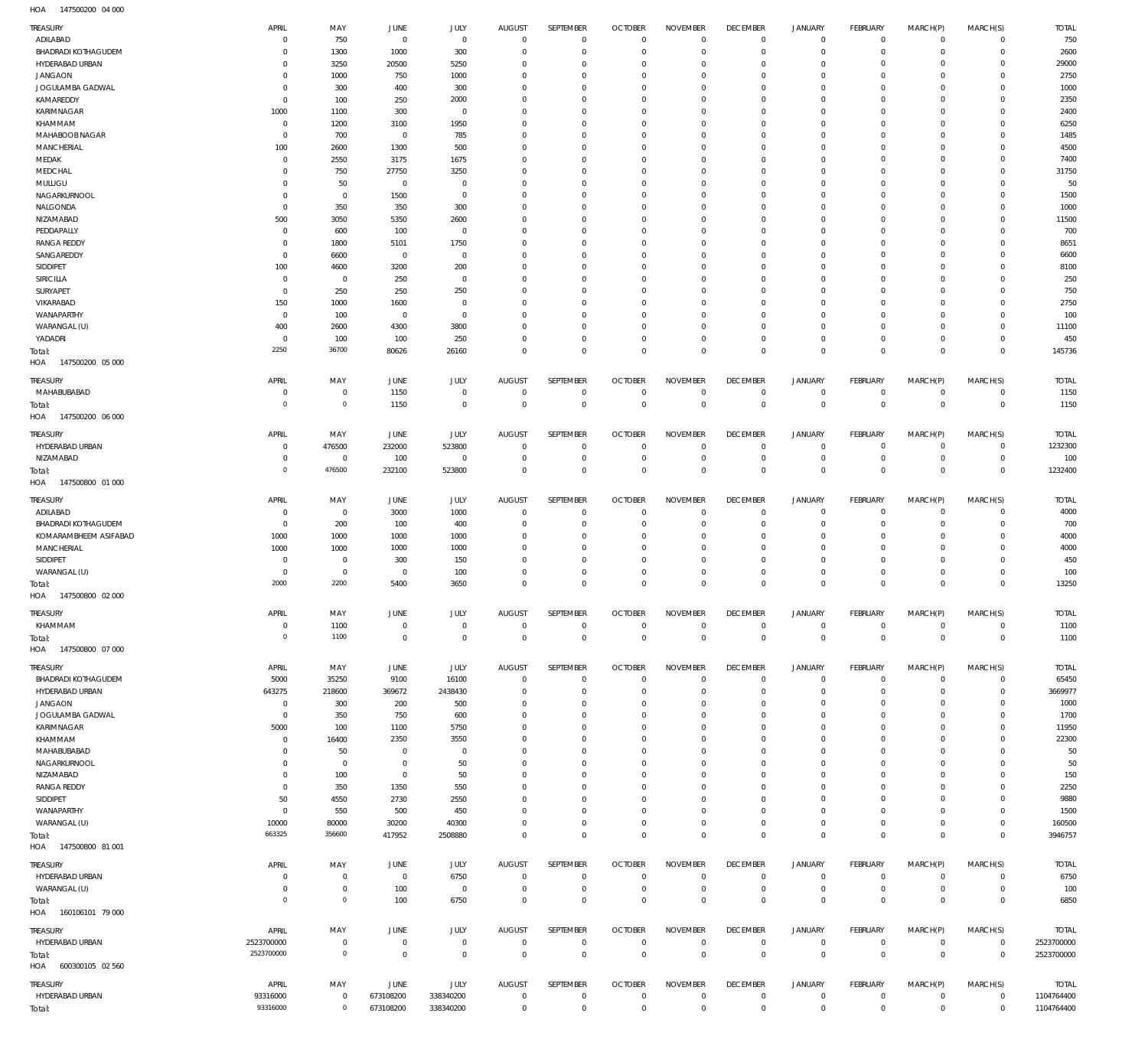147500200 04 000 HOA

| TREASURY                               | APRIL                            | MAY                        | <b>JUNE</b>    | JULY                       | <b>AUGUST</b>                    | SEPTEMBER                  | <b>OCTOBER</b>                   | <b>NOVEMBER</b>                | <b>DECEMBER</b>                  | <b>JANUARY</b>             | FEBRUARY                         | MARCH(P)                   | MARCH(S)                      | <b>TOTAL</b>   |
|----------------------------------------|----------------------------------|----------------------------|----------------|----------------------------|----------------------------------|----------------------------|----------------------------------|--------------------------------|----------------------------------|----------------------------|----------------------------------|----------------------------|-------------------------------|----------------|
| ADILABAD                               | $\overline{0}$                   | 750                        | $\overline{0}$ | $\mathbf 0$                | $\overline{0}$                   | $\mathbf 0$                | $\overline{0}$                   | $\Omega$                       | $\overline{0}$                   | $\overline{0}$             | $\overline{0}$                   | $\mathbf 0$                | $\mathbf 0$                   | 750            |
| <b>BHADRADI KOTHAGUDEM</b>             | $\mathbf 0$                      | 1300                       | 1000           | 300                        | $\mathbf 0$                      | $\mathbf 0$                | $\mathbf 0$                      | $\Omega$                       | $\mathbf 0$                      | $\mathbf 0$                | $\overline{0}$                   | $\Omega$                   | $\mathbf 0$                   | 2600           |
| HYDERABAD URBAN                        | $\Omega$                         | 3250                       | 20500          | 5250                       | $\mathbf 0$                      | $\mathbf 0$                | $\mathbf 0$                      | $\Omega$                       | $\mathbf 0$                      | $\mathbf 0$                | $\mathbf 0$                      | $\Omega$                   | $\mathbf 0$                   | 29000          |
| <b>JANGAON</b>                         | $\mathbf 0$<br>$\mathbf 0$       | 1000                       | 750            | 1000                       | $\Omega$<br>$\Omega$             | $\mathbf 0$<br>$\mathbf 0$ | $\mathbf 0$                      | $\Omega$<br>$\Omega$           | $\mathbf 0$                      | $\mathbf 0$<br>$\mathbf 0$ | $\mathbf 0$                      | $\Omega$<br>$\Omega$       | $\Omega$                      | 2750           |
| JOGULAMBA GADWAL<br>KAMAREDDY          | $\Omega$                         | 300<br>100                 | 400<br>250     | 300<br>2000                | $\Omega$                         | $\mathbf 0$                | $\mathbf 0$<br>$\Omega$          | $\Omega$                       | $\mathbf 0$<br>$\mathbf 0$       | $\mathbf 0$                | $\mathbf 0$<br>$\Omega$          | $\Omega$                   | $\mathbf 0$<br>$\Omega$       | 1000<br>2350   |
| KARIMNAGAR                             | 1000                             | 1100                       | 300            | $\mathbf 0$                | $\Omega$                         | $\mathbf 0$                | $\mathbf 0$                      | $\Omega$                       | $\mathbf 0$                      | $\mathbf 0$                | $\mathbf 0$                      | $\Omega$                   | $\mathbf 0$                   | 2400           |
| KHAMMAM                                | $\overline{0}$                   | 1200                       | 3100           | 1950                       | $\Omega$                         | $\mathbf 0$                | $\Omega$                         | $\Omega$                       | $\mathbf 0$                      | $\mathbf 0$                | $\Omega$                         | $\Omega$                   | $\mathbf 0$                   | 6250           |
| MAHABOOB NAGAR                         | $\overline{0}$                   | 700                        | $\overline{0}$ | 785                        | $\Omega$                         | $\mathbf 0$                | $\mathbf 0$                      | $\Omega$                       | $\mathbf 0$                      | $\mathbf 0$                | $\mathbf 0$                      | $\Omega$                   | $\mathbf 0$                   | 1485           |
| MANCHERIAL                             | 100                              | 2600                       | 1300           | 500                        | $\Omega$                         | $\mathbf 0$                | $\mathbf 0$                      | $\Omega$                       | $\mathbf 0$                      | $\mathbf 0$                | $\Omega$                         | $\Omega$                   | $\mathbf 0$                   | 4500           |
| MEDAK                                  | $\mathbf 0$                      | 2550                       | 3175           | 1675                       | $\Omega$                         | $\mathbf 0$                | $\Omega$                         | $\Omega$                       | $\mathbf 0$                      | $\mathbf 0$                | $\mathbf 0$                      | $\Omega$                   | $\mathbf 0$                   | 7400           |
| MEDCHAL                                | $\mathbf 0$                      | 750                        | 27750          | 3250                       | $\Omega$                         | $\mathbf 0$                | $\mathbf 0$                      | $\Omega$                       | $\mathbf 0$                      | $\mathbf 0$                | $\Omega$                         | $\Omega$                   | $\Omega$                      | 31750          |
| MULUGU                                 | $\mathbf 0$                      | 50                         | $\overline{0}$ | $\mathbf 0$                | $\mathbf 0$                      | $\mathbf 0$                | $\mathbf 0$                      | $\Omega$                       | $\mathbf 0$                      | $\mathbf 0$                | $\mathbf 0$                      | $\Omega$                   | $\mathbf 0$                   | 50             |
| NAGARKURNOOL                           | $\mathbf 0$                      | $\overline{0}$             | 1500           | $\mathbf 0$                | $\Omega$                         | $\mathbf 0$                | $\Omega$                         | $\Omega$                       | $\mathbf 0$                      | $\mathbf 0$                | $\Omega$                         | $\Omega$                   | $\Omega$                      | 1500           |
| NALGONDA                               | $\overline{0}$                   | 350                        | 350            | 300                        | $\Omega$                         | $\mathbf 0$                | $\mathbf 0$                      | $\Omega$                       | $\mathbf 0$                      | $\mathbf 0$                | $\mathbf 0$                      | $\Omega$                   | $\mathbf 0$                   | 1000           |
| NIZAMABAD<br>PEDDAPALLY                | 500<br>$\overline{0}$            | 3050                       | 5350           | 2600<br>$\mathbf 0$        | $\Omega$<br>$\Omega$             | $\mathbf 0$<br>$\mathbf 0$ | $\Omega$<br>$\mathbf 0$          | $\Omega$<br>$\Omega$           | $\mathbf 0$<br>$\mathbf 0$       | $\mathbf 0$<br>$\mathbf 0$ | $\Omega$<br>$\mathbf 0$          | $\Omega$<br>$\Omega$       | $\Omega$<br>$\mathbf 0$       | 11500          |
| <b>RANGA REDDY</b>                     | $\mathbf 0$                      | 600<br>1800                | 100<br>5101    | 1750                       | $\mathbf 0$                      | $\mathbf 0$                | $\mathbf 0$                      | $\Omega$                       | $\mathbf 0$                      | $\mathbf 0$                | $\Omega$                         | $\Omega$                   | $\mathbf 0$                   | 700<br>8651    |
| SANGAREDDY                             | $\mathbf 0$                      | 6600                       | $\overline{0}$ | $\mathbf 0$                | $\Omega$                         | $\mathbf 0$                | $\Omega$                         | $\Omega$                       | $\mathbf 0$                      | $\mathbf 0$                | $\mathbf 0$                      | $\Omega$                   | $\mathbf 0$                   | 6600           |
| SIDDIPET                               | 100                              | 4600                       | 3200           | 200                        | $\Omega$                         | $\mathbf 0$                | $\Omega$                         | $\Omega$                       | $\mathbf 0$                      | $\mathbf 0$                | $\Omega$                         | $\Omega$                   | $\Omega$                      | 8100           |
| SIRICILLA                              | $\overline{0}$                   | $\overline{0}$             | 250            | $\mathbf 0$                | $\Omega$                         | $\mathbf 0$                | $\mathbf 0$                      | $\Omega$                       | $\mathbf 0$                      | $\mathbf 0$                | $\mathbf 0$                      | $\Omega$                   | $\mathbf 0$                   | 250            |
| SURYAPET                               | $\mathbf 0$                      | 250                        | 250            | 250                        | $\Omega$                         | $\mathbf 0$                | $\Omega$                         | $\Omega$                       | $\mathbf 0$                      | $\mathbf 0$                | $\Omega$                         | $\Omega$                   | $\Omega$                      | 750            |
| VIKARABAD                              | 150                              | 1000                       | 1600           | $\Omega$                   | $\Omega$                         | $\mathbf 0$                | $\mathbf 0$                      | $\Omega$                       | $\mathbf 0$                      | $\mathbf 0$                | $\mathbf 0$                      | $\Omega$                   | $\Omega$                      | 2750           |
| WANAPARTHY                             | $\overline{0}$                   | 100                        | $\overline{0}$ | $\mathbf 0$                | $\Omega$                         | $\mathbf 0$                | $\Omega$                         | $\Omega$                       | $\mathbf 0$                      | $\mathbf 0$                | $\Omega$                         | $\Omega$                   | $\Omega$                      | 100            |
| WARANGAL (U)                           | 400                              | 2600                       | 4300           | 3800                       | $\mathbf 0$                      | $\mathbf 0$                | $\mathbf 0$                      | $\Omega$                       | $\mathbf 0$                      | $\mathbf 0$                | $\mathbf 0$                      | $\Omega$                   | $\mathbf 0$                   | 11100          |
| YADADRI                                | $\overline{0}$                   | 100                        | 100            | 250                        | $\mathbf 0$                      | $\mathbf 0$                | $\mathbf 0$                      | $\mathbf 0$                    | $\mathbf 0$                      | $\mathbf 0$                | $^{\circ}$                       | $\mathbf 0$                | $\mathbf 0$                   | 450            |
| Total:<br>HOA 147500200 05 000         | 2250                             | 36700                      | 80626          | 26160                      | $\Omega$                         | $\mathbf 0$                | $\mathbf 0$                      | $\Omega$                       | $\mathbf 0$                      | $\mathbf 0$                | $\mathbf 0$                      | $\Omega$                   | $\mathbf 0$                   | 145736         |
|                                        |                                  |                            |                |                            |                                  |                            |                                  |                                |                                  |                            |                                  |                            |                               |                |
| TREASURY                               | APRIL                            | MAY                        | <b>JUNE</b>    | JULY                       | <b>AUGUST</b>                    | SEPTEMBER                  | <b>OCTOBER</b>                   | <b>NOVEMBER</b><br>$\mathbf 0$ | <b>DECEMBER</b>                  | <b>JANUARY</b>             | FEBRUARY                         | MARCH(P)                   | MARCH(S)                      | <b>TOTAL</b>   |
| MAHABUBABAD                            | $\overline{0}$<br>$\overline{0}$ | $\mathbf 0$<br>$\mathbf 0$ | 1150<br>1150   | $\mathbf 0$<br>$\mathbf 0$ | $\overline{0}$<br>$\overline{0}$ | $\mathbf 0$<br>$\mathbf 0$ | $\overline{0}$<br>$\overline{0}$ | $\overline{0}$                 | $\overline{0}$<br>$\overline{0}$ | $\overline{0}$<br>$\bf 0$  | $\overline{0}$<br>$\overline{0}$ | $\mathbf 0$<br>$\mathbf 0$ | $\overline{0}$<br>$\mathbf 0$ | 1150<br>1150   |
| Total:<br>HOA<br>147500200 06 000      |                                  |                            |                |                            |                                  |                            |                                  |                                |                                  |                            |                                  |                            |                               |                |
|                                        |                                  |                            |                |                            |                                  |                            |                                  |                                |                                  |                            |                                  |                            |                               |                |
| TREASURY                               | APRIL                            | MAY                        | JUNE           | JULY                       | <b>AUGUST</b>                    | SEPTEMBER                  | <b>OCTOBER</b>                   | <b>NOVEMBER</b>                | <b>DECEMBER</b>                  | <b>JANUARY</b>             | FEBRUARY                         | MARCH(P)                   | MARCH(S)                      | <b>TOTAL</b>   |
| HYDERABAD URBAN                        | $\overline{0}$                   | 476500                     | 232000         | 523800                     | $\mathbf 0$                      | $\mathbf 0$                | $\mathbf 0$                      | $\Omega$                       | $\mathbf 0$                      | 0                          | $\mathbf 0$                      | $\mathbf 0$                | $\mathbf 0$                   | 1232300        |
| NIZAMABAD                              | $\overline{0}$<br>$\mathbf 0$    | $\overline{0}$<br>476500   | 100<br>232100  | $\mathbf 0$<br>523800      | $\mathbf 0$<br>$\mathbf 0$       | $\mathbf 0$<br>$\mathbf 0$ | $\overline{0}$<br>$\overline{0}$ | $\mathbf 0$<br>$\mathbf 0$     | $\overline{0}$<br>$\overline{0}$ | $\mathbf 0$<br>$\mathbf 0$ | $\overline{0}$<br>$\overline{0}$ | $\mathbf 0$<br>$\mathbf 0$ | $\mathbf 0$<br>$\mathbf 0$    | 100<br>1232400 |
| Total:<br>HOA<br>147500800 01 000      |                                  |                            |                |                            |                                  |                            |                                  |                                |                                  |                            |                                  |                            |                               |                |
|                                        |                                  |                            |                |                            |                                  |                            |                                  |                                |                                  |                            |                                  |                            |                               |                |
| TREASURY                               | APRIL                            | MAY                        | <b>JUNE</b>    | JULY                       | <b>AUGUST</b>                    | SEPTEMBER                  | <b>OCTOBER</b>                   | <b>NOVEMBER</b>                | <b>DECEMBER</b>                  | <b>JANUARY</b>             | FEBRUARY                         | MARCH(P)                   | MARCH(S)                      | <b>TOTAL</b>   |
| ADILABAD<br><b>BHADRADI KOTHAGUDEM</b> | $\overline{0}$<br>$\overline{0}$ | $\overline{0}$<br>200      | 3000<br>100    | 1000<br>400                | $\mathbf 0$<br>$\overline{0}$    | $\mathbf 0$<br>$\mathbf 0$ | $\overline{0}$<br>$\overline{0}$ | $\mathbf 0$<br>$\mathbf 0$     | $\mathbf 0$<br>$\overline{0}$    | 0<br>$\mathbf 0$           | $\overline{0}$<br>$\overline{0}$ | $\mathbf 0$<br>$\mathbf 0$ | $\overline{0}$<br>$\mathbf 0$ | 4000<br>700    |
| KOMARAMBHEEM ASIFABAD                  | 1000                             | 1000                       | 1000           | 1000                       | $\mathbf 0$                      | $\mathbf 0$                | $\mathbf 0$                      | $\mathbf 0$                    | $\mathbf 0$                      | $\mathbf 0$                | $\mathbf 0$                      | $\mathbf 0$                | $\mathbf 0$                   | 4000           |
| MANCHERIAL                             | 1000                             | 1000                       | 1000           | 1000                       | $\mathbf 0$                      | $\mathbf 0$                | $\mathbf 0$                      | $\mathbf 0$                    | $\overline{0}$                   | $\mathbf 0$                | $\mathbf 0$                      | $\mathbf 0$                | $\mathbf 0$                   | 4000           |
| SIDDIPET                               | $\overline{0}$                   | $\overline{0}$             | 300            | 150                        | $\mathbf 0$                      | $\mathbf 0$                | $\mathbf 0$                      | $\mathbf 0$                    | $\mathbf 0$                      | $\mathbf 0$                | $\mathbf 0$                      | $\mathbf 0$                | $\mathbf 0$                   | 450            |
| WARANGAL (U)                           | $\overline{0}$                   | $\overline{0}$             | $\overline{0}$ | 100                        | $\mathbf 0$                      | $\mathbf 0$                | $\mathbf 0$                      | $\mathbf 0$                    | $\mathbf 0$                      | $\mathbf 0$                | $\mathbf 0$                      | $\mathbf 0$                | $\mathbf 0$                   | 100            |
| Total:                                 | 2000                             | 2200                       | 5400           | 3650                       | $\Omega$                         | $\mathbf 0$                | $\overline{0}$                   | $\mathbf 0$                    | $\overline{0}$                   | $\mathbf 0$                | $\overline{0}$                   | $\Omega$                   | $\mathbf 0$                   | 13250          |
| HOA  147500800  02  000                |                                  |                            |                |                            |                                  |                            |                                  |                                |                                  |                            |                                  |                            |                               |                |
| TREASURY                               | APRIL                            | MAY                        | JUNE           | JULY                       | <b>AUGUST</b>                    | SEPTEMBER                  |                                  | OCTOBER NOVEMBER               | <b>DECEMBER</b>                  | JANUARY                    | FEBRUARY                         | MARCH(P)                   | MARCH(S)                      | <b>TOTAL</b>   |
| KHAMMAM                                | $\overline{0}$                   | 1100                       | $\overline{0}$ | $\mathbf 0$                | $\overline{0}$                   | $\mathbf 0$                | $\mathbf 0$                      | $\mathbf 0$                    | $\overline{0}$                   | $\mathbf 0$                | $\overline{0}$                   | $\mathbf 0$                | $^{\circ}$                    | 1100           |
| Total:                                 | $\mathbf 0$                      | 1100                       | $\overline{0}$ | $\mathbf 0$                | $\mathbf 0$                      | $\mathbb O$                | $\overline{0}$                   | $\mathbf 0$                    | $\overline{0}$                   | $\bf 0$                    | $\overline{0}$                   | $\mathbf 0$                | $\mathbb O$                   | 1100           |
| HOA  147500800  07 000                 |                                  |                            |                |                            |                                  |                            |                                  |                                |                                  |                            |                                  |                            |                               |                |
| TREASURY                               | APRIL                            | MAY                        | JUNE           | JULY                       | <b>AUGUST</b>                    | SEPTEMBER                  | <b>OCTOBER</b>                   | <b>NOVEMBER</b>                | <b>DECEMBER</b>                  | <b>JANUARY</b>             | FEBRUARY                         | MARCH(P)                   | MARCH(S)                      | <b>TOTAL</b>   |
| <b>BHADRADI KOTHAGUDEM</b>             | 5000                             | 35250                      | 9100           | 16100                      | $\overline{0}$                   | $\mathbf 0$                | $\overline{0}$                   | $\mathbf 0$                    | $\overline{0}$                   | $\overline{0}$             | $\overline{0}$                   | $\mathbf 0$                | $\overline{0}$                | 65450          |
| HYDERABAD URBAN                        | 643275                           | 218600                     | 369672         | 2438430                    | $\overline{0}$                   | $\mathbf 0$                | $\overline{0}$                   | $\mathbf 0$                    | $\overline{0}$                   | $\mathbf 0$                | $\overline{0}$                   | $\mathbf 0$                | $\overline{0}$                | 3669977        |
| JANGAON                                | $\overline{0}$                   | 300                        | 200            | 500                        | $\mathbf 0$                      | $\mathbf 0$                | $\mathbf 0$                      | $\mathbf 0$                    | $\mathbf 0$                      | $\mathbf 0$                | $\mathbf 0$                      | $\mathbf 0$                | $\mathbf 0$                   | 1000           |
| JOGULAMBA GADWAL                       | $\overline{0}$                   | 350                        | 750            | 600                        | $\mathbf 0$                      | $\mathbf 0$                | $\mathbf 0$                      | $\mathbf 0$                    | $\overline{0}$                   | $\mathbf 0$                | $\mathbf 0$                      | $\mathbf 0$                | $\mathbf 0$                   | 1700           |
| KARIMNAGAR                             | 5000                             | 100                        | 1100           | 5750                       | $\mathbf 0$                      | $\mathbf 0$                | $\mathbf 0$                      | $\mathbf 0$                    | $\mathbf 0$                      | $\mathbf 0$                | $\mathbf 0$                      | $\mathbf 0$                | $\mathbf 0$                   | 11950          |
| KHAMMAM                                | $\overline{0}$                   | 16400                      | 2350           | 3550                       | $\mathbf 0$                      | $\mathbf 0$                | $\mathbf 0$                      | $\mathbf 0$                    | $\mathbf 0$                      | $\mathbf 0$                | $\mathbf 0$                      | $\mathbf 0$                | $\mathbf 0$                   | 22300          |
| MAHABUBABAD                            | $\mathbf 0$                      | 50                         | $\overline{0}$ | $\mathbf 0$                | $\mathbf 0$                      | $\mathbf 0$                | $\mathbf 0$                      | $\mathbf 0$                    | $\mathbf 0$                      | $\mathbf 0$                | $\mathbf 0$                      | $\mathbf 0$                | $\mathbf 0$                   | 50             |
| NAGARKURNOOL                           | $\overline{0}$                   | $\overline{0}$             | $\overline{0}$ | 50                         | $\mathbf 0$                      | $\mathbf 0$                | $\mathbf 0$                      | $\mathbf 0$                    | $\mathbf 0$                      | $\mathbf 0$                | $\mathbf 0$                      | $\Omega$                   | $\mathbf 0$                   | 50             |
| NIZAMABAD                              | $\overline{0}$                   | 100                        | $\overline{0}$ | 50                         | $\mathbf 0$                      | $\mathbf 0$                | $\mathbf 0$                      | $\mathbf 0$                    | $\mathbf 0$                      | $\mathbf 0$                | $\mathbf 0$                      | $\mathbf 0$                | $\mathbf 0$                   | 150            |
| <b>RANGA REDDY</b>                     | $\overline{0}$                   | 350                        | 1350           | 550                        | $\mathbf 0$                      | $\mathbf 0$                | $\mathbf 0$                      | $\mathbf 0$                    | $\mathbf 0$                      | $\mathbf 0$                | $\mathbf 0$                      | $\mathbf 0$                | $\mathbf 0$                   | 2250           |
| SIDDIPET                               | 50<br>$\overline{0}$             | 4550<br>550                | 2730<br>500    | 2550<br>450                | $\mathbf 0$<br>$\mathbf 0$       | $\mathbf 0$<br>$\mathbf 0$ | $\mathbf 0$<br>$\mathbf 0$       | $\mathbf 0$<br>$\mathbf 0$     | $\mathbf 0$<br>$\overline{0}$    | $\mathbf 0$<br>$\mathbf 0$ | $\mathbf 0$<br>$\mathbf 0$       | $\Omega$<br>$\mathbf 0$    | $\mathbf 0$<br>$\mathbf 0$    | 9880           |
| WANAPARTHY<br>WARANGAL (U)             | 10000                            | 80000                      | 30200          | 40300                      | $\mathbf 0$                      | $\mathbf 0$                | $\mathbf 0$                      | $\mathbf 0$                    | $\overline{0}$                   | $\mathbf 0$                | $\overline{0}$                   | $\mathbf 0$                | $\overline{0}$                | 1500<br>160500 |
| Total:                                 | 663325                           | 356600                     | 417952         | 2508880                    | $\overline{0}$                   | $\mathbf 0$                | $\overline{0}$                   | $\mathbf 0$                    | $\,0\,$                          | $\mathbf 0$                | $\overline{0}$                   | $\mathbf 0$                | $\mathbf 0$                   | 3946757        |
| HOA  147500800 81 001                  |                                  |                            |                |                            |                                  |                            |                                  |                                |                                  |                            |                                  |                            |                               |                |
| TREASURY                               | APRIL                            | MAY                        | <b>JUNE</b>    | JULY                       | AUGUST                           | SEPTEMBER                  | <b>OCTOBER</b>                   | <b>NOVEMBER</b>                | <b>DECEMBER</b>                  | <b>JANUARY</b>             | FEBRUARY                         | MARCH(P)                   | MARCH(S)                      | <b>TOTAL</b>   |
| HYDERABAD URBAN                        | $\overline{0}$                   | $\mathbf 0$                | $\overline{0}$ | 6750                       | $\mathbf 0$                      | $\mathbf 0$                | $\overline{0}$                   | $\mathbf 0$                    | $\overline{0}$                   | $\overline{0}$             | $\overline{0}$                   | $\mathbf 0$                | $\mathbf 0$                   | 6750           |
| WARANGAL (U)                           | $\overline{0}$                   | $\mathbf 0$                | 100            | $\mathbf 0$                | $\mathbf 0$                      | $\mathbf 0$                | $\overline{0}$                   | $\mathbf 0$                    | $\overline{0}$                   | $\mathbf 0$                | $\overline{0}$                   | $\mathbf 0$                | $\mathbf 0$                   | 100            |
| Total:                                 | $\mathbf 0$                      | $\mathbf 0$                | 100            | 6750                       | $\overline{0}$                   | $\mathbf 0$                | $\overline{0}$                   | $\overline{0}$                 | $\mathbf 0$                      | $\mathbf 0$                | $\overline{0}$                   | $\mathbf 0$                | $\mathbb O$                   | 6850           |
| HOA<br>160106101 79 000                |                                  |                            |                |                            |                                  |                            |                                  |                                |                                  |                            |                                  |                            |                               |                |
| TREASURY                               | APRIL                            | MAY                        | JUNE           | JULY                       | AUGUST                           | SEPTEMBER                  | <b>OCTOBER</b>                   | <b>NOVEMBER</b>                | <b>DECEMBER</b>                  | <b>JANUARY</b>             | FEBRUARY                         | MARCH(P)                   | MARCH(S)                      | <b>TOTAL</b>   |
| HYDERABAD URBAN                        | 2523700000                       | $\mathbf 0$                | $\overline{0}$ | $\mathbf 0$                | $\overline{0}$                   | $\mathbf 0$                | $\overline{0}$                   | $\mathbf 0$                    | $\overline{0}$                   | $\overline{0}$             | $\overline{0}$                   | $\mathbf 0$                | $\overline{0}$                | 2523700000     |
| Total:                                 | 2523700000                       | $\mathbf 0$                | $\overline{0}$ | $\mathbf 0$                | $\overline{0}$                   | $\mathbb O$                | $\overline{0}$                   | $\overline{0}$                 | $\overline{0}$                   | $\bf 0$                    | $\overline{0}$                   | $\bf 0$                    | $\mathbf 0$                   | 2523700000     |
| HOA<br>600300105 02 560                |                                  |                            |                |                            |                                  |                            |                                  |                                |                                  |                            |                                  |                            |                               |                |
| TREASURY                               | APRIL                            | MAY                        | <b>JUNE</b>    | JULY                       | AUGUST                           | SEPTEMBER                  | <b>OCTOBER</b>                   | <b>NOVEMBER</b>                | <b>DECEMBER</b>                  | <b>JANUARY</b>             | FEBRUARY                         | MARCH(P)                   | MARCH(S)                      | <b>TOTAL</b>   |
| HYDERABAD URBAN                        | 93316000                         | $\overline{0}$             | 673108200      | 338340200                  | $\overline{0}$                   | $\mathbf 0$                | $\overline{0}$                   | $\overline{0}$                 | $\overline{0}$                   | $\overline{0}$             | $\overline{0}$                   | $\mathbf 0$                | $\mathsf 0$                   | 1104764400     |
| Total:                                 | 93316000                         | $\mathbf 0$                | 673108200      | 338340200                  | $\overline{0}$                   | $\mathbb O$                | $\overline{0}$                   | $\bf 0$                        | $\mathbf 0$                      | $\bf 0$                    | $\mathbf 0$                      | $\mathsf{O}\xspace$        | $\mathbf 0$                   | 1104764400     |
|                                        |                                  |                            |                |                            |                                  |                            |                                  |                                |                                  |                            |                                  |                            |                               |                |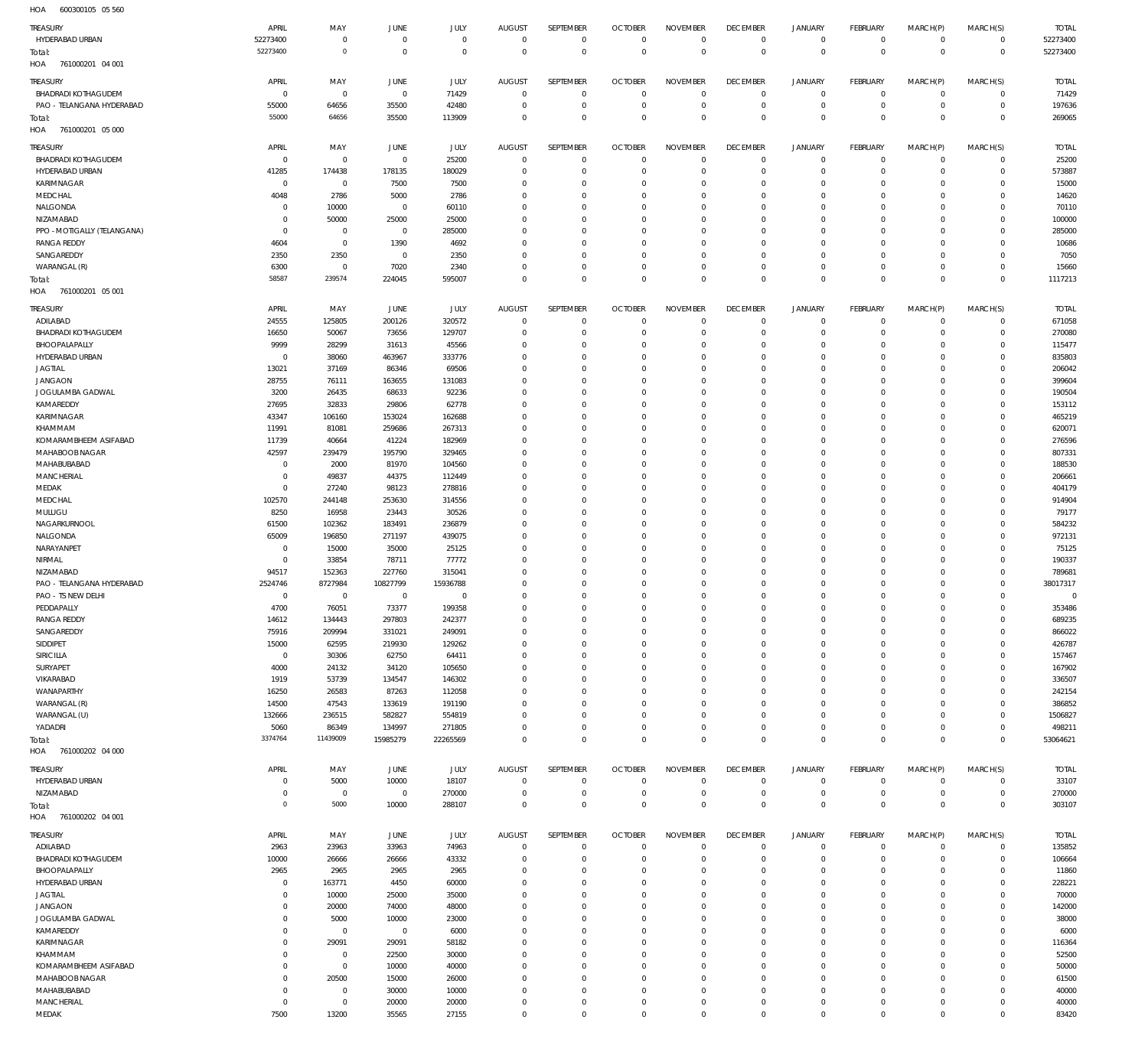| HOA<br>600300105 05 560     |                |                   |             |                |                |              |                  |                 |                 |                     |                |             |                |              |
|-----------------------------|----------------|-------------------|-------------|----------------|----------------|--------------|------------------|-----------------|-----------------|---------------------|----------------|-------------|----------------|--------------|
| TREASURY                    | APRIL          | MAY               | JUNE        | JULY           | <b>AUGUST</b>  | SEPTEMBER    | <b>OCTOBER</b>   | <b>NOVEMBER</b> | <b>DECEMBER</b> | <b>JANUARY</b>      | FEBRUARY       | MARCH(P)    | MARCH(S)       | <b>TOTAL</b> |
| HYDERABAD URBAN             | 52273400       | $\,0\,$           | $\mathbf 0$ | $\mathbf{0}$   | $^{\circ}$     | $\mathbf 0$  | $^{\circ}$       | $\mathbf 0$     | $\mathbf 0$     | 0                   | $\overline{0}$ | $\mathbf 0$ | $\circ$        | 52273400     |
| Total:                      | 52273400       | $\circ$           | $\mathbb O$ | $\mathbf 0$    | $^{\circ}$     | $\mathbf 0$  | $\mathbf 0$      | $\mathbf 0$     | $\mathbf 0$     | $\mathbf 0$         | $\overline{0}$ | $\mathbf 0$ | $\overline{0}$ | 52273400     |
| HOA<br>761000201 04 001     |                |                   |             |                |                |              |                  |                 |                 |                     |                |             |                |              |
|                             |                |                   |             |                |                |              |                  |                 |                 |                     |                |             |                |              |
| TREASURY                    | APRIL          | MAY               | JUNE        | <b>JULY</b>    | <b>AUGUST</b>  | SEPTEMBER    | <b>OCTOBER</b>   | <b>NOVEMBER</b> | <b>DECEMBER</b> | <b>JANUARY</b>      | FEBRUARY       | MARCH(P)    | MARCH(S)       | <b>TOTAL</b> |
| <b>BHADRADI KOTHAGUDEM</b>  | 0              | $\,0\,$           | $\mathbf 0$ | 71429          | $\overline{0}$ | $\mathbf 0$  | $^{\circ}$       | 0               | $\overline{0}$  | 0                   | $\overline{0}$ | $\mathbf 0$ | $\circ$        | 71429        |
| PAO - TELANGANA HYDERABAD   | 55000          | 64656             | 35500       | 42480          | - 0            | $\mathbf 0$  | $^{\circ}$       | 0               | $\overline{0}$  | $\mathsf{O}\xspace$ | $\overline{0}$ | 0           | $\circ$        | 197636       |
| Total:                      | 55000          | 64656             | 35500       | 113909         | $\Omega$       | $\mathbf 0$  | $^{\circ}$       | $\mathbf 0$     | $^{\circ}$      | $\bf 0$             | $\overline{0}$ | $\mathbf 0$ | $\overline{0}$ | 269065       |
| HOA<br>761000201 05 000     |                |                   |             |                |                |              |                  |                 |                 |                     |                |             |                |              |
| TREASURY                    | APRIL          | MAY               | JUNE        | JULY           | <b>AUGUST</b>  | SEPTEMBER    | <b>OCTOBER</b>   | <b>NOVEMBER</b> | <b>DECEMBER</b> | <b>JANUARY</b>      | FEBRUARY       | MARCH(P)    | MARCH(S)       | <b>TOTAL</b> |
| <b>BHADRADI KOTHAGUDEM</b>  | $^{\circ}$     | $\mathbb O$       | $\mathbf 0$ | 25200          | $^{\circ}$     | $\mathbf{0}$ | $\circ$          | $\Omega$        | $^{\circ}$      | $\mathbf 0$         | $\overline{0}$ | $\mathbf 0$ | $\mathbf{0}$   | 25200        |
| HYDERABAD URBAN             | 41285          | 174438            | 178135      | 180029         | $\Omega$       | $\mathbf 0$  | $^{\circ}$       | $^{\circ}$      | $^{\circ}$      | $\mathbf 0$         | $^{\circ}$     | $\mathbf 0$ | $\mathbf 0$    | 573887       |
| KARIMNAGAR                  | $^{\circ}$     | $\mathbb O$       | 7500        | 7500           | 0              | $\mathbf{0}$ | 0                | $^{\circ}$      | 0               | $\mathbf 0$         | $\mathbf 0$    | $\Omega$    | $\mathbf 0$    | 15000        |
| MEDCHAL                     | 4048           | 2786              | 5000        | 2786           | $\Omega$       | $\mathbf{0}$ | 0                | $^{\circ}$      | 0               | $\mathbf 0$         | $\mathbf 0$    | $\Omega$    | $\mathbf 0$    | 14620        |
| NALGONDA                    | $\Omega$       | 10000             | $\mathbf 0$ | 60110          | 0              | $\mathbf 0$  | $\Omega$         | $^{\circ}$      | 0               | $\mathbf 0$         | 0              | $\Omega$    | $\circ$        | 70110        |
| NIZAMABAD                   | $\Omega$       | 50000             | 25000       | 25000          | $\Omega$       | $\mathbf{0}$ | 0                | $\mathbf 0$     | $\mathbf 0$     | $\mathbf 0$         | $\mathbf 0$    | $\Omega$    | $\mathbf 0$    | 100000       |
| PPO - MOTIGALLY (TELANGANA) | -C             | $\mathbf 0$       | $^{\circ}$  | 285000         | 0              | $\mathbf 0$  | $\Omega$         | $^{\circ}$      | 0               | $\mathbf 0$         | $\mathbf 0$    | $\Omega$    | $\circ$        | 285000       |
| <b>RANGA REDDY</b>          | 4604           | $\,0\,$           | 1390        | 4692           | $\Omega$       | $\mathbf 0$  | 0                | $\mathbf 0$     | $\mathbf 0$     | $\mathbf 0$         | $\Omega$       | $\Omega$    | $\mathbf 0$    | 10686        |
| SANGAREDDY                  | 2350           | 2350              | $\mathbf 0$ | 2350           | 0              | $\mathbf{0}$ | 0                | $\mathbf 0$     | 0               | $\mathbf 0$         | $\mathbf 0$    | $\Omega$    | $\mathbf 0$    | 7050         |
|                             |                |                   |             |                | $\Omega$       | $\mathbf 0$  |                  | $\mathbf 0$     | $\mathbf 0$     | $\mathbf 0$         | $\mathbf 0$    | $\mathbf 0$ | $\mathbf 0$    |              |
| WARANGAL (R)                | 6300<br>58587  | $\,0\,$<br>239574 | 7020        | 2340<br>595007 | $\Omega$       | $\mathbf 0$  | 0<br>$\mathbf 0$ | $\mathbf 0$     | $\mathbf 0$     | $\mathbf 0$         | $\mathbf 0$    | $\Omega$    | $\mathbf 0$    | 15660        |
| Total:                      |                |                   | 224045      |                |                |              |                  |                 |                 |                     |                |             |                | 1117213      |
| HOA<br>761000201 05 001     |                |                   |             |                |                |              |                  |                 |                 |                     |                |             |                |              |
| TREASURY                    | APRIL          | MAY               | JUNE        | JULY           | <b>AUGUST</b>  | SEPTEMBER    | <b>OCTOBER</b>   | <b>NOVEMBER</b> | <b>DECEMBER</b> | <b>JANUARY</b>      | FEBRUARY       | MARCH(P)    | MARCH(S)       | <b>TOTAL</b> |
| ADILABAD                    | 24555          | 125805            | 200126      | 320572         | $\overline{0}$ | $\mathbf 0$  | $^{\circ}$       | $^{\circ}$      | $\overline{0}$  | 0                   | $\overline{0}$ | $\mathbf 0$ | $\circ$        | 671058       |
| BHADRADI KOTHAGUDEM         | 16650          | 50067             | 73656       | 129707         | $\Omega$       | $\mathbf 0$  | $^{\circ}$       | $\mathbf 0$     | $^{\circ}$      | $\mathsf{O}\xspace$ | $\overline{0}$ | $\mathbf 0$ | $\circ$        | 270080       |
| BHOOPALAPALLY               | 9999           | 28299             | 31613       | 45566          | $\Omega$       | $\mathbf 0$  | $^{\circ}$       | 0               | $\overline{0}$  | 0                   | $^{\circ}$     | $\mathbf 0$ | $\mathbf 0$    | 115477       |
| HYDERABAD URBAN             | 0              | 38060             | 463967      | 333776         | $\Omega$       | $\mathbf 0$  | $^{\circ}$       | $\mathbf 0$     | $^{\circ}$      | $\mathbf 0$         | $\mathbf 0$    | $\mathbf 0$ | $\mathbf{0}$   | 835803       |
| <b>JAGTIAL</b>              | 13021          | 37169             | 86346       | 69506          | $\Omega$       | $\mathbf 0$  | 0                | $\mathbf 0$     | 0               | 0                   | $\mathbf 0$    | 0           | $\mathbf 0$    | 206042       |
| <b>JANGAON</b>              | 28755          | 76111             | 163655      | 131083         | $\Omega$       | $\mathbf 0$  | $^{\circ}$       | $\mathbf 0$     | $^{\circ}$      | $\mathbf 0$         | $\mathbf 0$    | $\Omega$    | $\mathbf 0$    | 399604       |
| JOGULAMBA GADWAL            | 3200           | 26435             | 68633       | 92236          | $\Omega$       | $\mathbf 0$  | $^{\circ}$       | $\mathbf 0$     | $^{\circ}$      | 0                   | $\mathbf 0$    | $\mathbf 0$ | $\mathbf 0$    | 190504       |
| KAMAREDDY                   | 27695          | 32833             | 29806       | 62778          | $\Omega$       | $\mathbf 0$  | $^{\circ}$       | $\mathbf 0$     | $^{\circ}$      | $\mathbf 0$         | $\mathbf 0$    | $\Omega$    | $\mathbf 0$    | 153112       |
| KARIMNAGAR                  | 43347          | 106160            | 153024      | 162688         | $\Omega$       | $\mathbf 0$  | $^{\circ}$       | $\mathbf 0$     | $^{\circ}$      | 0                   | $\mathbf 0$    | $\Omega$    | $\mathbf 0$    | 465219       |
| KHAMMAM                     | 11991          | 81081             | 259686      | 267313         | $\Omega$       | $\mathbf 0$  | $^{\circ}$       | $\mathbf 0$     | $^{\circ}$      | $\mathbf 0$         | $\mathbf 0$    | 0           | $\mathbf 0$    | 620071       |
| KOMARAMBHEEM ASIFABAD       | 11739          | 40664             | 41224       | 182969         | $\Omega$       | $\mathbf 0$  | $^{\circ}$       | $\mathbf 0$     | $^{\circ}$      | $\mathbf 0$         | $\mathbf 0$    | $\Omega$    | $\mathbf 0$    | 276596       |
| MAHABOOB NAGAR              | 42597          | 239479            | 195790      | 329465         | $\Omega$       | $\mathbf 0$  | $^{\circ}$       | $^{\circ}$      | 0               | $\mathbf 0$         | $\mathbf 0$    | $\mathbf 0$ | $\mathbf 0$    | 807331       |
| MAHABUBABAD                 | $^{\circ}$     | 2000              | 81970       | 104560         | $\Omega$       | $\mathbf 0$  | $^{\circ}$       | $^{\circ}$      | $^{\circ}$      | $\mathbf 0$         | $\mathbf 0$    | $\Omega$    | $\mathbf 0$    | 188530       |
| <b>MANCHERIAL</b>           | 0              | 49837             | 44375       | 112449         | $\Omega$       | $\mathbf 0$  | $^{\circ}$       | $^{\circ}$      | $^{\circ}$      | 0                   | $\mathbf 0$    | $\mathbf 0$ | $\mathbf 0$    | 206661       |
| MEDAK                       | $\Omega$       | 27240             | 98123       | 278816         | $\Omega$       | $\mathbf 0$  | $^{\circ}$       | $^{\circ}$      | $^{\circ}$      | $\mathbf 0$         | $\mathbf 0$    | $\Omega$    | $\mathbf 0$    | 404179       |
| MEDCHAL                     | 102570         | 244148            | 253630      | 314556         | $\Omega$       | $\mathbf 0$  | $^{\circ}$       | $^{\circ}$      | $^{\circ}$      | $\mathbf 0$         | $\mathbf 0$    | $\mathbf 0$ | $\mathbf 0$    | 914904       |
| MULUGU                      | 8250           | 16958             | 23443       | 30526          | $\Omega$       | $\mathbf 0$  | 0                | $^{\circ}$      | 0               | $\mathbf 0$         | $\mathbf 0$    | $\mathbf 0$ | $\mathbf 0$    | 79177        |
| NAGARKURNOOL                | 61500          | 102362            | 183491      | 236879         | $\Omega$       | $\mathbf 0$  | $^{\circ}$       | $^{\circ}$      | $^{\circ}$      | $\mathbf 0$         | $\mathbf 0$    | $\Omega$    | $\mathbf 0$    | 584232       |
| NALGONDA                    | 65009          | 196850            | 271197      | 439075         | 0              | $\mathbf 0$  | $^{\circ}$       | $^{\circ}$      | $^{\circ}$      | 0                   | $\mathbf 0$    | $\mathbf 0$ | $\circ$        | 972131       |
| NARAYANPET                  | 0              | 15000             | 35000       | 25125          | $\Omega$       | $\mathbf 0$  | $^{\circ}$       | $^{\circ}$      | $^{\circ}$      | $\mathbf 0$         | $\mathbf 0$    | $\Omega$    | $\mathbf 0$    | 75125        |
| NIRMAL                      | $^{\circ}$     | 33854             | 78711       | 77772          | $\Omega$       | $\mathbf 0$  | 0                | $^{\circ}$      | $^{\circ}$      | 0                   | $\mathbf 0$    | $\mathbf 0$ | $\circ$        | 190337       |
| NIZAMABAD                   | 94517          | 152363            | 227760      | 315041         | $\Omega$       | $\mathbf 0$  | $^{\circ}$       | $^{\circ}$      | $^{\circ}$      | $\mathbf 0$         | $\mathbf 0$    | $\mathbf 0$ | $\mathbf 0$    | 789681       |
| PAO - TELANGANA HYDERABAD   | 2524746        | 8727984           | 10827799    | 15936788       | $\Omega$       | $\mathbf 0$  | $^{\circ}$       | $\mathbf 0$     | $^{\circ}$      | $\mathbf 0$         | $\mathbf 0$    | $\mathbf 0$ | $\mathbf{0}$   | 38017317     |
| PAO - TS NEW DELHI          | $\mathbf 0$    | $\mathbf 0$       | $^{\circ}$  | $\mathbf 0$    | $\Omega$       | $\mathbf 0$  | $\mathbf 0$      | $\mathbf 0$     | $\mathbf 0$     | $\mathbf 0$         | $\mathbf 0$    | $\mathbf 0$ | $\mathbf{0}$   | $^{\circ}$   |
| PEDDAPALLY                  | 4700           | 76051             | 73377       | 199358         | 0              | $\mathbf 0$  | 0                | 0               | 0               | 0                   | O              | $\Omega$    | $\mathbf 0$    | 353486       |
| <b>RANGA REDDY</b>          | 14612          | 134443            | 297803      | 242377         | $^{\circ}$     | $\mathbf 0$  | $\mathbf 0$      | $\mathbb O$     | $^{\circ}$      | $\mathbf 0$         | $\mathbf 0$    | $\mathbf 0$ | $\mathbf{0}$   | 689235       |
| SANGAREDDY                  | 75916          | 209994            | 331021      | 249091         | $\mathbf 0$    | $\mathbf 0$  | $^{\circ}$       | $\mathbb O$     | $\overline{0}$  | $\mathsf{O}\xspace$ | $\mathbf 0$    | $\mathbf 0$ | $\mathbf{0}$   | 866022       |
| SIDDIPET                    | 15000          | 62595             | 219930      | 129262         | $\Omega$       | $\mathbf 0$  | $^{\circ}$       | $\mathbf 0$     | $^{\circ}$      | $\mathbf 0$         | $\mathbf 0$    | $\Omega$    | $\mathbf{0}$   | 426787       |
| SIRICILLA                   | $\overline{0}$ | 30306             | 62750       | 64411          | 0              | $\mathbf 0$  | $^{\circ}$       | $\mathbf 0$     | $\mathbf 0$     | $\mathbf 0$         | $\mathbf 0$    | $\mathbf 0$ | $\mathbf 0$    | 157467       |
| SURYAPET                    | 4000           | 24132             | 34120       | 105650         | $\Omega$       | $\mathbf 0$  | $^{\circ}$       | $\mathbf 0$     | $^{\circ}$      | $\mathbf 0$         | $\mathbf 0$    | $\Omega$    | $\mathbf 0$    | 167902       |
| VIKARABAD                   | 1919           | 53739             | 134547      | 146302         | $\Omega$       | $\mathbf 0$  | $^{\circ}$       | $\mathbf 0$     | $^{\circ}$      | $\mathbf 0$         | $\mathbf 0$    | $\mathbf 0$ | $\mathbf{0}$   | 336507       |
| WANAPARTHY                  | 16250          | 26583             | 87263       | 112058         | $\Omega$       | $\mathbf 0$  | $^{\circ}$       | $\mathbf 0$     | $^{\circ}$      | $\mathbf 0$         | $\mathbf 0$    | $\Omega$    | $\mathbf 0$    | 242154       |
| WARANGAL (R)                | 14500          | 47543             | 133619      | 191190         | $\Omega$       | $\mathbf 0$  | $^{\circ}$       | $\mathbf 0$     | $^{\circ}$      | $\mathbf 0$         | $\mathbf 0$    | $\mathbf 0$ | $\circ$        | 386852       |
| WARANGAL (U)                | 132666         | 236515            | 582827      | 554819         | $\Omega$       | $\mathbf 0$  | $^{\circ}$       | $\mathbf 0$     | $\mathbf 0$     | $\mathbf 0$         | $\mathbf 0$    | $\mathbf 0$ | $\mathbf{0}$   | 1506827      |
| YADADRI                     | 5060           | 86349             | 134997      | 271805         | $\Omega$       | $\mathbf 0$  | $^{\circ}$       | $\mathbb O$     | $\mathbf 0$     | $\mathsf{O}\xspace$ | $\mathbf 0$    | $\mathbf 0$ | $\circ$        | 498211       |
| Total:                      | 3374764        | 11439009          | 15985279    | 22265569       | $\Omega$       | $\mathbf 0$  | $\mathbf 0$      | $\mathbb O$     | $\mathbf 0$     | $\mathbb O$         | $\mathbf 0$    | $\mathbf 0$ | $\overline{0}$ | 53064621     |
| HOA<br>761000202 04 000     |                |                   |             |                |                |              |                  |                 |                 |                     |                |             |                |              |
|                             |                |                   |             |                |                |              |                  |                 |                 |                     |                |             |                |              |
| TREASURY                    | APRIL          | MAY               | JUNE        | JULY           | <b>AUGUST</b>  | SEPTEMBER    | <b>OCTOBER</b>   | <b>NOVEMBER</b> | <b>DECEMBER</b> | <b>JANUARY</b>      | FEBRUARY       | MARCH(P)    | MARCH(S)       | <b>TOTAL</b> |
| HYDERABAD URBAN             | $\Omega$       | 5000              | 10000       | 18107          | $^{\circ}$     | $\mathbf{0}$ | $\mathbf 0$      | $\Omega$        | $\mathbf 0$     | $\mathbf 0$         | $\overline{0}$ | $\mathbf 0$ | $\circ$        | 33107        |
| NIZAMABAD                   | 0              | $\,0\,$           | $\,0\,$     | 270000         | $\circ$        | $\mathbf 0$  | $\mathbf 0$      | $\mathbf 0$     | $\mathbf 0$     | $\mathbf 0$         | $\overline{0}$ | $\mathbf 0$ | $\circ$        | 270000       |
| Total:                      | $\Omega$       | 5000              | 10000       | 288107         | 0              | $\mathbf 0$  | $\mathbf 0$      | $\mathbf 0$     | $\mathbf 0$     | $\mathbf 0$         | $\overline{0}$ | $\mathbf 0$ | $\mathbf 0$    | 303107       |
| HOA<br>761000202 04 001     |                |                   |             |                |                |              |                  |                 |                 |                     |                |             |                |              |
| TREASURY                    | APRIL          | MAY               | JUNE        | JULY           | <b>AUGUST</b>  | SEPTEMBER    | <b>OCTOBER</b>   | <b>NOVEMBER</b> | <b>DECEMBER</b> | <b>JANUARY</b>      | FEBRUARY       | MARCH(P)    | MARCH(S)       | <b>TOTAL</b> |
| ADILABAD                    | 2963           | 23963             | 33963       | 74963          | $\overline{0}$ | $\mathbf 0$  | $^{\circ}$       | $^{\circ}$      | $\mathbf 0$     | 0                   | $\overline{0}$ | $\mathbf 0$ | $\circ$        | 135852       |
| <b>BHADRADI KOTHAGUDEM</b>  | 10000          | 26666             | 26666       | 43332          | 0              | $\mathbf 0$  | $\circ$          | $\mathbf 0$     | $\mathbf 0$     | $\mathsf{O}\xspace$ | $\overline{0}$ | $\mathbf 0$ | $\circ$        | 106664       |
| BHOOPALAPALLY               | 2965           | 2965              | 2965        | 2965           | 0              | $\mathbf 0$  | $^{\circ}$       | $\mathbf 0$     | $^{\circ}$      | $\mathsf{O}\xspace$ | $\mathbf 0$    | $\mathbf 0$ | $\mathbf{0}$   | 11860        |
| HYDERABAD URBAN             | $^{\circ}$     | 163771            | 4450        | 60000          | $\Omega$       | $\mathbf 0$  | $^{\circ}$       | $\mathbf 0$     | $\mathbf 0$     | $\mathbf 0$         | $\mathbf 0$    | $\mathbf 0$ | $\mathbf{0}$   | 228221       |
| <b>JAGTIAL</b>              | $\Omega$       | 10000             | 25000       | 35000          | $\Omega$       | $\mathbf 0$  | $^{\circ}$       | $\mathbf 0$     | $^{\circ}$      | $\mathbf 0$         | $\mathbf 0$    | $\Omega$    | $\mathbf{0}$   | 70000        |
| <b>JANGAON</b>              | $\Omega$       | 20000             | 74000       | 48000          | $\Omega$       | $\mathbf 0$  | $^{\circ}$       | $\mathbf 0$     | $^{\circ}$      | $\mathbf 0$         | $\mathbf 0$    | $\mathbf 0$ | $\mathbf{0}$   | 142000       |
| JOGULAMBA GADWAL            | 0              | 5000              | 10000       | 23000          | $\Omega$       | $\mathbf 0$  | $^{\circ}$       | $\mathbf 0$     | $^{\circ}$      | $\mathbf 0$         | $\mathbf 0$    | $\Omega$    | $\mathbf{0}$   | 38000        |
| KAMAREDDY                   | $\Omega$       | $\,0\,$           | $\,0\,$     | 6000           | $\Omega$       | $\mathbf 0$  | $^{\circ}$       | $\mathbf 0$     | $^{\circ}$      | $\mathbf 0$         | $\mathbf 0$    | $\mathbf 0$ | $\mathbf{0}$   | 6000         |
| KARIMNAGAR                  | $\Omega$       | 29091             | 29091       | 58182          | $\Omega$       | $\mathbf 0$  | $^{\circ}$       | $\mathbf 0$     | $^{\circ}$      | $\mathbf 0$         | $\mathbf 0$    | $\Omega$    | $\mathbf 0$    | 116364       |
| KHAMMAM                     | $\Omega$       | $\,0\,$           | 22500       | 30000          | $\Omega$       | $\mathbf 0$  | $^{\circ}$       | $\mathbf 0$     | $^{\circ}$      | $\mathbf 0$         | $\mathbf 0$    | $\Omega$    | $\mathbf{0}$   | 52500        |
| KOMARAMBHEEM ASIFABAD       | $\Omega$       | $\,0\,$           | 10000       | 40000          | 0              | $\mathbf 0$  | $^{\circ}$       | $\mathbf 0$     | $^{\circ}$      | $\mathbf 0$         | $\mathbf 0$    | $\mathbf 0$ | $\mathbf{0}$   | 50000        |
| MAHABOOB NAGAR              | $\Omega$       | 20500             | 15000       | 26000          | $\Omega$       | $\mathbf 0$  | $^{\circ}$       | $\mathbf 0$     | $^{\circ}$      | $\mathbf 0$         | $\mathbf 0$    | $\mathbf 0$ | $\mathbf{0}$   | 61500        |
| MAHABUBABAD                 | $^{\circ}$     | $\,0\,$           | 30000       | 10000          | $\Omega$       | $\mathbf 0$  | $^{\circ}$       | $\mathbf 0$     | $^{\circ}$      | $\mathbf 0$         | $\mathbf 0$    | $\mathbf 0$ | $\circ$        | 40000        |
| <b>MANCHERIAL</b>           | $^{\circ}$     | $\,0\,$           | 20000       | 20000          | $\Omega$       | $\mathbf 0$  | $^{\circ}$       | $\mathbb O$     | $\mathbf 0$     | $\mathsf{O}\xspace$ | $\mathbf 0$    | $\mathbf 0$ | $\mathbf 0$    | 40000        |
|                             |                |                   |             |                |                | $\mathbf 0$  | $\mathbf 0$      | $\mathbf 0$     | $\mathbf 0$     | $\mathbf 0$         | $\overline{0}$ | $\mathbf 0$ | $\mathbb O$    | 83420        |
| MEDAK                       | 7500           | 13200             | 35565       | 27155          | $\mathbf 0$    |              |                  |                 |                 |                     |                |             |                |              |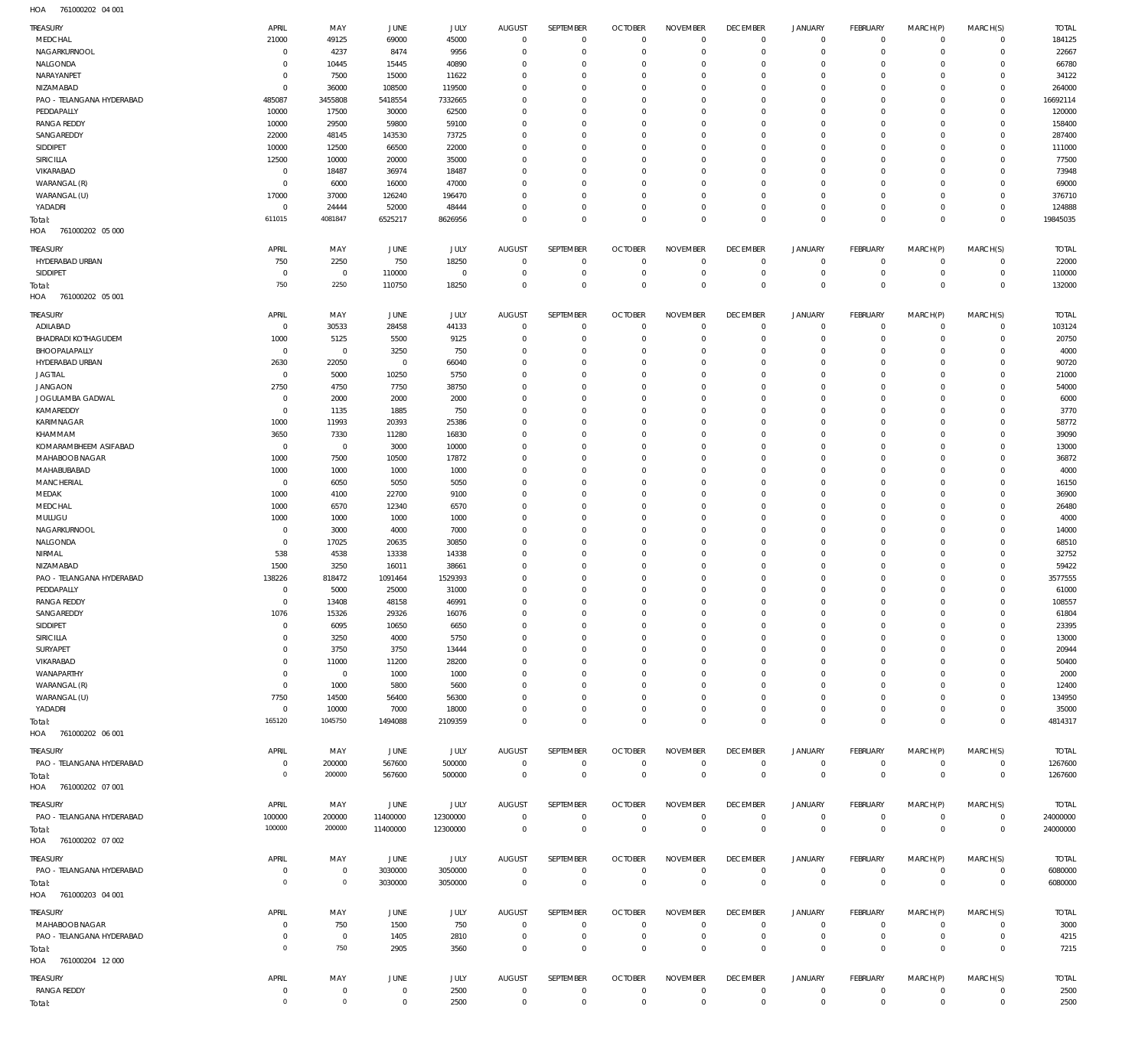761000202 04 001 HOA

| TREASURY                           | APRIL                      | MAY            | JUNE           | JULY           | <b>AUGUST</b>              | SEPTEMBER                  | <b>OCTOBER</b>              | <b>NOVEMBER</b>      | <b>DECEMBER</b>                  | <b>JANUARY</b>             | FEBRUARY                   | MARCH(P)             | MARCH(S)                | <b>TOTAL</b>   |
|------------------------------------|----------------------------|----------------|----------------|----------------|----------------------------|----------------------------|-----------------------------|----------------------|----------------------------------|----------------------------|----------------------------|----------------------|-------------------------|----------------|
| MEDCHAL                            | 21000                      | 49125          | 69000          | 45000          | $\overline{0}$             | $\mathbf 0$                | $\overline{0}$              | $\mathbf{0}$         | $\mathbf 0$                      | $\circ$                    | $\mathbf{0}$               | $\mathbf 0$          | $\mathbf 0$             | 184125         |
| NAGARKURNOOL<br>NALGONDA           | $\mathbf 0$<br>$\mathbf 0$ | 4237<br>10445  | 8474<br>15445  | 9956           | $\overline{0}$<br>$\Omega$ | $\mathbf 0$<br>$\mathbf 0$ | $\mathbf{0}$<br>$\mathbf 0$ | 0<br>$\Omega$        | $\overline{0}$<br>$\overline{0}$ | $\circ$<br>$\mathbf 0$     | $\mathbf{0}$<br>$^{\circ}$ | $\Omega$             | $\mathbf 0$<br>$\Omega$ | 22667<br>66780 |
| NARAYANPET                         | $\mathbf 0$                | 7500           | 15000          | 40890<br>11622 | $\mathbf 0$                | $\mathbf 0$                | $\mathbf 0$                 | $\Omega$             | $\overline{0}$                   | $\mathbf 0$                | $^{\circ}$                 |                      | $\Omega$                | 34122          |
| NIZAMABAD                          | $\mathbf 0$                | 36000          | 108500         | 119500         | $\Omega$                   | $\Omega$                   | $\mathbf 0$                 | $\Omega$             | $\Omega$                         | $\Omega$                   | $\Omega$                   |                      | $\Omega$                | 264000         |
| PAO - TELANGANA HYDERABAD          | 485087                     | 3455808        | 5418554        | 7332665        | $\mathbf 0$                | $\mathbf 0$                | $\mathbf 0$                 | $\Omega$             | $\overline{0}$                   | $\mathbf 0$                | $^{\circ}$                 |                      | $\Omega$                | 16692114       |
| PEDDAPALLY                         | 10000                      | 17500          | 30000          | 62500          | $\Omega$                   | $\Omega$                   | $\mathbf 0$                 | 0                    | $\Omega$                         | $\Omega$                   | $\Omega$                   |                      | $\Omega$                | 120000         |
| <b>RANGA REDDY</b>                 | 10000                      | 29500          | 59800          | 59100          | $\mathbf 0$                | $\mathbf 0$                | $\mathbf 0$                 | $\Omega$             | $\overline{0}$                   | $\mathbf 0$                | $^{\circ}$                 |                      | $\Omega$                | 158400         |
| SANGAREDDY                         | 22000                      | 48145          | 143530         | 73725          | $\Omega$                   | $\Omega$                   | $\mathbf 0$                 | $\Omega$             | $\overline{0}$                   | $\Omega$                   | $\Omega$                   |                      |                         | 287400         |
| SIDDIPET                           | 10000                      | 12500          | 66500          | 22000          | $\Omega$                   | $\mathbf 0$                | $\mathbf 0$                 | $\Omega$             | $\overline{0}$                   | $\mathbf 0$                | $\Omega$                   |                      | $\Omega$                | 111000         |
| <b>SIRICILLA</b><br>VIKARABAD      | 12500<br>$\mathbf 0$       | 10000<br>18487 | 20000<br>36974 | 35000          | $\Omega$<br>$\Omega$       | 0<br>$\mathbf 0$           | $\mathbf 0$<br>$\mathbf 0$  | $\Omega$<br>$\Omega$ | $\Omega$<br>$\overline{0}$       | $\Omega$<br>$\mathbf 0$    | $\Omega$<br>$\Omega$       |                      | $\Omega$<br>$\Omega$    | 77500<br>73948 |
| WARANGAL (R)                       | $\mathbf 0$                | 6000           | 16000          | 18487<br>47000 | $\Omega$                   | $\mathbf 0$                | $\mathbf 0$                 | $\Omega$             | $\overline{0}$                   | $\mathbf 0$                | $^{\circ}$                 |                      | $\Omega$                | 69000          |
| WARANGAL (U)                       | 17000                      | 37000          | 126240         | 196470         | $\Omega$                   | $\mathbf 0$                | $\mathbf 0$                 | $\Omega$             | $\overline{0}$                   | $\mathbf 0$                | $\Omega$                   |                      | $\Omega$                | 376710         |
| YADADRI                            | $\mathbf 0$                | 24444          | 52000          | 48444          | $\Omega$                   | $\mathbf 0$                | $\mathbf 0$                 | 0                    | $\overline{0}$                   | $\mathbf 0$                | $\mathbf{0}$               | $\Omega$             | $\Omega$                | 124888         |
| Total:                             | 611015                     | 4081847        | 6525217        | 8626956        | $\Omega$                   | $\mathbf 0$                | $\Omega$                    | $\Omega$             | $\,0\,$                          | $\mathbf 0$                | $\Omega$                   | $\Omega$             | $\Omega$                | 19845035       |
| HOA<br>761000202 05 000            |                            |                |                |                |                            |                            |                             |                      |                                  |                            |                            |                      |                         |                |
| <b>TREASURY</b>                    | APRIL                      | MAY            | JUNE           | JULY           | <b>AUGUST</b>              | SEPTEMBER                  | <b>OCTOBER</b>              | <b>NOVEMBER</b>      | <b>DECEMBER</b>                  | <b>JANUARY</b>             | <b>FEBRUARY</b>            | MARCH(P)             | MARCH(S)                | <b>TOTAL</b>   |
| HYDERABAD URBAN                    | 750                        | 2250           | 750            | 18250          | $\overline{0}$             | $\overline{0}$             | $\overline{0}$              | $^{\circ}$           | $\mathbf 0$                      | $\circ$                    | $^{\circ}$                 | $\mathbf 0$          | $\mathbf 0$             | 22000          |
| SIDDIPET                           | $\overline{0}$             | $\mathbf 0$    | 110000         | $\mathbf 0$    | $\circ$                    | $\mathbf 0$                | $\overline{0}$              | $\mathbf 0$          | $\overline{0}$                   | $\mathbf{0}$               | $\mathbf{0}$               | $\Omega$             | $\mathbf 0$             | 110000         |
| Total:                             | 750                        | 2250           | 110750         | 18250          | $\overline{0}$             | $\mathbf 0$                | $\mathbb O$                 | $\mathbf{0}$         | $\,0\,$                          | $\,0\,$                    | $\overline{0}$             | $\Omega$             | $\mathbb O$             | 132000         |
| HOA<br>761000202 05 001            |                            |                |                |                |                            |                            |                             |                      |                                  |                            |                            |                      |                         |                |
| TREASURY                           | APRIL                      | MAY            | JUNE           | JULY           | <b>AUGUST</b>              | SEPTEMBER                  | <b>OCTOBER</b>              | <b>NOVEMBER</b>      | <b>DECEMBER</b>                  | <b>JANUARY</b>             | FEBRUARY                   | MARCH(P)             | MARCH(S)                | <b>TOTAL</b>   |
| ADILABAD                           | $\mathbf 0$                | 30533          | 28458          | 44133          | $\mathbf 0$                | $\mathbf 0$                | $\mathbf{0}$                | $\mathbf 0$          | $\mathbf 0$                      | $\circ$                    | $^{\circ}$                 | $\mathbf 0$          | $\mathbf 0$             | 103124         |
| BHADRADI KOTHAGUDEM                | 1000                       | 5125           | 5500           | 9125           | $\mathbf 0$                | $\mathbf 0$                | $\mathbf{0}$                | 0                    | $\mathbf 0$                      | $\circ$                    | $^{\circ}$                 | $\Omega$             | $\Omega$                | 20750          |
| BHOOPALAPALLY                      | $\mathbf 0$                | $\mathbf 0$    | 3250           | 750            | $\Omega$                   | $\mathbf 0$                | $\mathbf 0$                 | $\Omega$             | $\overline{0}$                   | $\mathbf 0$                | $^{\circ}$                 |                      | $\Omega$                | 4000           |
| HYDERABAD URBAN                    | 2630                       | 22050          | $\overline{0}$ | 66040          | $\Omega$                   | $\mathbf 0$                | $\mathbf 0$                 | $\Omega$             | $\overline{0}$                   | $\mathbf 0$                | $\Omega$                   |                      | $\Omega$                | 90720          |
| <b>JAGTIAL</b>                     | $\mathbf 0$                | 5000           | 10250          | 5750           | $\Omega$                   | $\mathbf 0$                | $\mathbf 0$                 | $\Omega$             | $\overline{0}$                   | $\mathbf 0$                | $^{\circ}$                 |                      | $\Omega$                | 21000          |
| <b>JANGAON</b><br>JOGULAMBA GADWAL | 2750<br>$\mathbf 0$        | 4750<br>2000   | 7750<br>2000   | 38750<br>2000  | $\Omega$<br>$\Omega$       | $\mathbf 0$<br>$\mathbf 0$ | $\mathbf 0$<br>$\mathbf 0$  | $\Omega$<br>$\Omega$ | $\overline{0}$<br>$\Omega$       | 0<br>$\Omega$              | $\Omega$<br>$\Omega$       |                      | $\Omega$<br>$\Omega$    | 54000<br>6000  |
| KAMAREDDY                          | $\mathbf 0$                | 1135           | 1885           | 750            | $\Omega$                   | $\mathbf 0$                | $\mathbf 0$                 | $\Omega$             | $\overline{0}$                   | 0                          | $\Omega$                   |                      | $\Omega$                | 3770           |
| KARIMNAGAR                         | 1000                       | 11993          | 20393          | 25386          | $\Omega$                   | $\mathbf 0$                | $\mathbf 0$                 | $\Omega$             | $\overline{0}$                   | $\mathbf 0$                | $\Omega$                   |                      | $\Omega$                | 58772          |
| KHAMMAM                            | 3650                       | 7330           | 11280          | 16830          | $\Omega$                   | 0                          | $\mathbf 0$                 | $\Omega$             | $\overline{0}$                   | 0                          | $^{\circ}$                 |                      | $\Omega$                | 39090          |
| KOMARAMBHEEM ASIFABAD              | $\mathbf 0$                | $\mathbf 0$    | 3000           | 10000          | $\Omega$                   | $\Omega$                   | $\mathbf 0$                 | $\Omega$             | $\Omega$                         | $\Omega$                   | $\Omega$                   |                      | $\Omega$                | 13000          |
| MAHABOOB NAGAR                     | 1000                       | 7500           | 10500          | 17872          | $\mathbf 0$                | $\mathbf 0$                | $\mathbf 0$                 | $\Omega$             | $\overline{0}$                   | $\mathbf 0$                | $^{\circ}$                 |                      | $\Omega$                | 36872          |
| MAHABUBABAD                        | 1000                       | 1000           | 1000           | 1000           | $\Omega$                   | $\Omega$                   | $\mathbf 0$                 | $\Omega$             | $\Omega$                         | $\Omega$                   | $\Omega$                   |                      | $\Omega$                | 4000           |
| MANCHERIAL                         | $\mathbf 0$                | 6050           | 5050           | 5050           | $\mathbf 0$                | $\mathbf 0$                | $\mathbf 0$                 | $\Omega$             | $\overline{0}$                   | $\mathbf 0$                | $^{\circ}$                 |                      | $\Omega$                | 16150          |
| MEDAK                              | 1000                       | 4100           | 22700          | 9100           | $\Omega$                   | $\Omega$                   | $\mathbf 0$                 | 0                    | $\Omega$                         | $\Omega$                   | $\Omega$                   |                      | $\Omega$                | 36900          |
| MEDCHAL                            | 1000                       | 6570           | 12340          | 6570           | $\mathbf 0$<br>$\Omega$    | $\mathbf 0$<br>$\Omega$    | $\mathbf 0$<br>$\mathbf 0$  | 0<br>$\Omega$        | $^{\circ}$<br>$\Omega$           | $\mathbf 0$<br>$\Omega$    | $^{\circ}$<br>$\Omega$     |                      | $\Omega$                | 26480          |
| MULUGU<br>NAGARKURNOOL             | 1000<br>$\mathbf 0$        | 1000<br>3000   | 1000<br>4000   | 1000<br>7000   | $\mathbf 0$                | $\mathbf 0$                | $\mathbf 0$                 | $\Omega$             | $\overline{0}$                   | $\mathbf 0$                | $^{\circ}$                 |                      | $\Omega$                | 4000<br>14000  |
| NALGONDA                           | $\mathbf 0$                | 17025          | 20635          | 30850          | $\Omega$                   | 0                          | $\mathbf 0$                 | 0                    | $\Omega$                         | $\Omega$                   | $\Omega$                   |                      | $\Omega$                | 68510          |
| NIRMAL                             | 538                        | 4538           | 13338          | 14338          | $\Omega$                   | $\mathbf 0$                | $\mathbf 0$                 | $\Omega$             | $\overline{0}$                   | $\mathbf 0$                | $\Omega$                   |                      | $\Omega$                | 32752          |
| NIZAMABAD                          | 1500                       | 3250           | 16011          | 38661          | $\Omega$                   | 0                          | $\mathbf 0$                 | $\Omega$             | $\overline{0}$                   | $\mathbf 0$                | $\Omega$                   |                      | $\Omega$                | 59422          |
| PAO - TELANGANA HYDERABAD          | 138226                     | 818472         | 1091464        | 1529393        | $\Omega$                   | $\mathbf 0$                | $\mathbf 0$                 | $\Omega$             | $\overline{0}$                   | 0                          | $\Omega$                   |                      | $\Omega$                | 3577555        |
| PEDDAPALLY                         | $\mathbf 0$                | 5000           | 25000          | 31000          | $\Omega$                   | $\mathbf 0$                | $\mathbf 0$                 | $\Omega$             | $\overline{0}$                   | $\Omega$                   | $\Omega$                   |                      | $\Omega$                | 61000          |
| RANGA REDDY                        | $\mathbf 0$                | 13408          | 48158          | 46991          | $\Omega$                   | $\Omega$                   | $\Omega$                    | $\Omega$             | $\mathbf 0$                      | $\mathbf 0$                | $\Omega$                   | $\Omega$             | $\Omega$                | 108557         |
| SANGAREDDY                         | 1076                       | 15326          | 29326          | 16076          | $\cap$                     |                            |                             |                      | $\Omega$                         |                            |                            |                      | $\cap$                  | 61804          |
| SIDDIPET<br>SIRICILLA              | 0<br>$\mathbf 0$           | 6095<br>3250   | 10650<br>4000  | 6650<br>5750   | $\mathbf 0$<br>$\mathbf 0$ | $\mathbf 0$<br>$\mathbf 0$ | $\mathbf{0}$<br>$\mathbf 0$ | 0<br>0               | $\overline{0}$<br>$\overline{0}$ | $\mathbf 0$<br>$\mathbf 0$ | $^{\circ}$<br>$^{\circ}$   | $\Omega$<br>$\Omega$ | $\Omega$<br>$\Omega$    | 23395<br>13000 |
| SURYAPET                           | $\mathbf 0$                | 3750           | 3750           | 13444          | 0                          | $\mathbf 0$                | $\mathbf 0$                 | 0                    | $^{\circ}$                       | $\mathbf 0$                | $^{\circ}$                 |                      | $\Omega$                | 20944          |
| VIKARABAD                          | $\mathbf 0$                | 11000          | 11200          | 28200          | $\Omega$                   | $\mathbf 0$                | $\mathbf 0$                 | O                    | $\overline{0}$                   | $\mathbf 0$                | $^{\circ}$                 |                      |                         | 50400          |
| WANAPARTHY                         | $\mathbf 0$                | $\overline{0}$ | 1000           | 1000           | $\mathbf 0$                | $\mathbf 0$                | $\mathbf 0$                 | 0                    | $^{\circ}$                       | $\mathbf 0$                | $^{\circ}$                 | $\Omega$             | $\Omega$                | 2000           |
| WARANGAL (R)                       | $\mathbf 0$                | 1000           | 5800           | 5600           | $\Omega$                   | $\Omega$                   | 0                           | O                    | $\overline{0}$                   | 0                          | $\Omega$                   |                      |                         | 12400          |
| WARANGAL (U)                       | 7750                       | 14500          | 56400          | 56300          | $\mathbf 0$                | 0                          | $\mathbf 0$                 | 0                    | $^{\circ}$                       | $\mathbf 0$                | $^{\circ}$                 |                      | $\Omega$                | 134950         |
| YADADRI                            | $\mathbf 0$                | 10000          | 7000           | 18000          | $\Omega$                   | $\mathbf 0$                | $\mathbf 0$                 | 0                    | $\overline{0}$                   | $\mathbf 0$                | $^{\circ}$                 | $\Omega$             | $\Omega$                | 35000          |
| Total:                             | 165120                     | 1045750        | 1494088        | 2109359        | $\Omega$                   | $\mathbf 0$                | $\overline{0}$              | $\mathbf 0$          | $\mathbb O$                      | $\mathbb O$                | $\mathbb O$                | $\Omega$             | $\mathbf 0$             | 4814317        |
| HOA 761000202 06 001               |                            |                |                |                |                            |                            |                             |                      |                                  |                            |                            |                      |                         |                |
| <b>TREASURY</b>                    | APRIL                      | MAY            | JUNE           | JULY           | <b>AUGUST</b>              | SEPTEMBER                  | <b>OCTOBER</b>              | <b>NOVEMBER</b>      | <b>DECEMBER</b>                  | <b>JANUARY</b>             | <b>FEBRUARY</b>            | MARCH(P)             | MARCH(S)                | <b>TOTAL</b>   |
| PAO - TELANGANA HYDERABAD          | $\mathbf 0$                | 200000         | 567600         | 500000         | $\overline{0}$             | $\overline{0}$             | $\overline{0}$              | $\mathbf 0$          | $\,0\,$                          | 0                          | $\circ$                    | $\mathbf 0$          | $\mathbf 0$             | 1267600        |
| Total:                             | $\circ$                    | 200000         | 567600         | 500000         | $\overline{0}$             | $\overline{0}$             | $\mathbb O$                 | $\mathbb O$          | $\mathbb O$                      | $\mathbb O$                | $\overline{0}$             | $\mathbb O$          | $\mathbb O$             | 1267600        |
| HOA 761000202 07 001               |                            |                |                |                |                            |                            |                             |                      |                                  |                            |                            |                      |                         |                |
| TREASURY                           | APRIL                      | MAY            | JUNE           | JULY           | <b>AUGUST</b>              | SEPTEMBER                  | <b>OCTOBER</b>              | <b>NOVEMBER</b>      | <b>DECEMBER</b>                  | <b>JANUARY</b>             | <b>FEBRUARY</b>            | MARCH(P)             | MARCH(S)                | <b>TOTAL</b>   |
| PAO - TELANGANA HYDERABAD          | 100000                     | 200000         | 11400000       | 12300000       | $\overline{0}$             | $\overline{0}$             | $\mathbb O$                 | $\mathbf 0$          | $\,0\,$                          | $\mathbb O$                | $\mathbf 0$                | $\mathbf 0$          | $\mathbf 0$             | 24000000       |
| Total:                             | 100000                     | 200000         | 11400000       | 12300000       | $\overline{0}$             | $\overline{0}$             | $\mathbb O$                 | $\overline{0}$       | $\mathbb O$                      | $\mathbb O$                | $\overline{0}$             | $\mathbf 0$          | $\mathbb O$             | 24000000       |
| HOA 761000202 07 002               |                            |                |                |                |                            |                            |                             |                      |                                  |                            |                            |                      |                         |                |
| TREASURY                           | APRIL                      | MAY            | JUNE           | JULY           | <b>AUGUST</b>              | SEPTEMBER                  | <b>OCTOBER</b>              | <b>NOVEMBER</b>      | <b>DECEMBER</b>                  | <b>JANUARY</b>             | <b>FEBRUARY</b>            | MARCH(P)             | MARCH(S)                | <b>TOTAL</b>   |
| PAO - TELANGANA HYDERABAD          | 0                          | 0              | 3030000        | 3050000        | $\overline{0}$             | $\overline{0}$             | $\overline{0}$              | $\mathbf 0$          | $\overline{0}$                   | 0                          | $^{\circ}$                 | $\mathbf 0$          | $\mathbf 0$             | 6080000        |
| Total:                             | $\circ$                    | $\overline{0}$ | 3030000        | 3050000        | $\overline{0}$             | $\overline{0}$             | $\mathbb O$                 | $\mathbf 0$          | $\mathbb O$                      | $\mathbb O$                | $\overline{0}$             | $\mathbb O$          | $\mathbb O$             | 6080000        |
| HOA 761000203 04 001               |                            |                |                |                |                            |                            |                             |                      |                                  |                            |                            |                      |                         |                |
| TREASURY                           | APRIL                      | MAY            | JUNE           | JULY           | <b>AUGUST</b>              | SEPTEMBER                  | <b>OCTOBER</b>              | <b>NOVEMBER</b>      | <b>DECEMBER</b>                  | <b>JANUARY</b>             | FEBRUARY                   | MARCH(P)             | MARCH(S)                | <b>TOTAL</b>   |
| MAHABOOB NAGAR                     | $\mathbf 0$                | 750            | 1500           | 750            | $\overline{0}$             | $\mathbf 0$                | $\mathbf 0$                 | $\mathbf 0$          | $\overline{0}$                   | 0                          | $^{\circ}$                 | $\mathbf 0$          | $\mathbf 0$             | 3000           |
| PAO - TELANGANA HYDERABAD          | $\mathbf 0$                | $^{\circ}$     | 1405           | 2810           | $\overline{0}$             | $\mathbf 0$                | $\overline{0}$              | $\mathbf 0$          | $\mathbf 0$                      | $\circ$                    | $\mathbf{0}$               | $\mathbf 0$          | $\mathbf 0$             | 4215           |
| Total:                             | $\circ$                    | 750            | 2905           | 3560           | $\overline{0}$             | $\mathbf 0$                | $\mathbf 0$                 | $\mathbf 0$          | $\mathbb O$                      | $\mathbb O$                | $\overline{0}$             | $^{\circ}$           | $\mathbf 0$             | 7215           |
| HOA 761000204 12 000               |                            |                |                |                |                            |                            |                             |                      |                                  |                            |                            |                      |                         |                |
| TREASURY                           | APRIL                      | MAY            | JUNE           | JULY           | <b>AUGUST</b>              | SEPTEMBER                  | <b>OCTOBER</b>              | <b>NOVEMBER</b>      | <b>DECEMBER</b>                  | <b>JANUARY</b>             | <b>FEBRUARY</b>            | MARCH(P)             | MARCH(S)                | <b>TOTAL</b>   |
| <b>RANGA REDDY</b>                 | $\mathbf 0$                | $\mathbf 0$    | $\overline{0}$ | 2500           | $\overline{0}$             | $\overline{0}$             | $\overline{0}$              | $\mathbf 0$          | $\mathbf 0$                      | $\circ$                    | $\mathbf{0}$               | $\mathbf 0$          | $\mathbf 0$             | 2500           |
| Total:                             | $\circ$                    | $\mathbf 0$    | $\overline{0}$ | 2500           | $\overline{0}$             | $\mathbf 0$                | $\mathbf 0$                 | $\bf 0$              | $\,0\,$                          | $\,0\,$                    | $\mathbb O$                | $^{\circ}$           | $\,0\,$                 | 2500           |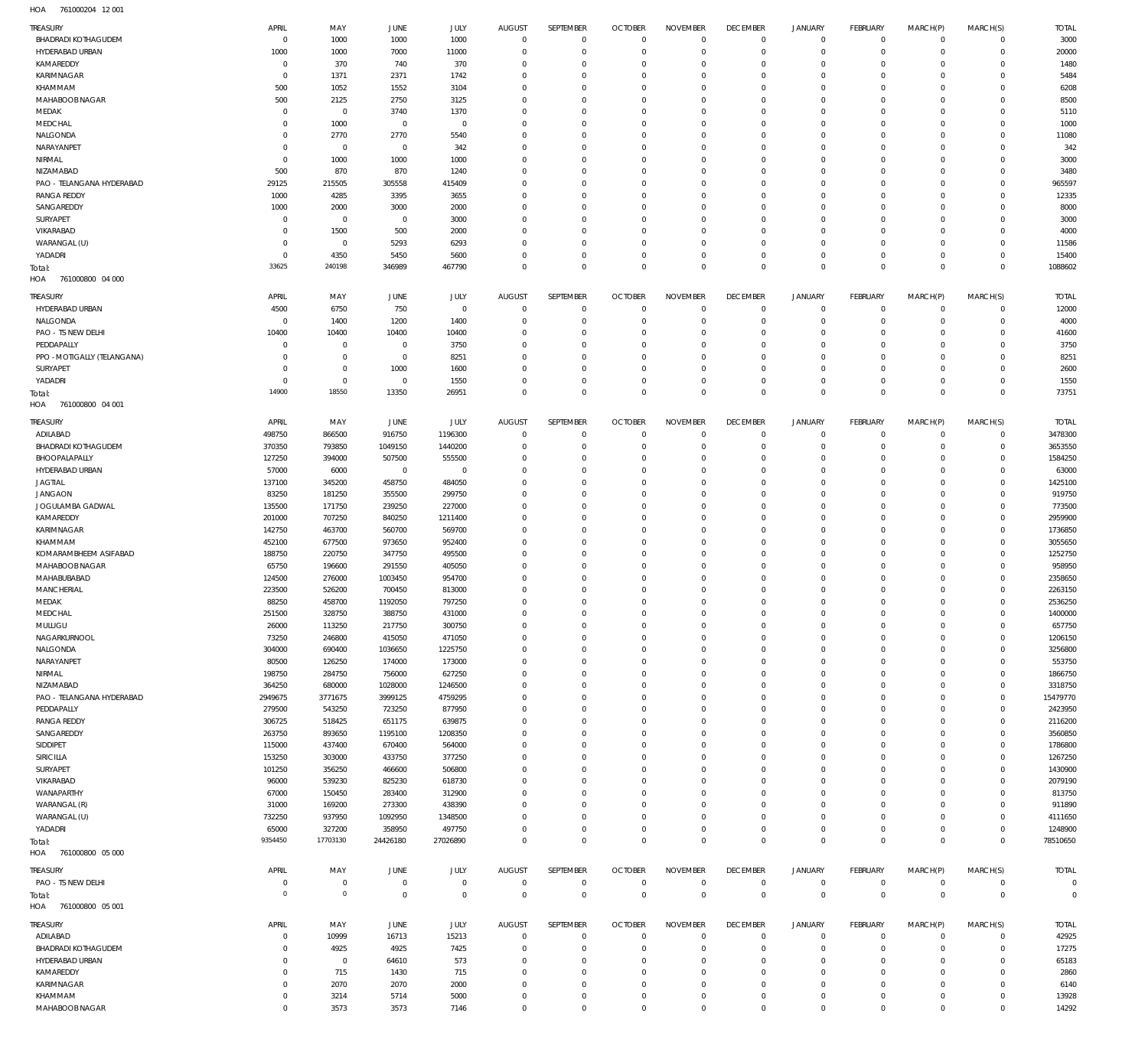761000204 12 001 HOA

| TREASURY                          | APRIL               | MAY                 | <b>JUNE</b>        | JULY              | <b>AUGUST</b>           | SEPTEMBER               | <b>OCTOBER</b>             | <b>NOVEMBER</b>      | <b>DECEMBER</b>            | <b>JANUARY</b>      | <b>FEBRUARY</b>            | MARCH(P)             | MARCH(S)                         | <b>TOTAL</b>       |
|-----------------------------------|---------------------|---------------------|--------------------|-------------------|-------------------------|-------------------------|----------------------------|----------------------|----------------------------|---------------------|----------------------------|----------------------|----------------------------------|--------------------|
| <b>BHADRADI KOTHAGUDEM</b>        | $\overline{0}$      | 1000                | 1000               | 1000              | $\overline{0}$          | $\mathbf 0$             | $\overline{0}$             | $\mathbf 0$          | $\overline{0}$             | $\mathsf 0$         | $\overline{0}$             | $\mathbf 0$          | $\overline{0}$                   | 3000               |
| HYDERABAD URBAN                   | 1000                | 1000                | 7000               | 11000             | $\mathbf 0$             | $\mathbf 0$             | $\overline{0}$             | $\mathbf 0$          | $\overline{0}$             | $\mathbf 0$         | $\overline{0}$             | $\Omega$             | $\overline{0}$                   | 20000              |
| KAMAREDDY                         | $\mathbf 0$         | 370                 | 740                | 370               | $\Omega$                | $\mathbf 0$             | $\mathbf 0$                | $\Omega$             | $\mathbf 0$                | $\mathbf 0$         | $\overline{0}$             | $\Omega$             | $\overline{0}$                   | 1480               |
| KARIMNAGAR                        | $\overline{0}$      | 1371                | 2371               | 1742              | $\Omega$                | $\mathbf 0$             | $\mathbf 0$                | $\Omega$             | $\mathbf 0$                | $\mathbf 0$         | $\overline{0}$             | $\Omega$             | $\circ$                          | 5484               |
| KHAMMAM                           | 500                 | 1052                | 1552               | 3104              | $\Omega$                | $\mathbf 0$             | $\mathbf 0$                | $\Omega$             | $\mathbf 0$                | 0                   | $\overline{0}$             | $\Omega$             | $\Omega$                         | 6208               |
| MAHABOOB NAGAR                    | 500                 | 2125                | 2750               | 3125              | $\Omega$                | $\Omega$                | $\mathbf{0}$               | $\Omega$             | $\mathbf{0}$               | $\Omega$            | $\circ$                    | $\Omega$             | $\Omega$                         | 8500               |
| MEDAK                             | $\mathbf{0}$        | $\mathbf 0$         | 3740               | 1370              | $\mathbf 0$             | $\mathbf 0$             | $\mathbf{0}$               | $\Omega$             | $\mathbf 0$                | $\mathbf 0$         | $\overline{0}$             | $\Omega$             | $\Omega$                         | 5110               |
| MEDCHAL                           | $\mathbf{0}$        | 1000                | $\overline{0}$     | $\mathbf 0$       | $\Omega$                | $\Omega$                | $\mathbf{0}$               | $\Omega$             | $\mathbf 0$                | $\Omega$            | $\circ$                    | $\Omega$             | $\Omega$                         | 1000               |
| NALGONDA                          | $\mathbf{0}$        | 2770                | 2770               | 5540              | $\mathbf 0$             | $\mathbf 0$             | $\mathbf{0}$               | $\Omega$             | $\mathbf{0}$               | $\mathbf 0$         | $\overline{0}$             | $\Omega$             | $\circ$                          | 11080              |
| NARAYANPET                        | $\mathbf{0}$        | $\mathbf{0}$        | $\overline{0}$     | 342               | $\Omega$                | $\mathbf 0$             | $\mathbf{0}$               | $\Omega$             | $\mathbf 0$                | $\mathbf 0$         | $\overline{0}$             | $\Omega$             | $\Omega$                         | 342                |
| NIRMAL                            | $\mathbf 0$         | 1000                | 1000               | 1000              | $\Omega$                | $\Omega$                | $\mathbf 0$                | $\Omega$             | $\Omega$                   | $\Omega$            | $\circ$                    | $\Omega$             | $\Omega$                         | 3000               |
| NIZAMABAD                         | 500                 | 870                 | 870                | 1240              | $\Omega$                | $\mathbf 0$             | $\mathbf 0$                | $\Omega$             | $\mathbf 0$                | $\mathbf 0$         | $\overline{0}$             | $\Omega$             | $\circ$                          | 3480               |
| PAO - TELANGANA HYDERABAD         | 29125               | 215505              | 305558             | 415409            | $\Omega$                | $\Omega$                | $\mathbf 0$                | $\Omega$             | $\mathbf 0$                | 0                   | $\mathbf 0$                | $\Omega$             | $\Omega$                         | 965597             |
| <b>RANGA REDDY</b><br>SANGAREDDY  | 1000                | 4285                | 3395               | 3655              | $\Omega$<br>$\Omega$    | $\mathbf 0$<br>$\Omega$ | $\mathbf 0$                | $\Omega$<br>$\Omega$ | $\mathbf 0$                | $\mathbf 0$         | $\overline{0}$             | $\Omega$             | $\circ$                          | 12335              |
|                                   | 1000<br>$\mathbf 0$ | 2000<br>$\mathbf 0$ | 3000               | 2000              | $\Omega$                | $\Omega$                | $\mathbf 0$<br>$\mathbf 0$ | $\Omega$             | $\mathbf 0$<br>$\mathbf 0$ | 0<br>$\Omega$       | $\overline{0}$<br>$\circ$  | $\Omega$<br>$\Omega$ | $\mathbf 0$<br>$\circ$           | 8000               |
| SURYAPET<br>VIKARABAD             | $\mathbf 0$         |                     | $\overline{0}$     | 3000              | $\Omega$                | $\mathbf 0$             | $\mathbf 0$                | $\Omega$             | $\mathbf 0$                | $\mathbf 0$         | $\overline{0}$             | $\Omega$             | $\Omega$                         | 3000               |
| WARANGAL (U)                      | $\mathbf 0$         | 1500<br>$\mathbf 0$ | 500<br>5293        | 2000<br>6293      | $\Omega$                | $\Omega$                | $\mathbf 0$                | $\Omega$             | $\mathbf 0$                | $\mathbf 0$         | $\circ$                    | $\Omega$             | $\Omega$                         | 4000<br>11586      |
| YADADRI                           | $\overline{0}$      | 4350                | 5450               | 5600              | $\Omega$                | $\mathbf 0$             | $\mathbf 0$                | $\Omega$             | $\mathbf 0$                | $\mathbf 0$         | $\overline{0}$             | $\Omega$             | $\overline{0}$                   | 15400              |
|                                   | 33625               | 240198              | 346989             | 467790            | $\Omega$                | $\Omega$                | $\Omega$                   | $\Omega$             | $\mathbf 0$                | $\mathbf 0$         | $\overline{0}$             | $\Omega$             | $\overline{0}$                   | 1088602            |
| Total:<br>HOA<br>761000800 04 000 |                     |                     |                    |                   |                         |                         |                            |                      |                            |                     |                            |                      |                                  |                    |
|                                   |                     |                     |                    |                   |                         |                         |                            |                      |                            |                     |                            |                      |                                  |                    |
| TREASURY                          | APRIL               | MAY                 | <b>JUNE</b>        | JULY              | <b>AUGUST</b>           | SEPTEMBER               | <b>OCTOBER</b>             | <b>NOVEMBER</b>      | <b>DECEMBER</b>            | <b>JANUARY</b>      | <b>FEBRUARY</b>            | MARCH(P)             | MARCH(S)                         | <b>TOTAL</b>       |
| HYDERABAD URBAN                   | 4500                | 6750                | 750                | $\mathbf 0$       | $\mathbf 0$             | $\mathbf 0$             | $\overline{0}$             | $\mathbf 0$          | $\overline{0}$             | $\mathsf 0$         | $\overline{0}$             | $\mathbf 0$          | $\overline{0}$                   | 12000              |
| NALGONDA                          | $\overline{0}$      | 1400                | 1200               | 1400              | $\mathbf 0$             | $\mathbf 0$             | $\overline{0}$             | 0                    | $\mathbf 0$                | $\mathbf 0$         | $\overline{0}$             | $\mathbf 0$          | $\overline{0}$                   | 4000               |
| PAO - TS NEW DELHI                | 10400               | 10400               | 10400              | 10400             | $\Omega$                | $\mathbf 0$             | $\mathbf{0}$               | 0                    | $\mathbf{0}$               | $\mathbf 0$         | $\overline{0}$             | $\Omega$             | $\overline{0}$                   | 41600              |
| PEDDAPALLY                        | $\mathbf{0}$        | $\bf 0$             | $\overline{0}$     | 3750              | $\mathbf 0$             | $\mathbf 0$             | $\mathbf{0}$               | $\mathbf 0$          | $\mathbf{0}$               | $\mathbf 0$         | $\overline{0}$             | $\Omega$             | $\overline{0}$                   | 3750               |
| PPO - MOTIGALLY (TELANGANA)       | $\mathbf{0}$        | $\bf 0$             | $\overline{0}$     | 8251              | $\mathbf 0$             | $\mathbf 0$             | $\mathbf{0}$               | $\mathbf 0$          | $\mathbf{0}$               | $\mathbf 0$         | $\overline{0}$             | $\Omega$             | $\overline{0}$                   | 8251               |
| SURYAPET                          | $\mathbf{0}$        | $\bf 0$             | 1000               | 1600              | $\mathbf 0$             | $\mathbf 0$             | $\mathbf{0}$               | $\Omega$             | $\mathbf{0}$               | $\mathbf 0$         | $\overline{0}$             | $\Omega$             | $\overline{0}$                   | 2600               |
| YADADRI                           | $\mathbf{0}$        | $\mathbf 0$         | $\overline{0}$     | 1550              | $\mathbf{0}$            | $\mathbf 0$             | $\mathbf{0}$               | $\mathbf 0$          | $\mathbf{0}$               | $\mathbf 0$         | $\overline{0}$             | $\mathbf 0$          | $\overline{0}$                   | 1550               |
| Total:                            | 14900               | 18550               | 13350              | 26951             | $\Omega$                | $\mathbf 0$             | $\Omega$                   | $\Omega$             | $\overline{0}$             | $\mathbf 0$         | $\mathbb O$                | $\Omega$             | $\overline{0}$                   | 73751              |
| HOA<br>761000800 04 001           |                     |                     |                    |                   |                         |                         |                            |                      |                            |                     |                            |                      |                                  |                    |
| TREASURY                          | APRIL               | MAY                 | JUNE               | JULY              | <b>AUGUST</b>           | SEPTEMBER               | <b>OCTOBER</b>             | <b>NOVEMBER</b>      | <b>DECEMBER</b>            | <b>JANUARY</b>      | <b>FEBRUARY</b>            | MARCH(P)             | MARCH(S)                         | <b>TOTAL</b>       |
| ADILABAD                          | 498750              | 866500              | 916750             | 1196300           | $\mathbf{0}$            | $\mathbf{0}$            | $\overline{0}$             | $\mathbf{0}$         | $\overline{0}$             | $\mathsf 0$         | $\overline{0}$             | $\mathbf 0$          | $\overline{0}$                   | 3478300            |
| <b>BHADRADI KOTHAGUDEM</b>        | 370350              | 793850              | 1049150            | 1440200           | $\mathbf 0$             | $\mathbf 0$             | $\mathbf{0}$               | $\Omega$             | $\mathbf{0}$               | $\mathbf 0$         | $\overline{0}$             | $\Omega$             | $\overline{0}$                   | 3653550            |
| BHOOPALAPALLY                     | 127250              | 394000              | 507500             | 555500            | $\Omega$                | $\Omega$                | $\mathbf{0}$               | $\Omega$             | $\mathbf{0}$               | $\mathbf 0$         | $\overline{0}$             | $\Omega$             | $\circ$                          | 1584250            |
| HYDERABAD URBAN                   | 57000               | 6000                | $\overline{0}$     | $\mathbf 0$       | $\mathbf 0$             | $\mathbf 0$             | $\mathbf 0$                | $\Omega$             | $\mathbf 0$                | $\mathbf 0$         | $\overline{0}$             | $\Omega$             | $\mathbf 0$                      | 63000              |
| <b>JAGTIAL</b>                    | 137100              | 345200              | 458750             | 484050            | $\Omega$                | $\Omega$                | $\mathbf 0$                | $\Omega$             | $\mathbf 0$                | $\Omega$            | $\overline{0}$             | $\Omega$             | $\Omega$                         | 1425100            |
| <b>JANGAON</b>                    | 83250               | 181250              | 355500             | 299750            | $\Omega$                | $\Omega$                | $\mathbf 0$                | $\Omega$             | $\mathbf 0$                | $\mathbf 0$         | $\overline{0}$             | $\Omega$             | $\Omega$                         | 919750             |
| JOGULAMBA GADWAL                  | 135500              | 171750              | 239250             | 227000            | $\Omega$                | $\mathbf 0$             | $\mathbf 0$                | $\Omega$             | $\mathbf 0$                | $\mathbf 0$         | $\overline{0}$             | $\Omega$             | $\circ$                          | 773500             |
| KAMAREDDY                         | 201000              | 707250              | 840250             | 1211400           | $\Omega$                | $\Omega$                | $\mathbf 0$                | $\Omega$             | $\mathbf 0$                | $\mathbf 0$         | $\overline{0}$             | $\Omega$             | $\Omega$                         | 2959900            |
| KARIMNAGAR                        | 142750              | 463700              | 560700             | 569700            | $\Omega$                | $\mathbf 0$             | $\mathbf 0$                | $\Omega$             | $\mathbf 0$                | $\mathbf 0$         | $\overline{0}$             | $\Omega$             | $\circ$                          | 1736850            |
| KHAMMAM                           | 452100              | 677500              | 973650             | 952400            | $\Omega$                | $\Omega$                | $\mathbf 0$                | $\Omega$             | $\mathbf 0$                | 0                   | $\overline{0}$             | $\Omega$             | $\Omega$                         | 3055650            |
| KOMARAMBHEEM ASIFABAD             | 188750              | 220750              | 347750             | 495500            | $\Omega$                | $\mathbf 0$             | $\mathbf 0$                | $\Omega$             | $\mathbf 0$                | $\mathbf 0$         | $\overline{0}$             | $\Omega$             | $\circ$                          | 1252750            |
| MAHABOOB NAGAR                    | 65750               | 196600              | 291550             | 405050            | $\mathbf 0$             | $\mathbf 0$             | $\mathbf 0$                | $\Omega$             | $\mathbf 0$                | 0                   | $\overline{0}$             | $\Omega$             | $\mathbf 0$                      | 958950             |
| MAHABUBABAD                       | 124500              | 276000              | 1003450            | 954700            | $\Omega$                | $\Omega$                | $\mathbf 0$                | $\Omega$             | $\mathbf{0}$               | $\Omega$            | $\circ$                    | $\Omega$             | $\circ$                          | 2358650            |
| <b>MANCHERIAL</b>                 | 223500              | 526200              | 700450             | 813000            | $\Omega$                | $\mathbf 0$             | $\mathbf{0}$               | $\Omega$             | $\mathbf 0$                | 0                   | $\overline{0}$             | $\Omega$             | $\mathbf 0$                      | 2263150            |
| MEDAK                             | 88250               | 458700              | 1192050            | 797250            | $\Omega$                | $\Omega$                | $\Omega$                   | $\Omega$             | $\Omega$                   | $\Omega$            | $\circ$                    | $\Omega$             | $\circ$                          | 2536250            |
| MEDCHAL                           | 251500              | 328750              | 388750             | 431000            |                         |                         |                            |                      |                            |                     |                            |                      |                                  | 1400000            |
| MULUGU                            | 26000               | 113250              | 217750             | 300750            | $\mathbf{0}$            | $\mathbf 0$             | $\mathbf 0$                | $\mathbf 0$          | $\mathbf{0}$               | $\mathbf 0$         | $\overline{0}$             | 0                    | $\mathbf 0$                      | 657750             |
| NAGARKURNOOL                      | 73250               | 246800              | 415050             | 471050            | $\mathbf 0$             | $\mathbf 0$             | $\mathbf 0$                | $\mathbf 0$          | $\mathbf{0}$               | $\mathbf 0$         | $\overline{0}$             | $\mathbf 0$          | $\mathbf 0$                      | 1206150            |
| NALGONDA                          | 304000              | 690400              | 1036650            | 1225750           | $\Omega$                | $\mathbf 0$             | $\mathbf{0}$               | $\mathbf 0$          | $\mathbf{0}$               | $\mathbf 0$         | $\overline{0}$             | $\Omega$             | $\Omega$                         | 3256800            |
| NARAYANPET                        | 80500               | 126250              | 174000             | 173000            | $\Omega$                | $\Omega$                | $\mathbf 0$                | $\Omega$             | $\mathbf 0$                | 0                   | $\mathbf 0$                | $\Omega$             | $\mathbf 0$                      | 553750             |
| NIRMAL                            | 198750              | 284750              | 756000             | 627250            | $\Omega$                | $\mathbf 0$             | $\mathbf 0$                | $\Omega$             | $\mathbf 0$                | $\mathbf 0$         | $\overline{0}$             | $\Omega$             | $\overline{0}$                   | 1866750            |
| NIZAMABAD                         | 364250              | 680000              | 1028000            | 1246500           | $\mathbf 0$             | $\mathbf 0$             | $\mathbf 0$                | $\Omega$             | $\mathbf 0$                | 0                   | $\mathbf 0$                | $\Omega$             | $\mathbf 0$                      | 3318750            |
| PAO - TELANGANA HYDERABAD         | 2949675             | 3771675             | 3999125            | 4759295           | $\Omega$                | $\Omega$                | $\mathbf 0$                | $\Omega$             | $\mathbf 0$                | $\mathbf 0$         | $\overline{0}$             | $\Omega$             | $\circ$                          | 15479770           |
| PEDDAPALLY                        | 279500              | 543250              | 723250             | 877950            | $\mathbf 0$             | $\mathbf 0$             | $\mathbf 0$                | $\Omega$             | $\mathbf 0$                | 0                   | $\overline{0}$             | $\Omega$             | $\mathbf 0$                      | 2423950            |
| <b>RANGA REDDY</b>                | 306725              | 518425              | 651175             | 639875            | $\Omega$                | $\Omega$                | $\mathbf 0$                | $\Omega$             | $\mathbf 0$                | $\mathbf 0$         | $\overline{0}$             | $\Omega$             | $\Omega$                         | 2116200            |
| SANGAREDDY                        | 263750              | 893650              | 1195100            | 1208350           | $\Omega$                | $\mathbf 0$             | $\mathbf 0$                | $\Omega$             | $\mathbf 0$                | 0                   | $\overline{0}$             | $\Omega$             | $\Omega$                         | 3560850            |
| SIDDIPET                          | 115000              | 437400              | 670400             | 564000            | $\Omega$                | $\mathbf 0$             | $\mathbf 0$                | $\mathbf 0$          | $\mathbf 0$                | $\mathbf 0$         | $\overline{0}$             | $\Omega$             | $\mathbf 0$                      | 1786800            |
| SIRICILLA                         | 153250              | 303000              | 433750             | 377250            | $\Omega$                | $\Omega$                | $\mathbf 0$                | $\Omega$             | $\mathbf 0$                | 0                   | $\mathbf 0$                | $\Omega$             | $\mathbf 0$                      | 1267250            |
| SURYAPET                          | 101250              | 356250              | 466600             | 506800            | $\Omega$                | $\mathbf 0$             | $\mathbf 0$                | $\Omega$             | $\mathbf 0$                | $\mathbf 0$         | $\overline{0}$             | $\Omega$             | $\overline{0}$                   | 1430900            |
| VIKARABAD                         | 96000               | 539230              | 825230             | 618730            | $\Omega$                | $\Omega$                | $\mathbf 0$                | $\Omega$             | $\mathbf 0$                | 0                   | $\mathbf 0$                | $\Omega$             | $\Omega$                         | 2079190            |
| WANAPARTHY                        | 67000               | 150450              | 283400             | 312900            | $\Omega$                | $\mathbf 0$             | $\mathbf 0$                | $\Omega$<br>$\Omega$ | $\mathbf 0$                | $\mathbf 0$         | $\overline{0}$             | $\Omega$             | $\circ$                          | 813750             |
| WARANGAL (R)                      | 31000               | 169200              | 273300             | 438390            | $\mathbf 0$<br>$\Omega$ | $\mathbf 0$<br>$\Omega$ | $\mathbf 0$<br>$\mathbf 0$ | $\Omega$             | $\mathbf 0$<br>$\mathbf 0$ | 0<br>$\mathbf 0$    | $\mathbf 0$                | $\Omega$<br>$\Omega$ | $\mathbf 0$                      | 911890             |
| WARANGAL (U)                      | 732250              | 937950              | 1092950            | 1348500<br>497750 | $\mathbf 0$             | $\mathbf 0$             | $\mathbf 0$                | $\mathbf 0$          | $\mathbf 0$                | $\mathbf 0$         | $\overline{0}$             | $\mathbf 0$          | $\overline{0}$<br>$\overline{0}$ | 4111650<br>1248900 |
| YADADRI                           | 65000<br>9354450    | 327200<br>17703130  | 358950<br>24426180 | 27026890          | $\Omega$                | $\Omega$                | $\mathbf 0$                | $\mathbf 0$          | $\overline{0}$             | $\mathbf 0$         | $\mathsf 0$<br>$\mathbb O$ | $\Omega$             | $\Omega$                         | 78510650           |
| Total:<br>HOA 761000800 05 000    |                     |                     |                    |                   |                         |                         |                            |                      |                            |                     |                            |                      |                                  |                    |
|                                   |                     |                     |                    |                   |                         |                         |                            |                      |                            |                     |                            |                      |                                  |                    |
| TREASURY                          | APRIL               | MAY                 | JUNE               | <b>JULY</b>       | <b>AUGUST</b>           | SEPTEMBER               | <b>OCTOBER</b>             | <b>NOVEMBER</b>      | <b>DECEMBER</b>            | <b>JANUARY</b>      | <b>FEBRUARY</b>            | MARCH(P)             | MARCH(S)                         | <b>TOTAL</b>       |
| PAO - TS NEW DELHI                | $\overline{0}$      | $\mathbf 0$         | $\overline{0}$     | $\mathbf 0$       | $\overline{0}$          | $\mathbf 0$             | $\overline{0}$             | $\mathbf 0$          | $\overline{0}$             | $\mathsf 0$         | $\mathsf 0$                | $\mathsf 0$          | $\mathsf 0$                      | $\circ$            |
| Total:                            | $\overline{0}$      | $\mathbf 0$         | $\mathbf 0$        | $\mathbf 0$       | $\mathbb O$             | $\mathbf 0$             | $\mathbb O$                | $\mathbf 0$          | $\mathbf 0$                | $\mathbf 0$         | $\mathbf 0$                | $\mathbf 0$          | $\mathbf 0$                      | $\overline{0}$     |
| 761000800 05 001<br>HOA           |                     |                     |                    |                   |                         |                         |                            |                      |                            |                     |                            |                      |                                  |                    |
| TREASURY                          | APRIL               | MAY                 | JUNE               | JULY              | <b>AUGUST</b>           | SEPTEMBER               | <b>OCTOBER</b>             | <b>NOVEMBER</b>      | <b>DECEMBER</b>            | <b>JANUARY</b>      | FEBRUARY                   | MARCH(P)             | MARCH(S)                         | <b>TOTAL</b>       |
| ADILABAD                          | $\mathbf 0$         | 10999               | 16713              | 15213             | $\mathbf 0$             | $\mathbf 0$             | $\overline{0}$             | $\mathbf{0}$         | $\overline{0}$             | $\mathbf 0$         | $\mathsf 0$                | $\mathbf 0$          | $\overline{0}$                   | 42925              |
| <b>BHADRADI KOTHAGUDEM</b>        | $^{\circ}$          | 4925                | 4925               | 7425              | $\mathbf{0}$            | $\mathbf 0$             | $\mathbf{0}$               | $\Omega$             | $\mathbf{0}$               | $\mathbf 0$         | $\mathsf 0$                | $\mathbf 0$          | $\overline{0}$                   | 17275              |
| HYDERABAD URBAN                   | $\mathbf 0$         | $\mathbf{0}$        | 64610              | 573               | $\mathbf 0$             | $\mathbf 0$             | $\mathbf{0}$               | $\mathbf 0$          | $\mathbf{0}$               | $\mathbf 0$         | $\overline{0}$             | $\Omega$             | $\overline{0}$                   | 65183              |
| KAMAREDDY                         | $\mathbf 0$         | 715                 | 1430               | 715               | $\mathbf 0$             | $\mathbf 0$             | $\mathbf{0}$               | $\Omega$             | $\mathbf{0}$               | $\mathbf 0$         | $\overline{0}$             | $\Omega$             | $\overline{0}$                   | 2860               |
| KARIMNAGAR                        | $\mathbf 0$         | 2070                | 2070               | 2000              | $\mathbf 0$             | $\mathbf 0$             | $\mathbf{0}$               | $\mathbf 0$          | $\mathbf{0}$               | $\mathbf 0$         | $\overline{0}$             | $\Omega$             | $\overline{0}$                   | 6140               |
| KHAMMAM                           | $\mathbf 0$         | 3214                | 5714               | 5000              | $\mathbf 0$             | $\mathbf 0$             | $\bf 0$                    | $\mathbf 0$          | $\mathbf 0$                | $\mathsf{O}\xspace$ | $\overline{0}$             | 0                    | $\mathbf 0$                      | 13928              |
|                                   |                     | 3573                | 3573               | 7146              | $\mathbf{0}$            | $\mathbf 0$             | $\mathbf{0}$               | $\mathbf 0$          | $\overline{0}$             | $\mathbf 0$         | $\mathbb O$                | $\mathbf 0$          | $\mathbb O$                      | 14292              |
| MAHABOOB NAGAR                    | $\mathbf{0}$        |                     |                    |                   |                         |                         |                            |                      |                            |                     |                            |                      |                                  |                    |